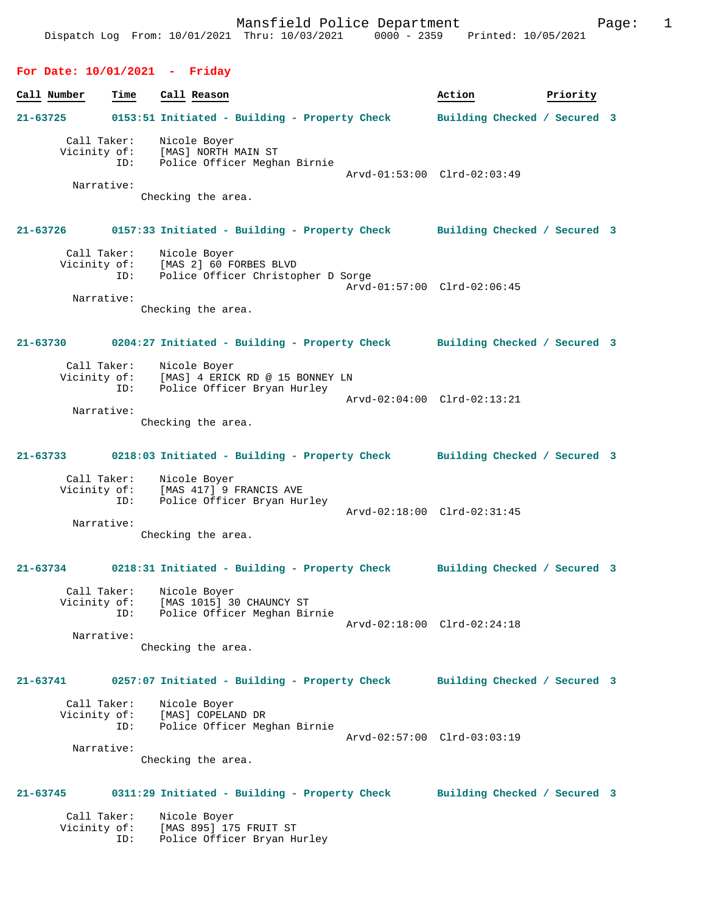## **For Date: 10/01/2021 - Friday**

| Call Number |                             | Time | Call Reason                                                                                     | Action                       | Priority |  |
|-------------|-----------------------------|------|-------------------------------------------------------------------------------------------------|------------------------------|----------|--|
| 21-63725    |                             |      | 0153:51 Initiated - Building - Property Check                                                   | Building Checked / Secured 3 |          |  |
|             | Call Taker:<br>Vicinity of: | ID:  | Nicole Boyer<br>[MAS] NORTH MAIN ST<br>Police Officer Meghan Birnie                             | Arvd-01:53:00 Clrd-02:03:49  |          |  |
|             | Narrative:                  |      | Checking the area.                                                                              |                              |          |  |
|             | 21-63726                    |      | 0157:33 Initiated - Building - Property Check Building Checked / Secured 3                      |                              |          |  |
|             | Call Taker:<br>Vicinity of: | ID:  | Nicole Boyer<br>[MAS 2] 60 FORBES BLVD<br>Police Officer Christopher D Sorge                    | Arvd-01:57:00 Clrd-02:06:45  |          |  |
|             | Narrative:                  |      | Checking the area.                                                                              |                              |          |  |
|             | $21 - 63730$                |      | 0204:27 Initiated - Building - Property Check Building Checked / Secured 3                      |                              |          |  |
|             | Call Taker:                 | ID:  | Nicole Boyer<br>Vicinity of: [MAS] 4 ERICK RD @ 15 BONNEY LN<br>Police Officer Bryan Hurley     |                              |          |  |
|             | Narrative:                  |      | Checking the area.                                                                              | Arvd-02:04:00 Clrd-02:13:21  |          |  |
|             | $21 - 63733$                |      | 0218:03 Initiated - Building - Property Check Building Checked / Secured 3                      |                              |          |  |
|             |                             | ID:  | Call Taker: Nicole Boyer<br>Vicinity of: [MAS 417] 9 FRANCIS AVE<br>Police Officer Bryan Hurley | Arvd-02:18:00 Clrd-02:31:45  |          |  |
|             | Narrative:                  |      | Checking the area.                                                                              |                              |          |  |
| 21-63734    |                             |      | 0218:31 Initiated - Building - Property Check Building Checked / Secured 3                      |                              |          |  |
|             | Call Taker:                 | ID:  | Nicole Boyer<br>Vicinity of: [MAS 1015] 30 CHAUNCY ST<br>Police Officer Meghan Birnie           |                              |          |  |
|             | Narrative:                  |      | Checking the area.                                                                              | Arvd-02:18:00 Clrd-02:24:18  |          |  |
|             | 21-63741                    |      | 0257:07 Initiated - Building - Property Check                                                   | Building Checked / Secured 3 |          |  |
|             | Call Taker:<br>Vicinity of: | ID:  | Nicole Boyer<br>[MAS] COPELAND DR<br>Police Officer Meghan Birnie                               | Arvd-02:57:00 Clrd-03:03:19  |          |  |
|             | Narrative:                  |      | Checking the area.                                                                              |                              |          |  |
| 21-63745    |                             |      | 0311:29 Initiated - Building - Property Check                                                   | Building Checked / Secured 3 |          |  |
|             | Call Taker:<br>Vicinity of: | ID:  | Nicole Boyer<br>[MAS 895] 175 FRUIT ST<br>Police Officer Bryan Hurley                           |                              |          |  |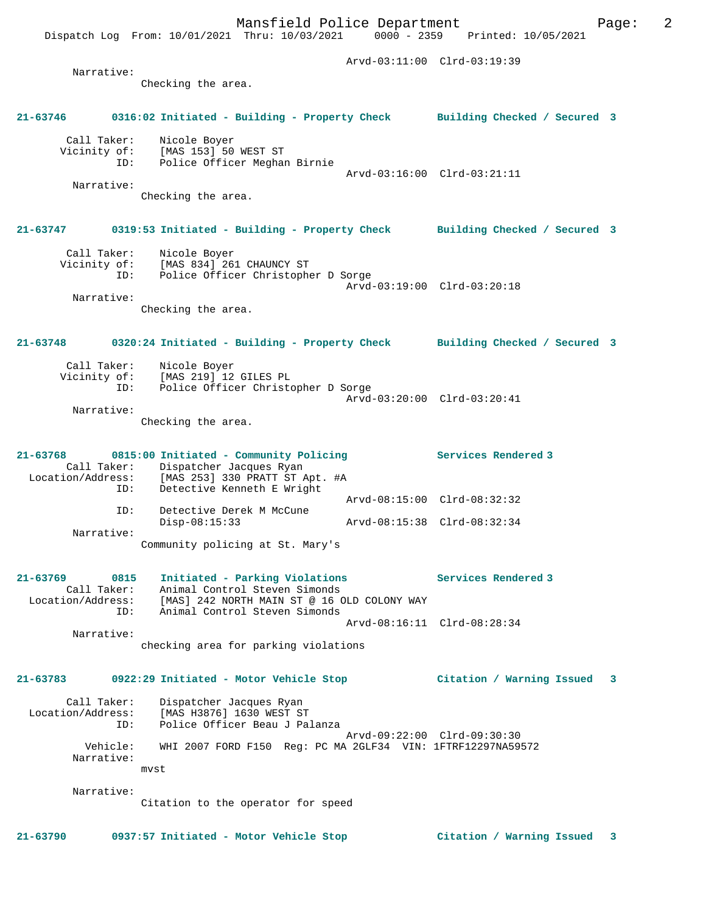Dispatch Log From: 10/01/2021 Thru: 10/03/2021 0000 - 2359 Printed: 10/05/2021

 Arvd-03:11:00 Clrd-03:19:39 Narrative: Checking the area. **21-63746 0316:02 Initiated - Building - Property Check Building Checked / Secured 3** Call Taker: Nicole Boyer Vicinity of: [MAS 153] 50 WEST ST ID: Police Officer Meghan Birnie Arvd-03:16:00 Clrd-03:21:11 Narrative: Checking the area. **21-63747 0319:53 Initiated - Building - Property Check Building Checked / Secured 3** Call Taker: Nicole Boyer Vicinity of: [MAS 834] 261 CHAUNCY ST ID: Police Officer Christopher D Sorge Arvd-03:19:00 Clrd-03:20:18 Narrative: Checking the area. **21-63748 0320:24 Initiated - Building - Property Check Building Checked / Secured 3** Call Taker: Nicole Boyer<br>Vicinity of: [MAS 219] 12 of: [MAS 219] 12 GILES PL<br>ID: Police Officer Christo Inno 22, 12, 22<br>Police Officer Christopher D Sorge Arvd-03:20:00 Clrd-03:20:41 Narrative: Checking the area. **21-63768 0815:00 Initiated - Community Policing Services Rendered 3**  Call Taker: Dispatcher Jacques Ryan Location/Address: [MAS 253] 330 PRATT ST Apt. #A ID: Detective Kenneth E Wright Arvd-08:15:00 Clrd-08:32:32 ID: Detective Derek M McCune Disp-08:15:33 Arvd-08:15:38 Clrd-08:32:34 ID: Detective  $-$  Disp-08:15:33<br>Narrative: Community policing at St. Mary's **21-63769 0815 Initiated - Parking Violations Services Rendered 3**  Call Taker: Animal Control Steven Simonds Location/Address: [MAS] 242 NORTH MAIN ST @ 16 OLD COLONY WAY ID: Animal Control Steven Simonds Arvd-08:16:11 Clrd-08:28:34 Narrative: checking area for parking violations **21-63783 0922:29 Initiated - Motor Vehicle Stop Citation / Warning Issued 3** Call Taker: Dispatcher Jacques Ryan Location/Address: [MAS H3876] 1630 WEST ST ID: Police Officer Beau J Palanza Arvd-09:22:00 Clrd-09:30:30 Vehicle: WHI 2007 FORD F150 Reg: PC MA 2GLF34 VIN: 1FTRF12297NA59572 Narrative: mvst Narrative: Citation to the operator for speed

**21-63790 0937:57 Initiated - Motor Vehicle Stop Citation / Warning Issued 3**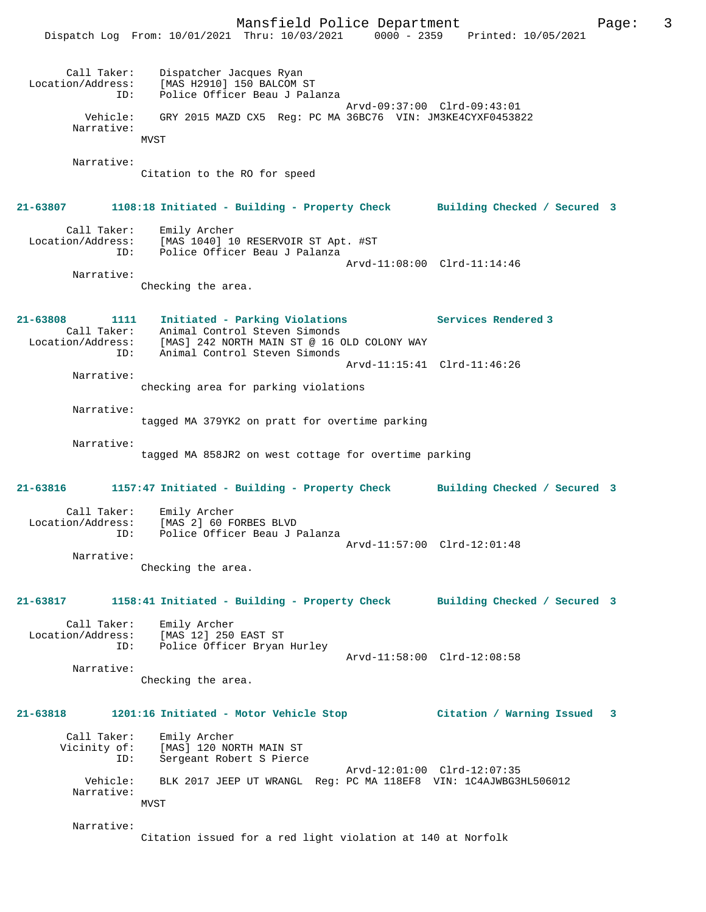Mansfield Police Department Fage: 3 Dispatch Log From: 10/01/2021 Thru: 10/03/2021 0000 - 2359 Printed: 10/05/2021 Call Taker: Dispatcher Jacques Ryan Location/Address: [MAS H2910] 150 BALCOM ST ID: Police Officer Beau J Palanza Arvd-09:37:00 Clrd-09:43:01 Vehicle: GRY 2015 MAZD CX5 Reg: PC MA 36BC76 VIN: JM3KE4CYXF0453822 Narrative: MVST Narrative: Citation to the RO for speed **21-63807 1108:18 Initiated - Building - Property Check Building Checked / Secured 3** Call Taker: Emily Archer Location/Address: [MAS 1040] 10 RESERVOIR ST Apt. #ST ID: Police Officer Beau J Palanza Arvd-11:08:00 Clrd-11:14:46 Narrative: Checking the area. **21-63808 1111 Initiated - Parking Violations Services Rendered 3**  Call Taker: Animal Control Steven Simonds Location/Address: [MAS] 242 NORTH MAIN ST @ 16 OLD COLONY WAY ID: Animal Control Steven Simonds Arvd-11:15:41 Clrd-11:46:26 Narrative: checking area for parking violations Narrative: tagged MA 379YK2 on pratt for overtime parking Narrative: tagged MA 858JR2 on west cottage for overtime parking **21-63816 1157:47 Initiated - Building - Property Check Building Checked / Secured 3** Call Taker: Emily Archer<br>Location/Address: [MAS 2] 60 F [MAS 2] 60 FORBES BLVD ID: Police Officer Beau J Palanza Arvd-11:57:00 Clrd-12:01:48 Narrative: Checking the area. **21-63817 1158:41 Initiated - Building - Property Check Building Checked / Secured 3** Call Taker: Emily Archer Location/Address: [MAS 12] 250 EAST ST ID: Police Officer Bryan Hurley Arvd-11:58:00 Clrd-12:08:58 Narrative: Checking the area. **21-63818 1201:16 Initiated - Motor Vehicle Stop Citation / Warning Issued 3** Call Taker: Emily Archer<br>Vicinity of: [MAS] 120 NO Vicinity of: [MAS] 120 NORTH MAIN ST ID: Sergeant Robert S Pierce Arvd-12:01:00 Clrd-12:07:35 Vehicle: BLK 2017 JEEP UT WRANGL Reg: PC MA 118EF8 VIN: 1C4AJWBG3HL506012 Narrative: MVST Narrative: Citation issued for a red light violation at 140 at Norfolk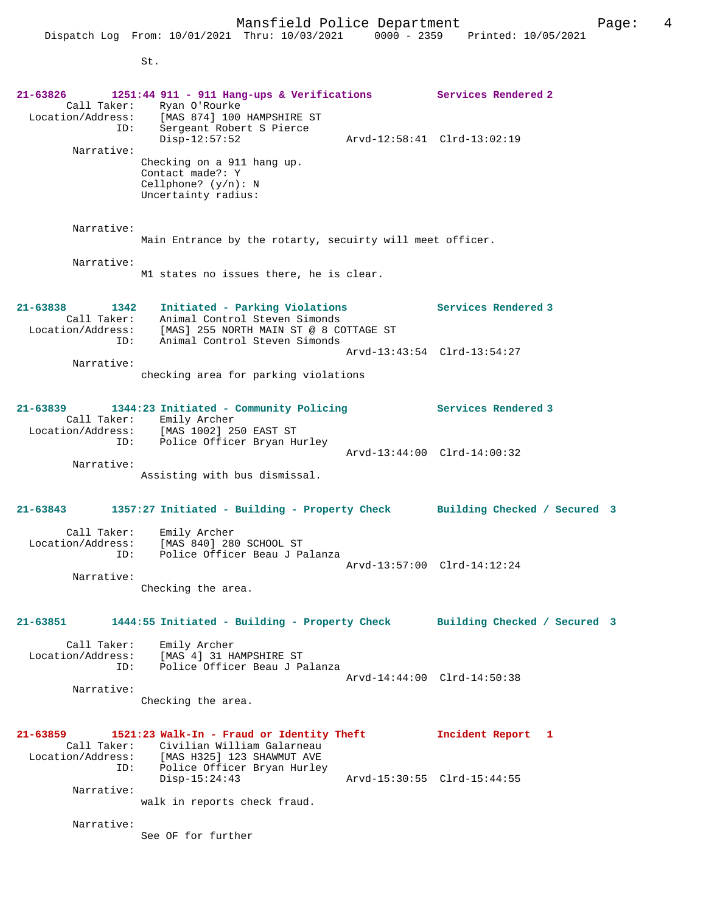Disp-12:57:52 Arvd-12:58:41 Clrd-13:02:19 Narrative: Checking on a 911 hang up. Contact made?: Y Cellphone? (y/n): N Uncertainty radius: Narrative: Main Entrance by the rotarty, secuirty will meet officer. Narrative: M1 states no issues there, he is clear. **21-63838 1342 Initiated - Parking Violations Services Rendered 3**  Call Taker: Animal Control Steven Simonds Location/Address: [MAS] 255 NORTH MAIN ST @ 8 COTTAGE ST ID: Animal Control Steven Simonds Arvd-13:43:54 Clrd-13:54:27 Narrative: checking area for parking violations **21-63839 1344:23 Initiated - Community Policing Services Rendered 3**  Call Taker: Emily Archer Location/Address: [MAS 1002] 250 EAST ST ID: Police Officer Bryan Hurley Arvd-13:44:00 Clrd-14:00:32 Narrative: Assisting with bus dismissal. **21-63843 1357:27 Initiated - Building - Property Check Building Checked / Secured 3** Call Taker: Emily Archer Location/Address: [MAS 840] 280 SCHOOL ST ID: Police Officer Beau J Palanza Arvd-13:57:00 Clrd-14:12:24 Narrative: Checking the area. **21-63851 1444:55 Initiated - Building - Property Check Building Checked / Secured 3** Call Taker: Emily Archer Location/Address: [MAS 4] 31 HAMPSHIRE ST ID: Police Officer Beau J Palanza Arvd-14:44:00 Clrd-14:50:38 Narrative: Checking the area. **21-63859 1521:23 Walk-In - Fraud or Identity Theft Incident Report 1**  Call Taker: Civilian William Galarneau<br>Location/Address: [MAS H325] 123 SHAWMUT AVE [MAS H325] 123 SHAWMUT AVE ID: Police Officer Bryan Hurley Disp-15:24:43 Arvd-15:30:55 Clrd-15:44:55 Narrative: walk in reports check fraud. Narrative:

See OF for further

ID: Sergeant Robert S Pierce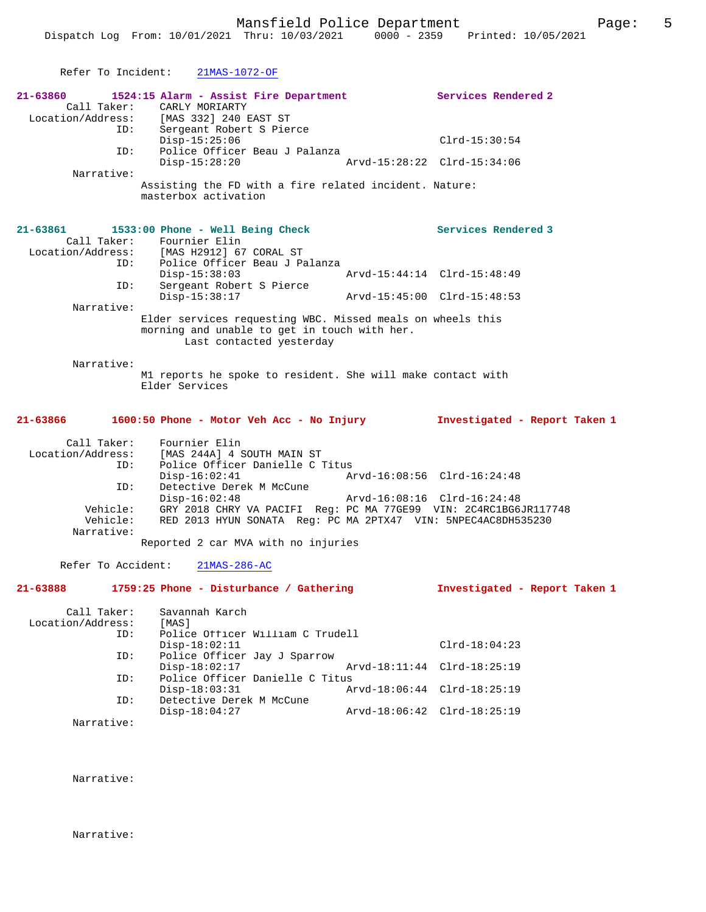|                                         | Refer To Incident: 21MAS-1072-OF                                                                                                                     |               |                               |
|-----------------------------------------|------------------------------------------------------------------------------------------------------------------------------------------------------|---------------|-------------------------------|
| ID:                                     | 21-63860 1524:15 Alarm - Assist Fire Department<br>Call Taker: CARLY MORIARTY<br>Location/Address: [MAS 332] 240 EAST ST<br>Sergeant Robert S Pierce |               | Services Rendered 2           |
|                                         | $Disp-15:25:06$                                                                                                                                      |               | $Clrd-15:30:54$               |
| ID:                                     | Police Officer Beau J Palanza<br>Disp-15:28:20                                                                                                       |               | Arvd-15:28:22 Clrd-15:34:06   |
| Narrative:                              | Assisting the FD with a fire related incident. Nature:<br>masterbox activation                                                                       |               |                               |
| 21-63861                                | 1533:00 Phone - Well Being Check<br>Call Taker: Fournier Elin<br>Location/Address: [MAS H2912] 67 CORAL ST<br>ID: Police Officer Beau J Palanza      |               | Services Rendered 3           |
| ID:                                     | $Disp-15:38:03$<br>Sergeant Robert S Pierce                                                                                                          |               | Arvd-15:44:14 Clrd-15:48:49   |
| Narrative:                              | $Disp-15:38:17$                                                                                                                                      |               | Arvd-15:45:00 Clrd-15:48:53   |
|                                         | Elder services requesting WBC. Missed meals on wheels this<br>morning and unable to get in touch with her.<br>Last contacted yesterday               |               |                               |
| Narrative:                              | M1 reports he spoke to resident. She will make contact with<br>Elder Services                                                                        |               |                               |
|                                         |                                                                                                                                                      |               |                               |
| 21-63866                                | 1600:50 Phone - Motor Veh Acc - No Injury                                                                                                            |               | Investigated - Report Taken 1 |
| Call Taker:<br>ID:                      | Fournier Elin<br>Location/Address: [MAS 244A] 4 SOUTH MAIN ST<br>Police Officer Danielle C Titus<br>$Disp-16:02:41$                                  |               | Arvd-16:08:56 Clrd-16:24:48   |
| ID:<br>Vehicle:<br>Vehicle:             | Detective Derek M McCune<br>$Disp-16:02:48$<br>GRY 2018 CHRY VA PACIFI Reg: PC MA 77GE99 VIN: 2C4RC1BG6JR117748                                      |               | Arvd-16:08:16 Clrd-16:24:48   |
| Narrative:                              | RED 2013 HYUN SONATA Req: PC MA 2PTX47 VIN: 5NPEC4AC8DH535230<br>Reported 2 car MVA with no injuries                                                 |               |                               |
| Refer To Accident:                      | $21MAS-286-AC$                                                                                                                                       |               |                               |
| 21-63888                                | 1759:25 Phone - Disturbance / Gathering                                                                                                              |               | Investigated - Report Taken 1 |
| Call Taker:<br>Location/Address:<br>ID: | Savannah Karch<br>[MAS]<br>Police Officer William C Trudell                                                                                          |               |                               |
| ID:                                     | $Disp-18:02:11$<br>Police Officer Jay J Sparrow                                                                                                      |               | $Clrd-18:04:23$               |
| ID:                                     | $Disp-18:02:17$<br>Police Officer Danielle C Titus                                                                                                   | Arvd-18:11:44 | $Clrd-18:25:19$               |
| ID:                                     | $Disp-18:03:31$<br>Detective Derek M McCune                                                                                                          |               | Arvd-18:06:44 Clrd-18:25:19   |
| Narrative:                              | $Disp-18:04:27$                                                                                                                                      |               | Arvd-18:06:42 Clrd-18:25:19   |

Narrative:

Narrative: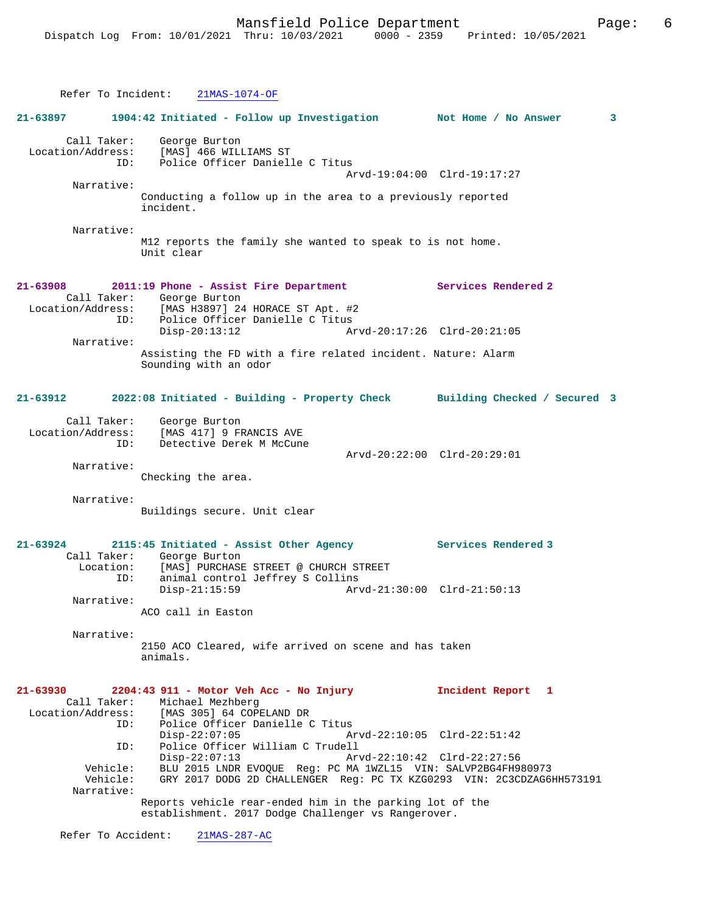|                                                     | Refer To Incident: 21MAS-1074-OF                                                                                                                                                              |                                                            |   |
|-----------------------------------------------------|-----------------------------------------------------------------------------------------------------------------------------------------------------------------------------------------------|------------------------------------------------------------|---|
| 21-63897                                            | 1904:42 Initiated - Follow up Investigation Not Home / No Answer                                                                                                                              |                                                            | 3 |
|                                                     | Call Taker: George Burton<br>Location/Address: [MAS] 466 WILLIAMS ST<br>ID: Police Officer Danielle C Titus                                                                                   |                                                            |   |
| Narrative:                                          | Conducting a follow up in the area to a previously reported<br>incident.                                                                                                                      | Arvd-19:04:00 Clrd-19:17:27                                |   |
| Narrative:                                          | M12 reports the family she wanted to speak to is not home.<br>Unit clear                                                                                                                      |                                                            |   |
|                                                     | 21-63908 2011:19 Phone - Assist Fire Department Services Rendered 2<br>Call Taker: George Burton<br>Location/Address: [MAS H3897] 24 HORACE ST Apt. #2<br>ID: Police Officer Danielle C Titus |                                                            |   |
| Narrative:                                          | $Disp-20:13:12$<br>Arvd-20:17:26 Clrd-20:21:05<br>Assisting the FD with a fire related incident. Nature: Alarm                                                                                |                                                            |   |
|                                                     | Sounding with an odor                                                                                                                                                                         |                                                            |   |
| 21-63912                                            | 2022:08 Initiated - Building - Property Check Building Checked / Secured 3                                                                                                                    |                                                            |   |
|                                                     | Call Taker: George Burton<br>Location/Address: [MAS 417] 9 FRANCIS AVE<br>Detective Derek M McCune<br>ID:                                                                                     |                                                            |   |
| Narrative:                                          | Checking the area.                                                                                                                                                                            | Arvd-20:22:00 Clrd-20:29:01                                |   |
| Narrative:                                          | Buildings secure. Unit clear                                                                                                                                                                  |                                                            |   |
|                                                     | 21-63924 2115:45 Initiated - Assist Other Agency Services Rendered 3<br>Call Taker: George Burton                                                                                             |                                                            |   |
| Narrative:                                          | Location: [MAS] PURCHASE STREET @ CHURCH STREET<br>ID: animal control Jeffrey S Collins<br>animal control Jeffrey S Collins<br>$Disp-21:15:59$                                                | Arvd-21:30:00 Clrd-21:50:13                                |   |
| Narrative:                                          | ACO call in Easton<br>2150 ACO Cleared, wife arrived on scene and has taken                                                                                                                   |                                                            |   |
|                                                     | animals.                                                                                                                                                                                      |                                                            |   |
| 21-63930<br>Call Taker:<br>Location/Address:<br>ID: | 2204:43 911 - Motor Veh Acc - No Injury<br>Michael Mezhberg<br>[MAS 305] 64 COPELAND DR<br>Police Officer Danielle C Titus                                                                    | Incident Report 1                                          |   |
| ID:                                                 | $Disp-22:07:05$<br>Police Officer William C Trudell<br>$Disp-22:07:13$                                                                                                                        | Arvd-22:10:05 Clrd-22:51:42<br>Arvd-22:10:42 Clrd-22:27:56 |   |
| Vehicle:<br>Vehicle:<br>Narrative:                  | BLU 2015 LNDR EVOQUE Reg: PC MA 1WZL15 VIN: SALVP2BG4FH980973<br>GRY 2017 DODG 2D CHALLENGER Reg: PC TX KZG0293 VIN: 2C3CDZAG6HH573191                                                        |                                                            |   |
|                                                     | Reports vehicle rear-ended him in the parking lot of the<br>establishment. 2017 Dodge Challenger vs Rangerover.                                                                               |                                                            |   |
| Refer To Accident:                                  | $21MAS-287-AC$                                                                                                                                                                                |                                                            |   |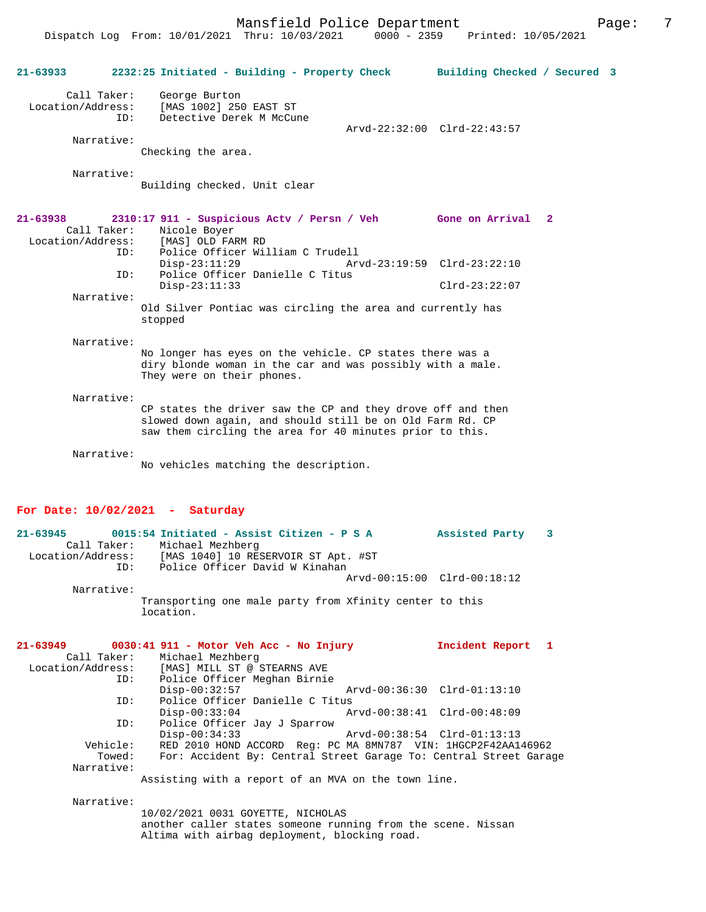Dispatch Log From: 10/01/2021 Thru: 10/03/2021 0000 - 2359 Printed: 10/05/2021

| 21-63933                                     | 2232:25 Initiated - Building - Property Check                                                                                                                                                                   | Building Checked / Secured 3                               |   |  |
|----------------------------------------------|-----------------------------------------------------------------------------------------------------------------------------------------------------------------------------------------------------------------|------------------------------------------------------------|---|--|
| Call Taker:<br>Location/Address:             | George Burton<br>[MAS 1002] 250 EAST ST<br>Detective Derek M McCune<br>ID:                                                                                                                                      | Arvd-22:32:00 Clrd-22:43:57                                |   |  |
| Narrative:                                   | Checking the area.                                                                                                                                                                                              |                                                            |   |  |
| Narrative:                                   | Building checked. Unit clear                                                                                                                                                                                    |                                                            |   |  |
| 21-63938<br>Call Taker:<br>Location/Address: | 2310:17 911 - Suspicious Actv / Persn / Veh<br>Nicole Boyer<br>[MAS] OLD FARM RD                                                                                                                                | Gone on Arrival 2                                          |   |  |
|                                              | Police Officer William C Trudell<br>ID:<br>$Disp-23:11:29$<br>Police Officer Danielle C Titus<br>ID:                                                                                                            | Arvd-23:19:59 Clrd-23:22:10                                |   |  |
| Narrative:                                   | $Disp-23:11:33$                                                                                                                                                                                                 | $Clrd-23:22:07$                                            |   |  |
|                                              | Old Silver Pontiac was circling the area and currently has<br>stopped                                                                                                                                           |                                                            |   |  |
| Narrative:                                   | No longer has eyes on the vehicle. CP states there was a<br>diry blonde woman in the car and was possibly with a male.<br>They were on their phones.                                                            |                                                            |   |  |
| Narrative:                                   | CP states the driver saw the CP and they drove off and then<br>slowed down again, and should still be on Old Farm Rd. CP<br>saw them circling the area for 40 minutes prior to this.                            |                                                            |   |  |
| Narrative:                                   | No vehicles matching the description.                                                                                                                                                                           |                                                            |   |  |
|                                              | For Date: $10/02/2021$ - Saturday                                                                                                                                                                               |                                                            |   |  |
| $21 - 63945$<br>Location/Address:            | 0015:54 Initiated - Assist Citizen - P S A<br>Call Taker: Michael Mezhberg<br>[MAS 1040] 10 RESERVOIR ST Apt. #ST<br>Police Officer David W Kinahan<br>ID:                                                      | Assisted Party                                             | 3 |  |
| Narrative:                                   |                                                                                                                                                                                                                 | Arvd-00:15:00 Clrd-00:18:12                                |   |  |
|                                              | Transporting one male party from Xfinity center to this<br>location.                                                                                                                                            |                                                            |   |  |
| 21-63949<br>Call Taker:<br>Location/Address: | 0030:41 911 - Motor Veh Acc - No Injury<br>Michael Mezhberg<br>[MAS] MILL ST @ STEARNS AVE<br>Police Officer Meghan Birnie<br>ID:                                                                               | Incident Report 1                                          |   |  |
|                                              | $Disp-00:32:57$<br>Police Officer Danielle C Titus<br>ID:                                                                                                                                                       | Arvd-00:36:30 Clrd-01:13:10                                |   |  |
| Vehicle:<br>Towed:<br>Narrative:             | $Disp-00:33:04$<br>Police Officer Jay J Sparrow<br>ID:<br>$Disp-00:34:33$<br>RED 2010 HOND ACCORD Req: PC MA 8MN787 VIN: 1HGCP2F42AA146962<br>For: Accident By: Central Street Garage To: Central Street Garage | Arvd-00:38:41 Clrd-00:48:09<br>Arvd-00:38:54 Clrd-01:13:13 |   |  |
|                                              | Assisting with a report of an MVA on the town line.                                                                                                                                                             |                                                            |   |  |
| Narrative:                                   | 10/02/2021 0031 GOYETTE, NICHOLAS<br>another caller states someone running from the scene. Nissan<br>Altima with airbag deployment, blocking road.                                                              |                                                            |   |  |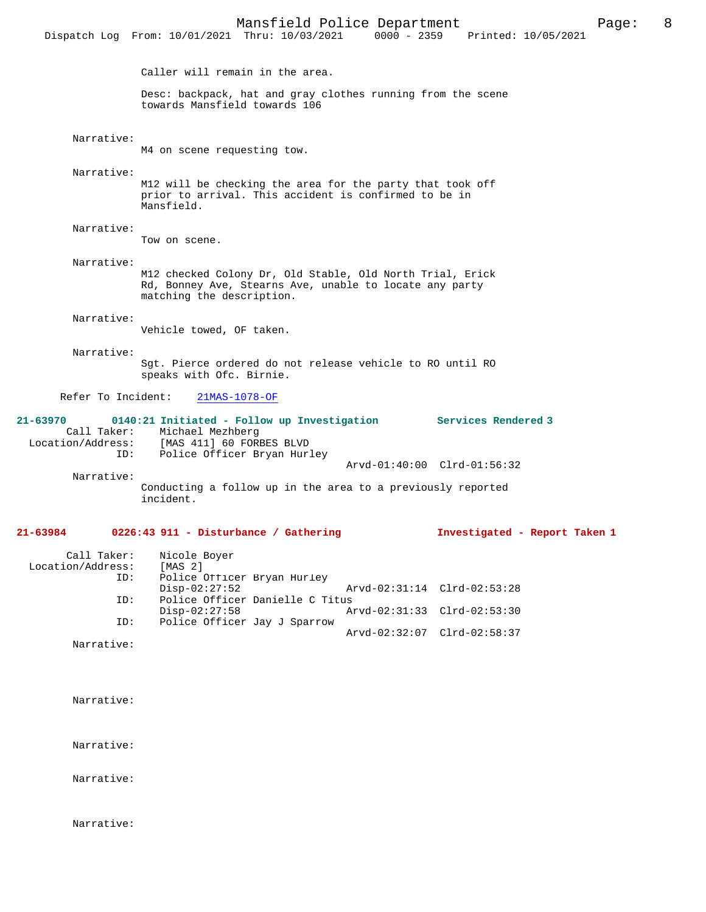|                                                     | Mansfield Police Department<br>Dispatch Log From: 10/01/2021 Thru: 10/03/2021                                                                     | 0000 - 2359 Printed: 10/05/2021 | 8<br>Page: |
|-----------------------------------------------------|---------------------------------------------------------------------------------------------------------------------------------------------------|---------------------------------|------------|
|                                                     | Caller will remain in the area.                                                                                                                   |                                 |            |
|                                                     | Desc: backpack, hat and gray clothes running from the scene<br>towards Mansfield towards 106                                                      |                                 |            |
| Narrative:                                          | M4 on scene requesting tow.                                                                                                                       |                                 |            |
| Narrative:                                          | M12 will be checking the area for the party that took off<br>prior to arrival. This accident is confirmed to be in<br>Mansfield.                  |                                 |            |
| Narrative:                                          | Tow on scene.                                                                                                                                     |                                 |            |
| Narrative:                                          | M12 checked Colony Dr, Old Stable, Old North Trial, Erick<br>Rd, Bonney Ave, Stearns Ave, unable to locate any party<br>matching the description. |                                 |            |
| Narrative:                                          | Vehicle towed, OF taken.                                                                                                                          |                                 |            |
| Narrative:                                          | Sqt. Pierce ordered do not release vehicle to RO until RO<br>speaks with Ofc. Birnie.                                                             |                                 |            |
| Refer To Incident:                                  | $21MAS-1078-OF$                                                                                                                                   |                                 |            |
| 21-63970<br>Call Taker:<br>Location/Address:<br>ID: | 0140:21 Initiated - Follow up Investigation Services Rendered 3<br>Michael Mezhberg<br>[MAS 411] 60 FORBES BLVD<br>Police Officer Bryan Hurley    |                                 |            |
| Narrative:                                          |                                                                                                                                                   | Arvd-01:40:00 Clrd-01:56:32     |            |
|                                                     | Conducting a follow up in the area to a previously reported<br>incident.                                                                          |                                 |            |
| 21-63984                                            | 0226:43 911 - Disturbance / Gathering                                                                                                             | Investigated - Report Taken 1   |            |
| Call Taker:<br>Location/Address:<br>ID:             | Nicole Boyer<br>[MAS 2]<br>Police Officer Bryan Hurley<br>$Disp-02:27:52$                                                                         | Arvd-02:31:14 Clrd-02:53:28     |            |
| ID:<br>ID:                                          | Police Officer Danielle C Titus<br>$Disp-02:27:58$<br>Police Officer Jay J Sparrow                                                                | Arvd-02:31:33 Clrd-02:53:30     |            |
| Narrative:                                          |                                                                                                                                                   | Arvd-02:32:07 Clrd-02:58:37     |            |

Narrative:

Narrative:

Narrative:

Narrative: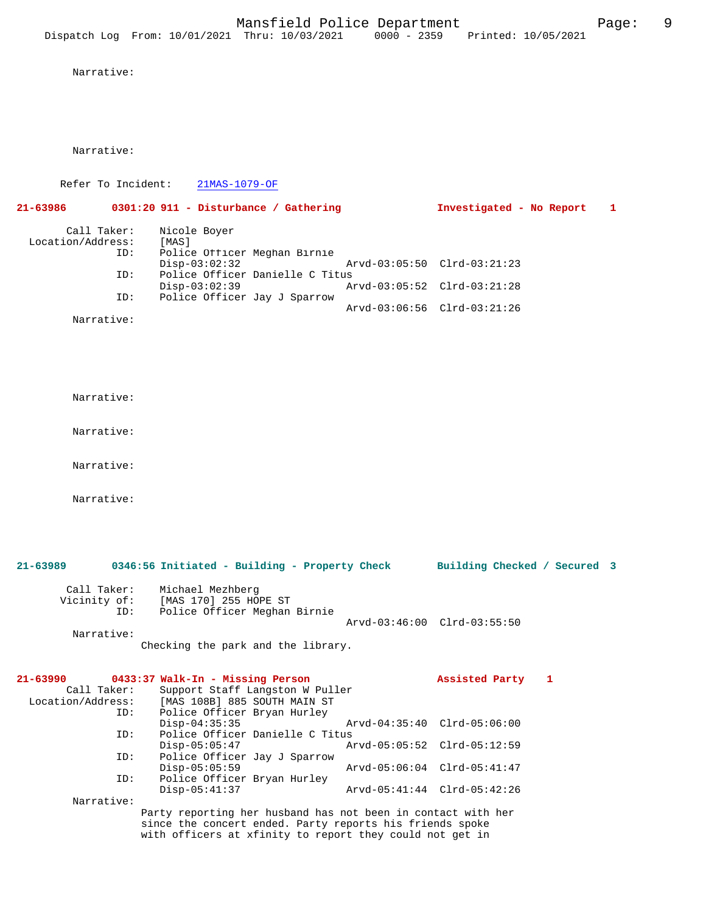Narrative:

Narrative:

Refer To Incident: 21MAS-1079-OF

**21-63986 0301:20 911 - Disturbance / Gathering Investigated - No Report 1** Call Taker: Nicole Boyer<br>.on/Address: [MAS] Location/Address:<br>ID: Police Officer Meghan Birnie<br>Disp-03:02:32 Disp-03:02:32 Arvd-03:05:50 Clrd-03:21:23<br>TD: Police Officer Danielle C Titus ID: Police Officer Danielle C Titus Disp-03:02:39 Arvd-03:05:52 Clrd-03:21:28<br>TD: Police Officer Jav J Sparrow Police Officer Jay J Sparrow Arvd-03:06:56 Clrd-03:21:26 Narrative:

Narrative:

Narrative:

Narrative:

Narrative:

**21-63989 0346:56 Initiated - Building - Property Check Building Checked / Secured 3** Call Taker: Michael Mezhberg Vicinity of: [MAS 170] 255 HOPE ST ID: Police Officer Meghan Birnie Arvd-03:46:00 Clrd-03:55:50 Narrative: Checking the park and the library. **21-63990 0433:37 Walk-In - Missing Person Assisted Party 1**  Call Taker: Support Staff Langston W Puller<br>Location/Address: [MAS 108B] 885 SOUTH MAIN ST ess: [MAS 108B] 885 SOUTH MAIN ST<br>ID: Police Officer Bryan Hurley Police Officer Bryan Hurley<br>Disp-04:35:35 Disp-04:35:35 Arvd-04:35:40 Clrd-05:06:00<br>TD: Police Officer Danielle C Titus Police Officer Danielle C Titus<br>Disp-05:05:47 A Disp-05:05:47 Arvd-05:05:52 Clrd-05:12:59<br>ID: Police Officer Jav J Sparrow Police Officer Jay J Sparrow<br>Disp-05:05:59 Disp-05:05:59 Arvd-05:06:04 Clrd-05:41:47<br>ID: Police Officer Brvan Hurley Police Officer Bryan Hurley<br>Disp-05:41:37 Disp-05:41:37 Arvd-05:41:44 Clrd-05:42:26 Narrative: Party reporting her husband has not been in contact with her since the concert ended. Party reports his friends spoke

with officers at xfinity to report they could not get in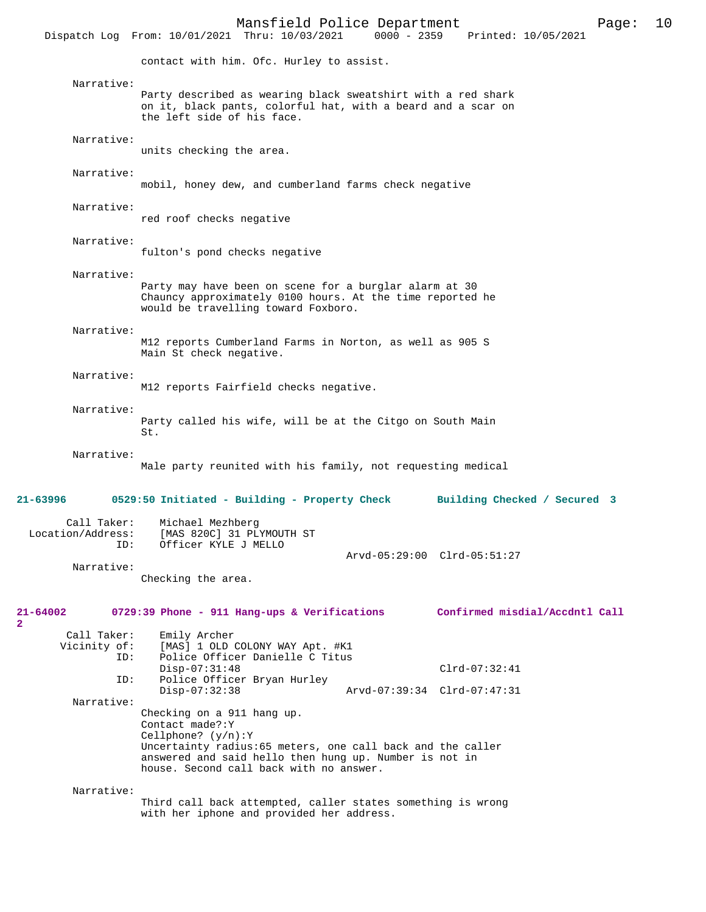Mansfield Police Department Page: 10 Dispatch Log From: 10/01/2021 Thru: 10/03/2021 contact with him. Ofc. Hurley to assist. Narrative: Party described as wearing black sweatshirt with a red shark on it, black pants, colorful hat, with a beard and a scar on the left side of his face. Narrative: units checking the area. Narrative: mobil, honey dew, and cumberland farms check negative Narrative: red roof checks negative Narrative: fulton's pond checks negative Narrative: Party may have been on scene for a burglar alarm at 30 Chauncy approximately 0100 hours. At the time reported he would be travelling toward Foxboro. Narrative: M12 reports Cumberland Farms in Norton, as well as 905 S Main St check negative. Narrative: M12 reports Fairfield checks negative. Narrative: Party called his wife, will be at the Citgo on South Main St. Narrative: Male party reunited with his family, not requesting medical **21-63996 0529:50 Initiated - Building - Property Check Building Checked / Secured 3** Call Taker: Michael Mezhberg Location/Address: [MAS 820C] 31 PLYMOUTH ST<br>
ID: Officer KYLE J MELLO Officer KYLE J MELLO Arvd-05:29:00 Clrd-05:51:27 Narrative: Checking the area. **21-64002 0729:39 Phone - 911 Hang-ups & Verifications Confirmed misdial/Accdntl Call** Call Taker: Emily Archer Vicinity of: [MAS] 1 OLD COLONY WAY Apt. #K1<br>ID: Police Officer Danielle C Titus Police Officer Danielle C Titus Disp-07:31:48 Clrd-07:32:41 ID: Police Officer Bryan Hurley Disp-07:32:38 Arvd-07:39:34 Clrd-07:47:31 Narrative: Checking on a 911 hang up. Contact made?:Y Cellphone? (y/n):Y Uncertainty radius:65 meters, one call back and the caller answered and said hello then hung up. Number is not in house. Second call back with no answer. Narrative: Third call back attempted, caller states something is wrong with her iphone and provided her address.

**2**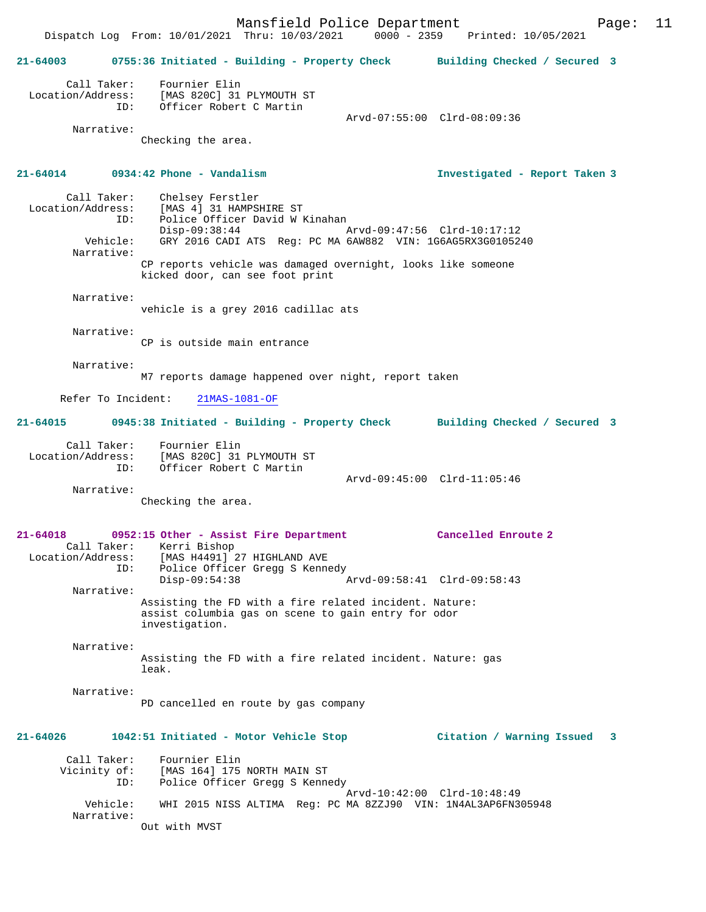Mansfield Police Department Page: 11 Dispatch Log From: 10/01/2021 Thru: 10/03/2021 **21-64003 0755:36 Initiated - Building - Property Check Building Checked / Secured 3** Call Taker: Fournier Elin Location/Address: [MAS 820C] 31 PLYMOUTH ST ID: Officer Robert C Martin Arvd-07:55:00 Clrd-08:09:36 Narrative: Checking the area. **21-64014 0934:42 Phone - Vandalism Investigated - Report Taken 3** Call Taker: Chelsey Ferstler Location/Address: [MAS 4] 31 HAMPSHIRE ST<br>ID: Police Officer David W P Police Officer David W Kinahan<br>Disp-09:38:44 / Disp-09:38:44 Arvd-09:47:56 Clrd-10:17:12 Vehicle: GRY 2016 CADI ATS Reg: PC MA 6AW882 VIN: 1G6AG5RX3G0105240 Narrative: CP reports vehicle was damaged overnight, looks like someone kicked door, can see foot print Narrative: vehicle is a grey 2016 cadillac ats Narrative: CP is outside main entrance Narrative: M7 reports damage happened over night, report taken Refer To Incident: 21MAS-1081-OF **21-64015 0945:38 Initiated - Building - Property Check Building Checked / Secured 3** Call Taker: Fournier Elin Location/Address: [MAS 820C] 31 PLYMOUTH ST<br>ID: Officer Robert C Martin Officer Robert C Martin Arvd-09:45:00 Clrd-11:05:46 Narrative: Checking the area. **21-64018 0952:15 Other - Assist Fire Department Cancelled Enroute 2**  Call Taker: Kerri Bishop Location/Address: [MAS H4491] 27 HIGHLAND AVE<br>TD: Police Officer Gregg S Kenne Police Officer Gregg S Kennedy<br>Disp-09:54:38 Disp-09:54:38 Arvd-09:58:41 Clrd-09:58:43 Narrative: Assisting the FD with a fire related incident. Nature: assist columbia gas on scene to gain entry for odor investigation. Narrative: Assisting the FD with a fire related incident. Nature: gas leak. Narrative: PD cancelled en route by gas company **21-64026 1042:51 Initiated - Motor Vehicle Stop Citation / Warning Issued 3** Call Taker: Fournier Elin<br>Vicinity of: [MAS 164] 175 [MAS 164] 175 NORTH MAIN ST ID: Police Officer Gregg S Kennedy Arvd-10:42:00 Clrd-10:48:49 Vehicle: WHI 2015 NISS ALTIMA Reg: PC MA 8ZZJ90 VIN: 1N4AL3AP6FN305948 Narrative: Out with MVST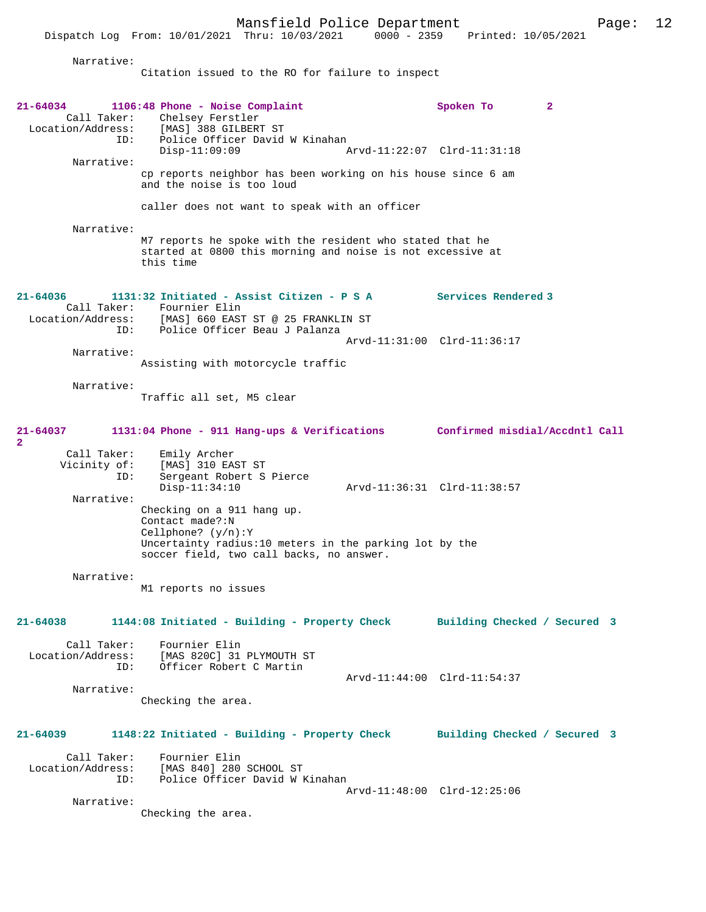Narrative:

Citation issued to the RO for failure to inspect

Dispatch Log From: 10/01/2021 Thru: 10/03/2021 0000 - 2359 Printed: 10/05/2021

| $21 - 64034$<br>Narrative:<br>Narrative:                                    | 1106:48 Phone - Noise Complaint<br>Call Taker: Chelsey Ferstler<br>Location/Address: [MAS] 388 GILBERT ST<br>ID: Police Officer David W Kinahan<br>$Disp-11:09:09$<br>cp reports neighbor has been working on his house since 6 am<br>and the noise is too loud<br>caller does not want to speak with an officer<br>M7 reports he spoke with the resident who stated that he<br>started at 0800 this morning and noise is not excessive at<br>this time | Spoken To<br>Arvd-11:22:07 Clrd-11:31:18 | $\mathbf{2}$ |
|-----------------------------------------------------------------------------|---------------------------------------------------------------------------------------------------------------------------------------------------------------------------------------------------------------------------------------------------------------------------------------------------------------------------------------------------------------------------------------------------------------------------------------------------------|------------------------------------------|--------------|
| 21-64036<br>ID:                                                             | 1131:32 Initiated - Assist Citizen - P S A Services Rendered 3<br>Call Taker: Fournier Elin<br>Location/Address: [MAS] 660 EAST ST @ 25 FRANKLIN ST<br>Police Officer Beau J Palanza                                                                                                                                                                                                                                                                    |                                          |              |
|                                                                             |                                                                                                                                                                                                                                                                                                                                                                                                                                                         | Arvd-11:31:00 Clrd-11:36:17              |              |
| Narrative:                                                                  | Assisting with motorcycle traffic                                                                                                                                                                                                                                                                                                                                                                                                                       |                                          |              |
| Narrative:                                                                  | Traffic all set, M5 clear                                                                                                                                                                                                                                                                                                                                                                                                                               |                                          |              |
| 21-64037                                                                    | 1131:04 Phone - 911 Hang-ups & Verifications Confirmed misdial/Accdntl Call                                                                                                                                                                                                                                                                                                                                                                             |                                          |              |
| $\overline{\mathbf{2}}$<br>Call Taker:<br>Vicinity of:<br>ID:<br>Narrative: | Emily Archer<br>[MAS] 310 EAST ST<br>Sergeant Robert S Pierce<br>$Disp-11:34:10$                                                                                                                                                                                                                                                                                                                                                                        | Arvd-11:36:31 Clrd-11:38:57              |              |
|                                                                             | Checking on a 911 hang up.<br>Contact made?:N<br>Cellphone? $(y/n):Y$<br>Uncertainty radius:10 meters in the parking lot by the<br>soccer field, two call backs, no answer.                                                                                                                                                                                                                                                                             |                                          |              |
| Narrative:                                                                  | M1 reports no issues                                                                                                                                                                                                                                                                                                                                                                                                                                    |                                          |              |
| 21-64038                                                                    | 1144:08 Initiated - Building - Property Check                                                                                                                                                                                                                                                                                                                                                                                                           | Building Checked / Secured 3             |              |
| ID:                                                                         | Call Taker: Fournier Elin<br>Location/Address: [MAS 820C] 31 PLYMOUTH ST<br>Officer Robert C Martin                                                                                                                                                                                                                                                                                                                                                     | Arvd-11:44:00 Clrd-11:54:37              |              |
| Narrative:                                                                  | Checking the area.                                                                                                                                                                                                                                                                                                                                                                                                                                      |                                          |              |
| 21-64039                                                                    | 1148:22 Initiated - Building - Property Check                                                                                                                                                                                                                                                                                                                                                                                                           | Building Checked / Secured 3             |              |
| ID:                                                                         | Call Taker: Fournier Elin<br>Location/Address: [MAS 840] 280 SCHOOL ST<br>Police Officer David W Kinahan                                                                                                                                                                                                                                                                                                                                                | Arvd-11:48:00 Clrd-12:25:06              |              |
| Narrative:                                                                  | Checking the area.                                                                                                                                                                                                                                                                                                                                                                                                                                      |                                          |              |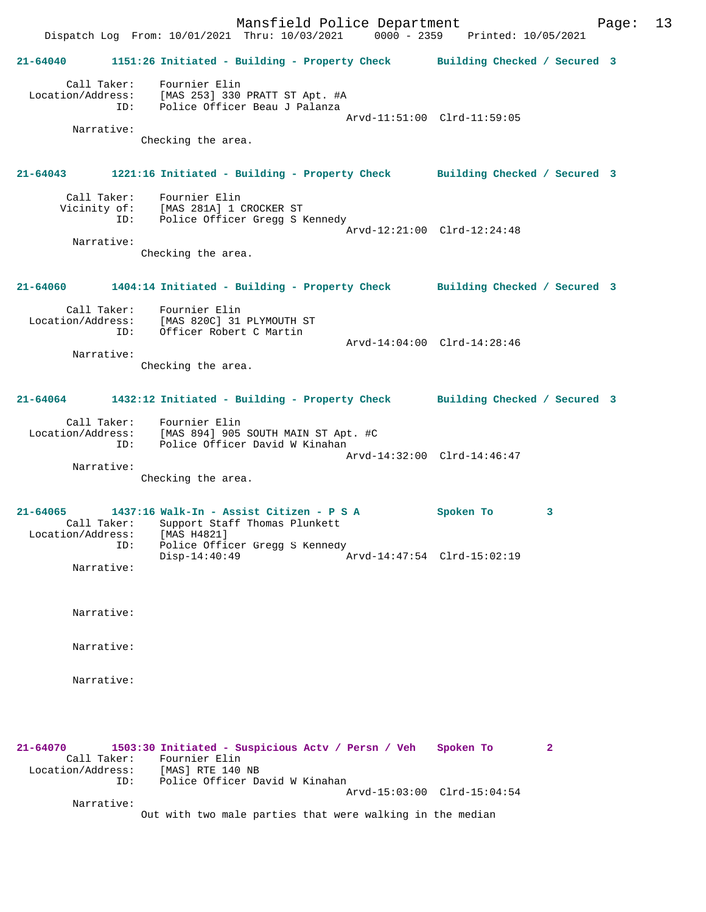Mansfield Police Department Page: 13 Dispatch Log From: 10/01/2021 Thru: 10/03/2021 0000 - 2359 Printed: 10/05/2021 **21-64040 1151:26 Initiated - Building - Property Check Building Checked / Secured 3** Call Taker: Fournier Elin Location/Address: [MAS 253] 330 PRATT ST Apt. #A ID: Police Officer Beau J Palanza Arvd-11:51:00 Clrd-11:59:05 Narrative: Checking the area. **21-64043 1221:16 Initiated - Building - Property Check Building Checked / Secured 3** Call Taker: Fournier Elin Vicinity of: [MAS 281A] 1 CROCKER ST<br>ID: Police Officer Gregg S 1 Police Officer Gregg S Kennedy Arvd-12:21:00 Clrd-12:24:48 Narrative: Checking the area. **21-64060 1404:14 Initiated - Building - Property Check Building Checked / Secured 3** Call Taker: Fournier Elin Location/Address: [MAS 820C] 31 PLYMOUTH ST ID: Officer Robert C Martin Arvd-14:04:00 Clrd-14:28:46 Narrative: Checking the area. **21-64064 1432:12 Initiated - Building - Property Check Building Checked / Secured 3** Call Taker: Fournier Elin Location/Address: [MAS 894] 905 SOUTH MAIN ST Apt. #C ID: Police Officer David W Kinahan Arvd-14:32:00 Clrd-14:46:47 Narrative: Checking the area. **21-64065 1437:16 Walk-In - Assist Citizen - P S A Spoken To 3**  Call Taker: Support Staff Thomas Plunkett<br>tion/Address: [MAS H4821] Location/Address: ID: Police Officer Gregg S Kennedy<br>Disp-14:40:49  $Nrvd-14:47:54$  Clrd-15:02:19 Narrative: Narrative: Narrative: Narrative: **21-64070 1503:30 Initiated - Suspicious Actv / Persn / Veh Spoken To 2**  Call Taker: Fournier Elin Location/Address: [MAS] RTE 140 NB ID: Police Officer David W Kinahan Arvd-15:03:00 Clrd-15:04:54 Narrative: Out with two male parties that were walking in the median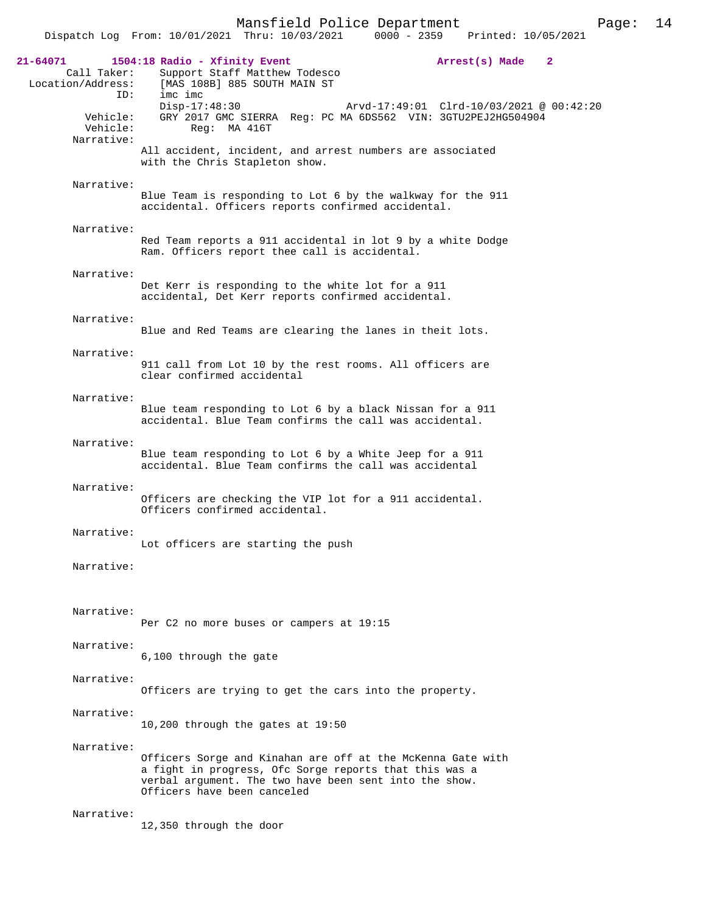|                                                                 | Mansfield Police Department<br>Page:<br>$0000 - 2359$<br>Dispatch Log From: 10/01/2021 Thru: 10/03/2021<br>Printed: 10/05/2021                                                                                                                                             | 14 |
|-----------------------------------------------------------------|----------------------------------------------------------------------------------------------------------------------------------------------------------------------------------------------------------------------------------------------------------------------------|----|
| 21-64071<br>Call Taker:<br>Location/Address:<br>ID:<br>Vehicle: | 1504:18 Radio - Xfinity Event<br>Arrest(s) Made<br>$\mathbf{2}$<br>Support Staff Matthew Todesco<br>[MAS 108B] 885 SOUTH MAIN ST<br>imc imc<br>$Disp-17:48:30$<br>Arvd-17:49:01 Clrd-10/03/2021 @ 00:42:20<br>GRY 2017 GMC SIERRA Reg: PC MA 6DS562 VIN: 3GTU2PEJ2HG504904 |    |
| Vehicle:<br>Narrative:                                          | Req: MA 416T<br>All accident, incident, and arrest numbers are associated<br>with the Chris Stapleton show.                                                                                                                                                                |    |
| Narrative:                                                      | Blue Team is responding to Lot 6 by the walkway for the 911<br>accidental. Officers reports confirmed accidental.                                                                                                                                                          |    |
| Narrative:                                                      | Red Team reports a 911 accidental in lot 9 by a white Dodge<br>Ram. Officers report thee call is accidental.                                                                                                                                                               |    |
| Narrative:                                                      | Det Kerr is responding to the white lot for a 911<br>accidental, Det Kerr reports confirmed accidental.                                                                                                                                                                    |    |
| Narrative:                                                      | Blue and Red Teams are clearing the lanes in theit lots.                                                                                                                                                                                                                   |    |
| Narrative:                                                      | 911 call from Lot 10 by the rest rooms. All officers are<br>clear confirmed accidental                                                                                                                                                                                     |    |
| Narrative:                                                      | Blue team responding to Lot 6 by a black Nissan for a 911<br>accidental. Blue Team confirms the call was accidental.                                                                                                                                                       |    |
| Narrative:                                                      | Blue team responding to Lot 6 by a White Jeep for a 911<br>accidental. Blue Team confirms the call was accidental                                                                                                                                                          |    |
| Narrative:                                                      | Officers are checking the VIP lot for a 911 accidental.<br>Officers confirmed accidental.                                                                                                                                                                                  |    |
| Narrative:                                                      | Lot officers are starting the push                                                                                                                                                                                                                                         |    |
| Narrative:                                                      |                                                                                                                                                                                                                                                                            |    |
| Narrative:                                                      | Per C2 no more buses or campers at 19:15                                                                                                                                                                                                                                   |    |
| Narrative:                                                      | 6,100 through the gate                                                                                                                                                                                                                                                     |    |
| Narrative:                                                      | Officers are trying to get the cars into the property.                                                                                                                                                                                                                     |    |
| Narrative:                                                      | 10,200 through the gates at $19:50$                                                                                                                                                                                                                                        |    |
| Narrative:                                                      | Officers Sorge and Kinahan are off at the McKenna Gate with<br>a fight in progress, Ofc Sorge reports that this was a<br>verbal argument. The two have been sent into the show.<br>Officers have been canceled                                                             |    |
| Narrative:                                                      | 12,350 through the door                                                                                                                                                                                                                                                    |    |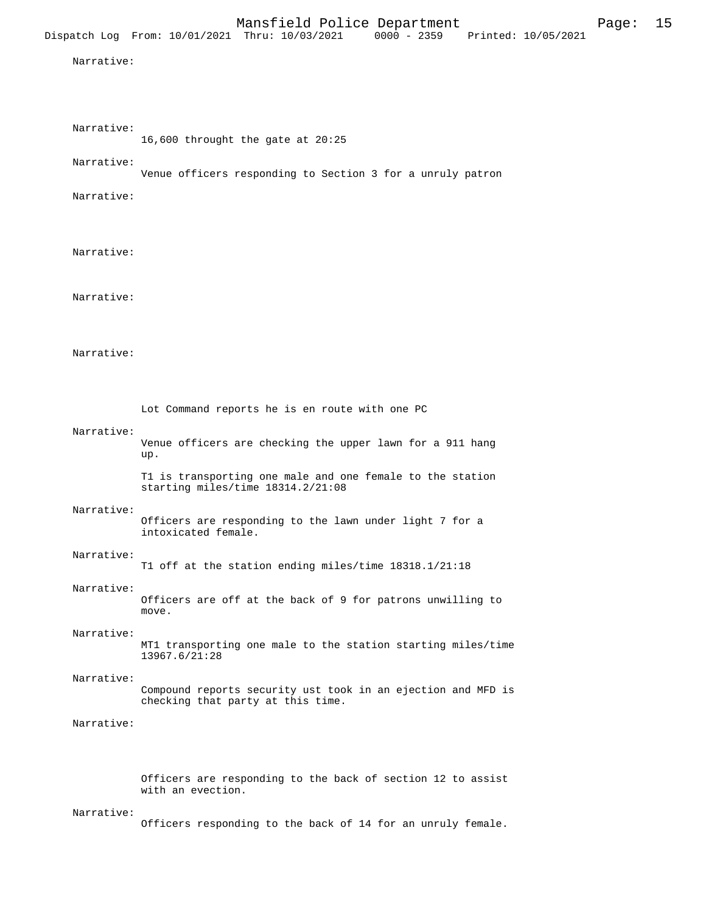|            | Dispatch Log From: 10/01/2021 Thru: 10/03/2021                                                    | Mansfield Police Department | $0000 - 2359$ | Printed: 10/05/2021 | Page: | 15 |
|------------|---------------------------------------------------------------------------------------------------|-----------------------------|---------------|---------------------|-------|----|
| Narrative: |                                                                                                   |                             |               |                     |       |    |
|            |                                                                                                   |                             |               |                     |       |    |
| Narrative: | 16,600 throught the gate at 20:25                                                                 |                             |               |                     |       |    |
| Narrative: | Venue officers responding to Section 3 for a unruly patron                                        |                             |               |                     |       |    |
| Narrative: |                                                                                                   |                             |               |                     |       |    |
| Narrative: |                                                                                                   |                             |               |                     |       |    |
| Narrative: |                                                                                                   |                             |               |                     |       |    |
| Narrative: |                                                                                                   |                             |               |                     |       |    |
|            | Lot Command reports he is en route with one PC                                                    |                             |               |                     |       |    |
| Narrative: | Venue officers are checking the upper lawn for a 911 hang<br>up.                                  |                             |               |                     |       |    |
|            | T1 is transporting one male and one female to the station<br>starting miles/time 18314.2/21:08    |                             |               |                     |       |    |
| Narrative: | Officers are responding to the lawn under light 7 for a<br>intoxicated female.                    |                             |               |                     |       |    |
| Narrative: | T1 off at the station ending miles/time 18318.1/21:18                                             |                             |               |                     |       |    |
| Narrative: | Officers are off at the back of 9 for patrons unwilling to<br>move.                               |                             |               |                     |       |    |
| Narrative: | MT1 transporting one male to the station starting miles/time<br>13967.6/21:28                     |                             |               |                     |       |    |
| Narrative: | Compound reports security ust took in an ejection and MFD is<br>checking that party at this time. |                             |               |                     |       |    |
| Narrative: |                                                                                                   |                             |               |                     |       |    |
|            | Officers are responding to the back of section 12 to assist<br>with an evection.                  |                             |               |                     |       |    |
| Narrative: | Officers responding to the back of 14 for an unruly female.                                       |                             |               |                     |       |    |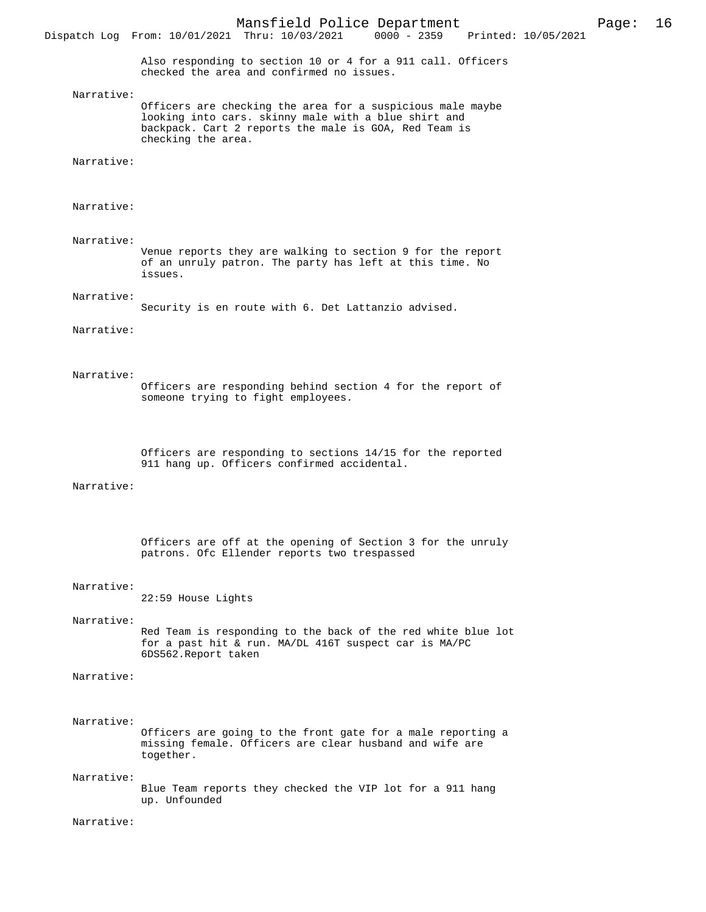Dispatch Log From: 10/01/2021 Thru: 10/03/2021

Also responding to section 10 or 4 for a 911 call. Officers checked the area and confirmed no issues.

Narrative:

Officers are checking the area for a suspicious male maybe looking into cars. skinny male with a blue shirt and backpack. Cart 2 reports the male is GOA, Red Team is checking the area.

Narrative:

Narrative:

 Narrative: Venue reports they are walking to section 9 for the report of an unruly patron. The party has left at this time. No issues.

Narrative:

Security is en route with 6. Det Lattanzio advised.

Narrative:

Narrative:

Officers are responding behind section 4 for the report of someone trying to fight employees.

Officers are responding to sections 14/15 for the reported 911 hang up. Officers confirmed accidental.

Narrative:

Officers are off at the opening of Section 3 for the unruly patrons. Ofc Ellender reports two trespassed

#### Narrative:

22:59 House Lights

Narrative:

Red Team is responding to the back of the red white blue lot for a past hit & run. MA/DL 416T suspect car is MA/PC 6DS562.Report taken

#### Narrative:

Narrative:

Officers are going to the front gate for a male reporting a missing female. Officers are clear husband and wife are together.

Narrative:

Blue Team reports they checked the VIP lot for a 911 hang up. Unfounded

Narrative: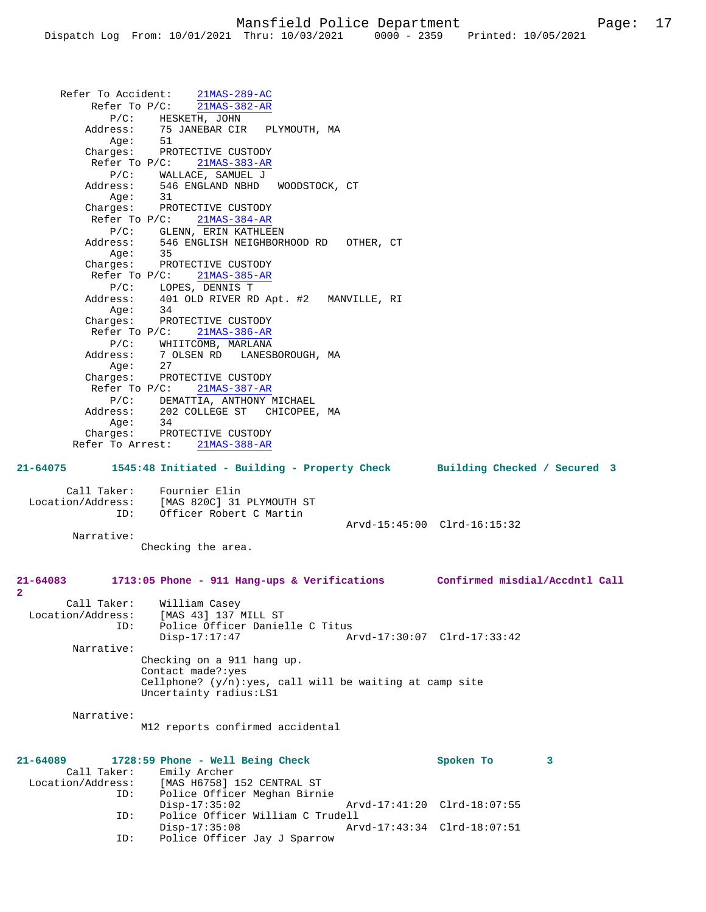Refer To Accident: 21MAS-289-AC Refer To P/C: 21MAS-382-AR P/C: HESKETH, JOHN Address: 75 JANEBAR CIR PLYMOUTH, MA Age: 51 Charges: PROTECTIVE CUSTODY Refer To P/C: 21MAS-383-AR P/C: WALLACE, SAMUEL J Address: 546 ENGLAND NBHD WOODSTOCK, CT Age: 31 Charges: PROTECTIVE CUSTODY Refer To P/C: 21MAS-384-AR P/C: GLENN, ERIN KATHLEEN<br>Address: 546 ENGLISH NEIGHBOR 546 ENGLISH NEIGHBORHOOD RD OTHER, CT Age: 35 Charges: PROTECTIVE CUSTODY Refer To P/C: 21MAS-385-AR P/C: LOPES, DENNIS T<br>Address: 401 OLD RIVER RI Address: 401 OLD RIVER RD Apt. #2 MANVILLE, RI Age: 34 Charges: PROTECTIVE CUSTODY Refer To P/C: 21MAS-386-AR P/C: WHIITCOMB, MARLANA<br>Address: 7 OLSEN RD LANES 7 OLSEN RD LANESBOROUGH, MA Age: 27<br>Charges: PRC PROTECTIVE CUSTODY Refer To P/C: 21MAS-387-AR P/C: DEMATTIA, ANTHONY MICHAEL Address: 202 COLLEGE ST CHICOPEE, MA Age: 34 Charges: PROTECTIVE CUSTODY Refer To Arrest: 21MAS-388-AR **21-64075 1545:48 Initiated - Building - Property Check Building Checked / Secured 3** Call Taker: Fournier Elin<br>Location/Address: [MAS 820C] 31 ess: [MAS 820C] 31 PLYMOUTH ST<br>ID: Officer Robert C Martin Officer Robert C Martin Arvd-15:45:00 Clrd-16:15:32 Narrative: Checking the area. **21-64083 1713:05 Phone - 911 Hang-ups & Verifications Confirmed misdial/Accdntl Call** Call Taker: William Casey<br>Location/Address: [MAS 43] 137 1 ess: [MAS 43] 137<sup>'</sup>MILL ST<br>ID: Police Officer Danie Police Officer Danielle C Titus<br>Disp-17:17:47 A Disp-17:17:47 Arvd-17:30:07 Clrd-17:33:42 Narrative: Checking on a 911 hang up. Contact made?:yes Cellphone?  $(y/n):yes, call will be waiting at camp site$ Uncertainty radius:LS1 Narrative: M12 reports confirmed accidental **21-64089 1728:59 Phone - Well Being Check Spoken To 3**  Call Taker: Emily Archer Location/Address: [MAS H6758] 152 CENTRAL ST ID: Police Officer Meghan Birnie Disp-17:35:02 Arvd-17:41:20 Clrd-18:07:55<br>TD: Police Officer William C Trudell Police Officer William C Trudell<br>Disp-17:35:08 Ar Disp-17:35:08 Arvd-17:43:34 Clrd-18:07:51

ID: Police Officer Jay J Sparrow

**2**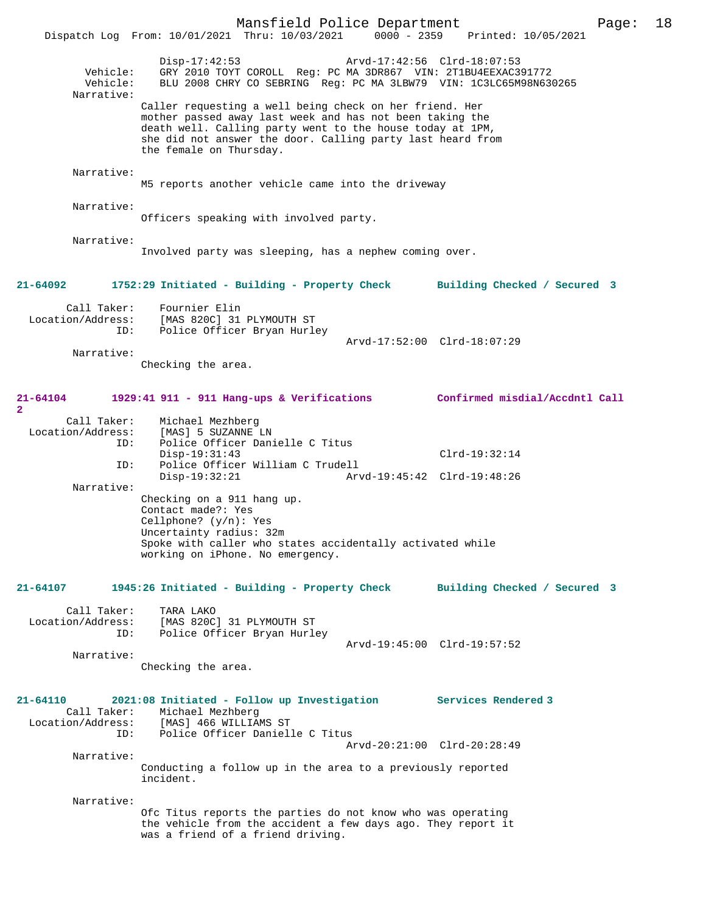Mansfield Police Department Page: 18 Dispatch Log From: 10/01/2021 Thru: 10/03/2021 Disp-17:42:53 Arvd-17:42:56 Clrd-18:07:53 Vehicle: GRY 2010 TOYT COROLL Reg: PC MA 3DR867 VIN: 2T1BU4EEXAC391772 Vehicle: BLU 2008 CHRY CO SEBRING Reg: PC MA 3LBW79 VIN: 1C3LC65M98N630265 Narrative: Caller requesting a well being check on her friend. Her mother passed away last week and has not been taking the death well. Calling party went to the house today at 1PM, she did not answer the door. Calling party last heard from the female on Thursday. Narrative: M5 reports another vehicle came into the driveway Narrative: Officers speaking with involved party. Narrative: Involved party was sleeping, has a nephew coming over. **21-64092 1752:29 Initiated - Building - Property Check Building Checked / Secured 3** Call Taker: Fournier Elin Location/Address: [MAS 820C] 31 PLYMOUTH ST ID: Police Officer Bryan Hurley Arvd-17:52:00 Clrd-18:07:29 Narrative: Checking the area. **21-64104 1929:41 911 - 911 Hang-ups & Verifications Confirmed misdial/Accdntl Call 2**  Call Taker: Michael Mezhberg<br>Location/Address: [MAS] 5 SUZANNE ] Location/Address: [MAS] 5 SUZANNE LN ID: Police Officer Danielle C Titus Disp-19:31:43 Clrd-19:32:14 ID: Police Officer William C Trudell Disp-19:32:21 Arvd-19:45:42 Clrd-19:48:26 Narrative: Checking on a 911 hang up. Contact made?: Yes Cellphone? (y/n): Yes Uncertainty radius: 32m Spoke with caller who states accidentally activated while working on iPhone. No emergency. **21-64107 1945:26 Initiated - Building - Property Check Building Checked / Secured 3** Call Taker: TARA LAKO Location/Address: [MAS 820C] 31 PLYMOUTH ST Police Officer Bryan Hurley Arvd-19:45:00 Clrd-19:57:52 Narrative: Checking the area. **21-64110 2021:08 Initiated - Follow up Investigation Services Rendered 3**  Call Taker: Michael Mezhberg Location/Address: [MAS] 466 WILLIAMS ST ID: Police Officer Danielle C Titus Arvd-20:21:00 Clrd-20:28:49 Narrative: Conducting a follow up in the area to a previously reported incident. Narrative: Ofc Titus reports the parties do not know who was operating the vehicle from the accident a few days ago. They report it was a friend of a friend driving.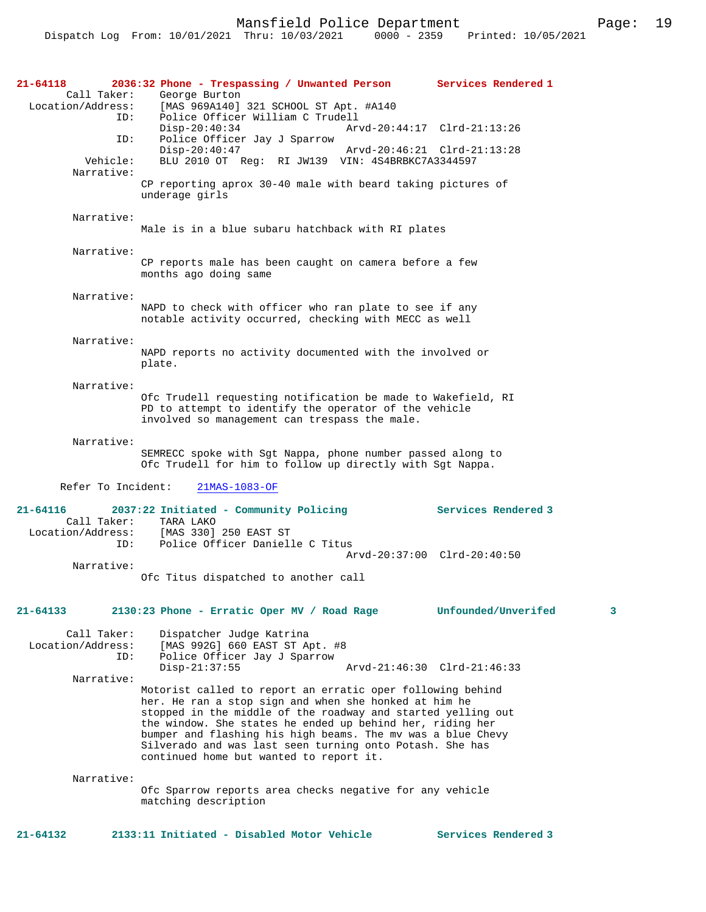Mansfield Police Department Fage: 19

| $21 - 64118$                     | 2036:32 Phone - Trespassing / Unwanted Person Services Rendered 1                                                       |                          |
|----------------------------------|-------------------------------------------------------------------------------------------------------------------------|--------------------------|
| Call Taker:                      | George Burton                                                                                                           |                          |
| Location/Address:<br>ID:         | [MAS 969A140] 321 SCHOOL ST Apt. #A140<br>Police Officer William C Trudell                                              |                          |
|                                  | $Disp-20:40:34$<br>Arvd-20:44:17 Clrd-21:13:26                                                                          |                          |
| ID:                              | Police Officer Jay J Sparrow                                                                                            |                          |
| Vehicle:                         | $Disp-20:40:47$<br>Arvd-20:46:21 Clrd-21:13:28<br>BLU 2010 OT Req: RI JW139 VIN: 4S4BRBKC7A3344597                      |                          |
| Narrative:                       |                                                                                                                         |                          |
|                                  | CP reporting aprox 30-40 male with beard taking pictures of                                                             |                          |
|                                  | underage girls                                                                                                          |                          |
| Narrative:                       |                                                                                                                         |                          |
|                                  | Male is in a blue subaru hatchback with RI plates                                                                       |                          |
| Narrative:                       |                                                                                                                         |                          |
|                                  | CP reports male has been caught on camera before a few                                                                  |                          |
|                                  | months ago doing same                                                                                                   |                          |
| Narrative:                       |                                                                                                                         |                          |
|                                  | NAPD to check with officer who ran plate to see if any                                                                  |                          |
|                                  | notable activity occurred, checking with MECC as well                                                                   |                          |
| Narrative:                       |                                                                                                                         |                          |
|                                  | NAPD reports no activity documented with the involved or                                                                |                          |
|                                  | plate.                                                                                                                  |                          |
| Narrative:                       |                                                                                                                         |                          |
|                                  | Ofc Trudell requesting notification be made to Wakefield, RI                                                            |                          |
|                                  | PD to attempt to identify the operator of the vehicle                                                                   |                          |
|                                  | involved so management can trespass the male.                                                                           |                          |
| Narrative:                       |                                                                                                                         |                          |
|                                  | SEMRECC spoke with Sgt Nappa, phone number passed along to                                                              |                          |
|                                  | Ofc Trudell for him to follow up directly with Sgt Nappa.                                                               |                          |
| Refer To Incident:               | 21MAS-1083-OF                                                                                                           |                          |
|                                  |                                                                                                                         |                          |
| $21 - 64116$<br>Call Taker:      | 2037:22 Initiated - Community Policing<br>TARA LAKO                                                                     | Services Rendered 3      |
| Location/Address:                | [MAS 330] 250 EAST ST                                                                                                   |                          |
| ID:                              | Police Officer Danielle C Titus                                                                                         |                          |
| Narrative:                       | Arvd-20:37:00 Clrd-20:40:50                                                                                             |                          |
|                                  | Ofc Titus dispatched to another call                                                                                    |                          |
|                                  |                                                                                                                         |                          |
| 21-64133                         | 2130:23 Phone - Erratic Oper MV / Road Rage                                                                             | Unfounded/Unverifed<br>3 |
|                                  |                                                                                                                         |                          |
| Call Taker:<br>Location/Address: | Dispatcher Judge Katrina<br>[MAS 992G] 660 EAST ST Apt. #8                                                              |                          |
| ID:                              | Police Officer Jay J Sparrow                                                                                            |                          |
|                                  | $Disp-21:37:55$<br>Arvd-21:46:30 Clrd-21:46:33                                                                          |                          |
| Narrative:                       | Motorist called to report an erratic oper following behind                                                              |                          |
|                                  | her. He ran a stop sign and when she honked at him he                                                                   |                          |
|                                  | stopped in the middle of the roadway and started yelling out                                                            |                          |
|                                  | the window. She states he ended up behind her, riding her                                                               |                          |
|                                  | bumper and flashing his high beams. The mv was a blue Chevy<br>Silverado and was last seen turning onto Potash. She has |                          |
|                                  | continued home but wanted to report it.                                                                                 |                          |
| Narrative:                       |                                                                                                                         |                          |
|                                  | Ofc Sparrow reports area checks negative for any vehicle                                                                |                          |
|                                  | matching description                                                                                                    |                          |
|                                  |                                                                                                                         |                          |

**21-64132 2133:11 Initiated - Disabled Motor Vehicle Services Rendered 3**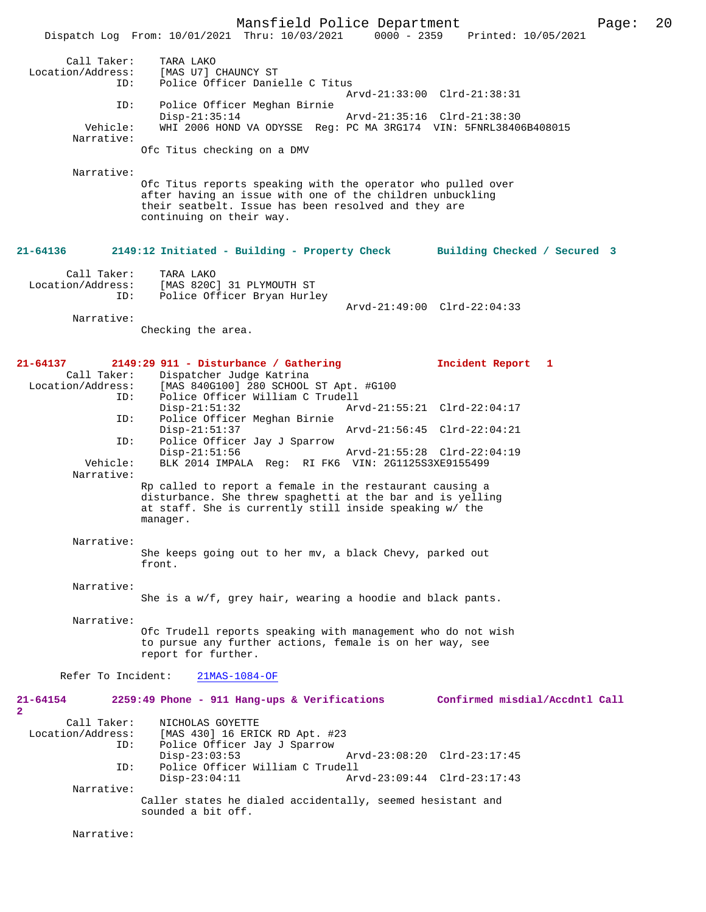Mansfield Police Department Page: 20 Dispatch Log From: 10/01/2021 Thru: 10/03/2021 Call Taker: TARA LAKO Location/Address: [MAS U7] CHAUNCY ST<br>ID: Police Officer Danie Police Officer Danielle C Titus Arvd-21:33:00 Clrd-21:38:31 ID: Police Officer Meghan Birnie Disp-21:35:14 Arvd-21:35:16 Clrd-21:38:30 Vehicle: WHI 2006 HOND VA ODYSSE Reg: PC MA 3RG174 VIN: 5FNRL38406B408015 Narrative: Ofc Titus checking on a DMV Narrative: Ofc Titus reports speaking with the operator who pulled over after having an issue with one of the children unbuckling their seatbelt. Issue has been resolved and they are continuing on their way. **21-64136 2149:12 Initiated - Building - Property Check Building Checked / Secured 3** Call Taker: TARA LAKO<br>Location/Address: [MAS 820C ess: [MAS 820C] 31 PLYMOUTH ST<br>ID: Police Officer Brvan Hurle Police Officer Bryan Hurley Arvd-21:49:00 Clrd-22:04:33 Narrative: Checking the area. **21-64137 2149:29 911 - Disturbance / Gathering Incident Report 1**  Call Taker: Dispatcher Judge Katrina<br>Location/Address: [MAS 840G100] 280 SCHOOL [MAS 840G100] 280 SCHOOL ST Apt. #G100 ID: Police Officer William C Trudell Disp-21:51:32 Arvd-21:55:21 Clrd-22:04:17<br>ID: Police Officer Meghan Birnie Police Officer Meghan Birnie<br>Disp-21:51:37 Disp-21:51:37 Arvd-21:56:45 Clrd-22:04:21<br>ID: Police Officer Jav J Sparrow Police Officer Jay J Sparrow Disp-21:51:56 Arvd-21:55:28 Clrd-22:04:19<br>Vehicle: RLK 2014 IMPALA Req: RI EK6 VIN: 201125S3XE9155499 BLK 2014 IMPALA Reg: RI FK6 VIN: 2G1125S3XE9155499 Narrative: Rp called to report a female in the restaurant causing a disturbance. She threw spaghetti at the bar and is yelling at staff. She is currently still inside speaking w/ the manager. Narrative: She keeps going out to her mv, a black Chevy, parked out front. Narrative: She is a w/f, grey hair, wearing a hoodie and black pants. Narrative: Ofc Trudell reports speaking with management who do not wish to pursue any further actions, female is on her way, see report for further. Refer To Incident: 21MAS-1084-OF **21-64154 2259:49 Phone - 911 Hang-ups & Verifications Confirmed misdial/Accdntl Call 2**  Call Taker: NICHOLAS GOYETTE Location/Address: [MAS 430] 16 ERICK RD Apt. #23 ID: Police Officer Jay J Sparrow Disp-23:03:53 Arvd-23:08:20 Clrd-23:17:45<br>TD: Police Officer William C Trudell Police Officer William C Trudell<br>Disp-23:04:11 Arv Disp-23:04:11 Arvd-23:09:44 Clrd-23:17:43 Narrative: Caller states he dialed accidentally, seemed hesistant and sounded a bit off. Narrative: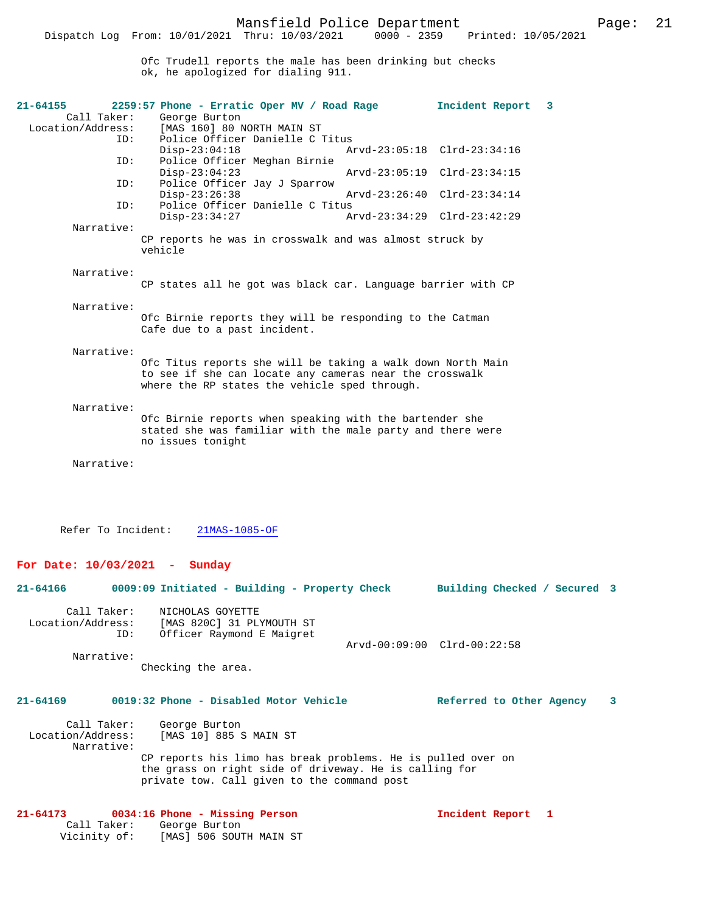Ofc Trudell reports the male has been drinking but checks ok, he apologized for dialing 911.

| $21 - 64155$      |             | 2259:57 Phone - Erratic Oper MV / Road Rage                                                              |                             | Incident Report | $\overline{\mathbf{3}}$ |
|-------------------|-------------|----------------------------------------------------------------------------------------------------------|-----------------------------|-----------------|-------------------------|
|                   | Call Taker: | George Burton                                                                                            |                             |                 |                         |
| Location/Address: |             | [MAS 160] 80 NORTH MAIN ST                                                                               |                             |                 |                         |
|                   | ID:         | Police Officer Danielle C Titus                                                                          |                             |                 |                         |
|                   |             | $Disp-23:04:18$                                                                                          | Arvd-23:05:18 Clrd-23:34:16 |                 |                         |
|                   | ID:         | Police Officer Meghan Birnie                                                                             |                             |                 |                         |
|                   |             | $Disp-23:04:23$                                                                                          | Arvd-23:05:19 Clrd-23:34:15 |                 |                         |
|                   | ID:         | Police Officer Jay J Sparrow                                                                             |                             |                 |                         |
|                   |             | $Disp-23:26:38$                                                                                          | Arvd-23:26:40 Clrd-23:34:14 |                 |                         |
|                   | ID:         | Police Officer Danielle C Titus                                                                          |                             |                 |                         |
|                   |             | $Disp-23:34:27$                                                                                          | Arvd-23:34:29 Clrd-23:42:29 |                 |                         |
|                   | Narrative:  |                                                                                                          |                             |                 |                         |
|                   |             | CP reports he was in crosswalk and was almost struck by                                                  |                             |                 |                         |
|                   |             | vehicle                                                                                                  |                             |                 |                         |
|                   |             |                                                                                                          |                             |                 |                         |
|                   | Narrative:  |                                                                                                          |                             |                 |                         |
|                   |             | CP states all he got was black car. Language barrier with CP                                             |                             |                 |                         |
|                   |             |                                                                                                          |                             |                 |                         |
|                   | Narrative:  |                                                                                                          |                             |                 |                         |
|                   |             | Ofc Birnie reports they will be responding to the Catman                                                 |                             |                 |                         |
|                   |             | Cafe due to a past incident.                                                                             |                             |                 |                         |
|                   | Narrative:  |                                                                                                          |                             |                 |                         |
|                   |             |                                                                                                          |                             |                 |                         |
|                   |             | Ofc Titus reports she will be taking a walk down North Main                                              |                             |                 |                         |
|                   |             | to see if she can locate any cameras near the crosswalk<br>where the RP states the vehicle sped through. |                             |                 |                         |
|                   |             |                                                                                                          |                             |                 |                         |
|                   | Narrative:  |                                                                                                          |                             |                 |                         |
|                   |             | Ofc Birnie reports when speaking with the bartender she                                                  |                             |                 |                         |
|                   |             | stated she was familiar with the male party and there were                                               |                             |                 |                         |
|                   |             | no issues tonight                                                                                        |                             |                 |                         |
|                   |             |                                                                                                          |                             |                 |                         |
|                   | Narrative:  |                                                                                                          |                             |                 |                         |
|                   |             |                                                                                                          |                             |                 |                         |
|                   |             |                                                                                                          |                             |                 |                         |

Refer To Incident: 21MAS-1085-OF

Vicinity of: [MAS] 506 SOUTH MAIN ST

### **For Date: 10/03/2021 - Sunday**

| $21 - 64166$                                    | 0009:09 Initiated - Building - Property Check                                                                                                                                                                           | Building Checked / Secured 3 |   |
|-------------------------------------------------|-------------------------------------------------------------------------------------------------------------------------------------------------------------------------------------------------------------------------|------------------------------|---|
| Call Taker:<br>ID:<br>Narrative:                | NICHOLAS GOYETTE<br>Location/Address: [MAS 820C] 31 PLYMOUTH ST<br>Officer Raymond E Maigret<br>Checking the area.                                                                                                      | Arvd-00:09:00 Clrd-00:22:58  |   |
| $21 - 64169$<br>Location/Address:<br>Narrative: | 0019:32 Phone - Disabled Motor Vehicle<br>Call Taker: George Burton<br>[MAS 10] 885 S MAIN ST<br>CP reports his limo has break problems. He is pulled over on<br>the grass on right side of driveway. He is calling for | Referred to Other Agency     | 3 |
|                                                 | private tow. Call given to the command post<br>$21-64173$ 0034:16 Phone - Missing Person<br>Call Taker: George Burton                                                                                                   | Incident Report 1            |   |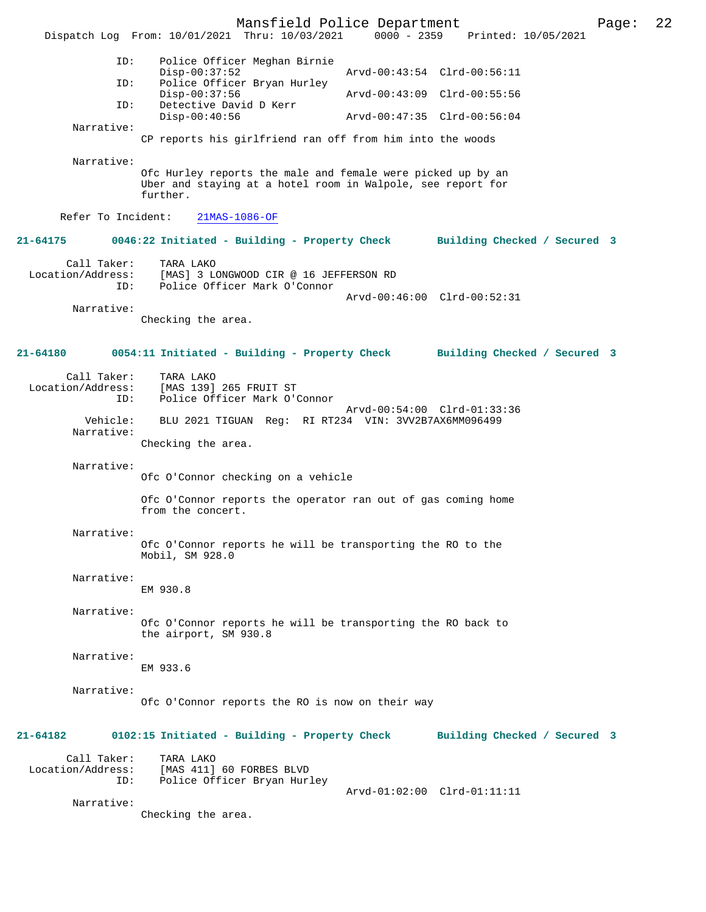Mansfield Police Department Page: 22 Dispatch Log From: 10/01/2021 Thru: 10/03/2021 ID: Police Officer Meghan Birnie Disp-00:37:52 Arvd-00:43:54 Clrd-00:56:11<br>TD: Police Officer Bryan Hurley Police Officer Bryan Hurley<br>Disp-00:37:56 Disp-00:37:56 <br>Detective David D Kerr Marvd-00:43:09 Clrd-00:55:56 Detective David D Kerr<br>Disp-00:40:56 Disp-00:40:56 Arvd-00:47:35 Clrd-00:56:04 Narrative: CP reports his girlfriend ran off from him into the woods Narrative: Ofc Hurley reports the male and female were picked up by an Uber and staying at a hotel room in Walpole, see report for further. Refer To Incident: 21MAS-1086-OF **21-64175 0046:22 Initiated - Building - Property Check Building Checked / Secured 3** Call Taker: TARA LAKO Location/Address: [MAS] 3 LONGWOOD CIR @ 16 JEFFERSON RD<br>TD: Police Officer Mark O'Connor Police Officer Mark O'Connor Arvd-00:46:00 Clrd-00:52:31 Narrative: Checking the area. **21-64180 0054:11 Initiated - Building - Property Check Building Checked / Secured 3** Call Taker: TARA LAKO Location/Address: [MAS 139] 265 FRUIT ST ID: Police Officer Mark O'Connor Arvd-00:54:00 Clrd-01:33:36 Vehicle: BLU 2021 TIGUAN Reg: RI RT234 VIN: 3VV2B7AX6MM096499 Narrative: Checking the area. Narrative: Ofc O'Connor checking on a vehicle Ofc O'Connor reports the operator ran out of gas coming home from the concert. Narrative: Ofc O'Connor reports he will be transporting the RO to the Mobil, SM 928.0 Narrative: EM 930.8 Narrative: Ofc O'Connor reports he will be transporting the RO back to the airport, SM 930.8 Narrative: EM 933.6 Narrative: Ofc O'Connor reports the RO is now on their way **21-64182 0102:15 Initiated - Building - Property Check Building Checked / Secured 3** Call Taker: TARA LAKO<br>Location/Address: [MAS 411] [MAS 411] 60 FORBES BLVD ID: Police Officer Bryan Hurley Arvd-01:02:00 Clrd-01:11:11 Narrative: Checking the area.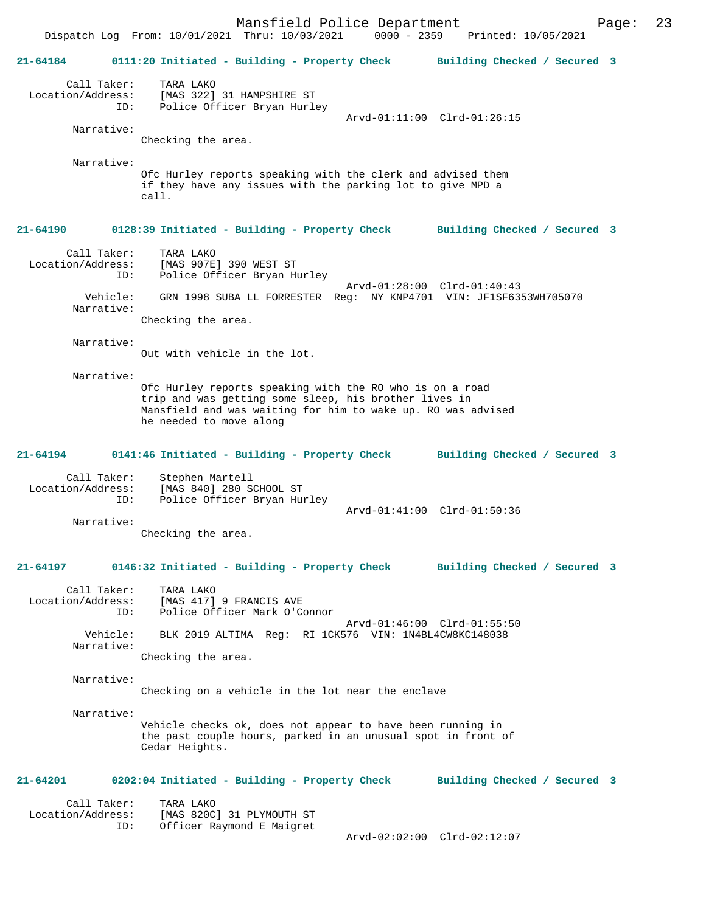Mansfield Police Department Page: 23 Dispatch Log From: 10/01/2021 Thru: 10/03/2021 **21-64184 0111:20 Initiated - Building - Property Check Building Checked / Secured 3** Call Taker: TARA LAKO Location/Address: [MAS 322] 31 HAMPSHIRE ST ID: Police Officer Bryan Hurley Arvd-01:11:00 Clrd-01:26:15 Narrative: Checking the area. Narrative: Ofc Hurley reports speaking with the clerk and advised them if they have any issues with the parking lot to give MPD a call. **21-64190 0128:39 Initiated - Building - Property Check Building Checked / Secured 3** Call Taker: TARA LAKO Location/Address: [MAS 907E] 390 WEST ST ID: Police Officer Bryan Hurley Arvd-01:28:00 Clrd-01:40:43 Vehicle: GRN 1998 SUBA LL FORRESTER Reg: NY KNP4701 VIN: JF1SF6353WH705070 Narrative: Checking the area. Narrative: Out with vehicle in the lot. Narrative: Ofc Hurley reports speaking with the RO who is on a road trip and was getting some sleep, his brother lives in Mansfield and was waiting for him to wake up. RO was advised he needed to move along **21-64194 0141:46 Initiated - Building - Property Check Building Checked / Secured 3** Call Taker: Stephen Martell<br>Location/Address: [MAS 840] 280 S ess: [MAS 840] 280 SCHOOL ST<br>ID: Police Officer Bryan Hu: Police Officer Bryan Hurley Arvd-01:41:00 Clrd-01:50:36 Narrative: Checking the area. **21-64197 0146:32 Initiated - Building - Property Check Building Checked / Secured 3** Call Taker: TARA LAKO<br>Location/Address: [MAS 417] [MAS 417] 9 FRANCIS AVE ID: Police Officer Mark O'Connor Arvd-01:46:00 Clrd-01:55:50 Vehicle: BLK 2019 ALTIMA Reg: RI 1CK576 VIN: 1N4BL4CW8KC148038 Narrative: Checking the area. Narrative: Checking on a vehicle in the lot near the enclave Narrative: Vehicle checks ok, does not appear to have been running in the past couple hours, parked in an unusual spot in front of Cedar Heights. **21-64201 0202:04 Initiated - Building - Property Check Building Checked / Secured 3** Call Taker: TARA LAKO<br>Location/Address: [MAS 820C [MAS 820C] 31 PLYMOUTH ST ID: Officer Raymond E Maigret Arvd-02:02:00 Clrd-02:12:07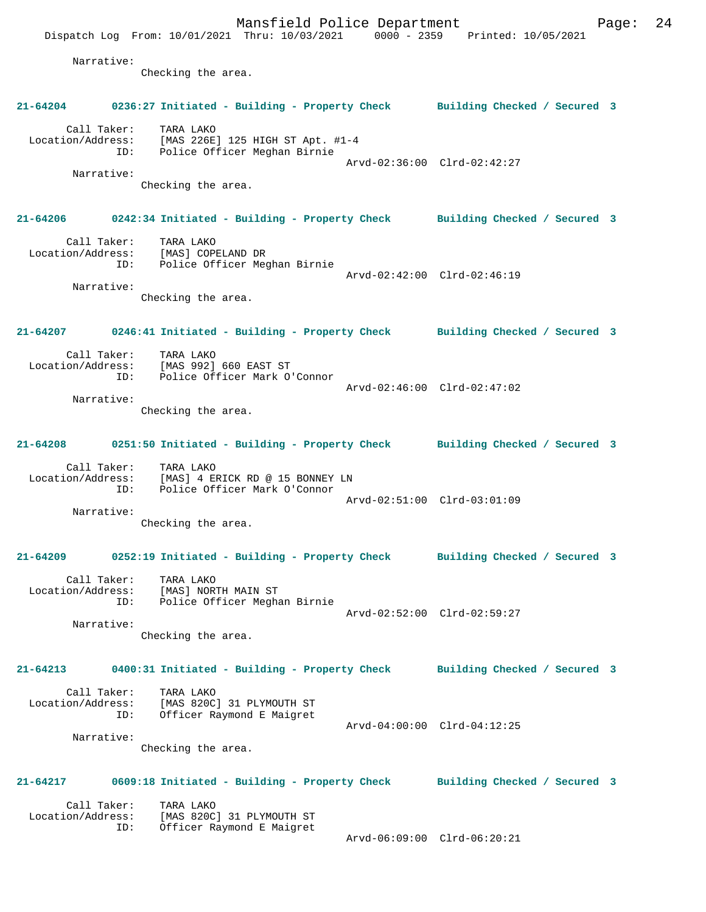Mansfield Police Department Fage: 24 Dispatch Log From: 10/01/2021 Thru: 10/03/2021 0000 - 2359 Printed: 10/05/2021 Narrative: Checking the area. **21-64204 0236:27 Initiated - Building - Property Check Building Checked / Secured 3** Call Taker: TARA LAKO Location/Address: [MAS 226E] 125 HIGH ST Apt. #1-4 ID: Police Officer Meghan Birnie Arvd-02:36:00 Clrd-02:42:27 Narrative: Checking the area. **21-64206 0242:34 Initiated - Building - Property Check Building Checked / Secured 3** Call Taker: TARA LAKO Location/Address: [MAS] COPELAND DR ID: Police Officer Meghan Birnie Arvd-02:42:00 Clrd-02:46:19 Narrative: Checking the area. **21-64207 0246:41 Initiated - Building - Property Check Building Checked / Secured 3** Call Taker: TARA LAKO Location/Address: [MAS 992] 660 EAST ST ID: Police Officer Mark O'Connor Arvd-02:46:00 Clrd-02:47:02 Narrative: Checking the area. **21-64208 0251:50 Initiated - Building - Property Check Building Checked / Secured 3** Call Taker: TARA LAKO Location/Address: [MAS] 4 ERICK RD @ 15 BONNEY LN ID: Police Officer Mark O'Connor Arvd-02:51:00 Clrd-03:01:09 Narrative: Checking the area. **21-64209 0252:19 Initiated - Building - Property Check Building Checked / Secured 3** Call Taker: TARA LAKO Location/Address: [MAS] NORTH MAIN ST ID: Police Officer Meghan Birnie Arvd-02:52:00 Clrd-02:59:27 Narrative: Checking the area. **21-64213 0400:31 Initiated - Building - Property Check Building Checked / Secured 3** Call Taker: TARA LAKO Location/Address: [MAS 820C] 31 PLYMOUTH ST ID: Officer Raymond E Maigret Arvd-04:00:00 Clrd-04:12:25 Narrative: Checking the area. **21-64217 0609:18 Initiated - Building - Property Check Building Checked / Secured 3** Call Taker: TARA LAKO Location/Address: [MAS 820C] 31 PLYMOUTH ST ID: Officer Raymond E Maigret Arvd-06:09:00 Clrd-06:20:21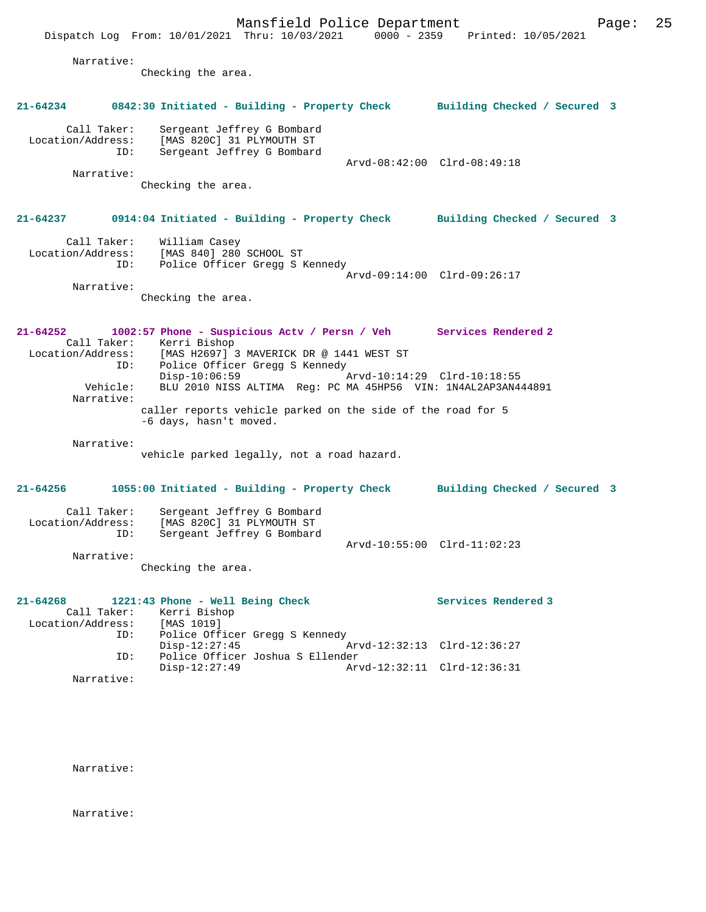Dispatch Log From: 10/01/2021 Thru: 10/03/2021 0000 - 2359 Printed: 10/05/2021 Narrative: Checking the area. **21-64234 0842:30 Initiated - Building - Property Check Building Checked / Secured 3** Call Taker: Sergeant Jeffrey G Bombard Location/Address: [MAS 820C] 31 PLYMOUTH ST ID: Sergeant Jeffrey G Bombard Arvd-08:42:00 Clrd-08:49:18 Narrative: Checking the area.

### **21-64237 0914:04 Initiated - Building - Property Check Building Checked / Secured 3**

| Call Taker:       | William Casey                  |                             |
|-------------------|--------------------------------|-----------------------------|
| Location/Address: | [MAS 840] 280 SCHOOL ST        |                             |
| ID:               | Police Officer Gregg S Kennedy |                             |
|                   |                                | Arvd-09:14:00 Clrd-09:26:17 |
| Narrative:        |                                |                             |

Checking the area.

#### **21-64252 1002:57 Phone - Suspicious Actv / Persn / Veh Services Rendered 2**  Call Taker: Kerri Bishop<br>Location/Address: [MAS H2697] [MAS H2697] 3 MAVERICK DR @ 1441 WEST ST ID: Police Officer Gregg S Kennedy Disp-10:06:59 Arvd-10:14:29 Clrd-10:18:55 Vehicle: BLU 2010 NISS ALTIMA Reg: PC MA 45HP56 VIN: 1N4AL2AP3AN444891 Narrative: caller reports vehicle parked on the side of the road for 5 -6 days, hasn't moved.

Narrative:

vehicle parked legally, not a road hazard.

### **21-64256 1055:00 Initiated - Building - Property Check Building Checked / Secured 3** Call Taker: Sergeant Jeffrey G Bombard<br>Location/Address: [MAS 820C] 31 PLYMOUTH ST [MAS 820C] 31 PLYMOUTH ST ID: Sergeant Jeffrey G Bombard Arvd-10:55:00 Clrd-11:02:23 Narrative: Checking the area.

| 21-64268          |            | 1221:43 Phone - Well Being Check |  |                             | Services Rendered 3 |
|-------------------|------------|----------------------------------|--|-----------------------------|---------------------|
|                   |            | Call Taker: Kerri Bishop         |  |                             |                     |
| Location/Address: |            | [MAS 1019]                       |  |                             |                     |
|                   | ID:        | Police Officer Gregg S Kennedy   |  |                             |                     |
|                   |            | $Disp-12:27:45$                  |  | Arvd-12:32:13 Clrd-12:36:27 |                     |
|                   | ID:        | Police Officer Joshua S Ellender |  |                             |                     |
|                   |            | $Disp-12:27:49$                  |  | Arvd-12:32:11 Clrd-12:36:31 |                     |
|                   | Narrative: |                                  |  |                             |                     |

Narrative:

Narrative: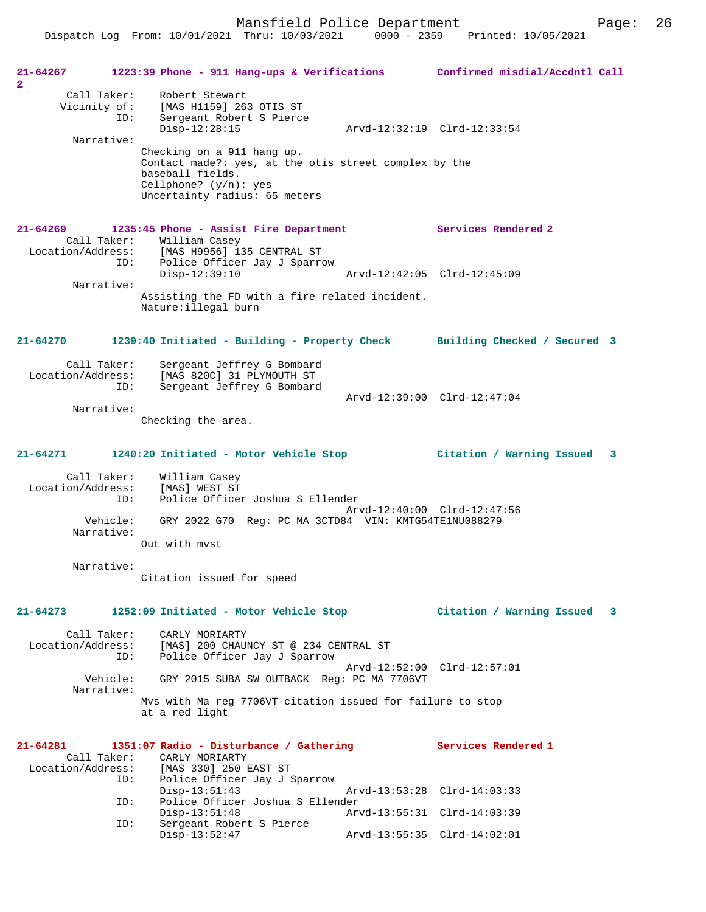Dispatch Log From: 10/01/2021 Thru: 10/03/2021 0000 - 2359 Printed: 10/05/2021

**21-64267 1223:39 Phone - 911 Hang-ups & Verifications Confirmed misdial/Accdntl Call 2**  Call Taker: Robert Stewart Vicinity of: [MAS H1159] 263 OTIS ST ID: Sergeant Robert S Pierce Disp-12:28:15 Arvd-12:32:19 Clrd-12:33:54 Narrative: Checking on a 911 hang up. Contact made?: yes, at the otis street complex by the baseball fields. Cellphone? (y/n): yes Uncertainty radius: 65 meters **21-64269 1235:45 Phone - Assist Fire Department Services Rendered 2**  Call Taker: William Casey<br>Location/Address: [MAS H9956] 13 [MAS H9956] 135 CENTRAL ST ID: Police Officer Jay J Sparrow<br>Disp-12:39:10 Disp-12:39:10 Arvd-12:42:05 Clrd-12:45:09 Narrative: Assisting the FD with a fire related incident. Nature:illegal burn **21-64270 1239:40 Initiated - Building - Property Check Building Checked / Secured 3** Call Taker: Sergeant Jeffrey G Bombard Location/Address: [MAS 820C] 31 PLYMOUTH ST ID: Sergeant Jeffrey G Bombard Arvd-12:39:00 Clrd-12:47:04 Narrative: Checking the area. **21-64271 1240:20 Initiated - Motor Vehicle Stop Citation / Warning Issued 3** Call Taker: William Casey Location/Address: [MAS] WEST ST Police Officer Joshua S Ellender Arvd-12:40:00 Clrd-12:47:56 Vehicle: GRY 2022 G70 Reg: PC MA 3CTD84 VIN: KMTG54TE1NU088279 Narrative: Out with mvst Narrative: Citation issued for speed **21-64273 1252:09 Initiated - Motor Vehicle Stop Citation / Warning Issued 3** Call Taker: CARLY MORIARTY Location/Address: [MAS] 200 CHAUNCY ST @ 234 CENTRAL ST Police Officer Jay J Sparrow Arvd-12:52:00 Clrd-12:57:01<br>Vehicle: GRY 2015 SUBA SW OUTBACK Reg: PC MA 7706VT Vehicle: GRY 2015 SUBA SW OUTBACK Reg: PC MA 7706VT Narrative: Mvs with Ma reg 7706VT-citation issued for failure to stop at a red light **21-64281 1351:07 Radio - Disturbance / Gathering Services Rendered 1**  Call Taker: CARLY MORIARTY<br>Location/Address: [MAS 330] 250 B [MAS 330] 250 EAST ST ID: Police Officer Jay J Sparrow Disp-13:51:43 Arvd-13:53:28 Clrd-14:03:33<br>ID: Police Officer Joshua S Ellender ID: Police Officer Joshua S Ellender Disp-13:51:48 Arvd-13:55:31 Clrd-14:03:39 ID: Sergeant Robert S Pierce Disp-13:52:47 Arvd-13:55:35 Clrd-14:02:01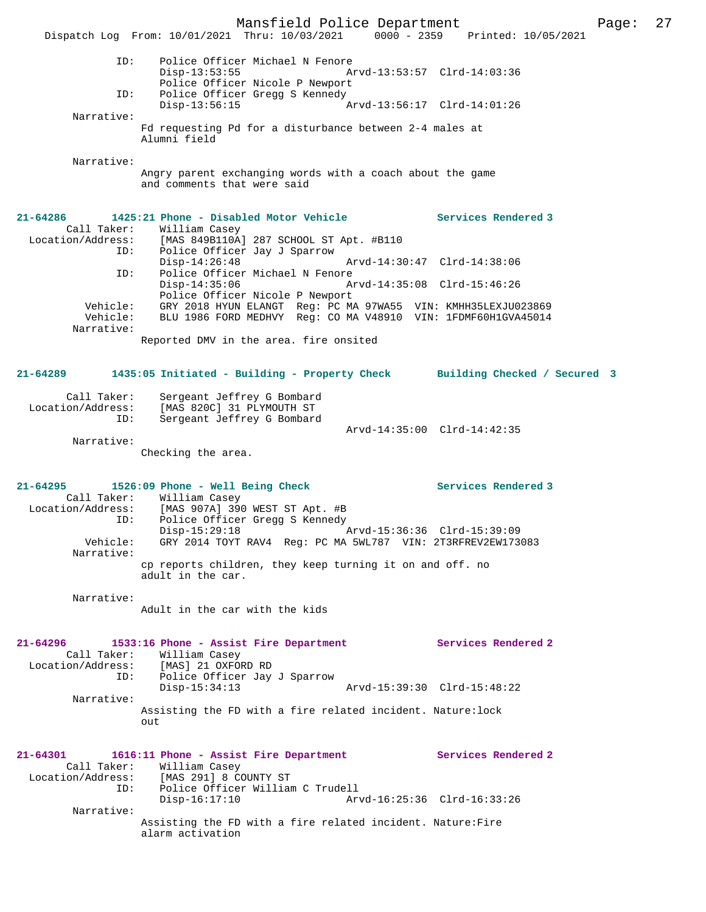Mansfield Police Department Page: 27 Dispatch Log From: 10/01/2021 Thru: 10/03/2021 0000 - 2359 Printed: 10/05/2021 ID: Police Officer Michael N Fenore Disp-13:53:55 Arvd-13:53:57 Clrd-14:03:36 Police Officer Nicole P Newport<br>TD: Police Officer Gregg S Kennedy Police Officer Gregg S Kennedy<br>Disp-13:56:15 Disp-13:56:15 Arvd-13:56:17 Clrd-14:01:26 Narrative: Fd requesting Pd for a disturbance between 2-4 males at Alumni field Narrative: Angry parent exchanging words with a coach about the game and comments that were said **21-64286 1425:21 Phone - Disabled Motor Vehicle Services Rendered 3**  Call Taker: William Casey<br>Location/Address: [MAS 849B110A] [MAS 849B110A] 287 SCHOOL ST Apt. #B110 ID: Police Officer Jay J Sparrow Disp-14:26:48 Arvd-14:30:47 Clrd-14:38:06 ID: Police Officer Michael N Fenore Disp-14:35:06 Arvd-14:35:08 Clrd-15:46:26 Police Officer Nicole P Newport Vehicle: GRY 2018 HYUN ELANGT Reg: PC MA 97WA55 VIN: KMHH35LEXJU023869 Vehicle: BLU 1986 FORD MEDHVY Reg: CO MA V48910 VIN: 1FDMF60H1GVA45014 Narrative: Reported DMV in the area. fire onsited **21-64289 1435:05 Initiated - Building - Property Check Building Checked / Secured 3** Call Taker: Sergeant Jeffrey G Bombard Location/Address: [MAS 820C] 31 PLYMOUTH ST ID: Sergeant Jeffrey G Bombard Arvd-14:35:00 Clrd-14:42:35 Narrative: Checking the area. **21-64295 1526:09 Phone - Well Being Check Services Rendered 3**  Call Taker: William Casey Location/Address: [MAS 907A] 390 WEST ST Apt. #B ID: Police Officer Gregg S Kennedy<br>Disp-15:29:18 Disp-15:29:18 Arvd-15:36:36 Clrd-15:39:09 Vehicle: GRY 2014 TOYT RAV4 Reg: PC MA 5WL787 VIN: 2T3RFREV2EW173083 Narrative: cp reports children, they keep turning it on and off. no adult in the car. Narrative: Adult in the car with the kids **21-64296 1533:16 Phone - Assist Fire Department Services Rendered 2**  Call Taker: William Casey<br>Location/Address: [MAS] 21 OXFORD RD Location/Address: [MAS] 21 OXFORD RD ID: Police Officer Jay J Sparrow Disp-15:34:13 Arvd-15:39:30 Clrd-15:48:22 Narrative: Assisting the FD with a fire related incident. Nature:lock out **21-64301 1616:11 Phone - Assist Fire Department Services Rendered 2**  Call Taker: William Casey<br>Location/Address: [MAS 291] 8 C [MAS 291] 8 COUNTY ST ID: Police Officer William C Trudell Disp-16:17:10 Arvd-16:25:36 Clrd-16:33:26 Narrative: Assisting the FD with a fire related incident. Nature:Fire alarm activation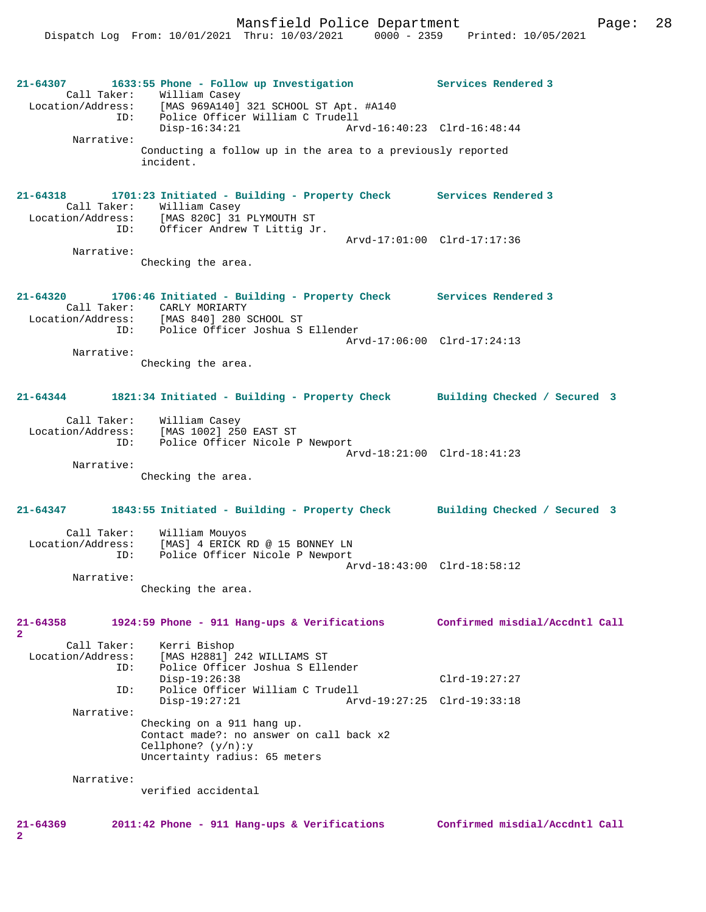Mansfield Police Department Page: 28

**21-64307 1633:55 Phone - Follow up Investigation Services Rendered 3**  Call Taker: William Casey<br>Location/Address: [MAS 969A140] [MAS 969A140] 321 SCHOOL ST Apt. #A140 ID: Police Officer William C Trudell Disp-16:34:21 Arvd-16:40:23 Clrd-16:48:44 Narrative: Conducting a follow up in the area to a previously reported incident. **21-64318 1701:23 Initiated - Building - Property Check Services Rendered 3**  Call Taker: William Casey Location/Address: [MAS 820C] 31 PLYMOUTH ST ID: Officer Andrew T Littig Jr. Arvd-17:01:00 Clrd-17:17:36 Narrative: Checking the area. **21-64320 1706:46 Initiated - Building - Property Check Services Rendered 3**  Call Taker: CARLY MORIARTY<br>Location/Address: [MAS 840] 280 9 ess: [MAS 840] 280 SCHOOL ST<br>ID: Police Officer Joshua S Police Officer Joshua S Ellender Arvd-17:06:00 Clrd-17:24:13 Narrative: Checking the area. **21-64344 1821:34 Initiated - Building - Property Check Building Checked / Secured 3** Call Taker: William Casey Location/Address: [MAS 1002] 250 EAST ST ID: Police Officer Nicole P Newport Arvd-18:21:00 Clrd-18:41:23 Narrative: Checking the area. **21-64347 1843:55 Initiated - Building - Property Check Building Checked / Secured 3** Call Taker: William Mouyos Location/Address: [MAS] 4 ERICK RD @ 15 BONNEY LN<br>ID: Police Officer Nicole P Newport Police Officer Nicole P Newport Arvd-18:43:00 Clrd-18:58:12 Narrative: Checking the area. **21-64358 1924:59 Phone - 911 Hang-ups & Verifications Confirmed misdial/Accdntl Call 2**  Call Taker: Kerri Bishop<br>Location/Address: [MAS H2881] ess: [MAS H2881] 242 WILLIAMS ST<br>ID: Police Officer Joshua S Elle Police Officer Joshua S Ellender Disp-19:26:38 Clrd-19:27:27 ID: Police Officer William C Trudell Disp-19:27:21 Arvd-19:27:25 Clrd-19:33:18 Narrative: Checking on a 911 hang up. Contact made?: no answer on call back x2 Cellphone? (y/n):y Uncertainty radius: 65 meters Narrative: verified accidental **21-64369 2011:42 Phone - 911 Hang-ups & Verifications Confirmed misdial/Accdntl Call 2**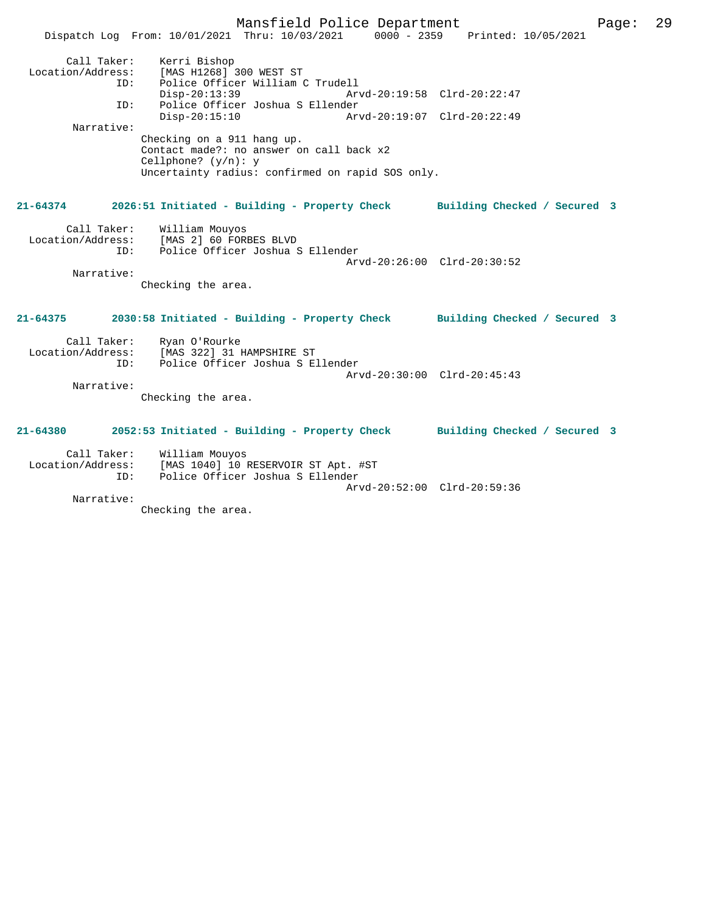Mansfield Police Department Fage: 29 Dispatch Log From: 10/01/2021 Thru: 10/03/2021 0000 - 2359 Printed: 10/05/2021 Call Taker: Kerri Bishop<br>ion/Address: [MAS H1268] Location/Address: [MAS H1268] 300 WEST ST ID: Police Officer William C Trudell Disp-20:13:39 Arvd-20:19:58 Clrd-20:22:47 ID: Police Officer Joshua S Ellender Disp-20:15:10 Arvd-20:19:07 Clrd-20:22:49 Narrative: Checking on a 911 hang up. Contact made?: no answer on call back x2 Cellphone? (y/n): y Uncertainty radius: confirmed on rapid SOS only. **21-64374 2026:51 Initiated - Building - Property Check Building Checked / Secured 3** Call Taker: William Mouyos Location/Address: [MAS 2] 60 FORBES BLVD ID: Police Officer Joshua S Ellender Arvd-20:26:00 Clrd-20:30:52 Narrative: Checking the area. **21-64375 2030:58 Initiated - Building - Property Check Building Checked / Secured 3** Call Taker: Ryan O'Rourke<br>Location/Address: [MAS 322] 31 B [MAS 322] 31 HAMPSHIRE ST ID: Police Officer Joshua S Ellender Arvd-20:30:00 Clrd-20:45:43 Narrative: Checking the area. **21-64380 2052:53 Initiated - Building - Property Check Building Checked / Secured 3** Call Taker: William Mouyos Location/Address: [MAS 1040] 10 RESERVOIR ST Apt. #ST ID: Police Officer Joshua S Ellender Arvd-20:52:00 Clrd-20:59:36 Narrative:

Checking the area.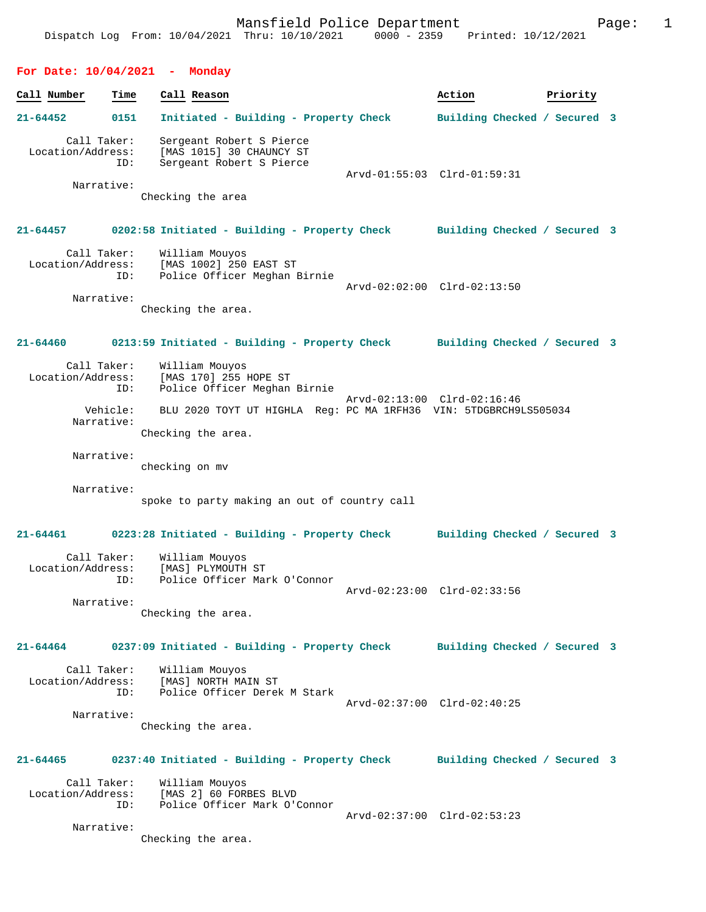Mansfield Police Department Fage: 1 Dispatch Log From: 10/04/2021 Thru: 10/10/2021 0000 - 2359 Printed: 10/12/2021 **For Date: 10/04/2021 - Monday Call Number Time Call Reason Action Priority 21-64452 0151 Initiated - Building - Property Check Building Checked / Secured 3** Call Taker: Sergeant Robert S Pierce Location/Address: [MAS 1015] 30 CHAUNCY ST ID: Sergeant Robert S Pierce Arvd-01:55:03 Clrd-01:59:31 Narrative: Checking the area **21-64457 0202:58 Initiated - Building - Property Check Building Checked / Secured 3** Call Taker: William Mouyos Location/Address: [MAS 1002] 250 EAST ST ID: Police Officer Meghan Birnie Arvd-02:02:00 Clrd-02:13:50 Narrative: Checking the area. **21-64460 0213:59 Initiated - Building - Property Check Building Checked / Secured 3** Call Taker: William Mouyos<br>Location/Address: [MAS 170] 255 ]  $[MAS 170] 255 HOPE ST$  ID: Police Officer Meghan Birnie Arvd-02:13:00 Clrd-02:16:46 Vehicle: BLU 2020 TOYT UT HIGHLA Reg: PC MA 1RFH36 VIN: 5TDGBRCH9LS505034 Narrative: Checking the area. Narrative: checking on mv Narrative: spoke to party making an out of country call **21-64461 0223:28 Initiated - Building - Property Check Building Checked / Secured 3** Call Taker: William Mouyos Location/Address: [MAS] PLYMOUTH ST ID: Police Officer Mark O'Connor Arvd-02:23:00 Clrd-02:33:56 Narrative: Checking the area. **21-64464 0237:09 Initiated - Building - Property Check Building Checked / Secured 3** Call Taker: William Mouyos<br>Location/Address: [MAS] NORTH MA [MAS] NORTH MAIN ST ID: Police Officer Derek M Stark Arvd-02:37:00 Clrd-02:40:25 Narrative: Checking the area. **21-64465 0237:40 Initiated - Building - Property Check Building Checked / Secured 3** Call Taker: William Mouyos Location/Address: [MAS 2] 60 FORBES BLVD ID: Police Officer Mark O'Connor Arvd-02:37:00 Clrd-02:53:23 Narrative:

Checking the area.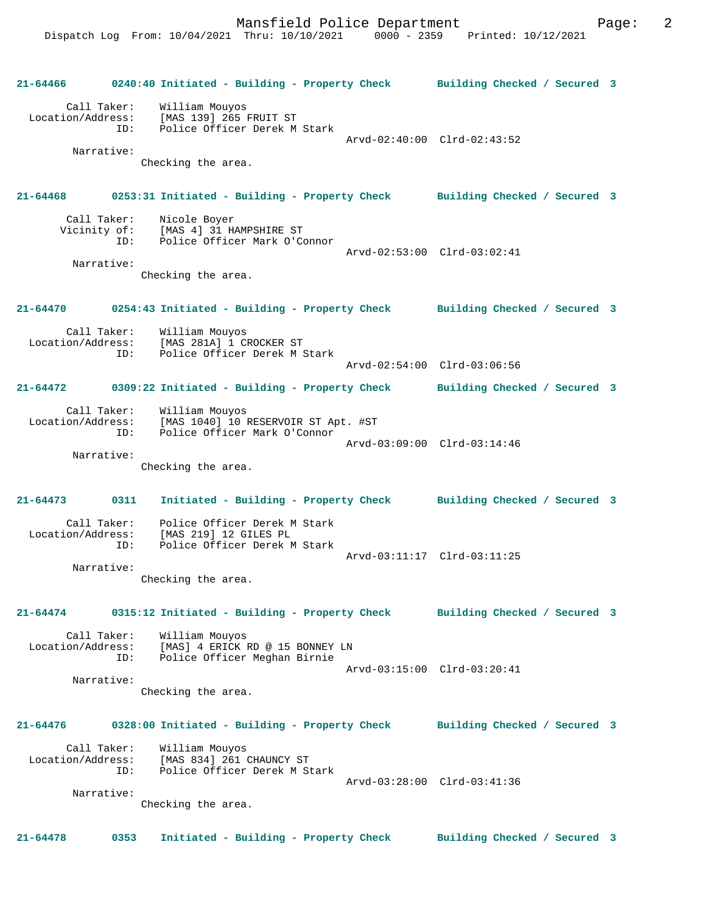**21-64466 0240:40 Initiated - Building - Property Check Building Checked / Secured 3** Call Taker: William Mouyos Location/Address: [MAS 139] 265 FRUIT ST Police Officer Derek M Stark Arvd-02:40:00 Clrd-02:43:52 Narrative: Checking the area. **21-64468 0253:31 Initiated - Building - Property Check Building Checked / Secured 3** Call Taker: Nicole Boyer<br>Vicinity of: [MAS 4] 31 H [MAS 4] 31 HAMPSHIRE ST ID: Police Officer Mark O'Connor Arvd-02:53:00 Clrd-03:02:41 Narrative: Checking the area. **21-64470 0254:43 Initiated - Building - Property Check Building Checked / Secured 3** Call Taker: William Mouyos<br>Location/Address: [MAS 281A] 1 C ess: [MAS 281A] 1 CROCKER ST<br>ID: Police Officer Derek M : Police Officer Derek M Stark Arvd-02:54:00 Clrd-03:06:56 **21-64472 0309:22 Initiated - Building - Property Check Building Checked / Secured 3** Call Taker: William Mouyos Location/Address: [MAS 1040] 10 RESERVOIR ST Apt. #ST Police Officer Mark O'Connor Arvd-03:09:00 Clrd-03:14:46 Narrative: Checking the area. **21-64473 0311 Initiated - Building - Property Check Building Checked / Secured 3** Call Taker: Police Officer Derek M Stark Location/Address: [MAS 219] 12 GILES PL ID: Police Officer Derek M Stark Arvd-03:11:17 Clrd-03:11:25 Narrative: Checking the area. **21-64474 0315:12 Initiated - Building - Property Check Building Checked / Secured 3** Call Taker: William Mouyos<br>Location/Address: [MAS] 4 ERICK [MAS] 4 ERICK RD @ 15 BONNEY LN ID: Police Officer Meghan Birnie Arvd-03:15:00 Clrd-03:20:41 Narrative: Checking the area. **21-64476 0328:00 Initiated - Building - Property Check Building Checked / Secured 3** Call Taker: William Mouyos Location/Address: [MAS 834] 261 CHAUNCY ST ID: Police Officer Derek M Stark Arvd-03:28:00 Clrd-03:41:36 Narrative: Checking the area. **21-64478 0353 Initiated - Building - Property Check Building Checked / Secured 3**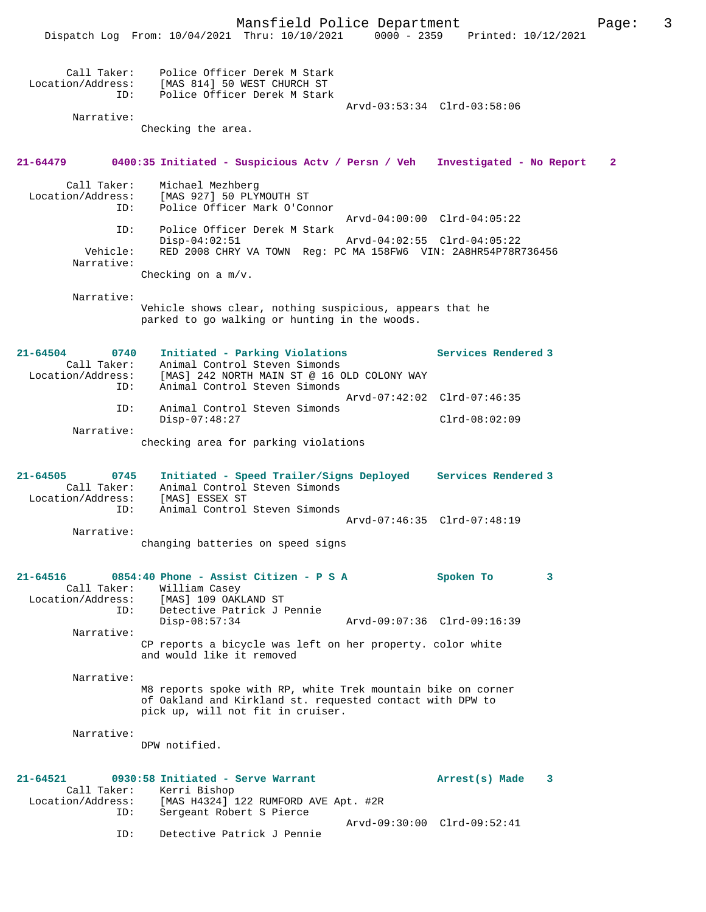Mansfield Police Department Page: 3 Dispatch Log From: 10/04/2021 Thru: 10/10/2021 0000 - 2359 Printed: 10/12/2021 Call Taker: Police Officer Derek M Stark Location/Address: [MAS 814] 50 WEST CHURCH ST ID: Police Officer Derek M Stark Arvd-03:53:34 Clrd-03:58:06 Narrative: Checking the area. **21-64479 0400:35 Initiated - Suspicious Actv / Persn / Veh Investigated - No Report 2** Call Taker: Michael Mezhberg Location/Address: [MAS 927] 50 PLYMOUTH ST Police Officer Mark O'Connor Arvd-04:00:00 Clrd-04:05:22 ID: Police Officer Derek M Stark Disp-04:02:51 Arvd-04:02:55 Clrd-04:05:22<br>Vehicle: RED 2008 CHRY VA TOWN Req: PC MA 158FW6 VIN: 2A8HR54P78R RED 2008 CHRY VA TOWN Reg: PC MA 158FW6 VIN: 2A8HR54P78R736456 Narrative: Checking on a m/v. Narrative: Vehicle shows clear, nothing suspicious, appears that he parked to go walking or hunting in the woods. **21-64504 0740 Initiated - Parking Violations Services Rendered 3**  Call Taker: Animal Control Steven Simonds<br>Location/Address: [MAS] 242 NORTH MAIN ST @ 16 ( [MAS] 242 NORTH MAIN ST @ 16 OLD COLONY WAY ID: Animal Control Steven Simonds Arvd-07:42:02 Clrd-07:46:35 ID: Animal Control Steven Simonds Disp-07:48:27 Clrd-08:02:09 Narrative: checking area for parking violations **21-64505 0745 Initiated - Speed Trailer/Signs Deployed Services Rendered 3**  Call Taker: Animal Control Steven Simonds<br>cion/Address: [MAS] ESSEX ST Location/Address:<br>ID: ID: ......<br>Animal Control Steven Simonds Arvd-07:46:35 Clrd-07:48:19 Narrative: changing batteries on speed signs **21-64516 0854:40 Phone - Assist Citizen - P S A Spoken To 3**  Call Taker: William Casey<br>Location/Address: [MAS] 109 OAKI [MAS] 109 OAKLAND ST ID: Detective Patrick J Pennie Disp-08:57:34 Arvd-09:07:36 Clrd-09:16:39 Narrative: CP reports a bicycle was left on her property. color white and would like it removed Narrative: M8 reports spoke with RP, white Trek mountain bike on corner of Oakland and Kirkland st. requested contact with DPW to pick up, will not fit in cruiser. Narrative: DPW notified. **21-64521 0930:58 Initiated - Serve Warrant Arrest(s) Made 3**  Call Taker: Kerri Bishop Location/Address: [MAS H4324] 122 RUMFORD AVE Apt. #2R ID: Sergeant Robert S Pierce Arvd-09:30:00 Clrd-09:52:41<br>TD: Detective Patrick J Pennie Detective Patrick J Pennie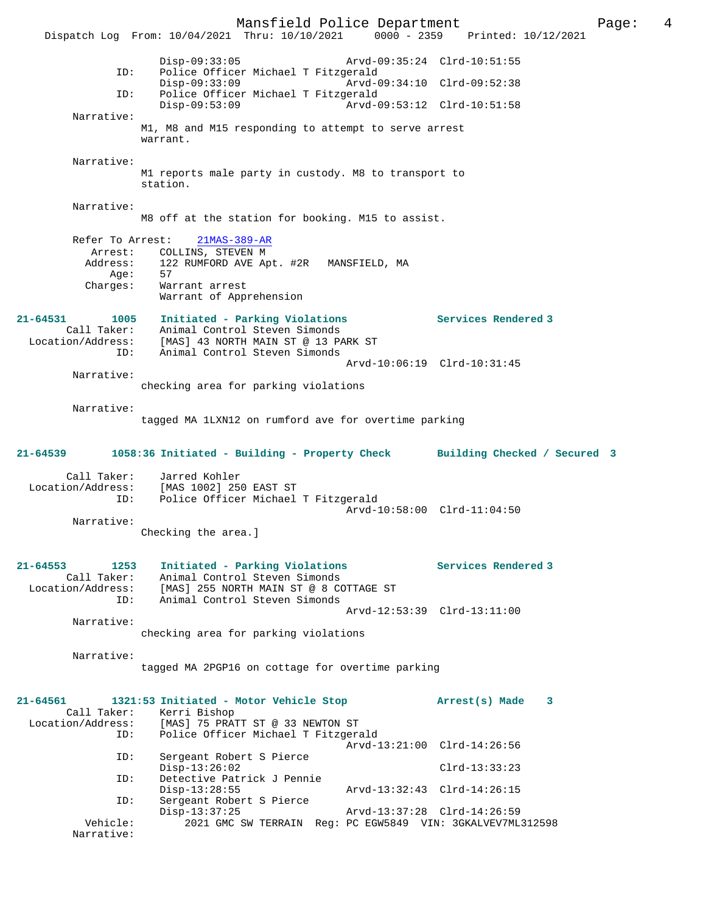Mansfield Police Department Page: 4 Dispatch Log From: 10/04/2021 Thru: 10/10/2021 0000 - 2359 Disp-09:33:05 Arvd-09:35:24 Clrd-10:51:55 ID: Police Officer Michael T Fitzgerald Disp-09:33:09 Arvd-09:34:10 Clrd-09:52:38<br>TD: Police Officer Michael T Fitzgerald Police Officer Michael T Fitzgerald<br>Disp-09:53:09 Arvd-0 Disp-09:53:09 Arvd-09:53:12 Clrd-10:51:58 Narrative: M1, M8 and M15 responding to attempt to serve arrest warrant. Narrative: M1 reports male party in custody. M8 to transport to station. Narrative: M8 off at the station for booking. M15 to assist. Refer To Arrest: 21MAS-389-AR Arrest: COLLINS, STEVEN M<br>Address: 122 RUMFORD AVE Ap 122 RUMFORD AVE Apt. #2R MANSFIELD, MA Age:<br>Charges: 57<br>Warrant arrest Warrant of Apprehension **21-64531 1005 Initiated - Parking Violations Services Rendered 3**  Call Taker: Animal Control Steven Simonds Location/Address: [MAS] 43 NORTH MAIN ST @ 13 PARK ST ID: Animal Control Steven Simonds Arvd-10:06:19 Clrd-10:31:45 Narrative: checking area for parking violations Narrative: tagged MA 1LXN12 on rumford ave for overtime parking **21-64539 1058:36 Initiated - Building - Property Check Building Checked / Secured 3** Call Taker: Jarred Kohler Location/Address: [MAS 1002] 250 EAST ST Police Officer Michael T Fitzgerald Arvd-10:58:00 Clrd-11:04:50 Narrative: Checking the area.] **21-64553 1253 Initiated - Parking Violations Services Rendered 3**  Call Taker: Animal Control Steven Simonds Location/Address: [MAS] 255 NORTH MAIN ST @ 8 COTTAGE ST ID: Animal Control Steven Simonds Arvd-12:53:39 Clrd-13:11:00 Narrative: checking area for parking violations Narrative: tagged MA 2PGP16 on cottage for overtime parking **21-64561 1321:53 Initiated - Motor Vehicle Stop Arrest(s) Made 3**  Call Taker: Kerri Bishop Location/Address: [MAS] 75 PRATT ST @ 33 NEWTON ST ID: Police Officer Michael T Fitzgerald Arvd-13:21:00 Clrd-14:26:56 ID: Sergeant Robert S Pierce Disp-13:26:02 Clrd-13:33:23 ID: Detective Patrick J Pennie Disp-13:28:55 Arvd-13:32:43 Clrd-14:26:15<br>ID: Sergeant Robert S Pierce Sergeant Robert S Pierce<br>Disp-13:37:25 Disp-13:37:25 Arvd-13:37:28 Clrd-14:26:59<br>Vehicle: 2021 GMC SW TERRAIN Req: PC EGW5849 VIN: 3GKALVEV7ML 2021 GMC SW TERRAIN Reg: PC EGW5849 VIN: 3GKALVEV7ML312598 Narrative: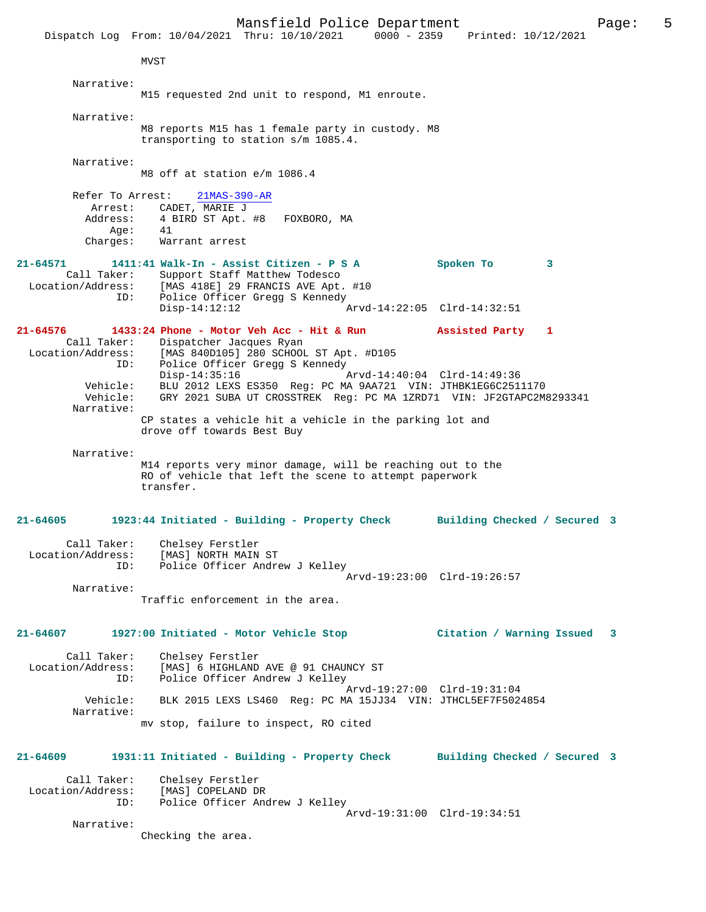Mansfield Police Department Page: 5 Dispatch Log From: 10/04/2021 Thru: 10/10/2021 0000 - 2359 Printed: 10/12/2021 MVST Narrative: M15 requested 2nd unit to respond, M1 enroute. Narrative: M8 reports M15 has 1 female party in custody. M8 transporting to station s/m 1085.4. Narrative: M8 off at station e/m 1086.4 Refer To Arrest: 21MAS-390-AR Arrest: CADET, MARIE J Address: 4 BIRD ST Apt. #8 FOXBORO, MA<br>Age: 41 Aqe: Charges: Warrant arrest **21-64571 1411:41 Walk-In - Assist Citizen - P S A Spoken To 3**  Call Taker: Support Staff Matthew Todesco<br>Location/Address: [MAS 418E] 29 FRANCIS AVE Apt. Location/Address: [MAS 418E] 29 FRANCIS AVE Apt. #10 ID: Police Officer Gregg S Kennedy ID: Police Officer Gregg S Kennedy<br>Disp-14:12:12 Arvd-14:22:05 Clrd-14:32:51 **21-64576 1433:24 Phone - Motor Veh Acc - Hit & Run Assisted Party 1**  Call Taker: Dispatcher Jacques Ryan<br>Location/Address: [MAS 840D105] 280 SCHOOI Location Cocynes Ayan<br>Ess: [MAS 840D105] 280 SCHOOL ST Apt. #D105<br>ID: Police Officer Gregg S Kennedy ID: Police Officer Gregg S Kennedy  $Disp-14:35:16$  Vehicle: BLU 2012 LEXS ES350 Reg: PC MA 9AA721 VIN: JTHBK1EG6C2511170 Vehicle: GRY 2021 SUBA UT CROSSTREK Reg: PC MA 1ZRD71 VIN: JF2GTAPC2M8293341 Narrative: CP states a vehicle hit a vehicle in the parking lot and drove off towards Best Buy Narrative: M14 reports very minor damage, will be reaching out to the RO of vehicle that left the scene to attempt paperwork transfer. **21-64605 1923:44 Initiated - Building - Property Check Building Checked / Secured 3** Call Taker: Chelsey Ferstler Location/Address: [MAS] NORTH MAIN ST ID: Police Officer Andrew J Kelley Arvd-19:23:00 Clrd-19:26:57 Narrative: Traffic enforcement in the area. **21-64607 1927:00 Initiated - Motor Vehicle Stop Citation / Warning Issued 3**

Call Taker: Chelsey Ferstler<br>Location/Address: [MAS] 6 HIGHLAND [MAS] 6 HIGHLAND AVE @ 91 CHAUNCY ST ID: Police Officer Andrew J Kelley Arvd-19:27:00 Clrd-19:31:04 Vehicle: BLK 2015 LEXS LS460 Reg: PC MA 15JJ34 VIN: JTHCL5EF7F5024854 Narrative:

mv stop, failure to inspect, RO cited

**21-64609 1931:11 Initiated - Building - Property Check Building Checked / Secured 3**

Call Taker: Chelsey Ferstler<br>Location/Address: [MAS] COPELAND D ess: [MAS] COPELAND DR<br>TD: Police Officer And Police Officer Andrew J Kelley Arvd-19:31:00 Clrd-19:34:51

Narrative:

Checking the area.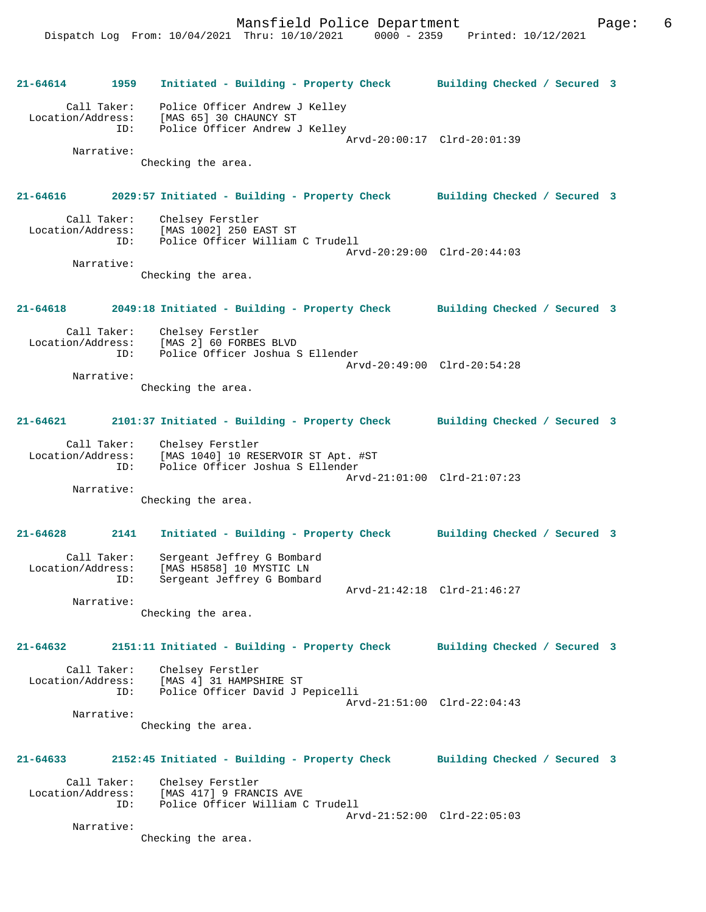**21-64614 1959 Initiated - Building - Property Check Building Checked / Secured 3** Call Taker: Police Officer Andrew J Kelley Location/Address: [MAS 65] 30 CHAUNCY ST ID: Police Officer Andrew J Kelley Arvd-20:00:17 Clrd-20:01:39 Narrative: Checking the area. **21-64616 2029:57 Initiated - Building - Property Check Building Checked / Secured 3** Call Taker: Chelsey Ferstler<br>Location/Address: [MAS 1002] 250 E ess: [MAS 1002] 250 EAST ST<br>ID: Police Officer William Police Officer William C Trudell Arvd-20:29:00 Clrd-20:44:03 Narrative: Checking the area. **21-64618 2049:18 Initiated - Building - Property Check Building Checked / Secured 3** Call Taker: Chelsey Ferstler Location/Address: [MAS 2] 60 FORBES BLVD Police Officer Joshua S Ellender Arvd-20:49:00 Clrd-20:54:28 Narrative: Checking the area. **21-64621 2101:37 Initiated - Building - Property Check Building Checked / Secured 3** Call Taker: Chelsey Ferstler Location/Address: [MAS 1040] 10 RESERVOIR ST Apt. #ST ID: Police Officer Joshua S Ellender Arvd-21:01:00 Clrd-21:07:23 Narrative: Checking the area. **21-64628 2141 Initiated - Building - Property Check Building Checked / Secured 3** Call Taker: Sergeant Jeffrey G Bombard Location/Address: [MAS H5858] 10 MYSTIC LN ID: Sergeant Jeffrey G Bombard Arvd-21:42:18 Clrd-21:46:27 Narrative: Checking the area. **21-64632 2151:11 Initiated - Building - Property Check Building Checked / Secured 3** Call Taker: Chelsey Ferstler Location/Address: [MAS 4] 31 HAMPSHIRE ST ID: Police Officer David J Pepicelli Arvd-21:51:00 Clrd-22:04:43 Narrative: Checking the area. **21-64633 2152:45 Initiated - Building - Property Check Building Checked / Secured 3** Call Taker: Chelsey Ferstler Location/Address: [MAS 417] 9 FRANCIS AVE ID: Police Officer William C Trudell Arvd-21:52:00 Clrd-22:05:03 Narrative: Checking the area.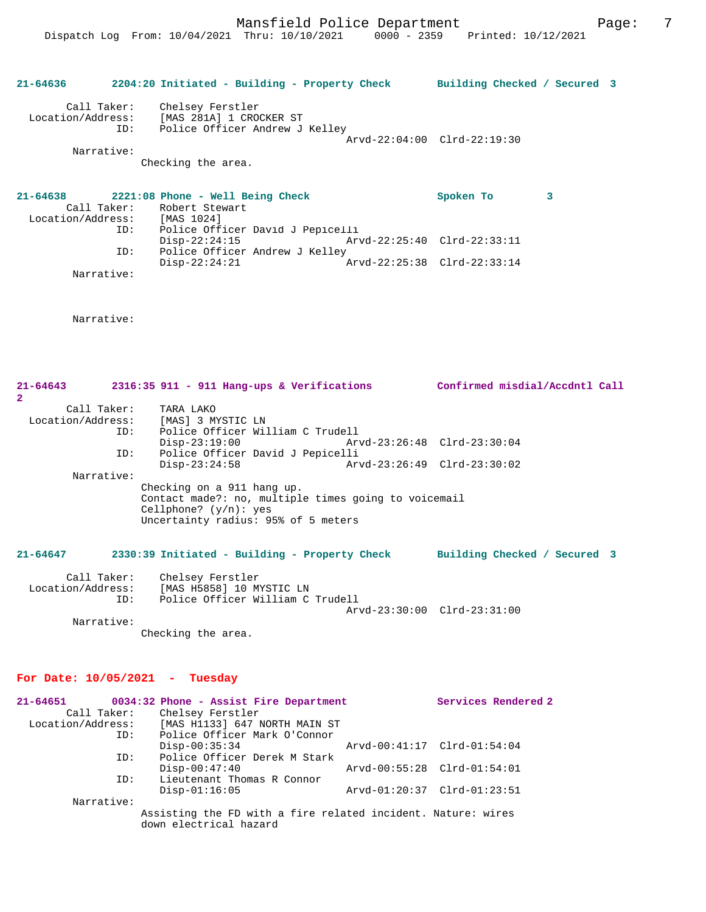# **21-64636 2204:20 Initiated - Building - Property Check Building Checked / Secured 3** Call Taker: Chelsey Ferstler Location/Address: [MAS 281A] 1 CROCKER ST ID: Police Officer Andrew J Kelley Arvd-22:04:00 Clrd-22:19:30 Narrative: Checking the area. **21-64638 2221:08 Phone - Well Being Check Spoken To 3**  Call Taker: Robert Stewart<br>tion/Address: [MAS 1024] Location/Address:<br>ID: ID: Police Officer David J Pepicelli Disp-22:24:15 Arvd-22:25:40 Clrd-22:33:11

ID: Police Officer Andrew J Kelley<br>Disp-22:24:21  $\bar{x}$  Arvd-22:25:38 Clrd-22:33:14 Narrative:

Narrative:

**21-64643 2316:35 911 - 911 Hang-ups & Verifications Confirmed misdial/Accdntl Call 2**  Call Taker: TARA LAKO Location/Address: [MAS] 3 MYSTIC LN ID: Police Officer William C Trudell Disp-23:19:00 Arvd-23:26:48 Clrd-23:30:04 ID: Police Officer David J Pepicelli Disp-23:24:58 Arvd-23:26:49 Clrd-23:30:02 Narrative: Checking on a 911 hang up. Contact made?: no, multiple times going to voicemail Cellphone? (y/n): yes Uncertainty radius: 95% of 5 meters

### **21-64647 2330:39 Initiated - Building - Property Check Building Checked / Secured 3**

| Call Taker:       | Chelsey Ferstler                 |                             |  |
|-------------------|----------------------------------|-----------------------------|--|
| Location/Address: | [MAS H5858] 10 MYSTIC LN         |                             |  |
| TD:               | Police Officer William C Trudell |                             |  |
|                   |                                  | Arvd-23:30:00 Clrd-23:31:00 |  |
| Narrative:        |                                  |                             |  |

Checking the area.

### **For Date: 10/05/2021 - Tuesday**

| 21-64651          |                                                                                        |  |  | 0034:32 Phone - Assist Fire Department |                             |  | Services Rendered 2 |
|-------------------|----------------------------------------------------------------------------------------|--|--|----------------------------------------|-----------------------------|--|---------------------|
| Call Taker:       | Chelsey Ferstler                                                                       |  |  |                                        |                             |  |                     |
| Location/Address: |                                                                                        |  |  | [MAS H1133] 647 NORTH MAIN ST          |                             |  |                     |
| ID:               |                                                                                        |  |  | Police Officer Mark O'Connor           |                             |  |                     |
|                   | $Disp-00:35:34$                                                                        |  |  |                                        | Arvd-00:41:17 Clrd-01:54:04 |  |                     |
| ID:               |                                                                                        |  |  | Police Officer Derek M Stark           |                             |  |                     |
|                   | $Disp-00:47:40$                                                                        |  |  |                                        | Arvd-00:55:28 Clrd-01:54:01 |  |                     |
| ID:               | Lieutenant Thomas R Connor                                                             |  |  |                                        |                             |  |                     |
|                   | $Disp-01:16:05$                                                                        |  |  |                                        | Arvd-01:20:37 Clrd-01:23:51 |  |                     |
| Narrative:        |                                                                                        |  |  |                                        |                             |  |                     |
|                   | Assisting the FD with a fire related incident. Nature: wires<br>down electrical hazard |  |  |                                        |                             |  |                     |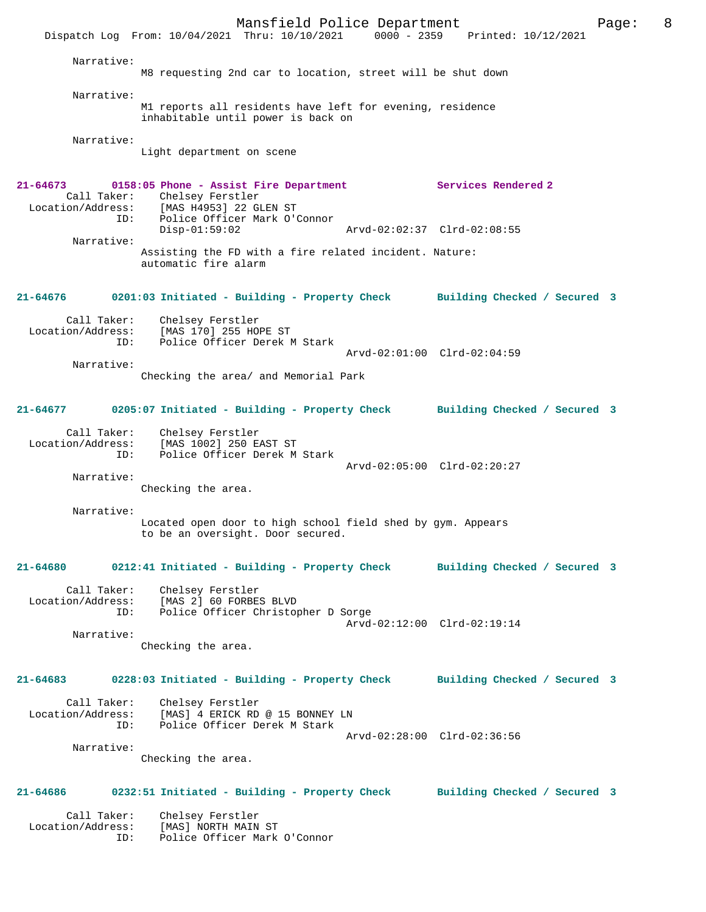Mansfield Police Department Fage: 8 Dispatch Log From: 10/04/2021 Thru: 10/10/2021 0000 - 2359 Printed: 10/12/2021 Narrative: M8 requesting 2nd car to location, street will be shut down Narrative: M1 reports all residents have left for evening, residence inhabitable until power is back on Narrative: Light department on scene **21-64673 0158:05 Phone - Assist Fire Department Services Rendered 2**  Call Taker: Chelsey Ferstler<br>Location/Address: [MAS H4953] 22 G لتعديد بين المستحدة<br>Exs: [MAS H4953] 22 GLEN ST<br>ID: Police Officer Mark O'O Police Officer Mark O'Connor<br>Disp-01:59:02 Disp-01:59:02 Arvd-02:02:37 Clrd-02:08:55 Narrative: Assisting the FD with a fire related incident. Nature: automatic fire alarm **21-64676 0201:03 Initiated - Building - Property Check Building Checked / Secured 3** Call Taker: Chelsey Ferstler Location/Address: [MAS 170] 255 HOPE ST ID: Police Officer Derek M Stark Arvd-02:01:00 Clrd-02:04:59 Narrative: Checking the area/ and Memorial Park **21-64677 0205:07 Initiated - Building - Property Check Building Checked / Secured 3** Call Taker: Chelsey Ferstler<br>Location/Address: [MAS 1002] 250 E Location/Address: [MAS 1002] 250 EAST ST ID: Police Officer Derek M Stark Arvd-02:05:00 Clrd-02:20:27 Narrative: Checking the area. Narrative: Located open door to high school field shed by gym. Appears to be an oversight. Door secured. **21-64680 0212:41 Initiated - Building - Property Check Building Checked / Secured 3** Call Taker: Chelsey Ferstler Location/Address: [MAS 2] 60 FORBES BLVD ID: Police Officer Christopher D Sorge Arvd-02:12:00 Clrd-02:19:14 Narrative: Checking the area. **21-64683 0228:03 Initiated - Building - Property Check Building Checked / Secured 3** Call Taker: Chelsey Ferstler Location/Address: [MAS] 4 ERICK RD @ 15 BONNEY LN ID: Police Officer Derek M Stark Arvd-02:28:00 Clrd-02:36:56 Narrative: Checking the area. **21-64686 0232:51 Initiated - Building - Property Check Building Checked / Secured 3** Call Taker: Chelsey Ferstler<br>Location/Address: [MAS] NORTH MAIN ess: [MAS] NORTH MAIN ST<br>ID: Police Officer Mark Police Officer Mark O'Connor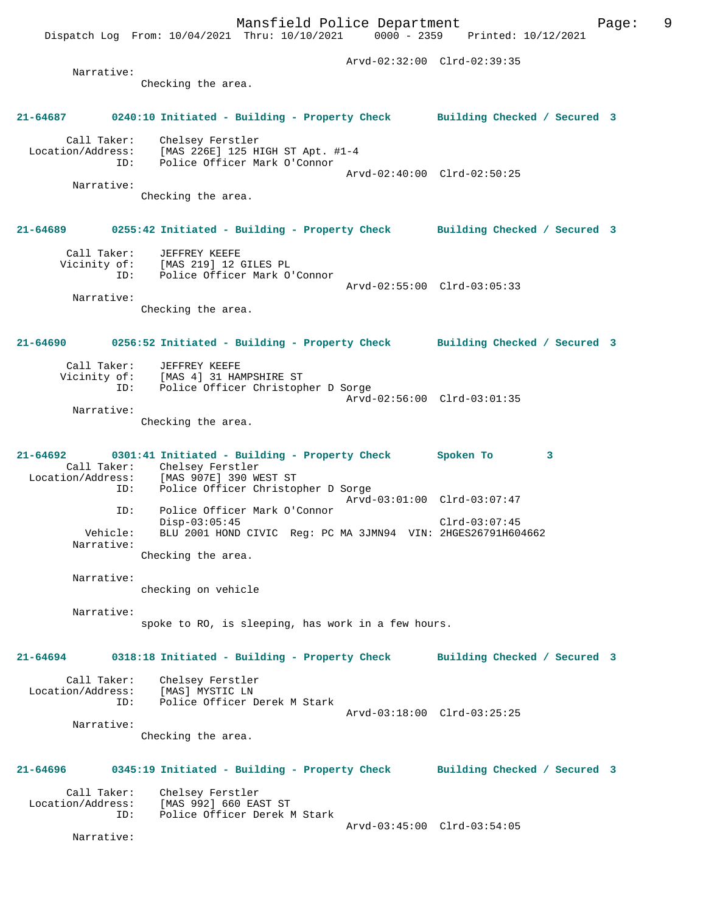Arvd-02:32:00 Clrd-02:39:35

# **21-64687 0240:10 Initiated - Building - Property Check Building Checked / Secured 3**

 Call Taker: Chelsey Ferstler Location/Address: [MAS 226E] 125 HIGH ST Apt. #1-4<br>ID: Police Officer Mark O'Connor ID: Police Officer Mark O'Connor Arvd-02:40:00 Clrd-02:50:25 Narrative:

Checking the area.

Checking the area.

Narrative:

# **21-64689 0255:42 Initiated - Building - Property Check Building Checked / Secured 3**

 Call Taker: JEFFREY KEEFE Vicinity of: [MAS 219] 12 GILES PL ID: Police Officer Mark O'Connor Arvd-02:55:00 Clrd-03:05:33

 Narrative: Checking the area.

# **21-64690 0256:52 Initiated - Building - Property Check Building Checked / Secured 3**

| Call Taker:<br>Vicinity of: | JEFFREY KEEFE<br>[MAS 4] 31 HAMPSHIRE ST |                             |  |
|-----------------------------|------------------------------------------|-----------------------------|--|
| ID:                         | Police Officer Christopher D Sorge       |                             |  |
|                             |                                          | Arvd-02:56:00 Clrd-03:01:35 |  |
| Narrative:                  |                                          |                             |  |

Checking the area.

## **21-64692 0301:41 Initiated - Building - Property Check Spoken To 3**  Call Taker: Chelsey Ferstler<br>Location/Address: [MAS 907E] 390 W ess: [MAS 907E] 390 WEST ST<br>ID: Police Officer Christop Police Officer Christopher D Sorge Arvd-03:01:00 Clrd-03:07:47 ID: Police Officer Mark O'Connor Disp-03:05:45 Clrd-03:07:45 Vehicle: BLU 2001 HOND CIVIC Reg: PC MA 3JMN94 VIN: 2HGES26791H604662 Narrative:

Checking the area.

 Narrative: checking on vehicle

Narrative:

spoke to RO, is sleeping, has work in a few hours.

**21-64694 0318:18 Initiated - Building - Property Check Building Checked / Secured 3** Call Taker: Chelsey Ferstler

| Location/Address: | [MAS] MYSTIC LN              |                             |  |
|-------------------|------------------------------|-----------------------------|--|
| TD:               | Police Officer Derek M Stark |                             |  |
|                   |                              | Arvd-03:18:00 Clrd-03:25:25 |  |
| Narrative:        |                              |                             |  |
|                   | Checking the area.           |                             |  |

# **21-64696 0345:19 Initiated - Building - Property Check Building Checked / Secured 3**

Call Taker: Chelsey Ferstler<br>Location/Address: [MAS 992] 660 EA ess: [MAS 992] 660 EAST ST<br>ID: Police Officer Derek N Police Officer Derek M Stark Arvd-03:45:00 Clrd-03:54:05

Narrative: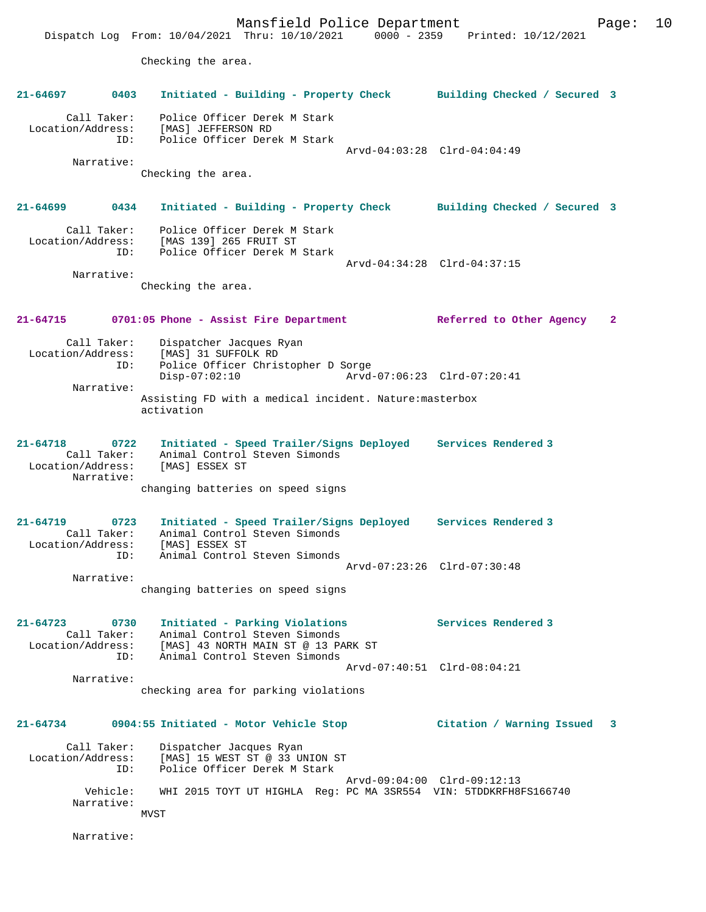Mansfield Police Department Form Page: 10 Dispatch Log From: 10/04/2021 Thru: 10/10/2021 0000 - 2359 Printed: 10/12/2021 Checking the area. **21-64697 0403 Initiated - Building - Property Check Building Checked / Secured 3** Call Taker: Police Officer Derek M Stark Location/Address: [MAS] JEFFERSON RD ID: Police Officer Derek M Stark Arvd-04:03:28 Clrd-04:04:49 Narrative: Checking the area. **21-64699 0434 Initiated - Building - Property Check Building Checked / Secured 3** Call Taker: Police Officer Derek M Stark Location/Address: [MAS 139] 265 FRUIT ST ID: Police Officer Derek M Stark Arvd-04:34:28 Clrd-04:37:15 Narrative: Checking the area. **21-64715 0701:05 Phone - Assist Fire Department Referred to Other Agency 2** Call Taker: Dispatcher Jacques Ryan<br>Location/Address: [MAS] 31 SUFFOLK RD ess: [MAS] 31 SUFFOLK RD<br>ID: Police Officer Chris Police Officer Christopher D Sorge Disp-07:02:10 Arvd-07:06:23 Clrd-07:20:41 Narrative: Assisting FD with a medical incident. Nature:masterbox activation **21-64718 0722 Initiated - Speed Trailer/Signs Deployed Services Rendered 3**  Call Taker: Animal Control Steven Simonds Location/Address: [MAS] ESSEX ST Narrative: changing batteries on speed signs **21-64719 0723 Initiated - Speed Trailer/Signs Deployed Services Rendered 3**  Call Taker: Animal Control Steven Simonds Location/Address: [MAS] ESSEX ST ID: Animal Control Steven Simonds Arvd-07:23:26 Clrd-07:30:48 Narrative: changing batteries on speed signs **21-64723 0730 Initiated - Parking Violations Services Rendered 3**  Call Taker: Animal Control Steven Simonds Location/Address: [MAS] 43 NORTH MAIN ST @ 13 PARK ST ID: Animal Control Steven Simonds Arvd-07:40:51 Clrd-08:04:21 Narrative: checking area for parking violations **21-64734 0904:55 Initiated - Motor Vehicle Stop Citation / Warning Issued 3** Call Taker: Dispatcher Jacques Ryan Location/Address: [MAS] 15 WEST ST @ 33 UNION ST<br>ID: Police Officer Derek M Stark Police Officer Derek M Stark Arvd-09:04:00 Clrd-09:12:13<br>Vebicle: WHI 2015 TOYT UT HIGHLA Reg: PC MA 3SR554 VIN: 5TODKRFB8 WHI 2015 TOYT UT HIGHLA Reg: PC MA 3SR554 VIN: 5TDDKRFH8FS166740 Narrative: MVST Narrative: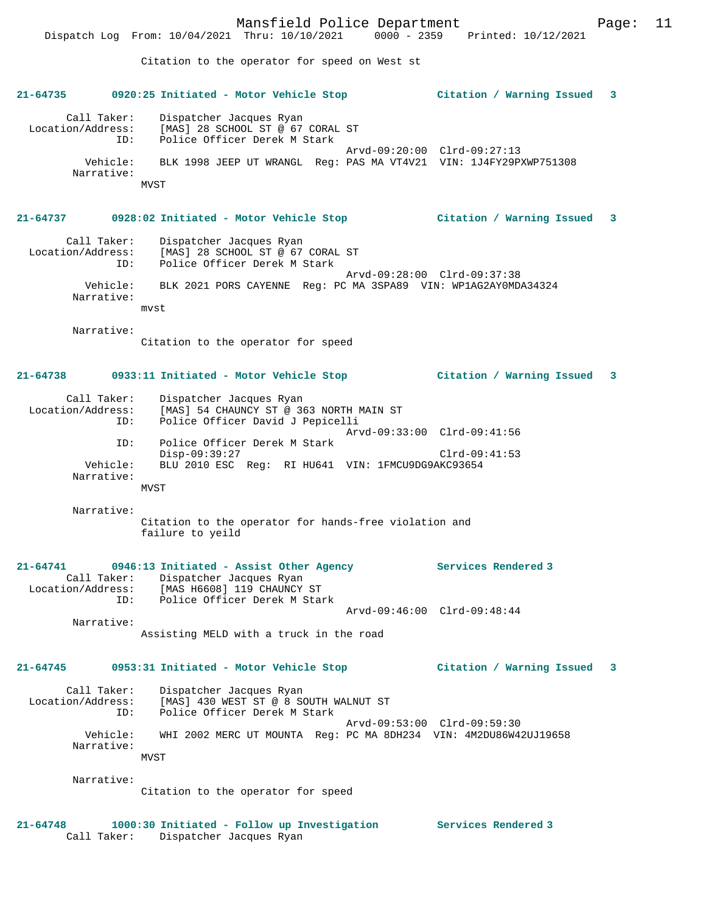Citation to the operator for speed on West st

# **21-64735 0920:25 Initiated - Motor Vehicle Stop Citation / Warning Issued 3**

 Call Taker: Dispatcher Jacques Ryan Location/Address: [MAS] 28 SCHOOL ST @ 67 CORAL ST<br>TD: Police Officer Derek M Stark Police Officer Derek M Stark Arvd-09:20:00 Clrd-09:27:13 Vehicle: BLK 1998 JEEP UT WRANGL Reg: PAS MA VT4V21 VIN: 1J4FY29PXWP751308 Narrative: MVST

# **21-64737 0928:02 Initiated - Motor Vehicle Stop Citation / Warning Issued 3**

 Call Taker: Dispatcher Jacques Ryan Location/Address: [MAS] 28 SCHOOL ST @ 67 CORAL ST<br>TD: Police Officer Derek M Stark Police Officer Derek M Stark Arvd-09:28:00 Clrd-09:37:38 Vehicle: BLK 2021 PORS CAYENNE Reg: PC MA 3SPA89 VIN: WP1AG2AY0MDA34324 Narrative: mvst

Narrative:

Citation to the operator for speed

# **21-64738 0933:11 Initiated - Motor Vehicle Stop Citation / Warning Issued 3**

| Call Taker:       | Dispatcher Jacques Ryan                           |
|-------------------|---------------------------------------------------|
| Location/Address: | [MAS] 54 CHAUNCY ST @ 363 NORTH MAIN ST           |
| ID:               | Police Officer David J Pepicelli                  |
|                   | Arvd-09:33:00 Clrd-09:41:56                       |
| ID:               | Police Officer Derek M Stark                      |
|                   | $Disp-09:39:27$<br>$Clrd-09:41:53$                |
| Vehicle:          | BLU 2010 ESC Req: RI HU641 VIN: 1FMCU9DG9AKC93654 |
| Narrative:        |                                                   |
|                   | MVST                                              |

 Narrative: Citation to the operator for hands-free violation and failure to yeild

# **21-64741 0946:13 Initiated - Assist Other Agency Services Rendered 3**  Call Taker: Dispatcher Jacques Ryan Location/Address: [MAS H6608] 119 CHAUNCY ST ID: Police Officer Derek M Stark Arvd-09:46:00 Clrd-09:48:44 Narrative:

Assisting MELD with a truck in the road

# **21-64745 0953:31 Initiated - Motor Vehicle Stop Citation / Warning Issued 3**

 Call Taker: Dispatcher Jacques Ryan Location/Address: [MAS] 430 WEST ST @ 8 SOUTH WALNUT ST ID: Police Officer Derek M Stark Arvd-09:53:00 Clrd-09:59:30 Vehicle: WHI 2002 MERC UT MOUNTA Reg: PC MA 8DH234 VIN: 4M2DU86W42UJ19658 Narrative: MVST

Narrative:

Citation to the operator for speed

# **21-64748 1000:30 Initiated - Follow up Investigation Services Rendered 3**  Call Taker: Dispatcher Jacques Ryan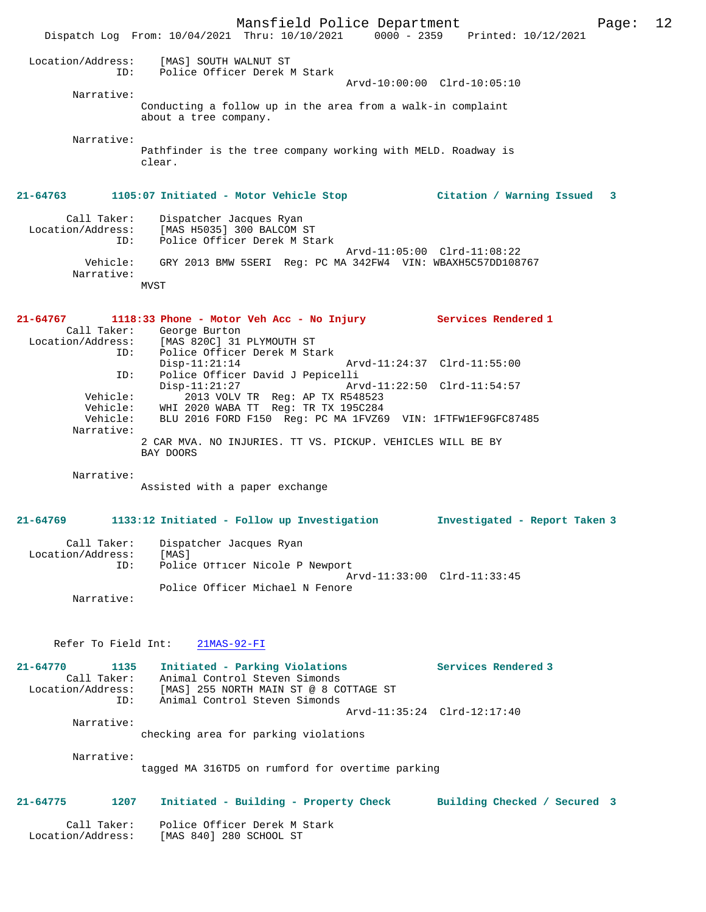Mansfield Police Department Page: 12 Dispatch Log From: 10/04/2021 Thru: 10/10/2021 0000 - 2359 Printed: 10/12/2021 Location/Address: [MAS] SOUTH WALNUT ST ID: Police Officer Derek M Stark Arvd-10:00:00 Clrd-10:05:10 Narrative: Conducting a follow up in the area from a walk-in complaint about a tree company. Narrative: Pathfinder is the tree company working with MELD. Roadway is clear. **21-64763 1105:07 Initiated - Motor Vehicle Stop Citation / Warning Issued 3** Call Taker: Dispatcher Jacques Ryan<br>Location/Address: [MAS H5035] 300 BALCOM : [MAS H5035] 300 BALCOM ST ID: Police Officer Derek M Stark Arvd-11:05:00 Clrd-11:08:22 Vehicle: GRY 2013 BMW 5SERI Reg: PC MA 342FW4 VIN: WBAXH5C57DD108767 Narrative: MVST **21-64767 1118:33 Phone - Motor Veh Acc - No Injury Services Rendered 1**  Call Taker: George Burton<br>Location/Address: [MAS 820C] 31 Location/Address: [MAS 820C] 31 PLYMOUTH ST Police Officer Derek M Stark<br>Disp-11:21:14 Disp-11:21:14 Arvd-11:24:37 Clrd-11:55:00 ID: Police Officer David J Pepicelli Disp-11:21:27 Arvd-11:22:50 Clrd-11:54:57 Vehicle: 2013 VOLV TR Reg: AP TX R548523 Vehicle: WHI 2020 WABA TT Reg: TR TX 195C284 Vehicle: BLU 2016 FORD F150 Reg: PC MA 1FVZ69 VIN: 1FTFW1EF9GFC87485 Narrative: 2 CAR MVA. NO INJURIES. TT VS. PICKUP. VEHICLES WILL BE BY BAY DOORS Narrative: Assisted with a paper exchange **21-64769 1133:12 Initiated - Follow up Investigation Investigated - Report Taken 3** Call Taker: Dispatcher Jacques Ryan<br>.on/Address: [MAS] Location/Address:<br>ID: Police Officer Nicole P Newport Arvd-11:33:00 Clrd-11:33:45 Police Officer Michael N Fenore Narrative: Refer To Field Int: 21MAS-92-FI **21-64770 1135 Initiated - Parking Violations Services Rendered 3**  Call Taker: Animal Control Steven Simonds Location/Address: [MAS] 255 NORTH MAIN ST @ 8 COTTAGE ST ID: Animal Control Steven Simonds Arvd-11:35:24 Clrd-12:17:40 Narrative: checking area for parking violations Narrative: tagged MA 316TD5 on rumford for overtime parking **21-64775 1207 Initiated - Building - Property Check Building Checked / Secured 3** Call Taker: Police Officer Derek M Stark Location/Address: [MAS 840] 280 SCHOOL ST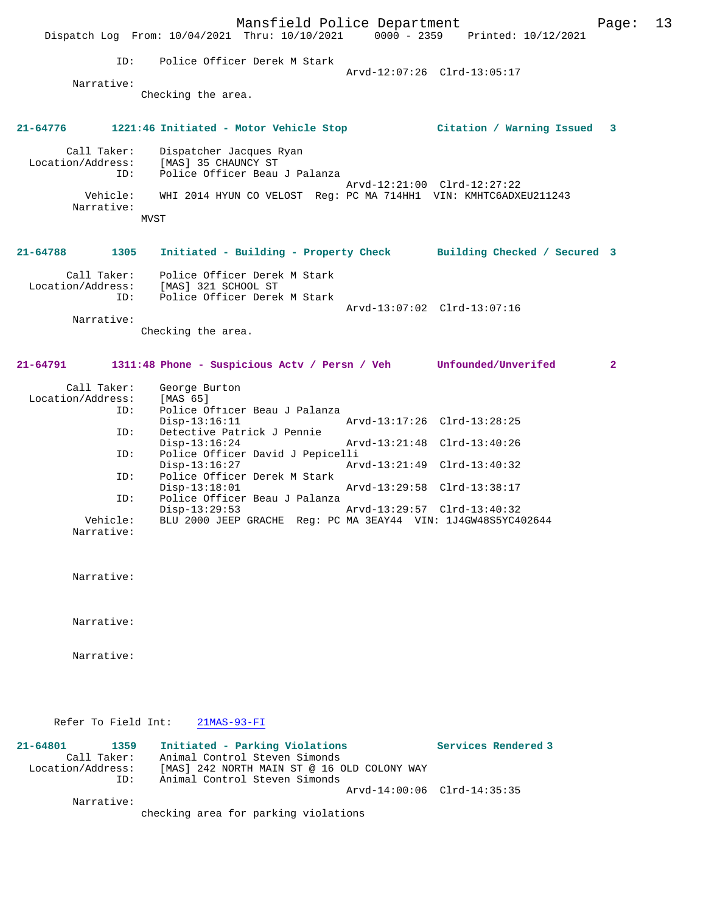Mansfield Police Department Form Page: 13 Dispatch Log From: 10/04/2021 Thru: 10/10/2021 0000 - 2359 Printed: 10/12/2021 ID: Police Officer Derek M Stark Arvd-12:07:26 Clrd-13:05:17 Narrative: Checking the area. **21-64776 1221:46 Initiated - Motor Vehicle Stop Citation / Warning Issued 3** Call Taker: Dispatcher Jacques Ryan Location/Address: [MAS] 35 CHAUNCY ST ID: Police Officer Beau J Palanza Arvd-12:21:00 Clrd-12:27:22 Vehicle: WHI 2014 HYUN CO VELOST Reg: PC MA 714HH1 VIN: KMHTC6ADXEU211243 Narrative: MVST **21-64788 1305 Initiated - Building - Property Check Building Checked / Secured 3** Call Taker: Police Officer Derek M Stark Location/Address: [MAS] 321 SCHOOL ST ID: Police Officer Derek M Stark Arvd-13:07:02 Clrd-13:07:16 Narrative: Checking the area. **21-64791 1311:48 Phone - Suspicious Actv / Persn / Veh Unfounded/Unverifed 2** Call Taker: George Burton Location/Address: [MAS 65] ID: Police Officer Beau J Palanza Disp-13:16:11 Arvd-13:17:26 Clrd-13:28:25<br>ID: Detective Patrick J Pennie Detective Patrick J Pennie<br>Disp-13:16:24 Disp-13:16:24 Arvd-13:21:48 Clrd-13:40:26 ID: Police Officer David J Pepicelli Disp-13:16:27 Arvd-13:21:49 Clrd-13:40:32 ID: Police Officer Derek M Stark Disp-13:18:01 Arvd-13:29:58 Clrd-13:38:17<br>ID: Police Officer Beau J Palanza Police Officer Beau J Palanza Disp-13:29:53 Arvd-13:29:57 Clrd-13:40:32 BLU 2000 JEEP GRACHE Reg: PC MA 3EAY44 VIN: 1J4GW48S5YC402644 Narrative: Narrative: Narrative: Narrative: Refer To Field Int: 21MAS-93-FI **21-64801 1359 Initiated - Parking Violations Services Rendered 3**  Call Taker: Animal Control Steven Simonds Location/Address: [MAS] 242 NORTH MAIN ST @ 16 OLD COLONY WAY<br>ID: Animal Control Steven Simonds Animal Control Steven Simonds Arvd-14:00:06 Clrd-14:35:35 Narrative: checking area for parking violations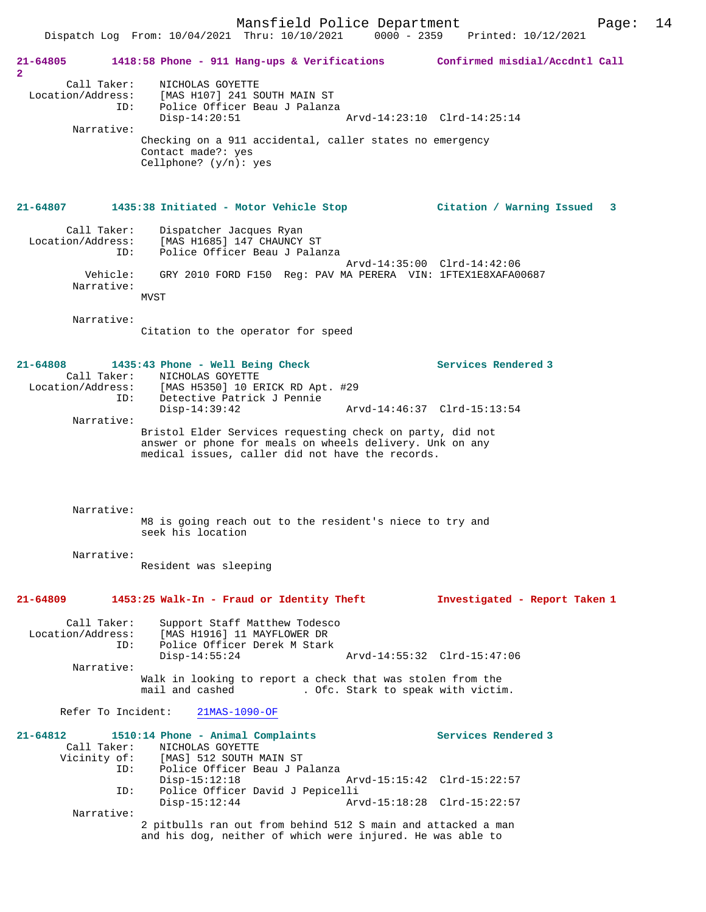Mansfield Police Department Page: 14 Dispatch Log From: 10/04/2021 Thru: 10/10/2021 0000 - 2359 Printed: 10/12/2021 **21-64805 1418:58 Phone - 911 Hang-ups & Verifications Confirmed misdial/Accdntl Call 2**  Call Taker: NICHOLAS GOYETTE Location/Address: [MAS H107] 241 SOUTH MAIN ST ID: Police Officer Beau J Palanza Disp-14:20:51 Arvd-14:23:10 Clrd-14:25:14 Narrative: Checking on a 911 accidental, caller states no emergency Contact made?: yes Cellphone? (y/n): yes **21-64807 1435:38 Initiated - Motor Vehicle Stop Citation / Warning Issued 3** Call Taker: Dispatcher Jacques Ryan Location/Address: [MAS H1685] 147 CHAUNCY ST ID: Police Officer Beau J Palanza Arvd-14:35:00 Clrd-14:42:06 Vehicle: GRY 2010 FORD F150 Reg: PAV MA PERERA VIN: 1FTEX1E8XAFA00687 Narrative: **MVST**  Narrative: Citation to the operator for speed **21-64808 1435:43 Phone - Well Being Check Services Rendered 3**  Call Taker: NICHOLAS GOYETTE Location/Address: [MAS H5350] 10 ERICK RD Apt. #29 ID: Detective Patrick J Pennie Arvd-14:46:37 Clrd-15:13:54 Narrative: Bristol Elder Services requesting check on party, did not answer or phone for meals on wheels delivery. Unk on any medical issues, caller did not have the records. Narrative: M8 is going reach out to the resident's niece to try and seek his location Narrative: Resident was sleeping **21-64809 1453:25 Walk-In - Fraud or Identity Theft Investigated - Report Taken 1** Call Taker: Support Staff Matthew Todesco Location/Address: [MAS H1916] 11 MAYFLOWER DR Police Officer Derek M Stark Disp-14:55:24 Arvd-14:55:32 Clrd-15:47:06 Narrative: Walk in looking to report a check that was stolen from the mail and cashed . Ofc. Stark to speak with victim. Refer To Incident: 21MAS-1090-OF **21-64812 1510:14 Phone - Animal Complaints Services Rendered 3**  Call Taker: NICHOLAS GOYETTE Vicinity of: [MAS] 512 SOUTH MAIN ST ID: Police Officer Beau J Palanza Arvd-15:15:42 Clrd-15:22:57 ID: Police Officer David J Pepicelli Arvd-15:18:28 Clrd-15:22:57 Narrative: 2 pitbulls ran out from behind 512 S main and attacked a man

and his dog, neither of which were injured. He was able to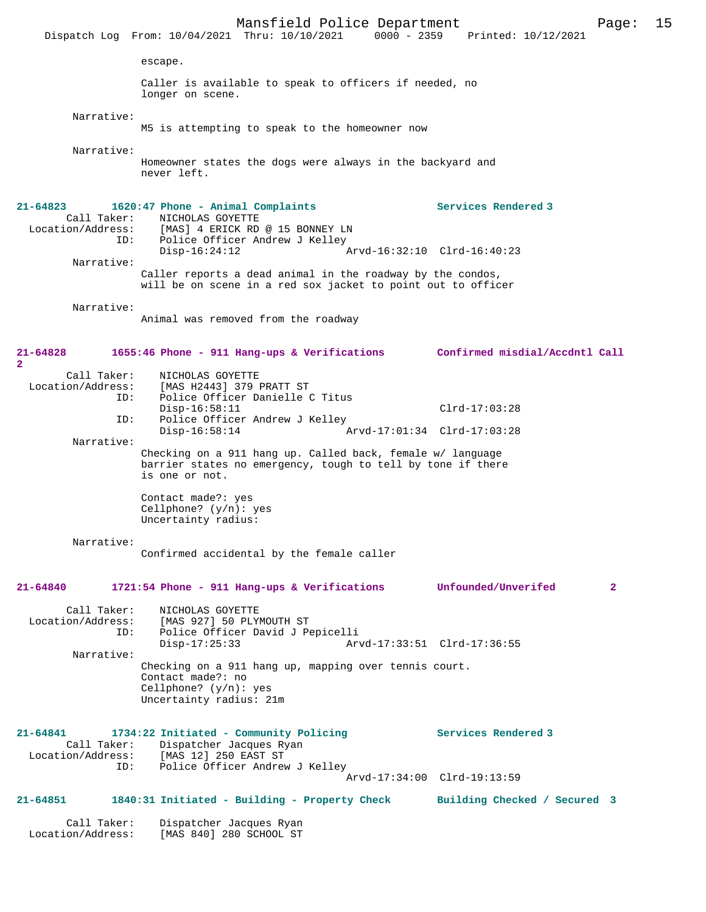Mansfield Police Department Page: 15 Dispatch Log From: 10/04/2021 Thru: 10/10/2021 escape. Caller is available to speak to officers if needed, no longer on scene. Narrative: M5 is attempting to speak to the homeowner now Narrative: Homeowner states the dogs were always in the backyard and never left. **21-64823 1620:47 Phone - Animal Complaints Services Rendered 3**  Call Taker: <br> NICHOLAS GOYETTE<br>
Location/Address: [MAS] 4 ERICK RD [MAS] 4 ERICK RD @ 15 BONNEY LN ID: Police Officer Andrew J Kelley<br>Disp-16:24:12 P Disp-16:24:12 Arvd-16:32:10 Clrd-16:40:23 Narrative: Caller reports a dead animal in the roadway by the condos, will be on scene in a red sox jacket to point out to officer Narrative: Animal was removed from the roadway **21-64828 1655:46 Phone - 911 Hang-ups & Verifications Confirmed misdial/Accdntl Call 2**  Call Taker: NICHOLAS GOYETTE Location/Address: [MAS H2443] 379 PRATT ST Police Officer Danielle C Titus Disp-16:58:11 Clrd-17:03:28<br>TD: Police Officer Andrew J Kelley Police Officer Andrew J Kelley<br>Disp-16:58:14 A Disp-16:58:14 Arvd-17:01:34 Clrd-17:03:28 Narrative: Checking on a 911 hang up. Called back, female w/ language barrier states no emergency, tough to tell by tone if there is one or not. Contact made?: yes Cellphone? (y/n): yes Uncertainty radius: Narrative: Confirmed accidental by the female caller **21-64840 1721:54 Phone - 911 Hang-ups & Verifications Unfounded/Unverifed 2** Call Taker: NICHOLAS GOYETTE Location/Address: [MAS 927] 50 PLYMOUTH ST Police Officer David J Pepicelli<br>Disp-17:25:33 Arv Disp-17:25:33 Arvd-17:33:51 Clrd-17:36:55 Narrative: Checking on a 911 hang up, mapping over tennis court. Contact made?: no Cellphone? (y/n): yes Uncertainty radius: 21m **21-64841 1734:22 Initiated - Community Policing Services Rendered 3**  Call Taker: Dispatcher Jacques Ryan Location/Address: [MAS 12] 250 EAST ST ID: Police Officer Andrew J Kelley Arvd-17:34:00 Clrd-19:13:59 **21-64851 1840:31 Initiated - Building - Property Check Building Checked / Secured 3** Call Taker: Dispatcher Jacques Ryan<br>Location/Address: [MAS 840] 280 SCHOOL ST [MAS 840] 280 SCHOOL ST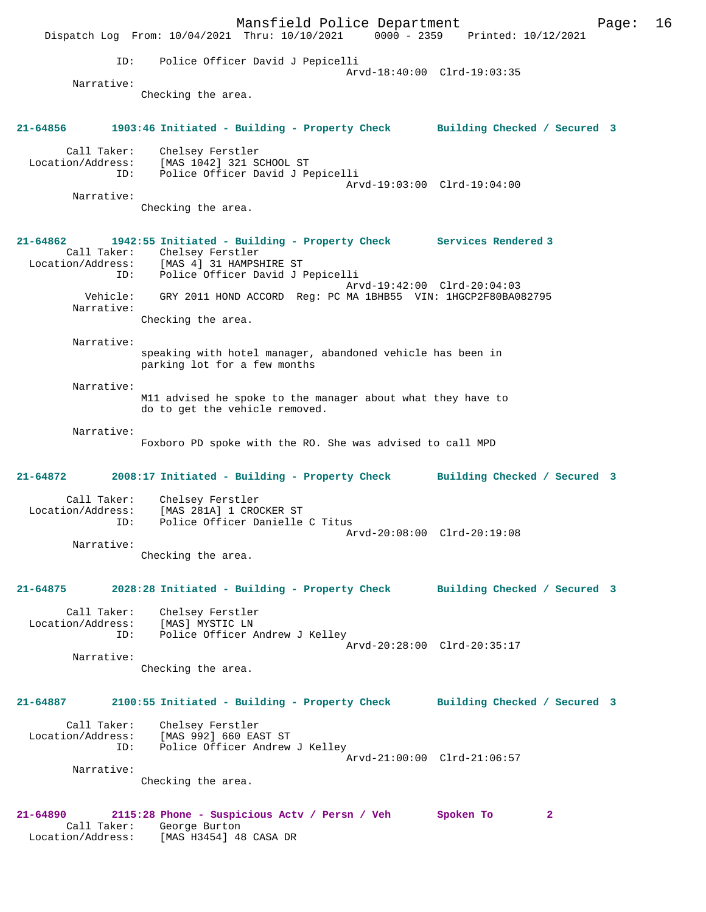Mansfield Police Department Page: 16 Dispatch Log From: 10/04/2021 Thru: 10/10/2021 0000 - 2359 Printed: 10/12/2021 ID: Police Officer David J Pepicelli Arvd-18:40:00 Clrd-19:03:35 Narrative: Checking the area. **21-64856 1903:46 Initiated - Building - Property Check Building Checked / Secured 3** Call Taker: Chelsey Ferstler Location/Address: [MAS 1042] 321 SCHOOL ST ID: Police Officer David J Pepicelli Arvd-19:03:00 Clrd-19:04:00 Narrative: Checking the area. **21-64862 1942:55 Initiated - Building - Property Check Services Rendered 3**  Call Taker: Chelsey Ferstler Location/Address: [MAS 4] 31 HAMPSHIRE ST ID: Police Officer David J Pepicelli Arvd-19:42:00 Clrd-20:04:03 Vehicle: GRY 2011 HOND ACCORD Reg: PC MA 1BHB55 VIN: 1HGCP2F80BA082795 Narrative: Checking the area. Narrative: speaking with hotel manager, abandoned vehicle has been in parking lot for a few months Narrative: M11 advised he spoke to the manager about what they have to do to get the vehicle removed. Narrative: Foxboro PD spoke with the RO. She was advised to call MPD **21-64872 2008:17 Initiated - Building - Property Check Building Checked / Secured 3** Call Taker: Chelsey Ferstler Location/Address: [MAS 281A] 1 CROCKER ST ID: Police Officer Danielle C Titus Arvd-20:08:00 Clrd-20:19:08 Narrative: Checking the area. **21-64875 2028:28 Initiated - Building - Property Check Building Checked / Secured 3** Call Taker: Chelsey Ferstler Location/Address: [MAS] MYSTIC LN ID: Police Officer Andrew J Kelley Arvd-20:28:00 Clrd-20:35:17 Narrative: Checking the area. **21-64887 2100:55 Initiated - Building - Property Check Building Checked / Secured 3** Call Taker: Chelsey Ferstler Location/Address: [MAS 992] 660 EAST ST ID: Police Officer Andrew J Kelley Arvd-21:00:00 Clrd-21:06:57 Narrative: Checking the area. **21-64890 2115:28 Phone - Suspicious Actv / Persn / Veh Spoken To 2**  Call Taker: George Burton Location/Address: [MAS H3454] 48 CASA DR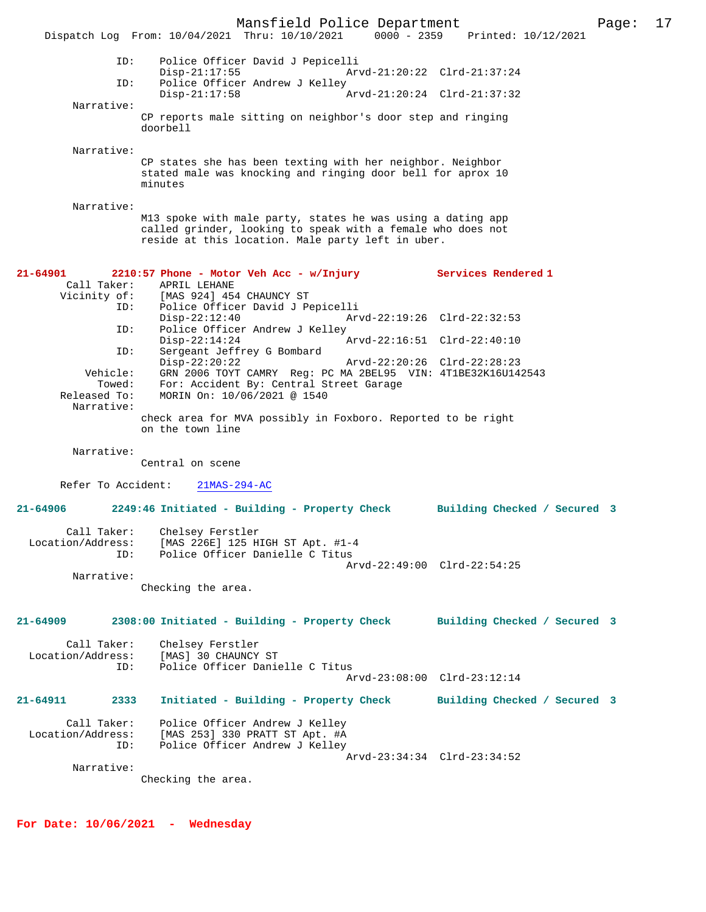Mansfield Police Department Page: 17 Dispatch Log From: 10/04/2021 Thru: 10/10/2021 ID: Police Officer David J Pepicelli Disp-21:17:55 Arvd-21:20:22 Clrd-21:37:24<br>TD: Police Officer Andrew J Kelley Police Officer Andrew J Kelley<br>Disp-21:17:58 Disp-21:17:58 Arvd-21:20:24 Clrd-21:37:32 Narrative: CP reports male sitting on neighbor's door step and ringing doorbell Narrative: CP states she has been texting with her neighbor. Neighbor stated male was knocking and ringing door bell for aprox 10 minutes Narrative: M13 spoke with male party, states he was using a dating app called grinder, looking to speak with a female who does not reside at this location. Male party left in uber. **21-64901 2210:57 Phone - Motor Veh Acc - w/Injury Services Rendered 1**  Call Taker: APRIL LEHANE<br>Vicinity of: [MAS 924] 45 [MAS 924] 454 CHAUNCY ST ID: Police Officer David J Pepicelli Disp-22:12:40 Arvd-22:19:26 Clrd-22:32:53<br>TD: Police Officer Andrew J Kelley Police Officer Andrew J Kelley<br>Disp-22:14:24 Disp-22:14:24 Arvd-22:16:51 Clrd-22:40:10<br>ID: Sergeant Jeffrey G Bombard Sergeant Jeffrey G Bombard<br>Disp-22:20:22 Disp-22:20:22 Arvd-22:20:26 Clrd-22:28:23 Vehicle: GRN 2006 TOYT CAMRY Reg: PC MA 2BEL95 VIN: 4T1BE32K16U142543 Towed: For: Accident By: Central Street Garage<br>Released To: MORIN On: 10/06/2021 @ 1540 MORIN On: 10/06/2021 @ 1540 Narrative: check area for MVA possibly in Foxboro. Reported to be right on the town line Narrative: Central on scene Refer To Accident: 21MAS-294-AC **21-64906 2249:46 Initiated - Building - Property Check Building Checked / Secured 3** Call Taker: Chelsey Ferstler<br>Location/Address: [MAS 226E] 125 H [MAS 226E] 125 HIGH ST Apt. #1-4 ID: Police Officer Danielle C Titus Arvd-22:49:00 Clrd-22:54:25 Narrative: Checking the area. **21-64909 2308:00 Initiated - Building - Property Check Building Checked / Secured 3** Call Taker: Chelsey Ferstler Location/Address: [MAS] 30 CHAUNCY ST Police Officer Danielle C Titus Arvd-23:08:00 Clrd-23:12:14 **21-64911 2333 Initiated - Building - Property Check Building Checked / Secured 3** Call Taker: Police Officer Andrew J Kelley Location/Address: [MAS 253] 330 PRATT ST Apt. #A ID: Police Officer Andrew J Kelley Arvd-23:34:34 Clrd-23:34:52 Narrative: Checking the area.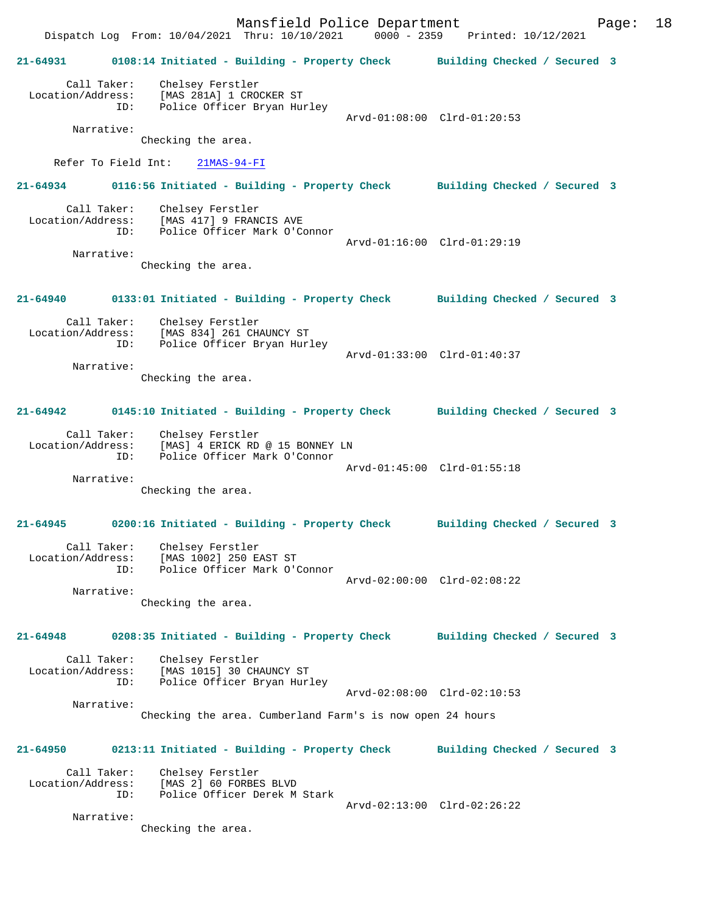Mansfield Police Department Fage: 18 Dispatch Log From: 10/04/2021 Thru: 10/10/2021 0000 - 2359 Printed: 10/12/2021 **21-64931 0108:14 Initiated - Building - Property Check Building Checked / Secured 3** Call Taker: Chelsey Ferstler Location/Address: [MAS 281A] 1 CROCKER ST ID: Police Officer Bryan Hurley Arvd-01:08:00 Clrd-01:20:53 Narrative: Checking the area. Refer To Field Int: 21MAS-94-FI **21-64934 0116:56 Initiated - Building - Property Check Building Checked / Secured 3** Call Taker: Chelsey Ferstler Location/Address: [MAS 417] 9 FRANCIS AVE<br>TD: Police Officer Mark O'Co Police Officer Mark O'Connor Arvd-01:16:00 Clrd-01:29:19 Narrative: Checking the area. **21-64940 0133:01 Initiated - Building - Property Check Building Checked / Secured 3** Call Taker: Chelsey Ferstler Location/Address: [MAS 834] 261 CHAUNCY ST ID: Police Officer Bryan Hurley Arvd-01:33:00 Clrd-01:40:37 Narrative: Checking the area. **21-64942 0145:10 Initiated - Building - Property Check Building Checked / Secured 3** Call Taker: Chelsey Ferstler Location/Address: [MAS] 4 ERICK RD @ 15 BONNEY LN ID: Police Officer Mark O'Connor Arvd-01:45:00 Clrd-01:55:18 Narrative: Checking the area. **21-64945 0200:16 Initiated - Building - Property Check Building Checked / Secured 3** Call Taker: Chelsey Ferstler Location/Address: [MAS 1002] 250 EAST ST ID: Police Officer Mark O'Connor Arvd-02:00:00 Clrd-02:08:22 Narrative: Checking the area. **21-64948 0208:35 Initiated - Building - Property Check Building Checked / Secured 3** Call Taker: Chelsey Ferstler<br>Location/Address: [MAS 1015] 30 CH. [MAS 1015] 30 CHAUNCY ST ID: Police Officer Bryan Hurley Arvd-02:08:00 Clrd-02:10:53 Narrative: Checking the area. Cumberland Farm's is now open 24 hours **21-64950 0213:11 Initiated - Building - Property Check Building Checked / Secured 3** Call Taker: Chelsey Ferstler Location/Address: [MAS 2] 60 FORBES BLVD ID: Police Officer Derek M Stark Arvd-02:13:00 Clrd-02:26:22 Narrative: Checking the area.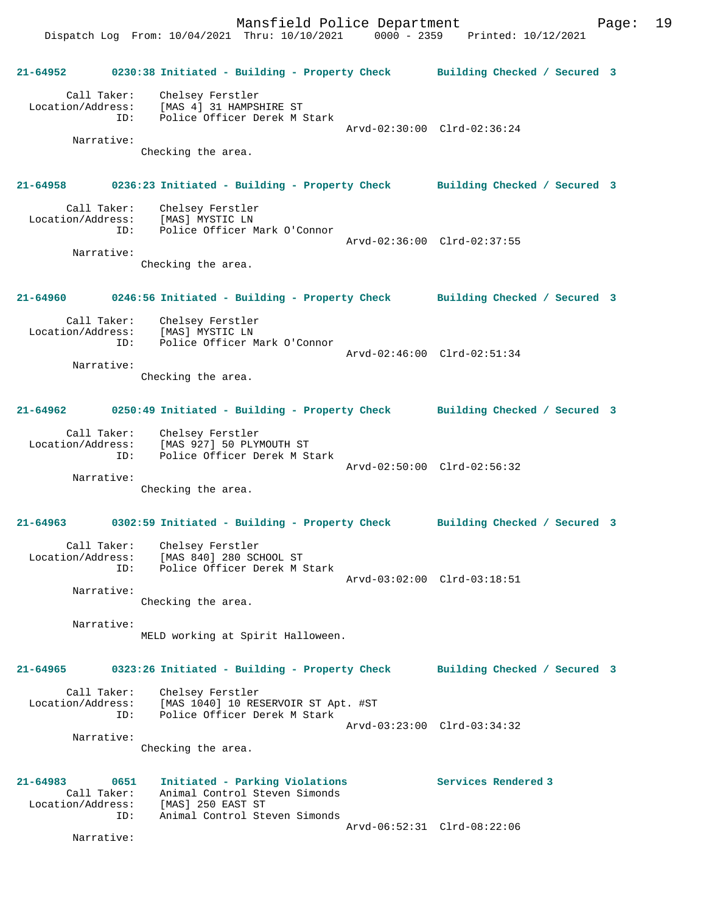**21-64952 0230:38 Initiated - Building - Property Check Building Checked / Secured 3** Call Taker: Chelsey Ferstler Location/Address: [MAS 4] 31 HAMPSHIRE ST ID: Police Officer Derek M Stark Arvd-02:30:00 Clrd-02:36:24 Narrative: Checking the area. **21-64958 0236:23 Initiated - Building - Property Check Building Checked / Secured 3** Call Taker: Chelsey Ferstler Location/Address: [MAS] MYSTIC LN<br>ID: Police Officer M Police Officer Mark O'Connor Arvd-02:36:00 Clrd-02:37:55 Narrative: Checking the area. **21-64960 0246:56 Initiated - Building - Property Check Building Checked / Secured 3** Call Taker: Chelsey Ferstler Location/Address: [MAS] MYSTIC LN ID: Police Officer Mark O'Connor Arvd-02:46:00 Clrd-02:51:34 Narrative: Checking the area. **21-64962 0250:49 Initiated - Building - Property Check Building Checked / Secured 3** Call Taker: Chelsey Ferstler Location/Address: [MAS 927] 50 PLYMOUTH ST ID: Police Officer Derek M Stark Arvd-02:50:00 Clrd-02:56:32 Narrative: Checking the area. **21-64963 0302:59 Initiated - Building - Property Check Building Checked / Secured 3** Call Taker: Chelsey Ferstler Location/Address: [MAS 840] 280 SCHOOL ST ID: Police Officer Derek M Stark Arvd-03:02:00 Clrd-03:18:51 Narrative: Checking the area. Narrative: MELD working at Spirit Halloween. **21-64965 0323:26 Initiated - Building - Property Check Building Checked / Secured 3** Call Taker: Chelsey Ferstler Location/Address: [MAS 1040] 10 RESERVOIR ST Apt. #ST ID: Police Officer Derek M Stark Arvd-03:23:00 Clrd-03:34:32 Narrative: Checking the area. **21-64983 0651 Initiated - Parking Violations Services Rendered 3**  Call Taker: Animal Control Steven Simonds Location/Address: [MAS] 250 EAST ST ID: Animal Control Steven Simonds Arvd-06:52:31 Clrd-08:22:06

Narrative: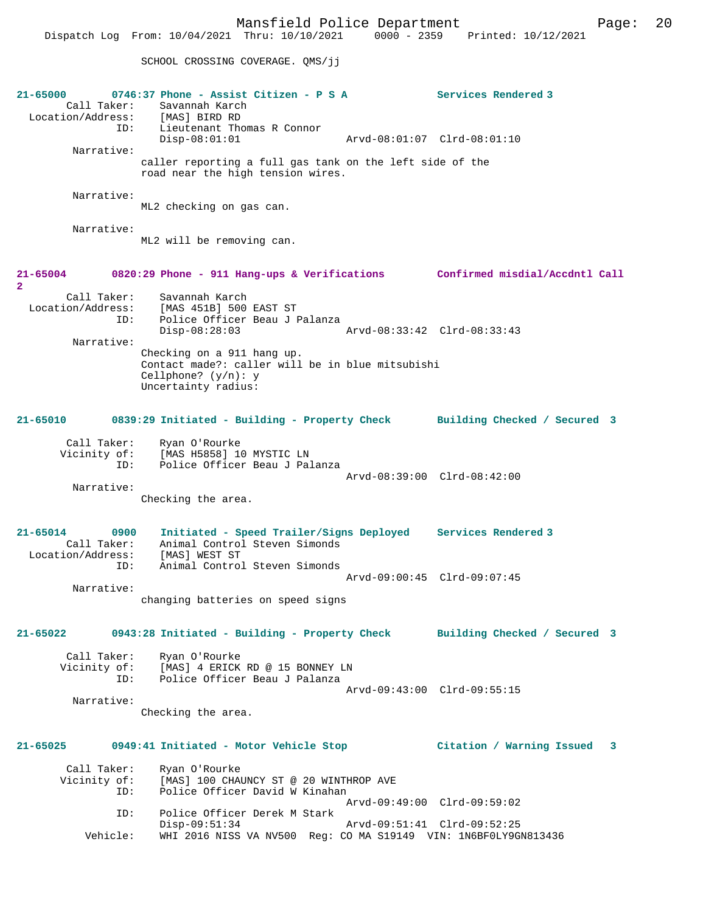SCHOOL CROSSING COVERAGE. QMS/jj

| $21 - 65000$<br>Call Taker:<br>Location/Address: [MAS] BIRD RD | $0746:37$ Phone - Assist Citizen - P S A<br>Savannah Karch                                                                                      | Services Rendered 3          |
|----------------------------------------------------------------|-------------------------------------------------------------------------------------------------------------------------------------------------|------------------------------|
|                                                                | ID: Lieutenant Thomas R Connor<br>$Disp-08:01:01$                                                                                               | Arvd-08:01:07 Clrd-08:01:10  |
| Narrative:                                                     | caller reporting a full gas tank on the left side of the<br>road near the high tension wires.                                                   |                              |
| Narrative:                                                     | ML2 checking on gas can.                                                                                                                        |                              |
| Narrative:                                                     | ML2 will be removing can.                                                                                                                       |                              |
| 21-65004<br>$\mathbf{2}$                                       | 0820:29 Phone - 911 Hang-ups & Verifications Confirmed misdial/Accdntl Call                                                                     |                              |
| Call Taker:<br>ID:                                             | Savannah Karch<br>Location/Address: [MAS 451B] 500 EAST ST<br>Police Officer Beau J Palanza<br>$Disp-08:28:03$                                  | Arvd-08:33:42 Clrd-08:33:43  |
| Narrative:                                                     | Checking on a 911 hang up.<br>Contact made?: caller will be in blue mitsubishi<br>Cellphone? $(y/n): y$<br>Uncertainty radius:                  |                              |
| 21-65010                                                       | 0839:29 Initiated - Building - Property Check Building Checked / Secured 3                                                                      |                              |
| ID:                                                            | Call Taker: Ryan O'Rourke<br>Vicinity of: [MAS H5858] 10 MYSTIC LN<br>Police Officer Beau J Palanza                                             |                              |
| Narrative:                                                     | Checking the area.                                                                                                                              | Arvd-08:39:00 Clrd-08:42:00  |
| 21-65014<br>0900<br>Call Taker:<br>Location/Address:<br>ID:    | Initiated - Speed Trailer/Signs Deployed Services Rendered 3<br>Animal Control Steven Simonds<br>[MAS] WEST ST<br>Animal Control Steven Simonds |                              |
|                                                                |                                                                                                                                                 | Arvd-09:00:45 Clrd-09:07:45  |
| Narrative:                                                     | changing batteries on speed signs                                                                                                               |                              |
| $21 - 65022$                                                   | 0943:28 Initiated - Building - Property Check                                                                                                   | Building Checked / Secured 3 |
| Call Taker:<br>ID:                                             | Ryan O'Rourke<br>Vicinity of: [MAS] 4 ERICK RD @ 15 BONNEY LN<br>Police Officer Beau J Palanza                                                  |                              |
| Narrative:                                                     | Checking the area.                                                                                                                              | Arvd-09:43:00 Clrd-09:55:15  |
| 21-65025                                                       | 0949:41 Initiated - Motor Vehicle Stop                                                                                                          | Citation / Warning Issued 3  |
| Call Taker:<br>Vicinity of:<br>ID:                             | Ryan O'Rourke<br>[MAS] 100 CHAUNCY ST @ 20 WINTHROP AVE<br>Police Officer David W Kinahan                                                       | Arvd-09:49:00 Clrd-09:59:02  |
| ID:                                                            | Police Officer Derek M Stark                                                                                                                    |                              |
| Vehicle:                                                       | $Disp-09:51:34$<br>WHI 2016 NISS VA NV500 Req: CO MA S19149 VIN: 1N6BF0LY9GN813436                                                              | Arvd-09:51:41 Clrd-09:52:25  |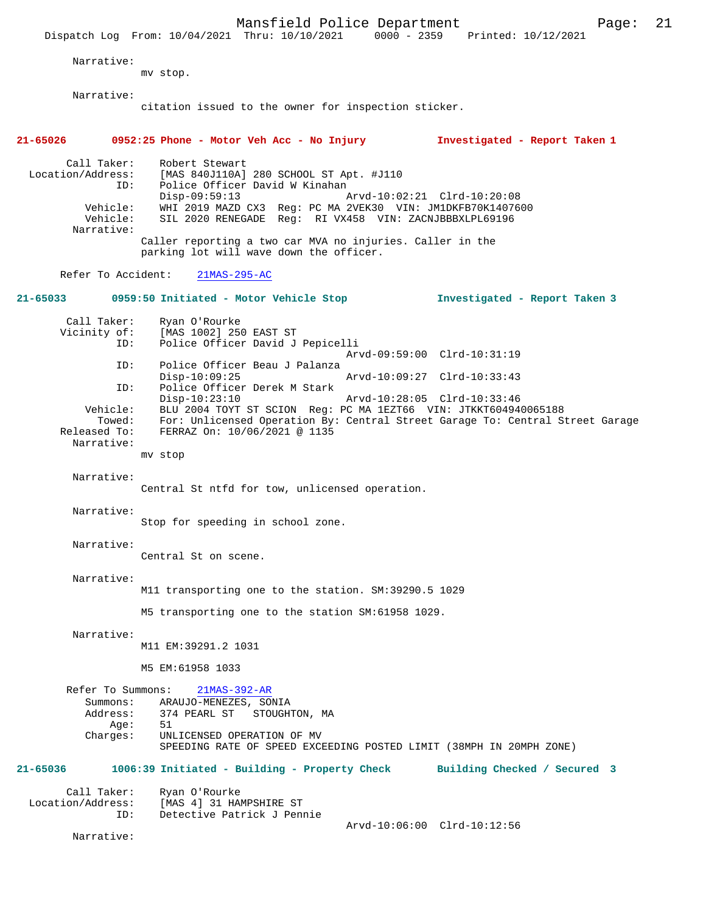Mansfield Police Department Page: 21 Dispatch Log From: 10/04/2021 Thru: 10/10/2021 Narrative: mv stop. Narrative: citation issued to the owner for inspection sticker. **21-65026 0952:25 Phone - Motor Veh Acc - No Injury Investigated - Report Taken 1** Call Taker: Robert Stewart<br>Location/Address: [MAS 840J110A] ess: [MAS 840J110A] 280 SCHOOL ST Apt. #J110<br>ID: Police Officer David W Kinahan ID: Police Officer David W Kinahan Disp-09:59:13 <br>
Vehicle: WHI 2019 MAZD CX3 Reg: PC MA 2VEK30 VIN: JM1DKFB70K14076 Vehicle: WHI 2019 MAZD CX3 Reg: PC MA 2VEK30 VIN: JM1DKFB70K1407600 SIL 2020 RENEGADE Reg: RI VX458 VIN: ZACNJBBBXLPL69196 Narrative: Caller reporting a two car MVA no injuries. Caller in the parking lot will wave down the officer. Refer To Accident: 21MAS-295-AC **21-65033 0959:50 Initiated - Motor Vehicle Stop Investigated - Report Taken 3** Call Taker: Ryan O'Rourke<br>Vicinity of: [MAS 1002] 25 [MAS 1002] 250 EAST ST ID: Police Officer David J Pepicelli Arvd-09:59:00 Clrd-10:31:19<br>ID: Police Officer Beau J Palanza Police Officer Beau J Palanza<br>Disp-10:09:25 Disp-10:09:25 Arvd-10:09:27 Clrd-10:33:43<br>ID: Police Officer Derek M Stark Police Officer Derek M Stark<br>Disp-10:23:10 Disp-10:23:10 Arvd-10:28:05 Clrd-10:33:46<br>Vehicle: BLU 2004 TOYT ST SCION Reg: PC MA 1EZT66 VIN: JTKKT604944 ehicle: BLU 2004 TOYT ST SCION Reg: PC MA 1EZT66 VIN: JTKKT604940065188<br>Towed: For: Unlicensed Operation By: Central Street Garage To: Central S Towed: For: Unlicensed Operation By: Central Street Garage To: Central Street Garage Released To: FERRAZ On: 10/06/2021 @ 1135 FERRAZ On: 10/06/2021 @ 1135 Narrative: mv stop Narrative: Central St ntfd for tow, unlicensed operation. Narrative: Stop for speeding in school zone. Narrative: Central St on scene. Narrative: M11 transporting one to the station. SM:39290.5 1029 M5 transporting one to the station SM:61958 1029. Narrative: M11 EM:39291.2 1031 M5 EM:61958 1033 Refer To Summons: 21MAS-392-AR Summons: ARAUJO-MENEZES, SONIA<br>Address: 374 PEARL ST STOUGH 374 PEARL ST STOUGHTON, MA Age: 51<br>Charges: UNI UNLICENSED OPERATION OF MV SPEEDING RATE OF SPEED EXCEEDING POSTED LIMIT (38MPH IN 20MPH ZONE) **21-65036 1006:39 Initiated - Building - Property Check Building Checked / Secured 3** Call Taker: Ryan O'Rourke<br>Location/Address: [MAS 4] 31 HA ess: [MAS 4] 31 HAMPSHIRE ST<br>ID: Detective Patrick J Pen Detective Patrick J Pennie Arvd-10:06:00 Clrd-10:12:56 Narrative: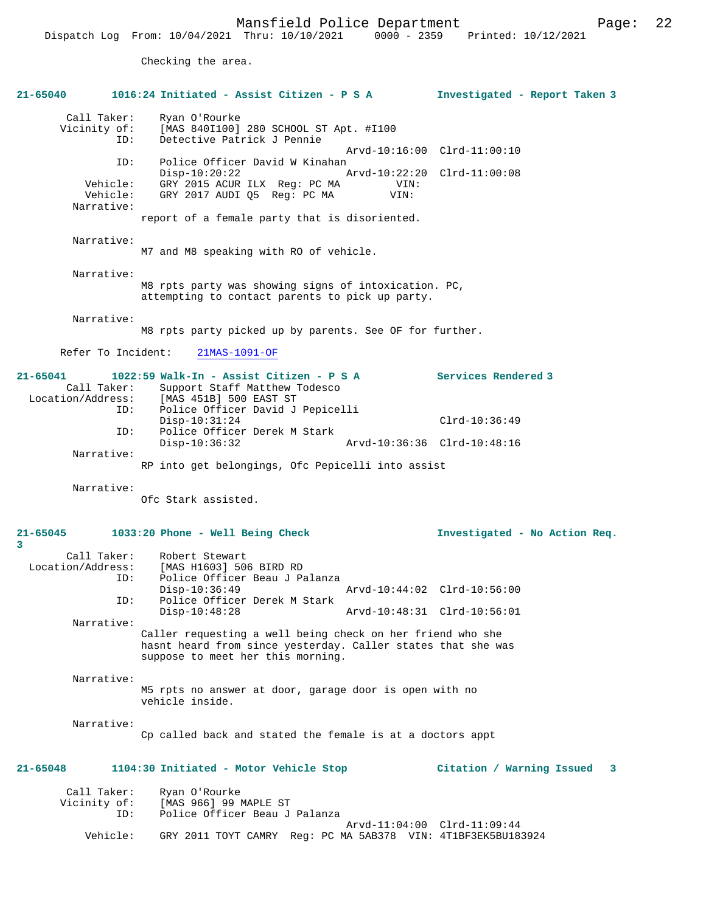Checking the area.

| 21-65040                                         | 1016:24 Initiated - Assist Citizen - P S A                                                                                                                                        | Investigated - Report Taken 3                              |
|--------------------------------------------------|-----------------------------------------------------------------------------------------------------------------------------------------------------------------------------------|------------------------------------------------------------|
| Call Taker:<br>Vicinity of:<br>ID:               | Ryan O'Rourke<br>[MAS 840I100] 280 SCHOOL ST Apt. #I100<br>Detective Patrick J Pennie                                                                                             | Arvd-10:16:00 Clrd-11:00:10                                |
| ID:<br>Vehicle:<br>Vehicle:<br>Narrative:        | Police Officer David W Kinahan<br>$Disp-10:20:22$<br>GRY 2015 ACUR ILX Reg: PC MA<br>VIN:<br>GRY 2017 AUDI Q5 Req: PC MA<br>VIN:<br>report of a female party that is disoriented. | Arvd-10:22:20 Clrd-11:00:08                                |
| Narrative:                                       | M7 and M8 speaking with R0 of vehicle.                                                                                                                                            |                                                            |
| Narrative:                                       | M8 rpts party was showing signs of intoxication. PC,<br>attempting to contact parents to pick up party.                                                                           |                                                            |
| Narrative:                                       | M8 rpts party picked up by parents. See OF for further.                                                                                                                           |                                                            |
| Refer To Incident:                               | $21MAS-1091-OF$                                                                                                                                                                   |                                                            |
| $21 - 65041$<br>Call Taker:<br>Location/Address: | 1022:59 Walk-In - Assist Citizen - P S A<br>Support Staff Matthew Todesco<br>[MAS 451B] 500 EAST ST                                                                               | Services Rendered 3                                        |
| ID:<br>ID:                                       | Police Officer David J Pepicelli<br>$Disp-10:31:24$<br>Police Officer Derek M Stark                                                                                               | $Clrd-10:36:49$                                            |
| Narrative:                                       | $Disp-10:36:32$                                                                                                                                                                   | Arvd-10:36:36 Clrd-10:48:16                                |
|                                                  | RP into get belongings, Ofc Pepicelli into assist                                                                                                                                 |                                                            |
| Narrative:                                       | Ofc Stark assisted.                                                                                                                                                               |                                                            |
| $21 - 65045$<br>3                                | 1033:20 Phone - Well Being Check                                                                                                                                                  | Investigated - No Action Req.                              |
| Call Taker:<br>Location/Address:<br>ID:<br>ID:   | Robert Stewart<br>[MAS H1603] 506 BIRD RD<br>Police Officer Beau J Palanza<br>$Disp-10:36:49$<br>Police Officer Derek M Stark<br>$Disp-10:48:28$                                  | Arvd-10:44:02 Clrd-10:56:00<br>Arvd-10:48:31 Clrd-10:56:01 |
| Narrative:                                       | Caller requesting a well being check on her friend who she<br>hasnt heard from since yesterday. Caller states that she was<br>suppose to meet her this morning.                   |                                                            |
| Narrative:                                       | M5 rpts no answer at door, garage door is open with no<br>vehicle inside.                                                                                                         |                                                            |
| Narrative:                                       | Cp called back and stated the female is at a doctors appt                                                                                                                         |                                                            |
| 21-65048                                         | 1104:30 Initiated - Motor Vehicle Stop                                                                                                                                            | Citation / Warning Issued 3                                |
| Call Taker:<br>Vicinity of:<br>ID:               | Ryan O'Rourke<br>[MAS 966] 99 MAPLE ST<br>Police Officer Beau J Palanza                                                                                                           |                                                            |
| Vehicle:                                         | GRY 2011 TOYT CAMRY Reg: PC MA 5AB378 VIN: 4T1BF3EK5BU183924                                                                                                                      | Arvd-11:04:00 Clrd-11:09:44                                |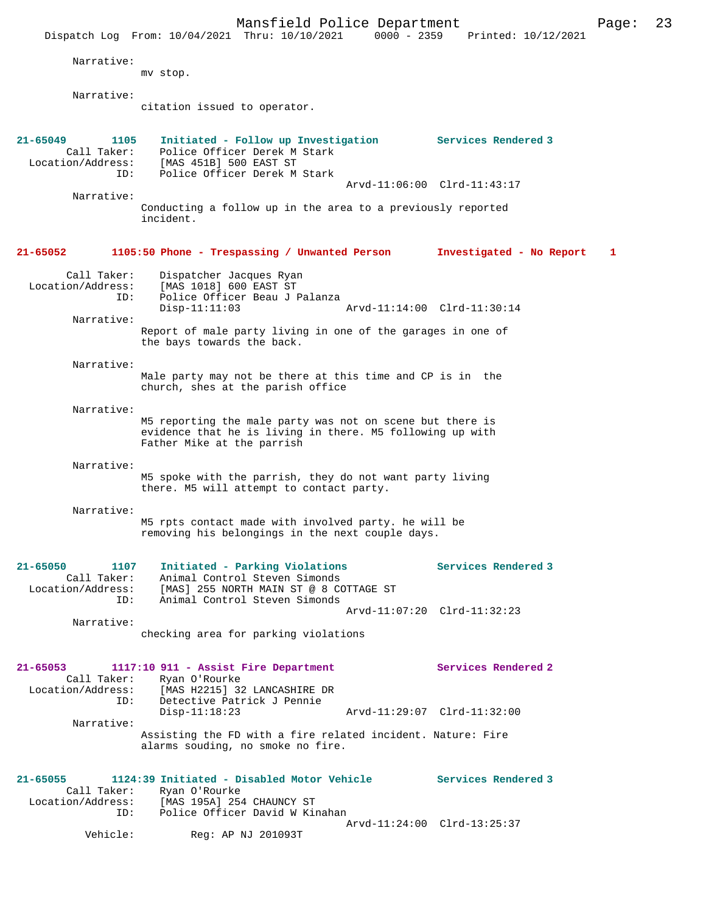|                                                                 | Mansfield Police Department<br>Dispatch Log From: 10/04/2021 Thru: 10/10/2021                                                                                            | $0000 - 2359$ | Printed: 10/12/2021         | Page: | 23 |
|-----------------------------------------------------------------|--------------------------------------------------------------------------------------------------------------------------------------------------------------------------|---------------|-----------------------------|-------|----|
| Narrative:                                                      | mv stop.                                                                                                                                                                 |               |                             |       |    |
| Narrative:                                                      | citation issued to operator.                                                                                                                                             |               |                             |       |    |
| $21 - 65049$<br>1105<br>Call Taker:<br>Location/Address:<br>ID: | Initiated - Follow up Investigation<br>Police Officer Derek M Stark<br>[MAS 451B] 500 EAST ST<br>Police Officer Derek M Stark                                            |               | Services Rendered 3         |       |    |
| Narrative:                                                      | Conducting a follow up in the area to a previously reported<br>incident.                                                                                                 |               | Arvd-11:06:00 Clrd-11:43:17 |       |    |
| $21 - 65052$                                                    | 1105:50 Phone - Trespassing / Unwanted Person                                                                                                                            |               | Investigated - No Report    | 1     |    |
| Call Taker:<br>Location/Address:<br>ID:                         | Dispatcher Jacques Ryan<br>[MAS 1018] 600 EAST ST<br>Police Officer Beau J Palanza<br>$Disp-11:11:03$                                                                    |               | Arvd-11:14:00 Clrd-11:30:14 |       |    |
| Narrative:                                                      | Report of male party living in one of the garages in one of<br>the bays towards the back.                                                                                |               |                             |       |    |
| Narrative:                                                      | Male party may not be there at this time and CP is in the<br>church, shes at the parish office                                                                           |               |                             |       |    |
| Narrative:                                                      | M5 reporting the male party was not on scene but there is<br>evidence that he is living in there. M5 following up with<br>Father Mike at the parrish                     |               |                             |       |    |
| Narrative:                                                      | M5 spoke with the parrish, they do not want party living<br>there. M5 will attempt to contact party.                                                                     |               |                             |       |    |
| Narrative:                                                      | M5 rpts contact made with involved party. he will be<br>removing his belongings in the next couple days                                                                  |               |                             |       |    |
| 21-65050<br>1107<br>ID:                                         | Initiated - Parking Violations<br>Call Taker: Animal Control Steven Simonds<br>Location/Address: [MAS] 255 NORTH MAIN ST @ 8 COTTAGE ST<br>Animal Control Steven Simonds |               | Services Rendered 3         |       |    |
| Narrative:                                                      | checking area for parking violations                                                                                                                                     |               | Arvd-11:07:20 Clrd-11:32:23 |       |    |
| $21 - 65053$                                                    | 1117:10 911 - Assist Fire Department<br>Call Taker: Ryan O'Rourke<br>Location/Address: [MAS H2215] 32 LANCASHIRE DR<br>ID: Detective Patrick J Pennie                    |               | Services Rendered 2         |       |    |
| Narrative:                                                      | $Disp-11:18:23$<br>Assisting the FD with a fire related incident. Nature: Fire<br>alarms souding, no smoke no fire.                                                      |               | Arvd-11:29:07 Clrd-11:32:00 |       |    |
| 21-65055                                                        | 1124:39 Initiated - Disabled Motor Vehicle Services Rendered 3<br>Call Taker: Ryan O'Rourke<br>Location/Address: [MAS 195A] 254 CHAUNCY ST                               |               |                             |       |    |
| Vehicle:                                                        | ID: Police Officer David W Kinahan<br>Reg: AP NJ 201093T                                                                                                                 |               | Arvd-11:24:00 Clrd-13:25:37 |       |    |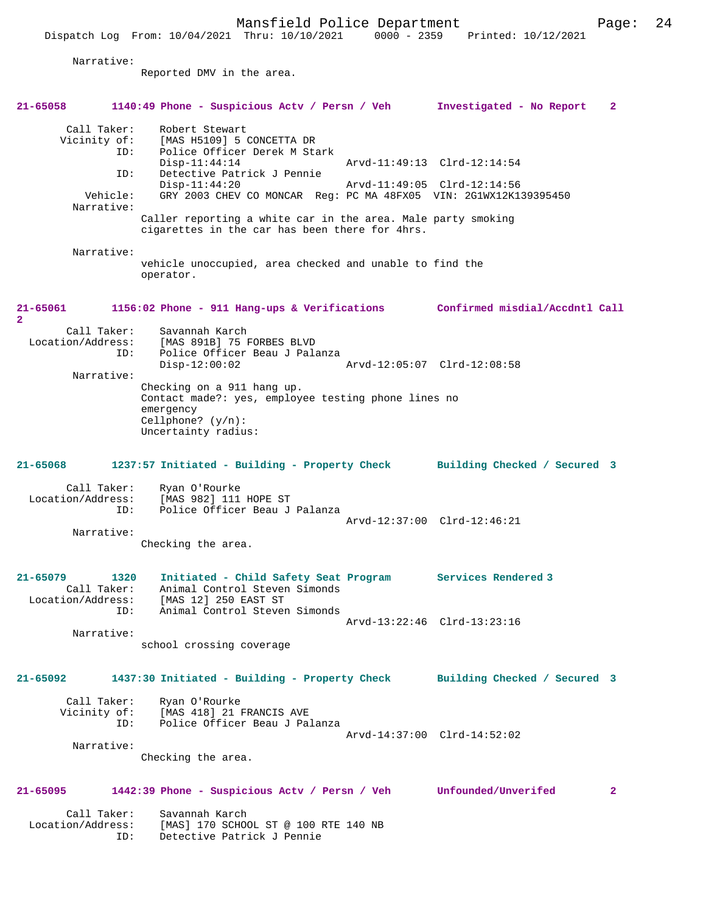Mansfield Police Department Page: 24 Dispatch Log From: 10/04/2021 Thru: 10/10/2021 0000 - 2359 Printed: 10/12/2021 Narrative: Reported DMV in the area. **21-65058 1140:49 Phone - Suspicious Actv / Persn / Veh Investigated - No Report 2** Call Taker: Robert Stewart<br>Vicinity of: [MAS H5109] 5 0 [MAS H5109] 5 CONCETTA DR ID: Police Officer Derek M Stark Disp-11:44:14 Arvd-11:49:13 Clrd-12:14:54 ID: Detective Patrick J Pennie Disp-11:44:20 Arvd-11:49:05 Clrd-12:14:56<br>Vehicle: GRY 2003 CHEV CO MONCAR Reg: PC MA 48FX05 VIN: 2G1WX12K1 GRY 2003 CHEV CO MONCAR Reg: PC MA 48FX05 VIN: 2G1WX12K139395450 Narrative: Caller reporting a white car in the area. Male party smoking cigarettes in the car has been there for 4hrs. Narrative: vehicle unoccupied, area checked and unable to find the operator. **21-65061 1156:02 Phone - 911 Hang-ups & Verifications Confirmed misdial/Accdntl Call 2**  Call Taker: Savannah Karch<br>Location/Address: [MAS 891B] 75 B ess: [MAS 891B] 75 FORBES BLVD<br>ID: Police Officer Beau J Pala Police Officer Beau J Palanza<br>Disp-12:00:02 Disp-12:00:02 Arvd-12:05:07 Clrd-12:08:58 Narrative: Checking on a 911 hang up. Contact made?: yes, employee testing phone lines no emergency Cellphone? (y/n): Uncertainty radius: **21-65068 1237:57 Initiated - Building - Property Check Building Checked / Secured 3** Call Taker: Ryan O'Rourke<br>Location/Address: [MAS 982] 111 ess: [MAS 982] 111 HOPE ST<br>ID: Police Officer Beau J Police Officer Beau J Palanza Arvd-12:37:00 Clrd-12:46:21 Narrative: Checking the area. **21-65079 1320 Initiated - Child Safety Seat Program Services Rendered 3**  Call Taker: Animal Control Steven Simonds Location/Address: [MAS 12] 250 EAST ST ID: Animal Control Steven Simonds Arvd-13:22:46 Clrd-13:23:16 Narrative: school crossing coverage **21-65092 1437:30 Initiated - Building - Property Check Building Checked / Secured 3** Call Taker: Ryan O'Rourke Vicinity of: [MAS 418] 21 FRANCIS AVE ID: Police Officer Beau J Palanza Arvd-14:37:00 Clrd-14:52:02 Narrative: Checking the area. **21-65095 1442:39 Phone - Suspicious Actv / Persn / Veh Unfounded/Unverifed 2** Call Taker: Savannah Karch Location/Address: [MAS] 170 SCHOOL ST @ 100 RTE 140 NB ID: Detective Patrick J Pennie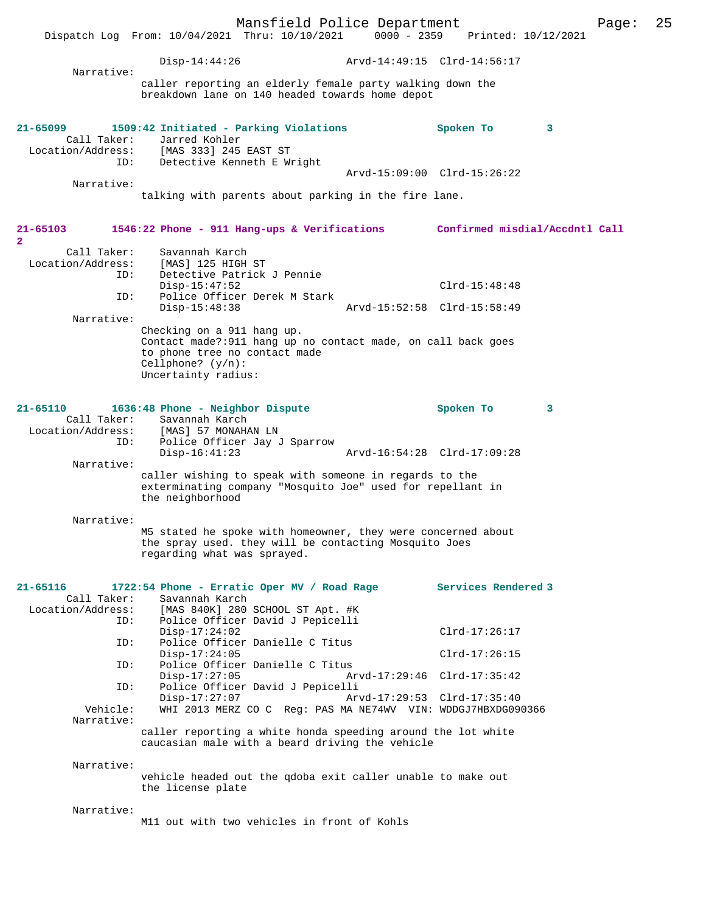|                                                  | Mansfield Police Department<br>Dispatch Log From: 10/04/2021 Thru: 10/10/2021                                                                                               | $0000 - 2359$ | Printed: 10/12/2021            | Page: | 25 |
|--------------------------------------------------|-----------------------------------------------------------------------------------------------------------------------------------------------------------------------------|---------------|--------------------------------|-------|----|
|                                                  | Disp-14:44:26                                                                                                                                                               |               |                                |       |    |
| Narrative:                                       | caller reporting an elderly female party walking down the<br>breakdown lane on 140 headed towards home depot                                                                |               |                                |       |    |
| $21 - 65099$<br>Call Taker:<br>ID:               | 1509:42 Initiated - Parking Violations<br>Jarred Kohler<br>Location/Address: [MAS 333] 245 EAST ST<br>Detective Kenneth E Wright                                            |               | Spoken To<br>3                 |       |    |
| Narrative:                                       |                                                                                                                                                                             |               | Arvd-15:09:00 Clrd-15:26:22    |       |    |
|                                                  | talking with parents about parking in the fire lane.                                                                                                                        |               |                                |       |    |
| 21-65103<br>$\mathbf{2}$                         | 1546:22 Phone - 911 Hang-ups & Verifications                                                                                                                                |               | Confirmed misdial/Accdntl Call |       |    |
| Call Taker:<br>Location/Address:<br>ID:          | Savannah Karch<br>[MAS] 125 HIGH ST<br>Detective Patrick J Pennie                                                                                                           |               |                                |       |    |
| ID:                                              | $Disp-15:47:52$<br>Police Officer Derek M Stark                                                                                                                             |               | $Clrd-15:48:48$                |       |    |
| Narrative:                                       | $Disp-15:48:38$                                                                                                                                                             |               | Arvd-15:52:58 Clrd-15:58:49    |       |    |
|                                                  | Checking on a 911 hang up.<br>Contact made?: 911 hang up no contact made, on call back goes<br>to phone tree no contact made<br>Cellphone? $(y/n)$ :<br>Uncertainty radius: |               |                                |       |    |
| $21 - 65110$<br>ID:                              | 1636:48 Phone - Neighbor Dispute<br>Call Taker: Savannah Karch<br>Location/Address: [MAS] 57 MONAHAN LN<br>Police Officer Jay J Sparrow                                     |               | Spoken To<br>3                 |       |    |
| Narrative:                                       | $Disp-16:41:23$                                                                                                                                                             |               | Arvd-16:54:28 Clrd-17:09:28    |       |    |
|                                                  | caller wishing to speak with someone in regards to the<br>exterminating company "Mosquito Joe" used for repellant in<br>the neighborhood                                    |               |                                |       |    |
| Narrative:                                       | M5 stated he spoke with homeowner, they were concerned about<br>the spray used. they will be contacting Mosquito Joes<br>regarding what was sprayed.                        |               |                                |       |    |
| $21 - 65116$<br>Call Taker:<br>Location/Address: | 1722:54 Phone - Erratic Oper MV / Road Rage<br>Savannah Karch<br>[MAS 840K] 280 SCHOOL ST Apt. #K                                                                           |               | Services Rendered 3            |       |    |
| ID:                                              | Police Officer David J Pepicelli<br>$Disp-17:24:02$                                                                                                                         |               | $Clrd-17:26:17$                |       |    |
| ID:                                              | Police Officer Danielle C Titus<br>$Disp-17:24:05$                                                                                                                          |               | $Clrd-17:26:15$                |       |    |
| ID:                                              | Police Officer Danielle C Titus<br>$Disp-17:27:05$                                                                                                                          |               | Arvd-17:29:46 Clrd-17:35:42    |       |    |
| ID:                                              | Police Officer David J Pepicelli<br>$Disp-17:27:07$                                                                                                                         |               | Arvd-17:29:53 Clrd-17:35:40    |       |    |
| Vehicle:<br>Narrative:                           | WHI 2013 MERZ CO C Req: PAS MA NE74WV VIN: WDDGJ7HBXDG090366                                                                                                                |               |                                |       |    |
|                                                  | caller reporting a white honda speeding around the lot white<br>caucasian male with a beard driving the vehicle                                                             |               |                                |       |    |

Narrative:

vehicle headed out the qdoba exit caller unable to make out the license plate

Narrative:

M11 out with two vehicles in front of Kohls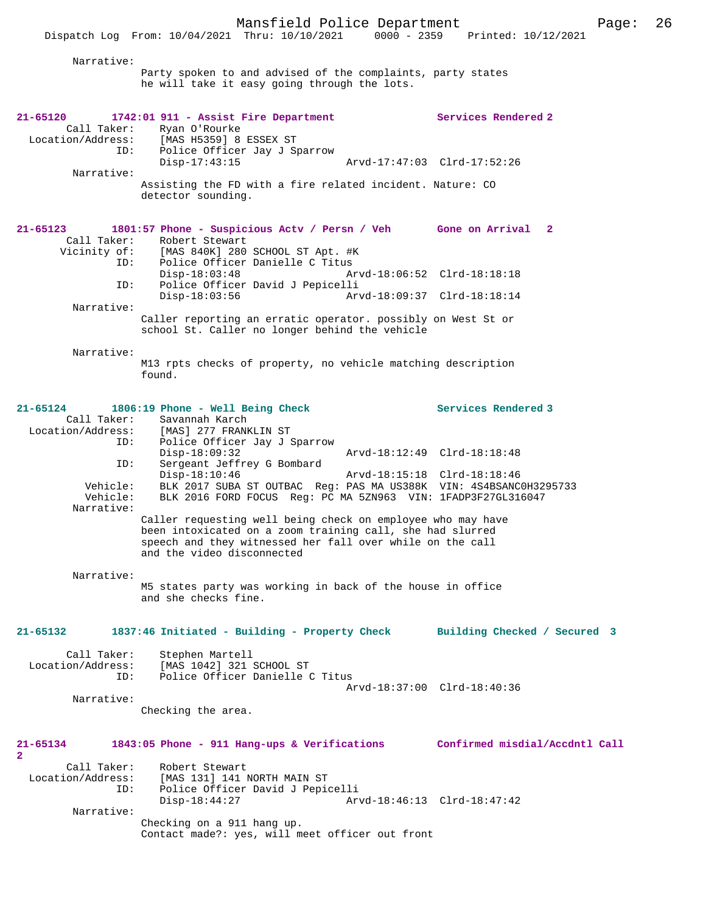Narrative:

Party spoken to and advised of the complaints, party states he will take it easy going through the lots.

| 21-65120<br>Call Taker:                               | 1742:01 911 - Assist Fire Department<br>Ryan O'Rourke<br>Location/Address: [MAS H5359] 8 ESSEX ST                                                                                                                   | Services Rendered 2          |
|-------------------------------------------------------|---------------------------------------------------------------------------------------------------------------------------------------------------------------------------------------------------------------------|------------------------------|
| ID:<br>Narrative:                                     | Police Officer Jay J Sparrow<br>$Disp-17:43:15$                                                                                                                                                                     | Arvd-17:47:03 Clrd-17:52:26  |
|                                                       | Assisting the FD with a fire related incident. Nature: CO<br>detector sounding.                                                                                                                                     |                              |
| 21-65123<br>Call Taker:                               | 1801:57 Phone - Suspicious Actv / Persn / Veh Gone on Arrival 2<br>Robert Stewart<br>Vicinity of: [MAS 840K] 280 SCHOOL ST Apt. #K                                                                                  |                              |
| ID:<br>ID:                                            | Police Officer Danielle C Titus<br>$Disp-18:03:48$<br>Police Officer David J Pepicelli                                                                                                                              | Arvd-18:06:52 Clrd-18:18:18  |
| Narrative:                                            | $Disp-18:03:56$                                                                                                                                                                                                     | Arvd-18:09:37 Clrd-18:18:14  |
|                                                       | Caller reporting an erratic operator. possibly on West St or<br>school St. Caller no longer behind the vehicle                                                                                                      |                              |
| Narrative:                                            | M13 rpts checks of property, no vehicle matching description<br>found.                                                                                                                                              |                              |
| 21-65124<br>ID:                                       | 1806:19 Phone - Well Being Check<br>Call Taker: Savannah Karch<br>Location/Address: [MAS] 277 FRANKLIN ST                                                                                                           | Services Rendered 3          |
| ID:                                                   | Police Officer Jay J Sparrow<br>$Disp-18:09:32$<br>Sergeant Jeffrey G Bombard                                                                                                                                       | Arvd-18:12:49 Clrd-18:18:48  |
| Vehicle:<br>Vehicle:<br>Narrative:                    | $Disp-18:10:46$<br>Arvd-18:15:18 Clrd-18:18:46<br>BLK 2017 SUBA ST OUTBAC Reg: PAS MA US388K VIN: 4S4BSANC0H3295733<br>BLK 2016 FORD FOCUS Req: PC MA 5ZN963 VIN: 1FADP3F27GL316047                                 |                              |
|                                                       | Caller requesting well being check on employee who may have<br>been intoxicated on a zoom training call, she had slurred<br>speech and they witnessed her fall over while on the call<br>and the video disconnected |                              |
| Narrative:                                            | M5 states party was working in back of the house in office<br>and she checks fine.                                                                                                                                  |                              |
| $21 - 65132$                                          | 1837:46 Initiated - Building - Property Check                                                                                                                                                                       | Building Checked / Secured 3 |
| Call Taker:<br>Location/Address:<br>ID:               | Stephen Martell<br>[MAS 1042] 321 SCHOOL ST<br>Police Officer Danielle C Titus                                                                                                                                      | Arvd-18:37:00 Clrd-18:40:36  |
| Narrative:                                            | Checking the area.                                                                                                                                                                                                  |                              |
| 21-65134<br>2                                         | 1843:05 Phone - 911 Hang-ups & Verifications Confirmed misdial/Accdntl Call                                                                                                                                         |                              |
| Call Taker:<br>Location/Address:<br>ID:<br>Narrative: | Robert Stewart<br>[MAS 131] 141 NORTH MAIN ST<br>Police Officer David J Pepicelli<br>$Disp-18:44:27$                                                                                                                | Arvd-18:46:13 Clrd-18:47:42  |
|                                                       | Checking on a 911 hang up.<br>Contact made?: yes, will meet officer out front                                                                                                                                       |                              |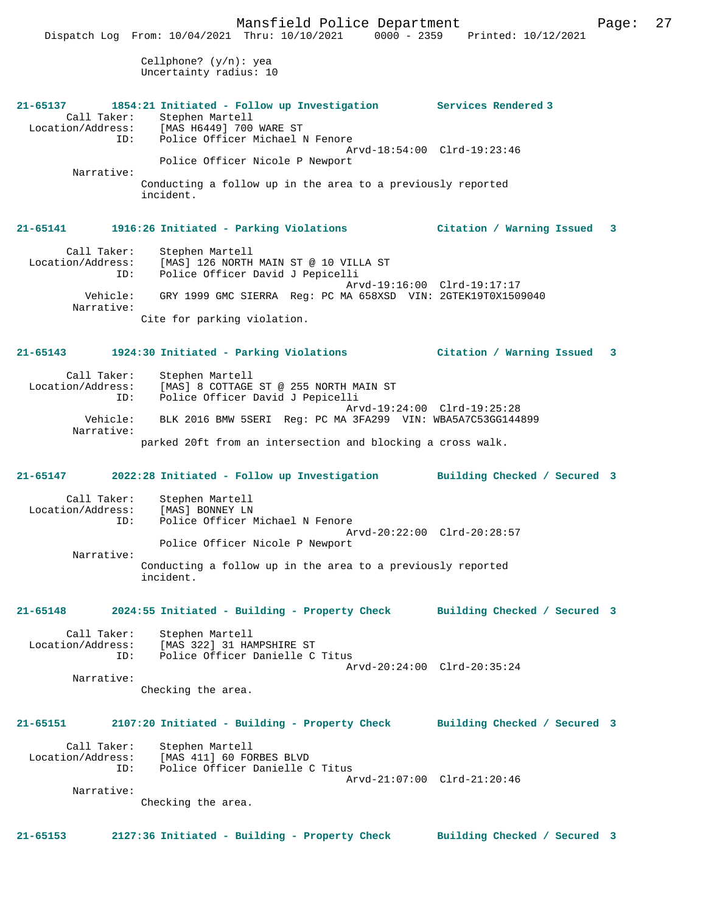Cellphone? (y/n): yea Uncertainty radius: 10 **21-65137 1854:21 Initiated - Follow up Investigation Services Rendered 3**  Call Taker: Stephen Martell<br>Location/Address: [MAS H6449] 700 ES: [MAS H6449] 700 WARE ST<br>ID: Police Officer Michael 1 Police Officer Michael N Fenore Arvd-18:54:00 Clrd-19:23:46 Police Officer Nicole P Newport Narrative: Conducting a follow up in the area to a previously reported incident. **21-65141 1916:26 Initiated - Parking Violations Citation / Warning Issued 3** Call Taker: Stephen Martell<br>Location/Address: [MAS] 126 NORTH ess: [MAS] 126 NORTH MAIN ST @ 10 VILLA ST<br>ID: Police Officer David J Pepicelli Police Officer David J Pepicelli Arvd-19:16:00 Clrd-19:17:17 Vehicle: GRY 1999 GMC SIERRA Reg: PC MA 658XSD VIN: 2GTEK19T0X1509040 Narrative: Cite for parking violation. **21-65143 1924:30 Initiated - Parking Violations Citation / Warning Issued 3** Call Taker: Stephen Martell Location/Address: [MAS] 8 COTTAGE ST @ 255 NORTH MAIN ST ID: Police Officer David J Pepicelli Arvd-19:24:00 Clrd-19:25:28 Vehicle: BLK 2016 BMW 5SERI Reg: PC MA 3FA299 VIN: WBA5A7C53GG144899 Narrative: parked 20ft from an intersection and blocking a cross walk. **21-65147 2022:28 Initiated - Follow up Investigation Building Checked / Secured 3** Call Taker: Stephen Martell<br>ion/Address: [MAS] BONNEY LN Location/Address: ID: Police Officer Michael N Fenore Arvd-20:22:00 Clrd-20:28:57 Police Officer Nicole P Newport Narrative: Conducting a follow up in the area to a previously reported incident. **21-65148 2024:55 Initiated - Building - Property Check Building Checked / Secured 3** Call Taker: Stephen Martell<br>Location/Address: [MAS 322] 31 HA [MAS 322] 31 HAMPSHIRE ST ID: Police Officer Danielle C Titus Arvd-20:24:00 Clrd-20:35:24 Narrative: Checking the area. **21-65151 2107:20 Initiated - Building - Property Check Building Checked / Secured 3** Call Taker: Stephen Martell<br>Location/Address: [MAS 411] 60 FO [MAS 411] 60 FORBES BLVD ID: Police Officer Danielle C Titus Arvd-21:07:00 Clrd-21:20:46 Narrative: Checking the area. **21-65153 2127:36 Initiated - Building - Property Check Building Checked / Secured 3**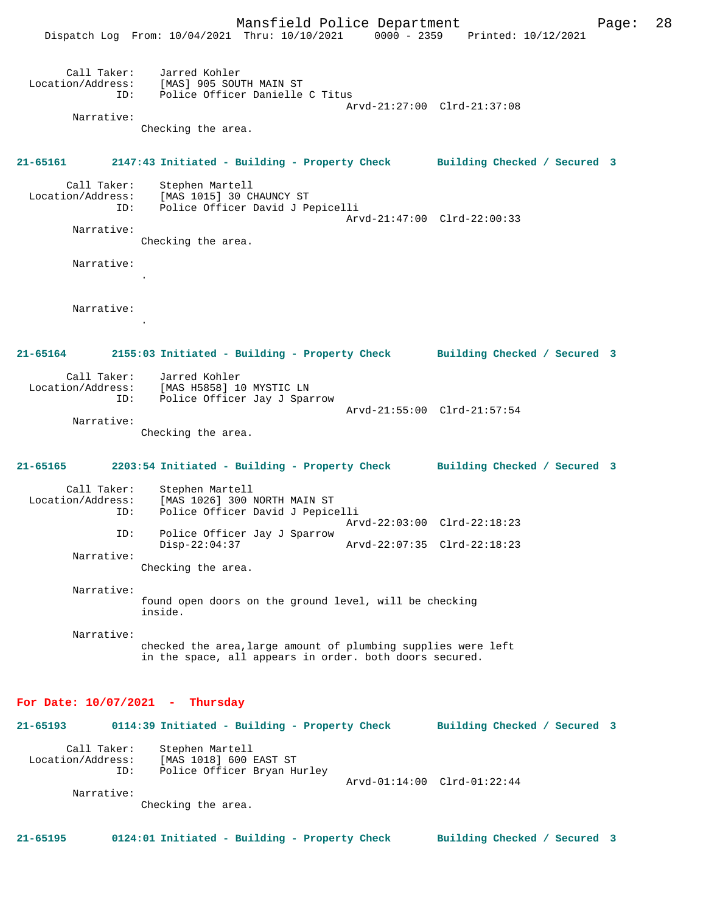Mansfield Police Department Form Page: 28 Dispatch Log From: 10/04/2021 Thru: 10/10/2021 0000 - 2359 Printed: 10/12/2021 Call Taker: Jarred Kohler Location/Address: [MAS] 905 SOUTH MAIN ST ID: Police Officer Danielle C Titus Arvd-21:27:00 Clrd-21:37:08 Narrative: Checking the area. **21-65161 2147:43 Initiated - Building - Property Check Building Checked / Secured 3** Call Taker: Stephen Martell Location/Address: [MAS 1015] 30 CHAUNCY ST Police Officer David J Pepicelli Arvd-21:47:00 Clrd-22:00:33 Narrative: Checking the area. Narrative: . Narrative: . **21-65164 2155:03 Initiated - Building - Property Check Building Checked / Secured 3** Call Taker: Jarred Kohler Location/Address: [MAS H5858] 10 MYSTIC LN ID: Police Officer Jay J Sparrow Arvd-21:55:00 Clrd-21:57:54 Narrative: Checking the area. **21-65165 2203:54 Initiated - Building - Property Check Building Checked / Secured 3** Call Taker: Stephen Martell Location/Address: [MAS 1026] 300 NORTH MAIN ST Police Officer David J Pepicelli Arvd-22:03:00 Clrd-22:18:23 ID: Police Officer Jay J Sparrow Disp-22:04:37 Arvd-22:07:35 Clrd-22:18:23 Narrative: Checking the area. Narrative: found open doors on the ground level, will be checking inside. Narrative: checked the area,large amount of plumbing supplies were left in the space, all appears in order. both doors secured. **For Date: 10/07/2021 - Thursday 21-65193 0114:39 Initiated - Building - Property Check Building Checked / Secured 3** Call Taker: Stephen Martell<br>Location/Address: [MAS 1018] 600 1 Location/Address: [MAS 1018] 600 EAST ST ID: Police Officer Bryan Hurley ID: Police Officer Bryan Hurley<br>Arvd-01:14:00 Clrd-01:22:44 Narrative:

Checking the area.

**21-65195 0124:01 Initiated - Building - Property Check Building Checked / Secured 3**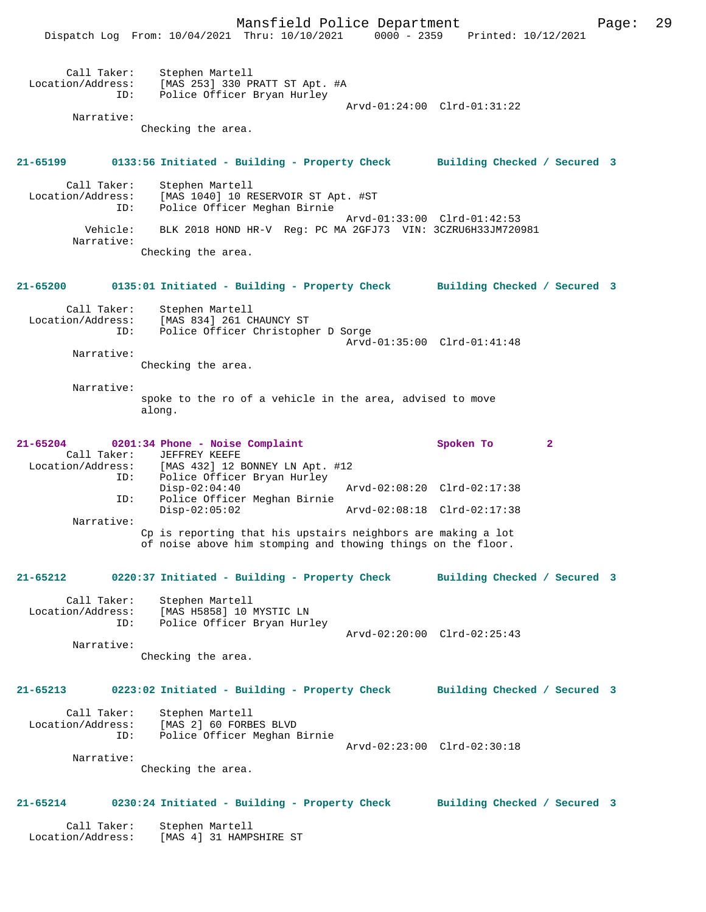Dispatch Log From: 10/04/2021 Thru: 10/10/2021 0000 - 2359 Printed: 10/12/2021

| Call Taker:<br>Location/Address:                 | ID:        | Stephen Martell<br>[MAS 253] 330 PRATT ST Apt. #A<br>Police Officer Bryan Hurley                                             |                             | Arvd-01:24:00 Clrd-01:31:22  |              |  |
|--------------------------------------------------|------------|------------------------------------------------------------------------------------------------------------------------------|-----------------------------|------------------------------|--------------|--|
| Narrative:                                       |            | Checking the area.                                                                                                           |                             |                              |              |  |
| 21-65199                                         |            | 0133:56 Initiated - Building - Property Check                                                                                |                             | Building Checked / Secured 3 |              |  |
| Call Taker:<br>Location/Address:                 | ID:        | Stephen Martell<br>[MAS 1040] 10 RESERVOIR ST Apt. #ST<br>Police Officer Meghan Birnie                                       |                             |                              |              |  |
| Narrative:                                       | Vehicle:   | BLK 2018 HOND HR-V Reg: PC MA 2GFJ73 VIN: 3CZRU6H33JM720981                                                                  | Arvd-01:33:00 Clrd-01:42:53 |                              |              |  |
|                                                  |            | Checking the area.                                                                                                           |                             |                              |              |  |
| 21-65200                                         |            | 0135:01 Initiated - Building - Property Check                                                                                |                             | Building Checked / Secured 3 |              |  |
| Call Taker:<br>Location/Address:                 | ID:        | Stephen Martell<br>[MAS 834] 261 CHAUNCY ST<br>Police Officer Christopher D Sorge                                            |                             |                              |              |  |
| Narrative:                                       |            | Checking the area.                                                                                                           | Arvd-01:35:00 Clrd-01:41:48 |                              |              |  |
| Narrative:                                       |            | spoke to the ro of a vehicle in the area, advised to move<br>along.                                                          |                             |                              |              |  |
| $21 - 65204$<br>Call Taker:<br>Location/Address: |            | 0201:34 Phone - Noise Complaint<br>JEFFREY KEEFE<br>[MAS 432] 12 BONNEY LN Apt. #12                                          |                             | Spoken To                    | $\mathbf{2}$ |  |
|                                                  | ID:<br>ID: | Police Officer Bryan Hurley<br>$Disp-02:04:40$<br>Police Officer Meghan Birnie                                               | Arvd-02:08:20 Clrd-02:17:38 |                              |              |  |
|                                                  |            | $Disp-02:05:02$                                                                                                              | Arvd-02:08:18 Clrd-02:17:38 |                              |              |  |
| Narrative:                                       |            | Cp is reporting that his upstairs neighbors are making a lot<br>of noise above him stomping and thowing things on the floor. |                             |                              |              |  |
| 21-65212                                         |            | 0220:37 Initiated - Building - Property Check                                                                                |                             | Building Checked / Secured 3 |              |  |
| Call Taker:<br>Location/Address:                 | ID:        | Stephen Martell<br>[MAS H5858] 10 MYSTIC LN<br>Police Officer Bryan Hurley                                                   | Arvd-02:20:00 Clrd-02:25:43 |                              |              |  |
| Narrative:                                       |            |                                                                                                                              |                             |                              |              |  |
|                                                  |            | Checking the area.                                                                                                           |                             |                              |              |  |
| 21-65213                                         |            | 0223:02 Initiated - Building - Property Check Building Checked / Secured 3                                                   |                             |                              |              |  |
| Call Taker:<br>Location/Address:                 | ID:        | Stephen Martell<br>[MAS 2] 60 FORBES BLVD<br>Police Officer Meghan Birnie                                                    | Arvd-02:23:00 Clrd-02:30:18 |                              |              |  |
| Narrative:                                       |            | Checking the area.                                                                                                           |                             |                              |              |  |
| 21-65214                                         |            | 0230:24 Initiated - Building - Property Check                                                                                |                             | Building Checked / Secured 3 |              |  |
| Call Taker:<br>Location/Address:                 |            | Stephen Martell<br>[MAS 4] 31 HAMPSHIRE ST                                                                                   |                             |                              |              |  |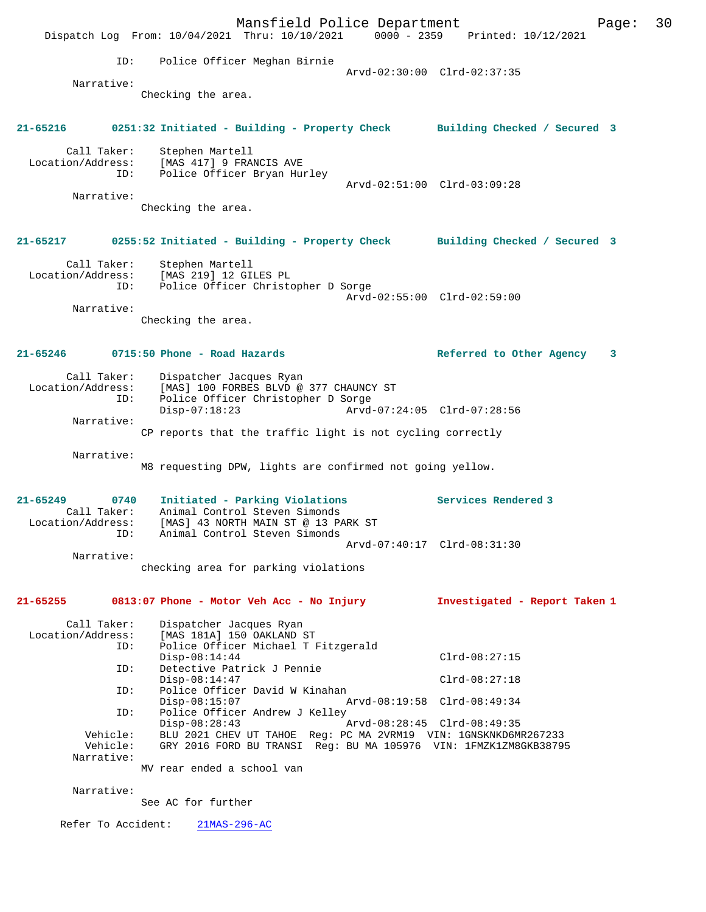Mansfield Police Department Fage: 30 Dispatch Log From: 10/04/2021 Thru: 10/10/2021 0000 - 2359 Printed: 10/12/2021 ID: Police Officer Meghan Birnie Arvd-02:30:00 Clrd-02:37:35 Narrative: Checking the area. **21-65216 0251:32 Initiated - Building - Property Check Building Checked / Secured 3** Call Taker: Stephen Martell Location/Address: [MAS 417] 9 FRANCIS AVE ID: Police Officer Bryan Hurley Arvd-02:51:00 Clrd-03:09:28 Narrative: Checking the area. **21-65217 0255:52 Initiated - Building - Property Check Building Checked / Secured 3** Call Taker: Stephen Martell Location/Address: [MAS 219] 12 GILES PL ID: Police Officer Christopher D Sorge Arvd-02:55:00 Clrd-02:59:00 Narrative: Checking the area. **21-65246 0715:50 Phone - Road Hazards Referred to Other Agency 3** Call Taker: Dispatcher Jacques Ryan Location/Address: [MAS] 100 FORBES BLVD @ 377 CHAUNCY ST ID: Police Officer Christopher D Sorge<br>Disp-07:18:23 Arvd- Disp-07:18:23 Arvd-07:24:05 Clrd-07:28:56 Narrative: CP reports that the traffic light is not cycling correctly Narrative: M8 requesting DPW, lights are confirmed not going yellow. **21-65249 0740 Initiated - Parking Violations Services Rendered 3**  Call Taker: Animal Control Steven Simonds<br>Location/Address: [MAS] 43 NORTH MAIN ST @ 13 PA ess: [MAS] 43 NORTH MAIN ST @ 13 PARK ST<br>ID: Animal Control Steven Simonds ID: ......<br>Animal Control Steven Simonds Arvd-07:40:17 Clrd-08:31:30 Narrative: checking area for parking violations **21-65255 0813:07 Phone - Motor Veh Acc - No Injury Investigated - Report Taken 1** Call Taker: Dispatcher Jacques Ryan Location/Address: [MAS 181A] 150 OAKLAND ST ID: Police Officer Michael T Fitzgerald Disp-08:14:44 Clrd-08:27:15<br>ID: Detective Patrick J Pennie Detective Patrick J Pennie Disp-08:14:47 Clrd-08:27:18<br>ID: Police Officer David W Kinahan ID: Police Officer David W Kinahan Disp-08:15:07 Arvd-08:19:58 Clrd-08:49:34<br>ID: Police Officer Andrew J Kelley Police Officer Andrew J Kelley<br>Disp-08:28:43 Disp-08:28:43 Arvd-08:28:45 Clrd-08:49:35<br>Vehicle: BLU 2021 CHEV UT TAHOE Reg: PC MA 2VRM19 VIN: 1GNSKNKD6M BLU 2021 CHEV UT TAHOE Reg: PC MA 2VRM19 VIN: 1GNSKNKD6MR267233 Vehicle: GRY 2016 FORD BU TRANSI Reg: BU MA 105976 VIN: 1FMZK1ZM8GKB38795 Narrative: MV rear ended a school van Narrative: See AC for further Refer To Accident: 21MAS-296-AC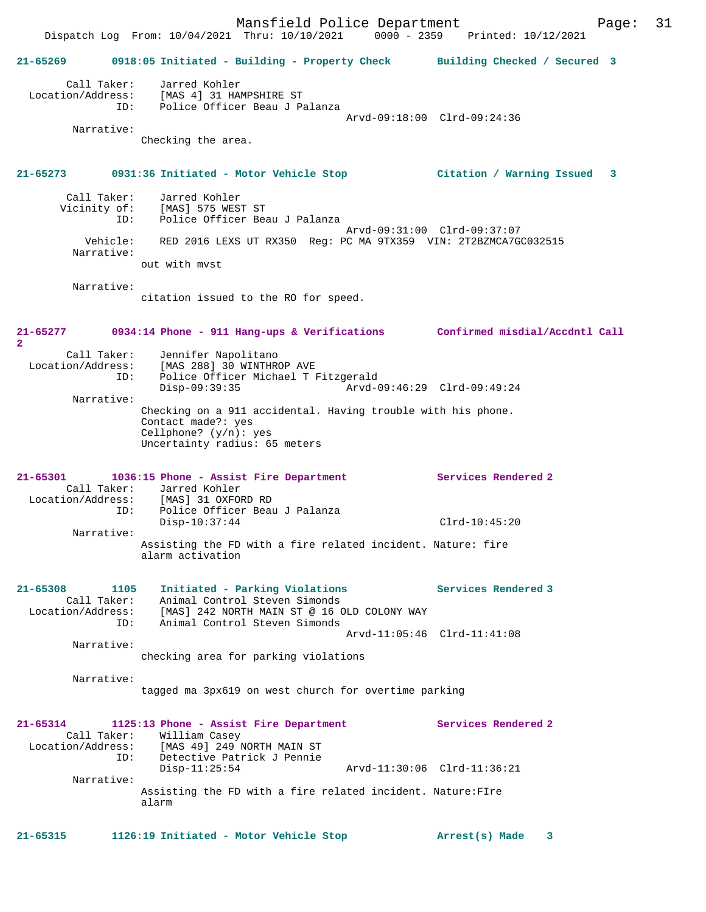Mansfield Police Department Page: 31 Dispatch Log From: 10/04/2021 Thru: 10/10/2021 0000 - 2359 Printed: 10/12/2021 **21-65269 0918:05 Initiated - Building - Property Check Building Checked / Secured 3** Call Taker: Jarred Kohler Location/Address: [MAS 4] 31 HAMPSHIRE ST ID: Police Officer Beau J Palanza Arvd-09:18:00 Clrd-09:24:36 Narrative: Checking the area. **21-65273 0931:36 Initiated - Motor Vehicle Stop Citation / Warning Issued 3** Call Taker: Jarred Kohler Vicinity of: [MAS] 575 WEST ST Police Officer Beau J Palanza Arvd-09:31:00 Clrd-09:37:07<br>Vehicle: RED 2016 LEXS UT RX350 Req: PC MA 9TX359 VIN: 2T2BZMCA7G RED 2016 LEXS UT RX350 Reg: PC MA 9TX359 VIN: 2T2BZMCA7GC032515 Narrative: out with mvst Narrative: citation issued to the RO for speed. **21-65277 0934:14 Phone - 911 Hang-ups & Verifications Confirmed misdial/Accdntl Call 2**  Call Taker: Jennifer Napolitano Location/Address: [MAS 288] 30 WINTHROP AVE ID: Police Officer Michael T Fitzgerald Disp-09:39:35 Arvd-09:46:29 Clrd-09:49:24 Narrative: Checking on a 911 accidental. Having trouble with his phone. Contact made?: yes Cellphone? (y/n): yes Uncertainty radius: 65 meters **21-65301 1036:15 Phone - Assist Fire Department Services Rendered 2**  Call Taker: Jarred Kohler Location/Address: [MAS] 31 OXFORD RD ID: Police Officer Beau J Palanza Disp-10:37:44 Clrd-10:45:20 Narrative: Assisting the FD with a fire related incident. Nature: fire alarm activation **21-65308 1105 Initiated - Parking Violations Services Rendered 3**  Call Taker: Animal Control Steven Simonds Location/Address: [MAS] 242 NORTH MAIN ST @ 16 OLD COLONY WAY ID: Animal Control Steven Simonds Arvd-11:05:46 Clrd-11:41:08 Narrative: checking area for parking violations Narrative: tagged ma 3px619 on west church for overtime parking **21-65314 1125:13 Phone - Assist Fire Department Services Rendered 2**  Call Taker: William Casey Location/Address: [MAS 49] 249 NORTH MAIN ST ID: Detective Patrick J Pennie Disp-11:25:54 Arvd-11:30:06 Clrd-11:36:21 Narrative: Assisting the FD with a fire related incident. Nature:FIre alarm **21-65315 1126:19 Initiated - Motor Vehicle Stop Arrest(s) Made 3**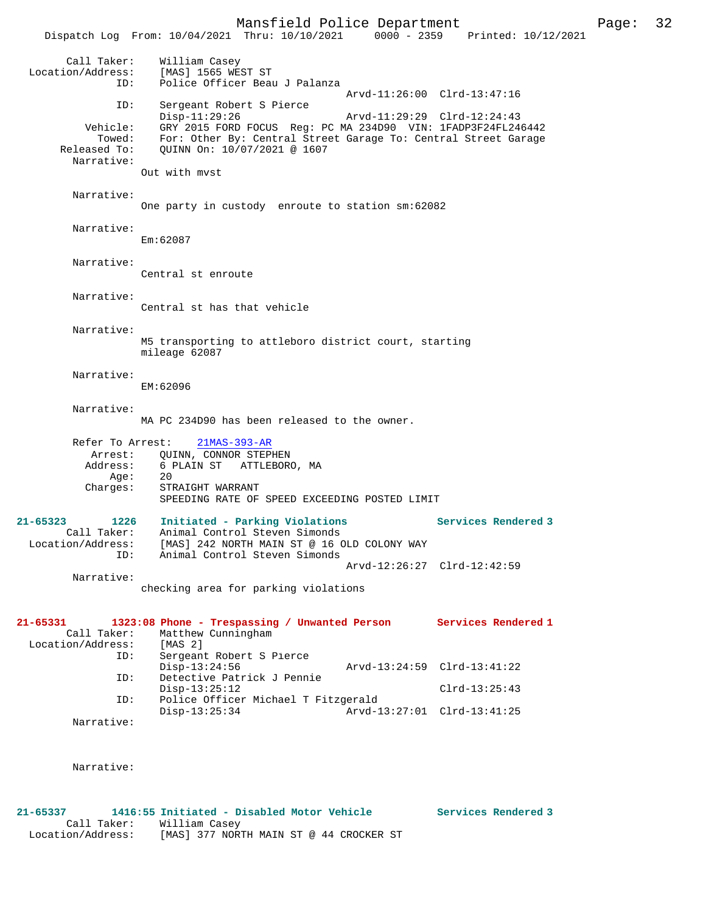Dispatch Log From: 10/04/2021 Thru: 10/10/2021 Call Taker: William Casey Location/Address: [MAS] 1565 WEST ST ID: Police Officer Beau J Palanza Arvd-11:26:00 Clrd-13:47:16<br>TD: Sergeant Robert S Pierce Sergeant Robert S Pierce Disp-11:29:26 Arvd-11:29:29 Clrd-12:24:43 Vehicle: GRY 2015 FORD FOCUS Reg: PC MA 234D90 VIN: 1FADP3F24FL246442 Towed: For: Other By: Central Street Garage To: Central Street Garage Released To: QUINN On: 10/07/2021 @ 1607 Narrative: Out with mvst Narrative: One party in custody enroute to station sm:62082 Narrative: Em:62087 Narrative: Central st enroute Narrative: Central st has that vehicle Narrative: M5 transporting to attleboro district court, starting mileage 62087 Narrative: EM:62096 Narrative: MA PC 234D90 has been released to the owner. Refer To Arrest: 21MAS-393-AR Arrest: QUINN, CONNOR STEPHEN<br>Address: 6 PLAIN ST ATTLEBOR 6 PLAIN ST – ATTLEBORO, MA<br>20 Age: Charges: STRAIGHT WARRANT SPEEDING RATE OF SPEED EXCEEDING POSTED LIMIT **21-65323 1226 Initiated - Parking Violations Services Rendered 3**  Call Taker: Animal Control Steven Simonds Location/Address: [MAS] 242 NORTH MAIN ST @ 16 OLD COLONY WAY ID: Animal Control Steven Simonds Arvd-12:26:27 Clrd-12:42:59 Narrative: checking area for parking violations **21-65331 1323:08 Phone - Trespassing / Unwanted Person Services Rendered 1**  Call Taker: Matthew Cunningham<br>ion/Address: [MAS 2] Location/Address: ID: Sergeant Robert S Pierce Disp-13:24:56 Arvd-13:24:59 Clrd-13:41:22<br>TD: Detective Patrick J Pennie Detective Patrick J Pennie Disp-13:25:12 Clrd-13:25:43<br>ID: Police Officer Michael T Fitzgerald Clrd-13:25:43 Police Officer Michael T Fitzgerald<br>Disp-13:25:34 Arvd-1 Disp-13:25:34 Arvd-13:27:01 Clrd-13:41:25 Narrative:

Narrative:

**21-65337 1416:55 Initiated - Disabled Motor Vehicle Services Rendered 3**  Call Taker: William Casey<br>Location/Address: [MAS] 377 NOR: [MAS] 377 NORTH MAIN ST @ 44 CROCKER ST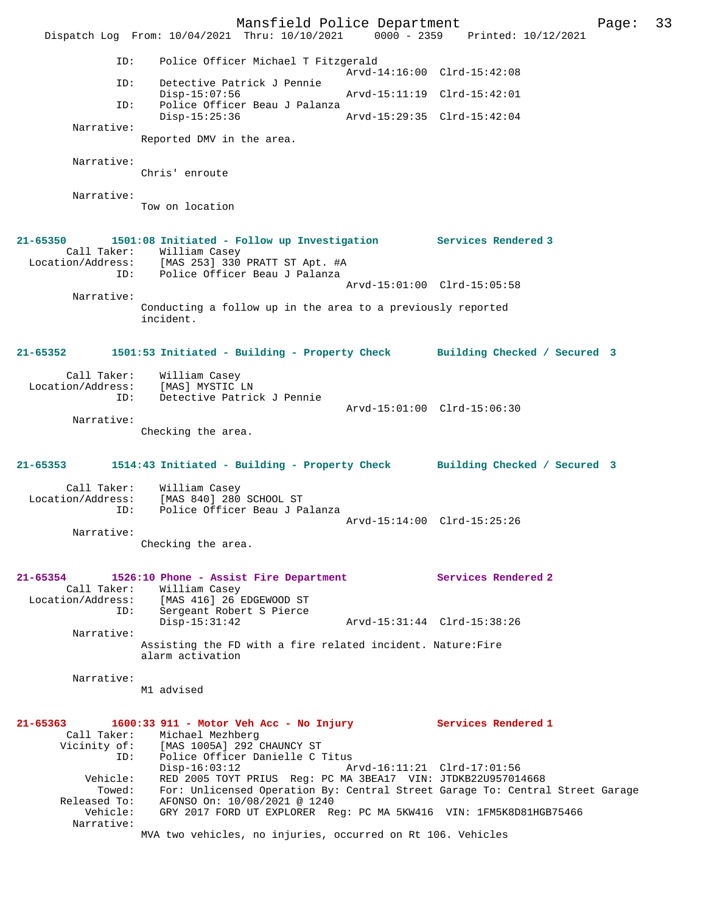Mansfield Police Department Page: 33 Dispatch Log From: 10/04/2021 Thru: 10/10/2021 0000 - 2359 Printed: 10/12/2021 ID: Police Officer Michael T Fitzgerald Arvd-14:16:00 Clrd-15:42:08<br>TD: Detective Patrick J Pennie Detective Patrick J Pennie<br>Disp-15:07:56 Disp-15:07:56 Arvd-15:11:19 Clrd-15:42:01 ID: Police Officer Beau J Palanza Disp-15:25:36 Arvd-15:29:35 Clrd-15:42:04 Narrative: Reported DMV in the area. Narrative: Chris' enroute Narrative: Tow on location **21-65350 1501:08 Initiated - Follow up Investigation Services Rendered 3**  Call Taker: William Casey Location/Address: [MAS 253] 330 PRATT ST Apt. #A ID: Police Officer Beau J Palanza Arvd-15:01:00 Clrd-15:05:58 Narrative: Conducting a follow up in the area to a previously reported incident. **21-65352 1501:53 Initiated - Building - Property Check Building Checked / Secured 3** Call Taker: William Casey Location/Address: [MAS] MYSTIC LN ID: Detective Patrick J Pennie Arvd-15:01:00 Clrd-15:06:30 Narrative: Checking the area. **21-65353 1514:43 Initiated - Building - Property Check Building Checked / Secured 3** Call Taker: William Casey Location/Address: [MAS 840] 280 SCHOOL ST<br>ID: Police Officer Beau J Pa Police Officer Beau J Palanza Arvd-15:14:00 Clrd-15:25:26 Narrative: Checking the area. **21-65354 1526:10 Phone - Assist Fire Department Services Rendered 2**  Call Taker: William Casey Location/Address: [MAS 416] 26 EDGEWOOD ST ID: Sergeant Robert S Pierce Disp-15:31:42 Arvd-15:31:44 Clrd-15:38:26 Narrative: Assisting the FD with a fire related incident. Nature:Fire alarm activation Narrative: M1 advised **21-65363 1600:33 911 - Motor Veh Acc - No Injury Services Rendered 1**  Call Taker: Michael Mezhberg Vicinity of: [MAS 1005A] 292 CHAUNCY ST Vicinity of: [MAS 1005A] 292 CHAUNCY ST<br>ID: Police Officer Danielle C Titus<br>Disp-16:03:12 Arvd-16:11:21 Clrd-17:01:56 Disp-16:03:12 Arvd-16:11:21 Clrd-17:01:56 Vehicle: RED 2005 TOYT PRIUS Reg: PC MA 3BEA17 VIN: JTDKB22U957014668 Towed: For: Unlicensed Operation By: Central Street Garage To: Central Street Garage Released To: AFONSO On: 10/08/2021 @ 1240 Vehicle: GRY 2017 FORD UT EXPLORER Reg: PC MA 5KW416 VIN: 1FM5K8D81HGB75466 Narrative: MVA two vehicles, no injuries, occurred on Rt 106. Vehicles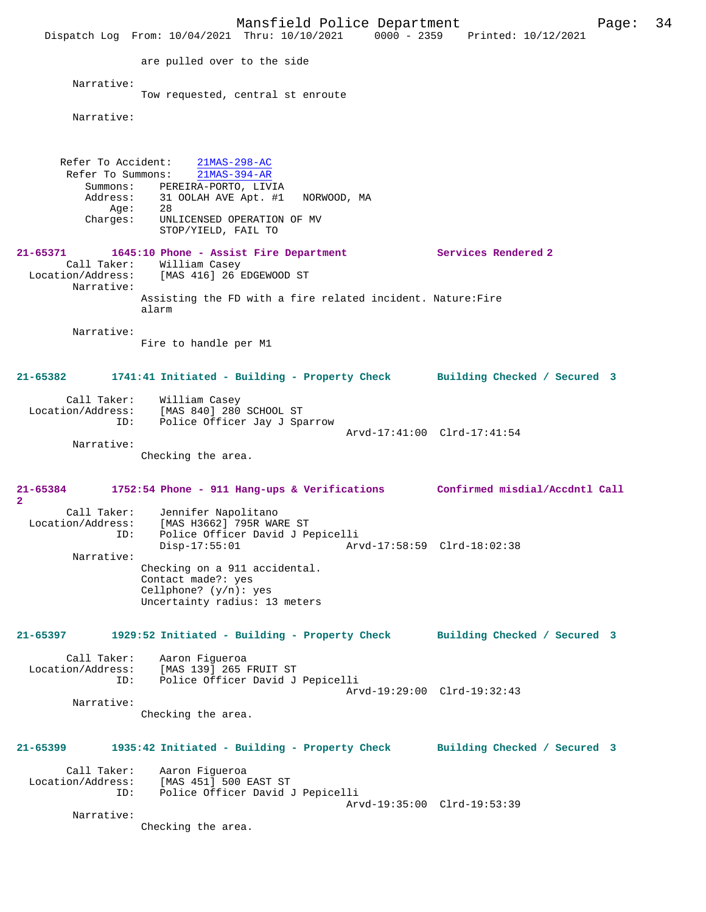Mansfield Police Department Page: 34 Dispatch Log From: 10/04/2021 Thru: 10/10/2021 0000 - 2359 Printed: 10/12/2021 are pulled over to the side Narrative: Tow requested, central st enroute Narrative: Refer To Accident: 21MAS-298-AC Refer To Summons: 21MAS-394-AR Summons: PEREIRA-PORTO, LIVIA Address: 31 OOLAH AVE Apt. #1 NORWOOD, MA Age: 28<br>Charges: UNL UNLICENSED OPERATION OF MV STOP/YIELD, FAIL TO **21-65371 1645:10 Phone - Assist Fire Department Services Rendered 2**  Call Taker: William Casey Location/Address: [MAS 416] 26 EDGEWOOD ST Narrative: Assisting the FD with a fire related incident. Nature:Fire alarm Narrative: Fire to handle per M1 **21-65382 1741:41 Initiated - Building - Property Check Building Checked / Secured 3** Call Taker: William Casey Location/Address: [MAS 840] 280 SCHOOL ST ID: Police Officer Jay J Sparrow Arvd-17:41:00 Clrd-17:41:54 Narrative: Checking the area. **21-65384 1752:54 Phone - 911 Hang-ups & Verifications Confirmed misdial/Accdntl Call 2**  Call Taker: Jennifer Napolitano<br>Location/Address: [MAS H3662] 795R WAR und University Additional Ses:<br>Location (Addition/Addition/Additional<br>Location Police officer David J Pe ID: Police Officer David J Pepicelli Disp-17:55:01 Arvd-17:58:59 Clrd-18:02:38 Narrative: Checking on a 911 accidental. Contact made?: yes Cellphone? (y/n): yes Uncertainty radius: 13 meters **21-65397 1929:52 Initiated - Building - Property Check Building Checked / Secured 3** Call Taker: Aaron Figueroa<br>Location/Address: [MAS 139] 265 ess: [MAS 139] 265 FRUIT ST<br>ID: Police Officer David J Police Officer David J Pepicelli Arvd-19:29:00 Clrd-19:32:43 Narrative: Checking the area. **21-65399 1935:42 Initiated - Building - Property Check Building Checked / Secured 3** Call Taker: Aaron Figueroa<br>Location/Address: [MAS 451] 500 LMAS 4511 500 EAST ST ID: Police Officer David J Pepicelli Arvd-19:35:00 Clrd-19:53:39 Narrative: Checking the area.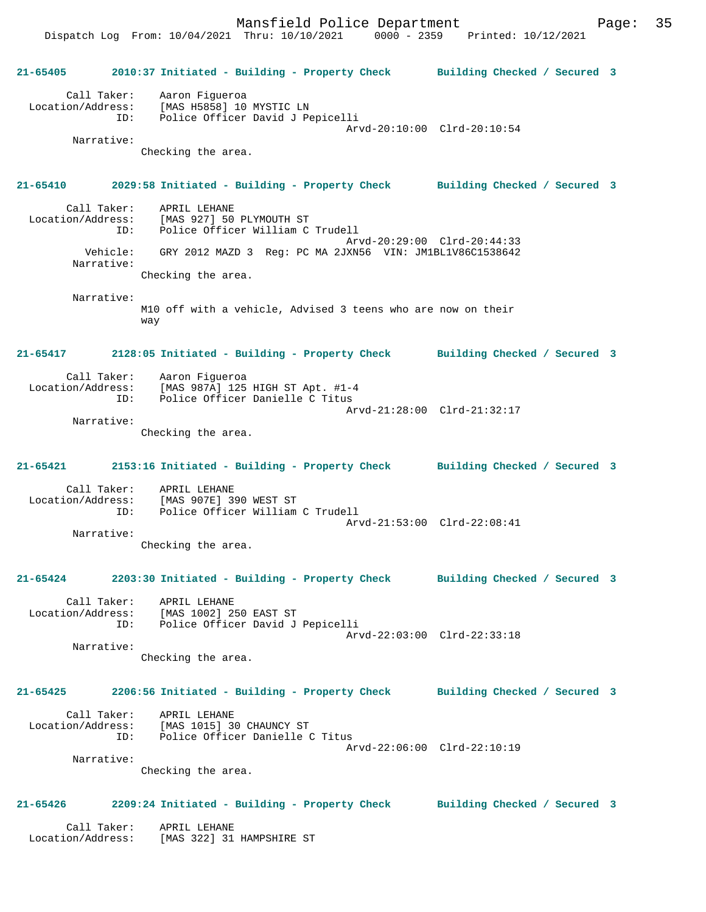Mansfield Police Department Page: 35

 Dispatch Log From: 10/04/2021 Thru: 10/10/2021 0000 - 2359 Printed: 10/12/2021 **21-65405 2010:37 Initiated - Building - Property Check Building Checked / Secured 3** Call Taker: Aaron Figueroa Location/Address: [MAS H5858] 10 MYSTIC LN ID: Police Officer David J Pepicelli Arvd-20:10:00 Clrd-20:10:54 Narrative: Checking the area. **21-65410 2029:58 Initiated - Building - Property Check Building Checked / Secured 3** Call Taker: APRIL LEHANE Location/Address: [MAS 927] 50 PLYMOUTH ST Police Officer William C Trudell Arvd-20:29:00 Clrd-20:44:33 Vehicle: GRY 2012 MAZD 3 Reg: PC MA 2JXN56 VIN: JM1BL1V86C1538642 Narrative: Checking the area. Narrative: M10 off with a vehicle, Advised 3 teens who are now on their way **21-65417 2128:05 Initiated - Building - Property Check Building Checked / Secured 3** Call Taker: Aaron Figueroa Location/Address: [MAS 987A] 125 HIGH ST Apt. #1-4 ID: Police Officer Danielle C Titus Arvd-21:28:00 Clrd-21:32:17 Narrative: Checking the area. **21-65421 2153:16 Initiated - Building - Property Check Building Checked / Secured 3** Call Taker: APRIL LEHANE Location/Address: [MAS 907E] 390 WEST ST Police Officer William C Trudell Arvd-21:53:00 Clrd-22:08:41 Narrative: Checking the area. **21-65424 2203:30 Initiated - Building - Property Check Building Checked / Secured 3** Call Taker: APRIL LEHANE Location/Address: [MAS 1002] 250 EAST ST ID: Police Officer David J Pepicelli Arvd-22:03:00 Clrd-22:33:18 Narrative: Checking the area. **21-65425 2206:56 Initiated - Building - Property Check Building Checked / Secured 3** Call Taker: APRIL LEHANE Location/Address: [MAS 1015] 30 CHAUNCY ST ID: Police Officer Danielle C Titus Arvd-22:06:00 Clrd-22:10:19 Narrative: Checking the area. **21-65426 2209:24 Initiated - Building - Property Check Building Checked / Secured 3** Call Taker: APRIL LEHANE Location/Address: [MAS 322] 31 HAMPSHIRE ST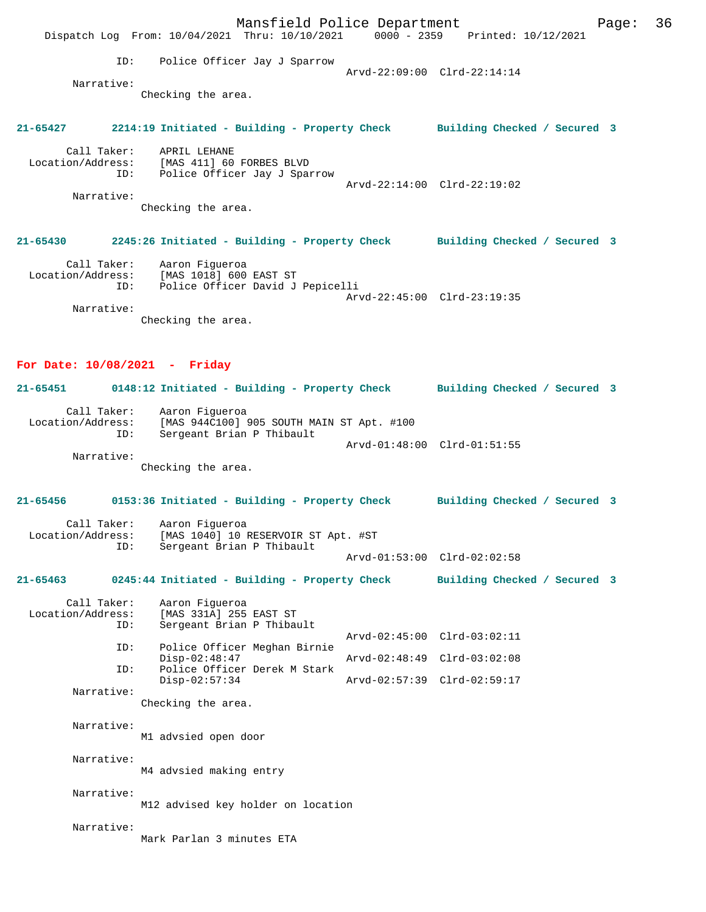Mansfield Police Department Form Page: 36 Dispatch Log From: 10/04/2021 Thru: 10/10/2021 0000 - 2359 Printed: 10/12/2021 ID: Police Officer Jay J Sparrow Arvd-22:09:00 Clrd-22:14:14 Narrative: Checking the area. **21-65427 2214:19 Initiated - Building - Property Check Building Checked / Secured 3** Call Taker: APRIL LEHANE Location/Address: [MAS 411] 60 FORBES BLVD ID: Police Officer Jay J Sparrow Arvd-22:14:00 Clrd-22:19:02 Narrative: Checking the area. **21-65430 2245:26 Initiated - Building - Property Check Building Checked / Secured 3** Call Taker: Aaron Figueroa Location/Address: [MAS 1018] 600 EAST ST ID: Police Officer David J Pepicelli Arvd-22:45:00 Clrd-23:19:35 Narrative: Checking the area. **For Date: 10/08/2021 - Friday 21-65451 0148:12 Initiated - Building - Property Check Building Checked / Secured 3** Call Taker: Aaron Figueroa<br>! Location/Address: [MAS 944C100] [MAS 944C100] 905 SOUTH MAIN ST Apt. #100 ID: Sergeant Brian P Thibault Arvd-01:48:00 Clrd-01:51:55 Narrative: Checking the area. **21-65456 0153:36 Initiated - Building - Property Check Building Checked / Secured 3** Call Taker: Aaron Figueroa<br>Location/Address: [MAS 1040] 10 E ess: [MAS 1040] 10 RESERVOIR ST Apt. #ST<br>ID: Sergeant Brian P Thibault Sergeant Brian P Thibault Arvd-01:53:00 Clrd-02:02:58 **21-65463 0245:44 Initiated - Building - Property Check Building Checked / Secured 3** Call Taker: Aaron Figueroa<br>Location/Address: [MAS 331A] 255 ess: [MAS 331A] 255 EAST ST<br>TD: Sergeant Brian P Thibay Sergeant Brian P Thibault Arvd-02:45:00 Clrd-03:02:11<br>ID: Police Officer Meghan Birnie Police Officer Meghan Birnie<br>Disp-02:48:47 Disp-02:48:47 Arvd-02:48:49 Clrd-03:02:08<br>ID: Police Officer Derek M Stark Police Officer Derek M Stark<br>Disp-02:57:34 Disp-02:57:34 Arvd-02:57:39 Clrd-02:59:17 Narrative: Checking the area. Narrative: M1 advsied open door Narrative: M4 advsied making entry Narrative: M12 advised key holder on location Narrative: Mark Parlan 3 minutes ETA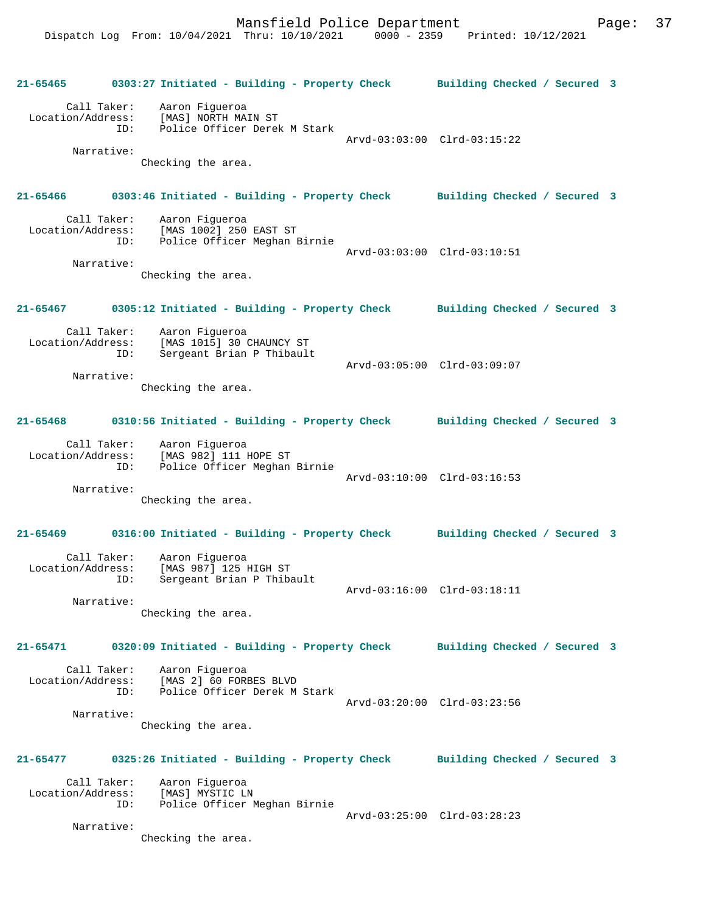**21-65465 0303:27 Initiated - Building - Property Check Building Checked / Secured 3** Call Taker: Aaron Figueroa Location/Address: [MAS] NORTH MAIN ST<br>ID: Police Officer Derek Police Officer Derek M Stark Arvd-03:03:00 Clrd-03:15:22 Narrative: Checking the area. **21-65466 0303:46 Initiated - Building - Property Check Building Checked / Secured 3** Call Taker: Aaron Figueroa<br>Location/Address: [MAS 1002] 250 [MAS 1002] 250 EAST ST ID: Police Officer Meghan Birnie Arvd-03:03:00 Clrd-03:10:51 Narrative: Checking the area. **21-65467 0305:12 Initiated - Building - Property Check Building Checked / Secured 3** Call Taker: Aaron Figueroa<br>Location/Address: [MAS 1015] 30 ess: [MAS 1015] 30 CHAUNCY ST<br>TD: Sergeant Brian P Thibault Sergeant Brian P Thibault Arvd-03:05:00 Clrd-03:09:07 Narrative: Checking the area. **21-65468 0310:56 Initiated - Building - Property Check Building Checked / Secured 3** Call Taker: Aaron Figueroa Location/Address: [MAS 982] 111 HOPE ST ID: Police Officer Meghan Birnie Arvd-03:10:00 Clrd-03:16:53 Narrative: Checking the area. **21-65469 0316:00 Initiated - Building - Property Check Building Checked / Secured 3** Call Taker: Aaron Figueroa Location/Address: [MAS 987] 125 HIGH ST ID: Sergeant Brian P Thibault Arvd-03:16:00 Clrd-03:18:11 Narrative: Checking the area. **21-65471 0320:09 Initiated - Building - Property Check Building Checked / Secured 3** Call Taker: Aaron Figueroa<br>Location/Address: [MAS 2] 60 FORE [MAS 2] 60 FORBES BLVD ID: Police Officer Derek M Stark Arvd-03:20:00 Clrd-03:23:56 Narrative: Checking the area. **21-65477 0325:26 Initiated - Building - Property Check Building Checked / Secured 3** Call Taker: Aaron Figueroa<br>.on/Address: [MAS] MYSTIC LN Location/Address: ID: Police Officer Meghan Birnie Arvd-03:25:00 Clrd-03:28:23 Narrative: Checking the area.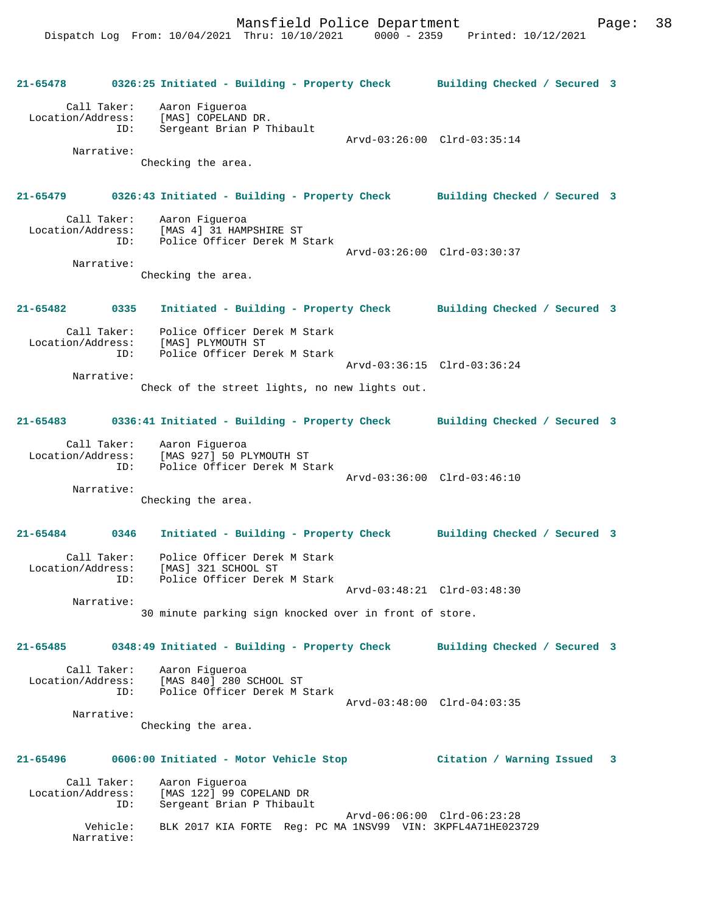**21-65478 0326:25 Initiated - Building - Property Check Building Checked / Secured 3** Call Taker: Aaron Figueroa Location/Address: [MAS] COPELAND DR. ID: Sergeant Brian P Thibault Arvd-03:26:00 Clrd-03:35:14 Narrative: Checking the area. **21-65479 0326:43 Initiated - Building - Property Check Building Checked / Secured 3** Call Taker: Aaron Figueroa<br>Location/Address: [MAS 4] 31 HAM [MAS 4] 31 HAMPSHIRE ST ID: Police Officer Derek M Stark Arvd-03:26:00 Clrd-03:30:37 Narrative: Checking the area. **21-65482 0335 Initiated - Building - Property Check Building Checked / Secured 3** Call Taker: Police Officer Derek M Stark Location/Address: [MAS] PLYMOUTH ST ID: Police Officer Derek M Stark Arvd-03:36:15 Clrd-03:36:24 Narrative: Check of the street lights, no new lights out. **21-65483 0336:41 Initiated - Building - Property Check Building Checked / Secured 3** Call Taker: Aaron Figueroa Location/Address: [MAS 927] 50 PLYMOUTH ST ID: Police Officer Derek M Stark Arvd-03:36:00 Clrd-03:46:10 Narrative: Checking the area. **21-65484 0346 Initiated - Building - Property Check Building Checked / Secured 3** Call Taker: Police Officer Derek M Stark Location/Address: [MAS] 321 SCHOOL ST ID: Police Officer Derek M Stark Arvd-03:48:21 Clrd-03:48:30 Narrative: 30 minute parking sign knocked over in front of store. **21-65485 0348:49 Initiated - Building - Property Check Building Checked / Secured 3** Call Taker: Aaron Figueroa<br>Location/Address: [MAS 840] 280 SCHOOL ST Location/Address: [MAS 840] 280 SCHOOL ST ID: Police Officer Derek M Stark Arvd-03:48:00 Clrd-04:03:35 Narrative: Checking the area. **21-65496 0606:00 Initiated - Motor Vehicle Stop Citation / Warning Issued 3** Call Taker: Aaron Figueroa Location/Address: [MAS 122] 99 COPELAND DR ID: Sergeant Brian P Thibault Arvd-06:06:00 Clrd-06:23:28 Vehicle: BLK 2017 KIA FORTE Reg: PC MA 1NSV99 VIN: 3KPFL4A71HE023729 Narrative: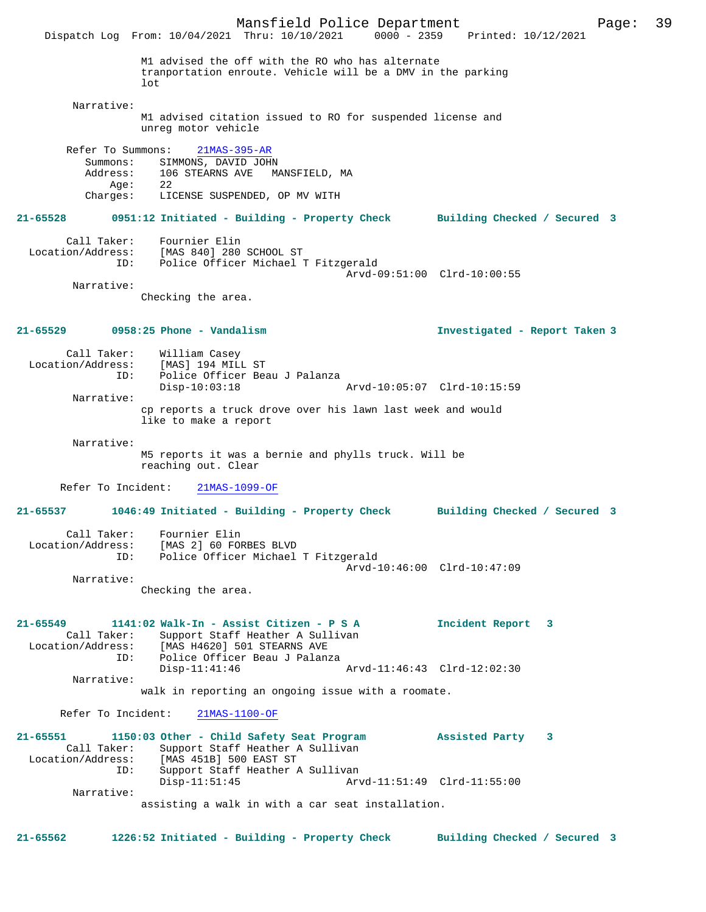Mansfield Police Department Page: 39 Dispatch Log From: 10/04/2021 Thru: 10/10/2021 M1 advised the off with the RO who has alternate tranportation enroute. Vehicle will be a DMV in the parking  $1<sub>0</sub>$  Narrative: M1 advised citation issued to RO for suspended license and unreg motor vehicle Refer To Summons: 21MAS-395-AR Summons: SIMMONS, DAVID JOHN<br>Address: 106 STEARNS AVE MA 106 STEARNS AVE MANSFIELD, MA Age: 22<br>Charges: LIC LICENSE SUSPENDED, OP MV WITH **21-65528 0951:12 Initiated - Building - Property Check Building Checked / Secured 3** Call Taker: Fournier Elin Location/Address: [MAS 840] 280 SCHOOL ST Police Officer Michael T Fitzgerald Arvd-09:51:00 Clrd-10:00:55 Narrative: Checking the area. **21-65529 0958:25 Phone - Vandalism Investigated - Report Taken 3** Call Taker: William Casey<br>Location/Address: [MAS] 194 MIL ess: [MAS] 194 MILL ST<br>ID: Police Officer Bea Police Officer Beau J Palanza<br>Disp-10:03:18 Disp-10:03:18 Arvd-10:05:07 Clrd-10:15:59 Narrative: cp reports a truck drove over his lawn last week and would like to make a report Narrative: M5 reports it was a bernie and phylls truck. Will be reaching out. Clear Refer To Incident: 21MAS-1099-OF **21-65537 1046:49 Initiated - Building - Property Check Building Checked / Secured 3** Call Taker: Fournier Elin<br>ion/Address: [MAS 2] 60 FORBES BLVD Location/Address: ID: Police Officer Michael T Fitzgerald Arvd-10:46:00 Clrd-10:47:09 Narrative: Checking the area. **21-65549 1141:02 Walk-In - Assist Citizen - P S A Incident Report 3**  Call Taker: Support Staff Heather A Sullivan Location/Address: [MAS H4620] 501 STEARNS AVE<br>ID: Police Officer Beau J Palan: Police Officer Beau J Palanza<br>Disp-11:41:46 Arvd-11:46:43 Clrd-12:02:30 Narrative: walk in reporting an ongoing issue with a roomate. Refer To Incident: 21MAS-1100-OF **21-65551 1150:03 Other - Child Safety Seat Program Assisted Party 3**  Call Taker: Support Staff Heather A Sullivan<br>Location/Address: [MAS 451B] 500 EAST ST ess: [MAS 451B] 500 EAST ST<br>TD: Support Staff Heather 2 Support Staff Heather A Sullivan<br>Disp-11:51:45 Arv Disp-11:51:45 Arvd-11:51:49 Clrd-11:55:00 Narrative: assisting a walk in with a car seat installation. **21-65562 1226:52 Initiated - Building - Property Check Building Checked / Secured 3**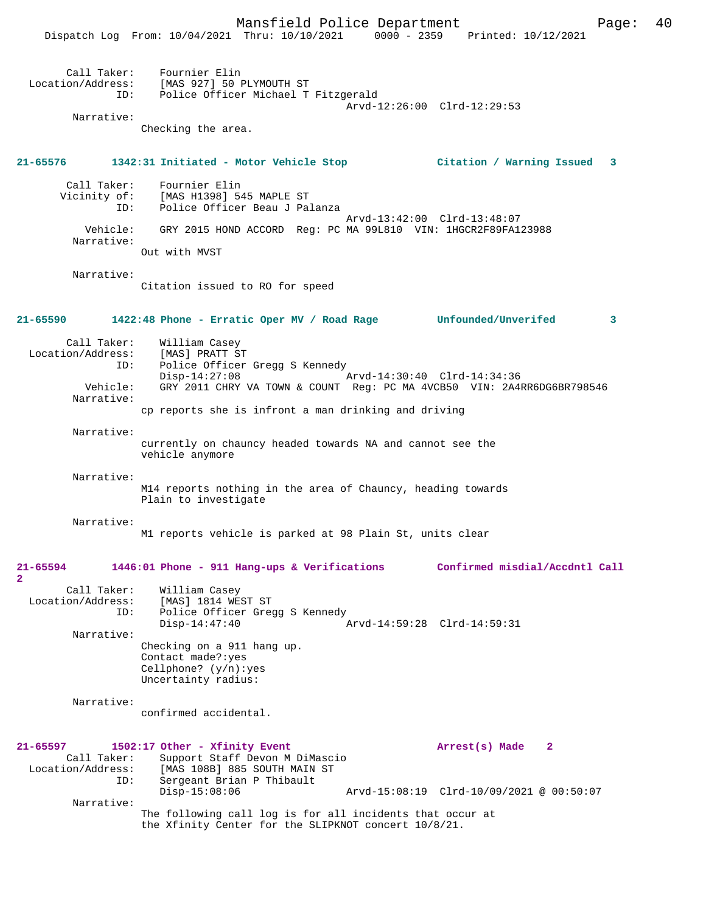Dispatch Log From: 10/04/2021 Thru: 10/10/2021 0000 - 2359 Printed: 10/12/2021 Call Taker: Fournier Elin Location/Address: [MAS 927] 50 PLYMOUTH ST ID: Police Officer Michael T Fitzgerald Arvd-12:26:00 Clrd-12:29:53 Narrative: Checking the area. **21-65576 1342:31 Initiated - Motor Vehicle Stop Citation / Warning Issued 3** Call Taker: Fournier Elin Vicinity of: [MAS H1398] 545 MAPLE ST<br>ID: Police Officer Beau J Pal Police Officer Beau J Palanza Arvd-13:42:00 Clrd-13:48:07 Vehicle: GRY 2015 HOND ACCORD Reg: PC MA 99L810 VIN: 1HGCR2F89FA123988 Narrative: Out with MVST Narrative: Citation issued to RO for speed **21-65590 1422:48 Phone - Erratic Oper MV / Road Rage Unfounded/Unverifed 3** Call Taker: William Casey<br>Location/Address: [MAS] PRATT S' ess: [MAS] PRATT ST<br>ID: Police Officer Police Officer Gregg S Kennedy Disp-14:27:08 Arvd-14:30:40 Clrd-14:34:36 Vehicle: GRY 2011 CHRY VA TOWN & COUNT Reg: PC MA 4VCB50 VIN: 2A4RR6DG6BR798546 Narrative: cp reports she is infront a man drinking and driving Narrative: currently on chauncy headed towards NA and cannot see the vehicle anymore Narrative: M14 reports nothing in the area of Chauncy, heading towards Plain to investigate Narrative: M1 reports vehicle is parked at 98 Plain St, units clear **21-65594 1446:01 Phone - 911 Hang-ups & Verifications Confirmed misdial/Accdntl Call** Call Taker: William Casey<br>Location/Address: [MAS] 1814 WE ess: [MAS] 1814 WEST ST<br>ID: Police Officer Gree Police Officer Gregg S Kennedy<br>Disp-14:47:40 Disp-14:47:40 Arvd-14:59:28 Clrd-14:59:31 Narrative: Checking on a 911 hang up. Contact made?:yes Cellphone? (y/n):yes Uncertainty radius: Narrative: confirmed accidental.

Mansfield Police Department Form Page: 40

# **21-65597 1502:17 Other - Xfinity Event Arrest(s) Made 2**  Call Taker: Support Staff Devon M DiMascio<br>Location/Address: [MAS 108B] 885 SOUTH MAIN ST [MAS 108B] 885 SOUTH MAIN ST ID: Sergeant Brian P Thibault Disp-15:08:06 Arvd-15:08:19 Clrd-10/09/2021 @ 00:50:07 Narrative: The following call log is for all incidents that occur at the Xfinity Center for the SLIPKNOT concert 10/8/21.

**2**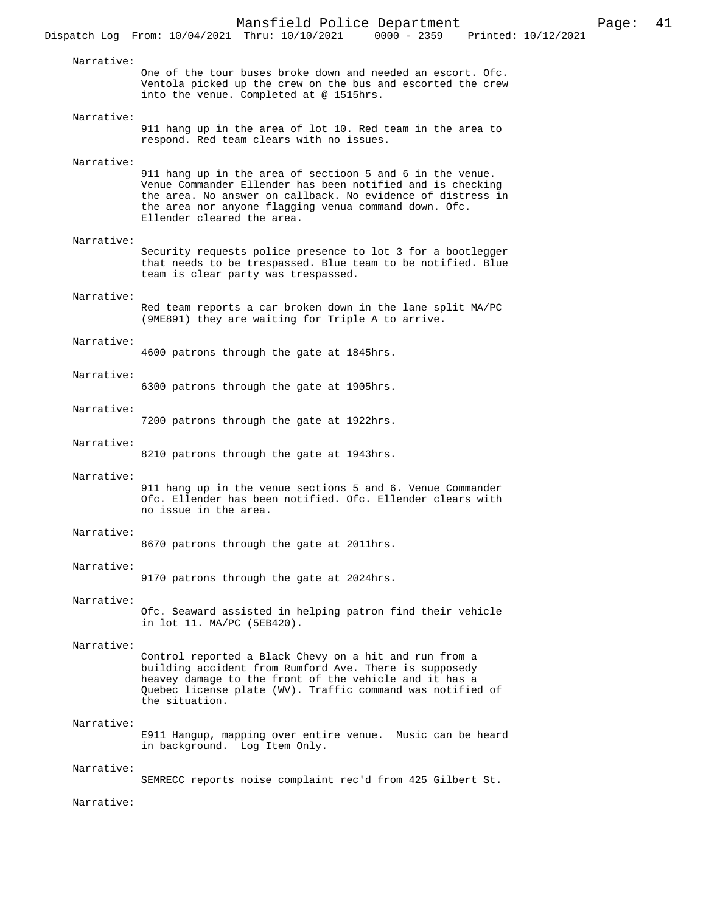Narrative: One of the tour buses broke down and needed an escort. Ofc. Ventola picked up the crew on the bus and escorted the crew into the venue. Completed at @ 1515hrs.

#### Narrative:

911 hang up in the area of lot 10. Red team in the area to respond. Red team clears with no issues.

## Narrative:

911 hang up in the area of sectioon 5 and 6 in the venue. Venue Commander Ellender has been notified and is checking the area. No answer on callback. No evidence of distress in the area nor anyone flagging venua command down. Ofc. Ellender cleared the area.

## Narrative:

Security requests police presence to lot 3 for a bootlegger that needs to be trespassed. Blue team to be notified. Blue team is clear party was trespassed.

## Narrative:

Red team reports a car broken down in the lane split MA/PC (9ME891) they are waiting for Triple A to arrive.

#### Narrative:

4600 patrons through the gate at 1845hrs.

## Narrative:

6300 patrons through the gate at 1905hrs.

#### Narrative:

7200 patrons through the gate at 1922hrs.

#### Narrative:

8210 patrons through the gate at 1943hrs.

#### Narrative:

911 hang up in the venue sections 5 and 6. Venue Commander Ofc. Ellender has been notified. Ofc. Ellender clears with no issue in the area.

#### Narrative:

8670 patrons through the gate at 2011hrs.

# Narrative:

9170 patrons through the gate at 2024hrs.

#### Narrative:

Ofc. Seaward assisted in helping patron find their vehicle in lot 11. MA/PC (5EB420).

#### Narrative:

Control reported a Black Chevy on a hit and run from a building accident from Rumford Ave. There is supposedy heavey damage to the front of the vehicle and it has a Quebec license plate (WV). Traffic command was notified of the situation.

#### Narrative:

E911 Hangup, mapping over entire venue. Music can be heard in background. Log Item Only.

#### Narrative:

SEMRECC reports noise complaint rec'd from 425 Gilbert St.

## Narrative: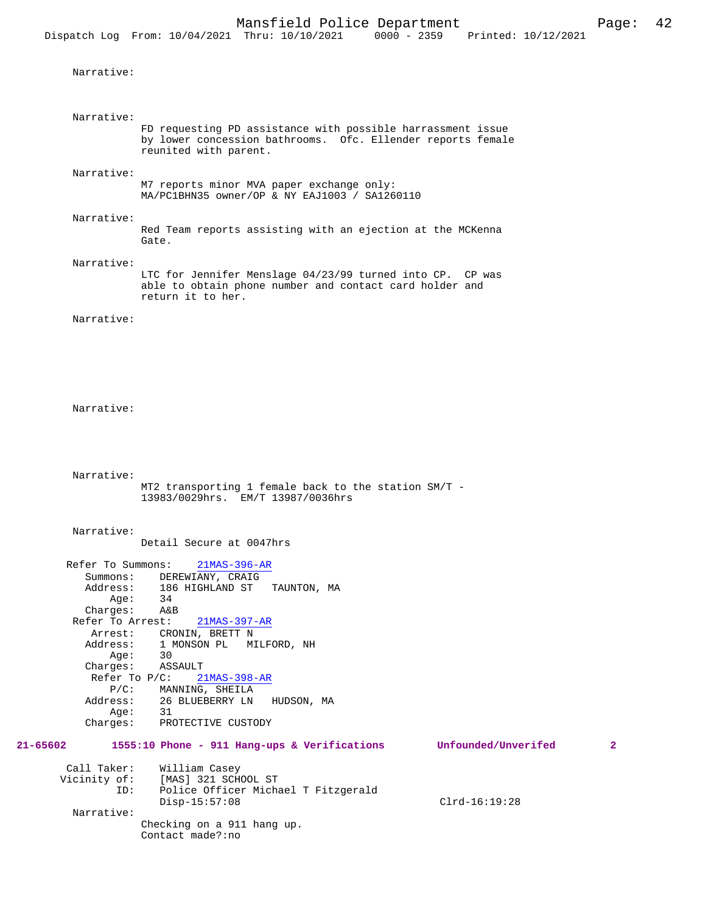```
 Narrative:
```
 Narrative: FD requesting PD assistance with possible harrassment issue by lower concession bathrooms. Ofc. Ellender reports female reunited with parent.

Narrative:

M7 reports minor MVA paper exchange only: MA/PC1BHN35 owner/OP & NY EAJ1003 / SA1260110

Narrative:

Red Team reports assisting with an ejection at the MCKenna Gate.

Narrative:

LTC for Jennifer Menslage 04/23/99 turned into CP. CP was able to obtain phone number and contact card holder and return it to her.

Narrative:

```
 Narrative:
```

```
 Narrative: 
           MT2 transporting 1 female back to the station SM/T - 
           13983/0029hrs. EM/T 13987/0036hrs
```
Narrative:

Detail Secure at 0047hrs

|              | Refer To Summons: | $21MAS-396-AR$                                                           |
|--------------|-------------------|--------------------------------------------------------------------------|
|              |                   | Summons: DEREWIANY, CRAIG                                                |
|              |                   | Address: 186 HIGHLAND ST TAUNTON, MA                                     |
|              | 34<br>Aqe:        |                                                                          |
|              | Charges:          | A&B                                                                      |
|              | Refer To Arrest:  | 21MAS-397-AR                                                             |
|              |                   | Arrest: CRONIN, BRETT N                                                  |
|              |                   | Address: 1 MONSON PL MILFORD, NH                                         |
|              | 30<br>Aqe:        |                                                                          |
|              | Charges:          | ASSAULT                                                                  |
|              |                   | Refer To P/C: 21MAS-398-AR                                               |
|              |                   | P/C: MANNING, SHEILA                                                     |
|              |                   | Address: 26 BLUEBERRY LN HUDSON, MA                                      |
|              | Aqe:              | 31                                                                       |
|              | Charges:          | PROTECTIVE CUSTODY                                                       |
| 21-65602     |                   | 1555:10 Phone - 911 Hang-ups & Verifications<br>Unfounded/Unverifed<br>2 |
| Call Taker:  |                   | William Casey                                                            |
| Vicinity of: |                   | [MAS] 321 SCHOOL ST                                                      |

| Vicinity of: | [MAS] 321 SCHOOL ST        |                                     |                 |
|--------------|----------------------------|-------------------------------------|-----------------|
| ID:          |                            | Police Officer Michael T Fitzgerald |                 |
|              | Disp-15:57:08              |                                     | $Clrd-16:19:28$ |
| Narrative:   |                            |                                     |                 |
|              | Checking on a 911 hang up. |                                     |                 |
|              | Contact made?:no           |                                     |                 |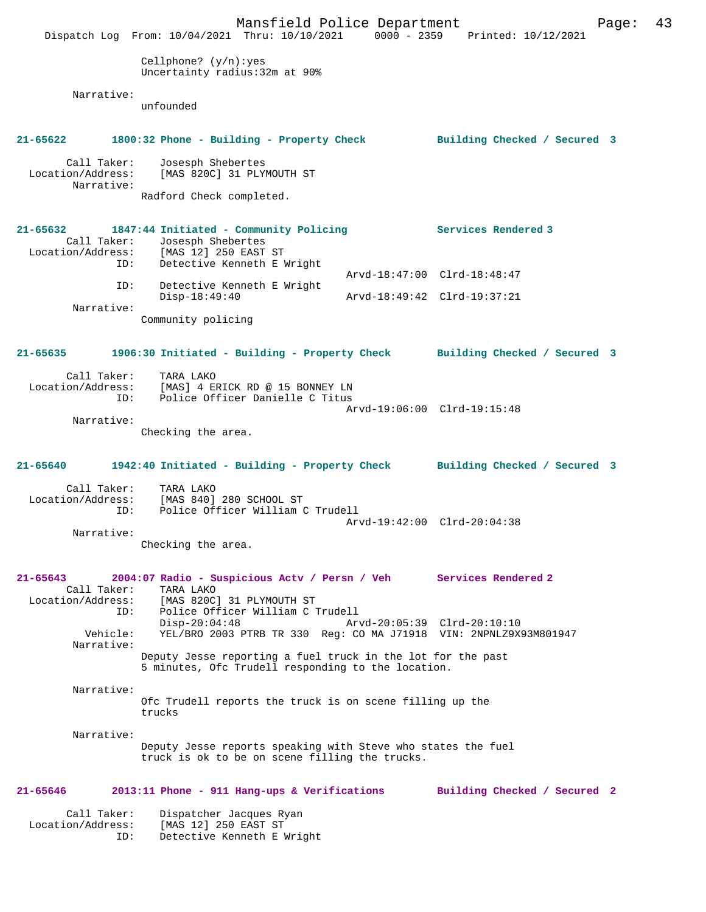|                                                  | Mansfield Police Department<br>Dispatch Log From: 10/04/2021 Thru: 10/10/2021                                                                            |                             | 0000 - 2359 Printed: 10/12/2021 | Page: | 43 |
|--------------------------------------------------|----------------------------------------------------------------------------------------------------------------------------------------------------------|-----------------------------|---------------------------------|-------|----|
|                                                  | Cellphone? $(y/n):yes$<br>Uncertainty radius: 32m at 90%                                                                                                 |                             |                                 |       |    |
| Narrative:                                       | unfounded                                                                                                                                                |                             |                                 |       |    |
| 21-65622                                         | 1800:32 Phone - Building - Property Check                                                                                                                |                             | Building Checked / Secured 3    |       |    |
| Call Taker:<br>Location/Address:<br>Narrative:   | Josesph Shebertes<br>[MAS 820C] 31 PLYMOUTH ST                                                                                                           |                             |                                 |       |    |
|                                                  | Radford Check completed.                                                                                                                                 |                             |                                 |       |    |
| ID:                                              | 21-65632 1847:44 Initiated - Community Policing<br>Call Taker: Josesph Shebertes<br>Location/Address: [MAS 12] 250 EAST ST<br>Detective Kenneth E Wright |                             | Services Rendered 3             |       |    |
| ID:                                              | Detective Kenneth E Wright                                                                                                                               |                             | Arvd-18:47:00 Clrd-18:48:47     |       |    |
| Narrative:                                       | $Disp-18:49:40$                                                                                                                                          | Arvd-18:49:42 Clrd-19:37:21 |                                 |       |    |
|                                                  | Community policing                                                                                                                                       |                             |                                 |       |    |
| 21-65635                                         | 1906:30 Initiated - Building - Property Check Building Checked / Secured 3                                                                               |                             |                                 |       |    |
| Call Taker:<br>Location/Address:<br>ID:          | TARA LAKO<br>[MAS] 4 ERICK RD @ 15 BONNEY LN<br>Police Officer Danielle C Titus                                                                          |                             | Arvd-19:06:00 Clrd-19:15:48     |       |    |
| Narrative:                                       | Checking the area.                                                                                                                                       |                             |                                 |       |    |
| 21-65640                                         | 1942:40 Initiated - Building - Property Check                                                                                                            |                             | Building Checked / Secured 3    |       |    |
| Call Taker:<br>ID:                               | TARA LAKO<br>Location/Address: [MAS 840] 280 SCHOOL ST<br>Police Officer William C Trudell                                                               |                             | Arvd-19:42:00 Clrd-20:04:38     |       |    |
| Narrative:                                       | Checking the area.                                                                                                                                       |                             |                                 |       |    |
| $21 - 65643$<br>Call Taker:<br>Location/Address: | 2004:07 Radio - Suspicious Actv / Persn / Veh Services Rendered 2<br>TARA LAKO<br>[MAS 820C] 31 PLYMOUTH ST                                              |                             |                                 |       |    |
| ID:<br>Vehicle:                                  | Police Officer William C Trudell<br>$Disp-20:04:48$<br>YEL/BRO 2003 PTRB TR 330 Req: CO MA J71918 VIN: 2NPNLZ9X93M801947                                 |                             | Arvd-20:05:39 Clrd-20:10:10     |       |    |
| Narrative:                                       | Deputy Jesse reporting a fuel truck in the lot for the past<br>5 minutes, Ofc Trudell responding to the location.                                        |                             |                                 |       |    |
| Narrative:                                       | Ofc Trudell reports the truck is on scene filling up the<br>trucks                                                                                       |                             |                                 |       |    |
| Narrative:                                       | Deputy Jesse reports speaking with Steve who states the fuel<br>truck is ok to be on scene filling the trucks.                                           |                             |                                 |       |    |
| 21-65646                                         | 2013:11 Phone - 911 Hang-ups & Verifications                                                                                                             |                             | Building Checked / Secured 2    |       |    |
| Call Taker:<br>Location/Address:<br>ID:          | Dispatcher Jacques Ryan<br>[MAS 12] 250 EAST ST<br>Detective Kenneth E Wright                                                                            |                             |                                 |       |    |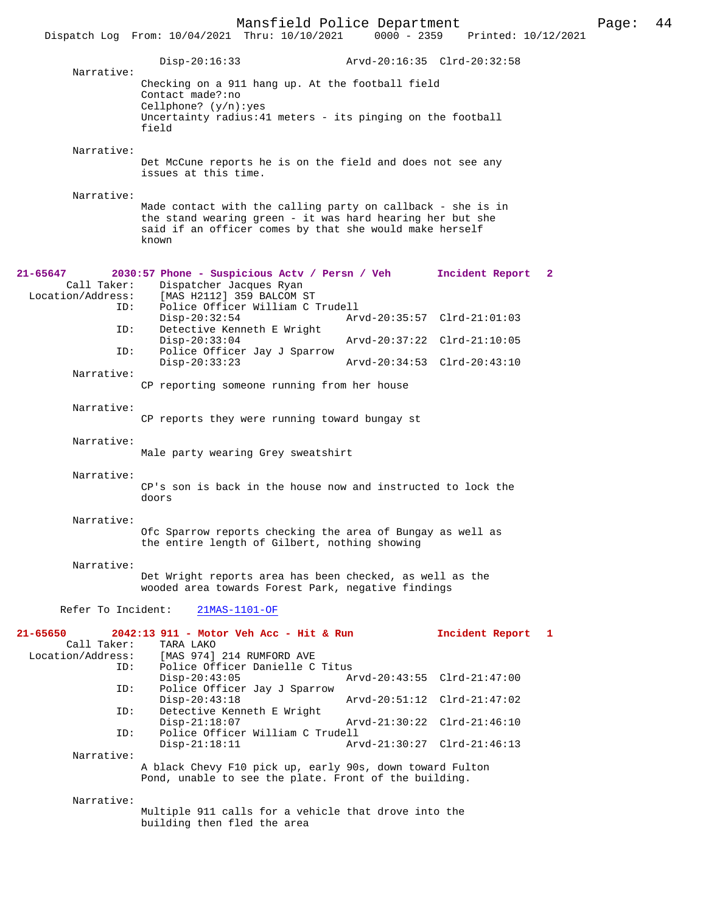|                                                     | Mansfield Police Department<br>Dispatch Log From: 10/04/2021 Thru: 10/10/2021                                                                                                                | $0000 - 2359$ | Printed: 10/12/2021         | Page: | 44 |
|-----------------------------------------------------|----------------------------------------------------------------------------------------------------------------------------------------------------------------------------------------------|---------------|-----------------------------|-------|----|
|                                                     | $Disp-20:16:33$                                                                                                                                                                              |               | Arvd-20:16:35 Clrd-20:32:58 |       |    |
| Narrative:                                          | Checking on a 911 hang up. At the football field<br>Contact made?:no<br>Cellphone? $(y/n):yes$<br>Uncertainty radius: 41 meters - its pinging on the football<br>field                       |               |                             |       |    |
| Narrative:                                          | Det McCune reports he is on the field and does not see any<br>issues at this time.                                                                                                           |               |                             |       |    |
| Narrative:                                          | Made contact with the calling party on callback - she is in<br>the stand wearing green - it was hard hearing her but she<br>said if an officer comes by that she would make herself<br>known |               |                             |       |    |
| 21-65647<br>Call Taker:<br>Location/Address:        | 2030:57 Phone - Suspicious Actv / Persn / Veh<br>Dispatcher Jacques Ryan<br>[MAS H2112] 359 BALCOM ST                                                                                        |               | Incident Report 2           |       |    |
| ID:<br>ID:                                          | Police Officer William C Trudell<br>$Disp-20:32:54$<br>Detective Kenneth E Wright                                                                                                            |               | Arvd-20:35:57 Clrd-21:01:03 |       |    |
| ID:                                                 | $Disp-20:33:04$<br>Police Officer Jay J Sparrow                                                                                                                                              |               | Arvd-20:37:22 Clrd-21:10:05 |       |    |
| Narrative:                                          | $Disp-20:33:23$                                                                                                                                                                              |               | Arvd-20:34:53 Clrd-20:43:10 |       |    |
|                                                     | CP reporting someone running from her house                                                                                                                                                  |               |                             |       |    |
| Narrative:                                          | CP reports they were running toward bungay st                                                                                                                                                |               |                             |       |    |
| Narrative:                                          | Male party wearing Grey sweatshirt                                                                                                                                                           |               |                             |       |    |
| Narrative:                                          | CP's son is back in the house now and instructed to lock the<br>doors                                                                                                                        |               |                             |       |    |
| Narrative:                                          | Ofc Sparrow reports checking the area of Bungay as well as<br>the entire length of Gilbert, nothing showing                                                                                  |               |                             |       |    |
| Narrative:                                          | Det Wright reports area has been checked, as well as the<br>wooded area towards Forest Park, negative findings                                                                               |               |                             |       |    |
| Refer To Incident:                                  | 21MAS-1101-OF                                                                                                                                                                                |               |                             |       |    |
| 21-65650<br>Call Taker:<br>Location/Address:<br>ID: | 2042:13 911 - Motor Veh Acc - Hit & Run<br>TARA LAKO<br>[MAS 974] 214 RUMFORD AVE<br>Police Officer Danielle C Titus                                                                         |               | Incident Report 1           |       |    |
| ID:                                                 | $Disp-20:43:05$<br>Police Officer Jay J Sparrow                                                                                                                                              |               | Arvd-20:43:55 Clrd-21:47:00 |       |    |
| ID:                                                 | $Disp-20:43:18$<br>Detective Kenneth E Wright                                                                                                                                                |               | Arvd-20:51:12 Clrd-21:47:02 |       |    |
| ID:                                                 | $Disp-21:18:07$<br>Police Officer William C Trudell                                                                                                                                          |               | Arvd-21:30:22 Clrd-21:46:10 |       |    |
| Narrative:                                          | $Disp-21:18:11$                                                                                                                                                                              |               | Arvd-21:30:27 Clrd-21:46:13 |       |    |
|                                                     | A black Chevy F10 pick up, early 90s, down toward Fulton<br>Pond, unable to see the plate. Front of the building.                                                                            |               |                             |       |    |
| Narrative:                                          | Multiple 911 calls for a vehicle that drove into the                                                                                                                                         |               |                             |       |    |

building then fled the area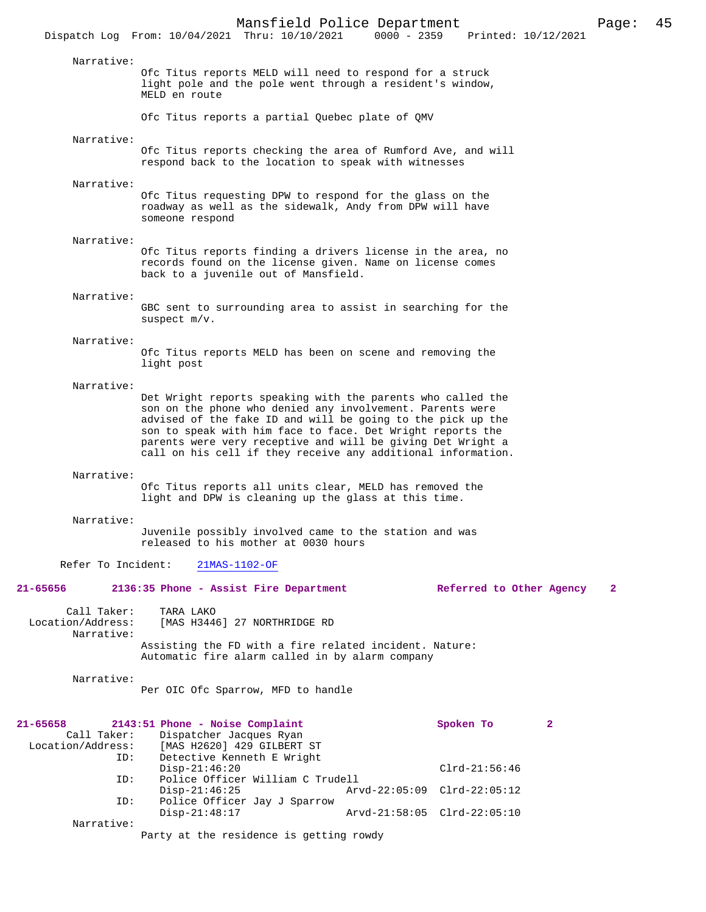|                                                     |                                                                                                                                                                                                                                                                                                                                                                                      | Mansfield Police Department      |               |                                                |   | Page:        | 45 |
|-----------------------------------------------------|--------------------------------------------------------------------------------------------------------------------------------------------------------------------------------------------------------------------------------------------------------------------------------------------------------------------------------------------------------------------------------------|----------------------------------|---------------|------------------------------------------------|---|--------------|----|
|                                                     | Dispatch Log From: 10/04/2021 Thru: 10/10/2021                                                                                                                                                                                                                                                                                                                                       |                                  | $0000 - 2359$ | Printed: 10/12/2021                            |   |              |    |
| Narrative:                                          | Ofc Titus reports MELD will need to respond for a struck<br>light pole and the pole went through a resident's window,<br>MELD en route                                                                                                                                                                                                                                               |                                  |               |                                                |   |              |    |
|                                                     | Ofc Titus reports a partial Quebec plate of QMV                                                                                                                                                                                                                                                                                                                                      |                                  |               |                                                |   |              |    |
| Narrative:                                          | Ofc Titus reports checking the area of Rumford Ave, and will<br>respond back to the location to speak with witnesses                                                                                                                                                                                                                                                                 |                                  |               |                                                |   |              |    |
| Narrative:                                          | Ofc Titus requesting DPW to respond for the glass on the<br>roadway as well as the sidewalk, Andy from DPW will have<br>someone respond                                                                                                                                                                                                                                              |                                  |               |                                                |   |              |    |
| Narrative:                                          | Ofc Titus reports finding a drivers license in the area, no<br>records found on the license given. Name on license comes<br>back to a juvenile out of Mansfield.                                                                                                                                                                                                                     |                                  |               |                                                |   |              |    |
| Narrative:                                          | GBC sent to surrounding area to assist in searching for the<br>suspect $m/v$ .                                                                                                                                                                                                                                                                                                       |                                  |               |                                                |   |              |    |
| Narrative:                                          | Ofc Titus reports MELD has been on scene and removing the<br>light post                                                                                                                                                                                                                                                                                                              |                                  |               |                                                |   |              |    |
| Narrative:                                          | Det Wright reports speaking with the parents who called the<br>son on the phone who denied any involvement. Parents were<br>advised of the fake ID and will be going to the pick up the<br>son to speak with him face to face. Det Wright reports the<br>parents were very receptive and will be giving Det Wright a<br>call on his cell if they receive any additional information. |                                  |               |                                                |   |              |    |
| Narrative:                                          | Ofc Titus reports all units clear, MELD has removed the<br>light and DPW is cleaning up the glass at this time.                                                                                                                                                                                                                                                                      |                                  |               |                                                |   |              |    |
| Narrative:                                          | Juvenile possibly involved came to the station and was<br>released to his mother at 0030 hours                                                                                                                                                                                                                                                                                       |                                  |               |                                                |   |              |    |
| Refer To Incident:                                  | 21MAS-1102-OF                                                                                                                                                                                                                                                                                                                                                                        |                                  |               |                                                |   |              |    |
| 21-65656                                            | 2136:35 Phone - Assist Fire Department                                                                                                                                                                                                                                                                                                                                               |                                  |               | Referred to Other Agency                       |   | $\mathbf{2}$ |    |
| Call Taker:<br>Location/Address:<br>Narrative:      | TARA LAKO<br>[MAS H3446] 27 NORTHRIDGE RD<br>Assisting the FD with a fire related incident. Nature:                                                                                                                                                                                                                                                                                  |                                  |               |                                                |   |              |    |
|                                                     | Automatic fire alarm called in by alarm company                                                                                                                                                                                                                                                                                                                                      |                                  |               |                                                |   |              |    |
| Narrative:                                          | Per OIC Ofc Sparrow, MFD to handle                                                                                                                                                                                                                                                                                                                                                   |                                  |               |                                                |   |              |    |
| 21-65658<br>Call Taker:<br>Location/Address:<br>ID: | 2143:51 Phone - Noise Complaint<br>Dispatcher Jacques Ryan<br>[MAS H2620] 429 GILBERT ST<br>Detective Kenneth E Wright                                                                                                                                                                                                                                                               |                                  |               | Spoken To                                      | 2 |              |    |
| ID:                                                 | $Disp-21:46:20$<br>$Disp-21:46:25$                                                                                                                                                                                                                                                                                                                                                   | Police Officer William C Trudell |               | $Clrd-21:56:46$<br>Arvd-22:05:09 Clrd-22:05:12 |   |              |    |
| ID:                                                 | Police Officer Jay J Sparrow<br>$Disp-21:48:17$                                                                                                                                                                                                                                                                                                                                      |                                  |               | Arvd-21:58:05 Clrd-22:05:10                    |   |              |    |
| Narrative:                                          | Party at the residence is getting rowdy                                                                                                                                                                                                                                                                                                                                              |                                  |               |                                                |   |              |    |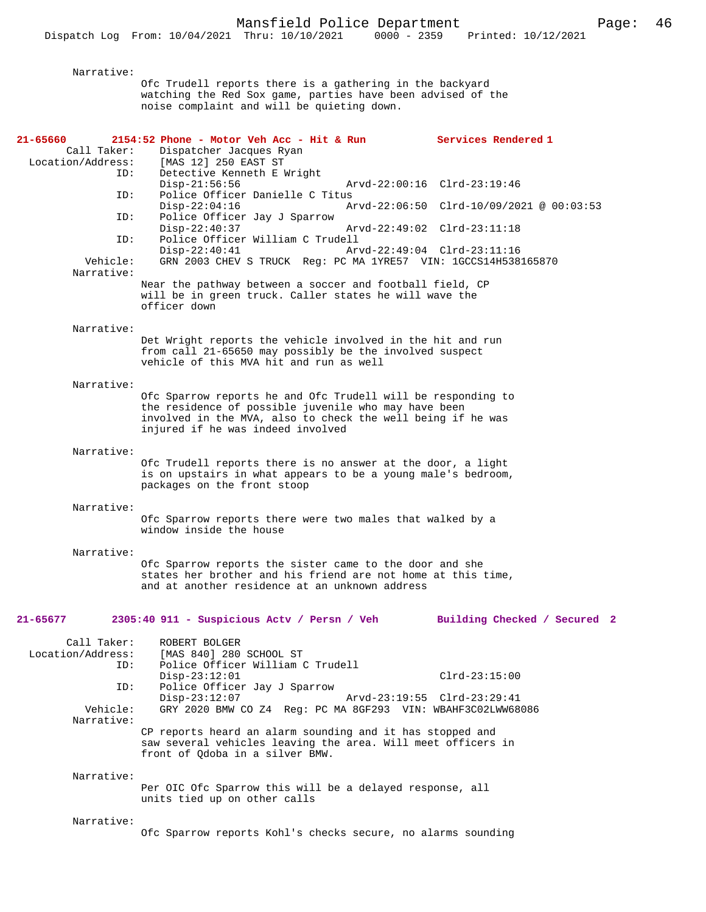Narrative: Ofc Trudell reports there is a gathering in the backyard watching the Red Sox game, parties have been advised of the noise complaint and will be quieting down. **21-65660 2154:52 Phone - Motor Veh Acc - Hit & Run Services Rendered 1**  Dispatcher Jacques Ryan Location/Address: [MAS 12] 250 EAST ST ID: Detective Kenneth E Wright Disp-21:56:56 Arvd-22:00:16 Clrd-23:19:46<br>ID: Police Officer Danielle C Titus Police Officer Danielle C Titus<br>Disp-22:04:16 A Arvd-22:06:50 Clrd-10/09/2021 @ 00:03:53 ID: Police Officer Jay J Sparrow Disp-22:40:37 Arvd-22:49:02 Clrd-23:11:18<br>TD: Police Officer William C Trudell ID: Police Officer William C Trudell Disp-22:40:41 Arvd-22:49:04 Clrd-23:11:16<br>Vehicle: GRN 2003 CHEV S TRUCK Reg: PC MA 1YRE57 VIN: 1GCCS14H538 GRN 2003 CHEV S TRUCK Reg: PC MA 1YRE57 VIN: 1GCCS14H538165870 Narrative: Near the pathway between a soccer and football field, CP will be in green truck. Caller states he will wave the officer down Narrative: Det Wright reports the vehicle involved in the hit and run from call 21-65650 may possibly be the involved suspect vehicle of this MVA hit and run as well Narrative: Ofc Sparrow reports he and Ofc Trudell will be responding to the residence of possible juvenile who may have been involved in the MVA, also to check the well being if he was injured if he was indeed involved Narrative: Ofc Trudell reports there is no answer at the door, a light is on upstairs in what appears to be a young male's bedroom, packages on the front stoop Narrative: Ofc Sparrow reports there were two males that walked by a window inside the house Narrative: Ofc Sparrow reports the sister came to the door and she states her brother and his friend are not home at this time, and at another residence at an unknown address **21-65677 2305:40 911 - Suspicious Actv / Persn / Veh Building Checked / Secured 2** Call Taker: ROBERT BOLGER<br>Location/Address: [MAS 840] 280 ess: [MAS 840] 280 SCHOOL ST<br>ID: Police Officer William ( Police Officer William C Trudell Disp-23:12:01 Clrd-23:15:00 ID: Police Officer Jay J Sparrow Disp-23:12:07 Arvd-23:19:55 Clrd-23:29:41<br>Vehicle: GRY 2020 BMW CO Z4 Reg: PC MA 8GF293 VIN: WBAHF3C02LWW68 GRY 2020 BMW CO Z4 Reg: PC MA 8GF293 VIN: WBAHF3C02LWW68086 Narrative: CP reports heard an alarm sounding and it has stopped and saw several vehicles leaving the area. Will meet officers in front of Qdoba in a silver BMW. Narrative: Per OIC Ofc Sparrow this will be a delayed response, all units tied up on other calls Narrative: Ofc Sparrow reports Kohl's checks secure, no alarms sounding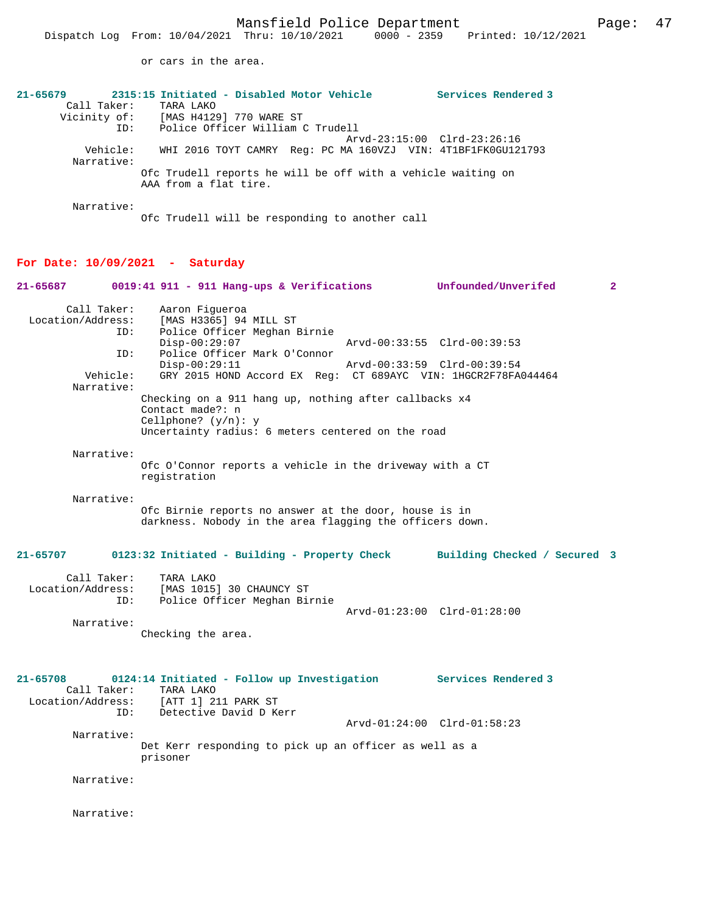or cars in the area.

| $21 - 65679$                      | 2315:15 Initiated - Disabled Motor Vehicle                                            | Services Rendered 3                            |
|-----------------------------------|---------------------------------------------------------------------------------------|------------------------------------------------|
| Call Taker:                       | TARA LAKO                                                                             |                                                |
|                                   | Vicinity of: [MAS H4129] 770 WARE ST                                                  |                                                |
| ID:                               | Police Officer William C Trudell                                                      |                                                |
|                                   |                                                                                       | Arvd-23:15:00 Clrd-23:26:16                    |
| Vehicle:<br>Narrative:            | WHI 2016 TOYT CAMRY Req: PC MA 160VZJ VIN: 4T1BF1FK0GU121793                          |                                                |
|                                   | Ofc Trudell reports he will be off with a vehicle waiting on<br>AAA from a flat tire. |                                                |
| Narrative:                        | Ofc Trudell will be responding to another call                                        |                                                |
| For Date: $10/09/2021$ - Saturday |                                                                                       |                                                |
| 21-65687                          | 0019:41 911 - 911 Hang-ups & Verifications                                            | $\overline{\mathbf{2}}$<br>Unfounded/Unverifed |
| Call Taker:                       | Aaron Figueroa                                                                        |                                                |

 Location/Address: [MAS H3365] 94 MILL ST ID: Police Officer Meghan Birnie Disp-00:29:07 Arvd-00:33:55 Clrd-00:39:53 ID: Police Officer Mark O'Connor Disp-00:29:11 Arvd-00:33:59 Clrd-00:39:54 Vehicle: GRY 2015 HOND Accord EX Reg: CT 689AYC VIN: 1HGCR2F78FA044464 Narrative: Checking on a 911 hang up, nothing after callbacks x4 Contact made?: n Cellphone? (y/n): y Uncertainty radius: 6 meters centered on the road

 Narrative: Ofc O'Connor reports a vehicle in the driveway with a CT registration

 Narrative: Ofc Birnie reports no answer at the door, house is in darkness. Nobody in the area flagging the officers down.

## **21-65707 0123:32 Initiated - Building - Property Check Building Checked / Secured 3**

| Call Taker:       | TARA LAKO                    |                             |  |
|-------------------|------------------------------|-----------------------------|--|
| Location/Address: | [MAS 1015] 30 CHAUNCY ST     |                             |  |
| ID:               | Police Officer Meghan Birnie |                             |  |
|                   |                              | Arvd-01:23:00 Clrd-01:28:00 |  |
| Narrative:        |                              |                             |  |

Checking the area.

## **21-65708 0124:14 Initiated - Follow up Investigation Services Rendered 3**  Call Taker: TARA LAKO<br>Location/Address: [ATT 1] 2 ess: [ATT 1] 211 PARK ST<br>ID: Detective David D Ke Detective David D Kerr Arvd-01:24:00 Clrd-01:58:23 Narrative: Det Kerr responding to pick up an officer as well as a prisoner

Narrative:

Narrative: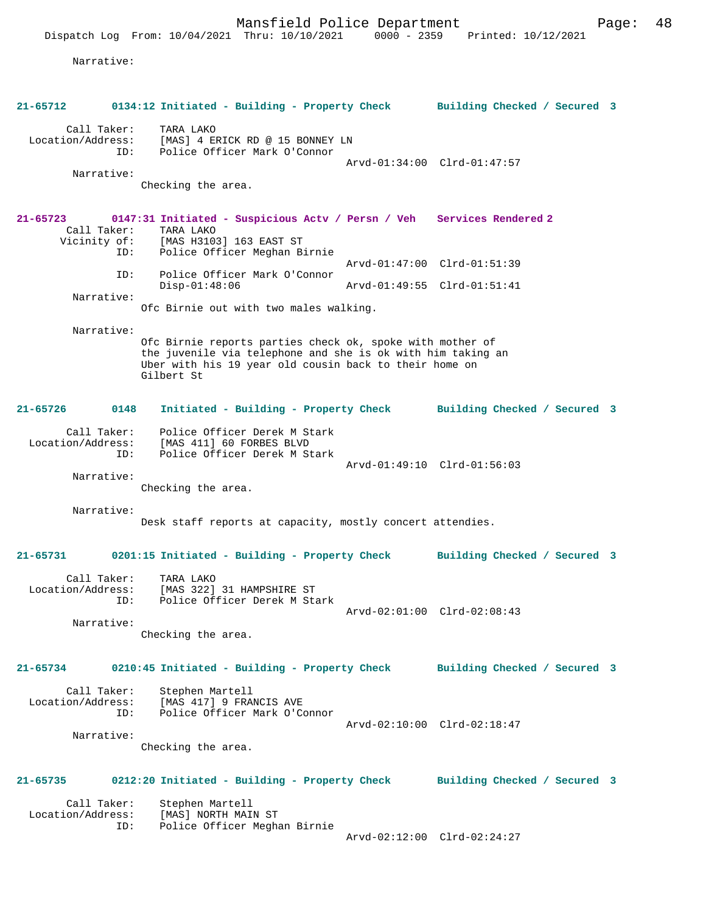Narrative:

| 21-65712                         |      | 0134:12 Initiated - Building - Property Check Building Checked / Secured 3                                                                                                                       |                             |                              |  |
|----------------------------------|------|--------------------------------------------------------------------------------------------------------------------------------------------------------------------------------------------------|-----------------------------|------------------------------|--|
| Call Taker:<br>Location/Address: |      | TARA LAKO<br>[MAS] 4 ERICK RD @ 15 BONNEY LN                                                                                                                                                     |                             |                              |  |
| Narrative:                       | ID:  | Police Officer Mark O'Connor                                                                                                                                                                     | Arvd-01:34:00 Clrd-01:47:57 |                              |  |
|                                  |      | Checking the area.                                                                                                                                                                               |                             |                              |  |
| $21 - 65723$<br>Call Taker:      |      | 0147:31 Initiated - Suspicious Actv / Persn / Veh Services Rendered 2<br>TARA LAKO<br>Vicinity of: [MAS H3103] 163 EAST ST                                                                       |                             |                              |  |
|                                  | ID:  | Police Officer Meghan Birnie                                                                                                                                                                     | Arvd-01:47:00 Clrd-01:51:39 |                              |  |
|                                  | ID:  | Police Officer Mark O'Connor<br>$Disp-01:48:06$                                                                                                                                                  | Arvd-01:49:55 Clrd-01:51:41 |                              |  |
| Narrative:                       |      | Ofc Birnie out with two males walking.                                                                                                                                                           |                             |                              |  |
| Narrative:                       |      | Ofc Birnie reports parties check ok, spoke with mother of<br>the juvenile via telephone and she is ok with him taking an<br>Uber with his 19 year old cousin back to their home on<br>Gilbert St |                             |                              |  |
| 21-65726                         | 0148 | Initiated - Building - Property Check Building Checked / Secured 3                                                                                                                               |                             |                              |  |
| Call Taker:<br>Location/Address: | ID:  | Police Officer Derek M Stark<br>[MAS 411] 60 FORBES BLVD<br>Police Officer Derek M Stark                                                                                                         |                             |                              |  |
| Narrative:                       |      | Checking the area.                                                                                                                                                                               | Arvd-01:49:10 Clrd-01:56:03 |                              |  |
| Narrative:                       |      | Desk staff reports at capacity, mostly concert attendies.                                                                                                                                        |                             |                              |  |
| 21-65731                         |      | 0201:15 Initiated - Building - Property Check                                                                                                                                                    |                             | Building Checked / Secured 3 |  |
| Call Taker:<br>Location/Address: | ID:  | TARA LAKO<br>[MAS 322] 31 HAMPSHIRE ST<br>Police Officer Derek M Stark                                                                                                                           | Arvd-02:01:00 Clrd-02:08:43 |                              |  |
| Narrative:                       |      | Checking the area.                                                                                                                                                                               |                             |                              |  |
| 21-65734                         |      | 0210:45 Initiated - Building - Property Check Building Checked / Secured 3                                                                                                                       |                             |                              |  |
| Call Taker:<br>Location/Address: | ID:  | Stephen Martell<br>[MAS 417] 9 FRANCIS AVE<br>Police Officer Mark O'Connor                                                                                                                       | Arvd-02:10:00 Clrd-02:18:47 |                              |  |
| Narrative:                       |      | Checking the area.                                                                                                                                                                               |                             |                              |  |
| 21-65735                         |      | 0212:20 Initiated - Building - Property Check                                                                                                                                                    |                             | Building Checked / Secured 3 |  |
| Call Taker:<br>Location/Address: | ID:  | Stephen Martell<br>[MAS] NORTH MAIN ST<br>Police Officer Meghan Birnie                                                                                                                           |                             |                              |  |
|                                  |      |                                                                                                                                                                                                  | Arvd-02:12:00 Clrd-02:24:27 |                              |  |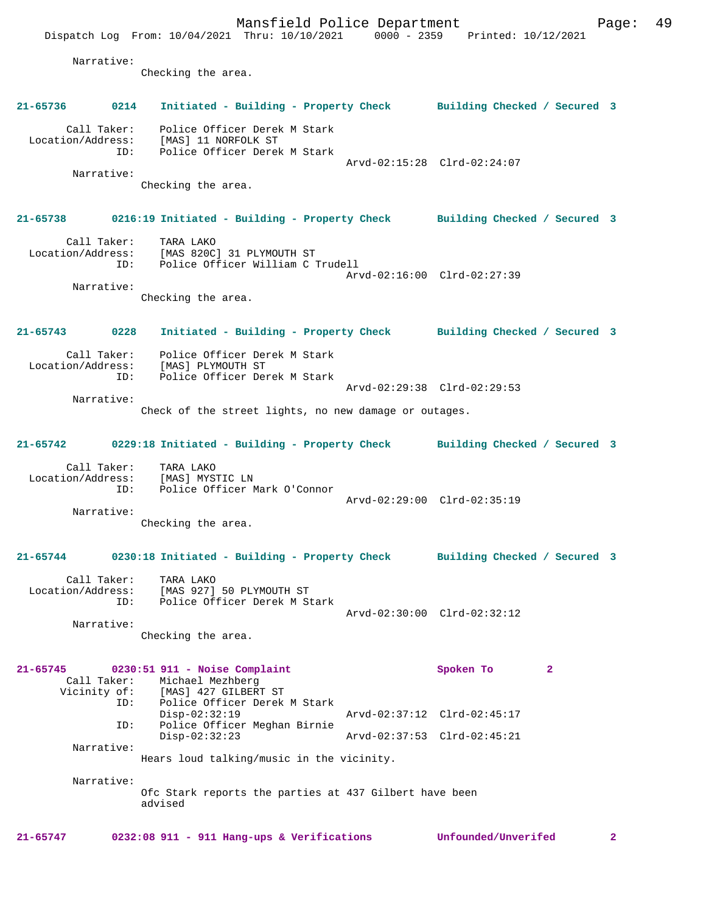Mansfield Police Department Fage: 49 Dispatch Log From: 10/04/2021 Thru: 10/10/2021 0000 - 2359 Printed: 10/12/2021 Narrative: Checking the area. **21-65736 0214 Initiated - Building - Property Check Building Checked / Secured 3** Call Taker: Police Officer Derek M Stark Location/Address: [MAS] 11 NORFOLK ST ID: Police Officer Derek M Stark Arvd-02:15:28 Clrd-02:24:07 Narrative: Checking the area. **21-65738 0216:19 Initiated - Building - Property Check Building Checked / Secured 3** Call Taker: TARA LAKO Location/Address: [MAS 820C] 31 PLYMOUTH ST ID: Police Officer William C Trudell Arvd-02:16:00 Clrd-02:27:39 Narrative: Checking the area. **21-65743 0228 Initiated - Building - Property Check Building Checked / Secured 3** Call Taker: Police Officer Derek M Stark Location/Address: [MAS] PLYMOUTH ST Police Officer Derek M Stark Arvd-02:29:38 Clrd-02:29:53 Narrative: Check of the street lights, no new damage or outages. **21-65742 0229:18 Initiated - Building - Property Check Building Checked / Secured 3** Call Taker: TARA LAKO Location/Address: [MAS] MYSTIC LN ID: Police Officer Mark O'Connor Arvd-02:29:00 Clrd-02:35:19 Narrative: Checking the area. **21-65744 0230:18 Initiated - Building - Property Check Building Checked / Secured 3** Call Taker: TARA LAKO Location/Address: [MAS 927] 50 PLYMOUTH ST Police Officer Derek M Stark Arvd-02:30:00 Clrd-02:32:12 Narrative: Checking the area. **21-65745 0230:51 911 - Noise Complaint Spoken To 2**  Call Taker: Michael Mezhberg Vicinity of: [MAS] 427 GILBERT ST<br>ID: Police Officer Derek Police Officer Derek M Stark<br>Disp-02:32:19 Disp-02:32:19 Arvd-02:37:12 Clrd-02:45:17 ID: Police Officer Meghan Birnie Disp-02:32:23 Arvd-02:37:53 Clrd-02:45:21 Narrative: Hears loud talking/music in the vicinity. Narrative: Ofc Stark reports the parties at 437 Gilbert have been advised

**21-65747 0232:08 911 - 911 Hang-ups & Verifications Unfounded/Unverifed 2**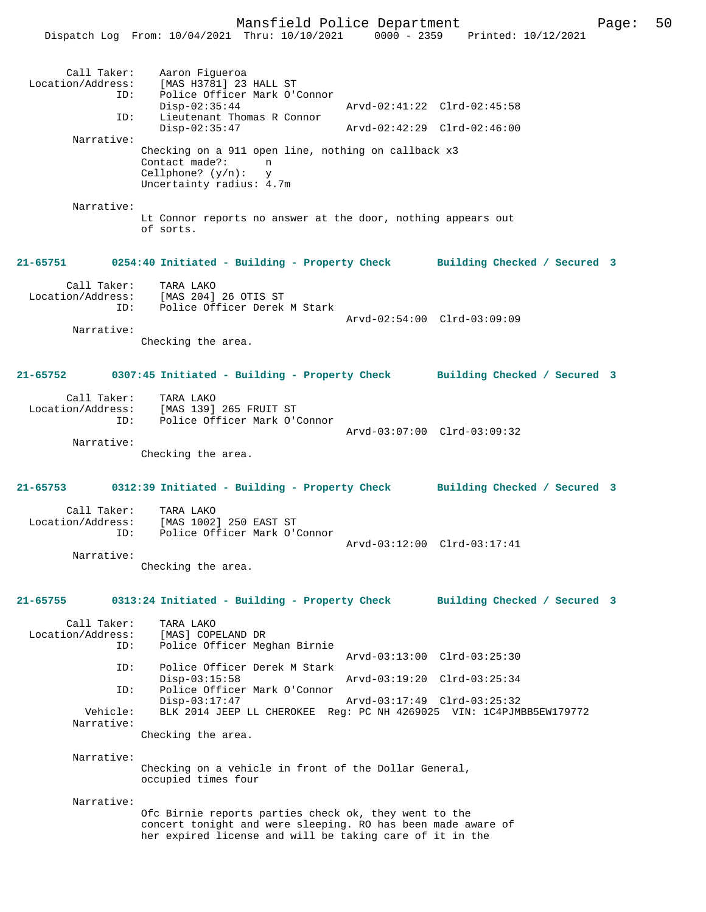|                                         | Dispatch Log From: 10/04/2021 Thru: 10/10/2021                                                                                                                                    | 0000 - 2359                 | Printed: 10/12/2021          |  |
|-----------------------------------------|-----------------------------------------------------------------------------------------------------------------------------------------------------------------------------------|-----------------------------|------------------------------|--|
| Call Taker:<br>ID:                      | Aaron Figueroa<br>Location/Address: [MAS H3781] 23 HALL ST<br>Police Officer Mark O'Connor                                                                                        |                             |                              |  |
| ID:                                     | $Disp-02:35:44$<br>Lieutenant Thomas R Connor                                                                                                                                     | Arvd-02:41:22 Clrd-02:45:58 |                              |  |
|                                         | $Disp-02:35:47$                                                                                                                                                                   | Arvd-02:42:29 Clrd-02:46:00 |                              |  |
| Narrative:                              | Checking on a 911 open line, nothing on callback x3<br>Contact made?:<br>n<br>Cellphone? $(y/n)$ :<br>y<br>Uncertainty radius: 4.7m                                               |                             |                              |  |
|                                         |                                                                                                                                                                                   |                             |                              |  |
| Narrative:                              | Lt Connor reports no answer at the door, nothing appears out<br>of sorts.                                                                                                         |                             |                              |  |
|                                         | 21-65751 0254:40 Initiated - Building - Property Check Building Checked / Secured 3                                                                                               |                             |                              |  |
| ID:                                     | Call Taker: TARA LAKO<br>Location/Address: [MAS 204] 26 OTIS ST<br>Police Officer Derek M Stark                                                                                   |                             |                              |  |
| Narrative:                              |                                                                                                                                                                                   | Arvd-02:54:00 Clrd-03:09:09 |                              |  |
|                                         | Checking the area.                                                                                                                                                                |                             |                              |  |
|                                         | 21-65752 0307:45 Initiated - Building - Property Check Building Checked / Secured 3                                                                                               |                             |                              |  |
| ID:                                     | Call Taker: TARA LAKO<br>Location/Address: [MAS 139] 265 FRUIT ST<br>Police Officer Mark O'Connor                                                                                 | Arvd-03:07:00 Clrd-03:09:32 |                              |  |
| Narrative:                              |                                                                                                                                                                                   |                             |                              |  |
|                                         | Checking the area.                                                                                                                                                                |                             |                              |  |
|                                         | 21-65753 0312:39 Initiated - Building - Property Check Building Checked / Secured 3                                                                                               |                             |                              |  |
| Call Taker:<br>Location/Address:<br>ID: | TARA LAKO<br>[MAS 1002] 250 EAST ST<br>Police Officer Mark O'Connor                                                                                                               |                             |                              |  |
| Narrative:                              |                                                                                                                                                                                   | Arvd-03:12:00 Clrd-03:17:41 |                              |  |
|                                         | Checking the area.                                                                                                                                                                |                             |                              |  |
| 21-65755                                | 0313:24 Initiated - Building - Property Check                                                                                                                                     |                             | Building Checked / Secured 3 |  |
| Call Taker:<br>Location/Address:<br>ID: | TARA LAKO<br>[MAS] COPELAND DR<br>Police Officer Meghan Birnie                                                                                                                    |                             |                              |  |
| ID:                                     | Police Officer Derek M Stark                                                                                                                                                      |                             | Arvd-03:13:00 Clrd-03:25:30  |  |
| ID:                                     | $Disp-03:15:58$<br>Police Officer Mark O'Connor                                                                                                                                   |                             | Arvd-03:19:20 Clrd-03:25:34  |  |
|                                         | $Disp-03:17:47$                                                                                                                                                                   |                             | Arvd-03:17:49 Clrd-03:25:32  |  |
| Vehicle:<br>Narrative:                  | BLK 2014 JEEP LL CHEROKEE Reg: PC NH 4269025 VIN: 1C4PJMBB5EW179772<br>Checking the area.                                                                                         |                             |                              |  |
| Narrative:                              | Checking on a vehicle in front of the Dollar General,<br>occupied times four                                                                                                      |                             |                              |  |
| Narrative:                              |                                                                                                                                                                                   |                             |                              |  |
|                                         | Ofc Birnie reports parties check ok, they went to the<br>concert tonight and were sleeping. RO has been made aware of<br>her expired license and will be taking care of it in the |                             |                              |  |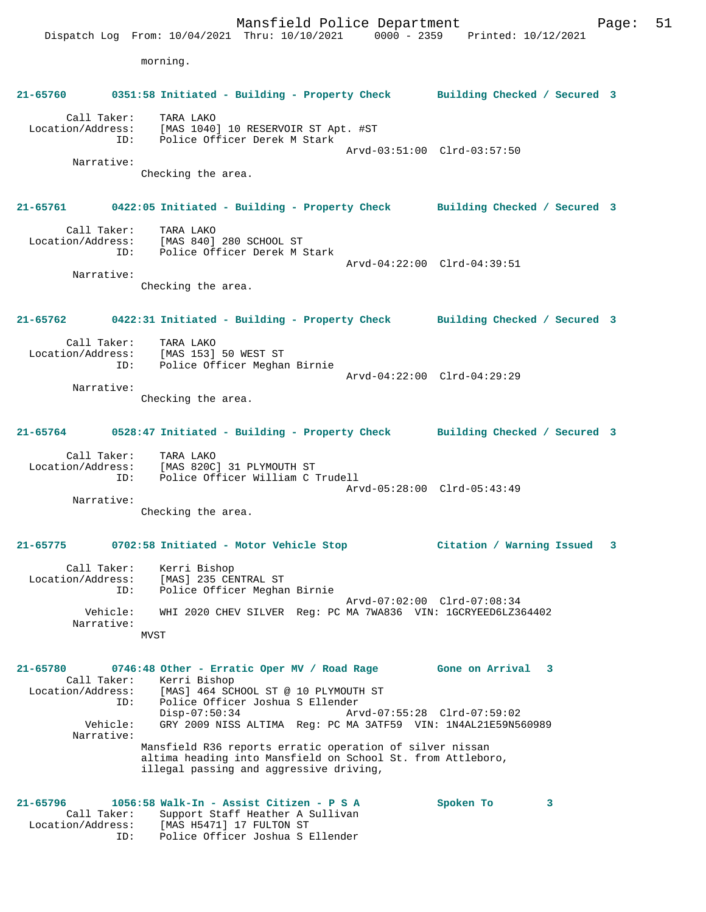Mansfield Police Department Page: 51 Dispatch Log From: 10/04/2021 Thru: 10/10/2021 0000 - 2359 Printed: 10/12/2021 morning. **21-65760 0351:58 Initiated - Building - Property Check Building Checked / Secured 3** Call Taker: TARA LAKO Location/Address: [MAS 1040] 10 RESERVOIR ST Apt. #ST ID: Police Officer Derek M Stark Arvd-03:51:00 Clrd-03:57:50 Narrative: Checking the area. **21-65761 0422:05 Initiated - Building - Property Check Building Checked / Secured 3** Call Taker: TARA LAKO Location/Address: [MAS 840] 280 SCHOOL ST ID: Police Officer Derek M Stark Arvd-04:22:00 Clrd-04:39:51 Narrative: Checking the area. **21-65762 0422:31 Initiated - Building - Property Check Building Checked / Secured 3** Call Taker: TARA LAKO Location/Address: [MAS 153] 50 WEST ST ID: Police Officer Meghan Birnie Arvd-04:22:00 Clrd-04:29:29 Narrative: Checking the area. **21-65764 0528:47 Initiated - Building - Property Check Building Checked / Secured 3** Call Taker: TARA LAKO Location/Address: [MAS 820C] 31 PLYMOUTH ST ID: Police Officer William C Trudell Arvd-05:28:00 Clrd-05:43:49 Narrative: Checking the area. **21-65775 0702:58 Initiated - Motor Vehicle Stop Citation / Warning Issued 3** Call Taker: Kerri Bishop Location/Address: [MAS] 235 CENTRAL ST ID: Police Officer Meghan Birnie Arvd-07:02:00 Clrd-07:08:34 Vehicle: WHI 2020 CHEV SILVER Reg: PC MA 7WA836 VIN: 1GCRYEED6LZ364402 Narrative: MVST **21-65780 0746:48 Other - Erratic Oper MV / Road Rage Gone on Arrival 3**  Call Taker: Kerri Bishop Location/Address: [MAS] 464 SCHOOL ST @ 10 PLYMOUTH ST ID: Police Officer Joshua S Ellender Disp-07:50:34 Arvd-07:55:28 Clrd-07:59:02 Vehicle: GRY 2009 NISS ALTIMA Reg: PC MA 3ATF59 VIN: 1N4AL21E59N560989 Narrative: Mansfield R36 reports erratic operation of silver nissan altima heading into Mansfield on School St. from Attleboro, illegal passing and aggressive driving, **21-65796 1056:58 Walk-In - Assist Citizen - P S A Spoken To 3**  Call Taker: Support Staff Heather A Sullivan Location/Address: [MAS H5471] 17 FULTON ST ID: Police Officer Joshua S Ellender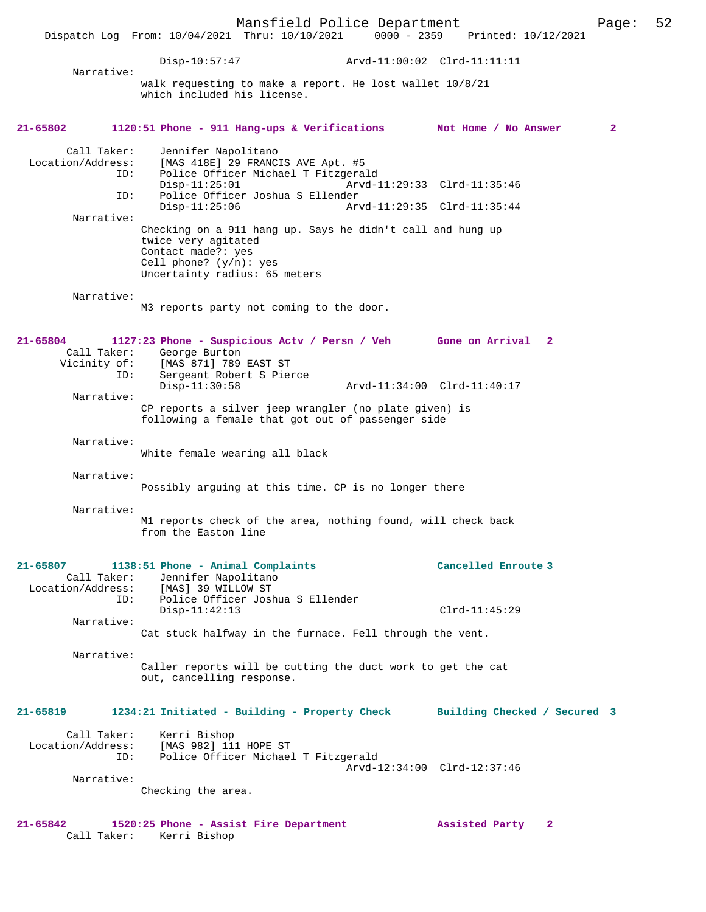Mansfield Police Department Page: 52 Dispatch Log From: 10/04/2021 Thru: 10/10/2021 Disp-10:57:47 Arvd-11:00:02 Clrd-11:11:11 Narrative: walk requesting to make a report. He lost wallet 10/8/21 which included his license. **21-65802 1120:51 Phone - 911 Hang-ups & Verifications Not Home / No Answer 2** Call Taker: Jennifer Napolitano Location/Address: [MAS 418E] 29 FRANCIS AVE Apt. #5 ID: Police Officer Michael T Fitzgerald Disp-11:25:01 Arvd-11:29:33 Clrd-11:35:46<br>ID: Police Officer Joshua S Ellender ID: Police Officer Joshua S Ellender Disp-11:25:06 Arvd-11:29:35 Clrd-11:35:44 Narrative: Checking on a 911 hang up. Says he didn't call and hung up twice very agitated Contact made?: yes Cell phone? (y/n): yes Uncertainty radius: 65 meters Narrative: M3 reports party not coming to the door. **21-65804 1127:23 Phone - Suspicious Actv / Persn / Veh Gone on Arrival 2**  Call Taker: George Burton Vicinity of: [MAS 871] 789 EAST ST ID: Indo Well World Control of the Sergeant Robert S Pierce<br>Disp-11:30:58 Disp-11:30:58 Arvd-11:34:00 Clrd-11:40:17 Narrative: CP reports a silver jeep wrangler (no plate given) is following a female that got out of passenger side Narrative: White female wearing all black Narrative: Possibly arguing at this time. CP is no longer there Narrative: M1 reports check of the area, nothing found, will check back from the Easton line **21-65807 1138:51 Phone - Animal Complaints Cancelled Enroute 3**  Call Taker: Jennifer Napolitano Location/Address: [MAS] 39 WILLOW ST ID: Police Officer Joshua S Ellender Disp-11:42:13 Clrd-11:45:29 Narrative: Cat stuck halfway in the furnace. Fell through the vent. Narrative: Caller reports will be cutting the duct work to get the cat out, cancelling response. **21-65819 1234:21 Initiated - Building - Property Check Building Checked / Secured 3** Call Taker: Kerri Bishop Location/Address: [MAS 982] 111 HOPE ST ID: Police Officer Michael T Fitzgerald Arvd-12:34:00 Clrd-12:37:46 Narrative: Checking the area. **21-65842 1520:25 Phone - Assist Fire Department Assisted Party 2**  Call Taker: Kerri Bishop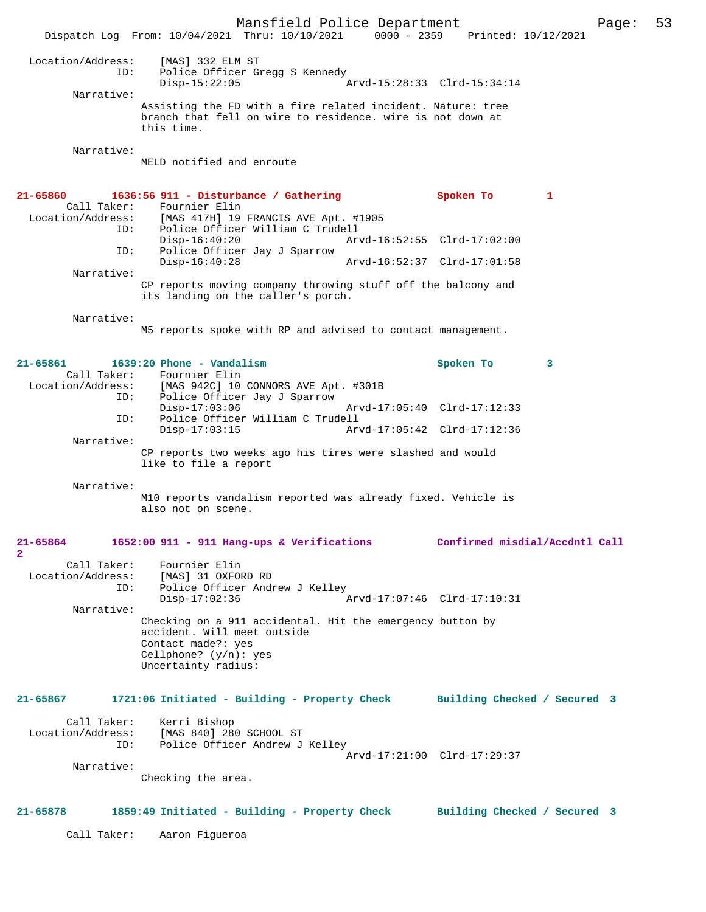Mansfield Police Department Page: 53 Dispatch Log From: 10/04/2021 Thru: 10/10/2021 0000 - 2359 Printed: 10/12/2021 Location/Address: [MAS] 332 ELM ST ID: Police Officer Gregg S Kennedy Disp-15:22:05 Arvd-15:28:33 Clrd-15:34:14 Narrative: Assisting the FD with a fire related incident. Nature: tree branch that fell on wire to residence. wire is not down at this time. Narrative: MELD notified and enroute **21-65860 1636:56 911 - Disturbance / Gathering Spoken To 1**  Call Taker: Fournier Elin Location/Address: [MAS 417H] 19 FRANCIS AVE Apt. #1905 Police Officer William C Trudell<br>Disp-16:40:20 Ary Disp-16:40:20 Arvd-16:52:55 Clrd-17:02:00<br>ID: Police Officer Jav J Sparrow Police Officer Jay J Sparrow Disp-16:40:28 Arvd-16:52:37 Clrd-17:01:58 Narrative: CP reports moving company throwing stuff off the balcony and its landing on the caller's porch. Narrative: M5 reports spoke with RP and advised to contact management. **21-65861 1639:20 Phone - Vandalism Spoken To 3**  Call Taker: Fournier Elin<br>Location/Address: [MAS 942C] 10 [MAS 942C] 10 CONNORS AVE Apt. #301B ID: Police Officer Jay J Sparrow Disp-17:03:06 Arvd-17:05:40 Clrd-17:12:33<br>ID: Police Officer William C Trudell Police Officer William C Trudell<br>Disp-17:03:15 Arv Disp-17:03:15 Arvd-17:05:42 Clrd-17:12:36 Narrative: CP reports two weeks ago his tires were slashed and would like to file a report Narrative: M10 reports vandalism reported was already fixed. Vehicle is also not on scene. **21-65864 1652:00 911 - 911 Hang-ups & Verifications Confirmed misdial/Accdntl Call 2**  Call Taker: Fournier Elin Location/Address: [MAS] 31 OXFORD RD Police Officer Andrew J Kelley<br>Disp-17:02:36 Disp-17:02:36 Arvd-17:07:46 Clrd-17:10:31 Narrative: Checking on a 911 accidental. Hit the emergency button by accident. Will meet outside Contact made?: yes Cellphone? (y/n): yes Uncertainty radius: **21-65867 1721:06 Initiated - Building - Property Check Building Checked / Secured 3** Call Taker: Kerri Bishop<br>Location/Address: [MAS 840] 28 [MAS 840] 280 SCHOOL ST ID: Police Officer Andrew J Kelley Arvd-17:21:00 Clrd-17:29:37 Narrative: Checking the area. **21-65878 1859:49 Initiated - Building - Property Check Building Checked / Secured 3** Call Taker: Aaron Figueroa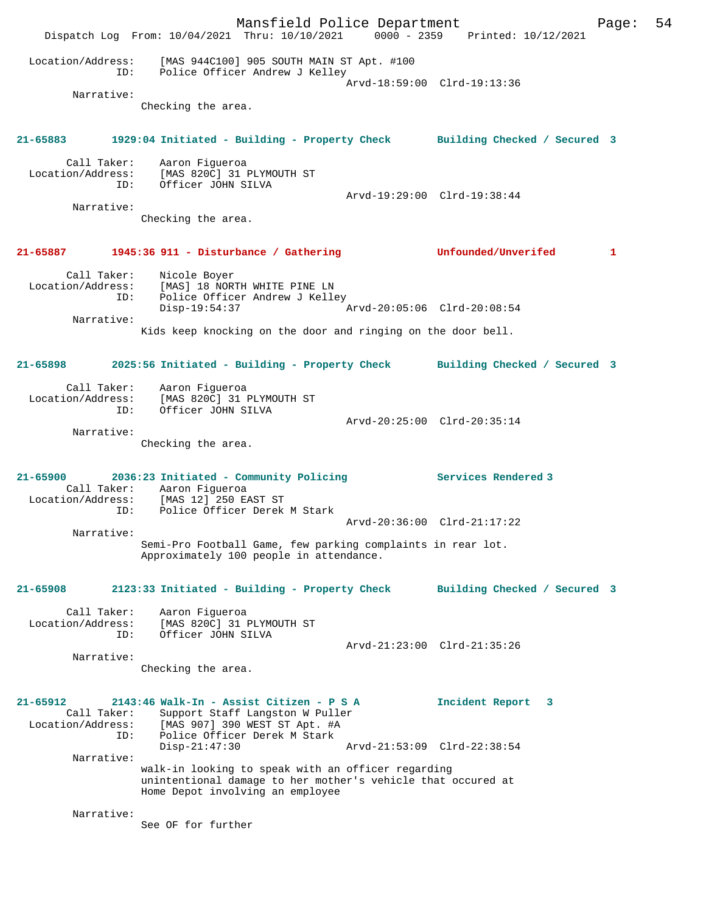Mansfield Police Department Form Page: 54 Dispatch Log From: 10/04/2021 Thru: 10/10/2021 0000 - 2359 Printed: 10/12/2021 Location/Address: [MAS 944C100] 905 SOUTH MAIN ST Apt. #100 ID: Police Officer Andrew J Kelley Arvd-18:59:00 Clrd-19:13:36 Narrative: Checking the area. **21-65883 1929:04 Initiated - Building - Property Check Building Checked / Secured 3** Call Taker: Aaron Figueroa Location/Address: [MAS 820C] 31 PLYMOUTH ST ID: Officer JOHN SILVA Arvd-19:29:00 Clrd-19:38:44 Narrative: Checking the area. **21-65887 1945:36 911 - Disturbance / Gathering Unfounded/Unverifed 1** Call Taker: Nicole Boyer Location/Address: [MAS] 18 NORTH WHITE PINE LN ID: Police Officer Andrew J Kelley Disp-19:54:37 Arvd-20:05:06 Clrd-20:08:54 Narrative: Kids keep knocking on the door and ringing on the door bell. **21-65898 2025:56 Initiated - Building - Property Check Building Checked / Secured 3** Call Taker: Aaron Figueroa Location/Address: [MAS 820C] 31 PLYMOUTH ST ID: Officer JOHN SILVA Arvd-20:25:00 Clrd-20:35:14 Narrative: Checking the area. **21-65900 2036:23 Initiated - Community Policing Services Rendered 3**  Call Taker: Aaron Figueroa Location/Address: [MAS 12] 250 EAST ST ID: Police Officer Derek M Stark Arvd-20:36:00 Clrd-21:17:22 Narrative: Semi-Pro Football Game, few parking complaints in rear lot. Approximately 100 people in attendance. **21-65908 2123:33 Initiated - Building - Property Check Building Checked / Secured 3** Call Taker: Aaron Figueroa Location/Address: [MAS 820C] 31 PLYMOUTH ST ID: Officer JOHN SILVA Arvd-21:23:00 Clrd-21:35:26 Narrative: Checking the area. **21-65912 2143:46 Walk-In - Assist Citizen - P S A Incident Report 3**  Call Taker: Support Staff Langston W Puller<br>Location/Address: [MAS 907] 390 WEST ST Apt. #A ess: [MAS 907] 390 WEST ST Apt. #A<br>ID: Police Officer Derek M Stark ID: Police Officer Derek M Stark Disp-21:47:30 Arvd-21:53:09 Clrd-22:38:54 Narrative: walk-in looking to speak with an officer regarding unintentional damage to her mother's vehicle that occured at Home Depot involving an employee Narrative: See OF for further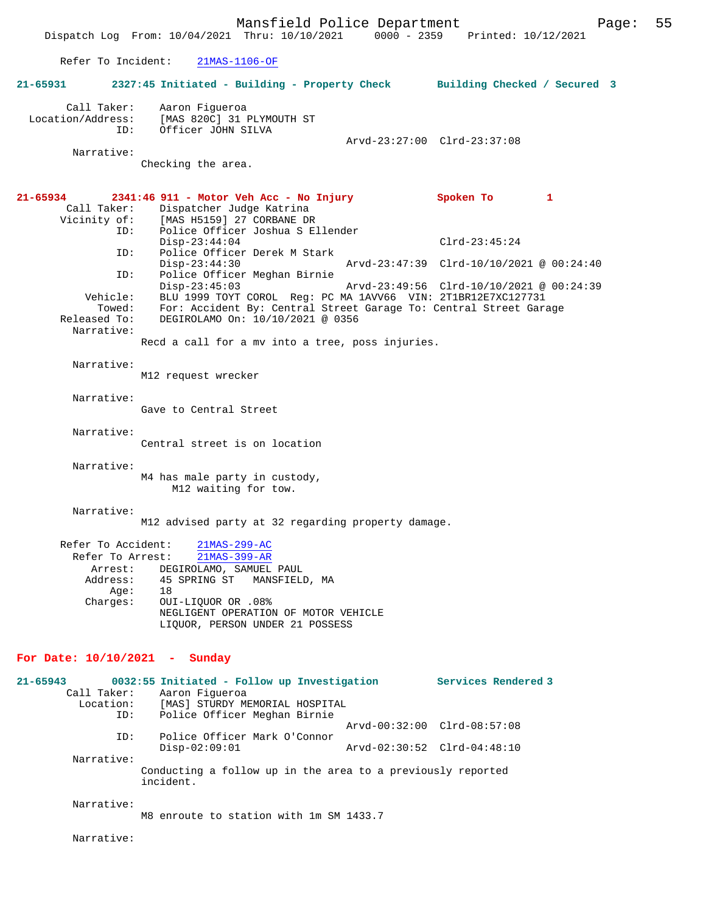Mansfield Police Department Page: 55 Dispatch Log From: 10/04/2021 Thru: 10/10/2021 Refer To Incident: 21MAS-1106-OF **21-65931 2327:45 Initiated - Building - Property Check Building Checked / Secured 3** Call Taker: Aaron Figueroa<br>Location/Address: [MAS 820C] 31 [MAS 820C] 31 PLYMOUTH ST ID: Officer JOHN SILVA Arvd-23:27:00 Clrd-23:37:08 Narrative: Checking the area. **21-65934 2341:46 911 - Motor Veh Acc - No Injury Spoken To 1**  Call Taker: Dispatcher Judge Katrina<br>Vicinity of: [MAS H5159] 27 CORBANE DP of: [MAS H5159] 27 CORBANE DR<br>ID: Police Officer Joshua S E. Police Officer Joshua S Ellender Disp-23:44:04 Clrd-23:45:24<br>ID: Police Officer Derek M Stark Clrd-23:45:24 Police Officer Derek M Stark<br>Disp-23:44:30 Disp-23:44:30 Arvd-23:47:39 Clrd-10/10/2021 @ 00:24:40<br>TD: Police Officer Meghan Birnie Police Officer Meghan Birnie Disp-23:45:03 Arvd-23:49:56 Clrd-10/10/2021 @ 00:24:39 Vehicle: BLU 1999 TOYT COROL Reg: PC MA 1AVV66 VIN: 2T1BR12E7XC127731 Towed: For: Accident By: Central Street Garage To: Central Street Garage Released To: DEGIROLAMO On: 10/10/2021 @ 0356 Narrative: Recd a call for a mv into a tree, poss injuries. Narrative: M12 request wrecker Narrative: Gave to Central Street Narrative: Central street is on location Narrative: M4 has male party in custody, M12 waiting for tow. Narrative: M12 advised party at 32 regarding property damage. Refer To Accident:  $\frac{21\text{MAS}-299-\text{AC}}{21\text{MAS}-399-\text{AR}}$ Refer To Arrest: Arrest: DEGIROLAMO, SAMUEL PAUL Address: 45 SPRING ST MANSFIELD, MA<br>Age: 18 Age:<br>:Charges OUI-LIQUOR OR .08% NEGLIGENT OPERATION OF MOTOR VEHICLE LIQUOR, PERSON UNDER 21 POSSESS **For Date: 10/10/2021 - Sunday 21-65943 0032:55 Initiated - Follow up Investigation Services Rendered 3**  Call Taker: Aaron Figueroa Location: [MAS] STURDY MEMORIAL HOSPITAL ID: Police Officer Meghan Birnie Arvd-00:32:00 Clrd-08:57:08 ID: Police Officer Mark O'Connor Disp-02:09:01 Arvd-02:30:52 Clrd-04:48:10 Narrative: Conducting a follow up in the area to a previously reported incident. Narrative: M8 enroute to station with 1m SM 1433.7

Narrative: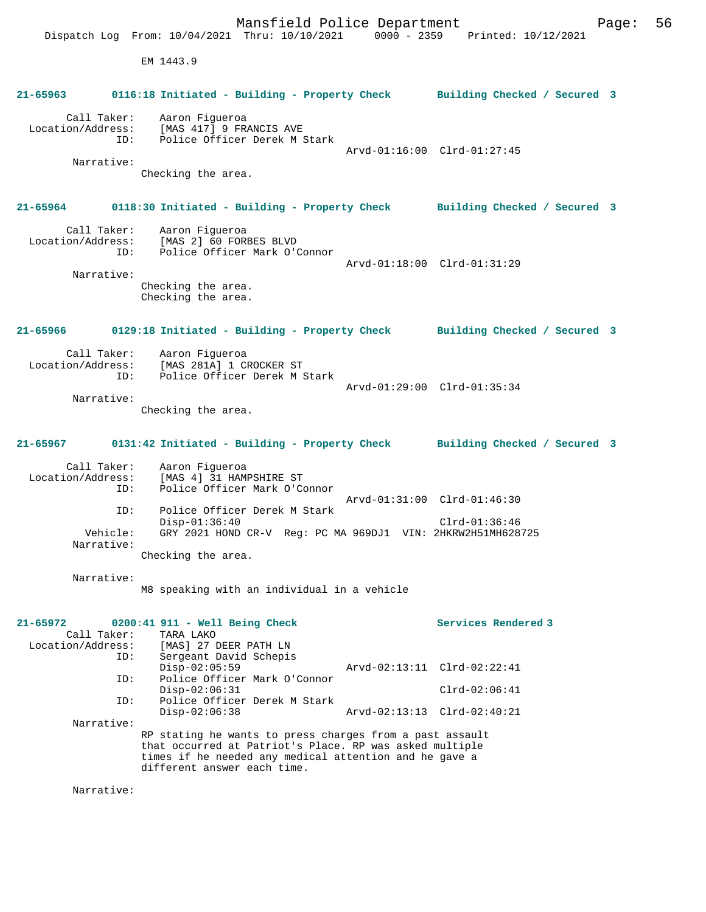Mansfield Police Department Page: 56 Dispatch Log From: 10/04/2021 Thru: 10/10/2021 0000 - 2359 Printed: 10/12/2021 EM 1443.9 **21-65963 0116:18 Initiated - Building - Property Check Building Checked / Secured 3** Call Taker: Aaron Figueroa Location/Address: [MAS 417] 9 FRANCIS AVE<br>TD: Police Officer Derek M 9 Police Officer Derek M Stark Arvd-01:16:00 Clrd-01:27:45 Narrative: Checking the area. **21-65964 0118:30 Initiated - Building - Property Check Building Checked / Secured 3** Call Taker: Aaron Figueroa Location/Address: [MAS 2] 60 FORBES BLVD ID: Police Officer Mark O'Connor Arvd-01:18:00 Clrd-01:31:29 Narrative: Checking the area. Checking the area. **21-65966 0129:18 Initiated - Building - Property Check Building Checked / Secured 3** Call Taker: Aaron Figueroa<br>Location/Address: [MAS 281A] 1 CI Location/Address: [MAS 281A] 1 CROCKER ST ID: Police Officer Derek M Stark Arvd-01:29:00 Clrd-01:35:34 Narrative: Checking the area. **21-65967 0131:42 Initiated - Building - Property Check Building Checked / Secured 3** Call Taker: Aaron Figueroa<br>Location/Address: [MAS 4] 31 HAM ess: [MAS 4] 31 HAMPSHIRE ST<br>ID: Police Officer Mark O'C Police Officer Mark O'Connor Arvd-01:31:00 Clrd-01:46:30<br>ID: Police Officer Derek M Stark Police Officer Derek M Stark Disp-01:36:40 Clrd-01:36:46 Vehicle: GRY 2021 HOND CR-V Reg: PC MA 969DJ1 VIN: 2HKRW2H51MH628725 Narrative: Checking the area. Narrative: M8 speaking with an individual in a vehicle **21-65972 0200:41 911 - Well Being Check Services Rendered 3**  Call Taker: TARA LAKO Location/Address: [MAS] 27 DEER PATH LN Sergeant David Schepis Disp-02:05:59 Arvd-02:13:11 Clrd-02:22:41<br>TD: Police Officer Mark O'Connor Police Officer Mark O'Connor Disp-02:06:31 Clrd-02:06:41 ID: Police Officer Derek M Stark Disp-02:06:38 Arvd-02:13:13 Clrd-02:40:21 Narrative: RP stating he wants to press charges from a past assault that occurred at Patriot's Place. RP was asked multiple times if he needed any medical attention and he gave a different answer each time. Narrative: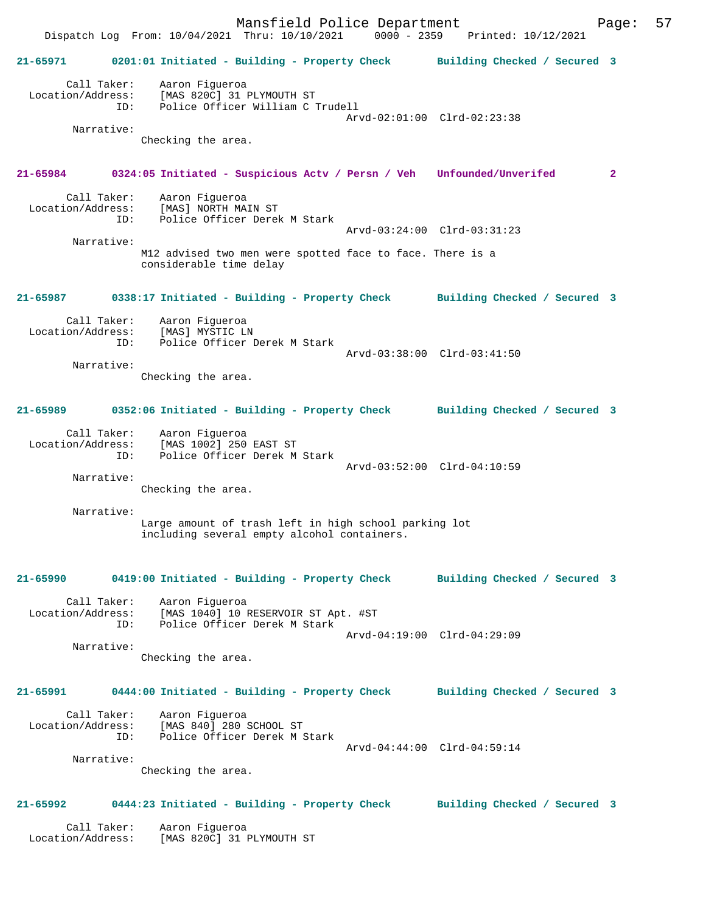Mansfield Police Department<br>Thru: 10/10/2021 0000 - 2359 Printed: 10/12/2021 Dispatch Log From: 10/04/2021 Thru: 10/10/2021 **21-65971 0201:01 Initiated - Building - Property Check Building Checked / Secured 3** Call Taker: Aaron Figueroa Location/Address: [MAS 820C] 31 PLYMOUTH ST ID: Police Officer William C Trudell Arvd-02:01:00 Clrd-02:23:38 Narrative: Checking the area. **21-65984 0324:05 Initiated - Suspicious Actv / Persn / Veh Unfounded/Unverifed 2** Call Taker: Aaron Figueroa<br>Location/Address: [MAS] NORTH MA ess: [MAS] NORTH MAIN ST<br>ID: Police Officer Derek Police Officer Derek M Stark Arvd-03:24:00 Clrd-03:31:23 Narrative: M12 advised two men were spotted face to face. There is a considerable time delay **21-65987 0338:17 Initiated - Building - Property Check Building Checked / Secured 3** Call Taker: Aaron Figueroa Location/Address: ID: Police Officer Derek M Stark Arvd-03:38:00 Clrd-03:41:50 Narrative: Checking the area. **21-65989 0352:06 Initiated - Building - Property Check Building Checked / Secured 3** Call Taker: Aaron Figueroa Location/Address: [MAS 1002] 250 EAST ST ID: Police Officer Derek M Stark Arvd-03:52:00 Clrd-04:10:59 Narrative: Checking the area. Narrative: Large amount of trash left in high school parking lot including several empty alcohol containers. **21-65990 0419:00 Initiated - Building - Property Check Building Checked / Secured 3** Call Taker: Aaron Figueroa<br>Location/Address: [MAS 1040] 10 1 [MAS 1040] 10 RESERVOIR ST Apt. #ST ID: Police Officer Derek M Stark Arvd-04:19:00 Clrd-04:29:09 Narrative: Checking the area. **21-65991 0444:00 Initiated - Building - Property Check Building Checked / Secured 3** Call Taker: Aaron Figueroa Location/Address: [MAS 840] 280 SCHOOL ST Police Officer Derek M Stark Arvd-04:44:00 Clrd-04:59:14 Narrative: Checking the area. **21-65992 0444:23 Initiated - Building - Property Check Building Checked / Secured 3** Call Taker: Aaron Figueroa Location/Address: [MAS 820C] 31 PLYMOUTH ST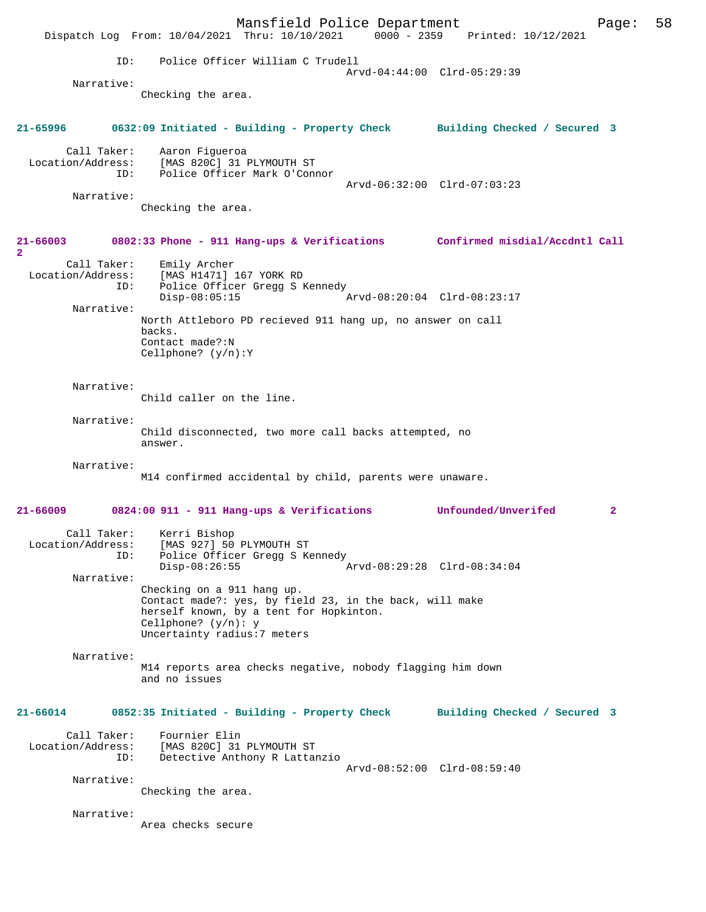Mansfield Police Department<br>Thru: 10/10/2021 0000 - 2359 Printed: 10/12/2021 Dispatch Log From: 10/04/2021 Thru: 10/10/2021 ID: Police Officer William C Trudell Arvd-04:44:00 Clrd-05:29:39 Narrative: Checking the area. **21-65996 0632:09 Initiated - Building - Property Check Building Checked / Secured 3** Call Taker: Aaron Figueroa Location/Address: [MAS 820C] 31 PLYMOUTH ST ID: Police Officer Mark O'Connor Arvd-06:32:00 Clrd-07:03:23 Narrative: Checking the area. **21-66003 0802:33 Phone - 911 Hang-ups & Verifications Confirmed misdial/Accdntl Call 2**  Call Taker: Emily Archer Location/Address: [MAS H1471] 167 YORK RD ID: Police Officer Gregg S Kennedy  $\bar{P}_{AYd-08:20:04}$  Clrd-08:23:17 Narrative: North Attleboro PD recieved 911 hang up, no answer on call backs. Contact made?:N Cellphone? (y/n):Y Narrative: Child caller on the line. Narrative: Child disconnected, two more call backs attempted, no answer. Narrative: M14 confirmed accidental by child, parents were unaware. **21-66009 0824:00 911 - 911 Hang-ups & Verifications Unfounded/Unverifed 2** Call Taker: Kerri Bishop Location/Address: [MAS 927] 50 PLYMOUTH ST ID: Police Officer Gregg S Kennedy<br>Disp-08:26:55 Disp-08:26:55 Arvd-08:29:28 Clrd-08:34:04 Narrative: Checking on a 911 hang up. Contact made?: yes, by field 23, in the back, will make herself known, by a tent for Hopkinton. Cellphone? (y/n): y Uncertainty radius:7 meters Narrative: M14 reports area checks negative, nobody flagging him down and no issues **21-66014 0852:35 Initiated - Building - Property Check Building Checked / Secured 3** Call Taker: Fournier Elin<br>Location/Address: [MAS 820C] 31 ess: [MAS 820C] 31 PLYMOUTH ST<br>ID: Detective Anthony R Lattal Detective Anthony R Lattanzio Arvd-08:52:00 Clrd-08:59:40 Narrative: Checking the area. Narrative: Area checks secure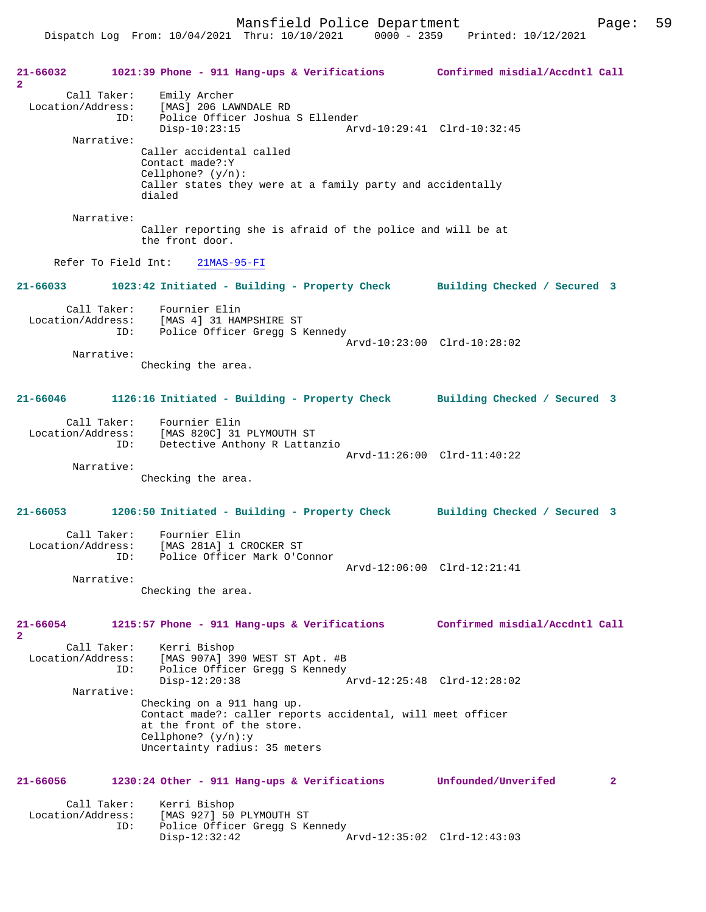Dispatch Log From: 10/04/2021 Thru: 10/10/2021 0000 - 2359 Printed: 10/12/2021

**21-66032 1021:39 Phone - 911 Hang-ups & Verifications Confirmed misdial/Accdntl Call 2**  Call Taker: Emily Archer Location/Address: [MAS] 206 LAWNDALE RD ID: Police Officer Joshua S Ellender Disp-10:23:15 Arvd-10:29:41 Clrd-10:32:45 Narrative: Caller accidental called Contact made?:Y Cellphone? (y/n): Caller states they were at a family party and accidentally dialed Narrative: Caller reporting she is afraid of the police and will be at the front door. Refer To Field Int: 21MAS-95-FI **21-66033 1023:42 Initiated - Building - Property Check Building Checked / Secured 3** Call Taker: Fournier Elin Location/Address: [MAS 4] 31 HAMPSHIRE ST ID: Police Officer Gregg S Kennedy Arvd-10:23:00 Clrd-10:28:02 Narrative: Checking the area. **21-66046 1126:16 Initiated - Building - Property Check Building Checked / Secured 3** Call Taker: Fournier Elin Location/Address: [MAS 820C] 31 PLYMOUTH ST Detective Anthony R Lattanzio Arvd-11:26:00 Clrd-11:40:22 Narrative: Checking the area. **21-66053 1206:50 Initiated - Building - Property Check Building Checked / Secured 3** Call Taker: Fournier Elin Location/Address: [MAS 281A] 1 CROCKER ST<br>ID: Police Officer Mark O'Co Police Officer Mark O'Connor Arvd-12:06:00 Clrd-12:21:41 Narrative: Checking the area. **21-66054 1215:57 Phone - 911 Hang-ups & Verifications Confirmed misdial/Accdntl Call 2**  Call Taker: Kerri Bishop Location/Address: [MAS 907A] 390 WEST ST Apt. #B Police Officer Gregg S Kennedy<br>Disp-12:20:38 Disp-12:20:38 Arvd-12:25:48 Clrd-12:28:02 Narrative: Checking on a 911 hang up. Contact made?: caller reports accidental, will meet officer at the front of the store. Cellphone? (y/n):y Uncertainty radius: 35 meters **21-66056 1230:24 Other - 911 Hang-ups & Verifications Unfounded/Unverifed 2** Call Taker: Kerri Bishop<br>Location/Address: [MAS 927] 50 ess: [MAS 927] 50 PLYMOUTH ST<br>ID: Police Officer Gregg S Ke Police Officer Gregg S Kennedy Disp-12:32:42 Arvd-12:35:02 Clrd-12:43:03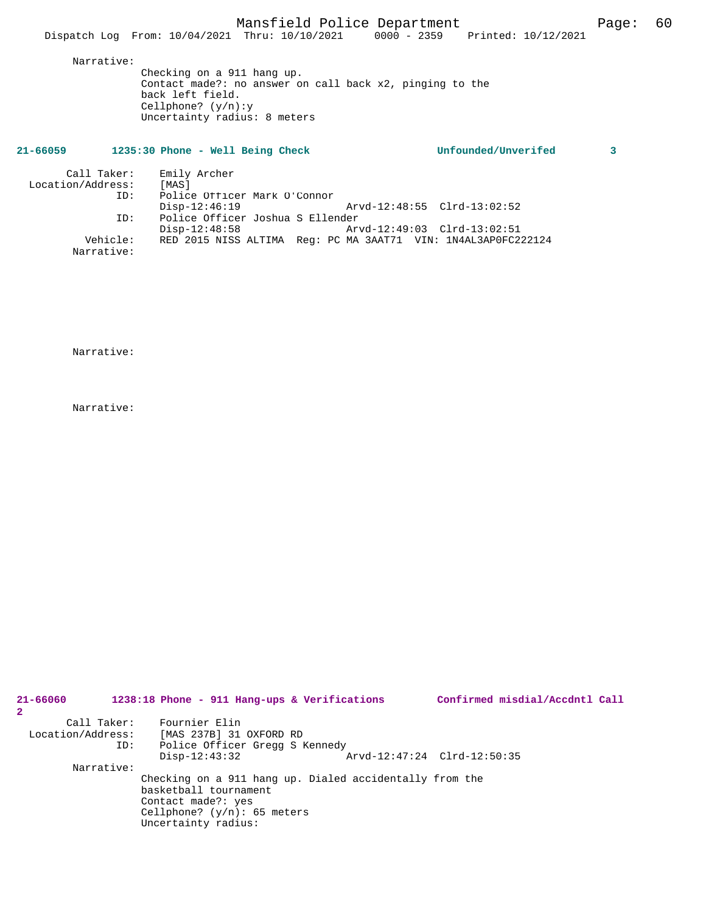Narrative:

Checking on a 911 hang up. Contact made?: no answer on call back x2, pinging to the back left field. Cellphone? (y/n):y Uncertainty radius: 8 meters

| 21-66059 | 1235:30 Phone - Well Being Check | Unfounded/Unverifed |  |
|----------|----------------------------------|---------------------|--|
|          |                                  |                     |  |

| Call Taker:<br>Location/Address:<br>ID: | Emily Archer<br>[MAS]<br>Police Officer Mark O'Connor         |
|-----------------------------------------|---------------------------------------------------------------|
|                                         | Arvd-12:48:55 Clrd-13:02:52<br>$Disp-12:46:19$                |
| ID:                                     | Police Officer Joshua S Ellender                              |
|                                         | Arvd-12:49:03 Clrd-13:02:51<br>$Disp-12:48:58$                |
| Vehicle:<br>Narrative:                  | RED 2015 NISS ALTIMA Req: PC MA 3AAT71 VIN: 1N4AL3AP0FC222124 |

Narrative:

Narrative:

| 21-66060<br>2     |             | 1238:18 Phone - 911 Hang-ups & Verifications |  |                                                         | Confirmed misdial/Accdntl Call |  |
|-------------------|-------------|----------------------------------------------|--|---------------------------------------------------------|--------------------------------|--|
|                   | Call Taker: | Fournier Elin                                |  |                                                         |                                |  |
| Location/Address: |             | [MAS 237B] 31 OXFORD RD                      |  |                                                         |                                |  |
|                   | ID:         | Police Officer Gregg S Kennedy               |  |                                                         |                                |  |
|                   |             | $Disp-12:43:32$                              |  | Arvd-12:47:24 Clrd-12:50:35                             |                                |  |
|                   | Narrative:  |                                              |  |                                                         |                                |  |
|                   |             |                                              |  | Checking on a 911 hang up. Dialed accidentally from the |                                |  |
|                   |             | basketball tournament                        |  |                                                         |                                |  |
|                   |             | Contact made?: yes                           |  |                                                         |                                |  |
|                   |             | Cellphone? $(y/n): 65$ meters                |  |                                                         |                                |  |
|                   |             | Uncertainty radius:                          |  |                                                         |                                |  |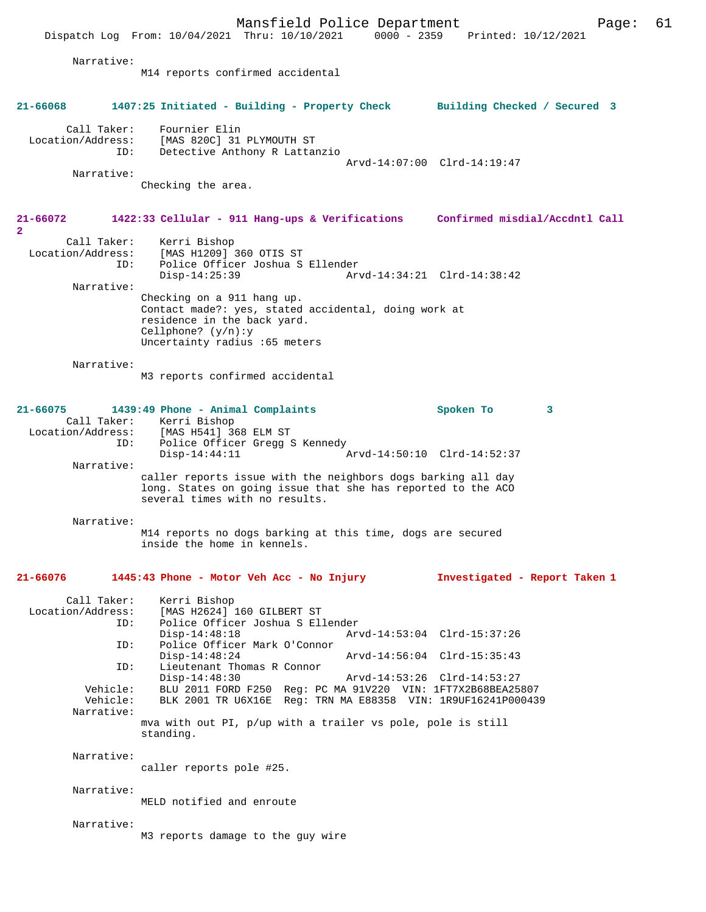Mansfield Police Department Form Page: 61 Dispatch Log From: 10/04/2021 Thru: 10/10/2021 0000 - 2359 Printed: 10/12/2021 Narrative: M14 reports confirmed accidental **21-66068 1407:25 Initiated - Building - Property Check Building Checked / Secured 3** Call Taker: Fournier Elin<br>Location/Address: [MAS 820C] 31 [MAS 820C] 31 PLYMOUTH ST ID: Detective Anthony R Lattanzio Arvd-14:07:00 Clrd-14:19:47 Narrative: Checking the area. **21-66072 1422:33 Cellular - 911 Hang-ups & Verifications Confirmed misdial/Accdntl Call 2**  Call Taker: Kerri Bishop Location/Address: [MAS H1209] 360 OTIS ST<br>TD: Police Officer Joshua S Police Officer Joshua S Ellender Disp-14:25:39 Arvd-14:34:21 Clrd-14:38:42 Narrative: Checking on a 911 hang up. Contact made?: yes, stated accidental, doing work at residence in the back yard. Cellphone? (y/n):y Uncertainty radius :65 meters Narrative: M3 reports confirmed accidental **21-66075 1439:49 Phone - Animal Complaints Spoken To 3**  Call Taker: Kerri Bishop<br>Location/Address: [MAS H541] 36 ess: [MAS H541] 368 ELM ST<br>ID: Police Officer Grega S Police Officer Gregg S Kennedy<br>Disp-14:44:11  $I$  Disp-14:44:11 Arvd-14:50:10 Clrd-14:52:37 Narrative: caller reports issue with the neighbors dogs barking all day long. States on going issue that she has reported to the ACO several times with no results. Narrative: M14 reports no dogs barking at this time, dogs are secured inside the home in kennels. **21-66076 1445:43 Phone - Motor Veh Acc - No Injury Investigated - Report Taken 1** Call Taker: Kerri Bishop<br>Location/Address: [MAS H2624] [MAS H2624] 160 GILBERT ST ID: Police Officer Joshua S Ellender Disp-14:48:18 Arvd-14:53:04 Clrd-15:37:26<br>ID: Police Officer Mark O'Connor Police Officer Mark O'Connor Disp-14:48:24 Arvd-14:56:04 Clrd-15:35:43<br>ID: Lieutenant Thomas R Connor Lieutenant Thomas R Connor<br>Disp-14:48:30 Disp-14:48:30 Arvd-14:53:26 Clrd-14:53:27<br>Vehicle: BLU 2011 FORD F250 Req: PC MA 91V220 VIN: 1FT7X2B68BEA25 Vehicle: BLU 2011 FORD F250 Reg: PC MA 91V220 VIN: 1FT7X2B68BEA25807<br>Vehicle: BLK 2001 TR U6X16E Reg: TRN MA E88358 VIN: 1R9UF16241P000439 BLK 2001 TR U6X16E Reg: TRN MA E88358 VIN: 1R9UF16241P000439 Narrative: mva with out PI, p/up with a trailer vs pole, pole is still standing. Narrative: caller reports pole #25. Narrative: MELD notified and enroute Narrative: M3 reports damage to the guy wire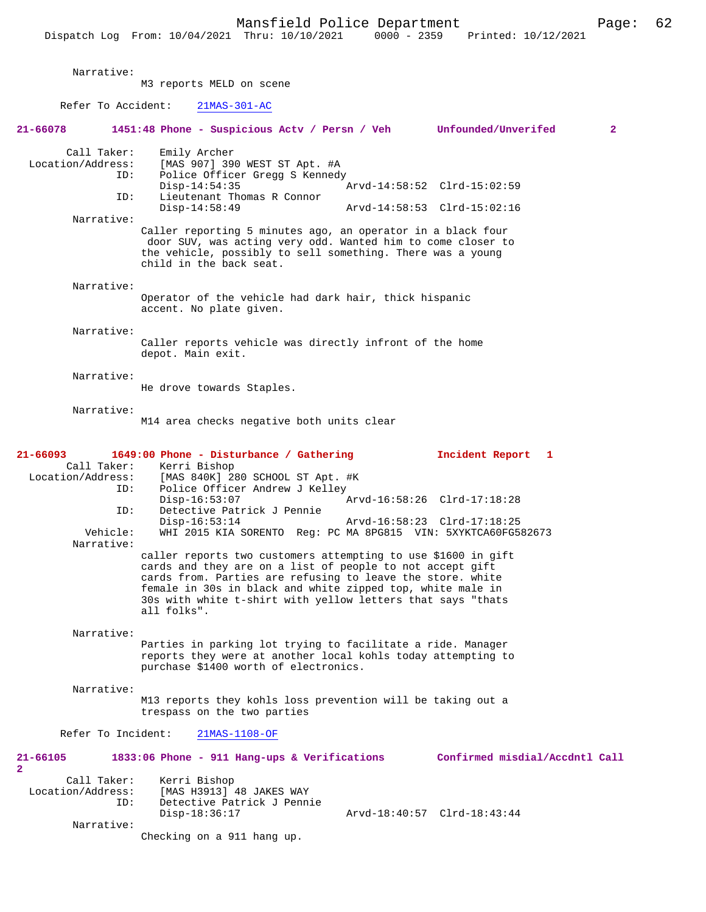Narrative: M3 reports MELD on scene Refer To Accident: 21MAS-301-AC **21-66078 1451:48 Phone - Suspicious Actv / Persn / Veh Unfounded/Unverifed 2** Call Taker: Emily Archer Location/Address: [MAS 907] 390 WEST ST Apt. #A ID: Police Officer Gregg S Kennedy<br>Disp-14:54:35 Disp-14:54:35 Arvd-14:58:52 Clrd-15:02:59<br>TD: Lieutenant Thomas R Connor Lieutenant Thomas R Connor<br>Disp-14:58:49 Arvd-14:58:53 Clrd-15:02:16 Narrative: Caller reporting 5 minutes ago, an operator in a black four door SUV, was acting very odd. Wanted him to come closer to the vehicle, possibly to sell something. There was a young child in the back seat. Narrative: Operator of the vehicle had dark hair, thick hispanic accent. No plate given. Narrative: Caller reports vehicle was directly infront of the home depot. Main exit. Narrative: He drove towards Staples. Narrative: M14 area checks negative both units clear **21-66093 1649:00 Phone - Disturbance / Gathering Incident Report 1**  Call Taker: Kerri Bishop<br>Location/Address: [MAS 840K] 2  $[MAS 840K]$  280 SCHOOL ST Apt. #K ID: Police Officer Andrew J Kelley<br>Disp-16:53:07 Disp-16:53:07 <br>Detective Patrick J Pennie Marvd-16:58:26 Clrd-17:18:28 Detective Patrick J Pennie Disp-16:53:14 Arvd-16:58:23 Clrd-17:18:25<br>Vehicle: WHI 2015 KIA SORENTO Reg: PC MA 8PG815 VIN: 5XYKTCA60FG5 WHI 2015 KIA SORENTO Reg: PC MA 8PG815 VIN: 5XYKTCA60FG582673 Narrative: caller reports two customers attempting to use \$1600 in gift cards and they are on a list of people to not accept gift cards from. Parties are refusing to leave the store. white female in 30s in black and white zipped top, white male in 30s with white t-shirt with yellow letters that says "thats all folks". Narrative: Parties in parking lot trying to facilitate a ride. Manager reports they were at another local kohls today attempting to purchase \$1400 worth of electronics. Narrative: M13 reports they kohls loss prevention will be taking out a trespass on the two parties Refer To Incident: 21MAS-1108-OF **21-66105 1833:06 Phone - 911 Hang-ups & Verifications Confirmed misdial/Accdntl Call 2**  Call Taker: Kerri Bishop<br>Location/Address: [MAS H3913] Location/Address: [MAS H3913] 48 JAKES WAY Detective Patrick J Pennie Disp-18:36:17 Arvd-18:40:57 Clrd-18:43:44 Narrative: Checking on a 911 hang up.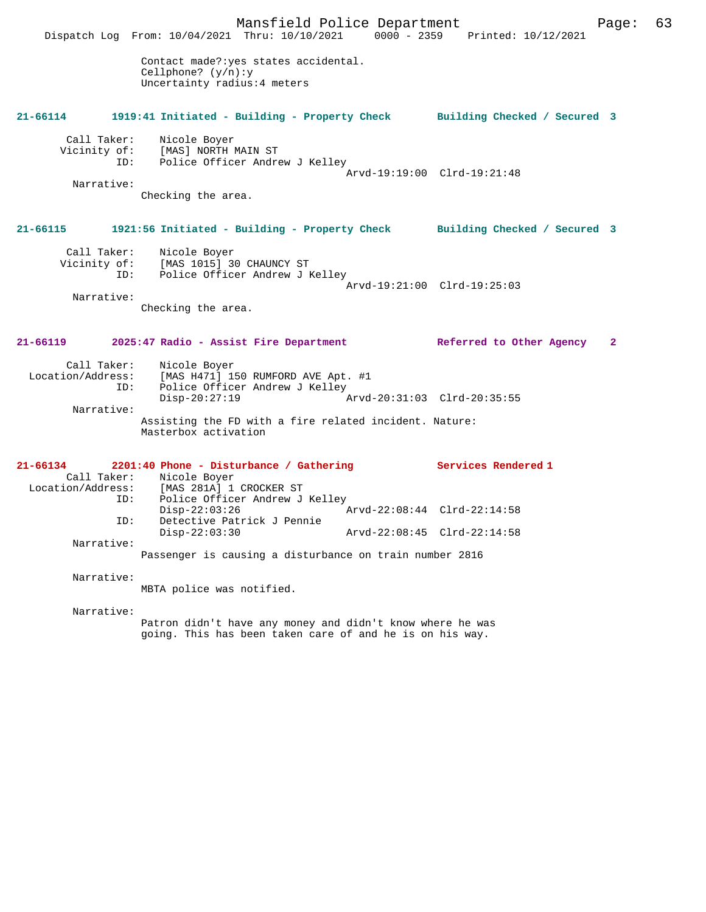Mansfield Police Department Page: 63 Dispatch Log From: 10/04/2021 Thru: 10/10/2021 0000 - 2359 Printed: 10/12/2021 Contact made?:yes states accidental. Cellphone? (y/n):y Uncertainty radius:4 meters **21-66114 1919:41 Initiated - Building - Property Check Building Checked / Secured 3** Call Taker: Nicole Boyer Vicinity of: [MAS] NORTH MAIN ST ID: Police Officer Andrew J Kelley Arvd-19:19:00 Clrd-19:21:48 Narrative: Checking the area. **21-66115 1921:56 Initiated - Building - Property Check Building Checked / Secured 3** Call Taker: Nicole Boyer Vicinity of: [MAS 1015] 30 CHAUNCY ST<br>ID: Police Officer Andrew J B Police Officer Andrew J Kelley Arvd-19:21:00 Clrd-19:25:03 Narrative: Checking the area. **21-66119 2025:47 Radio - Assist Fire Department Referred to Other Agency 2** Call Taker: Nicole Boyer Location/Address: [MAS H471] 150 RUMFORD AVE Apt. #1 Police Officer Andrew J Kelley<br>Disp-20:27:19  $\arcd.20:31:03$  Clrd-20:35:55 Narrative: Assisting the FD with a fire related incident. Nature: Masterbox activation **21-66134 2201:40 Phone - Disturbance / Gathering Services Rendered 1**  Call Taker: Nicole Boyer<br>Location/Address: [MAS 281A] 1 ess: [MAS 281A] 1 CROCKER ST<br>ID: Police Officer Andrew J Police Officer Andrew J Kelley<br>Disp-22:03:26 Disp-22:03:26 Arvd-22:08:44 Clrd-22:14:58<br>ID: Detective Patrick J Pennie Detective Patrick J Pennie<br>Disp-22:03:30 Disp-22:03:30 Arvd-22:08:45 Clrd-22:14:58 Narrative: Passenger is causing a disturbance on train number 2816 Narrative: MBTA police was notified. Narrative: Patron didn't have any money and didn't know where he was going. This has been taken care of and he is on his way.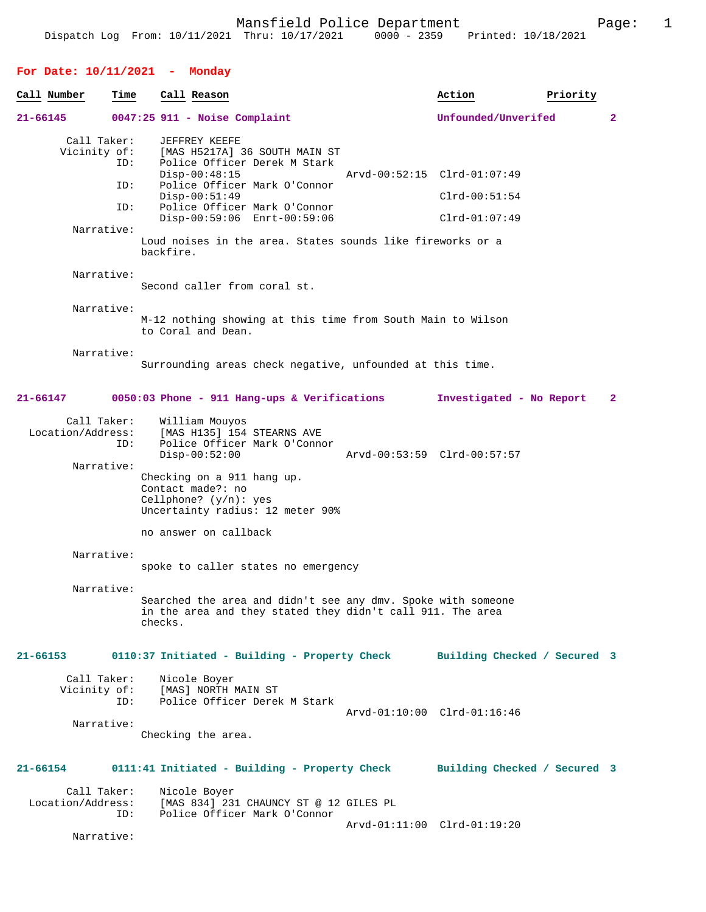**For Date: 10/11/2021 - Monday Call Number Time Call Reason Action Action Priority 21-66145 0047:25 911 - Noise Complaint Unfounded/Unverifed 2** Call Taker: JEFFREY KEEFE<br>Vicinity of: [MAS H5217A] of: [MAS H5217A] 36 SOUTH MAIN ST<br>ID: Police Officer Derek M Stark Police Officer Derek M Stark<br>Disp-00:48:15 Disp-00:48:15 Arvd-00:52:15 Clrd-01:07:49<br>ID: Police Officer Mark O'Connor Police Officer Mark O'Connor Disp-00:51:49 Clrd-00:51:54<br>ID: Police Officer Mark O'Connor Police Officer Mark O'Connor Disp-00:59:06 Enrt-00:59:06 Clrd-01:07:49 Narrative: Loud noises in the area. States sounds like fireworks or a backfire. Narrative: Second caller from coral st. Narrative: M-12 nothing showing at this time from South Main to Wilson to Coral and Dean. Narrative: Surrounding areas check negative, unfounded at this time. **21-66147 0050:03 Phone - 911 Hang-ups & Verifications Investigated - No Report 2** Call Taker: William Mouyos<br>Location/Address: [MAS H135] 154 [MAS H135] 154 STEARNS AVE ID: Police Officer Mark O'Connor Disp-00:52:00 Arvd-00:53:59 Clrd-00:57:57 Narrative: Checking on a 911 hang up. Contact made?: no Cellphone? (y/n): yes Uncertainty radius: 12 meter 90% no answer on callback Narrative: spoke to caller states no emergency Narrative: Searched the area and didn't see any dmv. Spoke with someone in the area and they stated they didn't call 911. The area checks. **21-66153 0110:37 Initiated - Building - Property Check Building Checked / Secured 3** Call Taker: Nicole Boyer<br>Vicinity of: [MAS] NORTH I of: [MAS] NORTH MAIN ST<br>ID: Police Officer Derel Police Officer Derek M Stark Arvd-01:10:00 Clrd-01:16:46 Narrative: Checking the area. **21-66154 0111:41 Initiated - Building - Property Check Building Checked / Secured 3** Call Taker: Nicole Boyer<br>Location/Address: [MAS 834] 23 [MAS 834] 231 CHAUNCY ST @ 12 GILES PL ID: Police Officer Mark O'Connor Arvd-01:11:00 Clrd-01:19:20 Narrative: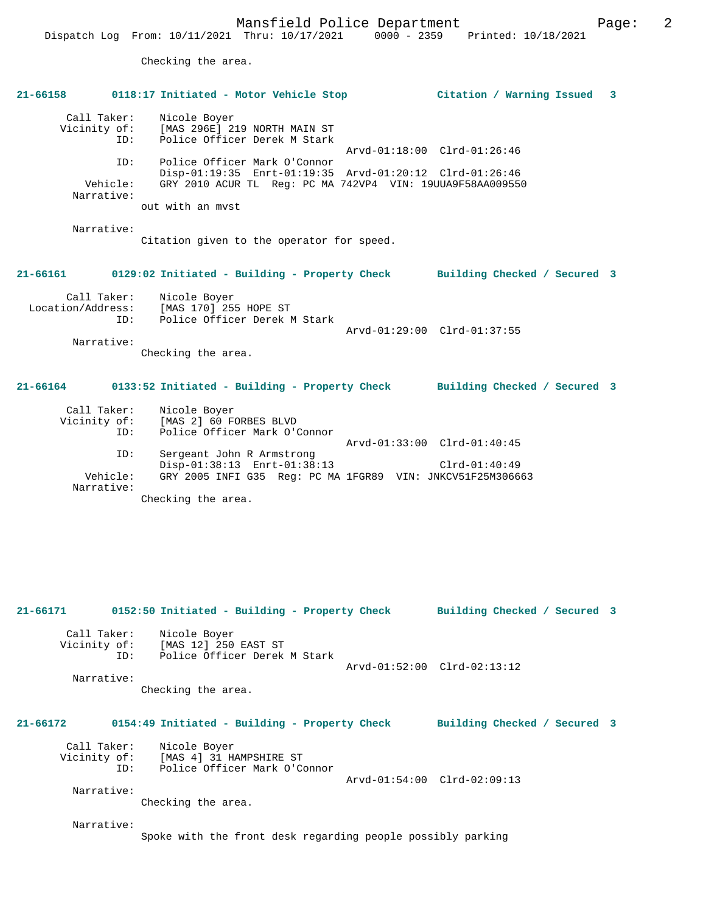Checking the area.

| 21-66158                                  | 0118:17 Initiated - Motor Vehicle Stop                                                                                                               | Citation / Warning Issued 3  |
|-------------------------------------------|------------------------------------------------------------------------------------------------------------------------------------------------------|------------------------------|
| Call Taker:<br>Vicinity of:<br>ID:        | Nicole Boyer<br>[MAS 296E] 219 NORTH MAIN ST<br>Police Officer Derek M Stark                                                                         | Arvd-01:18:00 Clrd-01:26:46  |
| ID:<br>Vehicle:<br>Narrative:             | Police Officer Mark O'Connor<br>Disp-01:19:35 Enrt-01:19:35 Arvd-01:20:12 Clrd-01:26:46<br>GRY 2010 ACUR TL Req: PC MA 742VP4 VIN: 19UUA9F58AA009550 |                              |
|                                           | out with an myst                                                                                                                                     |                              |
| Narrative:                                | Citation given to the operator for speed.                                                                                                            |                              |
| 21-66161                                  | 0129:02 Initiated - Building - Property Check                                                                                                        | Building Checked / Secured 3 |
| Call Taker:<br>Location/Address:<br>ID:   | Nicole Boyer<br>[MAS 170] 255 HOPE ST<br>Police Officer Derek M Stark                                                                                | Arvd-01:29:00 Clrd-01:37:55  |
| Narrative:                                | Checking the area.                                                                                                                                   |                              |
| $21 - 66164$                              | 0133:52 Initiated - Building - Property Check                                                                                                        | Building Checked / Secured 3 |
| Call Taker:<br>Vicinity of:<br>ID:<br>ID: | Nicole Boyer<br>[MAS 2] 60 FORBES BLVD<br>Police Officer Mark O'Connor<br>Sergeant John R Armstrong                                                  | Arvd-01:33:00 Clrd-01:40:45  |
| Vehicle:<br>Narrative:                    | Disp-01:38:13 Enrt-01:38:13<br>GRY 2005 INFI G35 Reg: PC MA 1FGR89 VIN: JNKCV51F25M306663<br>Checking the area.                                      | $Clrd-01:40:49$              |
| 21-66171                                  | 0152:50 Initiated - Building - Property Check                                                                                                        | Building Checked / Secured 3 |
| Call Taker:<br>Vicinity of:<br>ID:        | Nicole Boyer<br>[MAS 12] 250 EAST ST<br>Police Officer Derek M Stark                                                                                 |                              |
| Narrative:                                | Checking the area.                                                                                                                                   | Arvd-01:52:00 Clrd-02:13:12  |
| 21-66172                                  | 0154:49 Initiated - Building - Property Check                                                                                                        | Building Checked / Secured 3 |
| Call Taker:<br>Vicinity of:<br>ID:        | Nicole Boyer<br>[MAS 4] 31 HAMPSHIRE ST<br>Police Officer Mark O'Connor                                                                              |                              |
| Narrative:                                | Checking the area.                                                                                                                                   | Arvd-01:54:00 Clrd-02:09:13  |
| Narrative:                                | Spoke with the front desk regarding people possibly parking                                                                                          |                              |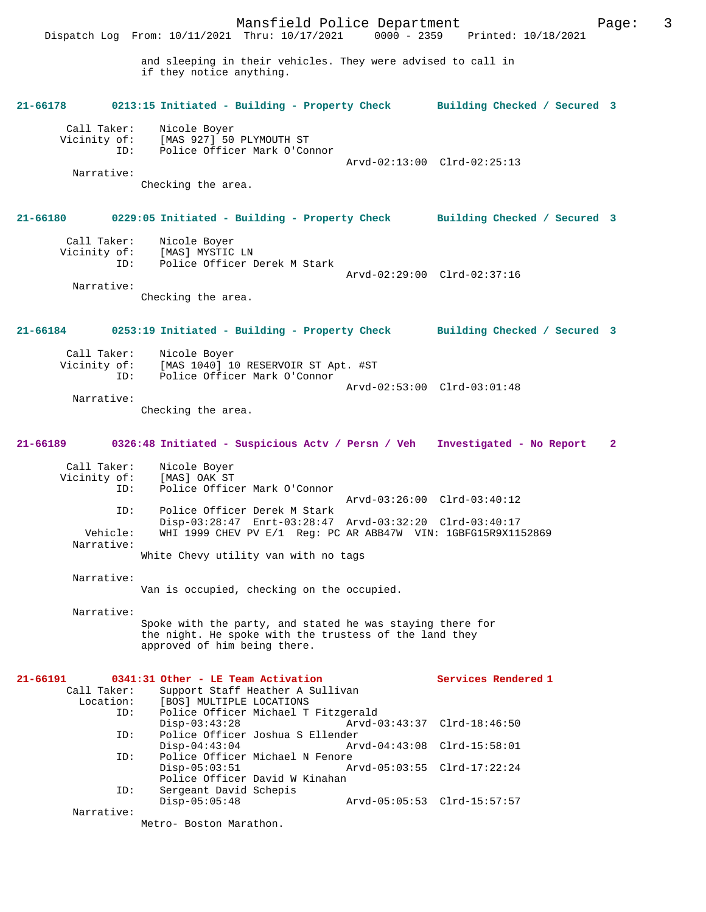Mansfield Police Department Page: 3 Dispatch Log From: 10/11/2021 Thru: 10/17/2021 and sleeping in their vehicles. They were advised to call in if they notice anything. **21-66178 0213:15 Initiated - Building - Property Check Building Checked / Secured 3** Call Taker: Nicole Boyer<br>Vicinity of: [MAS 927] 50 of: [MAS 927] 50 PLYMOUTH ST<br>TD: Police Officer Mark O'Com Police Officer Mark O'Connor Arvd-02:13:00 Clrd-02:25:13 Narrative: Checking the area. **21-66180 0229:05 Initiated - Building - Property Check Building Checked / Secured 3** Call Taker: Nicole Boyer<br>Vicinity of: [MAS] MYSTIC of: [MAS] MYSTIC LN<br>TD: Police Officer I Police Officer Derek M Stark Arvd-02:29:00 Clrd-02:37:16 Narrative: Checking the area. **21-66184 0253:19 Initiated - Building - Property Check Building Checked / Secured 3** Call Taker: Nicole Boyer<br>Vicinity of: [MAS 1040] 10  $[MAS 1040] 10 RESERVOIR ST Apt. #ST$  ID: Police Officer Mark O'Connor Arvd-02:53:00 Clrd-03:01:48 Narrative: Checking the area. **21-66189 0326:48 Initiated - Suspicious Actv / Persn / Veh Investigated - No Report 2** Call Taker: Nicole Boyer<br>Vicinity of: [MAS] OAK ST Vicinity of:<br>ID: Police Officer Mark O'Connor Arvd-03:26:00 Clrd-03:40:12 ID: Police Officer Derek M Stark Disp-03:28:47 Enrt-03:28:47 Arvd-03:32:20 Clrd-03:40:17 Vehicle: WHI 1999 CHEV PV E/1 Reg: PC AR ABB47W VIN: 1GBFG15R9X1152869 Narrative: White Chevy utility van with no tags Narrative: Van is occupied, checking on the occupied. Narrative: Spoke with the party, and stated he was staying there for the night. He spoke with the trustess of the land they approved of him being there. 21-66191 0341:31 Other - LE Team Activation Services Rendered 1<br>Call Taker: Support Staff Heather A Sullivan ll Taker: Support Staff Heather A Sullivan<br>Location: [BOS] MULTIPLE LOCATIONS Lon: [BOS] MULTIPLE LOCATIONS<br>TD: Police Officer Michael T Police Officer Michael T Fitzgerald<br>Disp-03:43:28 Arvd-C Disp-03:43:28 Arvd-03:43:37 Clrd-18:46:50<br>ID: Police Officer Joshua S Ellender Police Officer Joshua S Ellender<br>Disp-04:43:04 Ar Disp-04:43:04 Arvd-04:43:08 Clrd-15:58:01 ID: Police Officer Michael N Fenore Disp-05:03:51 Arvd-05:03:55 Clrd-17:22:24 Police Officer David W Kinahan<br>ID: Sergeant David Schepis Sergeant David Schepis Disp-05:05:48 Arvd-05:05:53 Clrd-15:57:57 Narrative:

Metro- Boston Marathon.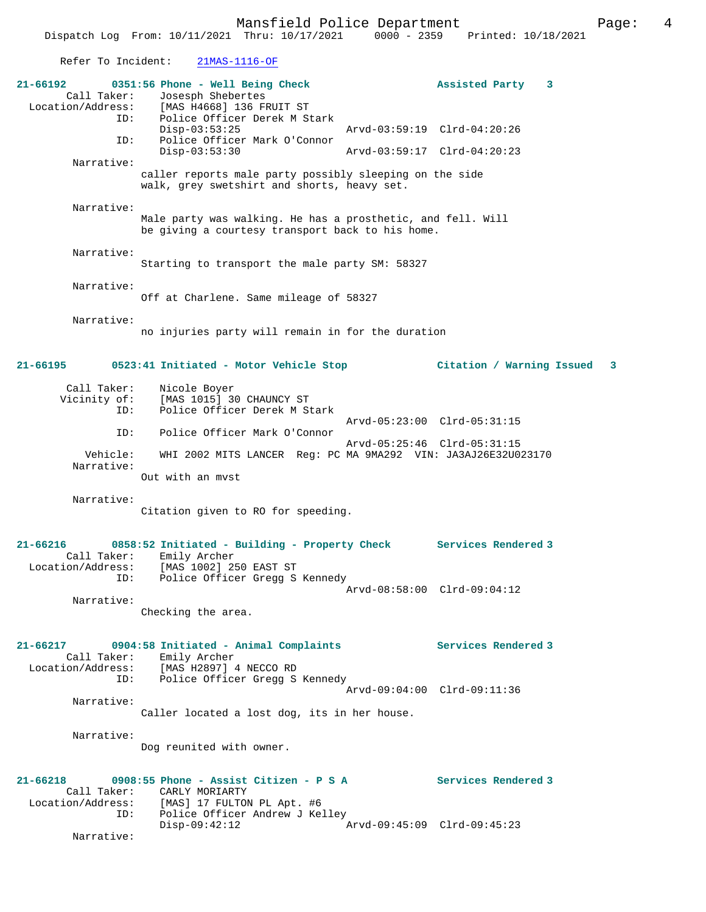Refer To Incident: 21MAS-1116-OF

| $21 - 66192$<br>Call Taker:<br>Location/Address:        | 0351:56 Phone - Well Being Check<br>Josesph Shebertes<br>[MAS H4668] 136 FRUIT ST                                             | Assisted Party                                            | 3 |   |
|---------------------------------------------------------|-------------------------------------------------------------------------------------------------------------------------------|-----------------------------------------------------------|---|---|
| ID:                                                     | Police Officer Derek M Stark<br>$Disp-03:53:25$                                                                               | Arvd-03:59:19 Clrd-04:20:26                               |   |   |
| ID:                                                     | Police Officer Mark O'Connor<br>$Disp-03:53:30$                                                                               | Arvd-03:59:17 Clrd-04:20:23                               |   |   |
| Narrative:                                              | caller reports male party possibly sleeping on the side<br>walk, grey swetshirt and shorts, heavy set.                        |                                                           |   |   |
| Narrative:                                              | Male party was walking. He has a prosthetic, and fell. Will<br>be giving a courtesy transport back to his home.               |                                                           |   |   |
| Narrative:                                              | Starting to transport the male party SM: 58327                                                                                |                                                           |   |   |
| Narrative:                                              | Off at Charlene. Same mileage of 58327                                                                                        |                                                           |   |   |
| Narrative:                                              | no injuries party will remain in for the duration                                                                             |                                                           |   |   |
| $21 - 66195$                                            | 0523:41 Initiated - Motor Vehicle Stop                                                                                        | Citation / Warning Issued                                 |   | 3 |
| Call Taker:<br>Vicinity of:<br>ID:                      | Nicole Boyer<br>[MAS 1015] 30 CHAUNCY ST<br>Police Officer Derek M Stark                                                      |                                                           |   |   |
| ID:                                                     | Police Officer Mark O'Connor                                                                                                  | Arvd-05:23:00 Clrd-05:31:15                               |   |   |
| Vehicle:<br>Narrative:                                  | WHI 2002 MITS LANCER Reg: PC MA 9MA292 VIN: JA3AJ26E32U023170                                                                 | Arvd-05:25:46 Clrd-05:31:15                               |   |   |
| Narrative:                                              | Out with an myst<br>Citation given to RO for speeding.                                                                        |                                                           |   |   |
| 21-66216<br>Call Taker:<br>Location/Address:<br>ID:     | 0858:52 Initiated - Building - Property Check<br>Emily Archer<br>[MAS 1002] 250 EAST ST<br>Police Officer Gregg S Kennedy     | <b>Services Rendered 3</b><br>Arvd-08:58:00 Clrd-09:04:12 |   |   |
| Narrative:                                              | Checking the area.                                                                                                            |                                                           |   |   |
| $21 - 66217$<br>Location/Address:<br>ID:                | 0904:58 Initiated - Animal Complaints<br>Call Taker: Emily Archer<br>[MAS H2897] 4 NECCO RD<br>Police Officer Gregg S Kennedy | Services Rendered 3                                       |   |   |
| Narrative:                                              | Caller located a lost dog, its in her house.                                                                                  | Arvd-09:04:00 Clrd-09:11:36                               |   |   |
| Narrative:                                              | Dog reunited with owner.                                                                                                      |                                                           |   |   |
| $21 - 66218$<br>Call Taker:<br>Location/Address:<br>ID: | 0908:55 Phone - Assist Citizen - P S A<br>CARLY MORIARTY<br>[MAS] 17 FULTON PL Apt. #6<br>Police Officer Andrew J Kelley      | Services Rendered 3                                       |   |   |
| Narrative:                                              | $Disp-09:42:12$                                                                                                               | Arvd-09:45:09 Clrd-09:45:23                               |   |   |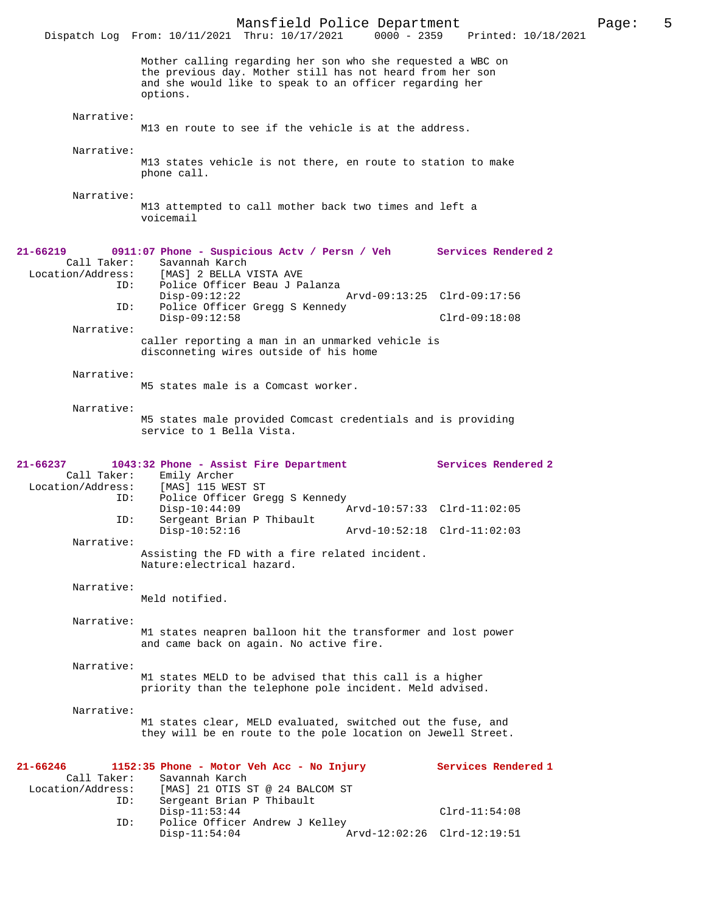Mansfield Police Department<br>Thru: 10/17/2021 0000 - 2359 Printed: 10/18/2021 Dispatch Log From: 10/11/2021 Thru: 10/17/2021 Mother calling regarding her son who she requested a WBC on the previous day. Mother still has not heard from her son and she would like to speak to an officer regarding her options. Narrative: M13 en route to see if the vehicle is at the address. Narrative: M13 states vehicle is not there, en route to station to make phone call. Narrative: M13 attempted to call mother back two times and left a voicemail **21-66219 0911:07 Phone - Suspicious Actv / Persn / Veh Services Rendered 2**  Call Taker: Savannah Karch<br>Location/Address: [MAS] 2 BELLA \ ess: [MAS] 2 BELLA VISTA AVE<br>ID: Police Officer Beau J P Police Officer Beau J Palanza<br>Disp-09:12:22 Disp-09:12:22 Arvd-09:13:25 Clrd-09:17:56 ID: Police Officer Gregg S Kennedy Disp-09:12:58 Clrd-09:18:08 Narrative: caller reporting a man in an unmarked vehicle is disconneting wires outside of his home Narrative: M5 states male is a Comcast worker. Narrative: M5 states male provided Comcast credentials and is providing service to 1 Bella Vista. **21-66237 1043:32 Phone - Assist Fire Department Services Rendered 2**  Call Taker: Emily Archer<br>Location/Address: [MAS] 115 WE [MAS] 115 WEST ST ID: Police Officer Gregg S Kennedy<br>Disp-10:44:09 Disp-10:44:09 Arvd-10:57:33 Clrd-11:02:05<br>TD: Sergeant Brian P Thibault Sergeant Brian P Thibault<br>Disp-10:52:16 Disp-10:52:16 Arvd-10:52:18 Clrd-11:02:03 Narrative: Assisting the FD with a fire related incident. Nature:electrical hazard. Narrative: Meld notified. Narrative: M1 states neapren balloon hit the transformer and lost power and came back on again. No active fire. Narrative: M1 states MELD to be advised that this call is a higher priority than the telephone pole incident. Meld advised. Narrative: M1 states clear, MELD evaluated, switched out the fuse, and they will be en route to the pole location on Jewell Street. **21-66246 1152:35 Phone - Motor Veh Acc - No Injury Services Rendered 1**  Call Taker: Savannah Karch<br>Location/Address: [MAS] 21 OTIS & ess: [MAS] 21 OTIS ST @ 24 BALCOM ST<br>ID: Sergeant Brian P Thibault Sergeant Brian P Thibault Disp-11:53:44 Clrd-11:54:08<br>Th: Police Officer Andrew J Kelley Police Officer Andrew J Kelley<br>Disp-11:54:04 A Disp-11:54:04 Arvd-12:02:26 Clrd-12:19:51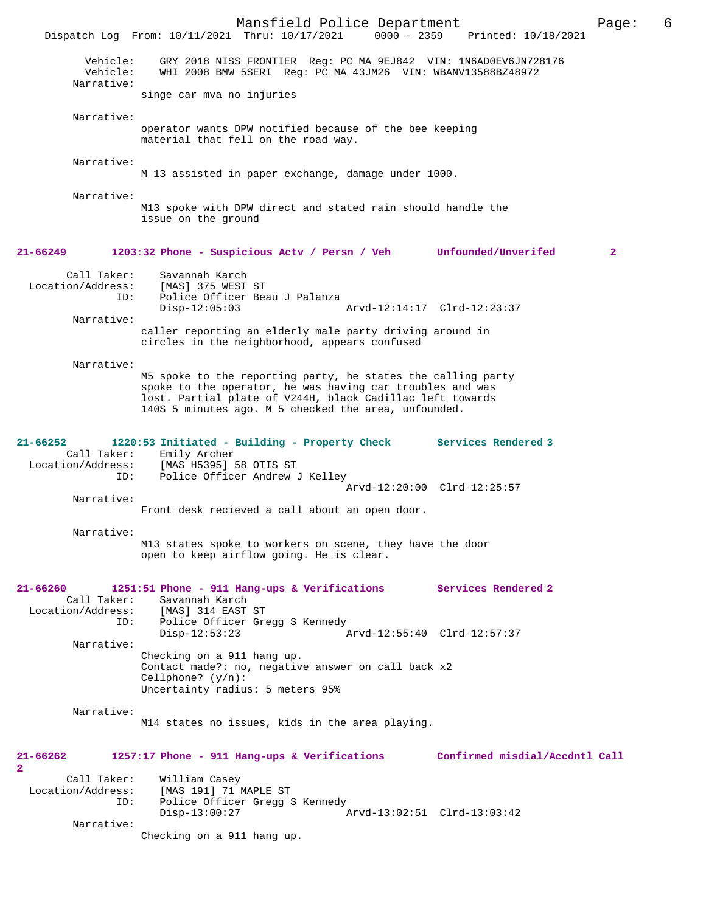|                                                       | Mansfield Police Department<br>Dispatch Log From: 10/11/2021 Thru: 10/17/2021                                                                                                                                                                  | 0000 - 2359 Printed: 10/18/2021 | 6<br>Page:   |
|-------------------------------------------------------|------------------------------------------------------------------------------------------------------------------------------------------------------------------------------------------------------------------------------------------------|---------------------------------|--------------|
| Vehicle:<br>Vehicle:<br>Narrative:                    | GRY 2018 NISS FRONTIER Reg: PC MA 9EJ842 VIN: 1N6AD0EV6JN728176<br>WHI 2008 BMW 5SERI Reg: PC MA 43JM26 VIN: WBANV13588BZ48972                                                                                                                 |                                 |              |
|                                                       | singe car mva no injuries                                                                                                                                                                                                                      |                                 |              |
| Narrative:                                            | operator wants DPW notified because of the bee keeping<br>material that fell on the road way.                                                                                                                                                  |                                 |              |
| Narrative:                                            | M 13 assisted in paper exchange, damage under 1000.                                                                                                                                                                                            |                                 |              |
| Narrative:                                            | M13 spoke with DPW direct and stated rain should handle the<br>issue on the ground                                                                                                                                                             |                                 |              |
| 21-66249                                              | 1203:32 Phone - Suspicious Acty / Persn / Veh Unfounded/Unverifed                                                                                                                                                                              |                                 | $\mathbf{2}$ |
| Call Taker:<br>Location/Address:<br>ID:               | Savannah Karch<br>[MAS] 375 WEST ST<br>Police Officer Beau J Palanza                                                                                                                                                                           |                                 |              |
|                                                       | $Disp-12:05:03$                                                                                                                                                                                                                                | Arvd-12:14:17 Clrd-12:23:37     |              |
| Narrative:                                            | caller reporting an elderly male party driving around in<br>circles in the neighborhood, appears confused                                                                                                                                      |                                 |              |
| Narrative:                                            | M5 spoke to the reporting party, he states the calling party<br>spoke to the operator, he was having car troubles and was<br>lost. Partial plate of V244H, black Cadillac left towards<br>140S 5 minutes ago. M 5 checked the area, unfounded. |                                 |              |
| 21-66252<br>Call Taker:<br>Location/Address:<br>ID:   | 1220:53 Initiated - Building - Property Check<br>Emily Archer<br>[MAS H5395] 58 OTIS ST<br>Police Officer Andrew J Kelley                                                                                                                      | Services Rendered 3             |              |
| Narrative:                                            | Front desk recieved a call about an open door.                                                                                                                                                                                                 | Arvd-12:20:00 Clrd-12:25:57     |              |
| Narrative:                                            |                                                                                                                                                                                                                                                |                                 |              |
|                                                       | M13 states spoke to workers on scene, they have the door<br>open to keep airflow going. He is clear.                                                                                                                                           |                                 |              |
| 21-66260<br>Call Taker:<br>Location/Address:<br>ID:   | 1251:51 Phone - 911 Hang-ups & Verifications<br>Savannah Karch<br>[MAS] 314 EAST ST<br>Police Officer Gregg S Kennedy                                                                                                                          | Services Rendered 2             |              |
| Narrative:                                            | $Disp-12:53:23$                                                                                                                                                                                                                                | Arvd-12:55:40 Clrd-12:57:37     |              |
|                                                       | Checking on a 911 hang up.<br>Contact made?: no, negative answer on call back x2<br>Cellphone? $(y/n)$ :<br>Uncertainty radius: 5 meters 95%                                                                                                   |                                 |              |
| Narrative:                                            | M14 states no issues, kids in the area playing.                                                                                                                                                                                                |                                 |              |
| 21-66262<br>2                                         | 1257:17 Phone - 911 Hang-ups & Verifications                                                                                                                                                                                                   | Confirmed misdial/Accdntl Call  |              |
| Call Taker:<br>Location/Address:<br>ID:<br>Narrative: | William Casey<br>[MAS 191] 71 MAPLE ST<br>Police Officer Gregg S Kennedy<br>$Disp-13:00:27$                                                                                                                                                    | Arvd-13:02:51 Clrd-13:03:42     |              |
|                                                       | Checking on a 911 hang up.                                                                                                                                                                                                                     |                                 |              |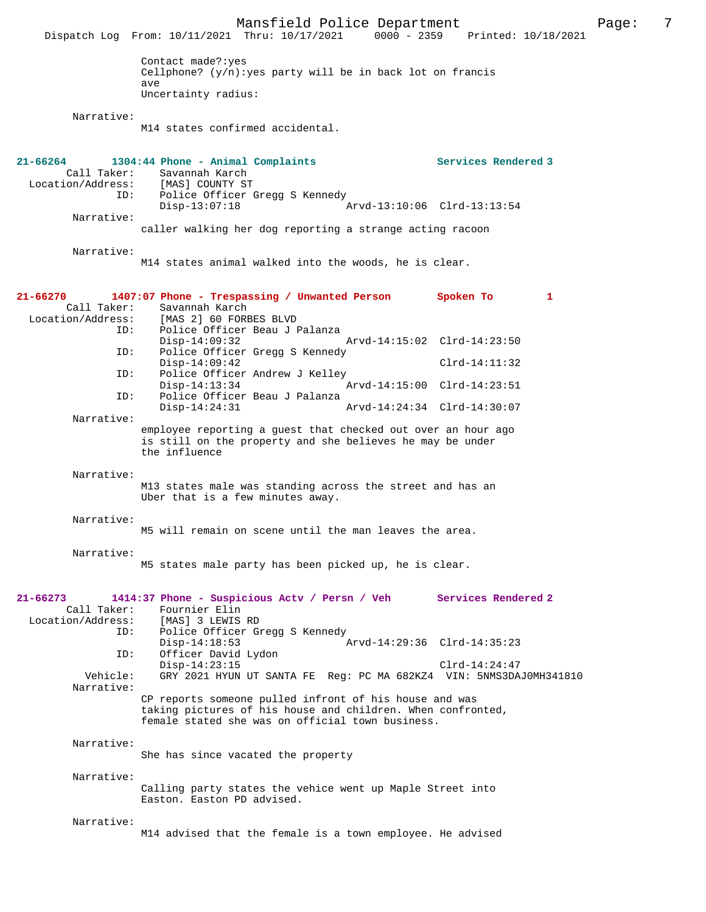Mansfield Police Department Page: 7<br>Thru: 10/17/2021 0000 - 2359 Printed: 10/18/2021 Dispatch Log From: 10/11/2021 Thru: 10/17/2021 Contact made?:yes Cellphone?  $(y/n)$ : yes party will be in back lot on francis ave Uncertainty radius: Narrative: M14 states confirmed accidental. **21-66264 1304:44 Phone - Animal Complaints Services Rendered 3**  Call Taker: Savannah Karch<br>.on/Address: [MAS] COUNTY ST Location/Address:<br>ID: Police Officer Gregg S Kennedy<br>Disp-13:07:18 Disp-13:07:18 Arvd-13:10:06 Clrd-13:13:54 Narrative: caller walking her dog reporting a strange acting racoon Narrative: M14 states animal walked into the woods, he is clear. **21-66270 1407:07 Phone - Trespassing / Unwanted Person Spoken To 1**  Call Taker: Savannah Karch<br>Location/Address: [MAS 2] 60 FORE ess: [MAS 2] 60 FORBES BLVD<br>ID: Police Officer Beau J J Police Officer Beau J Palanza<br>Disp-14:09:32 Arvd-14:15:02 Clrd-14:23:50 ID: Police Officer Gregg S Kennedy Disp-14:09:42 Clrd-14:11:32<br>TD: Police Officer Andrew J Kelley Police Officer Andrew J Kelley<br>Disp-14:13:34 A Disp-14:13:34 Arvd-14:15:00 Clrd-14:23:51<br>TD: Police Officer Beau J Palanza Police Officer Beau J Palanza Disp-14:24:31 Arvd-14:24:34 Clrd-14:30:07 Narrative: employee reporting a guest that checked out over an hour ago is still on the property and she believes he may be under the influence Narrative: M13 states male was standing across the street and has an Uber that is a few minutes away. Narrative: M5 will remain on scene until the man leaves the area. Narrative: M5 states male party has been picked up, he is clear. **21-66273 1414:37 Phone - Suspicious Actv / Persn / Veh Services Rendered 2**  Call Taker: Fournier Elin<br>Location/Address: [MAS] 3 LEWIS [MAS] 3 LEWIS RD ID: Police Officer Gregg S Kennedy Disp-14:18:53 <br>
D: Officer David Lydon <br>
D: Officer David Lydon Officer David Lydon Disp-14:23:15 Clrd-14:24:47<br>Vehicle: GRY 2021 HYUN UT SANTA FE Reg: PC MA 682KZ4 VIN: 5NMS3DA Vehicle: GRY 2021 HYUN UT SANTA FE Reg: PC MA 682KZ4 VIN: 5NMS3DAJ0MH341810 Narrative: CP reports someone pulled infront of his house and was taking pictures of his house and children. When confronted, female stated she was on official town business. Narrative: She has since vacated the property Narrative: Calling party states the vehice went up Maple Street into Easton. Easton PD advised. Narrative: M14 advised that the female is a town employee. He advised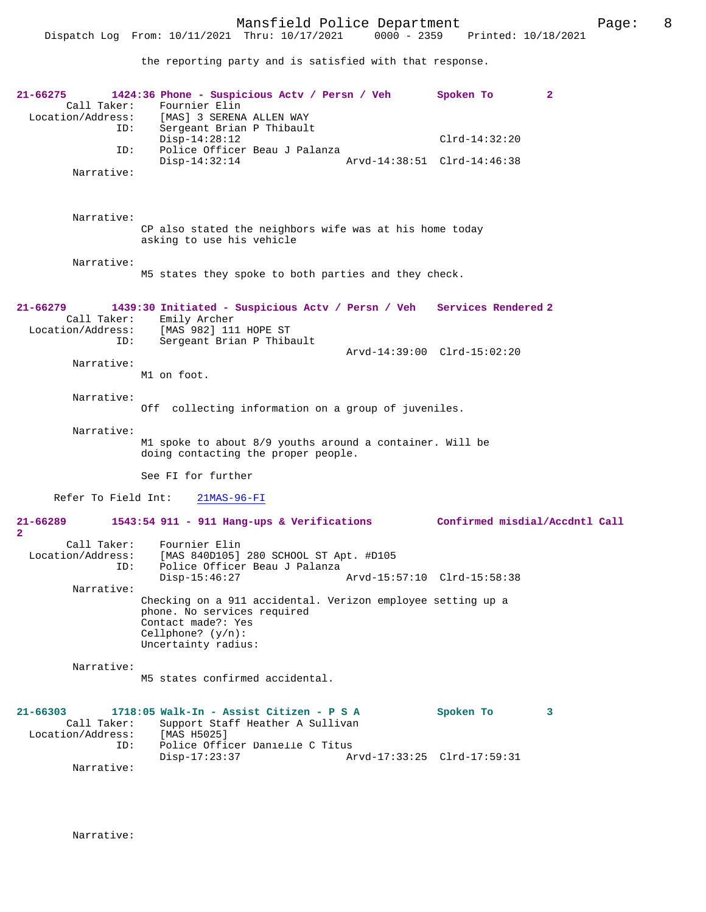the reporting party and is satisfied with that response.

| 21-66275<br>Call Taker:                                 | 1424:36 Phone - Suspicious Actv / Persn / Veh<br>Fournier Elin<br>Location/Address: [MAS] 3 SERENA ALLEN WAY                                                    | Spoken To<br>2              |
|---------------------------------------------------------|-----------------------------------------------------------------------------------------------------------------------------------------------------------------|-----------------------------|
| ID:<br>ID:                                              | Sergeant Brian P Thibault<br>$Disp-14:28:12$<br>Police Officer Beau J Palanza                                                                                   | $Clrd-14:32:20$             |
| Narrative:                                              | $Disp-14:32:14$                                                                                                                                                 | Arvd-14:38:51 Clrd-14:46:38 |
| Narrative:                                              | CP also stated the neighbors wife was at his home today<br>asking to use his vehicle                                                                            |                             |
| Narrative:                                              | M5 states they spoke to both parties and they check.                                                                                                            |                             |
| $21 - 66279$<br>Call Taker:                             | 1439:30 Initiated - Suspicious Actv / Persn / Veh Services Rendered 2<br>Emily Archer<br>Location/Address: [MAS 982] 111 HOPE ST                                |                             |
| ID:                                                     | Sergeant Brian P Thibault                                                                                                                                       | Arvd-14:39:00 Clrd-15:02:20 |
| Narrative:                                              | M1 on foot.                                                                                                                                                     |                             |
| Narrative:                                              | Off collecting information on a group of juveniles.                                                                                                             |                             |
| Narrative:                                              | M1 spoke to about 8/9 youths around a container. Will be<br>doing contacting the proper people.                                                                 |                             |
|                                                         | See FI for further                                                                                                                                              |                             |
| Refer To Field Int:                                     | $21MAS-96-FI$                                                                                                                                                   |                             |
| $21 - 66289$<br>$\overline{2}$                          | 1543:54 911 - 911 Hang-ups & Verifications Confirmed misdial/Accdntl Call                                                                                       |                             |
| Call Taker:<br>Location/Address:<br>ID:                 | Fournier Elin<br>[MAS 840D105] 280 SCHOOL ST Apt. #D105<br>Police Officer Beau J Palanza<br>$Disp-15:46:27$                                                     | Arvd-15:57:10 Clrd-15:58:38 |
| Narrative:                                              | Checking on a 911 accidental. Verizon employee setting up a<br>phone. No services required<br>Contact made?: Yes<br>Cellphone? $(y/n)$ :<br>Uncertainty radius: |                             |
| Narrative:                                              | M5 states confirmed accidental.                                                                                                                                 |                             |
| $21 - 66303$<br>Call Taker:<br>Location/Address:<br>ID: | 1718:05 Walk-In - Assist Citizen - P S A<br>Support Staff Heather A Sullivan<br>[MAS H5025]<br>Police Officer Danielle C Titus                                  | Spoken To<br>3              |
| Narrative:                                              | $Disp-17:23:37$                                                                                                                                                 | Arvd-17:33:25 Clrd-17:59:31 |
|                                                         |                                                                                                                                                                 |                             |

Narrative: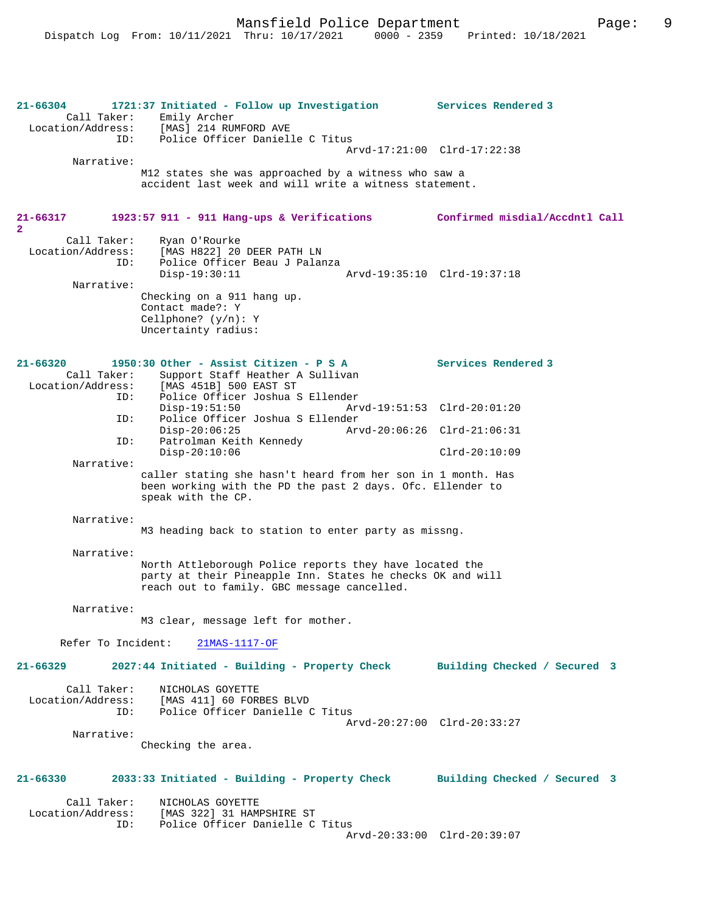**21-66304 1721:37 Initiated - Follow up Investigation Services Rendered 3**  Call Taker: Emily Archer Location/Address: [MAS] 214 RUMFORD AVE ID: Police Officer Danielle C Titus Arvd-17:21:00 Clrd-17:22:38 Narrative: M12 states she was approached by a witness who saw a accident last week and will write a witness statement. **21-66317 1923:57 911 - 911 Hang-ups & Verifications Confirmed misdial/Accdntl Call 2**  Call Taker: Ryan O'Rourke Location/Address: [MAS H822] 20 DEER PATH LN Police Officer Beau J Palanza<br>Disp-19:30:11 Disp-19:30:11 Arvd-19:35:10 Clrd-19:37:18 Narrative: Checking on a 911 hang up. Contact made?: Y Cellphone? (y/n): Y Uncertainty radius: **21-66320 1950:30 Other - Assist Citizen - P S A Services Rendered 3**  Call Taker: Support Staff Heather A Sullivan Location/Address: [MAS 451B] 500 EAST ST ID: Police Officer Joshua S Ellender Disp-19:51:50 Arvd-19:51:53 Clrd-20:01:20 ID: Police Officer Joshua S Ellender Disp-20:06:25 Arvd-20:06:26 Clrd-21:06:31 ID: Patrolman Keith Kennedy Disp-20:10:06 Clrd-20:10:09 Narrative: caller stating she hasn't heard from her son in 1 month. Has been working with the PD the past 2 days. Ofc. Ellender to speak with the CP. Narrative: M3 heading back to station to enter party as missng. Narrative: North Attleborough Police reports they have located the party at their Pineapple Inn. States he checks OK and will reach out to family. GBC message cancelled. Narrative: M3 clear, message left for mother. Refer To Incident: 21MAS-1117-OF **21-66329 2027:44 Initiated - Building - Property Check Building Checked / Secured 3** Call Taker: NICHOLAS GOYETTE Location/Address: [MAS 411] 60 FORBES BLVD Police Officer Danielle C Titus Arvd-20:27:00 Clrd-20:33:27 Narrative: Checking the area. **21-66330 2033:33 Initiated - Building - Property Check Building Checked / Secured 3** Call Taker: NICHOLAS GOYETTE Location/Address: [MAS 322] 31 HAMPSHIRE ST ID: Police Officer Danielle C Titus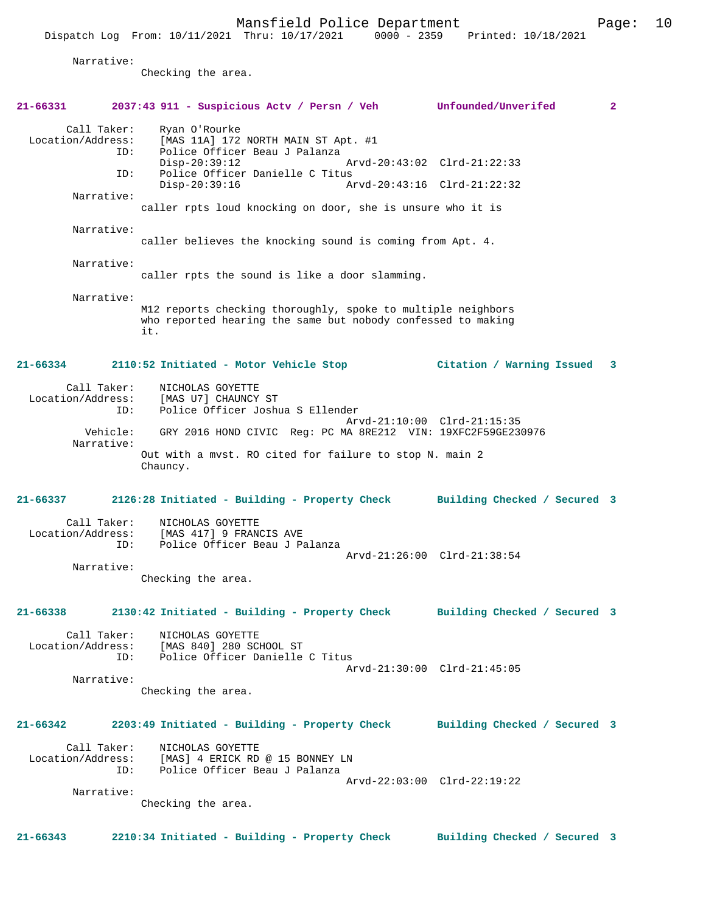|                                                                                     | Dispatch Log From: 10/11/2021 Thru: 10/17/2021                                                                                      | Mansfield Police Department                                          | 0000 - 2359 Printed: 10/18/2021 | Page:        | 10 |
|-------------------------------------------------------------------------------------|-------------------------------------------------------------------------------------------------------------------------------------|----------------------------------------------------------------------|---------------------------------|--------------|----|
| Narrative:                                                                          | Checking the area.                                                                                                                  |                                                                      |                                 |              |    |
| 21-66331                                                                            | 2037:43 911 - Suspicious Actv / Persn / Veh Unfounded/Unverifed                                                                     |                                                                      |                                 | $\mathbf{2}$ |    |
| Call Taker:<br>Location/Address:<br>ID:                                             | Ryan O'Rourke<br>$Disp-20:39:12$                                                                                                    | [MAS 11A] 172 NORTH MAIN ST Apt. #1<br>Police Officer Beau J Palanza | Arvd-20:43:02 Clrd-21:22:33     |              |    |
| ID:                                                                                 | $Disp-20:39:16$                                                                                                                     | Police Officer Danielle C Titus                                      | Arvd-20:43:16 Clrd-21:22:32     |              |    |
| Narrative:                                                                          | caller rpts loud knocking on door, she is unsure who it is                                                                          |                                                                      |                                 |              |    |
| Narrative:                                                                          | caller believes the knocking sound is coming from Apt. 4.                                                                           |                                                                      |                                 |              |    |
| Narrative:                                                                          | caller rpts the sound is like a door slamming.                                                                                      |                                                                      |                                 |              |    |
| Narrative:                                                                          | M12 reports checking thoroughly, spoke to multiple neighbors<br>who reported hearing the same but nobody confessed to making<br>it. |                                                                      |                                 |              |    |
| 21-66334                                                                            | 2110:52 Initiated - Motor Vehicle Stop                                                                                              |                                                                      | Citation / Warning Issued       | 3            |    |
| Call Taker:<br>Location/Address:<br>ID:                                             | NICHOLAS GOYETTE<br>[MAS U7] CHAUNCY ST                                                                                             | Police Officer Joshua S Ellender                                     |                                 |              |    |
| Vehicle:<br>Narrative:                                                              |                                                                                                                                     | GRY 2016 HOND CIVIC Reg: PC MA 8RE212 VIN: 19XFC2F59GE230976         | Arvd-21:10:00 Clrd-21:15:35     |              |    |
|                                                                                     | Out with a mvst. RO cited for failure to stop N. main 2<br>Chauncy.                                                                 |                                                                      |                                 |              |    |
| 21-66337                                                                            | 2126:28 Initiated - Building - Property Check                                                                                       |                                                                      | Building Checked / Secured 3    |              |    |
| Call Taker:<br>ID:                                                                  | NICHOLAS GOYETTE<br>Location/Address: [MAS 417] 9 FRANCIS AVE                                                                       | Police Officer Beau J Palanza                                        |                                 |              |    |
| Narrative:                                                                          | Checking the area.                                                                                                                  |                                                                      | Arvd-21:26:00 Clrd-21:38:54     |              |    |
| 21-66338 2130:42 Initiated - Building - Property Check Building Checked / Secured 3 |                                                                                                                                     |                                                                      |                                 |              |    |
|                                                                                     | Call Taker: NICHOLAS GOYETTE<br>Location/Address: [MAS 840] 280 SCHOOL ST<br>ID:                                                    | Police Officer Danielle C Titus                                      |                                 |              |    |
| Narrative:                                                                          | Checking the area.                                                                                                                  |                                                                      | Arvd-21:30:00 Clrd-21:45:05     |              |    |
| 21-66342                                                                            | 2203:49 Initiated - Building - Property Check Building Checked / Secured 3                                                          |                                                                      |                                 |              |    |
| Call Taker:                                                                         | NICHOLAS GOYETTE<br>Location/Address: [MAS] 4 ERICK RD @ 15 BONNEY LN<br>ID: Police Officer Beau J Palanza                          |                                                                      |                                 |              |    |
| Narrative:                                                                          |                                                                                                                                     |                                                                      | Arvd-22:03:00 Clrd-22:19:22     |              |    |

Checking the area.

**21-66343 2210:34 Initiated - Building - Property Check Building Checked / Secured 3**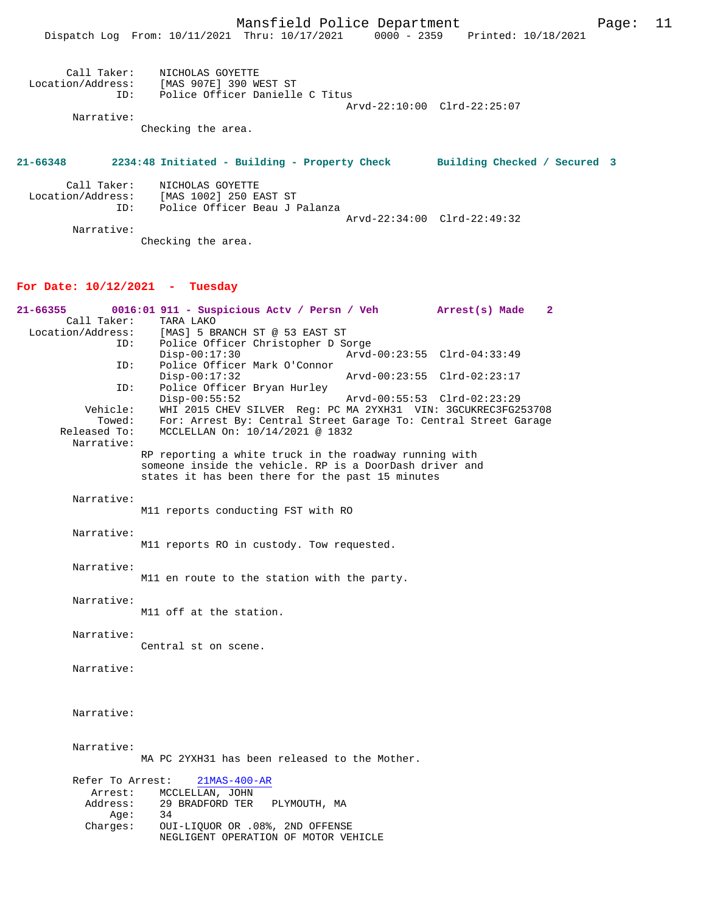Mansfield Police Department Page: 11

| Call Taker:       | NICHOLAS GOYETTE                |
|-------------------|---------------------------------|
| Location/Address: | [MAS 907E] 390 WEST ST          |
| TD:               | Police Officer Danielle C Titus |
|                   | Arvd-22:10:00 Clrd-22:25:07     |
| Narrative:        |                                 |

Checking the area.

## **21-66348 2234:48 Initiated - Building - Property Check Building Checked / Secured 3**

| Call Taker:       | NICHOLAS GOYETTE              |  |
|-------------------|-------------------------------|--|
| Location/Address: | [MAS 1002] 250 EAST ST        |  |
| TD:               | Police Officer Beau J Palanza |  |
|                   | Arvd-22:34:00 Clrd-22:49:32   |  |
| Narrative:        |                               |  |

Checking the area.

## **For Date: 10/12/2021 - Tuesday**

| 21-66355          | 0016:01 911 - Suspicious Actv / Persn / Veh Arrest(s) Made                                                        |  |                             | $\mathbf{2}$ |
|-------------------|-------------------------------------------------------------------------------------------------------------------|--|-----------------------------|--------------|
| Call Taker:       | TARA LAKO                                                                                                         |  |                             |              |
| Location/Address: | [MAS] 5 BRANCH ST @ 53 EAST ST                                                                                    |  |                             |              |
| ID:               | Police Officer Christopher D Sorge                                                                                |  |                             |              |
|                   | $Disp-00:17:30$                                                                                                   |  | Arvd-00:23:55 Clrd-04:33:49 |              |
| ID:               | Police Officer Mark O'Connor                                                                                      |  |                             |              |
|                   | $Disp-00:17:32$                                                                                                   |  | Arvd-00:23:55 Clrd-02:23:17 |              |
| ID:               | Police Officer Bryan Hurley                                                                                       |  |                             |              |
|                   | $Disp-00:55:52$                                                                                                   |  | Arvd-00:55:53 Clrd-02:23:29 |              |
| Vehicle:          | WHI 2015 CHEV SILVER Reg: PC MA 2YXH31 VIN: 3GCUKREC3FG253708                                                     |  |                             |              |
| Towed:            | For: Arrest By: Central Street Garage To: Central Street Garage                                                   |  |                             |              |
| Released To:      | MCCLELLAN On: 10/14/2021 @ 1832                                                                                   |  |                             |              |
| Narrative:        |                                                                                                                   |  |                             |              |
|                   |                                                                                                                   |  |                             |              |
|                   | RP reporting a white truck in the roadway running with<br>someone inside the vehicle. RP is a DoorDash driver and |  |                             |              |
|                   | states it has been there for the past 15 minutes                                                                  |  |                             |              |
|                   |                                                                                                                   |  |                             |              |
| Narrative:        |                                                                                                                   |  |                             |              |
|                   | M11 reports conducting FST with RO                                                                                |  |                             |              |
|                   |                                                                                                                   |  |                             |              |
| Narrative:        |                                                                                                                   |  |                             |              |
|                   |                                                                                                                   |  |                             |              |
|                   | M11 reports RO in custody. Tow requested.                                                                         |  |                             |              |
|                   |                                                                                                                   |  |                             |              |
| Narrative:        |                                                                                                                   |  |                             |              |
|                   | M11 en route to the station with the party.                                                                       |  |                             |              |
|                   |                                                                                                                   |  |                             |              |
| Narrative:        |                                                                                                                   |  |                             |              |
|                   | M11 off at the station.                                                                                           |  |                             |              |
|                   |                                                                                                                   |  |                             |              |
| Narrative:        |                                                                                                                   |  |                             |              |
|                   | Central st on scene.                                                                                              |  |                             |              |
|                   |                                                                                                                   |  |                             |              |
| Narrative:        |                                                                                                                   |  |                             |              |
|                   |                                                                                                                   |  |                             |              |
|                   |                                                                                                                   |  |                             |              |
|                   |                                                                                                                   |  |                             |              |
| Narrative:        |                                                                                                                   |  |                             |              |
|                   |                                                                                                                   |  |                             |              |
|                   |                                                                                                                   |  |                             |              |
| Narrative:        |                                                                                                                   |  |                             |              |
|                   | MA PC 2YXH31 has been released to the Mother.                                                                     |  |                             |              |
|                   |                                                                                                                   |  |                             |              |
| Refer To Arrest:  | $21MAS-400-AR$                                                                                                    |  |                             |              |
| Arrest:           | MCCLELLAN, JOHN                                                                                                   |  |                             |              |
| Address:          | 29 BRADFORD TER PLYMOUTH, MA                                                                                      |  |                             |              |
| Aqe:              | 34                                                                                                                |  |                             |              |
| Charges:          | OUI-LIQUOR OR .08%, 2ND OFFENSE                                                                                   |  |                             |              |
|                   | NEGLIGENT OPERATION OF MOTOR VEHICLE                                                                              |  |                             |              |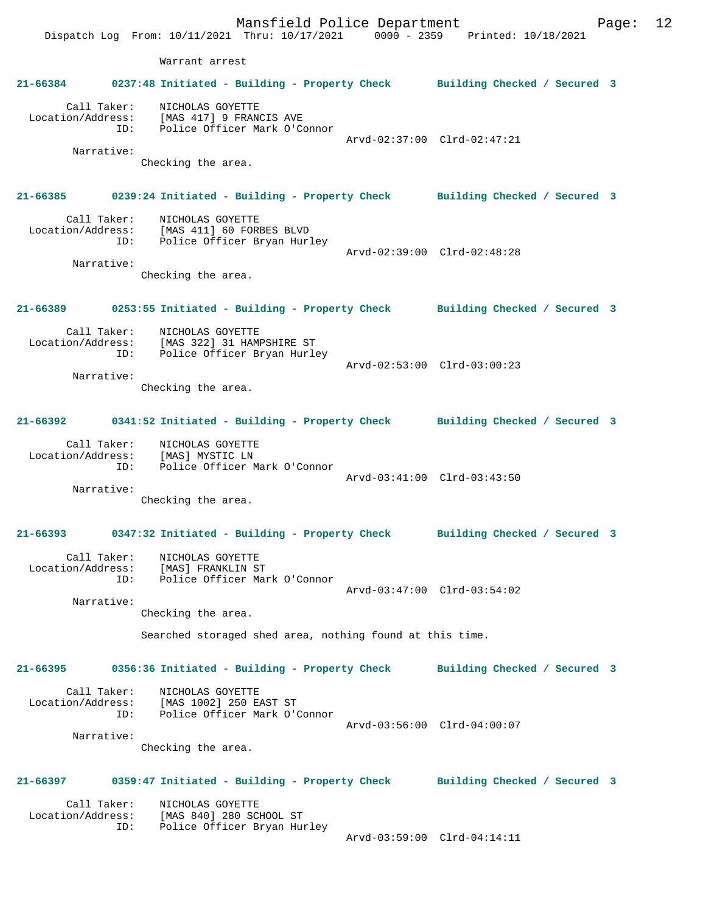Mansfield Police Department Page: 12 Dispatch Log From: 10/11/2021 Thru: 10/17/2021 0000 - 2359 Printed: 10/18/2021 Warrant arrest **21-66384 0237:48 Initiated - Building - Property Check Building Checked / Secured 3** Call Taker: NICHOLAS GOYETTE Location/Address: [MAS 417] 9 FRANCIS AVE ID: Police Officer Mark O'Connor Arvd-02:37:00 Clrd-02:47:21 Narrative: Checking the area. **21-66385 0239:24 Initiated - Building - Property Check Building Checked / Secured 3** Call Taker: NICHOLAS GOYETTE Location/Address: [MAS 411] 60 FORBES BLVD ID: Police Officer Bryan Hurley Arvd-02:39:00 Clrd-02:48:28 Narrative: Checking the area. **21-66389 0253:55 Initiated - Building - Property Check Building Checked / Secured 3** Call Taker: NICHOLAS GOYETTE Location/Address: [MAS 322] 31 HAMPSHIRE ST ID: Police Officer Bryan Hurley Arvd-02:53:00 Clrd-03:00:23 Narrative: Checking the area. **21-66392 0341:52 Initiated - Building - Property Check Building Checked / Secured 3** Call Taker: NICHOLAS GOYETTE Location/Address: [MAS] MYSTIC LN ID: Police Officer Mark O'Connor Arvd-03:41:00 Clrd-03:43:50 Narrative: Checking the area. **21-66393 0347:32 Initiated - Building - Property Check Building Checked / Secured 3** Call Taker: NICHOLAS GOYETTE Location/Address: [MAS] FRANKLIN ST ID: Police Officer Mark O'Connor Arvd-03:47:00 Clrd-03:54:02 Narrative: Checking the area. Searched storaged shed area, nothing found at this time. **21-66395 0356:36 Initiated - Building - Property Check Building Checked / Secured 3** Call Taker: NICHOLAS GOYETTE Location/Address: [MAS 1002] 250 EAST ST ID: Police Officer Mark O'Connor Arvd-03:56:00 Clrd-04:00:07 Narrative: Checking the area. **21-66397 0359:47 Initiated - Building - Property Check Building Checked / Secured 3** Call Taker: NICHOLAS GOYETTE<br>Location/Address: [MAS 840] 280 SC ess: [MAS 840] 280 SCHOOL ST<br>ID: Police Officer Brvan Hum Police Officer Bryan Hurley Arvd-03:59:00 Clrd-04:14:11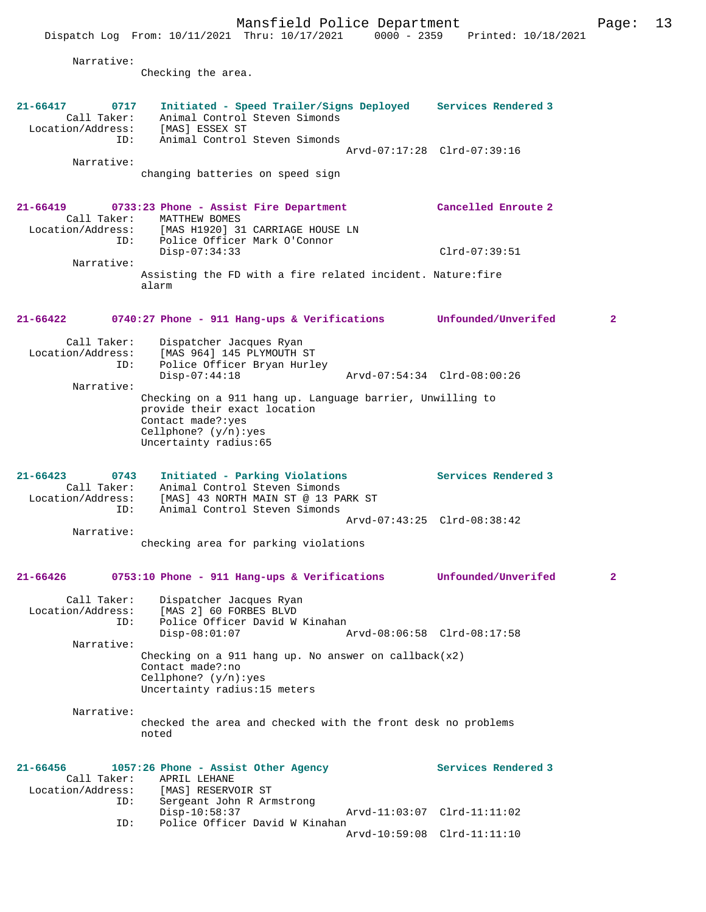Mansfield Police Department Fage: 13 Dispatch Log From: 10/11/2021 Thru: 10/17/2021 0000 - 2359 Printed: 10/18/2021 Narrative: Checking the area. **21-66417 0717 Initiated - Speed Trailer/Signs Deployed Services Rendered 3**  Call Taker: Animal Control Steven Simonds Location/Address: [MAS] ESSEX ST Animal Control Steven Simonds Arvd-07:17:28 Clrd-07:39:16 Narrative: changing batteries on speed sign **21-66419 0733:23 Phone - Assist Fire Department Cancelled Enroute 2**  Call Taker: MATTHEW BOMES Location/Address: [MAS H1920] 31 CARRIAGE HOUSE LN ID: Police Officer Mark O'Connor Disp-07:34:33 Clrd-07:39:51 Narrative: Assisting the FD with a fire related incident. Nature:fire alarm **21-66422 0740:27 Phone - 911 Hang-ups & Verifications Unfounded/Unverifed 2** Call Taker: Dispatcher Jacques Ryan<br>Location/Address: [MAS 964] 145 PLYMOUTH 3 ess: [MAS 964] 145 PLYMOUTH ST<br>ID: Police Officer Brvan Hurle Police Officer Bryan Hurley Disp-07:44:18 Arvd-07:54:34 Clrd-08:00:26 Narrative: Checking on a 911 hang up. Language barrier, Unwilling to provide their exact location Contact made?:yes Cellphone? (y/n):yes Uncertainty radius:65 **21-66423 0743 Initiated - Parking Violations Services Rendered 3**  Call Taker: Animal Control Steven Simonds<br>Location/Address: [MAS] 43 NORTH MAIN ST @ 13 PA ess: [MAS] 43 NORTH MAIN ST @ 13 PARK ST<br>ID: Animal Control Steven Simonds Animal Control Steven Simonds Arvd-07:43:25 Clrd-08:38:42 Narrative: checking area for parking violations **21-66426 0753:10 Phone - 911 Hang-ups & Verifications Unfounded/Unverifed 2** Call Taker: Dispatcher Jacques Ryan Location/Address: [MAS 2] 60 FORBES BLVD ID: Police Officer David W Kinahan<br>Disp-08:01:07 Disp-08:01:07 Arvd-08:06:58 Clrd-08:17:58 Narrative: Checking on a 911 hang up. No answer on callback $(x2)$ Contact made?:no Cellphone? (y/n):yes Uncertainty radius:15 meters Narrative: checked the area and checked with the front desk no problems noted **21-66456 1057:26 Phone - Assist Other Agency Services Rendered 3**  Call Taker: APRIL LEHANE<br>Location/Address: [MAS] RESERV ess: [MAS] RESERVOIR ST<br>ID: Sergeant John R Arm Sergeant John R Armstrong<br>Disp-10:58:37 Disp-10:58:37 Arvd-11:03:07 Clrd-11:11:02<br>TD: Police Officer David W Kinahan Police Officer David W Kinahan Arvd-10:59:08 Clrd-11:11:10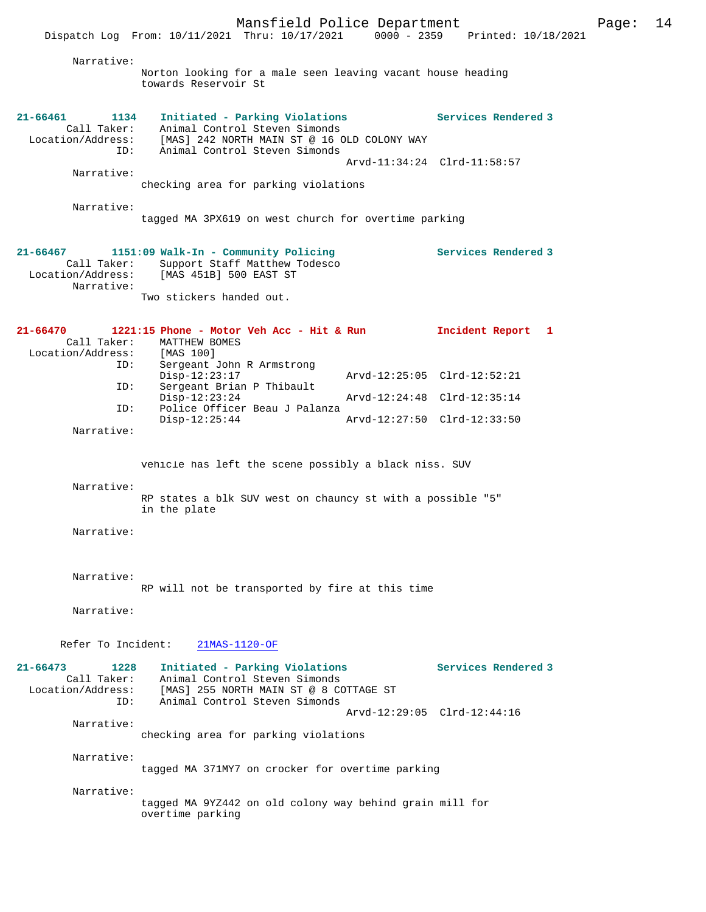Mansfield Police Department Page: 14 Dispatch Log From: 10/11/2021 Thru: 10/17/2021 Narrative: Norton looking for a male seen leaving vacant house heading towards Reservoir St **21-66461 1134 Initiated - Parking Violations Services Rendered 3**  Call Taker: Animal Control Steven Simonds<br>Location/Address: [MAS] 242 NORTH MAIN ST @ 16 C Location/Address: [MAS] 242 NORTH MAIN ST @ 16 OLD COLONY WAY ID: Animal Control Steven Simonds Arvd-11:34:24 Clrd-11:58:57 Narrative: checking area for parking violations Narrative: tagged MA 3PX619 on west church for overtime parking **21-66467 1151:09 Walk-In - Community Policing Services Rendered 3**  Call Taker: Support Staff Matthew Todesco<br>Location/Address: [MAS 451B] 500 EAST ST [MAS 451B] 500 EAST ST Narrative: Two stickers handed out. **21-66470 1221:15 Phone - Motor Veh Acc - Hit & Run Incident Report 1**  Call Taker: MATTHEW BOMES<br>ion/Address: [MAS 100] Location/Address: ID: Sergeant John R Armstrong Disp-12:23:17 Arvd-12:25:05 Clrd-12:52:21 ID: Sergeant Brian P Thibault<br>Disp-12:23:24 Disp-12:23:24 Arvd-12:24:48 Clrd-12:35:14<br>TD: Police Officer Beau J Palanza Police Officer Beau J Palanza<br>Disp-12:25:44 Disp-12:25:44 Arvd-12:27:50 Clrd-12:33:50 Narrative: vehicle has left the scene possibly a black niss. SUV Narrative: RP states a blk SUV west on chauncy st with a possible "5" in the plate Narrative: Narrative: RP will not be transported by fire at this time Narrative: Refer To Incident: 21MAS-1120-OF **21-66473 1228 Initiated - Parking Violations Services Rendered 3**  Animal Control Steven Simonds Location/Address: [MAS] 255 NORTH MAIN ST @ 8 COTTAGE ST Animal Control Steven Simonds Arvd-12:29:05 Clrd-12:44:16 Narrative: checking area for parking violations Narrative: tagged MA 371MY7 on crocker for overtime parking Narrative: tagged MA 9YZ442 on old colony way behind grain mill for overtime parking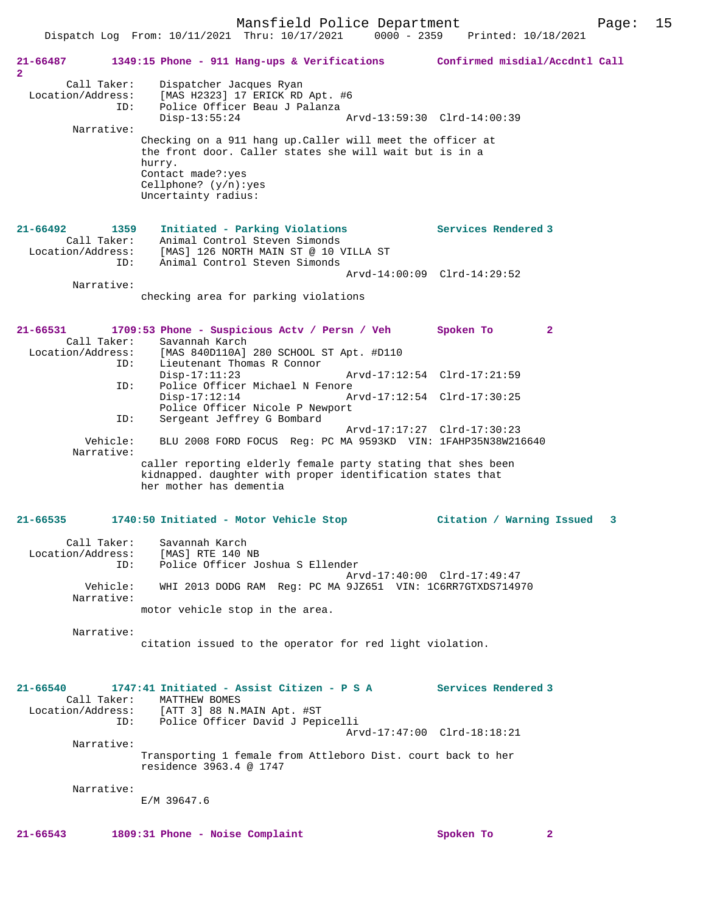Mansfield Police Department Form Page: 15 Dispatch Log From: 10/11/2021 Thru: 10/17/2021 0000 - 2359 Printed: 10/18/2021 **21-66487 1349:15 Phone - 911 Hang-ups & Verifications Confirmed misdial/Accdntl Call 2**  Call Taker: Dispatcher Jacques Ryan Location/Address: [MAS H2323] 17 ERICK RD Apt. #6 ID: Police Officer Beau J Palanza Disp-13:55:24 Arvd-13:59:30 Clrd-14:00:39 Narrative: Checking on a 911 hang up.Caller will meet the officer at the front door. Caller states she will wait but is in a hurry. Contact made?:yes Cellphone? (y/n):yes Uncertainty radius: **21-66492 1359 Initiated - Parking Violations Services Rendered 3**  Call Taker: Animal Control Steven Simonds Location/Address: [MAS] 126 NORTH MAIN ST @ 10 VILLA ST ID: Animal Control Steven Simonds Arvd-14:00:09 Clrd-14:29:52 Narrative: checking area for parking violations **21-66531 1709:53 Phone - Suspicious Actv / Persn / Veh Spoken To 2**  Call Taker: Savannah Karch<br>Location/Address: [MAS 840D110A] ess: [MAS 840D110A] 280 SCHOOL ST Apt. #D110<br>ID: Lieutenant Thomas R Connor Instance<br>Lieutenant Thomas R Connor<br>Disp-17:11:23 Disp-17:11:23 Arvd-17:12:54 Clrd-17:21:59 ID: Police Officer Michael N Fenore Disp-17:12:14 Arvd-17:12:54 Clrd-17:30:25 Police Officer Nicole P Newport<br>ID: Sergeant Jeffrey G Bombard Sergeant Jeffrey G Bombard Arvd-17:17:27 Clrd-17:30:23<br>Vehicle: BLU 2008 FORD FOCUS Req: PC MA 9593KD VIN: 1FAHP35N38W21 BLU 2008 FORD FOCUS Reg: PC MA 9593KD VIN: 1FAHP35N38W216640 Narrative: caller reporting elderly female party stating that shes been kidnapped. daughter with proper identification states that her mother has dementia **21-66535 1740:50 Initiated - Motor Vehicle Stop Citation / Warning Issued 3** Call Taker: Savannah Karch<br>Location/Address: [MAS] RTE 140 M Location/Address: [MAS] RTE 140 NB ID: Police Officer Joshua S Ellender Arvd-17:40:00 Clrd-17:49:47<br>ID: Police Officer Joshua S Ellender<br>Arvd-17:40:00 Clrd-17:49:47 Vehicle: WHI 2013 DODG RAM Reg: PC MA 9JZ651 VIN: 1C6RR7GTXDS714970 Narrative: motor vehicle stop in the area. Narrative: citation issued to the operator for red light violation. **21-66540 1747:41 Initiated - Assist Citizen - P S A Services Rendered 3**  Call Taker: MATTHEW BOMES<br>Location/Address: [ATT 3] 88 N.I ess: [ATT 3] 88 N.MAIN Apt. #ST<br>ID: Police Officer David J Pen Police Officer David J Pepicelli Arvd-17:47:00 Clrd-18:18:21

 Narrative: Transporting 1 female from Attleboro Dist. court back to her

residence 3963.4 @ 1747

Narrative:

E/M 39647.6

**21-66543 1809:31 Phone - Noise Complaint Spoken To 2**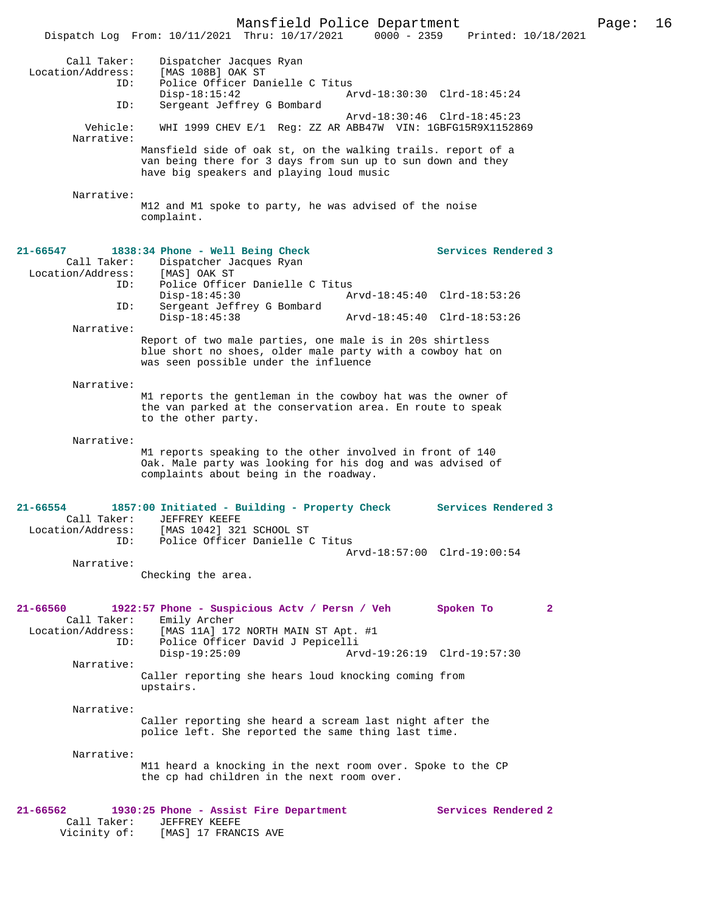Mansfield Police Department Page: 16 Dispatch Log From:  $10/11/2021$  Thru:  $10/17/2021$  0000 - 2359 Call Taker: Dispatcher Jacques Ryan Location/Address: [MAS 108B] OAK ST ID: Police Officer Danielle C Titus<br>Disp-18:15:42 Disp-18:15:42 Arvd-18:30:30 Clrd-18:45:24 Sergeant Jeffrey G Bombard Arvd-18:30:46 Clrd-18:45:23 Vehicle: WHI 1999 CHEV E/1 Reg: ZZ AR ABB47W VIN: 1GBFG15R9X1152869 Narrative: Mansfield side of oak st, on the walking trails. report of a van being there for 3 days from sun up to sun down and they have big speakers and playing loud music Narrative: M12 and M1 spoke to party, he was advised of the noise complaint. **21-66547 1838:34 Phone - Well Being Check Services Rendered 3**  Call Taker: Dispatcher Jacques Ryan<br>.on/Address: [MAS] OAK ST Location/Address:<br>ID: Police Officer Danielle C Titus<br>Disp-18:45:30 A Disp-18:45:30 Arvd-18:45:40 Clrd-18:53:26<br>ID: Sergeant Jeffrey G Bombard Sergeant Jeffrey G Bombard Disp-18:45:38 Arvd-18:45:40 Clrd-18:53:26 Narrative: Report of two male parties, one male is in 20s shirtless blue short no shoes, older male party with a cowboy hat on was seen possible under the influence Narrative: M1 reports the gentleman in the cowboy hat was the owner of the van parked at the conservation area. En route to speak to the other party. Narrative: M1 reports speaking to the other involved in front of 140 Oak. Male party was looking for his dog and was advised of complaints about being in the roadway. **21-66554 1857:00 Initiated - Building - Property Check Services Rendered 3**  Call Taker: JEFFREY KEEFE<br>Location/Address: [MAS 1042] 32 ess: [MAS 1042] 321 SCHOOL ST<br>ID: Police Officer Danielle C Police Officer Danielle C Titus Arvd-18:57:00 Clrd-19:00:54 Narrative: Checking the area. **21-66560 1922:57 Phone - Suspicious Actv / Persn / Veh Spoken To 2**  Call Taker: Emily Archer<br>Location/Address: [MAS 11A] 17 [MAS 11A] 172 NORTH MAIN ST Apt. #1 ID: Police Officer David J Pepicelli Disp-19:25:09 Arvd-19:26:19 Clrd-19:57:30 Narrative: Caller reporting she hears loud knocking coming from upstairs. Narrative: Caller reporting she heard a scream last night after the police left. She reported the same thing last time. Narrative: M11 heard a knocking in the next room over. Spoke to the CP the cp had children in the next room over. **21-66562 1930:25 Phone - Assist Fire Department Services Rendered 2**  Call Taker: JEFFREY KEEFE<br>Vicinity of: [MAS] 17 FRANO [MAS] 17 FRANCIS AVE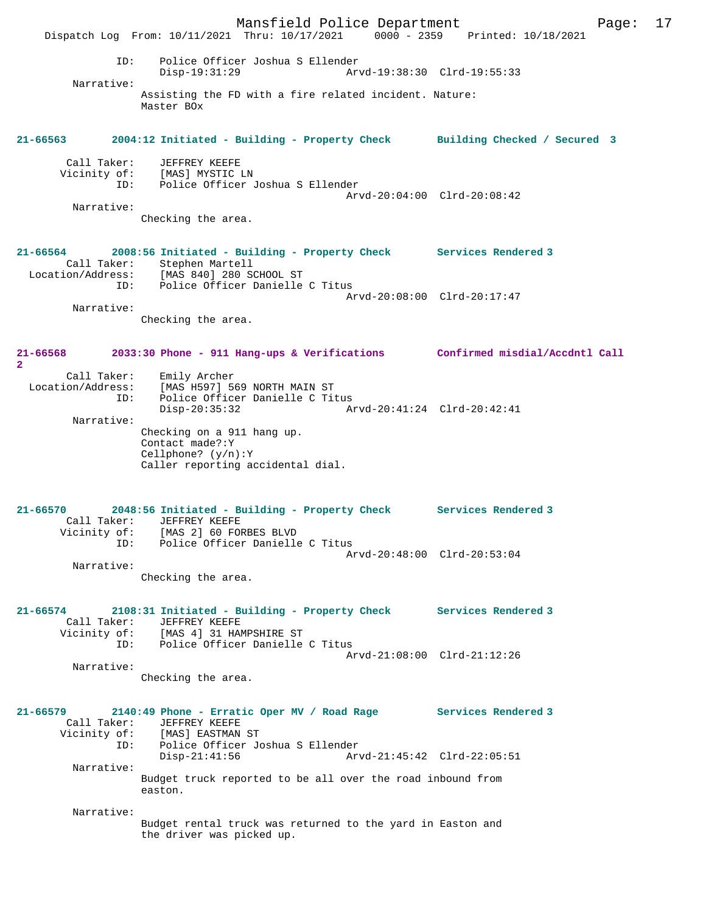Mansfield Police Department Page: 17 Dispatch Log From: 10/11/2021 Thru: 10/17/2021 0000 - 2359 Printed: 10/18/2021 ID: Police Officer Joshua S Ellender Disp-19:31:29 Arvd-19:38:30 Clrd-19:55:33 Narrative: Assisting the FD with a fire related incident. Nature: Master BOx **21-66563 2004:12 Initiated - Building - Property Check Building Checked / Secured 3** Call Taker: JEFFREY KEEFE Vicinity of: [MAS] MYSTIC LN ID: Police Officer Joshua S Ellender Arvd-20:04:00 Clrd-20:08:42 Narrative: Checking the area. **21-66564 2008:56 Initiated - Building - Property Check Services Rendered 3**  Call Taker: Stephen Martell<br>.on/Address: [MAS 840] 280 SCHOOL ST Location/Address: [MAS 840] 280 SCHOOL ST ID: Police Officer Danielle C Titus Arvd-20:08:00 Clrd-20:17:47 Narrative: Checking the area. **21-66568 2033:30 Phone - 911 Hang-ups & Verifications Confirmed misdial/Accdntl Call 2**  Call Taker: Emily Archer Location/Address: [MAS H597] 569 NORTH MAIN ST ID: Police Officer Danielle C Titus<br>Disp-20:35:32 Am Disp-20:35:32 Arvd-20:41:24 Clrd-20:42:41 Narrative: Checking on a 911 hang up. Contact made?:Y Cellphone? (y/n):Y Caller reporting accidental dial. **21-66570 2048:56 Initiated - Building - Property Check Services Rendered 3**  Call Taker: JEFFREY KEEFE Vicinity of: [MAS 2] 60 FORBES BLVD ID: Police Officer Danielle C Titus Arvd-20:48:00 Clrd-20:53:04 Narrative: Checking the area. **21-66574 2108:31 Initiated - Building - Property Check Services Rendered 3**  Call Taker: JEFFREY KEEFE Vicinity of: [MAS 4] 31 HAMPSHIRE ST<br>ID: Police Officer Danielle Police Officer Danielle C Titus Arvd-21:08:00 Clrd-21:12:26 Narrative: Checking the area. **21-66579 2140:49 Phone - Erratic Oper MV / Road Rage Services Rendered 3**  Call Taker: JEFFREY KEEFE Vicinity of: [MAS] EASTMAN ST ID: Police Officer Joshua S Ellender Disp-21:41:56 Arvd-21:45:42 Clrd-22:05:51 Narrative: Budget truck reported to be all over the road inbound from easton. Narrative: Budget rental truck was returned to the yard in Easton and the driver was picked up.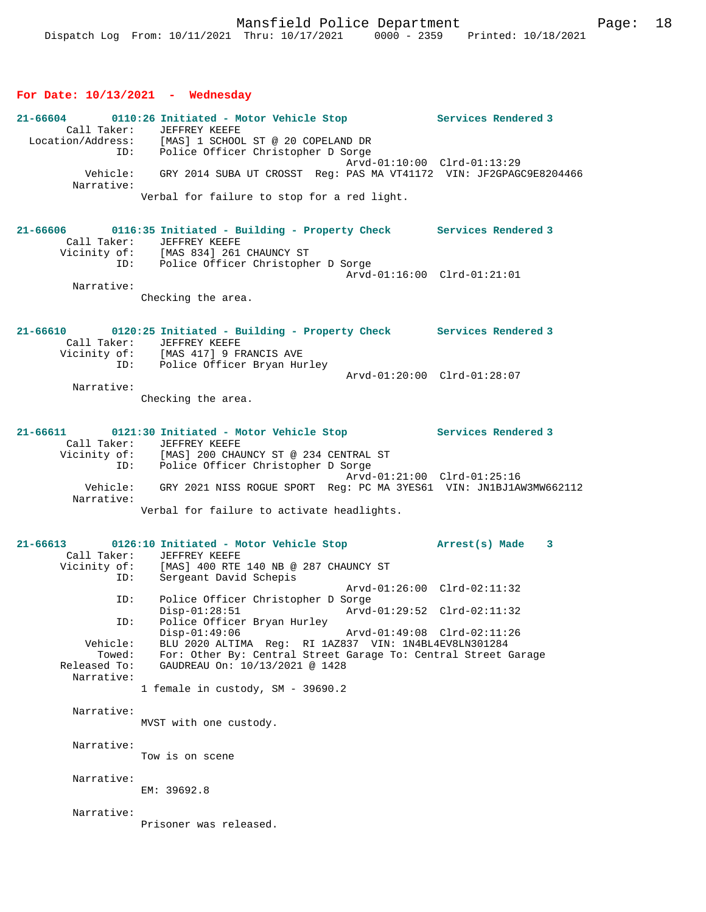### **For Date: 10/13/2021 - Wednesday**

| 21-66604<br>Call Taker:              | 0110:26 Initiated - Motor Vehicle Stop Services Rendered 3<br>JEFFREY KEEFE<br>Location/Address: [MAS] 1 SCHOOL ST @ 20 COPELAND DR         |                     |
|--------------------------------------|---------------------------------------------------------------------------------------------------------------------------------------------|---------------------|
| Vehicle:                             | ID: Police Officer Christopher D Sorge<br>Arvd-01:10:00 Clrd-01:13:29<br>GRY 2014 SUBA UT CROSST Req: PAS MA VT41172 VIN: JF2GPAGC9E8204466 |                     |
| Narrative:                           | Verbal for failure to stop for a red light.                                                                                                 |                     |
| $21 - 66606$<br>Call Taker:          | 0116:35 Initiated - Building - Property Check Services Rendered 3<br>JEFFREY KEEFE                                                          |                     |
| Vicinity of:                         | [MAS 834] 261 CHAUNCY ST<br>ID: Police Officer Christopher D Sorge<br>Arvd-01:16:00 Clrd-01:21:01                                           |                     |
| Narrative:                           | Checking the area.                                                                                                                          |                     |
| Call Taker:                          | 21-66610 0120:25 Initiated - Building - Property Check Services Rendered 3<br>JEFFREY KEEFE<br>Vicinity of: [MAS 417] 9 FRANCIS AVE         |                     |
|                                      | ID: Police Officer Bryan Hurley<br>Arvd-01:20:00 Clrd-01:28:07                                                                              |                     |
| Narrative:                           | Checking the area.                                                                                                                          |                     |
|                                      | 21-66611 0121:30 Initiated - Motor Vehicle Stop Services Rendered 3                                                                         |                     |
| Call Taker:                          | <b>JEFFREY KEEFE</b><br>Vicinity of: [MAS] 200 CHAUNCY ST @ 234 CENTRAL ST<br>ID: Police Officer Christopher D Sorge                        |                     |
| Narrative:                           | Arvd-01:21:00 Clrd-01:25:16<br>Vehicle: GRY 2021 NISS ROGUE SPORT Reg: PC MA 3YES61 VIN: JN1BJ1AW3MW662112                                  |                     |
|                                      | Verbal for failure to activate headlights.                                                                                                  |                     |
|                                      | 21-66613 0126:10 Initiated - Motor Vehicle Stop<br>Call Taker: JEFFREY KEEFE                                                                | Arrest(s) Made<br>3 |
| ID:                                  | Vicinity of: [MAS] 400 RTE 140 NB @ 287 CHAUNCY ST<br>Sergeant David Schepis                                                                |                     |
| ID:                                  | Arvd-01:26:00 Clrd-02:11:32<br>Police Officer Christopher D Sorge                                                                           |                     |
| ID:                                  | $Disp-01:28:51$<br>Arvd-01:29:52 Clrd-02:11:32<br>Police Officer Bryan Hurley                                                               |                     |
| Vehicle:                             | $Disp-01:49:06$<br>Arvd-01:49:08 Clrd-02:11:26<br>BLU 2020 ALTIMA Req: RI 1AZ837 VIN: 1N4BL4EV8LN301284                                     |                     |
| Towed:<br>Released To:<br>Narrative: | For: Other By: Central Street Garage To: Central Street Garage<br>GAUDREAU On: 10/13/2021 @ 1428                                            |                     |
|                                      | 1 female in custody, SM - 39690.2                                                                                                           |                     |
| Narrative:                           | MVST with one custody.                                                                                                                      |                     |
| Narrative:                           | Tow is on scene                                                                                                                             |                     |
| Narrative:                           | EM: 39692.8                                                                                                                                 |                     |
| Narrative:                           | Prisoner was released.                                                                                                                      |                     |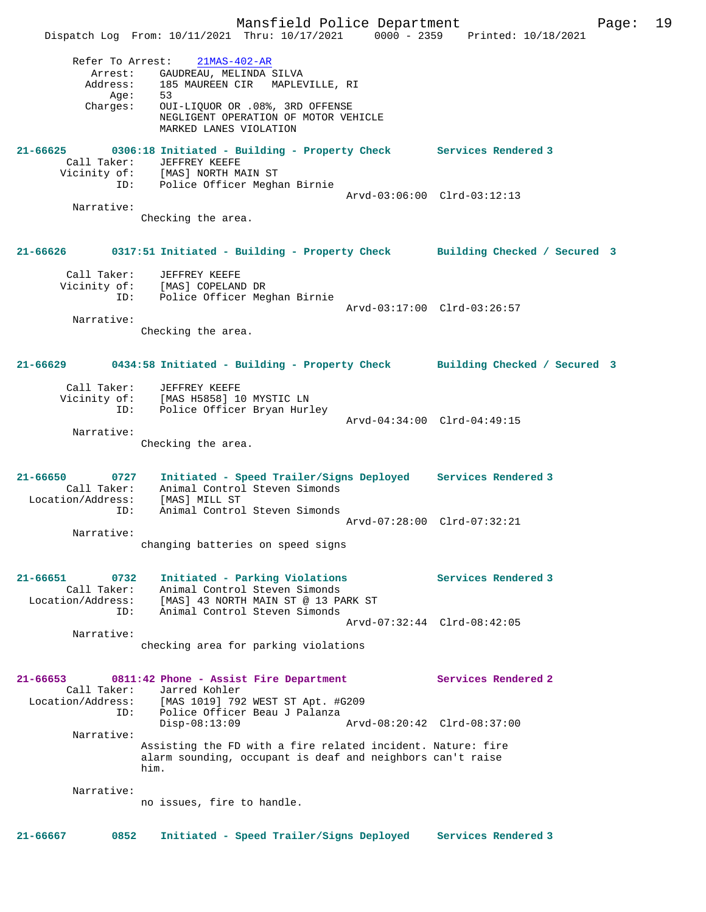Mansfield Police Department Page: 19 Dispatch Log From: 10/11/2021 Thru: 10/17/2021 0000 - 2359 Printed: 10/18/2021 Refer To Arrest: 21MAS-402-AR Arrest: GAUDREAU, MELINDA SILVA Address: 185 MAUREEN CIR MAPLEVILLE, RI Age: 53 Charges: OUI-LIQUOR OR .08%, 3RD OFFENSE NEGLIGENT OPERATION OF MOTOR VEHICLE MARKED LANES VIOLATION **21-66625 0306:18 Initiated - Building - Property Check Services Rendered 3**  Call Taker: JEFFREY KEEFE Vicinity of: [MAS] NORTH MAIN ST ID: Police Officer Meghan Birnie Arvd-03:06:00 Clrd-03:12:13 Narrative: Checking the area. **21-66626 0317:51 Initiated - Building - Property Check Building Checked / Secured 3** Call Taker: JEFFREY KEEFE Vicinity of: [MAS] COPELAND DR ID: Police Officer Meghan Birnie Arvd-03:17:00 Clrd-03:26:57 Narrative: Checking the area. **21-66629 0434:58 Initiated - Building - Property Check Building Checked / Secured 3** Call Taker: JEFFREY KEEFE Vicinity of: [MAS H5858] 10 MYSTIC LN ID: Police Officer Bryan Hurley Arvd-04:34:00 Clrd-04:49:15 Narrative: Checking the area. **21-66650 0727 Initiated - Speed Trailer/Signs Deployed Services Rendered 3**  Call Taker: Animal Control Steven Simonds Location/Address: [MAS] MILL ST ID: Animal Control Steven Simonds Arvd-07:28:00 Clrd-07:32:21 Narrative: changing batteries on speed signs **21-66651 0732 Initiated - Parking Violations Services Rendered 3**  Call Taker: Animal Control Steven Simonds Location/Address: [MAS] 43 NORTH MAIN ST @ 13 PARK ST ID: Animal Control Steven Simonds Arvd-07:32:44 Clrd-08:42:05 Narrative: checking area for parking violations **21-66653 0811:42 Phone - Assist Fire Department Services Rendered 2**  Call Taker: Jarred Kohler Location/Address: [MAS 1019] 792 WEST ST Apt. #G209 ID: Police Officer Beau J Palanza Disp-08:13:09 Arvd-08:20:42 Clrd-08:37:00 Narrative: Assisting the FD with a fire related incident. Nature: fire alarm sounding, occupant is deaf and neighbors can't raise him. Narrative: no issues, fire to handle. **21-66667 0852 Initiated - Speed Trailer/Signs Deployed Services Rendered 3**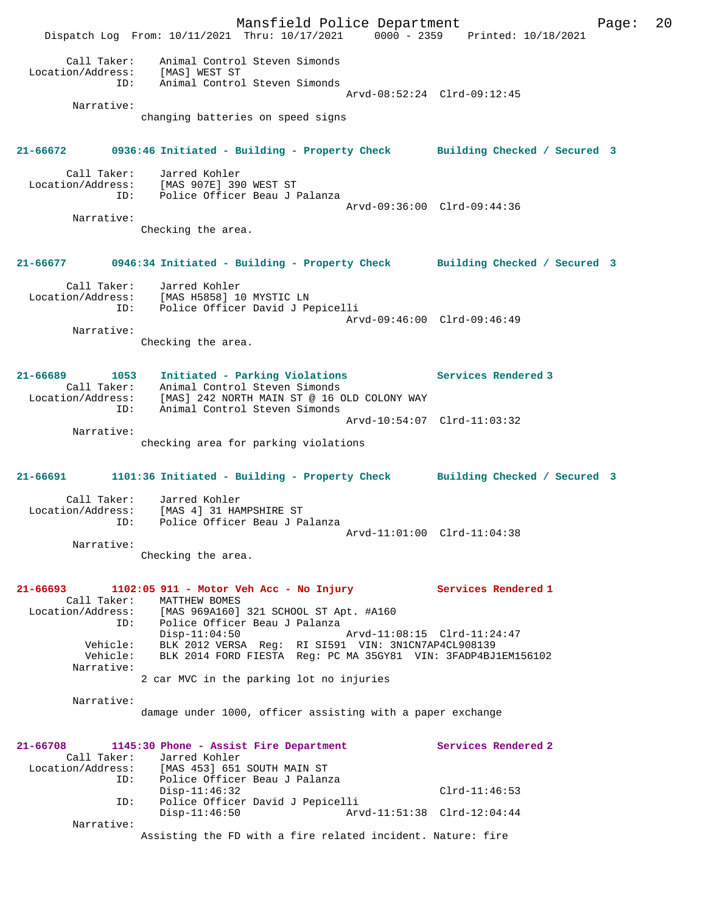Mansfield Police Department Page: 20 Dispatch Log From: 10/11/2021 Thru: 10/17/2021 0000 - 2359 Printed: 10/18/2021 Call Taker: Animal Control Steven Simonds Location/Address: [MAS] WEST ST ID: Animal Control Steven Simonds Arvd-08:52:24 Clrd-09:12:45 Narrative: changing batteries on speed signs **21-66672 0936:46 Initiated - Building - Property Check Building Checked / Secured 3** Call Taker: Jarred Kohler Location/Address: [MAS 907E] 390 WEST ST ID: Police Officer Beau J Palanza Arvd-09:36:00 Clrd-09:44:36 Narrative: Checking the area. **21-66677 0946:34 Initiated - Building - Property Check Building Checked / Secured 3** Call Taker: Jarred Kohler Location/Address: [MAS H5858] 10 MYSTIC LN ID: Police Officer David J Pepicelli Arvd-09:46:00 Clrd-09:46:49 Narrative: Checking the area. **21-66689 1053 Initiated - Parking Violations Services Rendered 3**  Call Taker: Animal Control Steven Simonds Location/Address: [MAS] 242 NORTH MAIN ST @ 16 OLD COLONY WAY ID: Animal Control Steven Simonds Arvd-10:54:07 Clrd-11:03:32 Narrative: checking area for parking violations **21-66691 1101:36 Initiated - Building - Property Check Building Checked / Secured 3** Call Taker: Jarred Kohler Location/Address: [MAS 4] 31 HAMPSHIRE ST ID: Police Officer Beau J Palanza Arvd-11:01:00 Clrd-11:04:38 Narrative: Checking the area. **21-66693 1102:05 911 - Motor Veh Acc - No Injury Services Rendered 1**  Call Taker: MATTHEW BOMES Location/Address: [MAS 969A160] 321 SCHOOL ST Apt. #A160 ID: Police Officer Beau J Palanza Disp-11:04:50 Arvd-11:08:15 Clrd-11:24:47 Vehicle: BLK 2012 VERSA Reg: RI SI591 VIN: 3N1CN7AP4CL908139 Vehicle: BLK 2014 FORD FIESTA Reg: PC MA 35GY81 VIN: 3FADP4BJ1EM156102 Narrative: 2 car MVC in the parking lot no injuries Narrative: damage under 1000, officer assisting with a paper exchange **21-66708 1145:30 Phone - Assist Fire Department Services Rendered 2**  Call Taker: Jarred Kohler Location/Address: [MAS 453] 651 SOUTH MAIN ST ID: Police Officer Beau J Palanza Disp-11:46:32 Clrd-11:46:53<br>ID: Police Officer David J Pepicelli ID: Police Officer David J Pepicelli Disp-11:46:50 Arvd-11:51:38 Clrd-12:04:44 Narrative: Assisting the FD with a fire related incident. Nature: fire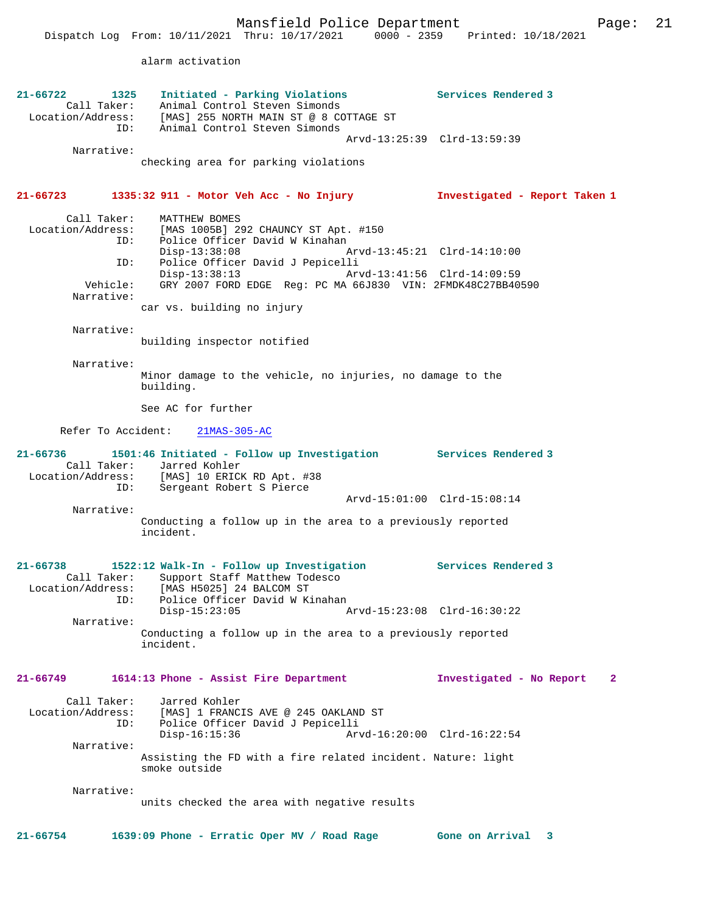alarm activation

| 21-66722<br>Call Taker:                                           | 1325<br>Initiated - Parking Violations<br>Animal Control Steven Simonds<br>Location/Address: [MAS] 255 NORTH MAIN ST @ 8 COTTAGE ST<br>ID:<br>Animal Control Steven Simonds                                                                                           | Services Rendered 3                      |
|-------------------------------------------------------------------|-----------------------------------------------------------------------------------------------------------------------------------------------------------------------------------------------------------------------------------------------------------------------|------------------------------------------|
| Narrative:                                                        | checking area for parking violations                                                                                                                                                                                                                                  | Arvd-13:25:39 Clrd-13:59:39              |
| 21-66723                                                          | 1335:32 911 - Motor Veh Acc - No Injury                                                                                                                                                                                                                               | Investigated - Report Taken 1            |
| Call Taker:<br>Location/Address:<br>ID:<br>Vehicle:<br>Narrative: | MATTHEW BOMES<br>[MAS 1005B] 292 CHAUNCY ST Apt. #150<br>Police Officer David W Kinahan<br>$Disp-13:38:08$<br>Police Officer David J Pepicelli<br>ID:<br>$Disp-13:38:13$<br>GRY 2007 FORD EDGE Reg: PC MA 66J830 VIN: 2FMDK48C27BB40590<br>car vs. building no injury | Arvd-13:45:21 Clrd-14:10:00              |
| Narrative:                                                        | building inspector notified                                                                                                                                                                                                                                           |                                          |
| Narrative:                                                        | Minor damage to the vehicle, no injuries, no damage to the<br>building.                                                                                                                                                                                               |                                          |
|                                                                   | See AC for further                                                                                                                                                                                                                                                    |                                          |
|                                                                   | Refer To Accident: 21MAS-305-AC                                                                                                                                                                                                                                       |                                          |
| 21-66736                                                          | 1501:46 Initiated - Follow up Investigation Services Rendered 3<br>Call Taker: Jarred Kohler<br>Location/Address: [MAS] 10 ERICK RD Apt. #38<br>ID:<br>Sergeant Robert S Pierce                                                                                       |                                          |
| Narrative:                                                        | Conducting a follow up in the area to a previously reported<br>incident.                                                                                                                                                                                              | Arvd-15:01:00 Clrd-15:08:14              |
| $21 - 66738$<br>Call Taker:<br>Location/Address:                  | 1522:12 Walk-In - Follow up Investigation<br>Support Staff Matthew Todesco<br>[MAS H5025] 24 BALCOM ST<br>ID: Police Officer David W Kinahan                                                                                                                          | Services Rendered 3                      |
| Narrative:                                                        | $Disp-15:23:05$                                                                                                                                                                                                                                                       | Arvd-15:23:08 Clrd-16:30:22              |
|                                                                   | Conducting a follow up in the area to a previously reported<br>incident.                                                                                                                                                                                              |                                          |
| $21 - 66749$                                                      | 1614:13 Phone - Assist Fire Department                                                                                                                                                                                                                                | Investigated - No Report<br>$\mathbf{2}$ |
| Call Taker:<br>Location/Address:<br>ID:                           | Jarred Kohler<br>[MAS] 1 FRANCIS AVE @ 245 OAKLAND ST<br>Police Officer David J Pepicelli<br>$Disp-16:15:36$                                                                                                                                                          | Arvd-16:20:00 Clrd-16:22:54              |
| Narrative:                                                        | Assisting the FD with a fire related incident. Nature: light<br>smoke outside                                                                                                                                                                                         |                                          |
| Narrative:                                                        | units checked the area with negative results                                                                                                                                                                                                                          |                                          |
|                                                                   |                                                                                                                                                                                                                                                                       |                                          |
| $21 - 66754$                                                      | 1639:09 Phone - Erratic Oper MV / Road Rage                                                                                                                                                                                                                           | Gone on Arrival<br>3                     |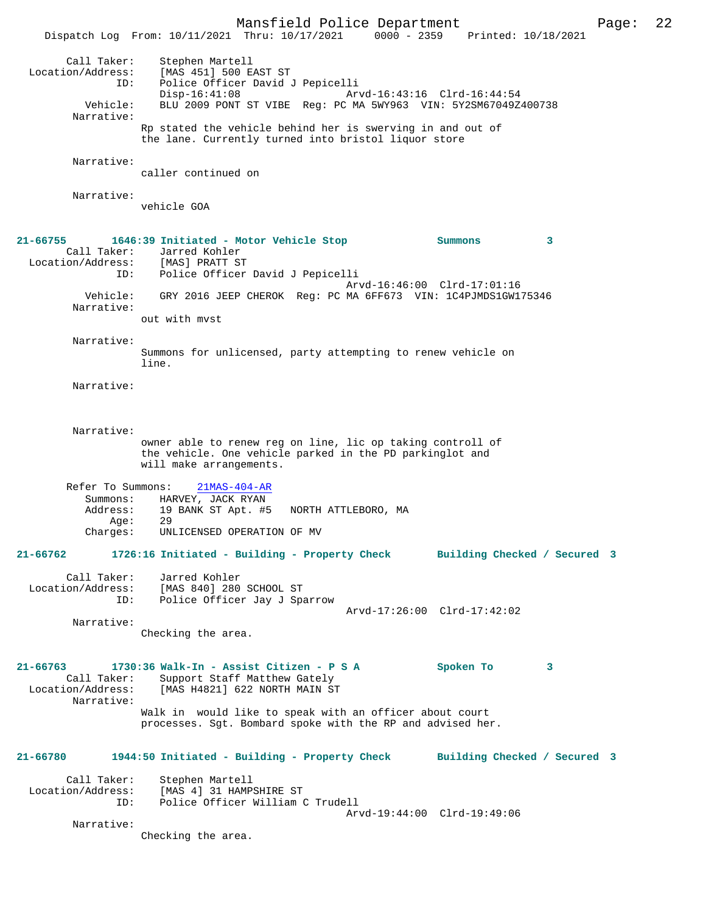Mansfield Police Department Page: 22 Dispatch Log From: 10/11/2021 Thru: 10/17/2021 0000 - 2359 Printed: 10/18/2021

Call Taker: Stephen Martell<br>Location/Address: [MAS 451] 500 E Location/Address: [MAS 451] 500 EAST ST ID: Police Officer David J Pepicelli Disp-16:41:08 Arvd-16:43:16 Clrd-16:44:54<br>Vehicle: BLU 2009 PONT ST VIBE Req: PC MA 5WY963 VIN: 5Y2SM67049Z BLU 2009 PONT ST VIBE Reg: PC MA 5WY963 VIN: 5Y2SM67049Z400738 Narrative: Rp stated the vehicle behind her is swerving in and out of the lane. Currently turned into bristol liquor store Narrative: caller continued on Narrative: vehicle GOA **21-66755 1646:39 Initiated - Motor Vehicle Stop Summons 3**  Call Taker: Jarred Kohler<br>.on/Address: [MAS] PRATT ST Location/Address:<br>ID: Police Officer David J Pepicelli Arvd-16:46:00 Clrd-17:01:16 Vehicle: GRY 2016 JEEP CHEROK Reg: PC MA 6FF673 VIN: 1C4PJMDS1GW175346 Narrative: out with mvst Narrative: Summons for unlicensed, party attempting to renew vehicle on line. Narrative: Narrative: owner able to renew reg on line, lic op taking controll of the vehicle. One vehicle parked in the PD parkinglot and will make arrangements. Refer To Summons: 21MAS-404-AR Summons: HARVEY, JACK RYAN Address: 19 BANK ST Apt. #5 NORTH ATTLEBORO, MA<br>Ade: 29 Age:<br>:Charges UNLICENSED OPERATION OF MV **21-66762 1726:16 Initiated - Building - Property Check Building Checked / Secured 3** Call Taker: Jarred Kohler Location/Address: [MAS 840] 280 SCHOOL ST<br>ID: Police Officer Jav J Sp. Police Officer Jay J Sparrow Arvd-17:26:00 Clrd-17:42:02 Narrative: Checking the area. **21-66763 1730:36 Walk-In - Assist Citizen - P S A Spoken To 3**  Call Taker: Support Staff Matthew Gately<br>Location/Address: [MAS H4821] 622 NORTH MAIN S' [MAS H4821] 622 NORTH MAIN ST Narrative: Walk in would like to speak with an officer about court processes. Sgt. Bombard spoke with the RP and advised her. **21-66780 1944:50 Initiated - Building - Property Check Building Checked / Secured 3** Call Taker: Stephen Martell<br>Location/Address: [MAS 4] 31 HAMP ess: [MAS 4] 31 HAMPSHIRE ST<br>ID: Police Officer William ( Police Officer William C Trudell

Arvd-19:44:00 Clrd-19:49:06

Narrative:

Checking the area.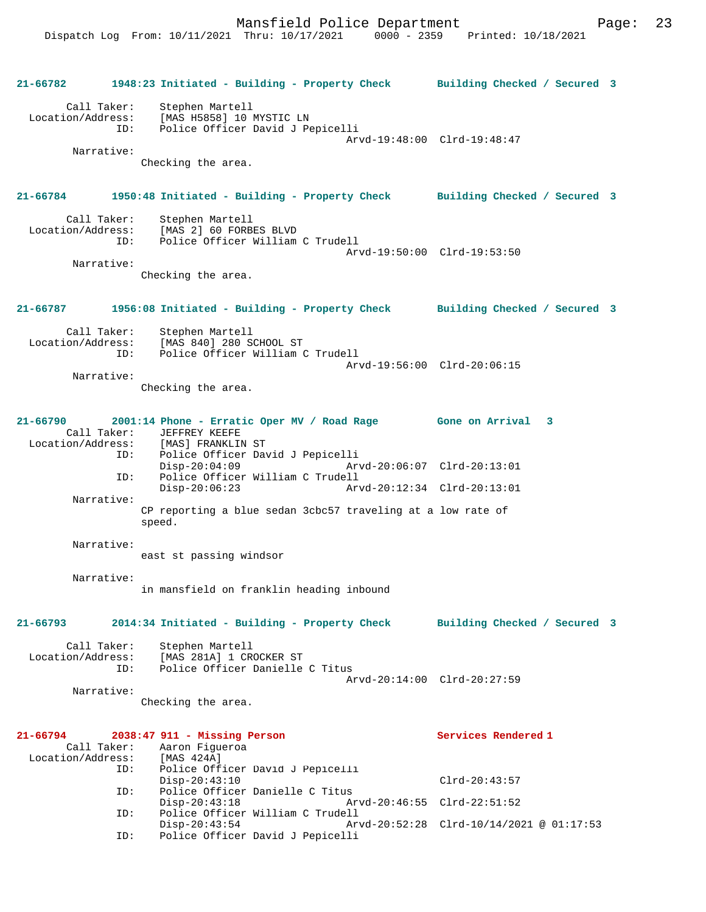Mansfield Police Department Page: 23

Dispatch Log From: 10/11/2021 Thru: 10/17/2021 0000 - 2359 Printed: 10/18/2021

**21-66782 1948:23 Initiated - Building - Property Check Building Checked / Secured 3** Call Taker: Stephen Martell Location/Address: [MAS H5858] 10 MYSTIC LN Police Officer David J Pepicelli Arvd-19:48:00 Clrd-19:48:47 Narrative: Checking the area. **21-66784 1950:48 Initiated - Building - Property Check Building Checked / Secured 3** Call Taker: Stephen Martell<br>Location/Address: [MAS 2] 60 FORB [MAS 2] 60 FORBES BLVD ID: Police Officer William C Trudell Arvd-19:50:00 Clrd-19:53:50 Narrative: Checking the area. **21-66787 1956:08 Initiated - Building - Property Check Building Checked / Secured 3** Call Taker: Stephen Martell Location/Address: [MAS 840] 280 SCHOOL ST Police Officer William C Trudell Arvd-19:56:00 Clrd-20:06:15 Narrative: Checking the area. **21-66790 2001:14 Phone - Erratic Oper MV / Road Rage Gone on Arrival 3**  Call Taker: JEFFREY KEEFE<br>Location/Address: [MAS] FRANKLIN ess: [MAS] FRANKLIN ST<br>ID: Police Officer Day ID: Police Officer David J Pepicelli Disp-20:04:09 Arvd-20:06:07 Clrd-20:13:01 ID: Police Officer William C Trudell Disp-20:06:23 Arvd-20:12:34 Clrd-20:13:01 Narrative: CP reporting a blue sedan 3cbc57 traveling at a low rate of speed. Narrative: east st passing windsor Narrative: in mansfield on franklin heading inbound **21-66793 2014:34 Initiated - Building - Property Check Building Checked / Secured 3** Call Taker: Stephen Martell<br>Location/Address: [MAS 281A] 1 CR [MAS 281A] 1 CROCKER ST ID: Police Officer Danielle C Titus Arvd-20:14:00 Clrd-20:27:59 Narrative: Checking the area. **21-66794 2038:47 911 - Missing Person Services Rendered 1**  Call Taker: Aaron Figueroa<br>ion/Address: [MAS 424A] Location/Address:<br>ID: Police Officer David J Pepicelli Disp-20:43:10 Clrd-20:43:57<br>TD: Police Officer Danielle C Titus Police Officer Danielle C Titus<br>Disp-20:43:18 Ar Disp-20:43:18 Arvd-20:46:55 Clrd-22:51:52<br>ID: Police Officer William C Trudell Police Officer William C Trudell<br>Disp-20:43:54 Disp-20:43:54 Arvd-20:52:28 Clrd-10/14/2021 @ 01:17:53 ID: Police Officer David J Pepicelli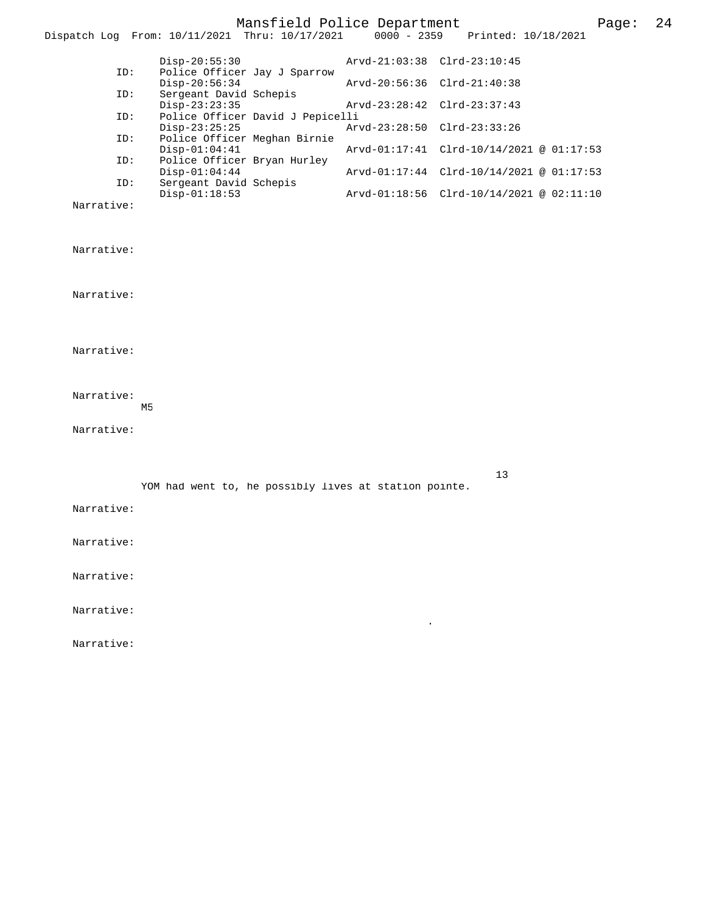Mansfield Police Department Page: 24 Dispatch Log From:  $10/11/2021$  Thru:  $10/17/2021$  Disp-20:55:30 Arvd-21:03:38 Clrd-23:10:45 ID: Police Officer Jay J Sparrow Disp-20:56:34 <br>
D: Sergeant David Schepis Arvd-20:56:36 Clrd-21:40:38 Sergeant David Schepis<br>Disp-23:23:35 Disp-23:23:35 Arvd-23:28:42 Clrd-23:37:43<br>ID: Police Officer David J Pepicelli Police Officer David J Pepicelli<br>Disp-23:25:25 Disp-23:25:25<br>
Disp-23:25:25<br>
Delice Officer Meghan Birnie<br>
Delice Officer Meghan Birnie Police Officer Meghan Birnie<br>Disp-01:04:41 Disp-01:04:41 Arvd-01:17:41 Clrd-10/14/2021 @ 01:17:53<br>ID: Police Officer Bryan Hurley Police Officer Bryan Hurley<br>Disp-01:04:44 Disp-01:04:44 Arvd-01:17:44 Clrd-10/14/2021 @ 01:17:53<br>ID: Sergeant David Schepis Sergeant David Schepis<br>Disp-01:18:53 Disp-01:18:53 Arvd-01:18:56 Clrd-10/14/2021 @ 02:11:10 Narrative: Narrative: Narrative: Narrative: Narrative: M5 Narrative: 13 YOM had went to, he possibly lives at station pointe.

.

Narrative:

Narrative:

Narrative:

Narrative:

Narrative: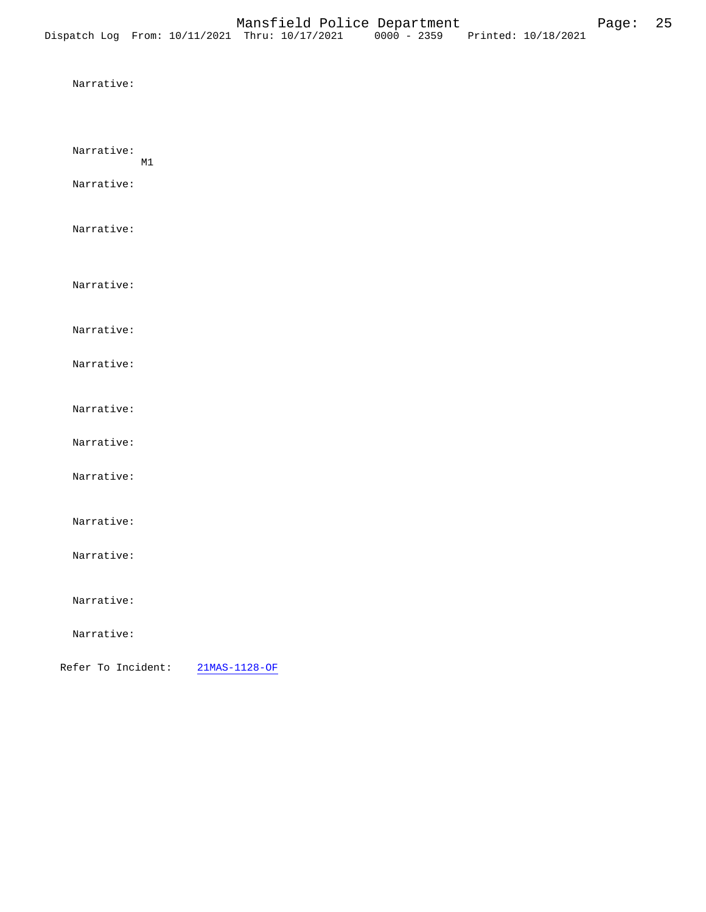| Narrative:               |                     |  |
|--------------------------|---------------------|--|
| Narrative:<br>Narrative: | M1                  |  |
| Narrative:               |                     |  |
| Narrative:               |                     |  |
| Narrative:               |                     |  |
| Narrative:               |                     |  |
| Narrative:               |                     |  |
| Narrative:               |                     |  |
| Narrative:               |                     |  |
| Narrative:               |                     |  |
| Narrative:               |                     |  |
| Narrative:               |                     |  |
| Narrative:               |                     |  |
| Refer To Incident:       | $21MAS - 1128 - OF$ |  |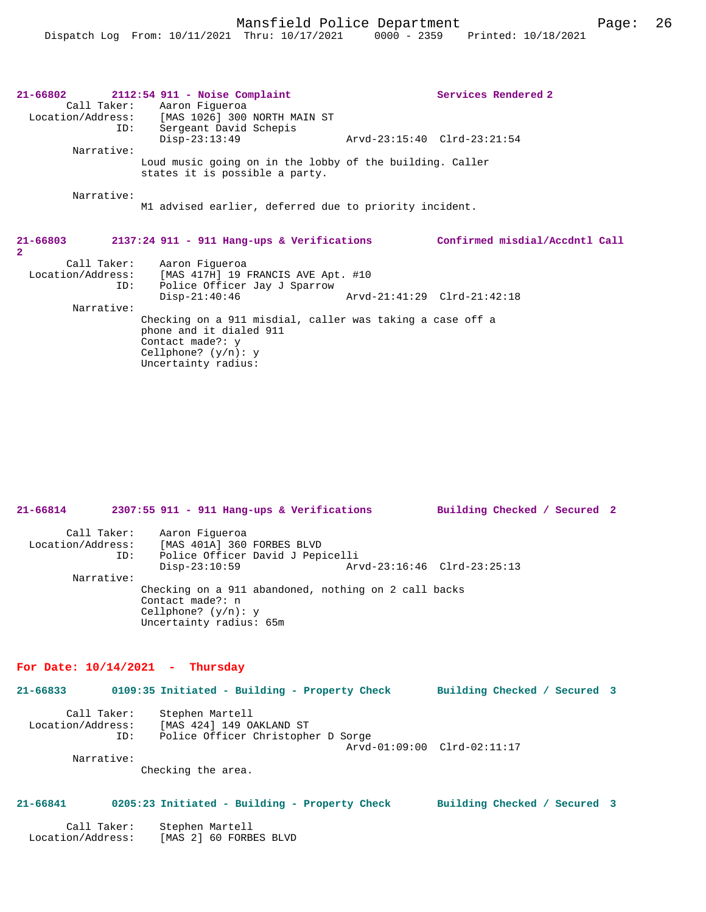|              | $2112:54$ 911 - Noise Complaint                           |                             | Services Rendered 2            |
|--------------|-----------------------------------------------------------|-----------------------------|--------------------------------|
|              | Call Taker: Aaron Figueroa                                |                             |                                |
|              | Location/Address: [MAS 1026] 300 NORTH MAIN ST            |                             |                                |
| ID:          | Sergeant David Schepis                                    |                             |                                |
|              | $Disp-23:13:49$                                           |                             | Arvd-23:15:40 Clrd-23:21:54    |
| Narrative:   |                                                           |                             |                                |
|              | Loud music going on in the lobby of the building. Caller  |                             |                                |
|              | states it is possible a party.                            |                             |                                |
|              |                                                           |                             |                                |
| Narrative:   |                                                           |                             |                                |
|              | M1 advised earlier, deferred due to priority incident.    |                             |                                |
|              |                                                           |                             |                                |
|              |                                                           |                             |                                |
|              |                                                           |                             |                                |
| $21 - 66803$ | $2137:24$ 911 - 911 Hang-ups & Verifications              |                             | Confirmed misdial/Accdntl Call |
| $\mathbf{2}$ |                                                           |                             |                                |
|              | Call Taker: Aaron Figueroa                                |                             |                                |
|              | Location/Address: [MAS 417H] 19 FRANCIS AVE Apt. #10      |                             |                                |
| ID:          | Police Officer Jay J Sparrow                              |                             |                                |
|              | $Disp-21:40:46$                                           | Arvd-21:41:29 Clrd-21:42:18 |                                |
| Narrative:   |                                                           |                             |                                |
|              | Checking on a 911 misdial, caller was taking a case off a |                             |                                |
|              | phone and it dialed 911                                   |                             |                                |
|              | Contact made?: y<br>Cellphone? $(y/n): y$                 |                             |                                |
|              |                                                           |                             |                                |

| $21 - 66814$                     |     | 2307:55 911 - 911 Hang-ups & Verifications                                                          |                                                      | Building Checked / Secured 2 |  |
|----------------------------------|-----|-----------------------------------------------------------------------------------------------------|------------------------------------------------------|------------------------------|--|
| Call Taker:<br>Location/Address: | ID: | Aaron Figueroa<br>[MAS 401A] 360 FORBES BLVD<br>Police Officer David J Pepicelli<br>$Disp-23:10:59$ |                                                      | Arvd-23:16:46 Clrd-23:25:13  |  |
| Narrative:                       |     |                                                                                                     |                                                      |                              |  |
|                                  |     | Contact made?: $n$<br>Cellphone? $(y/n): y$<br>Uncertainty radius: 65m                              | Checking on a 911 abandoned, nothing on 2 call backs |                              |  |

### **For Date: 10/14/2021 - Thursday**

| 21-66833                         |     | 0109:35 Initiated - Building - Property Check                                     | Building Checked / Secured 3 |  |
|----------------------------------|-----|-----------------------------------------------------------------------------------|------------------------------|--|
| Call Taker:<br>Location/Address: | ID: | Stephen Martell<br>[MAS 424] 149 OAKLAND ST<br>Police Officer Christopher D Sorge |                              |  |
| Narrative:                       |     |                                                                                   | Arvd-01:09:00 Clrd-02:11:17  |  |

Checking the area.

### **21-66841 0205:23 Initiated - Building - Property Check Building Checked / Secured 3**

| Call Taker:       | Stephen Martell        |
|-------------------|------------------------|
| Location/Address: | [MAS 2] 60 FORBES BLVD |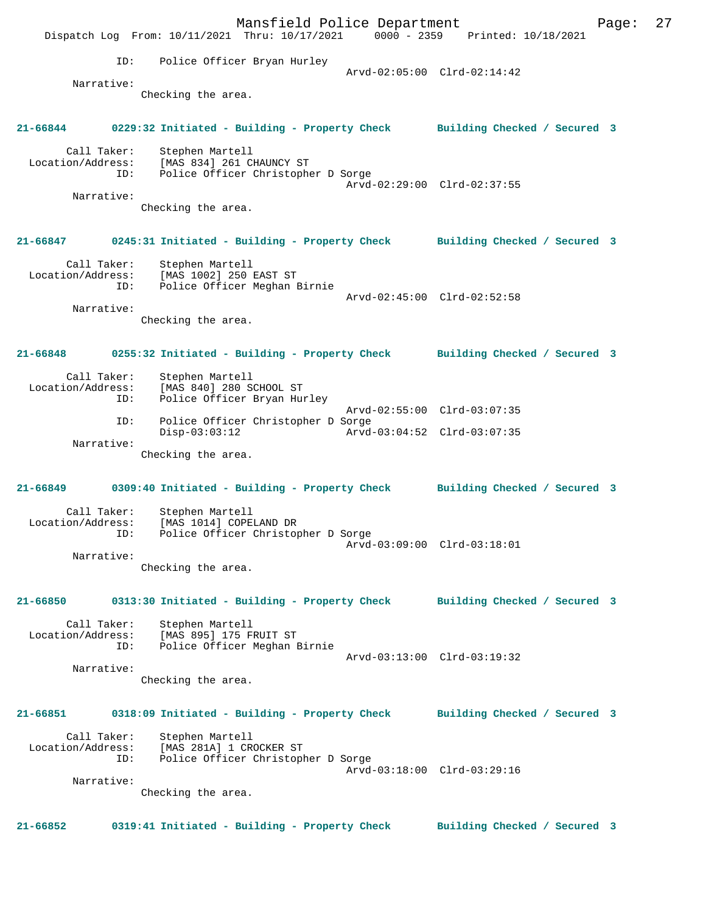Mansfield Police Department Fage: 27 Dispatch Log From: 10/11/2021 Thru: 10/17/2021 0000 - 2359 Printed: 10/18/2021 ID: Police Officer Bryan Hurley Arvd-02:05:00 Clrd-02:14:42 Narrative: Checking the area. **21-66844 0229:32 Initiated - Building - Property Check Building Checked / Secured 3** Call Taker: Stephen Martell Location/Address: [MAS 834] 261 CHAUNCY ST ID: Police Officer Christopher D Sorge Arvd-02:29:00 Clrd-02:37:55 Narrative: Checking the area. **21-66847 0245:31 Initiated - Building - Property Check Building Checked / Secured 3** Call Taker: Stephen Martell Location/Address: [MAS 1002] 250 EAST ST ID: Police Officer Meghan Birnie Arvd-02:45:00 Clrd-02:52:58 Narrative: Checking the area. **21-66848 0255:32 Initiated - Building - Property Check Building Checked / Secured 3** Call Taker: Stephen Martell Location/Address: [MAS 840] 280 SCHOOL ST<br>ID: Police Officer Bryan Hum Police Officer Bryan Hurley Arvd-02:55:00 Clrd-03:07:35 ID: Police Officer Christopher D Sorge Disp-03:03:12 Arvd-03:04:52 Clrd-03:07:35 Narrative: Checking the area. **21-66849 0309:40 Initiated - Building - Property Check Building Checked / Secured 3** Call Taker: Stephen Martell<br>Location/Address: [MAS 1014] COPE [MAS 1014] COPELAND DR ID: Police Officer Christopher D Sorge Arvd-03:09:00 Clrd-03:18:01 Narrative: Checking the area. **21-66850 0313:30 Initiated - Building - Property Check Building Checked / Secured 3** Call Taker: Stephen Martell Location/Address: [MAS 895] 175 FRUIT ST ID: Police Officer Meghan Birnie Arvd-03:13:00 Clrd-03:19:32 Narrative: Checking the area. **21-66851 0318:09 Initiated - Building - Property Check Building Checked / Secured 3** Call Taker: Stephen Martell<br>Location/Address: [MAS 281A] 1 CR ess: [MAS 281A] 1 CROCKER ST<br>ID: Police Officer Christop Police Officer Christopher D Sorge Arvd-03:18:00 Clrd-03:29:16 Narrative: Checking the area. **21-66852 0319:41 Initiated - Building - Property Check Building Checked / Secured 3**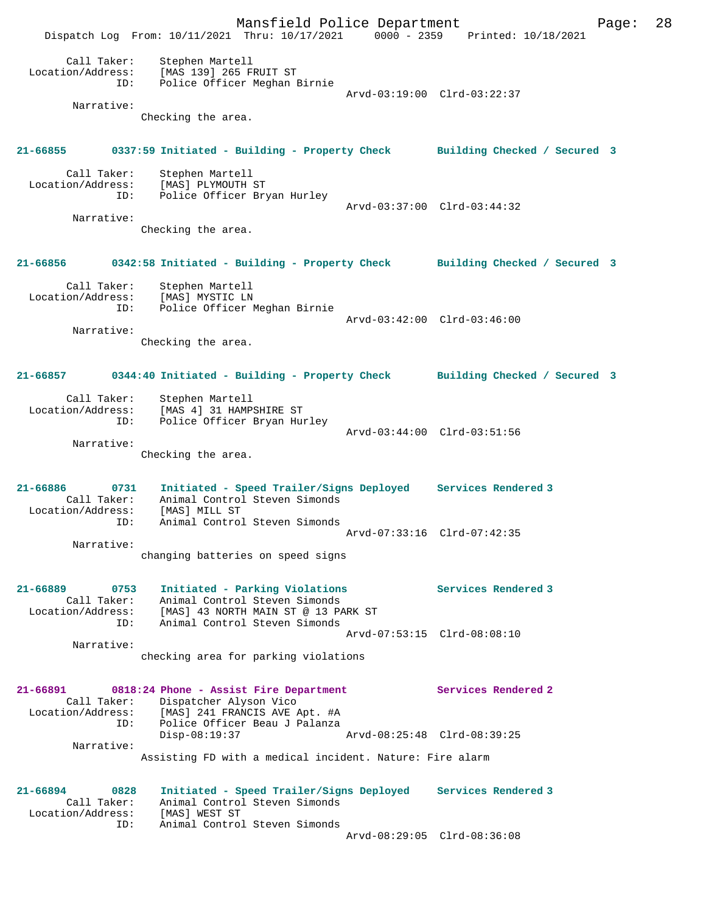Mansfield Police Department Page: 28 Dispatch Log From: 10/11/2021 Thru: 10/17/2021 0000 - 2359 Printed: 10/18/2021 Call Taker: Stephen Martell Location/Address: [MAS 139] 265 FRUIT ST ID: Police Officer Meghan Birnie Arvd-03:19:00 Clrd-03:22:37 Narrative: Checking the area. **21-66855 0337:59 Initiated - Building - Property Check Building Checked / Secured 3** Call Taker: Stephen Martell Location/Address: [MAS] PLYMOUTH ST ID: Police Officer Bryan Hurley Arvd-03:37:00 Clrd-03:44:32 Narrative: Checking the area. **21-66856 0342:58 Initiated - Building - Property Check Building Checked / Secured 3** Call Taker: Stephen Martell Location/Address: [MAS] MYSTIC LN ID: Police Officer Meghan Birnie Arvd-03:42:00 Clrd-03:46:00 Narrative: Checking the area. **21-66857 0344:40 Initiated - Building - Property Check Building Checked / Secured 3** Call Taker: Stephen Martell Location/Address: [MAS 4] 31 HAMPSHIRE ST ID: Police Officer Bryan Hurley Arvd-03:44:00 Clrd-03:51:56 Narrative: Checking the area. **21-66886 0731 Initiated - Speed Trailer/Signs Deployed Services Rendered 3**  Call Taker: Animal Control Steven Simonds Location/Address: [MAS] MILL ST ID: Animal Control Steven Simonds Arvd-07:33:16 Clrd-07:42:35 Narrative: changing batteries on speed signs **21-66889 0753 Initiated - Parking Violations Services Rendered 3**  Call Taker: Animal Control Steven Simonds Location/Address: [MAS] 43 NORTH MAIN ST @ 13 PARK ST ID: Animal Control Steven Simonds Arvd-07:53:15 Clrd-08:08:10 Narrative: checking area for parking violations **21-66891 0818:24 Phone - Assist Fire Department Services Rendered 2**  Call Taker: Dispatcher Alyson Vico Location/Address: [MAS] 241 FRANCIS AVE Apt. #A ID: Police Officer Beau J Palanza Disp-08:19:37 Arvd-08:25:48 Clrd-08:39:25 Narrative: Assisting FD with a medical incident. Nature: Fire alarm **21-66894 0828 Initiated - Speed Trailer/Signs Deployed Services Rendered 3**  Call Taker: Animal Control Steven Simonds Location/Address: [MAS] WEST ST ID: Animal Control Steven Simonds Arvd-08:29:05 Clrd-08:36:08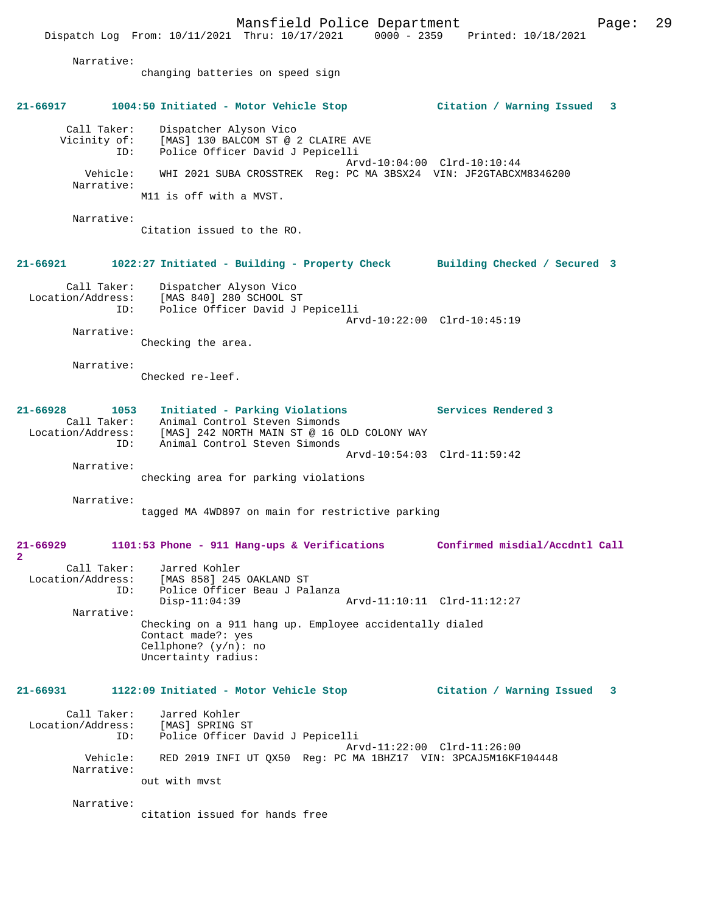Mansfield Police Department Page: 29 Dispatch Log From: 10/11/2021 Thru: 10/17/2021 0000 - 2359 Printed: 10/18/2021 Narrative: changing batteries on speed sign **21-66917 1004:50 Initiated - Motor Vehicle Stop Citation / Warning Issued 3** Call Taker: Dispatcher Alyson Vico Vicinity of: [MAS] 130 BALCOM ST @ 2 CLAIRE AVE ID: Police Officer David J Pepicelli Arvd-10:04:00 Clrd-10:10:44 Vehicle: WHI 2021 SUBA CROSSTREK Reg: PC MA 3BSX24 VIN: JF2GTABCXM8346200 Narrative: M11 is off with a MVST. Narrative: Citation issued to the RO. **21-66921 1022:27 Initiated - Building - Property Check Building Checked / Secured 3** Call Taker: Dispatcher Alyson Vico<br>Location/Address: [MAS 840] 280 SCHOOL ST Location/Address: [MAS 840] 280 SCHOOL ST ID: Police Officer David J Pepicelli Arvd-10:22:00 Clrd-10:45:19 Narrative: Checking the area. Narrative: Checked re-leef. **21-66928 1053 Initiated - Parking Violations Services Rendered 3**  Call Taker: Animal Control Steven Simonds Location/Address: [MAS] 242 NORTH MAIN ST @ 16 OLD COLONY WAY ID: Animal Control Steven Simonds Arvd-10:54:03 Clrd-11:59:42 Narrative: checking area for parking violations Narrative: tagged MA 4WD897 on main for restrictive parking **21-66929 1101:53 Phone - 911 Hang-ups & Verifications Confirmed misdial/Accdntl Call 2**  Call Taker: Jarred Kohler Location/Address: [MAS 858] 245 OAKLAND ST<br>ID: Police Officer Beau J Pal Police Officer Beau J Palanza<br>Disp-11:04:39 Disp-11:04:39 Arvd-11:10:11 Clrd-11:12:27 Narrative: Checking on a 911 hang up. Employee accidentally dialed Contact made?: yes Cellphone? (y/n): no Uncertainty radius: **21-66931 1122:09 Initiated - Motor Vehicle Stop Citation / Warning Issued 3** Call Taker: Jarred Kohler Location/Address: [MAS] SPRING ST ID: Police Officer David J Pepicelli Arvd-11:22:00 Clrd-11:26:00 Vehicle: RED 2019 INFI UT QX50 Reg: PC MA 1BHZ17 VIN: 3PCAJ5M16KF104448 Narrative: out with mvst Narrative:

citation issued for hands free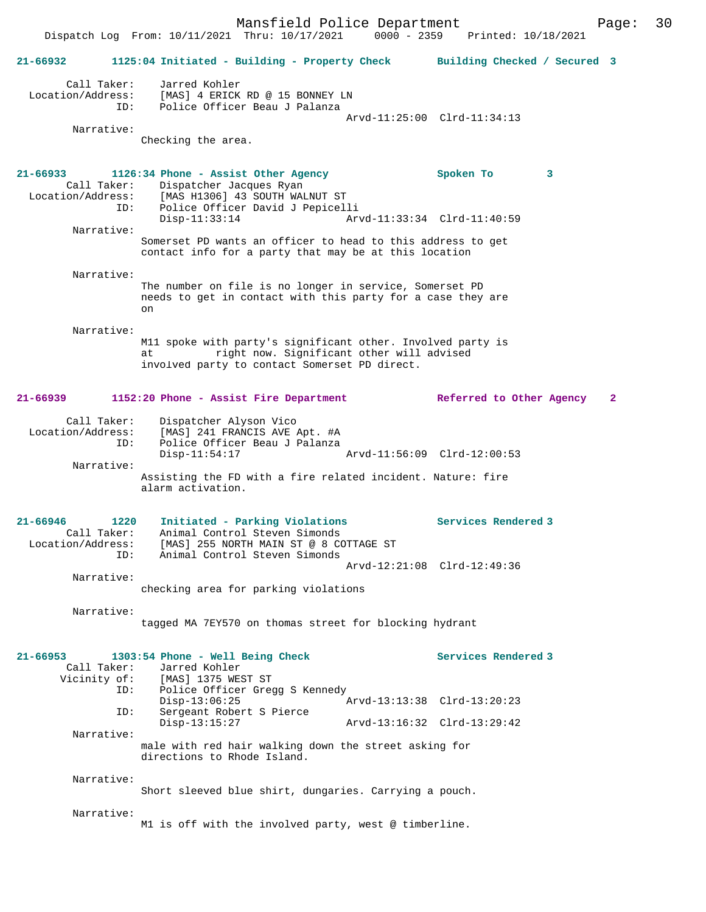Mansfield Police Department Fage: 30 Dispatch Log From: 10/11/2021 Thru: 10/17/2021 0000 - 2359 Printed: 10/18/2021 **21-66932 1125:04 Initiated - Building - Property Check Building Checked / Secured 3** Call Taker: Jarred Kohler Location/Address: [MAS] 4 ERICK RD @ 15 BONNEY LN ID: Police Officer Beau J Palanza Arvd-11:25:00 Clrd-11:34:13 Narrative: Checking the area. **21-66933 1126:34 Phone - Assist Other Agency Spoken To 3**  Call Taker: Dispatcher Jacques Ryan Location/Address: [MAS H1306] 43 SOUTH WALNUT ST Police Officer David J Pepicelli<br>Disp-11:33:14 Arv Disp-11:33:14 Arvd-11:33:34 Clrd-11:40:59 Narrative: Somerset PD wants an officer to head to this address to get contact info for a party that may be at this location Narrative: The number on file is no longer in service, Somerset PD needs to get in contact with this party for a case they are on Narrative: M11 spoke with party's significant other. Involved party is at right now. Significant other will advised involved party to contact Somerset PD direct. **21-66939 1152:20 Phone - Assist Fire Department Referred to Other Agency 2** Call Taker: Dispatcher Alyson Vico<br>Location/Address: [MAS] 241 FRANCIS AVE Location Carryson VICO<br>Ess: [MAS] 241 FRANCIS AVE Apt. #A<br>TD: Police Officer Beau J Palanza Police Officer Beau J Palanza<br>Disp-11:54:17 Disp-11:54:17 Arvd-11:56:09 Clrd-12:00:53 Narrative: Assisting the FD with a fire related incident. Nature: fire alarm activation. **21-66946 1220 Initiated - Parking Violations Services Rendered 3**  Call Taker: Animal Control Steven Simonds Location/Address: [MAS] 255 NORTH MAIN ST @ 8 COTTAGE ST ID: Animal Control Steven Simonds Arvd-12:21:08 Clrd-12:49:36 Narrative: checking area for parking violations Narrative: tagged MA 7EY570 on thomas street for blocking hydrant **21-66953 1303:54 Phone - Well Being Check Services Rendered 3**  Call Taker: Jarred Kohler Vicinity of: [MAS] 1375 WEST ST ID: Police Officer Gregg S Kennedy Disp-13:06:25 Arvd-13:13:38 Clrd-13:20:23<br>ID: Sergeant Robert S Pierce .<br>Sergeant Robert S Pierce<br>Disp-13:15:27 Arvd-13:16:32 Clrd-13:29:42 Narrative: male with red hair walking down the street asking for directions to Rhode Island. Narrative: Short sleeved blue shirt, dungaries. Carrying a pouch. Narrative: M1 is off with the involved party, west @ timberline.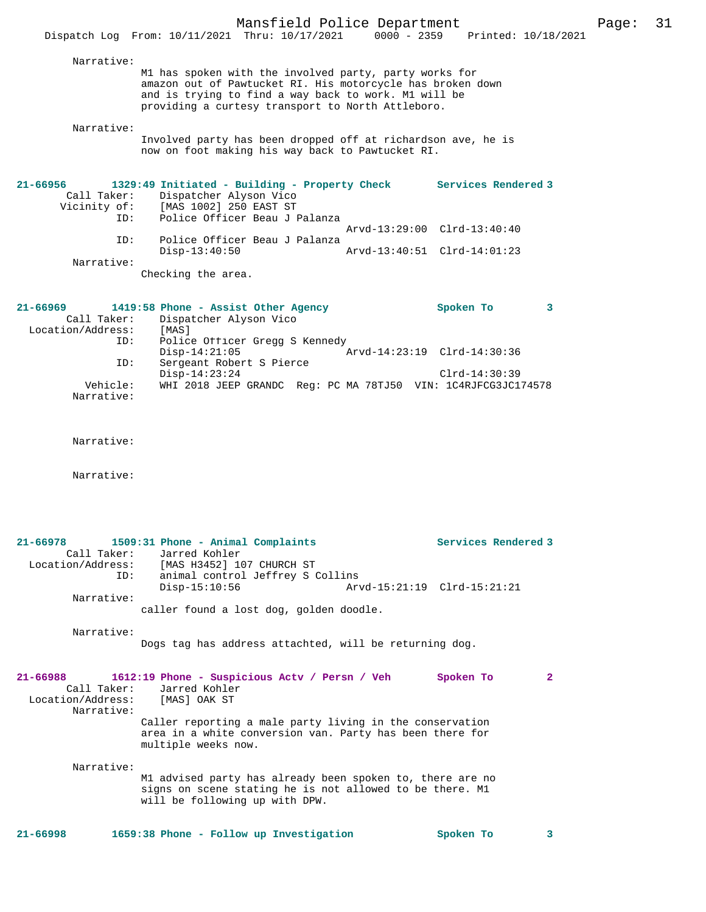| Narrative:        |                                                                                                                                                                                                                                   |                             |   |
|-------------------|-----------------------------------------------------------------------------------------------------------------------------------------------------------------------------------------------------------------------------------|-----------------------------|---|
|                   | M1 has spoken with the involved party, party works for<br>amazon out of Pawtucket RI. His motorcycle has broken down<br>and is trying to find a way back to work. M1 will be<br>providing a curtesy transport to North Attleboro. |                             |   |
| Narrative:        | Involved party has been dropped off at richardson ave, he is<br>now on foot making his way back to Pawtucket RI.                                                                                                                  |                             |   |
| $21 - 66956$      | 1329:49 Initiated - Building - Property Check                                                                                                                                                                                     | Services Rendered 3         |   |
| Call Taker:       | Dispatcher Alyson Vico                                                                                                                                                                                                            |                             |   |
|                   | Vicinity of: [MAS 1002] 250 EAST ST                                                                                                                                                                                               |                             |   |
|                   | ID: Police Officer Beau J Palanza                                                                                                                                                                                                 |                             |   |
|                   |                                                                                                                                                                                                                                   | Arvd-13:29:00 Clrd-13:40:40 |   |
| TD:               | Police Officer Beau J Palanza                                                                                                                                                                                                     |                             |   |
|                   | $Disp-13:40:50$                                                                                                                                                                                                                   | Arvd-13:40:51 Clrd-14:01:23 |   |
| Narrative:        |                                                                                                                                                                                                                                   |                             |   |
|                   | Checking the area.                                                                                                                                                                                                                |                             |   |
| $21 - 66969$      | 1419:58 Phone - Assist Other Agency                                                                                                                                                                                               | Spoken To                   | 3 |
| Call Taker:       | Dispatcher Alyson Vico                                                                                                                                                                                                            |                             |   |
| Location/Address: | [MAS]                                                                                                                                                                                                                             |                             |   |
| ID:               | Police Officer Gregg S Kennedy                                                                                                                                                                                                    |                             |   |
|                   | $Disp-14:21:05$                                                                                                                                                                                                                   | Arvd-14:23:19 Clrd-14:30:36 |   |
| ID:               | Sergeant Robert S Pierce                                                                                                                                                                                                          |                             |   |

- Disp-14:23:24 Clrd-14:30:39 Vehicle: WHI 2018 JEEP GRANDC Reg: PC MA 78TJ50 VIN: 1C4RJFCG3JC174578 Narrative:
- Narrative:

Narrative:

| 21-66978          |     | 1509:31 Phone - Animal Complaints                      |                             | Services Rendered 3 |
|-------------------|-----|--------------------------------------------------------|-----------------------------|---------------------|
| Call Taker:       |     | Jarred Kohler                                          |                             |                     |
| Location/Address: |     | [MAS H3452] 107 CHURCH ST                              |                             |                     |
|                   | ID: | animal control Jeffrey S Collins                       |                             |                     |
|                   |     | $Disp-15:10:56$                                        | Arvd-15:21:19 Clrd-15:21:21 |                     |
| Narrative:        |     |                                                        |                             |                     |
|                   |     | caller found a lost dog, golden doodle.                |                             |                     |
| Narrative:        |     |                                                        |                             |                     |
|                   |     | Dogs tag has address attachted, will be returning dog. |                             |                     |

| $21 - 66988$<br>Call Taker:<br>Location/Address:<br>Narrative: | 1612:19 Phone - Suspicious Acty / Persn / Veh<br>Spoken To<br>Jarred Kohler<br>[MAS] OAK ST                                                             |  |
|----------------------------------------------------------------|---------------------------------------------------------------------------------------------------------------------------------------------------------|--|
|                                                                | Caller reporting a male party living in the conservation<br>area in a white conversion van. Party has been there for<br>multiple weeks now.             |  |
| Narrative:                                                     | M1 advised party has already been spoken to, there are no<br>signs on scene stating he is not allowed to be there. Ml<br>will be following up with DPW. |  |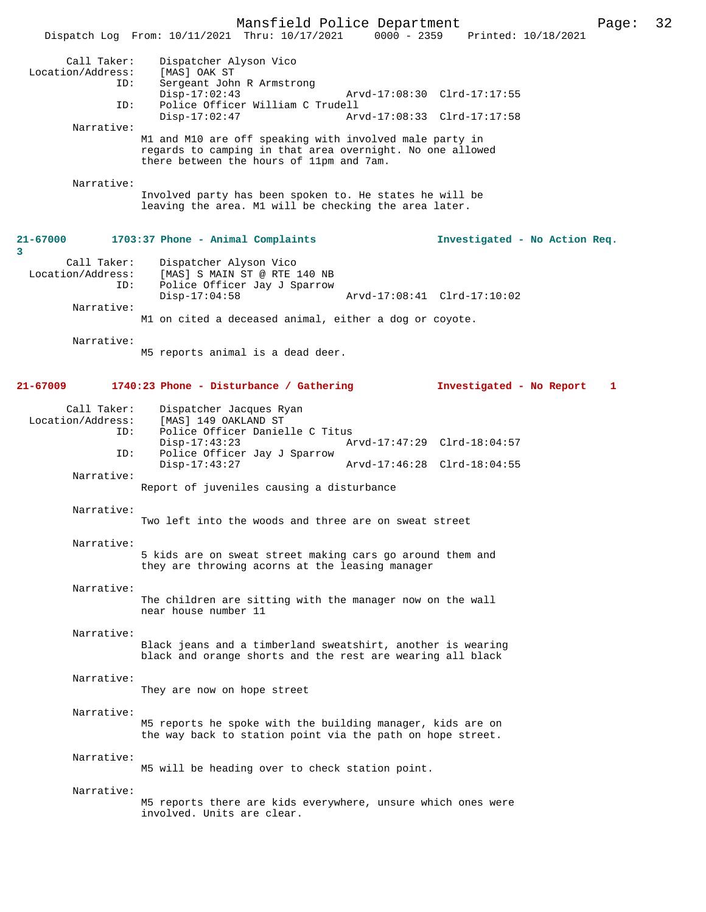|                                         |                                                                                                                                                                  | Mansfield Police Department |                             |                                 | Page: | 32 |
|-----------------------------------------|------------------------------------------------------------------------------------------------------------------------------------------------------------------|-----------------------------|-----------------------------|---------------------------------|-------|----|
|                                         | Dispatch Log From: 10/11/2021 Thru: 10/17/2021                                                                                                                   |                             |                             | 0000 - 2359 Printed: 10/18/2021 |       |    |
| Call Taker:<br>Location/Address:<br>ID: | Dispatcher Alyson Vico<br>[MAS] OAK ST<br>Sergeant John R Armstrong                                                                                              |                             |                             |                                 |       |    |
| ID:                                     | $Disp-17:02:43$<br>Police Officer William C Trudell                                                                                                              |                             | Arvd-17:08:30 Clrd-17:17:55 |                                 |       |    |
|                                         | $Disp-17:02:47$                                                                                                                                                  |                             | Arvd-17:08:33 Clrd-17:17:58 |                                 |       |    |
| Narrative:                              | M1 and M10 are off speaking with involved male party in<br>regards to camping in that area overnight. No one allowed<br>there between the hours of 11pm and 7am. |                             |                             |                                 |       |    |
| Narrative:                              |                                                                                                                                                                  |                             |                             |                                 |       |    |
|                                         | Involved party has been spoken to. He states he will be<br>leaving the area. M1 will be checking the area later.                                                 |                             |                             |                                 |       |    |
| $21 - 67000$<br>3                       | 1703:37 Phone - Animal Complaints                                                                                                                                |                             |                             | Investigated - No Action Req.   |       |    |
| Call Taker:<br>Location/Address:<br>ID: | Dispatcher Alyson Vico<br>[MAS] S MAIN ST @ RTE 140 NB<br>Police Officer Jay J Sparrow                                                                           |                             |                             |                                 |       |    |
| Narrative:                              | $Disp-17:04:58$                                                                                                                                                  |                             | Arvd-17:08:41 Clrd-17:10:02 |                                 |       |    |
|                                         | M1 on cited a deceased animal, either a dog or coyote.                                                                                                           |                             |                             |                                 |       |    |
| Narrative:                              | M5 reports animal is a dead deer.                                                                                                                                |                             |                             |                                 |       |    |
| $21 - 67009$                            | 1740:23 Phone - Disturbance / Gathering                                                                                                                          |                             |                             | Investigated - No Report        | 1     |    |
| Call Taker:<br>Location/Address:<br>ID: | Dispatcher Jacques Ryan<br>[MAS] 149 OAKLAND ST<br>Police Officer Danielle C Titus                                                                               |                             |                             |                                 |       |    |
| ID:                                     | $Disp-17:43:23$<br>Police Officer Jay J Sparrow                                                                                                                  |                             | Arvd-17:47:29 Clrd-18:04:57 |                                 |       |    |
| Narrative:                              | $Disp-17:43:27$                                                                                                                                                  |                             | Arvd-17:46:28 Clrd-18:04:55 |                                 |       |    |
|                                         | Report of juveniles causing a disturbance                                                                                                                        |                             |                             |                                 |       |    |
| Narrative:                              | Two left into the woods and three are on sweat street                                                                                                            |                             |                             |                                 |       |    |
| Narrative:                              | 5 kids are on sweat street making cars go around them and<br>they are throwing acorns at the leasing manager                                                     |                             |                             |                                 |       |    |
| Narrative:                              | The children are sitting with the manager now on the wall<br>near house number 11                                                                                |                             |                             |                                 |       |    |
| Narrative:                              | Black jeans and a timberland sweatshirt, another is wearing<br>black and orange shorts and the rest are wearing all black                                        |                             |                             |                                 |       |    |
| Narrative:                              | They are now on hope street                                                                                                                                      |                             |                             |                                 |       |    |
| Narrative:                              | M5 reports he spoke with the building manager, kids are on<br>the way back to station point via the path on hope street.                                         |                             |                             |                                 |       |    |
| Narrative:                              | M5 will be heading over to check station point.                                                                                                                  |                             |                             |                                 |       |    |
| Narrative:                              | M5 reports there are kids everywhere, unsure which ones were<br>involved. Units are clear.                                                                       |                             |                             |                                 |       |    |
|                                         |                                                                                                                                                                  |                             |                             |                                 |       |    |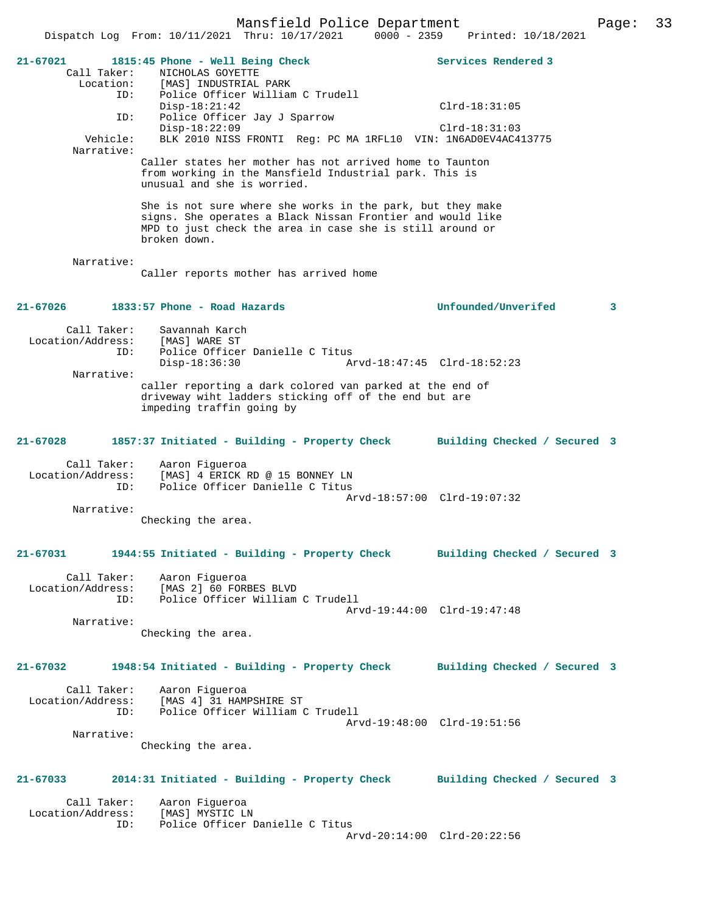Dispatch Log From: 10/11/2021 Thru: 10/17/2021 0000 - 2359 Printed: 10/18/2021 **21-67021 1815:45 Phone - Well Being Check Services Rendered 3**  Call Taker: NICHOLAS GOYETTE Location: [MAS] INDUSTRIAL PARK ID: Police Officer William C Trudell Disp-18:21:42 Clrd-18:31:05 ID: Police Officer Jay J Sparrow Disp-18:22:09 Clrd-18:31:03<br>Vehicle: BLK 2010 NISS FRONTI Req: PC MA 1RFL10 VIN: 1N6AD0EV4AC4 BLK 2010 NISS FRONTI Reg: PC MA 1RFL10 VIN: 1N6AD0EV4AC413775 Narrative: Caller states her mother has not arrived home to Taunton from working in the Mansfield Industrial park. This is unusual and she is worried. She is not sure where she works in the park, but they make signs. She operates a Black Nissan Frontier and would like MPD to just check the area in case she is still around or broken down. Narrative: Caller reports mother has arrived home **21-67026 1833:57 Phone - Road Hazards Unfounded/Unverifed 3** Call Taker: Savannah Karch<br>Location/Address: [MAS] WARE ST Loundan Karch<br>[MAS] WARE ST<br>Police ID: Police Officer Danielle C Titus<br>Disp-18:36:30 A Disp-18:36:30 Arvd-18:47:45 Clrd-18:52:23 Narrative: caller reporting a dark colored van parked at the end of driveway wiht ladders sticking off of the end but are impeding traffin going by **21-67028 1857:37 Initiated - Building - Property Check Building Checked / Secured 3** Call Taker: Aaron Figueroa<br>Location/Address: [MAS] 4 ERICK ] ess: [MAS] 4 ERICK RD @ 15 BONNEY LN<br>ID: Police Officer Danielle C Titus Police Officer Danielle C Titus Arvd-18:57:00 Clrd-19:07:32 Narrative: Checking the area. **21-67031 1944:55 Initiated - Building - Property Check Building Checked / Secured 3** Call Taker: Aaron Figueroa Location/Address: [MAS 2] 60 FORBES BLVD<br>TD: Police Officer William Police Officer William C Trudell Arvd-19:44:00 Clrd-19:47:48 Narrative: Checking the area. **21-67032 1948:54 Initiated - Building - Property Check Building Checked / Secured 3** Call Taker: Aaron Figueroa Location/Address: [MAS 4] 31 HAMPSHIRE ST Police Officer William C Trudell Arvd-19:48:00 Clrd-19:51:56 Narrative: Checking the area. **21-67033 2014:31 Initiated - Building - Property Check Building Checked / Secured 3** Call Taker: Aaron Figueroa<br>ion/Address: [MAS] MYSTIC LN Location/Address: ID: Police Officer Danielle C Titus Arvd-20:14:00 Clrd-20:22:56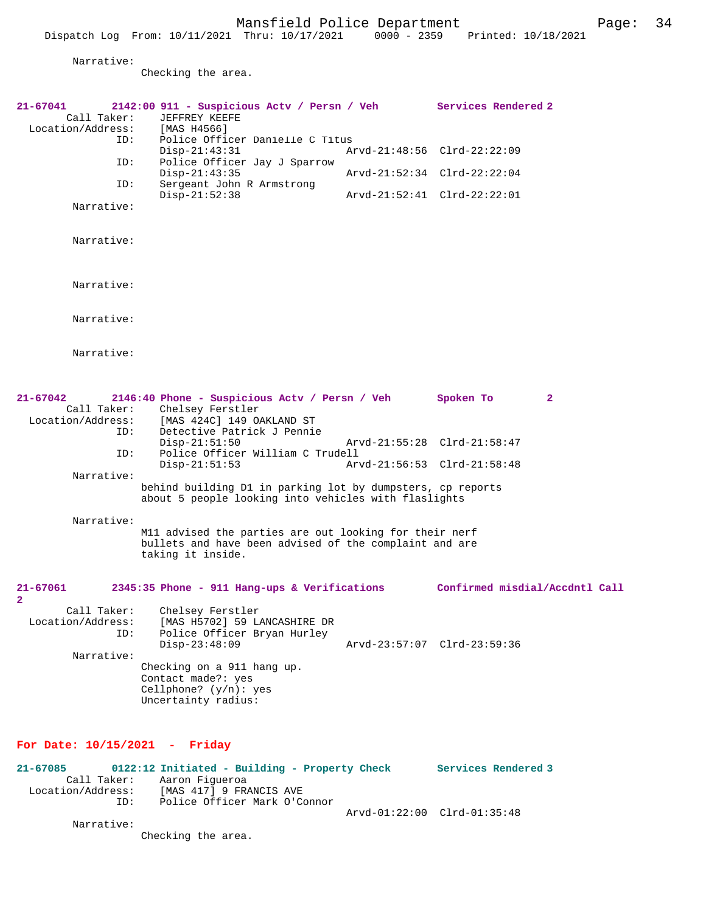Checking the area.

| $21 - 67041$<br>Call Taker:<br>Location/Address: | 2142:00 911 - Suspicious Actv / Persn / Veh Services Rendered 2<br>JEFFREY KEEFE<br>[MAS H4566]                                                    |                             |                                |              |
|--------------------------------------------------|----------------------------------------------------------------------------------------------------------------------------------------------------|-----------------------------|--------------------------------|--------------|
| ID:                                              | Police Officer Danielle C Titus<br>$Disp-21:43:31$                                                                                                 |                             | Arvd-21:48:56 Clrd-22:22:09    |              |
| ID:                                              | Police Officer Jay J Sparrow<br>$Disp-21:43:35$                                                                                                    |                             | Arvd-21:52:34 Clrd-22:22:04    |              |
| ID:                                              | Sergeant John R Armstrong<br>$Disp-21:52:38$                                                                                                       |                             | Arvd-21:52:41 Clrd-22:22:01    |              |
| Narrative:                                       |                                                                                                                                                    |                             |                                |              |
| Narrative:                                       |                                                                                                                                                    |                             |                                |              |
| Narrative:                                       |                                                                                                                                                    |                             |                                |              |
| Narrative:                                       |                                                                                                                                                    |                             |                                |              |
| Narrative:                                       |                                                                                                                                                    |                             |                                |              |
| $21 - 67042$<br>Location/Address:<br>ID:         | 2146:40 Phone - Suspicious Actv / Persn / Veh Spoken To<br>Call Taker: Chelsey Ferstler<br>[MAS 424C] 149 OAKLAND ST<br>Detective Patrick J Pennie |                             |                                | $\mathbf{2}$ |
| ID:                                              | $Disp-21:51:50$<br>Police Officer William C Trudell<br>$Disp-21:51:53$                                                                             | Arvd-21:56:53 Clrd-21:58:48 | Arvd-21:55:28 Clrd-21:58:47    |              |
| Narrative:                                       | behind building D1 in parking lot by dumpsters, cp reports<br>about 5 people looking into vehicles with flaslights                                 |                             |                                |              |
| Narrative:                                       | M11 advised the parties are out looking for their nerf<br>bullets and have been advised of the complaint and are<br>taking it inside.              |                             |                                |              |
| 21-67061<br>2                                    | 2345:35 Phone - 911 Hang-ups & Verifications                                                                                                       |                             | Confirmed misdial/Accdntl Call |              |
| Location/Address:<br>ID:                         | Call Taker: Chelsey Ferstler<br>[MAS H5702] 59 LANCASHIRE DR<br>Police Officer Bryan Hurley<br>$Disp-23:48:09$                                     |                             | Arvd-23:57:07 Clrd-23:59:36    |              |
| Narrative:                                       | Checking on a 911 hang up.<br>Contact made?: yes<br>Cellphone? $(y/n): ye$ s<br>Uncertainty radius:                                                |                             |                                |              |

### **For Date: 10/15/2021 - Friday**

| 21-67085          |     | 0122:12 Initiated - Building - Property Check | Services Rendered 3         |  |
|-------------------|-----|-----------------------------------------------|-----------------------------|--|
| Call Taker:       |     | Aaron Fiqueroa                                |                             |  |
| Location/Address: |     | [MAS 417] 9 FRANCIS AVE                       |                             |  |
|                   | TD: | Police Officer Mark O'Connor                  |                             |  |
|                   |     |                                               | Arvd-01:22:00 Clrd-01:35:48 |  |
| Narrative:        |     |                                               |                             |  |

Checking the area.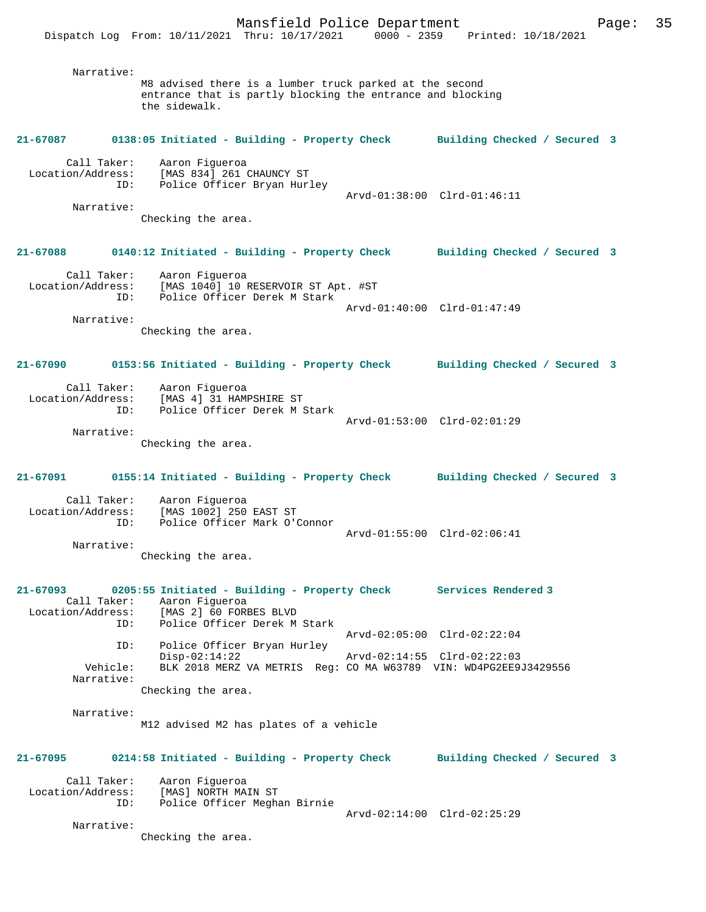Narrative: M8 advised there is a lumber truck parked at the second entrance that is partly blocking the entrance and blocking the sidewalk.

### **21-67087 0138:05 Initiated - Building - Property Check Building Checked / Secured 3** Call Taker: Aaron Figueroa Location/Address: [MAS 834] 261 CHAUNCY ST ID: Police Officer Bryan Hurley Arvd-01:38:00 Clrd-01:46:11 Narrative: Checking the area.

## **21-67088 0140:12 Initiated - Building - Property Check Building Checked / Secured 3**

 Call Taker: Aaron Figueroa Location/Address: [MAS 1040] 10 RESERVOIR ST Apt. #ST ID: Police Officer Derek M Stark Arvd-01:40:00 Clrd-01:47:49 Narrative:

Checking the area.

### **21-67090 0153:56 Initiated - Building - Property Check Building Checked / Secured 3**

| Call Taker:       | Aaron Fiqueroa               |                             |  |
|-------------------|------------------------------|-----------------------------|--|
| Location/Address: | [MAS 4] 31 HAMPSHIRE ST      |                             |  |
| TD:               | Police Officer Derek M Stark |                             |  |
|                   |                              | Arvd-01:53:00 Clrd-02:01:29 |  |
| Narrative:        |                              |                             |  |

Checking the area.

# **21-67091 0155:14 Initiated - Building - Property Check Building Checked / Secured 3**

 Call Taker: Aaron Figueroa Location/Address: [MAS 1002] 250 EAST ST ID: Police Officer Mark O'Connor Arvd-01:55:00 Clrd-02:06:41

Narrative:

Checking the area.

#### **21-67093 0205:55 Initiated - Building - Property Check Services Rendered 3**  Call Taker: Aaron Figueroa Location/Address: [MAS 2] 60 FORBES BLVD ID: Police Officer Derek M Stark Arvd-02:05:00 Clrd-02:22:04 ID: Police Officer Bryan Hurley Disp-02:14:22 Arvd-02:14:55 Clrd-02:22:03<br>Vehicle: BLK 2018 MERZ VA METRIS Reg: CO MA W63789 VIN: WD4PG2EE9. BLK 2018 MERZ VA METRIS Reg: CO MA W63789 VIN: WD4PG2EE9J3429556 Narrative: Checking the area.

 Narrative: M12 advised M2 has plates of a vehicle

### **21-67095 0214:58 Initiated - Building - Property Check Building Checked / Secured 3**

 Call Taker: Aaron Figueroa Location/Address: [MAS] NORTH MAIN ST ID: Police Officer Meghan Birnie

Arvd-02:14:00 Clrd-02:25:29

 Narrative: Checking the area.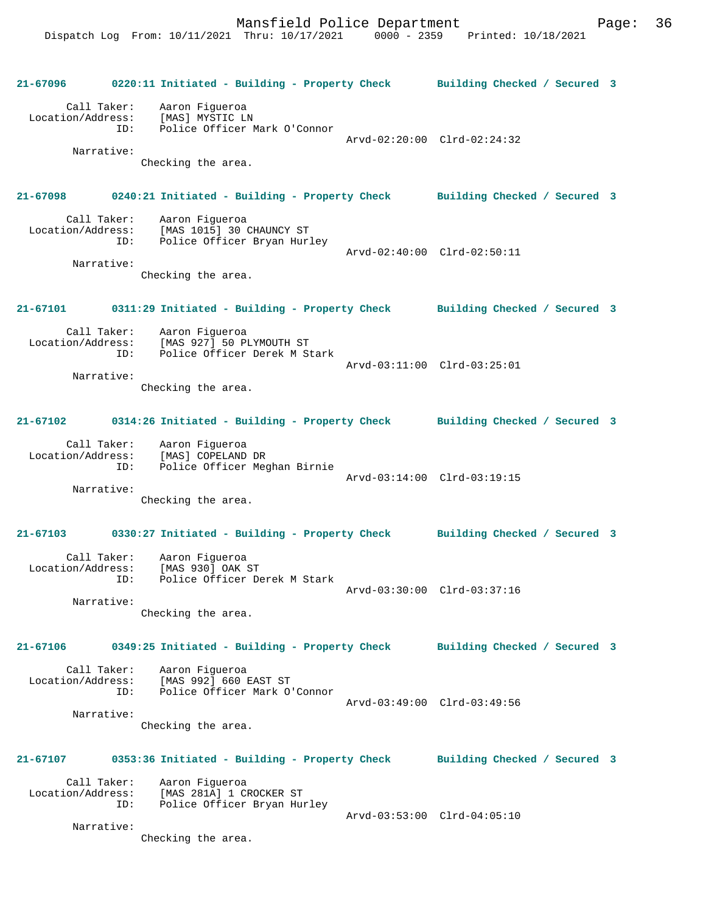| 21-67096                 | 0220:11 Initiated - Building - Property Check Building Checked / Secured 3                                     |                             |  |
|--------------------------|----------------------------------------------------------------------------------------------------------------|-----------------------------|--|
|                          | Call Taker: Aaron Figueroa<br>Location/Address: [MAS] MYSTIC LN<br>ID: Police Officer Mark O'Connor            | Arvd-02:20:00 Clrd-02:24:32 |  |
| Narrative:               | Checking the area.                                                                                             |                             |  |
|                          | 21-67098 0240:21 Initiated - Building - Property Check Building Checked / Secured 3                            |                             |  |
|                          | Call Taker: Aaron Figueroa<br>Location/Address: [MAS 1015] 30 CHAUNCY ST<br>Police Officer Bryan Hurley<br>ID: | Arvd-02:40:00 Clrd-02:50:11 |  |
| Narrative:               | Checking the area.                                                                                             |                             |  |
| 21-67101                 | 0311:29 Initiated - Building - Property Check Building Checked / Secured 3                                     |                             |  |
|                          | Call Taker: Aaron Figueroa<br>Location/Address: [MAS 927] 50 PLYMOUTH ST<br>ID: Police Officer Derek M Stark   | Arvd-03:11:00 Clrd-03:25:01 |  |
| Narrative:               | Checking the area.                                                                                             |                             |  |
| 21-67102                 | 0314:26 Initiated - Building - Property Check Building Checked / Secured 3                                     |                             |  |
| Location/Address:<br>ID: | Call Taker: Aaron Figueroa<br>[MAS] COPELAND DR<br>.<br>Police Officer Meghan Birnie                           | Arvd-03:14:00 Clrd-03:19:15 |  |
| Narrative:               | Checking the area.                                                                                             |                             |  |
|                          |                                                                                                                |                             |  |
| 21-67103                 | 0330:27 Initiated - Building - Property Check Building Checked / Secured 3<br>Call Taker: Aaron Figueroa       |                             |  |
| Location/Address:        | [MAS 930] OAK ST<br>ID: Police Officer Derek M Stark                                                           | Arvd-03:30:00 Clrd-03:37:16 |  |
| Narrative:               | Checking the area.                                                                                             |                             |  |
| 21-67106                 | 0349:25 Initiated - Building - Property Check Building Checked / Secured 3                                     |                             |  |
|                          | Call Taker: Aaron Figueroa<br>Location/Address: [MAS 992] 660 EAST ST<br>ID: Police Officer Mark O'Connor      | Arvd-03:49:00 Clrd-03:49:56 |  |
| Narrative:               | Checking the area.                                                                                             |                             |  |
| 21-67107                 | 0353:36 Initiated - Building - Property Check Building Checked / Secured 3                                     |                             |  |
| Location/Address:        | Call Taker: Aaron Figueroa<br>[MAS 281A] 1 CROCKER ST<br>ID:<br>Police Officer Bryan Hurley                    |                             |  |
| Narrative:               | Checking the area.                                                                                             | Arvd-03:53:00 Clrd-04:05:10 |  |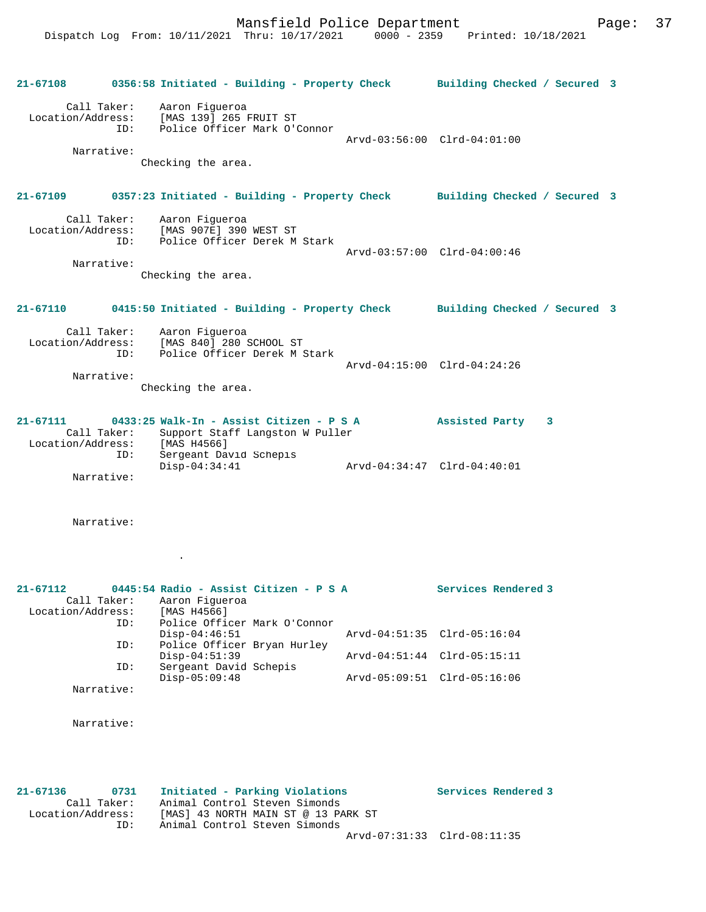Dispatch Log From: 10/11/2021 Thru: 10/17/2021 0000 - 2359 Printed: 10/18/2021 **21-67108 0356:58 Initiated - Building - Property Check Building Checked / Secured 3** Call Taker: Aaron Figueroa Location/Address: [MAS 139] 265 FRUIT ST Police Officer Mark O'Connor Arvd-03:56:00 Clrd-04:01:00 Narrative: Checking the area. **21-67109 0357:23 Initiated - Building - Property Check Building Checked / Secured 3** Call Taker: Aaron Figueroa<br>Location/Address: [MAS 907E] 390 ess: [MAS 907E] 390 WEST ST<br>ID: Police Officer Derek M Police Officer Derek M Stark Arvd-03:57:00 Clrd-04:00:46 Narrative: Checking the area. **21-67110 0415:50 Initiated - Building - Property Check Building Checked / Secured 3** Call Taker: Aaron Figueroa Location/Address: [MAS 840] 280 SCHOOL ST ID: Police Officer Derek M Stark Arvd-04:15:00 Clrd-04:24:26 Narrative: Checking the area. **21-67111 0433:25 Walk-In - Assist Citizen - P S A Assisted Party 3**  Call Taker: Support Staff Langston W Puller<br>ion/Address: [MAS H4566] Location/Address:<br>ID: Sergeant David Schepis<br>Disp-04:34:41 Disp-04:34:41 Arvd-04:34:47 Clrd-04:40:01 Narrative: Narrative: . **21-67112 0445:54 Radio - Assist Citizen - P S A Services Rendered 3**  Call Taker: Aaron Figueroa Location/Address: [MAS H4566] ID: Police Officer Mark O'Connor

Disp-04:46:51 Arvd-04:51:35 Clrd-05:16:04<br>ID: Police Officer Brvan Hurley Police Officer Bryan Hurley Disp-04:51:39 <br>D: Sergeant David Schepis <br>D: Sergeant David Schepis D1Sp-v<del>1: J1: J2</del><br>Sergeant David Schepis<br>Disp-05:09:48 Disp-05:09:48 Arvd-05:09:51 Clrd-05:16:06 Narrative:

Narrative:

**21-67136 0731 Initiated - Parking Violations Services Rendered 3**  Call Taker: Animal Control Steven Simonds Location/Address: [MAS] 43 NORTH MAIN ST @ 13 PARK ST ID: Animal Control Steven Simonds Arvd-07:31:33 Clrd-08:11:35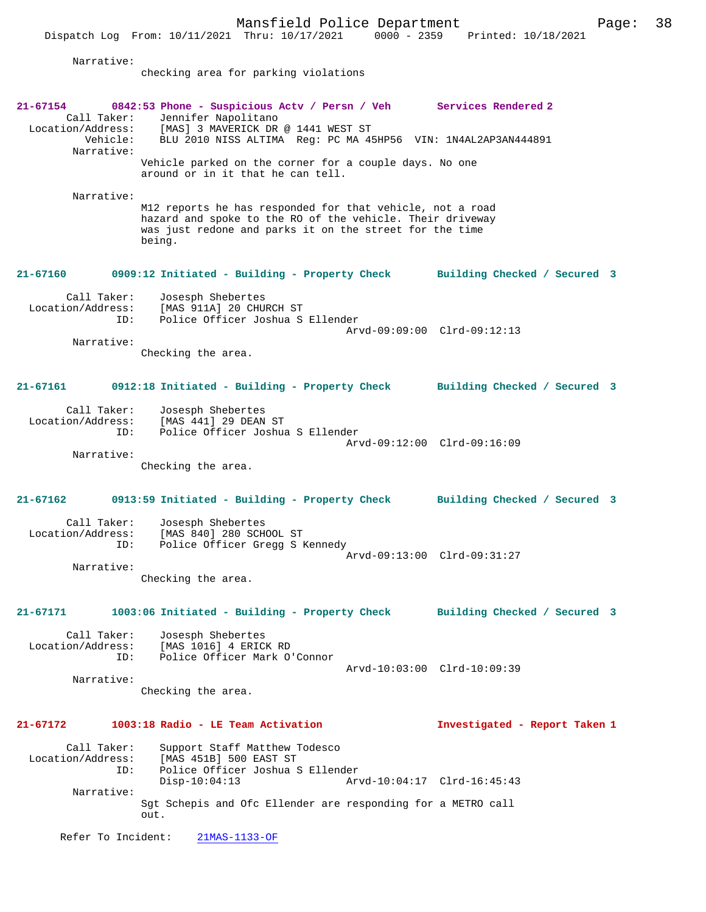Dispatch Log From: 10/11/2021 Thru: 10/17/2021

 Narrative: checking area for parking violations **21-67154 0842:53 Phone - Suspicious Actv / Persn / Veh Services Rendered 2**  Call Taker: Jennifer Napolitano<br>Location/Address: [MAS] 3 MAVERICK DR Address: [MAS] 3 MAVERICK DR @ 1441 WEST ST<br>Vehicle: BLU 2010 NISS ALTIMA Req: PC MA 4 Vehicle: BLU 2010 NISS ALTIMA Reg: PC MA 45HP56 VIN: 1N4AL2AP3AN444891 Narrative: Vehicle parked on the corner for a couple days. No one around or in it that he can tell. Narrative: M12 reports he has responded for that vehicle, not a road hazard and spoke to the RO of the vehicle. Their driveway was just redone and parks it on the street for the time being. **21-67160 0909:12 Initiated - Building - Property Check Building Checked / Secured 3** Call Taker: Josesph Shebertes Location/Address: [MAS 911A] 20 CHURCH ST ID: Police Officer Joshua S Ellender Arvd-09:09:00 Clrd-09:12:13 Narrative: Checking the area. **21-67161 0912:18 Initiated - Building - Property Check Building Checked / Secured 3** Call Taker: Josesph Shebertes Location/Address: [MAS 441] 29 DEAN ST Police Officer Joshua S Ellender Arvd-09:12:00 Clrd-09:16:09 Narrative: Checking the area. **21-67162 0913:59 Initiated - Building - Property Check Building Checked / Secured 3** Call Taker: Josesph Shebertes Location/Address: [MAS 840] 280 SCHOOL ST ID: Police Officer Gregg S Kennedy Arvd-09:13:00 Clrd-09:31:27 Narrative: Checking the area. **21-67171 1003:06 Initiated - Building - Property Check Building Checked / Secured 3** Call Taker: Josesph Shebertes Location/Address: [MAS 1016] 4 ERICK RD Police Officer Mark O'Connor Arvd-10:03:00 Clrd-10:09:39 Narrative: Checking the area. **21-67172 1003:18 Radio - LE Team Activation Investigated - Report Taken 1** Call Taker: Support Staff Matthew Todesco<br>Location/Address: [MAS 451B] 500 EAST ST Ess: [MAS 451B] 500 EAST ST<br>ID: Police Officer Joshua ID: Police Officer Joshua S Ellender Disp-10:04:13 Arvd-10:04:17 Clrd-16:45:43 Narrative: Sgt Schepis and Ofc Ellender are responding for a METRO call out. Refer To Incident: 21MAS-1133-OF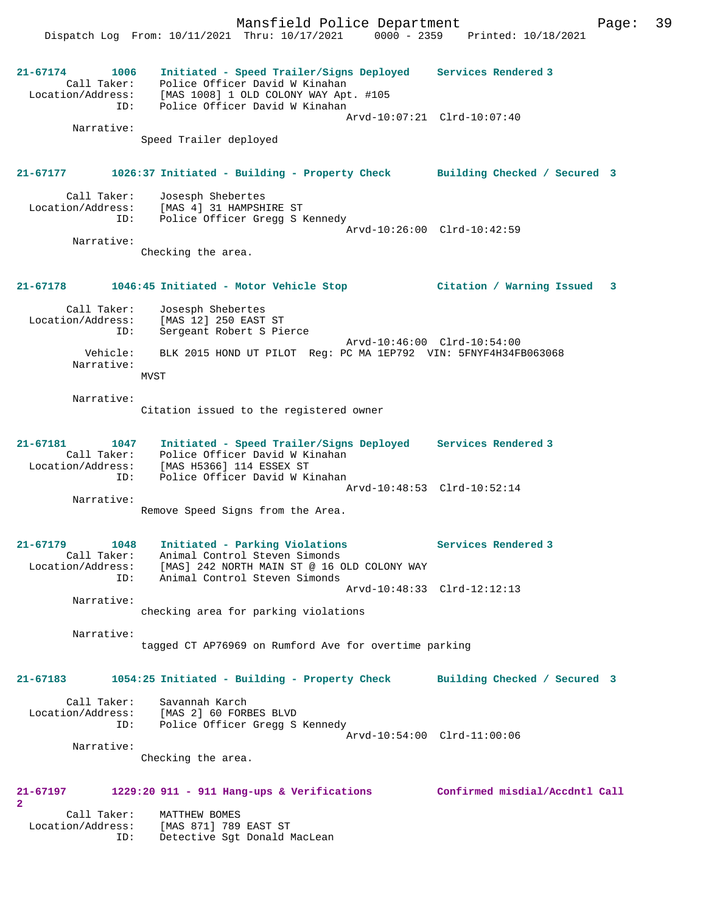Dispatch Log From: 10/11/2021 Thru: 10/17/2021 0000 - 2359 Printed: 10/18/2021 **21-67174 1006 Initiated - Speed Trailer/Signs Deployed Services Rendered 3**  Call Taker: Police Officer David W Kinahan Location/Address: [MAS 1008] 1 OLD COLONY WAY Apt. #105 ID: Police Officer David W Kinahan Arvd-10:07:21 Clrd-10:07:40 Narrative: Speed Trailer deployed **21-67177 1026:37 Initiated - Building - Property Check Building Checked / Secured 3** Call Taker: Josesph Shebertes<br>Location/Address: [MAS 4] 31 HAMPSH ess: [MAS 4] 31 HAMPSHIRE ST<br>ID: Police Officer Gregg S K Police Officer Gregg S Kennedy Arvd-10:26:00 Clrd-10:42:59 Narrative: Checking the area. **21-67178 1046:45 Initiated - Motor Vehicle Stop Citation / Warning Issued 3** Call Taker: Josesph Shebertes Location/Address: [MAS 12] 250 EAST ST ID: Sergeant Robert S Pierce Arvd-10:46:00 Clrd-10:54:00 Vehicle: BLK 2015 HOND UT PILOT Reg: PC MA 1EP792 VIN: 5FNYF4H34FB063068 Narrative: MVST Narrative: Citation issued to the registered owner **21-67181 1047 Initiated - Speed Trailer/Signs Deployed Services Rendered 3**  Call Taker: Police Officer David W Kinahan Location/Address: [MAS H5366] 114 ESSEX ST ID: Police Officer David W Kinahan Arvd-10:48:53 Clrd-10:52:14 Narrative: Remove Speed Signs from the Area. **21-67179 1048 Initiated - Parking Violations Services Rendered 3**  Call Taker: Animal Control Steven Simonds Location/Address: [MAS] 242 NORTH MAIN ST @ 16 OLD COLONY WAY ID: Animal Control Steven Simonds Arvd-10:48:33 Clrd-12:12:13 Narrative: checking area for parking violations Narrative: tagged CT AP76969 on Rumford Ave for overtime parking **21-67183 1054:25 Initiated - Building - Property Check Building Checked / Secured 3** Call Taker: Savannah Karch Location/Address: [MAS 2] 60 FORBES BLVD ID: Police Officer Gregg S Kennedy Arvd-10:54:00 Clrd-11:00:06 Narrative: Checking the area. **21-67197 1229:20 911 - 911 Hang-ups & Verifications Confirmed misdial/Accdntl Call 2**  Call Taker: MATTHEW BOMES Location/Address: [MAS 871] 789 EAST ST

ID: Detective Sgt Donald MacLean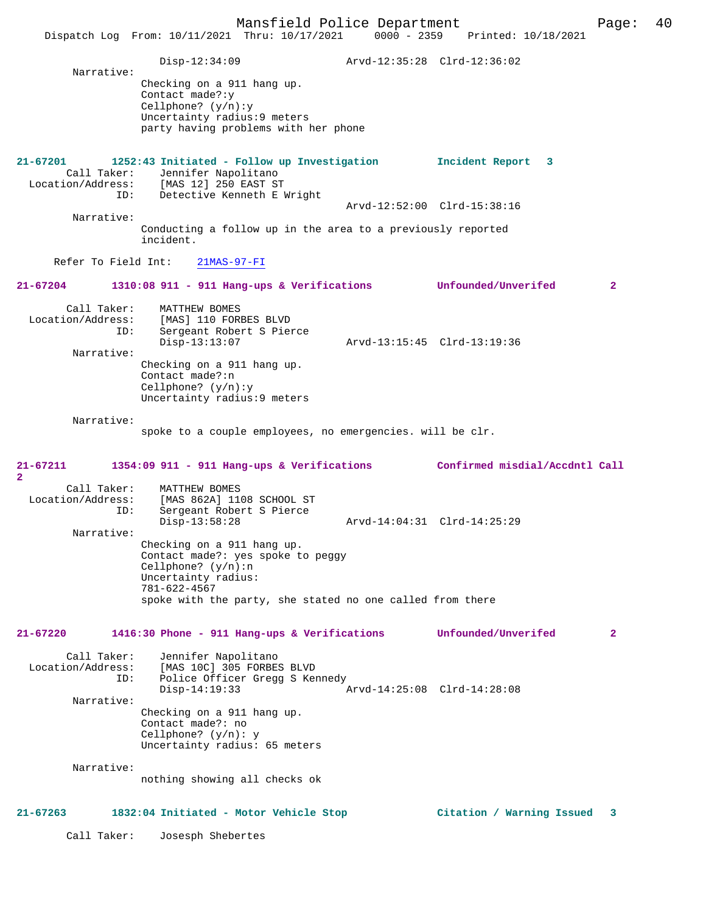|                                                                       | Mansfield Police Department<br>Dispatch Log From: 10/11/2021 Thru: 10/17/2021 0000 - 2359 Printed: 10/18/2021                                                                                            |                                                    | Page:        | 40 |
|-----------------------------------------------------------------------|----------------------------------------------------------------------------------------------------------------------------------------------------------------------------------------------------------|----------------------------------------------------|--------------|----|
| Narrative:                                                            | $Disp-12:34:09$<br>Checking on a 911 hang up.<br>Contact made?: $y$<br>Cellphone? $(y/n):y$<br>Uncertainty radius: 9 meters<br>party having problems with her phone                                      |                                                    |              |    |
| $21 - 67201$<br>ID:                                                   | 1252:43 Initiated - Follow up Investigation<br>Call Taker: Jennifer Napolitano<br>Location/Address: [MAS 12] 250 EAST ST<br>Detective Kenneth E Wright                                                   | Incident Report 3                                  |              |    |
|                                                                       |                                                                                                                                                                                                          | Arvd-12:52:00 Clrd-15:38:16                        |              |    |
| Narrative:                                                            | Conducting a follow up in the area to a previously reported<br>incident.                                                                                                                                 |                                                    |              |    |
| Refer To Field Int:                                                   | $21MAS-97-FI$                                                                                                                                                                                            |                                                    |              |    |
| 21-67204                                                              | $1310:08$ 911 - 911 Hang-ups & Verifications                                                                                                                                                             | Unfounded/Unverifed                                | $\mathbf{2}$ |    |
| Call Taker:<br>ID:<br>Narrative:                                      | MATTHEW BOMES<br>Location/Address: [MAS] 110 FORBES BLVD<br>Sergeant Robert S Pierce<br>$Disp-13:13:07$<br>Checking on a 911 hang up.<br>Contact made?:n<br>Cellphone? $(y/n):y$                         | Arvd-13:15:45 Clrd-13:19:36                        |              |    |
| Narrative:                                                            | Uncertainty radius: 9 meters<br>spoke to a couple employees, no emergencies. will be clr.                                                                                                                |                                                    |              |    |
| 21-67211                                                              | 1354:09 911 - 911 Hang-ups & Verifications Confirmed misdial/Accdntl Call                                                                                                                                |                                                    |              |    |
| $\mathbf{2}$<br>Call Taker:<br>Location/Address:<br>ID:               | MATTHEW BOMES<br>[MAS 862A] 1108 SCHOOL ST<br>Sergeant Robert S Pierce<br>$Disp-13:58:28$                                                                                                                | Arvd-14:04:31 Clrd-14:25:29                        |              |    |
| Narrative:                                                            | Checking on a 911 hang up.<br>Contact made?: yes spoke to peggy<br>Cellphone? $(y/n):n$<br>Uncertainty radius:<br>$781 - 622 - 4567$<br>spoke with the party, she stated no one called from there        |                                                    |              |    |
|                                                                       |                                                                                                                                                                                                          |                                                    |              |    |
| $21 - 67220$<br>Call Taker:<br>Location/Address:<br>ID:<br>Narrative: | 1416:30 Phone - 911 Hang-ups & Verifications<br>Jennifer Napolitano<br>[MAS 10C] 305 FORBES BLVD<br>Police Officer Gregg S Kennedy<br>$Disp-14:19:33$<br>Checking on a 911 hang up.<br>Contact made?: no | Unfounded/Unverifed<br>Arvd-14:25:08 Clrd-14:28:08 | $\mathbf{2}$ |    |
| Narrative:                                                            | Cellphone? $(y/n): y$<br>Uncertainty radius: 65 meters<br>nothing showing all checks ok                                                                                                                  |                                                    |              |    |
|                                                                       |                                                                                                                                                                                                          |                                                    |              |    |
| $21 - 67263$                                                          | 1832:04 Initiated - Motor Vehicle Stop                                                                                                                                                                   | Citation / Warning Issued                          | 3            |    |
| Call Taker:                                                           | Josesph Shebertes                                                                                                                                                                                        |                                                    |              |    |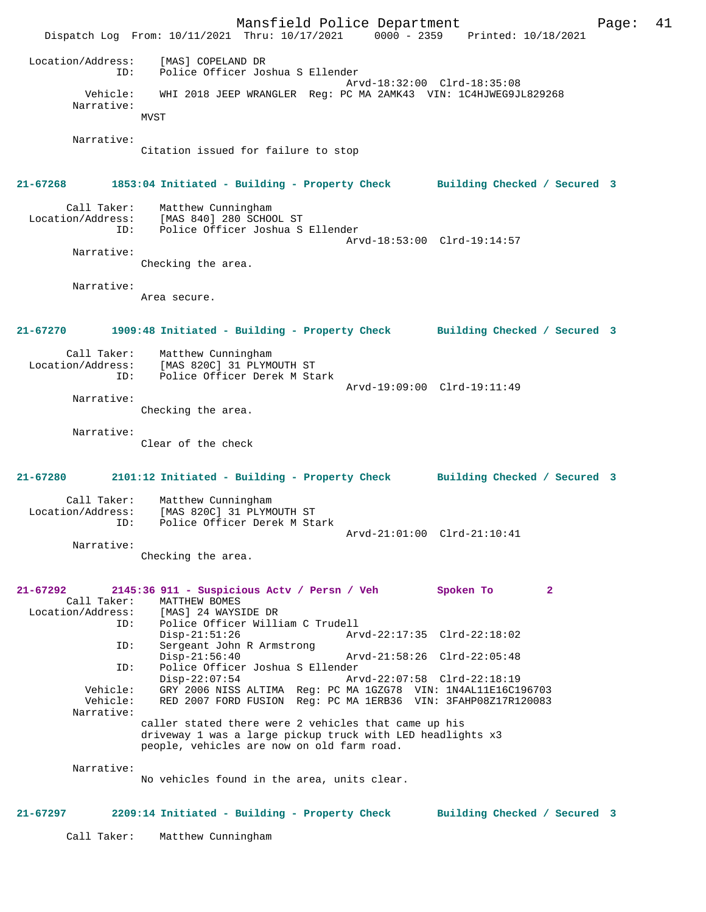Mansfield Police Department Page: 41 Dispatch Log From: 10/11/2021 Thru: 10/17/2021 0000 - 2359 Printed: 10/18/2021 Location/Address: [MAS] COPELAND DR ID: Police Officer Joshua S Ellender Arvd-18:32:00 Clrd-18:35:08 Vehicle: WHI 2018 JEEP WRANGLER Reg: PC MA 2AMK43 VIN: 1C4HJWEG9JL829268 Narrative: MVST Narrative: Citation issued for failure to stop **21-67268 1853:04 Initiated - Building - Property Check Building Checked / Secured 3** Call Taker: Matthew Cunningham Location/Address: [MAS 840] 280 SCHOOL ST ID: Police Officer Joshua S Ellender Arvd-18:53:00 Clrd-19:14:57 Narrative: Checking the area. Narrative: Area secure. **21-67270 1909:48 Initiated - Building - Property Check Building Checked / Secured 3** Call Taker: Matthew Cunningham Location/Address: [MAS 820C] 31 PLYMOUTH ST ID: Police Officer Derek M Stark Arvd-19:09:00 Clrd-19:11:49 Narrative: Checking the area. Narrative: Clear of the check **21-67280 2101:12 Initiated - Building - Property Check Building Checked / Secured 3** Call Taker: Matthew Cunningham Location/Address: [MAS 820C] 31 PLYMOUTH ST<br>ID: Police Officer Derek M Sta Police Officer Derek M Stark Arvd-21:01:00 Clrd-21:10:41 Narrative: Checking the area. **21-67292 2145:36 911 - Suspicious Actv / Persn / Veh Spoken To 2**  Call Taker: MATTHEW BOMES<br>Location/Address: [MAS] 24 WAYS [MAS] 24 WAYSIDE DR ID: Police Officer William C Trudell Disp-21:51:26 Arvd-22:17:35 Clrd-22:18:02<br>ID: Sergeant John R Armstrong Sergeant John R Armstrong<br>Disp-21:56:40 Disp-21:56:40 Arvd-21:58:26 Clrd-22:05:48<br>ID: Police Officer Joshua S Ellender ID: Police Officer Joshua S Ellender Disp-22:07:54 Arvd-22:07:58 Clrd-22:18:19 Vehicle: GRY 2006 NISS ALTIMA Reg: PC MA 1GZG78 VIN: 1N4AL11E16C196703 Vehicle: RED 2007 FORD FUSION Reg: PC MA 1ERB36 VIN: 3FAHP08Z17R120083 Narrative: caller stated there were 2 vehicles that came up his driveway 1 was a large pickup truck with LED headlights x3 people, vehicles are now on old farm road. Narrative: No vehicles found in the area, units clear. **21-67297 2209:14 Initiated - Building - Property Check Building Checked / Secured 3** Call Taker: Matthew Cunningham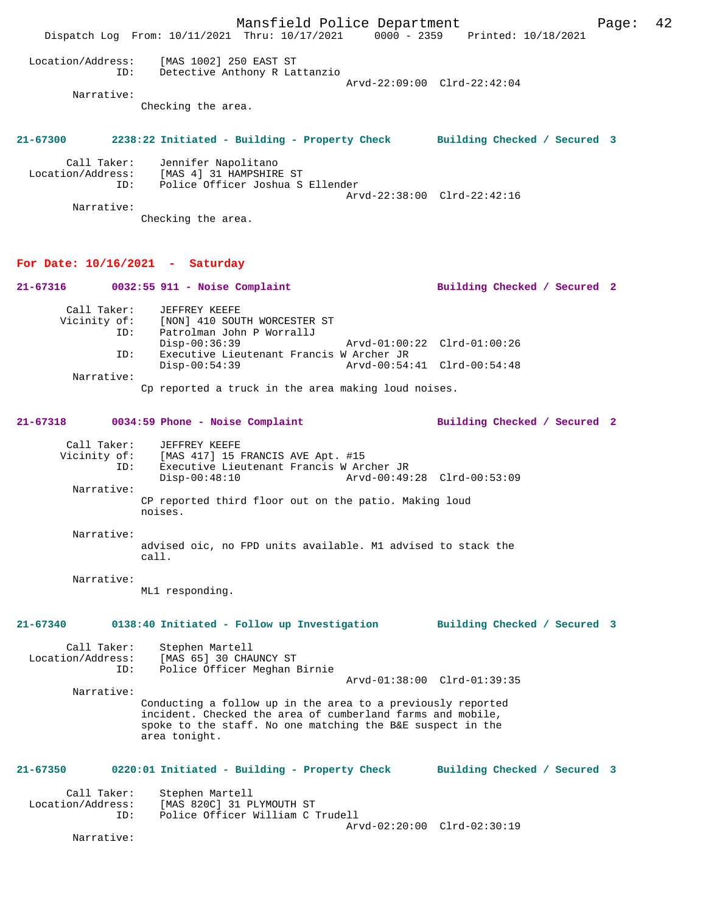Mansfield Police Department Page: 42 Dispatch Log From: 10/11/2021 Thru: 10/17/2021 0000 - 2359 Printed: 10/18/2021 Location/Address: [MAS 1002] 250 EAST ST ID: Detective Anthony R Lattanzio Arvd-22:09:00 Clrd-22:42:04 Narrative: Checking the area. **21-67300 2238:22 Initiated - Building - Property Check Building Checked / Secured 3** Call Taker: Jennifer Napolitano<br>Location/Address: [MAS 4] 31 HAMPSHIRI ess: [MAS 4] 31 HAMPSHIRE ST<br>ID: Police Officer Joshua S Police Officer Joshua S Ellender Arvd-22:38:00 Clrd-22:42:16 Narrative: Checking the area. **For Date: 10/16/2021 - Saturday 21-67316 0032:55 911 - Noise Complaint Building Checked / Secured 2** Call Taker: JEFFREY KEEFE<br>Vicinity of: [NON] 410 SOU [NON] 410 SOUTH WORCESTER ST ID: Patrolman John P WorrallJ Disp-00:36:39 Arvd-01:00:22 Clrd-01:00:26<br>TD: Executive Lieutepant Erancis W Archer JP Executive Lieutenant Francis W Archer JR<br>Disp-00:54:39 Arvd-00:54: Disp-00:54:39 Arvd-00:54:41 Clrd-00:54:48 Narrative: Cp reported a truck in the area making loud noises. **21-67318 0034:59 Phone - Noise Complaint Building Checked / Secured 2** Call Taker: JEFFREY KEEFE<br>Vicinity of: [MAS 417] 15 B of: [MAS 417] 15 FRANCIS AVE Apt. #15<br>ID: Executive Lieutenant Francis W Are ID: Executive Lieutenant Francis W Archer JR Disp-00:48:10 Arvd-00:49:28 Clrd-00:53:09 Narrative: CP reported third floor out on the patio. Making loud noises. Narrative: advised oic, no FPD units available. M1 advised to stack the call. Narrative: ML1 responding. **21-67340 0138:40 Initiated - Follow up Investigation Building Checked / Secured 3** Call Taker: Stephen Martell<br>Location/Address: [MAS 65] 30 CHA ess: [MAS 65] 30 CHAUNCY ST<br>ID: Police Officer Meghan ] Police Officer Meghan Birnie Arvd-01:38:00 Clrd-01:39:35 Narrative: Conducting a follow up in the area to a previously reported incident. Checked the area of cumberland farms and mobile, spoke to the staff. No one matching the B&E suspect in the area tonight. **21-67350 0220:01 Initiated - Building - Property Check Building Checked / Secured 3** Call Taker: Stephen Martell<br>Location/Address: [MAS 820C] 31 P ess: [MAS 820C] 31 PLYMOUTH ST<br>ID: Police Officer William C . Police Officer William C Trudell Arvd-02:20:00 Clrd-02:30:19 Narrative: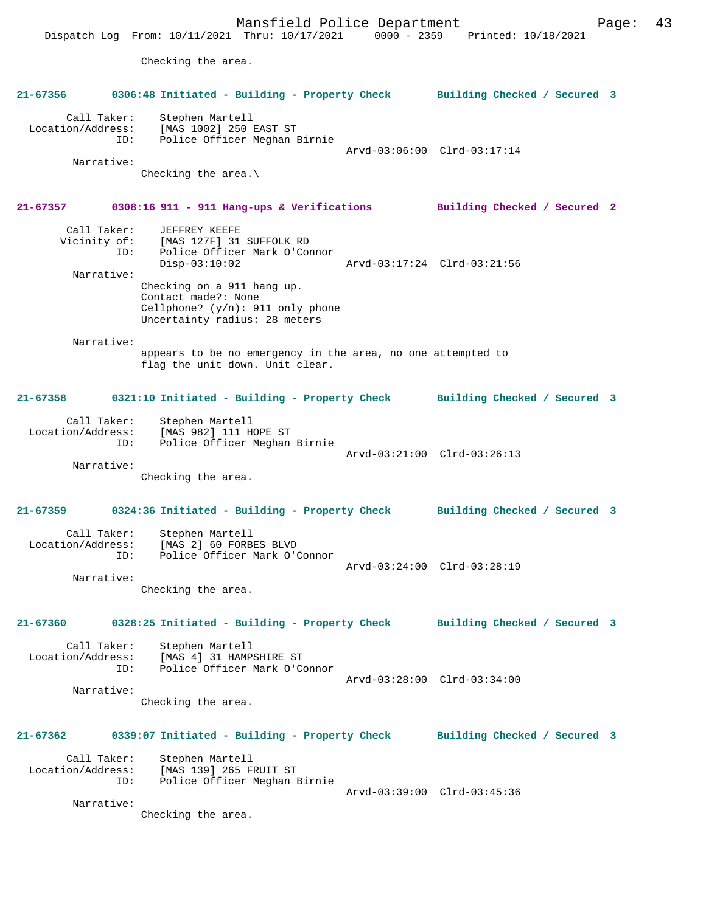Mansfield Police Department Fage: 43 Dispatch Log From: 10/11/2021 Thru: 10/17/2021 0000 - 2359 Printed: 10/18/2021 Checking the area. **21-67356 0306:48 Initiated - Building - Property Check Building Checked / Secured 3** Call Taker: Stephen Martell Location/Address: [MAS 1002] 250 EAST ST<br>TD: Police Officer Meghan I Police Officer Meghan Birnie Arvd-03:06:00 Clrd-03:17:14 Narrative: Checking the area.\ **21-67357 0308:16 911 - 911 Hang-ups & Verifications Building Checked / Secured 2** Call Taker: JEFFREY KEEFE<br>Vicinity of: [MAS 127F] 31 [MAS 127F] 31 SUFFOLK RD ID: Police Officer Mark O'Connor Disp-03:10:02 Arvd-03:17:24 Clrd-03:21:56 Narrative: Checking on a 911 hang up. Contact made?: None Cellphone? (y/n): 911 only phone Uncertainty radius: 28 meters Narrative: appears to be no emergency in the area, no one attempted to flag the unit down. Unit clear. **21-67358 0321:10 Initiated - Building - Property Check Building Checked / Secured 3** Call Taker: Stephen Martell<br>Location/Address: [MAS 982] 111 H Location/Address: [MAS 982] 111 HOPE ST ID: Police Officer Meghan Birnie Arvd-03:21:00 Clrd-03:26:13 Narrative: Checking the area. **21-67359 0324:36 Initiated - Building - Property Check Building Checked / Secured 3** Call Taker: Stephen Martell Location/Address: [MAS 2] 60 FORBES BLVD ID: Police Officer Mark O'Connor Arvd-03:24:00 Clrd-03:28:19 Narrative: Checking the area. **21-67360 0328:25 Initiated - Building - Property Check Building Checked / Secured 3** Call Taker: Stephen Martell<br>Location/Address: [MAS 4] 31 HAMP ess: [MAS 4] 31 HAMPSHIRE ST<br>ID: Police Officer Mark O'Co Police Officer Mark O'Connor Arvd-03:28:00 Clrd-03:34:00 Narrative: Checking the area. **21-67362 0339:07 Initiated - Building - Property Check Building Checked / Secured 3** Call Taker: Stephen Martell Location/Address: [MAS 139] 265 FRUIT ST ID: Police Officer Meghan Birnie Arvd-03:39:00 Clrd-03:45:36 Narrative: Checking the area.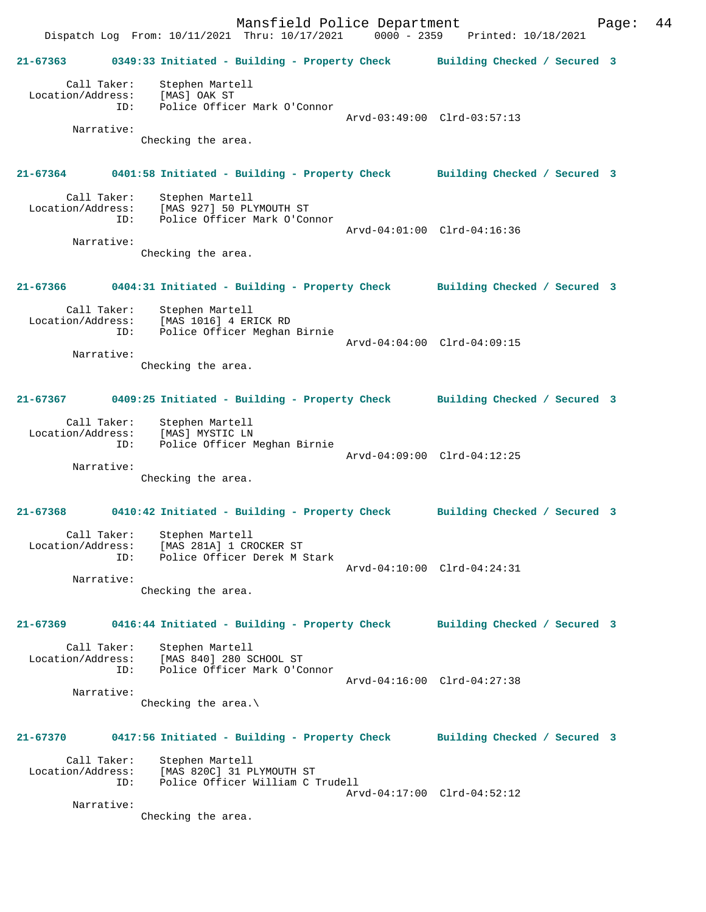Mansfield Police Department Form Page: 44 Dispatch Log From: 10/11/2021 Thru: 10/17/2021 0000 - 2359 Printed: 10/18/2021 **21-67363 0349:33 Initiated - Building - Property Check Building Checked / Secured 3** Call Taker: Stephen Martell Location/Address: [MAS] OAK ST ID: Police Officer Mark O'Connor Arvd-03:49:00 Clrd-03:57:13 Narrative: Checking the area. **21-67364 0401:58 Initiated - Building - Property Check Building Checked / Secured 3** Call Taker: Stephen Martell Location/Address: [MAS 927] 50 PLYMOUTH ST<br>TD: Police Officer Mark O'Con Police Officer Mark O'Connor Arvd-04:01:00 Clrd-04:16:36 Narrative: Checking the area. **21-67366 0404:31 Initiated - Building - Property Check Building Checked / Secured 3** Call Taker: Stephen Martell Location/Address: [MAS 1016] 4 ERICK RD ID: Police Officer Meghan Birnie Arvd-04:04:00 Clrd-04:09:15 Narrative: Checking the area. **21-67367 0409:25 Initiated - Building - Property Check Building Checked / Secured 3** Call Taker: Stephen Martell Location/Address: [MAS] MYSTIC LN ID: Police Officer Meghan Birnie Arvd-04:09:00 Clrd-04:12:25 Narrative: Checking the area. **21-67368 0410:42 Initiated - Building - Property Check Building Checked / Secured 3** Call Taker: Stephen Martell Location/Address: [MAS 281A] 1 CROCKER ST ID: Police Officer Derek M Stark Arvd-04:10:00 Clrd-04:24:31 Narrative: Checking the area. **21-67369 0416:44 Initiated - Building - Property Check Building Checked / Secured 3** Call Taker: Stephen Martell Location/Address: [MAS 840] 280 SCHOOL ST Police Officer Mark O'Connor Arvd-04:16:00 Clrd-04:27:38 Narrative: Checking the area.\ **21-67370 0417:56 Initiated - Building - Property Check Building Checked / Secured 3** Call Taker: Stephen Martell Location/Address: [MAS 820C] 31 PLYMOUTH ST ess. I'm own, it is not the contract of the police Officer William C Trudell Arvd-04:17:00 Clrd-04:52:12 Narrative: Checking the area.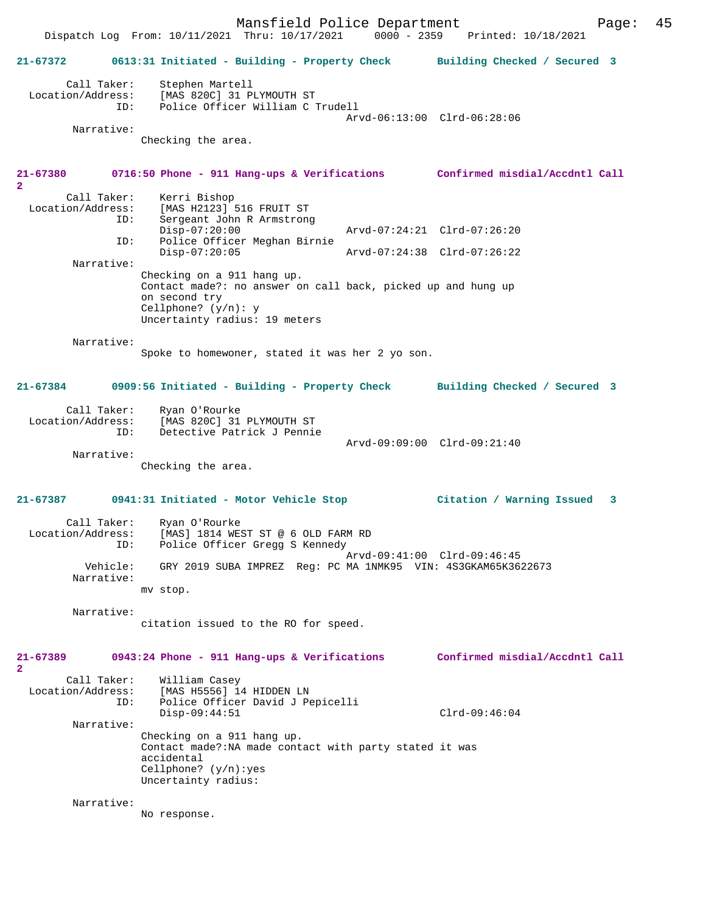Mansfield Police Department Page: 45 Dispatch Log From: 10/11/2021 Thru: 10/17/2021 **21-67372 0613:31 Initiated - Building - Property Check Building Checked / Secured 3** Call Taker: Stephen Martell<br>Location/Address: [MAS 820C] 31 P [MAS 820C] 31 PLYMOUTH ST ID: Police Officer William C Trudell Arvd-06:13:00 Clrd-06:28:06 Narrative: Checking the area. **21-67380 0716:50 Phone - 911 Hang-ups & Verifications Confirmed misdial/Accdntl Call 2**  Call Taker: Kerri Bishop<br>Location/Address: [MAS H2123] ess: [MAS H2123] 516 FRUIT ST<br>ID: Sergeant John R Armstrong Sergeant John R Armstrong<br>Disp-07:20:00 Disp-07:20:00 Arvd-07:24:21 Clrd-07:26:20 ID: Police Officer Meghan Birnie Disp-07:20:05 Arvd-07:24:38 Clrd-07:26:22 Narrative: Checking on a 911 hang up. Contact made?: no answer on call back, picked up and hung up on second try Cellphone? (y/n): y Uncertainty radius: 19 meters Narrative: Spoke to homewoner, stated it was her 2 yo son. **21-67384 0909:56 Initiated - Building - Property Check Building Checked / Secured 3** Call Taker: Ryan O'Rourke Location/Address: [MAS 820C] 31 PLYMOUTH ST Detective Patrick J Pennie Arvd-09:09:00 Clrd-09:21:40 Narrative: Checking the area. **21-67387 0941:31 Initiated - Motor Vehicle Stop Citation / Warning Issued 3** Call Taker: Ryan O'Rourke<br>Location/Address: [MAS] 1814 WES [MAS] 1814 WEST ST @ 6 OLD FARM RD ID: Police Officer Gregg S Kennedy Arvd-09:41:00 Clrd-09:46:45 Vehicle: GRY 2019 SUBA IMPREZ Reg: PC MA 1NMK95 VIN: 4S3GKAM65K3622673 Narrative: mv stop. Narrative: citation issued to the RO for speed. **21-67389 0943:24 Phone - 911 Hang-ups & Verifications Confirmed misdial/Accdntl Call 2**  Call Taker: William Casey<br>Location/Address: [MAS H5556] 1 ess: [MAS H5556] 14 HIDDEN LN<br>TD: Police Officer David J Pe Police Officer David J Pepicelli Disp-09:44:51 Clrd-09:46:04 Narrative: Checking on a 911 hang up. Contact made?:NA made contact with party stated it was accidental Cellphone? (y/n):yes Uncertainty radius: Narrative: No response.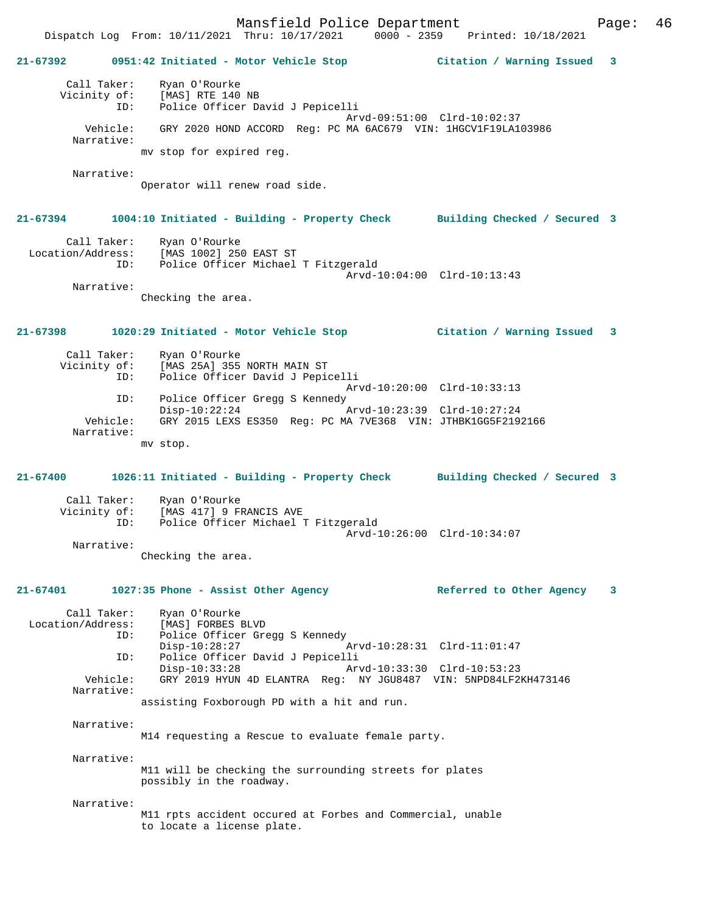Dispatch Log From: 10/11/2021 Thru: 10/17/2021 0000 - 2359 Printed: 10/18/2021 **21-67392 0951:42 Initiated - Motor Vehicle Stop Citation / Warning Issued 3** Call Taker: Ryan O'Rourke Vicinity of: [MAS] RTE 140 NB ID: Police Officer David J Pepicelli Arvd-09:51:00 Clrd-10:02:37 Vehicle: GRY 2020 HOND ACCORD Reg: PC MA 6AC679 VIN: 1HGCV1F19LA103986 Narrative: mv stop for expired reg. Narrative: Operator will renew road side. **21-67394 1004:10 Initiated - Building - Property Check Building Checked / Secured 3** Call Taker: Ryan O'Rourke Location/Address: [MAS 1002] 250 EAST ST ID: Police Officer Michael T Fitzgerald Arvd-10:04:00 Clrd-10:13:43 Narrative: Checking the area. **21-67398 1020:29 Initiated - Motor Vehicle Stop Citation / Warning Issued 3** Call Taker: Ryan O'Rourke Vicinity of: [MAS 25A] 355 NORTH MAIN ST<br>ID: Police Officer David J Pepic Police Officer David J Pepicelli Arvd-10:20:00 Clrd-10:33:13 ID: Police Officer Gregg S Kennedy<br>Disp-10:22:24 Disp-10:22:24 Arvd-10:23:39 Clrd-10:27:24 Vehicle: GRY 2015 LEXS ES350 Reg: PC MA 7VE368 VIN: JTHBK1GG5F2192166 Narrative: mv stop. **21-67400 1026:11 Initiated - Building - Property Check Building Checked / Secured 3**

Call Taker: Ryan O'Rourke Vicinity of: [MAS 417] 9 FRANCIS AVE<br>ID: [Dolice Officer Michael I Police Officer Michael T Fitzgerald Arvd-10:26:00 Clrd-10:34:07 Narrative:

Checking the area.

**21-67401 1027:35 Phone - Assist Other Agency Referred to Other Agency 3**

 Call Taker: Ryan O'Rourke Location/Address: [MAS] FORBES BLVD ID: Police Officer Gregg S Kennedy Disp-10:28:27 Arvd-10:28:31 Clrd-11:01:47 ID: Police Officer David J Pepicelli Disp-10:33:28 Arvd-10:33:30 Clrd-10:53:23 Vehicle: GRY 2019 HYUN 4D ELANTRA Reg: NY JGU8487 VIN: 5NPD84LF2KH473146 Narrative: assisting Foxborough PD with a hit and run.

Narrative:

M14 requesting a Rescue to evaluate female party.

Narrative:

M11 will be checking the surrounding streets for plates possibly in the roadway.

Narrative:

M11 rpts accident occured at Forbes and Commercial, unable to locate a license plate.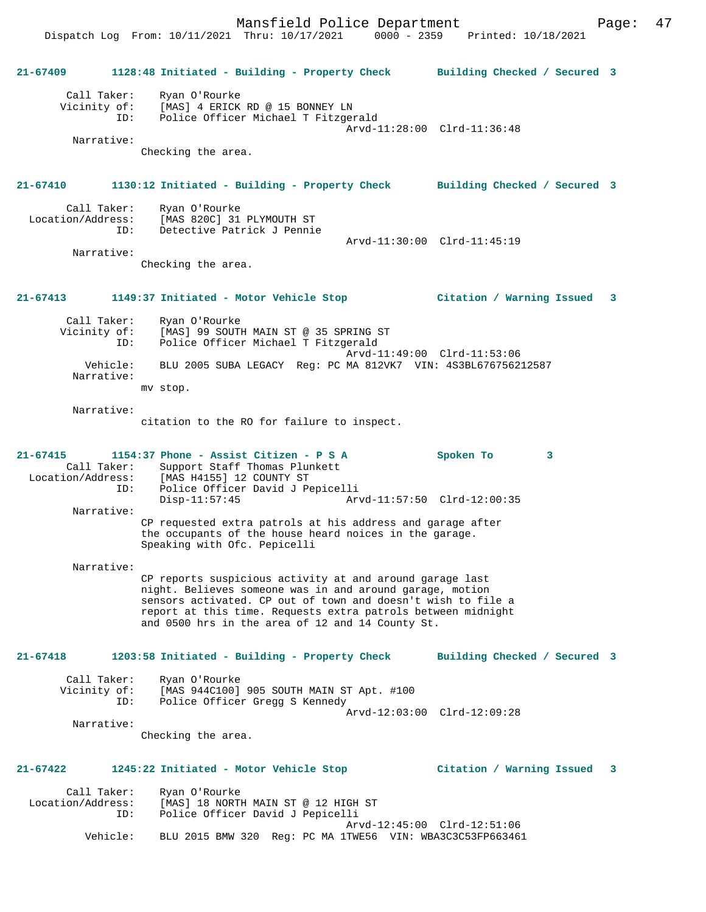**21-67409 1128:48 Initiated - Building - Property Check Building Checked / Secured 3** Call Taker: Ryan O'Rourke Vicinity of: [MAS] 4 ERICK RD @ 15 BONNEY LN ID: Police Officer Michael T Fitzgerald Arvd-11:28:00 Clrd-11:36:48 Narrative: Checking the area. **21-67410 1130:12 Initiated - Building - Property Check Building Checked / Secured 3** Call Taker: Ryan O'Rourke Location/Address: [MAS 820C] 31 PLYMOUTH ST ID: Detective Patrick J Pennie Arvd-11:30:00 Clrd-11:45:19 Narrative: Checking the area. **21-67413 1149:37 Initiated - Motor Vehicle Stop Citation / Warning Issued 3** Call Taker: Ryan O'Rourke Vicinity of: [MAS] 99 SOUTH MAIN ST @ 35 SPRING ST ID: Police Officer Michael T Fitzgerald Arvd-11:49:00 Clrd-11:53:06 Vehicle: BLU 2005 SUBA LEGACY Reg: PC MA 812VK7 VIN: 4S3BL676756212587 Narrative: mv stop. Narrative: citation to the RO for failure to inspect. **21-67415 1154:37 Phone - Assist Citizen - P S A Spoken To 3**  Call Taker: Support Staff Thomas Plunkett Location/Address: [MAS H4155] 12 COUNTY ST ID: Police Officer David J Pepicelli Arvd-11:57:50 Clrd-12:00:35 Narrative: CP requested extra patrols at his address and garage after the occupants of the house heard noices in the garage. Speaking with Ofc. Pepicelli Narrative: CP reports suspicious activity at and around garage last night. Believes someone was in and around garage, motion sensors activated. CP out of town and doesn't wish to file a report at this time. Requests extra patrols between midnight and 0500 hrs in the area of 12 and 14 County St. **21-67418 1203:58 Initiated - Building - Property Check Building Checked / Secured 3** Call Taker: Ryan O'Rourke Vicinity of: [MAS 944C100] 905 SOUTH MAIN ST Apt. #100 ID: Police Officer Gregg S Kennedy Arvd-12:03:00 Clrd-12:09:28 Narrative: Checking the area. **21-67422 1245:22 Initiated - Motor Vehicle Stop Citation / Warning Issued 3** Call Taker: Ryan O'Rourke<br>Location/Address: [MAS] 18 NORTH ess: [MAS] 18 NORTH MAIN ST @ 12 HIGH ST<br>ID: Police Officer David J Pepicelli Police Officer David J Pepicelli Arvd-12:45:00 Clrd-12:51:06 Vehicle: BLU 2015 BMW 320 Reg: PC MA 1TWE56 VIN: WBA3C3C53FP663461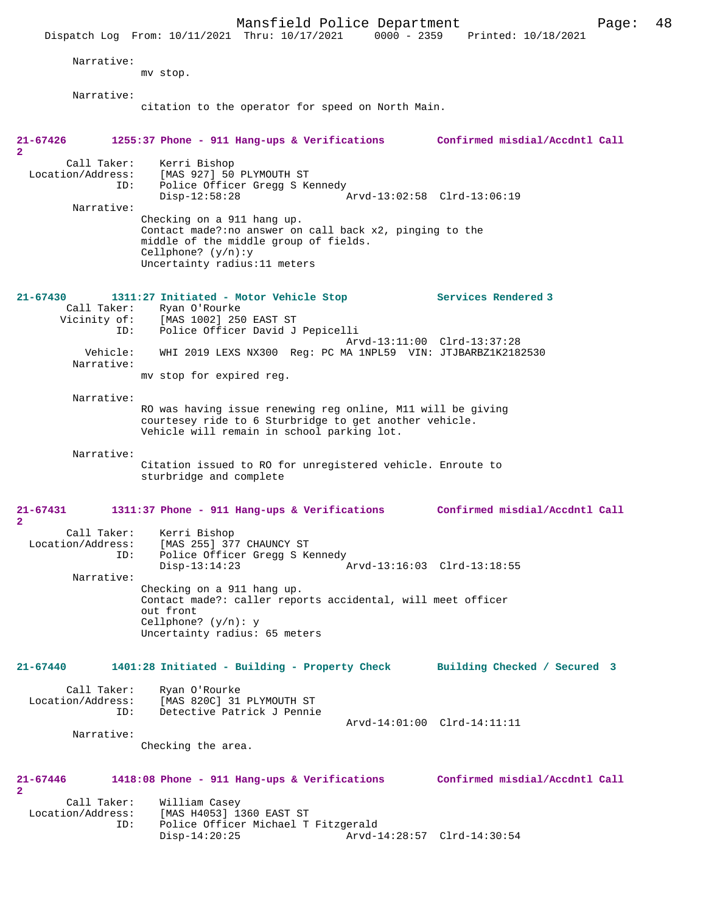|                                                       | Mansfield Police Department<br>Dispatch Log From: 10/11/2021 Thru: 10/17/2021                                                                                                            | Page:<br>0000 - 2359 Printed: 10/18/2021 | 48 |
|-------------------------------------------------------|------------------------------------------------------------------------------------------------------------------------------------------------------------------------------------------|------------------------------------------|----|
| Narrative:                                            | mv stop.                                                                                                                                                                                 |                                          |    |
| Narrative:                                            | citation to the operator for speed on North Main.                                                                                                                                        |                                          |    |
| 21-67426                                              | 1255:37 Phone - 911 Hang-ups & Verifications Confirmed misdial/Accdntl Call                                                                                                              |                                          |    |
| 2                                                     |                                                                                                                                                                                          |                                          |    |
| Call Taker:<br>Location/Address:<br>ID:<br>Narrative: | Kerri Bishop<br>[MAS 927] 50 PLYMOUTH ST<br>Police Officer Gregg S Kennedy<br>$Disp-12:58:28$                                                                                            | Arvd-13:02:58 Clrd-13:06:19              |    |
|                                                       | Checking on a 911 hang up.<br>Contact made?: no answer on call back x2, pinging to the<br>middle of the middle group of fields.<br>Cellphone? $(y/n):y$<br>Uncertainty radius: 11 meters |                                          |    |
| $21 - 67430$                                          | 1311:27 Initiated - Motor Vehicle Stop                                                                                                                                                   | Services Rendered 3                      |    |
| Call Taker:<br>ID:                                    | Ryan O'Rourke<br>Vicinity of: [MAS 1002] 250 EAST ST<br>Police Officer David J Pepicelli                                                                                                 |                                          |    |
| Vehicle:<br>Narrative:                                | WHI 2019 LEXS NX300 Req: PC MA 1NPL59 VIN: JTJBARBZ1K2182530                                                                                                                             | Arvd-13:11:00 Clrd-13:37:28              |    |
|                                                       | mv stop for expired reg.                                                                                                                                                                 |                                          |    |
| Narrative:                                            | RO was having issue renewing reg online, M11 will be giving<br>courtesey ride to 6 Sturbridge to get another vehicle.<br>Vehicle will remain in school parking lot.                      |                                          |    |
| Narrative:                                            | Citation issued to RO for unregistered vehicle. Enroute to<br>sturbridge and complete                                                                                                    |                                          |    |
| 21-67431<br>$\overline{\mathbf{2}}$                   | 1311:37 Phone - 911 Hang-ups & Verifications                                                                                                                                             | Confirmed misdial/Accdntl Call           |    |
| Location/Address:<br>ID:                              | Call Taker: Kerri Bishop<br>[MAS 255] 377 CHAUNCY ST<br>Police Officer Gregg S Kennedy<br>$Disp-13:14:23$                                                                                | Arvd-13:16:03 Clrd-13:18:55              |    |
| Narrative:                                            |                                                                                                                                                                                          |                                          |    |
|                                                       | Checking on a 911 hang up.<br>Contact made?: caller reports accidental, will meet officer<br>out front<br>Cellphone? $(y/n): y$                                                          |                                          |    |
|                                                       | Uncertainty radius: 65 meters                                                                                                                                                            |                                          |    |
| 21-67440                                              | 1401:28 Initiated - Building - Property Check                                                                                                                                            | Building Checked / Secured 3             |    |
| Call Taker:<br>Location/Address:<br>ID:               | Ryan O'Rourke<br>[MAS 820C] 31 PLYMOUTH ST<br>Detective Patrick J Pennie                                                                                                                 |                                          |    |
| Narrative:                                            | Checking the area.                                                                                                                                                                       | Arvd-14:01:00 Clrd-14:11:11              |    |
| 21-67446<br>$\overline{a}$                            | 1418:08 Phone - 911 Hang-ups & Verifications                                                                                                                                             | Confirmed misdial/Accdntl Call           |    |
| Call Taker:<br>Location/Address:                      | William Casey<br>[MAS H4053] 1360 EAST ST                                                                                                                                                |                                          |    |
| ID:                                                   | Police Officer Michael T Fitzgerald<br>$Disp-14:20:25$                                                                                                                                   | Arvd-14:28:57 Clrd-14:30:54              |    |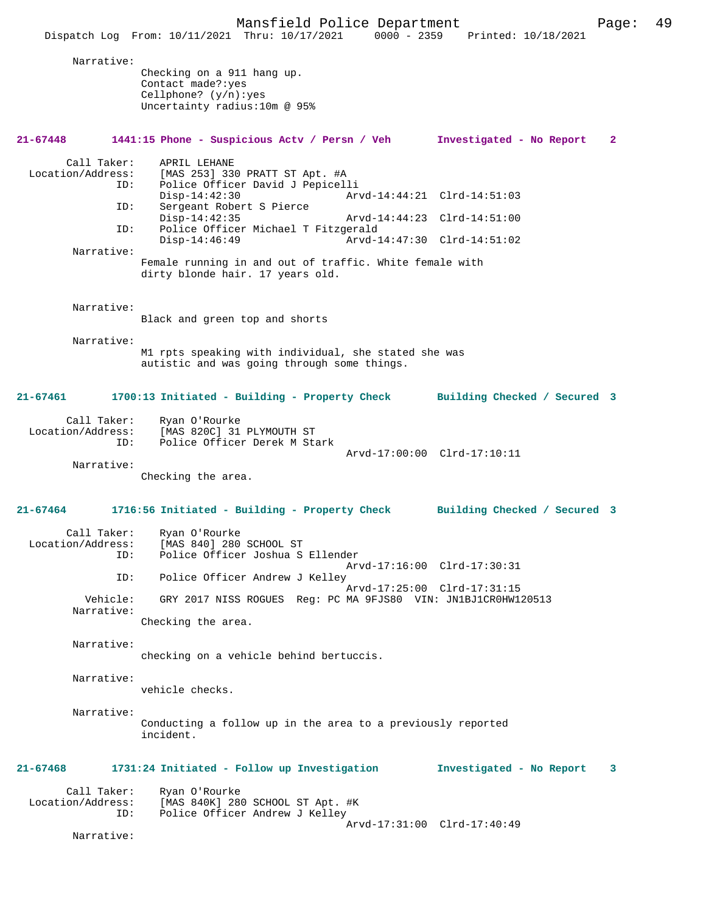Mansfield Police Department Page: 49 Dispatch Log From: 10/11/2021 Thru: 10/17/2021 Narrative: Checking on a 911 hang up. Contact made?:yes Cellphone? (y/n):yes Uncertainty radius:10m @ 95% **21-67448 1441:15 Phone - Suspicious Actv / Persn / Veh Investigated - No Report 2** Call Taker: APRIL LEHANE<br>Location/Address: [MAS 253] 33  $IMAS$  253] 330 PRATT ST Apt. #A ID: Police Officer David J Pepicelli Disp-14:42:30 <br>D: Sergeant Robert S Pierce<br>D: Sergeant Robert S Pierce Sergeant Robert S Pierce Disp-14:42:35 Arvd-14:44:23 Clrd-14:51:00<br>TD: Police Officer Michael T Fitzgerald Police Officer Michael T Fitzgerald<br>Disp-14:46:49 Arvd-1 Disp-14:46:49 Arvd-14:47:30 Clrd-14:51:02 Narrative: Female running in and out of traffic. White female with dirty blonde hair. 17 years old. Narrative: Black and green top and shorts Narrative: M1 rpts speaking with individual, she stated she was autistic and was going through some things. **21-67461 1700:13 Initiated - Building - Property Check Building Checked / Secured 3** Call Taker: Ryan O'Rourke Location/Address: [MAS 820C] 31 PLYMOUTH ST ID: Police Officer Derek M Stark Arvd-17:00:00 Clrd-17:10:11 Narrative: Checking the area. **21-67464 1716:56 Initiated - Building - Property Check Building Checked / Secured 3** Call Taker: Ryan O'Rourke<br>Location/Address: [MAS 840] 280 ess: [MAS 840] 280 SCHOOL ST<br>ID: Police Officer Joshua S Police Officer Joshua S Ellender Arvd-17:16:00 Clrd-17:30:31<br>ID: Police Officer Andrew J Kelley Police Officer Andrew J Kelley Arvd-17:25:00 Clrd-17:31:15<br>Vebicle: GRY 2017 NISS ROGUES Reg: PC MA 9FJS80 VIN: JNIBJ1CR0HW1 GRY 2017 NISS ROGUES Reg: PC MA 9FJS80 VIN: JN1BJ1CR0HW120513 Narrative: Checking the area. Narrative: checking on a vehicle behind bertuccis. Narrative: vehicle checks. Narrative: Conducting a follow up in the area to a previously reported incident. **21-67468 1731:24 Initiated - Follow up Investigation Investigated - No Report 3** Call Taker: Ryan O'Rourke<br>Location/Address: [MAS 840K] 280 [MAS 840K] 280 SCHOOL ST Apt. #K ID: Police Officer Andrew J Kelley Arvd-17:31:00 Clrd-17:40:49 Narrative: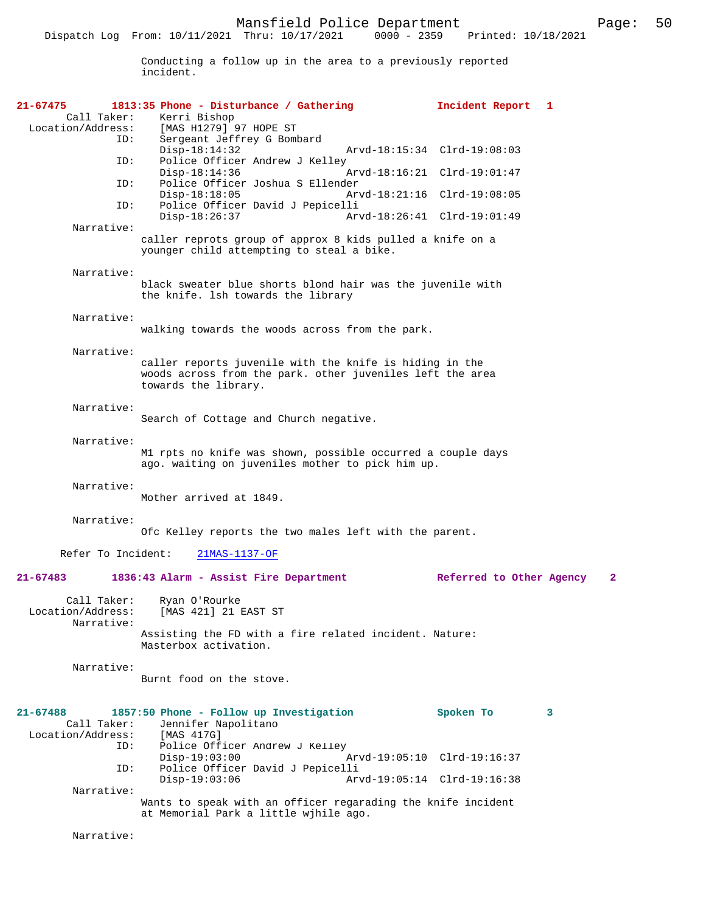Conducting a follow up in the area to a previously reported incident.

| 21-67475                                       | 1813:35 Phone - Disturbance / Gathering                                                                                                      | Incident Report 1           |   |
|------------------------------------------------|----------------------------------------------------------------------------------------------------------------------------------------------|-----------------------------|---|
| Call Taker:<br>Location/Address:               | Kerri Bishop<br>[MAS H1279] 97 HOPE ST                                                                                                       |                             |   |
| ID:                                            | Sergeant Jeffrey G Bombard                                                                                                                   |                             |   |
| ID:                                            | $Disp-18:14:32$<br>Police Officer Andrew J Kelley                                                                                            | Arvd-18:15:34 Clrd-19:08:03 |   |
| ID:                                            | $Disp-18:14:36$<br>Police Officer Joshua S Ellender                                                                                          | Arvd-18:16:21 Clrd-19:01:47 |   |
|                                                | $Disp-18:18:05$<br>Arvd-18:21:16 Clrd-19:08:05                                                                                               |                             |   |
| ID:                                            | Police Officer David J Pepicelli<br>$Disp-18:26:37$                                                                                          | Arvd-18:26:41 Clrd-19:01:49 |   |
| Narrative:                                     | caller reprots group of approx 8 kids pulled a knife on a                                                                                    |                             |   |
|                                                | younger child attempting to steal a bike.                                                                                                    |                             |   |
| Narrative:                                     |                                                                                                                                              |                             |   |
|                                                | black sweater blue shorts blond hair was the juvenile with<br>the knife. Ish towards the library                                             |                             |   |
| Narrative:                                     |                                                                                                                                              |                             |   |
|                                                | walking towards the woods across from the park.                                                                                              |                             |   |
| Narrative:                                     |                                                                                                                                              |                             |   |
|                                                | caller reports juvenile with the knife is hiding in the<br>woods across from the park. other juveniles left the area<br>towards the library. |                             |   |
| Narrative:                                     |                                                                                                                                              |                             |   |
|                                                | Search of Cottage and Church negative.                                                                                                       |                             |   |
| Narrative:                                     |                                                                                                                                              |                             |   |
|                                                | M1 rpts no knife was shown, possible occurred a couple days<br>ago. waiting on juveniles mother to pick him up.                              |                             |   |
| Narrative:                                     |                                                                                                                                              |                             |   |
|                                                | Mother arrived at 1849.                                                                                                                      |                             |   |
| Narrative:                                     |                                                                                                                                              |                             |   |
|                                                | Ofc Kelley reports the two males left with the parent.                                                                                       |                             |   |
| Refer To Incident:                             | $21MAS-1137-OF$                                                                                                                              |                             |   |
| $21 - 67483$                                   | 1836:43 Alarm - Assist Fire Department                                                                                                       | Referred to Other Agency    | 2 |
| Call Taker:<br>Location/Address:<br>Narrative: | Ryan O'Rourke<br>[MAS 421] 21 EAST ST                                                                                                        |                             |   |
|                                                | Assisting the FD with a fire related incident. Nature:<br>Masterbox activation.                                                              |                             |   |
| Narrative:                                     |                                                                                                                                              |                             |   |
|                                                | Burnt food on the stove.                                                                                                                     |                             |   |
| $21 - 67488$                                   | 1857:50 Phone - Follow up Investigation                                                                                                      | Spoken To                   | 3 |
| Call Taker:<br>Location/Address:               | Jennifer Napolitano<br>[MAS 417G]                                                                                                            |                             |   |
| ID:                                            | Police Officer Andrew J Kelley                                                                                                               |                             |   |
| ID:                                            | $Disp-19:03:00$<br>Police Officer David J Pepicelli                                                                                          | Arvd-19:05:10 Clrd-19:16:37 |   |
|                                                | $Disp-19:03:06$                                                                                                                              | Arvd-19:05:14 Clrd-19:16:38 |   |
| Narrative:                                     | Wants to speak with an officer regarading the knife incident                                                                                 |                             |   |
|                                                | at Memorial Park a little wjhile ago.                                                                                                        |                             |   |
| Narrative:                                     |                                                                                                                                              |                             |   |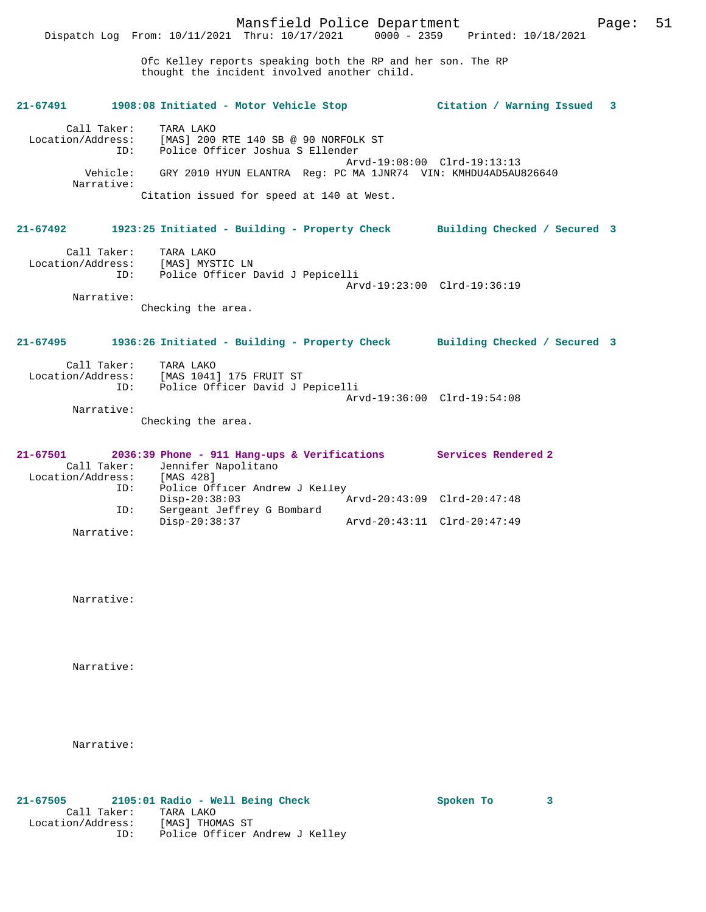Ofc Kelley reports speaking both the RP and her son. The RP thought the incident involved another child.

| 21-67491                                                   | 1908:08 Initiated - Motor Vehicle Stop                                                                                                                                                                                          | Citation / Warning Issued   | 3 |
|------------------------------------------------------------|---------------------------------------------------------------------------------------------------------------------------------------------------------------------------------------------------------------------------------|-----------------------------|---|
| Call Taker:<br>TD:<br>Narrative:                           | TARA LAKO<br>Location/Address: [MAS] 200 RTE 140 SB @ 90 NORFOLK ST<br>Police Officer Joshua S Ellender<br>Vehicle: GRY 2010 HYUN ELANTRA Req: PC MA 1JNR74 VIN: KMHDU4AD5AU826640<br>Citation issued for speed at 140 at West. | Arvd-19:08:00 Clrd-19:13:13 |   |
| $21 - 67492$                                               | 1923:25 Initiated - Building - Property Check Building Checked / Secured 3                                                                                                                                                      |                             |   |
| Call Taker:<br>Narrative:                                  | TARA LAKO<br>Location/Address: [MAS] MYSTIC LN<br>ID: Police Officer David J Pepicelli<br>Checking the area.                                                                                                                    | Arvd-19:23:00 Clrd-19:36:19 |   |
| $21 - 67495$                                               | 1936:26 Initiated - Building - Property Check Building Checked / Secured 3                                                                                                                                                      |                             |   |
| Call Taker:<br>ID:<br>Narrative:                           | TARA LAKO<br>Location/Address: [MAS 1041] 175 FRUIT ST<br>Police Officer David J Pepicelli<br>Checking the area.                                                                                                                | Arvd-19:36:00 Clrd-19:54:08 |   |
| $21 - 67501$<br>Call Taker:<br>Location/Address: [MAS 428] | 2036:39 Phone - 911 Hang-ups & Verifications Services Rendered 2<br>Jennifer Napolitano                                                                                                                                         |                             |   |
| ID:<br>ID:                                                 | Police Officer Andrew J Kelley<br>$Disp-20:38:03$<br>Sergeant Jeffrey G Bombard                                                                                                                                                 | Arvd-20:43:09 Clrd-20:47:48 |   |
| Narrative:                                                 | $Disp-20:38:37$                                                                                                                                                                                                                 | Arvd-20:43:11 Clrd-20:47:49 |   |

Narrative:

Narrative:

Narrative:

**21-67505 2105:01 Radio - Well Being Check Spoken To 3**  Call Taker: TARA LAKO Location/Address: [MAS] THOMAS ST ID: Police Officer Andrew J Kelley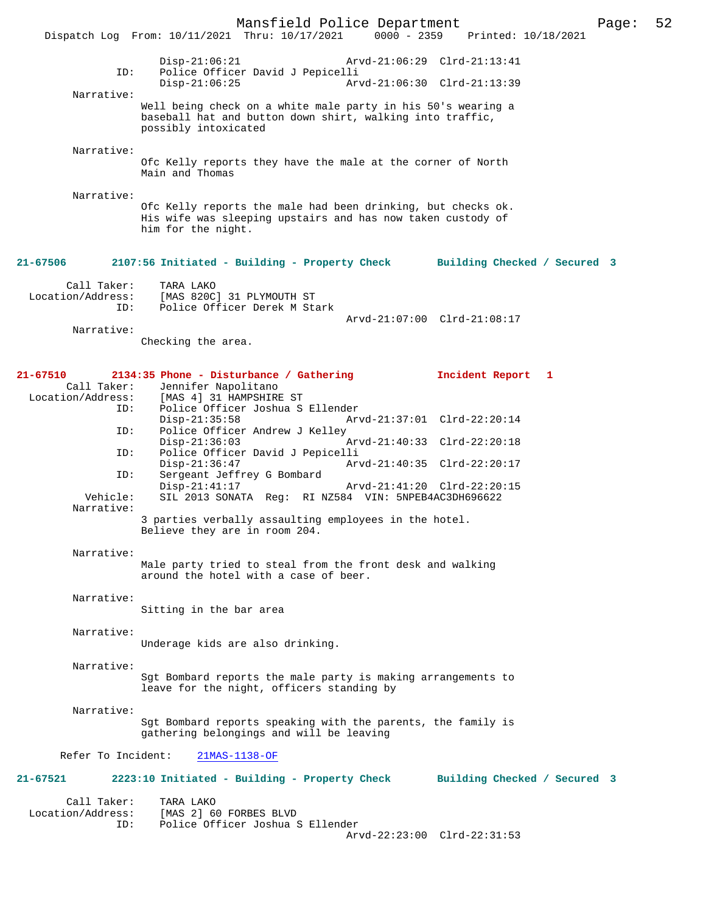Mansfield Police Department Page: 52 Dispatch Log From: 10/11/2021 Thru: 10/17/2021 Disp-21:06:21 Arvd-21:06:29 Clrd-21:13:41 ID: Police Officer David J Pepicelli Disp-21:06:25 Arvd-21:06:30 Clrd-21:13:39 Narrative: Well being check on a white male party in his 50's wearing a baseball hat and button down shirt, walking into traffic, possibly intoxicated Narrative: Ofc Kelly reports they have the male at the corner of North Main and Thomas Narrative: Ofc Kelly reports the male had been drinking, but checks ok. His wife was sleeping upstairs and has now taken custody of him for the night. **21-67506 2107:56 Initiated - Building - Property Check Building Checked / Secured 3** Call Taker: TARA LAKO Location/Address: [MAS 820C] 31 PLYMOUTH ST Police Officer Derek M Stark Arvd-21:07:00 Clrd-21:08:17 Narrative: Checking the area. **21-67510 2134:35 Phone - Disturbance / Gathering Incident Report 1**  Call Taker: Jennifer Napolitano<br>Location/Address: [MAS 4] 31 HAMPSHIRE [MAS 4] 31 HAMPSHIRE ST ID: Police Officer Joshua S Ellender Disp-21:35:58 Arvd-21:37:01 Clrd-22:20:14<br>ID: Police Officer Andrew J Kelley Police Officer Andrew J Kelley<br>Disp-21:36:03 Disp-21:36:03 Arvd-21:40:33 Clrd-22:20:18 ID: Police Officer David J Pepicelli Disp-21:36:47 Arvd-21:40:35 Clrd-22:20:17<br>TD: Sergeant Jeffrey G Bombard Sergeant Jeffrey G Bombard<br>Disp-21:41:17 Arvd-21:41:20 Clrd-22:20:15 Vehicle: SIL 2013 SONATA Reg: RI NZ584 VIN: 5NPEB4AC3DH696622 Narrative: 3 parties verbally assaulting employees in the hotel. Believe they are in room 204. Narrative: Male party tried to steal from the front desk and walking around the hotel with a case of beer. Narrative: Sitting in the bar area Narrative: Underage kids are also drinking. Narrative: Sgt Bombard reports the male party is making arrangements to leave for the night, officers standing by Narrative: Sgt Bombard reports speaking with the parents, the family is gathering belongings and will be leaving Refer To Incident: 21MAS-1138-OF **21-67521 2223:10 Initiated - Building - Property Check Building Checked / Secured 3** Call Taker: TARA LAKO Location/Address: [MAS 2] 60 FORBES BLVD Police Officer Joshua S Ellender Arvd-22:23:00 Clrd-22:31:53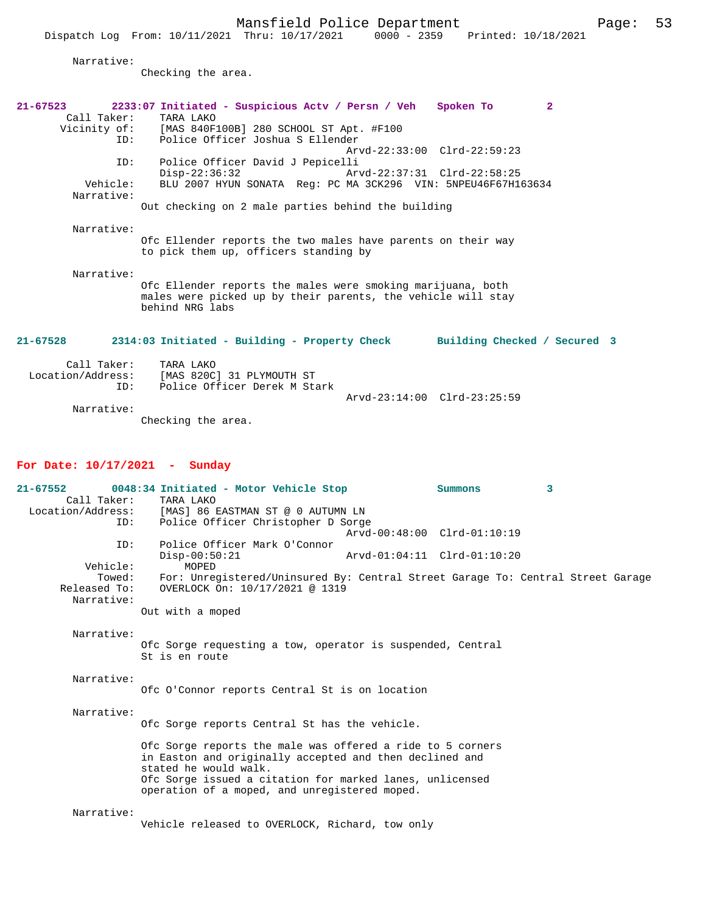Vehicle: BLU 2007 HYUN SONATA Reg: PC MA 3CK296 VIN: 5NPEU46F67H163634 Narrative:

Out checking on 2 male parties behind the building

Narrative:

Ofc Ellender reports the two males have parents on their way to pick them up, officers standing by

Narrative:

Ofc Ellender reports the males were smoking marijuana, both males were picked up by their parents, the vehicle will stay behind NRG labs

**21-67528 2314:03 Initiated - Building - Property Check Building Checked / Secured 3**

| Call Taker:<br>Location/Address:<br>TD: | TARA LAKO<br>[MAS 820C] 31 PLYMOUTH ST<br>Police Officer Derek M Stark |                             |  |
|-----------------------------------------|------------------------------------------------------------------------|-----------------------------|--|
|                                         |                                                                        | Arvd-23:14:00 Clrd-23:25:59 |  |
| Narrative:                              |                                                                        |                             |  |

Checking the area.

#### **For Date: 10/17/2021 - Sunday**

| $21 - 67552$ | 0048:34 Initiated - Motor Vehicle Stop                                          |                             | Summons | 3 |  |
|--------------|---------------------------------------------------------------------------------|-----------------------------|---------|---|--|
| Call Taker:  | TARA LAKO                                                                       |                             |         |   |  |
|              | Location/Address: [MAS] 86 EASTMAN ST @ 0 AUTUMN LN                             |                             |         |   |  |
| ID:          | Police Officer Christopher D Sorge                                              |                             |         |   |  |
|              |                                                                                 | Arvd-00:48:00 Clrd-01:10:19 |         |   |  |
| ID:          | Police Officer Mark O'Connor                                                    |                             |         |   |  |
|              | $Disp-00:50:21$                                                                 | Arvd-01:04:11 Clrd-01:10:20 |         |   |  |
| Vehicle:     | MOPED                                                                           |                             |         |   |  |
| Towed:       | For: Unregistered/Uninsured By: Central Street Garage To: Central Street Garage |                             |         |   |  |
| Released To: | OVERLOCK On: 10/17/2021 @ 1319                                                  |                             |         |   |  |
| Narrative:   |                                                                                 |                             |         |   |  |
|              | Out with a moped                                                                |                             |         |   |  |
|              |                                                                                 |                             |         |   |  |
| Narrative:   |                                                                                 |                             |         |   |  |
|              | Ofc Sorge requesting a tow, operator is suspended, Central                      |                             |         |   |  |
|              | St is en route                                                                  |                             |         |   |  |
| Narrative:   |                                                                                 |                             |         |   |  |
|              | Ofc O'Connor reports Central St is on location                                  |                             |         |   |  |
|              |                                                                                 |                             |         |   |  |
| Narrative:   |                                                                                 |                             |         |   |  |
|              | Ofc Sorge reports Central St has the vehicle.                                   |                             |         |   |  |
|              | Ofc Sorge reports the male was offered a ride to 5 corners                      |                             |         |   |  |
|              | in Easton and originally accepted and then declined and                         |                             |         |   |  |
|              | stated he would walk.                                                           |                             |         |   |  |
|              | Ofc Sorge issued a citation for marked lanes, unlicensed                        |                             |         |   |  |
|              | operation of a moped, and unregistered moped.                                   |                             |         |   |  |
|              |                                                                                 |                             |         |   |  |
| Narrative:   |                                                                                 |                             |         |   |  |
|              | Vehicle released to OVERLOCK, Richard, tow only                                 |                             |         |   |  |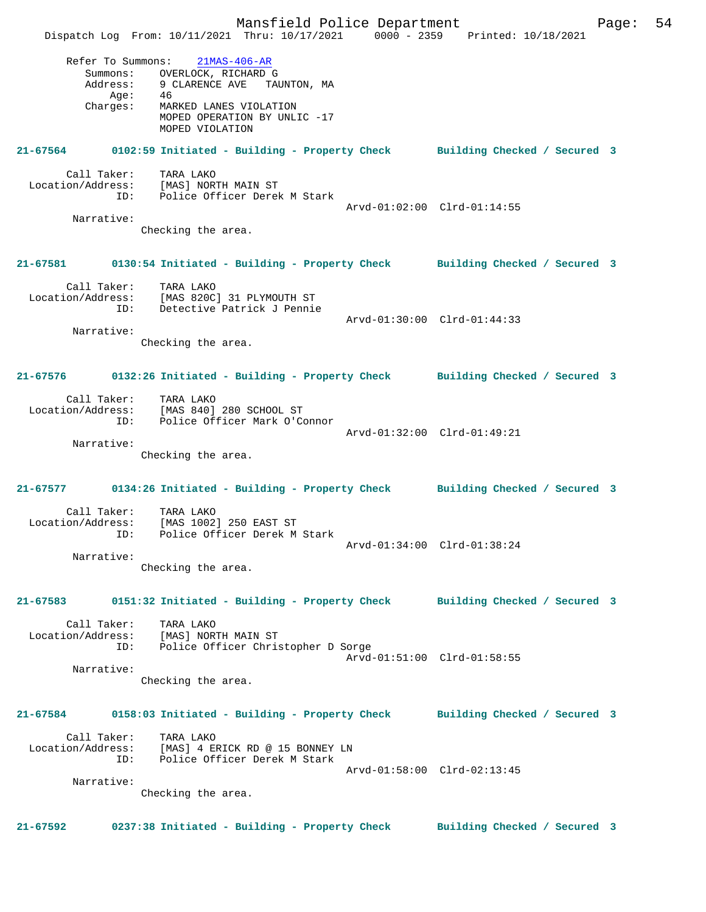Mansfield Police Department Fage: 54 Dispatch Log From: 10/11/2021 Thru: 10/17/2021 0000 - 2359 Printed: 10/18/2021 Refer To Summons: 21MAS-406-AR Summons: OVERLOCK, RICHARD G Address: 9 CLARENCE AVE TAUNTON, MA  $Age: 46$  Charges: MARKED LANES VIOLATION MOPED OPERATION BY UNLIC -17 MOPED VIOLATION **21-67564 0102:59 Initiated - Building - Property Check Building Checked / Secured 3** Call Taker: TARA LAKO Location/Address: [MAS] NORTH MAIN ST ID: Police Officer Derek M Stark Arvd-01:02:00 Clrd-01:14:55 Narrative: Checking the area. **21-67581 0130:54 Initiated - Building - Property Check Building Checked / Secured 3** Call Taker: TARA LAKO Location/Address: [MAS 820C] 31 PLYMOUTH ST ID: Detective Patrick J Pennie Arvd-01:30:00 Clrd-01:44:33 Narrative: Checking the area. **21-67576 0132:26 Initiated - Building - Property Check Building Checked / Secured 3** Call Taker: TARA LAKO Location/Address: [MAS 840] 280 SCHOOL ST ID: Police Officer Mark O'Connor Arvd-01:32:00 Clrd-01:49:21 Narrative: Checking the area. **21-67577 0134:26 Initiated - Building - Property Check Building Checked / Secured 3** Call Taker: TARA LAKO Location/Address: [MAS 1002] 250 EAST ST ID: Police Officer Derek M Stark Arvd-01:34:00 Clrd-01:38:24 Narrative: Checking the area. **21-67583 0151:32 Initiated - Building - Property Check Building Checked / Secured 3** Call Taker: TARA LAKO Location/Address: [MAS] NORTH MAIN ST ID: Police Officer Christopher D Sorge Arvd-01:51:00 Clrd-01:58:55 Narrative: Checking the area. **21-67584 0158:03 Initiated - Building - Property Check Building Checked / Secured 3** Call Taker: TARA LAKO Location/Address: [MAS] 4 ERICK RD @ 15 BONNEY LN ID: Police Officer Derek M Stark Arvd-01:58:00 Clrd-02:13:45 Narrative: Checking the area. **21-67592 0237:38 Initiated - Building - Property Check Building Checked / Secured 3**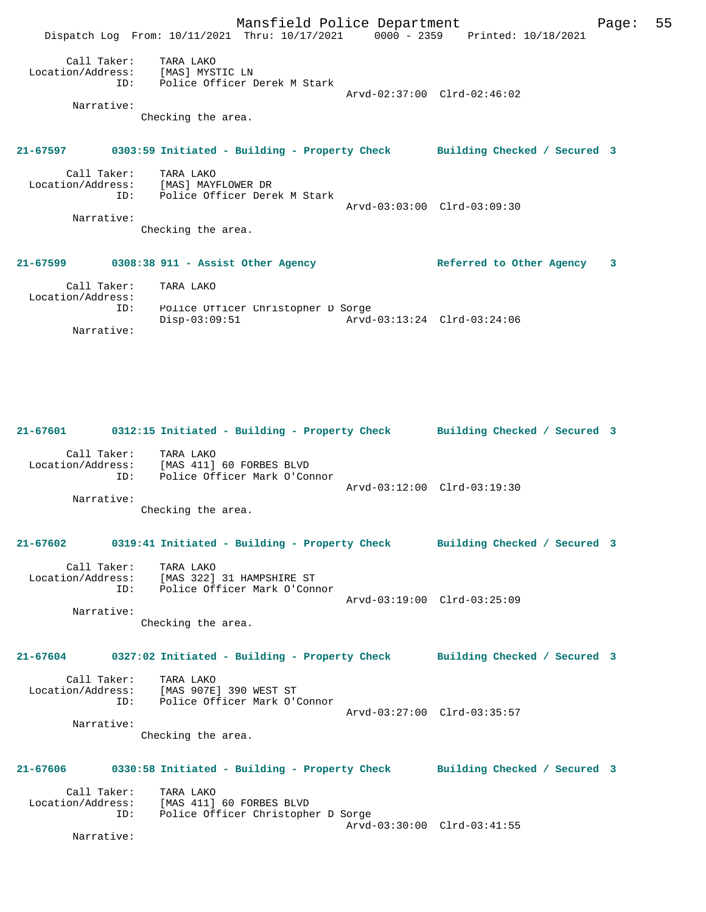|                                  |                                                                                               | Mansfield Police Department |                             | Page: | 55 |
|----------------------------------|-----------------------------------------------------------------------------------------------|-----------------------------|-----------------------------|-------|----|
|                                  | Dispatch Log From: 10/11/2021 Thru: 10/17/2021 0000 - 2359 Printed: 10/18/2021                |                             |                             |       |    |
| ID:<br>Narrative:                | Call Taker: TARA LAKO<br>Location/Address: [MAS] MYSTIC LN<br>Police Officer Derek M Stark    |                             | Arvd-02:37:00 Clrd-02:46:02 |       |    |
|                                  | Checking the area.                                                                            |                             |                             |       |    |
|                                  | 21-67597 0303:59 Initiated - Building - Property Check Building Checked / Secured 3           |                             |                             |       |    |
| ID:                              | Call Taker: TARA LAKO<br>Location/Address: [MAS] MAYFLOWER DR<br>Police Officer Derek M Stark |                             | Arvd-03:03:00 Clrd-03:09:30 |       |    |
| Narrative:                       | Checking the area.                                                                            |                             |                             |       |    |
|                                  | 21-67599 0308:38 911 - Assist Other Agency                                                    |                             | Referred to Other Agency    | 3     |    |
| Call Taker:<br>Location/Address: | TARA LAKO                                                                                     |                             |                             |       |    |
| ID:                              | Police Officer Christopher D Sorge<br>$Disp-03:09:51$                                         |                             |                             |       |    |

Narrative:

**21-67601 0312:15 Initiated - Building - Property Check Building Checked / Secured 3** Call Taker: TARA LAKO Location/Address: [MAS 411] 60 FORBES BLVD ID: Police Officer Mark O'Connor Arvd-03:12:00 Clrd-03:19:30 Narrative: Checking the area. **21-67602 0319:41 Initiated - Building - Property Check Building Checked / Secured 3** Call Taker: TARA LAKO<br>Location/Address: [MAS 322] Location/Address: [MAS 322] 31 HAMPSHIRE ST ID: Police Officer Mark O'Connor Arvd-03:19:00 Clrd-03:25:09 Narrative: Checking the area. **21-67604 0327:02 Initiated - Building - Property Check Building Checked / Secured 3** Call Taker: TARA LAKO Location/Address: [MAS 907E] 390 WEST ST ID: Police Officer Mark O'Connor Arvd-03:27:00 Clrd-03:35:57 Narrative: Checking the area. **21-67606 0330:58 Initiated - Building - Property Check Building Checked / Secured 3** Call Taker: TARA LAKO<br>Location/Address: [MAS 411] Lous HANO<br>Ess: [MAS 411] 60 FORBES BLVD<br>ID: Police Officer Christophe Police Officer Christopher D Sorge Arvd-03:30:00 Clrd-03:41:55

Narrative: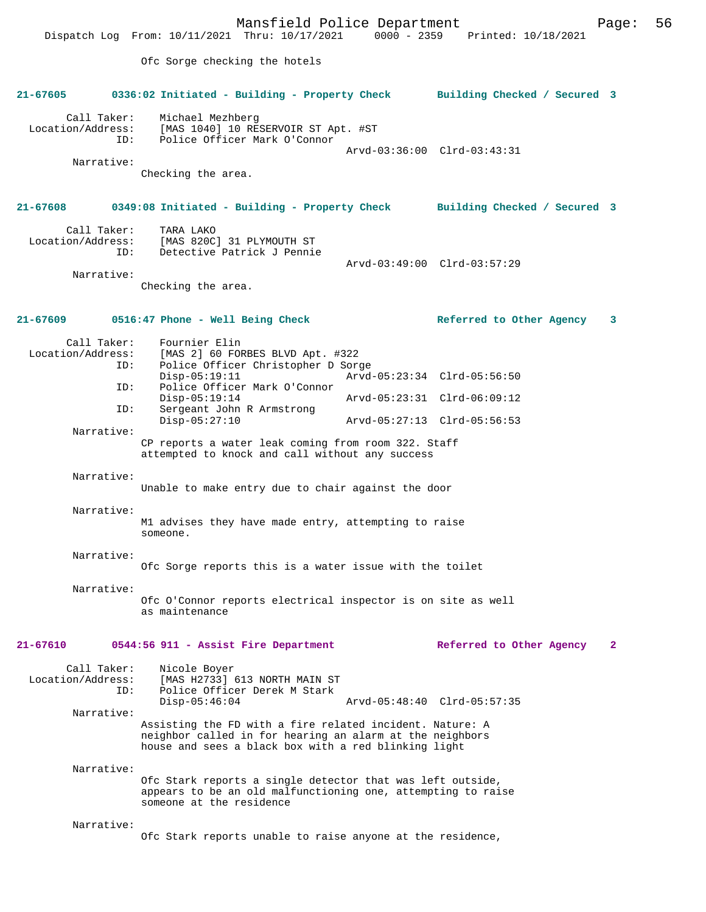Mansfield Police Department<br>Thru: 10/17/2021 0000 - 2359 Printed: 10/18/2021 Dispatch Log From: 10/11/2021 Thru: 10/17/2021 Ofc Sorge checking the hotels **21-67605 0336:02 Initiated - Building - Property Check Building Checked / Secured 3** Call Taker: Michael Mezhberg Location/Address: [MAS 1040] 10 RESERVOIR ST Apt. #ST<br>TD: Police Officer Mark O'Connor Police Officer Mark O'Connor Arvd-03:36:00 Clrd-03:43:31 Narrative: Checking the area. **21-67608 0349:08 Initiated - Building - Property Check Building Checked / Secured 3** Call Taker: TARA LAKO Location/Address: [MAS 820C] 31 PLYMOUTH ST Detective Patrick J Pennie Arvd-03:49:00 Clrd-03:57:29 Narrative: Checking the area. **21-67609 0516:47 Phone - Well Being Check Referred to Other Agency 3** Call Taker: Fournier Elin<br>Location/Address: [MAS 2] 60 FOI ess: [MAS 2] 60 FORBES BLVD Apt. #322<br>ID: Police Officer Christopher D Sore Police Officer Christopher D Sorge Disp-05:19:11 Arvd-05:23:34 Clrd-05:56:50<br>TD: Police Officer Mark O'Connor Police Officer Mark O'Connor<br>Disp-05:19:14 Disp-05:19:14 Arvd-05:23:31 Clrd-06:09:12<br>TD: Sergeant John R Armstrong Sergeant John R Armstrong<br>Disp-05:27:10 Disp-05:27:10 Arvd-05:27:13 Clrd-05:56:53 Narrative: CP reports a water leak coming from room 322. Staff attempted to knock and call without any success Narrative: Unable to make entry due to chair against the door Narrative: M1 advises they have made entry, attempting to raise someone. Narrative: Ofc Sorge reports this is a water issue with the toilet Narrative: Ofc O'Connor reports electrical inspector is on site as well as maintenance **21-67610 0544:56 911 - Assist Fire Department Referred to Other Agency 2** Call Taker: Nicole Boyer Location/Address: [MAS H2733] 613 NORTH MAIN ST ID: Police Officer Derek M Stark Disp-05:46:04 Arvd-05:48:40 Clrd-05:57:35 Narrative: Assisting the FD with a fire related incident. Nature: A neighbor called in for hearing an alarm at the neighbors house and sees a black box with a red blinking light Narrative: Ofc Stark reports a single detector that was left outside, appears to be an old malfunctioning one, attempting to raise someone at the residence Narrative: Ofc Stark reports unable to raise anyone at the residence,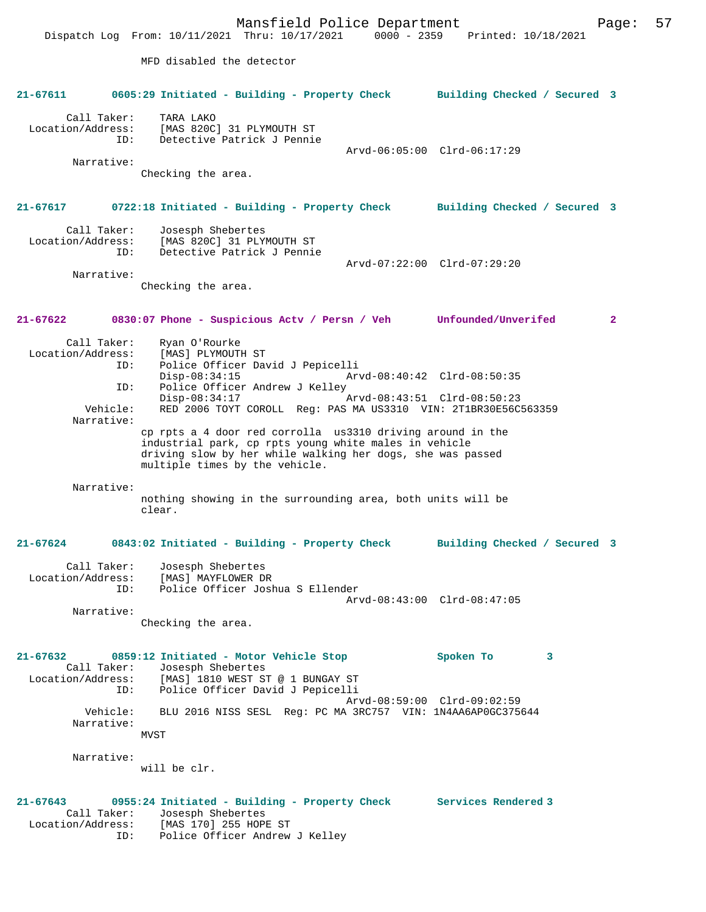Mansfield Police Department Page: 57 Dispatch Log From: 10/11/2021 Thru: 10/17/2021 0000 - 2359 Printed: 10/18/2021 MFD disabled the detector **21-67611 0605:29 Initiated - Building - Property Check Building Checked / Secured 3** Call Taker: TARA LAKO Location/Address: [MAS 820C] 31 PLYMOUTH ST ID: Detective Patrick J Pennie Arvd-06:05:00 Clrd-06:17:29 Narrative: Checking the area. **21-67617 0722:18 Initiated - Building - Property Check Building Checked / Secured 3** Call Taker: Josesph Shebertes Location/Address: [MAS 820C] 31 PLYMOUTH ST ID: Detective Patrick J Pennie Arvd-07:22:00 Clrd-07:29:20 Narrative: Checking the area. **21-67622 0830:07 Phone - Suspicious Actv / Persn / Veh Unfounded/Unverifed 2** Call Taker: Ryan O'Rourke<br>Location/Address: [MAS] PLYMOUTI ess: [MAS] PLYMOUTH ST<br>ID: Police Officer Day Police Officer David J Pepicelli Disp-08:34:15 Arvd-08:40:42 Clrd-08:50:35<br>ID: Police Officer Andrew J Kellev Police Officer Andrew J Kelley<br>Disp-08:34:17 Disp-08:34:17 <br>Disp-08:34:17 Arvd-08:43:51 Clrd-08:50:23<br>Vehicle: RED 2006 TOYT COROLL Reg: PAS MA US3310 VIN: 2T1BR30E56C RED 2006 TOYT COROLL Reg: PAS MA US3310 VIN: 2T1BR30E56C563359 Narrative: cp rpts a 4 door red corrolla us3310 driving around in the industrial park, cp rpts young white males in vehicle driving slow by her while walking her dogs, she was passed multiple times by the vehicle. Narrative: nothing showing in the surrounding area, both units will be clear. **21-67624 0843:02 Initiated - Building - Property Check Building Checked / Secured 3** Call Taker: Josesph Shebertes<br>Location/Address: [MAS] MAYFLOWER DI Location/Address: [MAS] MAYFLOWER DR ID: Police Officer Joshua S Ellender Arvd-08:43:00 Clrd-08:47:05 Narrative: Checking the area. **21-67632 0859:12 Initiated - Motor Vehicle Stop Spoken To 3**  Call Taker: Josesph Shebertes Location/Address: [MAS] 1810 WEST ST @ 1 BUNGAY ST ID: Police Officer David J Pepicelli Arvd-08:59:00 Clrd-09:02:59 Vehicle: BLU 2016 NISS SESL Reg: PC MA 3RC757 VIN: 1N4AA6AP0GC375644 Narrative: MVST Narrative: will be clr. **21-67643 0955:24 Initiated - Building - Property Check Services Rendered 3**  Call Taker: Josesph Shebertes Location/Address: [MAS 170] 255 HOPE ST ID: Police Officer Andrew J Kelley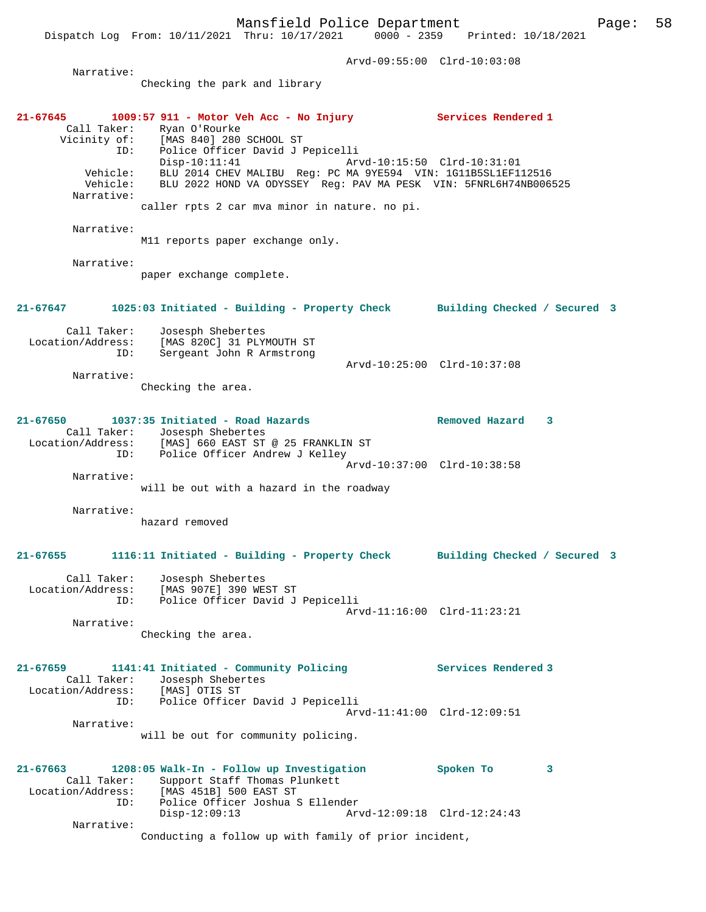Arvd-09:55:00 Clrd-10:03:08 Narrative: Checking the park and library **21-67645 1009:57 911 - Motor Veh Acc - No Injury Services Rendered 1**  Call Taker: Ryan O'Rourke<br>Vicinity of: [MAS 840] 280 Vicinity of: [MAS 840] 280 SCHOOL ST ID: Police Officer David J Pepicelli Disp-10:11:41 Arvd-10:15:50 Clrd-10:31:01 Vehicle: BLU 2014 CHEV MALIBU Reg: PC MA 9YE594 VIN: 1G11B5SL1EF112516 Vehicle: BLU 2022 HOND VA ODYSSEY Reg: PAV MA PESK VIN: 5FNRL6H74NB006525 Narrative: caller rpts 2 car mva minor in nature. no pi. Narrative: M11 reports paper exchange only. Narrative: paper exchange complete. **21-67647 1025:03 Initiated - Building - Property Check Building Checked / Secured 3** Call Taker: Josesph Shebertes Location/Address: [MAS 820C] 31 PLYMOUTH ST ID: Sergeant John R Armstrong Arvd-10:25:00 Clrd-10:37:08 Narrative: Checking the area. **21-67650 1037:35 Initiated - Road Hazards Removed Hazard 3**  Call Taker: Josesph Shebertes Location/Address: [MAS] 660 EAST ST @ 25 FRANKLIN ST ID: Police Officer Andrew J Kelley Arvd-10:37:00 Clrd-10:38:58 Narrative: will be out with a hazard in the roadway Narrative: hazard removed **21-67655 1116:11 Initiated - Building - Property Check Building Checked / Secured 3** Call Taker: Josesph Shebertes Location/Address: [MAS 907E] 390 WEST ST ID: Police Officer David J Pepicelli Arvd-11:16:00 Clrd-11:23:21 Narrative: Checking the area. **21-67659 1141:41 Initiated - Community Policing Services Rendered 3**  Call Taker: Josesph Shebertes Location/Address: [MAS] OTIS ST ID: Police Officer David J Pepicelli Arvd-11:41:00 Clrd-12:09:51 Narrative: will be out for community policing. **21-67663 1208:05 Walk-In - Follow up Investigation Spoken To 3**  Call Taker: Support Staff Thomas Plunkett Location/Address: [MAS 451B] 500 EAST ST ID: Police Officer Joshua S Ellender Disp-12:09:13 Arvd-12:09:18 Clrd-12:24:43 Narrative: Conducting a follow up with family of prior incident,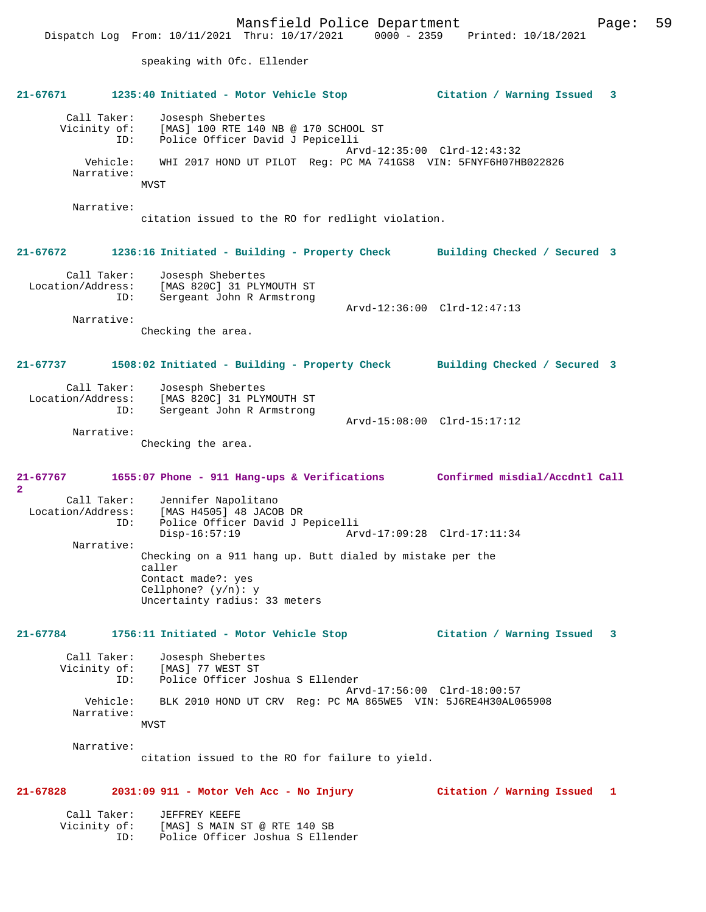Mansfield Police Department Page: 59 Dispatch Log From: 10/11/2021 Thru: 10/17/2021 0000 - 2359 Printed: 10/18/2021 speaking with Ofc. Ellender **21-67671 1235:40 Initiated - Motor Vehicle Stop Citation / Warning Issued 3** Call Taker: Josesph Shebertes Vicinity of: [MAS]<sup>[100</sup> RTE 140 NB @ 170 SCHOOL ST Police Officer David J Pepicelli Arvd-12:35:00 Clrd-12:43:32 Vehicle: WHI 2017 HOND UT PILOT Reg: PC MA 741GS8 VIN: 5FNYF6H07HB022826 MVST

Narrative:

Narrative:

citation issued to the RO for redlight violation.

#### **21-67672 1236:16 Initiated - Building - Property Check Building Checked / Secured 3**

Call Taker: Josesph Shebertes<br>Location/Address: [MAS 820C] 31 PLY Locations: [MAS 820C] 31 PLYMOUTH ST<br>ID: Sergeant John R Armstrong Sergeant John R Armstrong Arvd-12:36:00 Clrd-12:47:13 Narrative:

Checking the area.

#### **21-67737 1508:02 Initiated - Building - Property Check Building Checked / Secured 3**

| Call Taker:<br>Location/Address:<br>ID: | Josesph Shebertes<br>[MAS 820C] 31 PLYMOUTH ST<br>Sergeant John R Armstrong |                             |  |
|-----------------------------------------|-----------------------------------------------------------------------------|-----------------------------|--|
|                                         |                                                                             | Arvd-15:08:00 Clrd-15:17:12 |  |
| Narrative:                              |                                                                             |                             |  |

Checking the area.

**21-67767 1655:07 Phone - 911 Hang-ups & Verifications Confirmed misdial/Accdntl Call 2** 

Call Taker: Jennifer Napolitano<br>Location/Address: [MAS H4505] 48 JACOE ess: [MAS H4505] 48 JACOB DR<br>ID: Police Officer David J P ID: Police Officer David J Pepicelli Arvd-17:09:28 Clrd-17:11:34 Narrative: Checking on a 911 hang up. Butt dialed by mistake per the caller Contact made?: yes Cellphone? (y/n): y Uncertainty radius: 33 meters

## **21-67784 1756:11 Initiated - Motor Vehicle Stop Citation / Warning Issued 3**

Call Taker: Josesph Shebertes<br>Vicinity of: [MAS] 77 WEST ST [MAS] 77 WEST ST ID: Police Officer Joshua S Ellender Arvd-17:56:00 Clrd-18:00:57 Vehicle: BLK 2010 HOND UT CRV Reg: PC MA 865WE5 VIN: 5J6RE4H30AL065908 Narrative: MVST

Narrative:

citation issued to the RO for failure to yield.

#### **21-67828 2031:09 911 - Motor Veh Acc - No Injury Citation / Warning Issued 1**

| Call Taker:  | JEFFREY KEEFE |                                  |  |
|--------------|---------------|----------------------------------|--|
| Vicinity of: |               | [MAS] S MAIN ST @ RTE 140 SB     |  |
| TD:          |               | Police Officer Joshua S Ellender |  |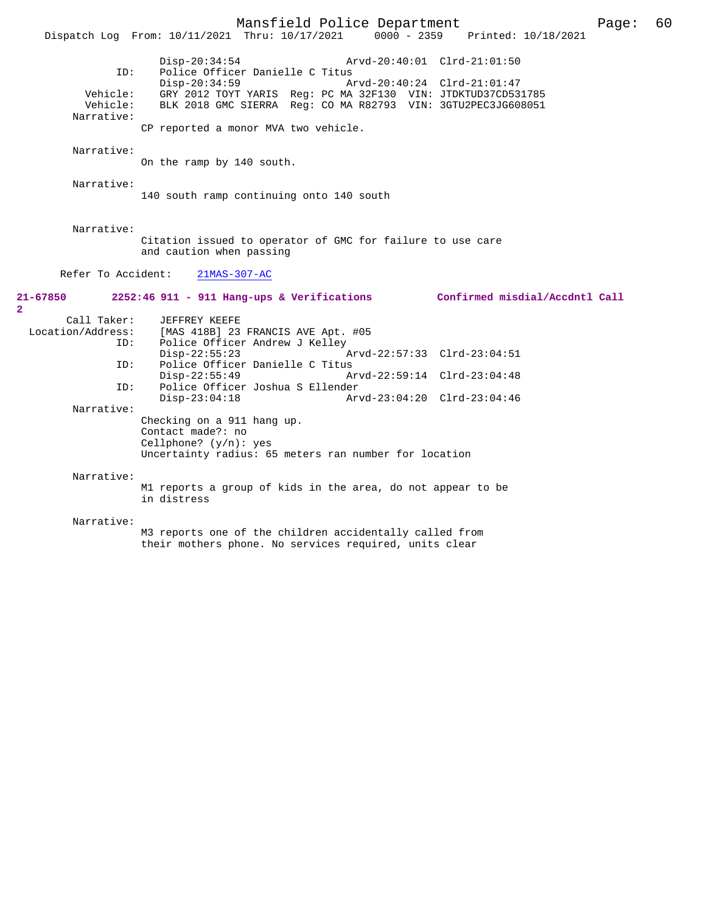Mansfield Police Department Page: 60 Dispatch Log From: 10/11/2021 Thru: 10/17/2021 Disp-20:34:54 Arvd-20:40:01 Clrd-21:01:50 ID: Police Officer Danielle C Titus<br>Disp-20:34:59 A Disp-20:34:59 Arvd-20:40:24 Clrd-21:01:47 Vehicle: GRY 2012 TOYT YARIS Reg: PC MA 32F130 VIN: JTDKTUD37CD531785 Vehicle: BLK 2018 GMC SIERRA Reg: CO MA R82793 VIN: 3GTU2PEC3JG608051 Narrative: CP reported a monor MVA two vehicle. Narrative: On the ramp by 140 south. Narrative: 140 south ramp continuing onto 140 south Narrative: Citation issued to operator of GMC for failure to use care and caution when passing Refer To Accident: 21MAS-307-AC **21-67850 2252:46 911 - 911 Hang-ups & Verifications Confirmed misdial/Accdntl Call** Call Taker: JEFFREY KEEFE<br>Location/Address: [MAS 418B] 23 [MAS 418B] 23 FRANCIS AVE Apt. #05 ID: Police Officer Andrew J Kelley Disp-22:55:23 Arvd-22:57:33 Clrd-23:04:51<br>ID: Police Officer Danielle C Titus Police Officer Danielle C Titus Disp-22:55:49 Arvd-22:59:14 Clrd-23:04:48<br>TD: Police Officer Joshua S Ellender ID: Police Officer Joshua S Ellender Disp-23:04:18 Arvd-23:04:20 Clrd-23:04:46 Narrative: Checking on a 911 hang up. Contact made?: no Cellphone? (y/n): yes Uncertainty radius: 65 meters ran number for location Narrative: M1 reports a group of kids in the area, do not appear to be in distress Narrative: M3 reports one of the children accidentally called from their mothers phone. No services required, units clear

**2**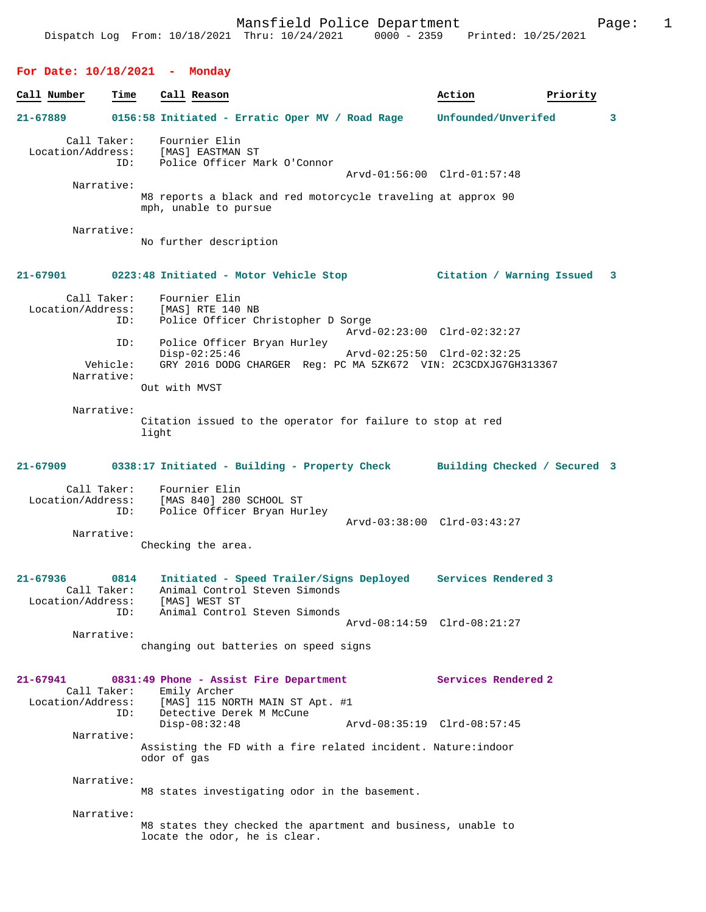# **For Date: 10/18/2021 - Monday**

| Call Number                      | Time                   | Call Reason                                                                                                                      | Action                      | Priority |
|----------------------------------|------------------------|----------------------------------------------------------------------------------------------------------------------------------|-----------------------------|----------|
| 21-67889                         |                        | 0156:58 Initiated - Erratic Oper MV / Road Rage                                                                                  | Unfounded/Unverifed         | 3        |
| Call Taker:<br>Location/Address: | ID:                    | Fournier Elin<br>[MAS] EASTMAN ST<br>Police Officer Mark O'Connor                                                                |                             |          |
|                                  | Narrative:             |                                                                                                                                  | Arvd-01:56:00 Clrd-01:57:48 |          |
|                                  |                        | M8 reports a black and red motorcycle traveling at approx 90<br>mph, unable to pursue                                            |                             |          |
|                                  | Narrative:             | No further description                                                                                                           |                             |          |
| 21-67901                         |                        | 0223:48 Initiated - Motor Vehicle Stop                                                                                           | Citation / Warning Issued   | 3        |
| Location/Address:                | Call Taker:<br>ID:     | Fournier Elin<br>[MAS] RTE 140 NB<br>Police Officer Christopher D Sorge                                                          |                             |          |
|                                  |                        |                                                                                                                                  | Arvd-02:23:00 Clrd-02:32:27 |          |
|                                  | ID:                    | Police Officer Bryan Hurley<br>$Disp-02:25:46$                                                                                   | Arvd-02:25:50 Clrd-02:32:25 |          |
|                                  | Vehicle:<br>Narrative: | GRY 2016 DODG CHARGER Req: PC MA 5ZK672 VIN: 2C3CDXJG7GH313367                                                                   |                             |          |
|                                  |                        | Out with MVST                                                                                                                    |                             |          |
|                                  | Narrative:             | Citation issued to the operator for failure to stop at red<br>light                                                              |                             |          |
| 21-67909                         |                        | 0338:17 Initiated - Building - Property Check Building Checked / Secured 3                                                       |                             |          |
| Location/Address:                | Call Taker:<br>ID:     | Fournier Elin<br>[MAS 840] 280 SCHOOL ST<br>Police Officer Bryan Hurley                                                          |                             |          |
|                                  | Narrative:             | Checking the area.                                                                                                               | Arvd-03:38:00 Clrd-03:43:27 |          |
|                                  |                        |                                                                                                                                  |                             |          |
| 21-67936<br>Call Taker:          | 0814                   | Initiated - Speed Trailer/Signs Deployed Services Rendered 3<br>Animal Control Steven Simonds<br>Location/Address: [MAS] WEST ST |                             |          |
|                                  | ID:                    | Animal Control Steven Simonds                                                                                                    | Arvd-08:14:59 Clrd-08:21:27 |          |
|                                  | Narrative:             | changing out batteries on speed signs                                                                                            |                             |          |
| 21-67941                         |                        | 0831:49 Phone - Assist Fire Department                                                                                           | Services Rendered 2         |          |
|                                  | Call Taker:            | Emily Archer<br>Location/Address: [MAS] 115 NORTH MAIN ST Apt. #1                                                                |                             |          |
|                                  | ID:                    | Detective Derek M McCune<br>$Disp-08:32:48$                                                                                      | Arvd-08:35:19 Clrd-08:57:45 |          |
|                                  | Narrative:             | Assisting the FD with a fire related incident. Nature: indoor<br>odor of gas                                                     |                             |          |
|                                  | Narrative:             | M8 states investigating odor in the basement.                                                                                    |                             |          |
|                                  | Narrative:             |                                                                                                                                  |                             |          |
|                                  |                        | M8 states they checked the apartment and business, unable to<br>locate the odor, he is clear.                                    |                             |          |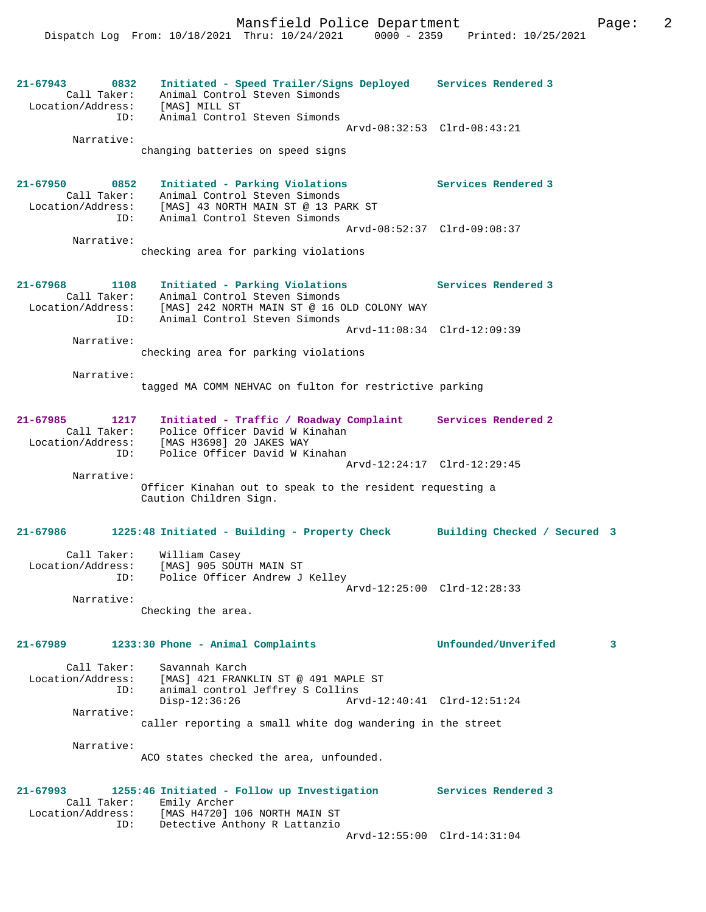**21-67943 0832 Initiated - Speed Trailer/Signs Deployed Services Rendered 3**  Call Taker: Animal Control Steven Simonds Location/Address: [MAS] MILL ST ID: Animal Control Steven Simonds Arvd-08:32:53 Clrd-08:43:21 Narrative: changing batteries on speed signs **21-67950 0852 Initiated - Parking Violations Services Rendered 3**  Call Taker: Animal Control Steven Simonds Location/Address: [MAS] 43 NORTH MAIN ST @ 13 PARK ST ID: Animal Control Steven Simonds Arvd-08:52:37 Clrd-09:08:37 Narrative: checking area for parking violations **21-67968 1108 Initiated - Parking Violations Services Rendered 3**  Call Taker: Animal Control Steven Simonds Location/Address: [MAS] 242 NORTH MAIN ST @ 16 OLD COLONY WAY ID: Animal Control Steven Simonds Arvd-11:08:34 Clrd-12:09:39 Narrative: checking area for parking violations Narrative: tagged MA COMM NEHVAC on fulton for restrictive parking **21-67985 1217 Initiated - Traffic / Roadway Complaint Services Rendered 2**  Call Taker: Police Officer David W Kinahan Location/Address: [MAS H3698] 20 JAKES WAY ID: Police Officer David W Kinahan Arvd-12:24:17 Clrd-12:29:45 Narrative: Officer Kinahan out to speak to the resident requesting a Caution Children Sign. **21-67986 1225:48 Initiated - Building - Property Check Building Checked / Secured 3** Call Taker: William Casey Location/Address: [MAS] 905 SOUTH MAIN ST ID: Police Officer Andrew J Kelley Arvd-12:25:00 Clrd-12:28:33 Narrative: Checking the area. **21-67989 1233:30 Phone - Animal Complaints Unfounded/Unverifed 3** Call Taker: Savannah Karch Location/Address: [MAS] 421 FRANKLIN ST @ 491 MAPLE ST ID: animal control Jeffrey S Collins Disp-12:36:26 Arvd-12:40:41 Clrd-12:51:24 Narrative: caller reporting a small white dog wandering in the street Narrative: ACO states checked the area, unfounded. **21-67993 1255:46 Initiated - Follow up Investigation Services Rendered 3**  Call Taker: Emily Archer Location/Address: [MAS H4720] 106 NORTH MAIN ST ID: Detective Anthony R Lattanzio

Arvd-12:55:00 Clrd-14:31:04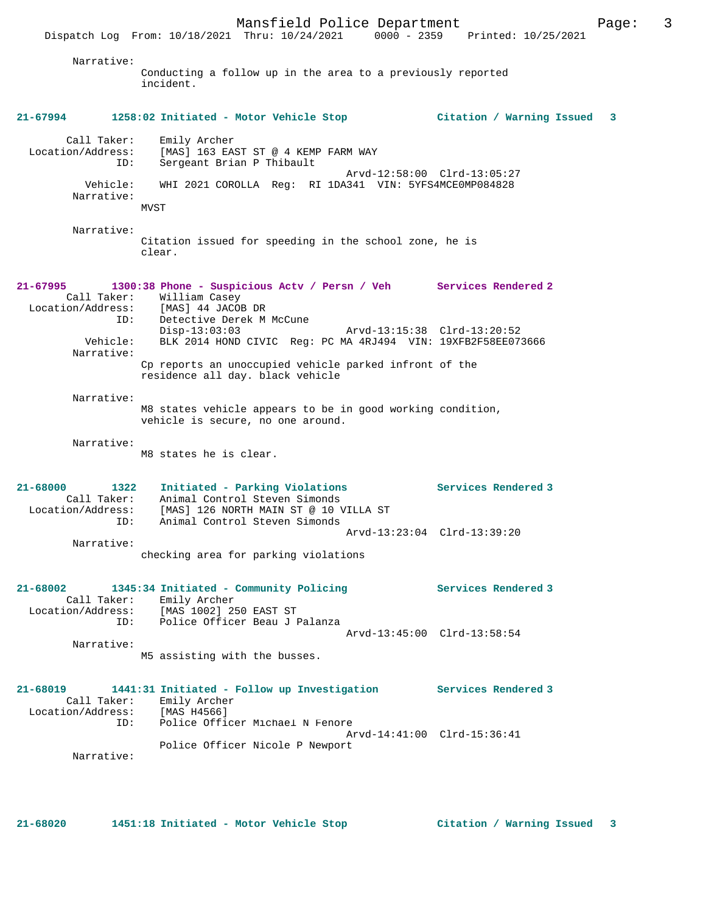Dispatch Log From: 10/18/2021 Thru: 10/24/2021 0000 - 2359 Printed: 10/25/2021 Narrative: Conducting a follow up in the area to a previously reported incident. **21-67994 1258:02 Initiated - Motor Vehicle Stop Citation / Warning Issued 3** Call Taker: Emily Archer Location/Address: [MAS] 163 EAST ST @ 4 KEMP FARM WAY ID: Sergeant Brian P Thibault Arvd-12:58:00 Clrd-13:05:27 Vehicle: WHI 2021 COROLLA Reg: RI 1DA341 VIN: 5YFS4MCE0MP084828 Narrative: MVST Narrative: Citation issued for speeding in the school zone, he is clear. **21-67995 1300:38 Phone - Suspicious Actv / Persn / Veh Services Rendered 2**  Call Taker: William Casey Location/Address: [MAS] 44 JACOB DR ID: Detective Derek M McCune<br>Disp-13:03:03 Arvd-13:15:38 Clrd-13:20:52 Vehicle: BLK 2014 HOND CIVIC Reg: PC MA 4RJ494 VIN: 19XFB2F58EE073666 Narrative: Cp reports an unoccupied vehicle parked infront of the residence all day. black vehicle Narrative: M8 states vehicle appears to be in good working condition, vehicle is secure, no one around. Narrative: M8 states he is clear. **21-68000 1322 Initiated - Parking Violations Services Rendered 3**  Call Taker: Animal Control Steven Simonds Location/Address: [MAS] 126 NORTH MAIN ST @ 10 VILLA ST ID: Animal Control Steven Simonds Arvd-13:23:04 Clrd-13:39:20 Narrative: checking area for parking violations **21-68002 1345:34 Initiated - Community Policing Services Rendered 3**  Call Taker: Emily Archer Location/Address: [MAS 1002] 250 EAST ST ID: Police Officer Beau J Palanza Arvd-13:45:00 Clrd-13:58:54 Narrative: M5 assisting with the busses. **21-68019 1441:31 Initiated - Follow up Investigation Services Rendered 3**  Call Taker: Emily Archer<br>Location/Address: [MAS H4566] Location/Address: [MAS H4566] ID: Police Officer Michael N Fenore Arvd-14:41:00 Clrd-15:36:41 Police Officer Nicole P Newport Narrative:

**21-68020 1451:18 Initiated - Motor Vehicle Stop Citation / Warning Issued 3**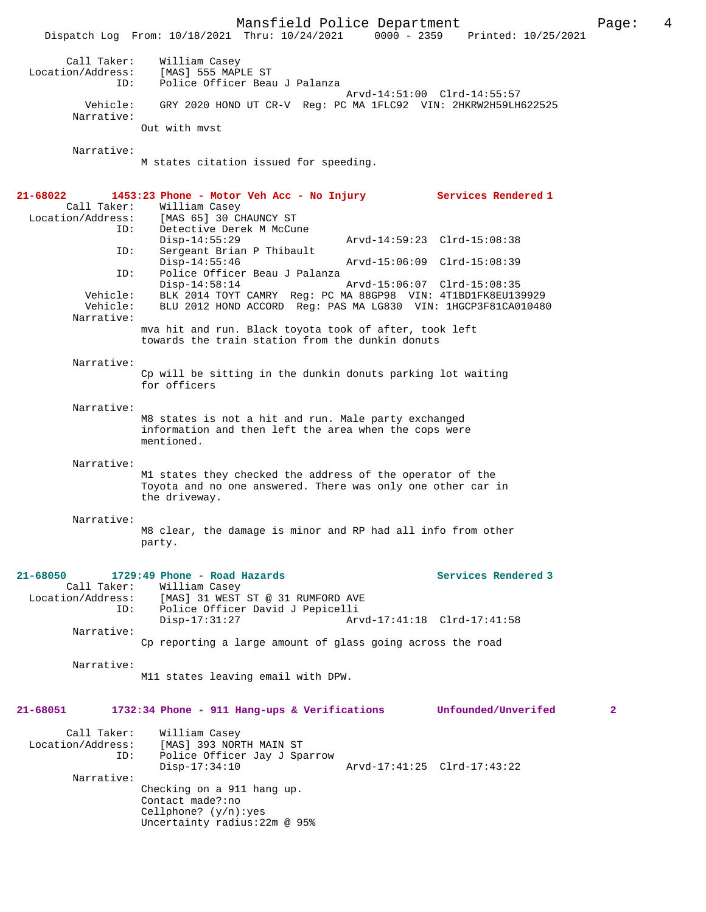Mansfield Police Department Form Page: 4 Dispatch Log From: 10/18/2021 Thru: 10/24/2021 0000 - 2359 Printed: 10/25/2021 Call Taker: William Casey Location/Address: [MAS] 555 MAPLE ST ID: Police Officer Beau J Palanza Arvd-14:51:00 Clrd-14:55:57 Vehicle: GRY 2020 HOND UT CR-V Reg: PC MA 1FLC92 VIN: 2HKRW2H59LH622525 Narrative: Out with mvst Narrative: M states citation issued for speeding. **21-68022 1453:23 Phone - Motor Veh Acc - No Injury Services Rendered 1**  Call Taker: William Casey Location/Address: [MAS 65] 30 CHAUNCY ST ID: Detective Derek M McCune<br>Disp-14:55:29 Disp-14:55:29 Arvd-14:59:23 Clrd-15:08:38 ID: Sergeant Brian P Thibault Disp-14:55:46 Arvd-15:06:09 Clrd-15:08:39 ID: Police Officer Beau J Palanza Disp-14:58:14 Arvd-15:06:07 Clrd-15:08:35 Vehicle: BLK 2014 TOYT CAMRY Reg: PC MA 88GP98 VIN: 4T1BD1FK8EU139929 BLU 2012 HOND ACCORD Reg: PAS MA LG830 VIN: 1HGCP3F81CA010480 Narrative: mva hit and run. Black toyota took of after, took left towards the train station from the dunkin donuts Narrative: Cp will be sitting in the dunkin donuts parking lot waiting for officers Narrative: M8 states is not a hit and run. Male party exchanged information and then left the area when the cops were mentioned. Narrative: M1 states they checked the address of the operator of the Toyota and no one answered. There was only one other car in the driveway. Narrative: M8 clear, the damage is minor and RP had all info from other party. **21-68050 1729:49 Phone - Road Hazards Services Rendered 3**  Call Taker: William Casey Location/Address: [MAS] 31 WEST ST @ 31 RUMFORD AVE ID: Police Officer David J Pepicelli Arvd-17:41:18 Clrd-17:41:58 Narrative: Cp reporting a large amount of glass going across the road Narrative: M11 states leaving email with DPW. **21-68051 1732:34 Phone - 911 Hang-ups & Verifications Unfounded/Unverifed 2** Call Taker: William Casey Location/Address: [MAS] 393 NORTH MAIN ST ID: Police Officer Jay J Sparrow Disp-17:34:10 Arvd-17:41:25 Clrd-17:43:22 Narrative: Checking on a 911 hang up. Contact made?:no Cellphone? (y/n):yes

Uncertainty radius:22m @ 95%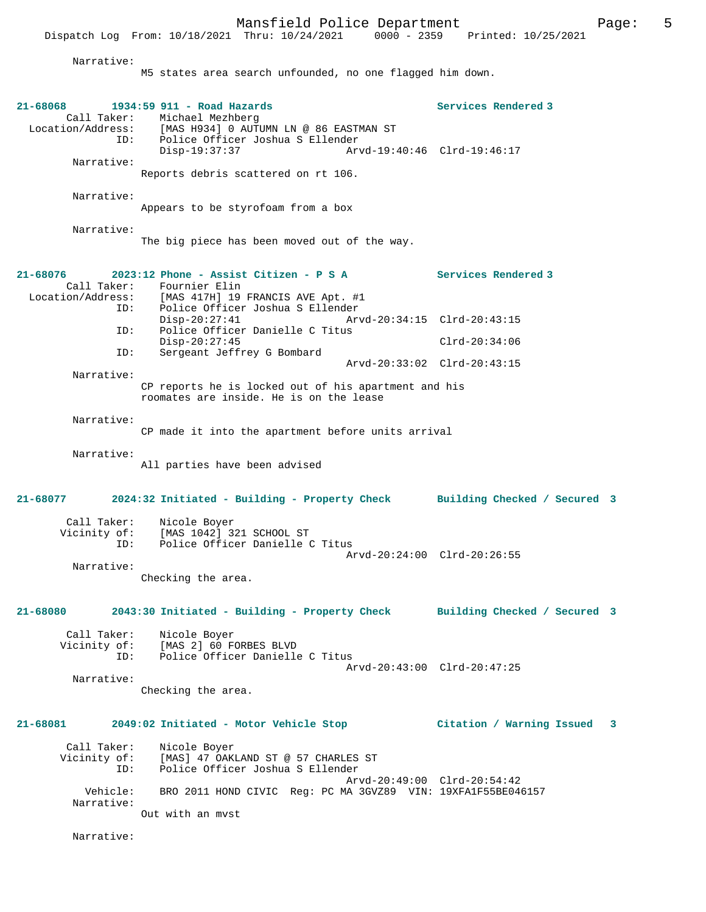Dispatch Log From: 10/18/2021 Thru: 10/24/2021

 Narrative: M5 states area search unfounded, no one flagged him down. **21-68068 1934:59 911 - Road Hazards Services Rendered 3**  Call Taker: Michael Mezhberg<br>Location/Address: [MAS H934] 0 AUTI ess: [MAS H934] 0 AUTUMN LN @ 86 EASTMAN ST<br>ID: Police Officer Joshua S Ellender Police Officer Joshua S Ellender<br>Disp-19:37:37 Ar Disp-19:37:37 Arvd-19:40:46 Clrd-19:46:17 Narrative: Reports debris scattered on rt 106. Narrative: Appears to be styrofoam from a box Narrative: The big piece has been moved out of the way. **21-68076 2023:12 Phone - Assist Citizen - P S A Services Rendered 3**  Call Taker: Fournier Elin<br>Location/Address: [MAS 417H] 19 ess: [MAS 417H] 19 FRANCIS AVE Apt. #1<br>ID: Police Officer Joshua S Ellender ID: Police Officer Joshua S Ellender Disp-20:27:41 Arvd-20:34:15 Clrd-20:43:15<br>ID: Police Officer Danielle C Titus Police Officer Danielle C Titus Disp-20:27:45 Clrd-20:34:06<br>TD: Sergeant Jeffrey G Bombard Sergeant Jeffrey G Bombard Arvd-20:33:02 Clrd-20:43:15 Narrative: CP reports he is locked out of his apartment and his roomates are inside. He is on the lease Narrative: CP made it into the apartment before units arrival Narrative: All parties have been advised **21-68077 2024:32 Initiated - Building - Property Check Building Checked / Secured 3** Call Taker: Nicole Boyer Vicinity of: [MAS 1042] 321 SCHOOL ST ID: Police Officer Danielle C Titus Arvd-20:24:00 Clrd-20:26:55 Narrative: Checking the area. **21-68080 2043:30 Initiated - Building - Property Check Building Checked / Secured 3** Call Taker: Nicole Boyer Vicinity of: [MAS 2] 60 FORBES BLVD<br>ID: Police Officer Danielle Police Officer Danielle C Titus Arvd-20:43:00 Clrd-20:47:25 Narrative: Checking the area. **21-68081 2049:02 Initiated - Motor Vehicle Stop Citation / Warning Issued 3** Call Taker: Nicole Boyer<br>Vicinity of: [MAS] 47 OAK of: [MAS] 47 OAKLAND ST @ 57 CHARLES ST<br>ID: Police Officer Joshua S Ellender Police Officer Joshua S Ellender Arvd-20:49:00 Clrd-20:54:42<br>Vebicle: RRO 2011 HOND CIVIC Req: PC MA 3GVZ89 VIN: 19XEA1E55BE04 BRO 2011 HOND CIVIC Reg: PC MA 3GVZ89 VIN: 19XFA1F55BE046157 Narrative: Out with an mvst Narrative: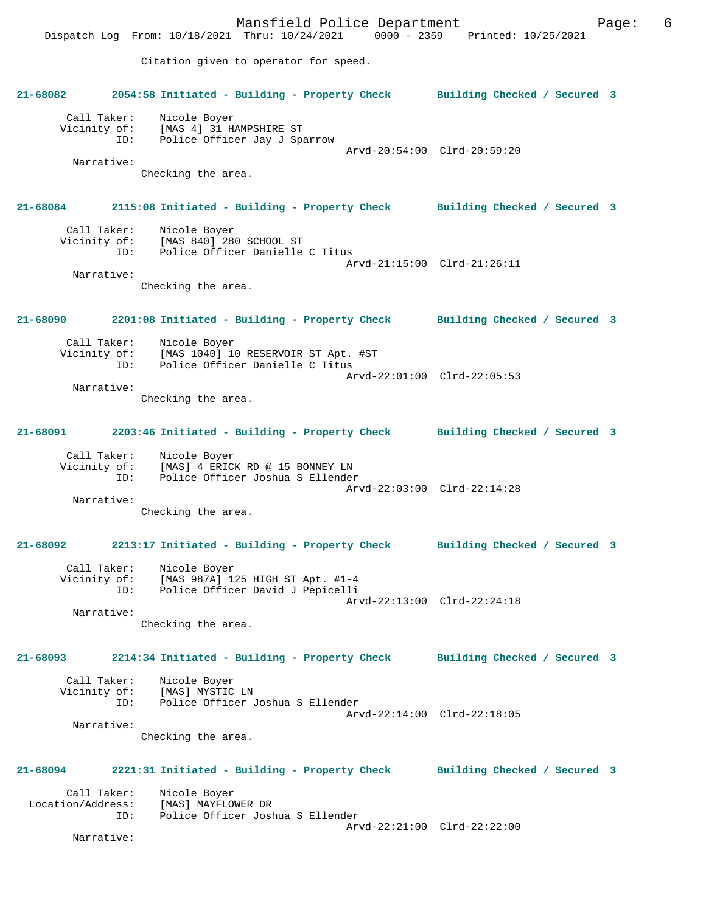Mansfield Police Department Page: 6 Dispatch Log From: 10/18/2021 Thru: 10/24/2021 0000 - 2359 Printed: 10/25/2021 Citation given to operator for speed. **21-68082 2054:58 Initiated - Building - Property Check Building Checked / Secured 3** Call Taker: Nicole Boyer Vicinity of: [MAS 4] 31 HAMPSHIRE ST<br>ID: Police Officer Jav J Spa Police Officer Jay J Sparrow Arvd-20:54:00 Clrd-20:59:20 Narrative: Checking the area. **21-68084 2115:08 Initiated - Building - Property Check Building Checked / Secured 3** Call Taker: Nicole Boyer Vicinity of: [MAS 840] 280 SCHOOL ST ID: Police Officer Danielle C Titus Arvd-21:15:00 Clrd-21:26:11 Narrative: Checking the area. **21-68090 2201:08 Initiated - Building - Property Check Building Checked / Secured 3** Call Taker: Nicole Boyer<br>Vicinity of: [MAS 1040] 1 of: [MAS 1040] 10 RESERVOIR ST Apt. #ST<br>ID: Police Officer Danielle C Titus Police Officer Danielle C Titus Arvd-22:01:00 Clrd-22:05:53 Narrative: Checking the area. **21-68091 2203:46 Initiated - Building - Property Check Building Checked / Secured 3** Call Taker: Nicole Boyer Vicinity of: [MAS] 4 ERICK RD @ 15 BONNEY LN ID: Police Officer Joshua S Ellender Arvd-22:03:00 Clrd-22:14:28 Narrative: Checking the area. **21-68092 2213:17 Initiated - Building - Property Check Building Checked / Secured 3** Call Taker: Nicole Boyer Vicinity of: [MAS 987A] 125 HIGH ST Apt. #1-4<br>ID: Police Officer David J Pepicelli Police Officer David J Pepicelli Arvd-22:13:00 Clrd-22:24:18 Narrative: Checking the area. **21-68093 2214:34 Initiated - Building - Property Check Building Checked / Secured 3** Call Taker: Nicole Boyer Vicinity of: [MAS] MYSTIC LN<br>TD: Police Officer Police Officer Joshua S Ellender Arvd-22:14:00 Clrd-22:18:05 Narrative: Checking the area. **21-68094 2221:31 Initiated - Building - Property Check Building Checked / Secured 3** Call Taker: Nicole Boyer Location/Address: [MAS] MAYFLOWER DR<br>ID: Police Officer Jos] Police Officer Joshua S Ellender Arvd-22:21:00 Clrd-22:22:00 Narrative: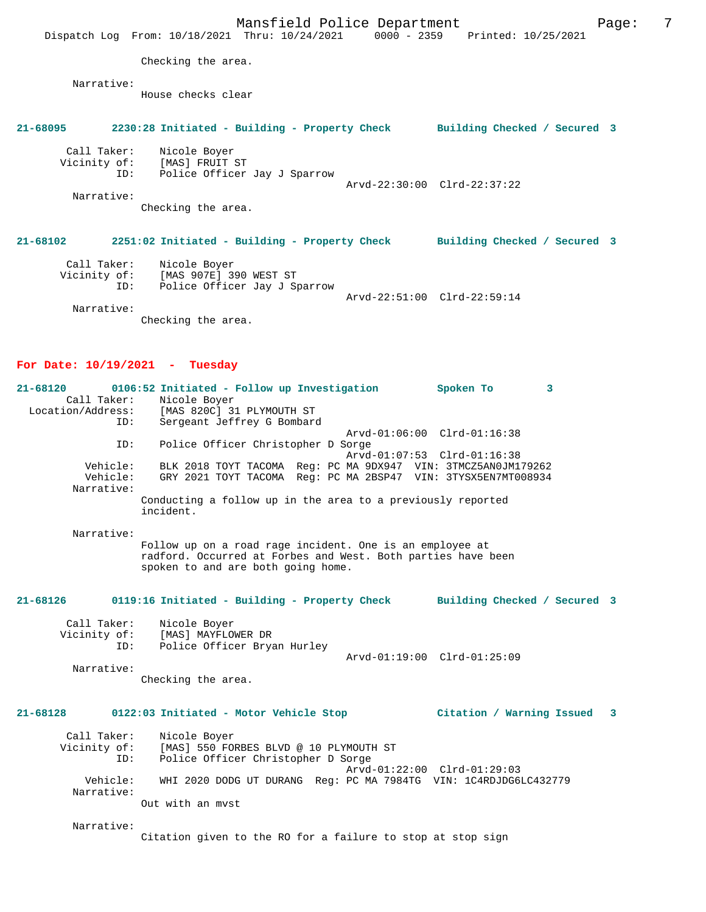Mansfield Police Department Fage: 7 Dispatch Log From: 10/18/2021 Thru: 10/24/2021 0000 - 2359 Printed: 10/25/2021 Checking the area. Narrative: House checks clear **21-68095 2230:28 Initiated - Building - Property Check Building Checked / Secured 3** Call Taker: Nicole Boyer Vicinity of: [MAS] FRUIT ST ID: Police Officer Jay J Sparrow Arvd-22:30:00 Clrd-22:37:22 Narrative: Checking the area. **21-68102 2251:02 Initiated - Building - Property Check Building Checked / Secured 3** Call Taker: Nicole Boyer Vicinity of: [MAS 907E] 390 WEST ST<br>ID: Police Officer Jay J Sp Police Officer Jay J Sparrow Arvd-22:51:00 Clrd-22:59:14 Narrative: Checking the area.

## **For Date: 10/19/2021 - Tuesday**

| $21 - 68120$      | 0106:52 Initiated - Follow up Investigation                              |  | Spoken To                                                     |  |
|-------------------|--------------------------------------------------------------------------|--|---------------------------------------------------------------|--|
| Call Taker:       | Nicole Boyer                                                             |  |                                                               |  |
| Location/Address: | [MAS 820C] 31 PLYMOUTH ST                                                |  |                                                               |  |
|                   | Sergeant Jeffrey G Bombard<br>ID:                                        |  |                                                               |  |
|                   |                                                                          |  | Arvd-01:06:00 Clrd-01:16:38                                   |  |
|                   | Police Officer Christopher D Sorge<br>ID:                                |  |                                                               |  |
|                   |                                                                          |  | Arvd-01:07:53 Clrd-01:16:38                                   |  |
| Vehicle:          |                                                                          |  | BLK 2018 TOYT TACOMA Req: PC MA 9DX947 VIN: 3TMCZ5AN0JM179262 |  |
| Vehicle:          |                                                                          |  | GRY 2021 TOYT TACOMA Req: PC MA 2BSP47 VIN: 3TYSX5EN7MT008934 |  |
| Narrative:        |                                                                          |  |                                                               |  |
|                   | Conducting a follow up in the area to a previously reported<br>incident. |  |                                                               |  |
| Narrative:        |                                                                          |  |                                                               |  |

Follow up on a road rage incident. One is an employee at radford. Occurred at Forbes and West. Both parties have been spoken to and are both going home.

#### **21-68126 0119:16 Initiated - Building - Property Check Building Checked / Secured 3**

| Call Taker:<br>Vicinity of: | Nicole Boyer<br>[MAS] MAYFLOWER DR |                             |  |
|-----------------------------|------------------------------------|-----------------------------|--|
| TD:                         | Police Officer Bryan Hurley        | Arvd-01:19:00 Clrd-01:25:09 |  |

Narrative:

Checking the area.

## **21-68128 0122:03 Initiated - Motor Vehicle Stop Citation / Warning Issued 3**

 Call Taker: Nicole Boyer Vicinity of: [MAS] 550 FORBES BLVD @ 10 PLYMOUTH ST ID: Police Officer Christopher D Sorge Arvd-01:22:00 Clrd-01:29:03 Vehicle: WHI 2020 DODG UT DURANG Reg: PC MA 7984TG VIN: 1C4RDJDG6LC432779 Narrative: Out with an mvst

Narrative:

Citation given to the RO for a failure to stop at stop sign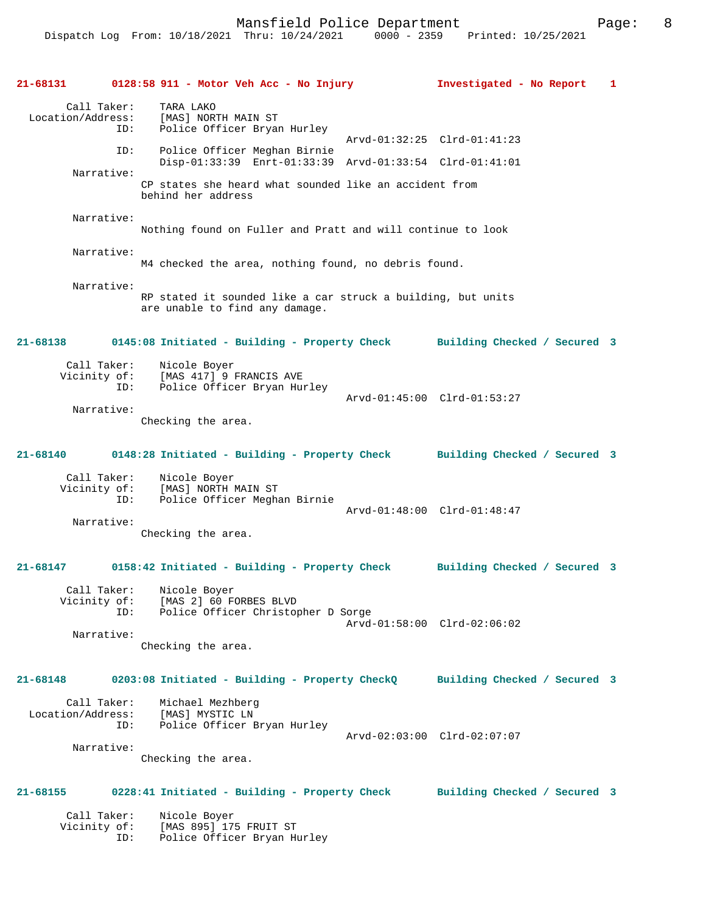|              |                                         | 21-68131 0128:58 911 - Motor Veh Acc - No Injury                                                | Investigated - No Report                                                            | 1 |
|--------------|-----------------------------------------|-------------------------------------------------------------------------------------------------|-------------------------------------------------------------------------------------|---|
|              | Call Taker:<br>ID:                      | TARA LAKO<br>Location/Address: [MAS] NORTH MAIN ST<br>Police Officer Bryan Hurley               |                                                                                     |   |
|              | ID:                                     | Police Officer Meghan Birnie                                                                    | Arvd-01:32:25 Clrd-01:41:23                                                         |   |
|              | Narrative:                              | Disp-01:33:39 Enrt-01:33:39 Arvd-01:33:54 Clrd-01:41:01                                         |                                                                                     |   |
|              |                                         | CP states she heard what sounded like an accident from<br>behind her address                    |                                                                                     |   |
|              | Narrative:                              | Nothing found on Fuller and Pratt and will continue to look                                     |                                                                                     |   |
|              | Narrative:                              | M4 checked the area, nothing found, no debris found.                                            |                                                                                     |   |
|              | Narrative:                              | RP stated it sounded like a car struck a building, but units<br>are unable to find any damage.  |                                                                                     |   |
| $21 - 68138$ |                                         |                                                                                                 | 0145:08 Initiated - Building - Property Check Building Checked / Secured 3          |   |
|              | ID:                                     | Call Taker: Nicole Boyer<br>Vicinity of: [MAS 417] 9 FRANCIS AVE<br>Police Officer Bryan Hurley | Arvd-01:45:00 Clrd-01:53:27                                                         |   |
|              | Narrative:                              | Checking the area.                                                                              |                                                                                     |   |
| 21-68140     |                                         |                                                                                                 | 0148:28 Initiated - Building - Property Check Building Checked / Secured 3          |   |
|              | Call Taker:<br>ID:                      | Nicole Boyer<br>Vicinity of: [MAS] NORTH MAIN ST<br>Police Officer Meghan Birnie                | Arvd-01:48:00 Clrd-01:48:47                                                         |   |
|              | Narrative:                              |                                                                                                 |                                                                                     |   |
|              |                                         | Checking the area.                                                                              |                                                                                     |   |
|              |                                         |                                                                                                 | 21-68147 0158:42 Initiated - Building - Property Check Building Checked / Secured 3 |   |
|              | Vicinity of:<br>ID:                     | Call Taker: Nicole Boyer<br>[MAS 2] 60 FORBES BLVD<br>Police Officer Christopher D Sorge        |                                                                                     |   |
|              | Narrative:                              |                                                                                                 | Arvd-01:58:00 Clrd-02:06:02                                                         |   |
|              |                                         | Checking the area.                                                                              |                                                                                     |   |
| $21 - 68148$ |                                         | 0203:08 Initiated - Building - Property CheckQ                                                  | Building Checked / Secured 3                                                        |   |
|              | Call Taker:<br>Location/Address:<br>ID: | Michael Mezhberg<br>[MAS] MYSTIC LN<br>Police Officer Bryan Hurley                              |                                                                                     |   |
|              | Narrative:                              | Checking the area.                                                                              | Arvd-02:03:00 Clrd-02:07:07                                                         |   |
| 21-68155     |                                         | 0228:41 Initiated - Building - Property Check                                                   | Building Checked / Secured 3                                                        |   |
|              | Call Taker:<br>Vicinity of:<br>ID:      | Nicole Boyer<br>[MAS 895] 175 FRUIT ST<br>Police Officer Bryan Hurley                           |                                                                                     |   |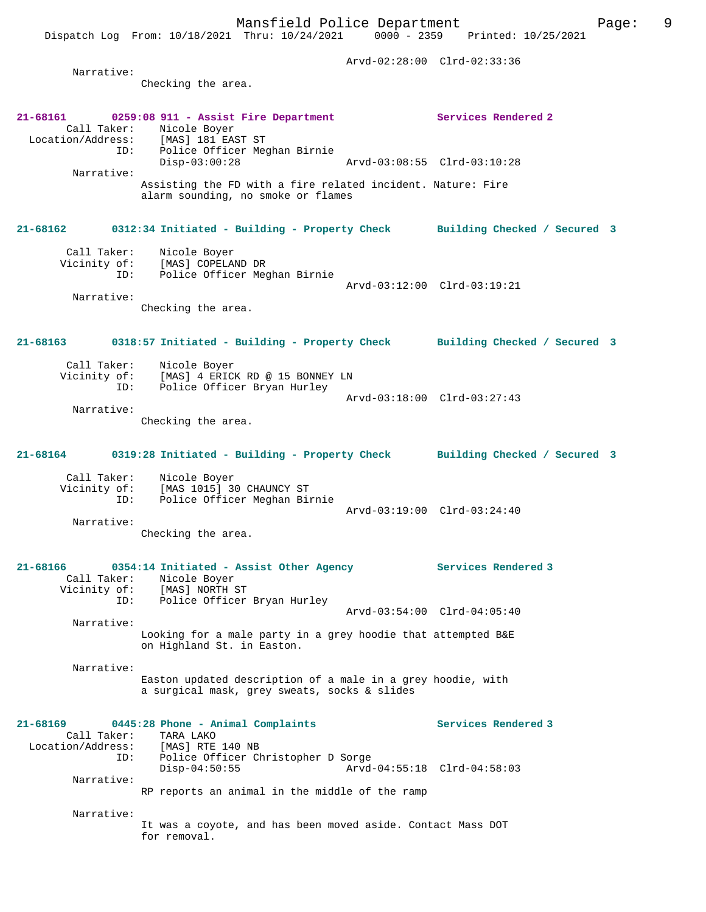Arvd-02:28:00 Clrd-02:33:36 Narrative: Checking the area. **21-68161 0259:08 911 - Assist Fire Department Services Rendered 2**  Call Taker: Nicole Boyer<br>Location/Address: [MAS] 181 EAS Location/Address: [MAS] 181 EAST ST ID: Police Officer Meghan Birnie Disp-03:00:28 Arvd-03:08:55 Clrd-03:10:28 Narrative: Assisting the FD with a fire related incident. Nature: Fire alarm sounding, no smoke or flames **21-68162 0312:34 Initiated - Building - Property Check Building Checked / Secured 3** Call Taker: Nicole Boyer Vicinity of: [MAS] COPELAND DR ID: Police Officer Meghan Birnie Arvd-03:12:00 Clrd-03:19:21 Narrative: Checking the area. **21-68163 0318:57 Initiated - Building - Property Check Building Checked / Secured 3** Call Taker: Nicole Boyer<br>Vicinity of: Vicinity of: [MAS] 4 ERICK RD @ 15 BONNEY LN OT: IMASI & ANION AD & 10 DOMANDION: Police Officer Bryan Hurley Arvd-03:18:00 Clrd-03:27:43 Narrative: Checking the area. **21-68164 0319:28 Initiated - Building - Property Check Building Checked / Secured 3** Call Taker: Nicole Boyer Vicinity of: [MAS 1015] 30 CHAUNCY ST ID: Police Officer Meghan Birnie Arvd-03:19:00 Clrd-03:24:40 Narrative: Checking the area. **21-68166 0354:14 Initiated - Assist Other Agency Services Rendered 3**  Call Taker: Nicole Boyer<br>Vicinity of: [MAS] NORTH 9 Vicinity of: [MAS] NORTH ST ID: Police Officer Bryan Hurley Arvd-03:54:00 Clrd-04:05:40 Narrative: Looking for a male party in a grey hoodie that attempted B&E on Highland St. in Easton. Narrative: Easton updated description of a male in a grey hoodie, with a surgical mask, grey sweats, socks & slides **21-68169 0445:28 Phone - Animal Complaints Services Rendered 3**  Call Taker: TARA LAKO Location/Address: [MAS] RTE 140 NB ID: Police Officer Christopher D Sorge Disp-04:50:55 Arvd-04:55:18 Clrd-04:58:03 Narrative: RP reports an animal in the middle of the ramp Narrative: It was a coyote, and has been moved aside. Contact Mass DOT for removal.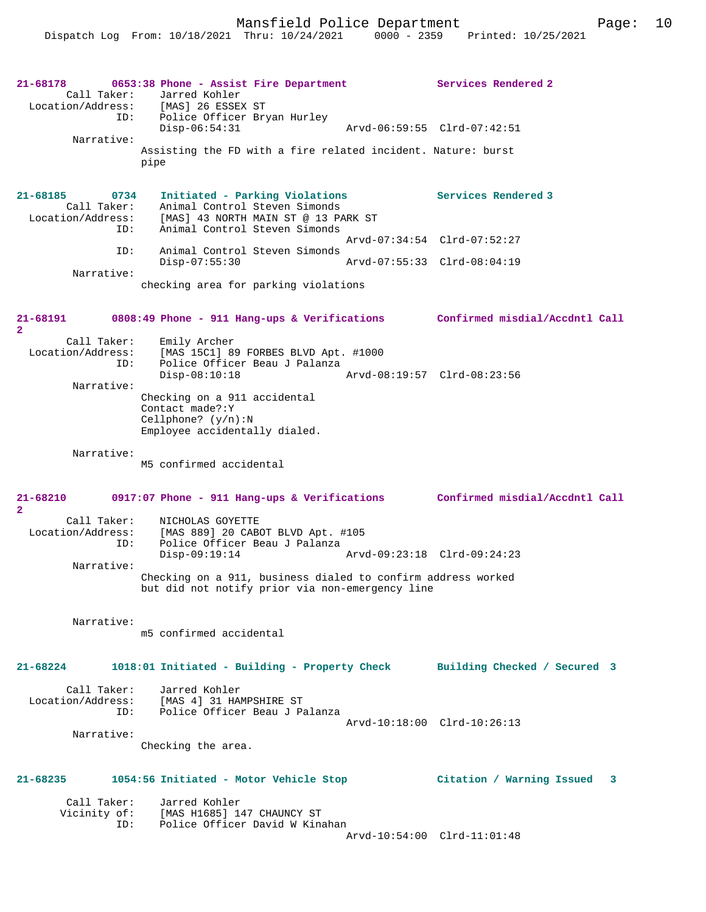| $21 - 68178$<br>ID:                                         | 0653:38 Phone - Assist Fire Department<br>Call Taker: Jarred Kohler<br>Location/Address: [MAS] 26 ESSEX ST<br>Police Officer Bryan Hurley | Services Rendered 2              |
|-------------------------------------------------------------|-------------------------------------------------------------------------------------------------------------------------------------------|----------------------------------|
| Narrative:                                                  | $Disp-06:54:31$                                                                                                                           | Arvd-06:59:55 Clrd-07:42:51      |
|                                                             | Assisting the FD with a fire related incident. Nature: burst<br>pipe                                                                      |                                  |
| 21-68185<br>0734<br>Call Taker:<br>Location/Address:<br>ID: | Initiated - Parking Violations<br>Animal Control Steven Simonds<br>[MAS] 43 NORTH MAIN ST @ 13 PARK ST<br>Animal Control Steven Simonds   | Services Rendered 3              |
| ID:                                                         | Animal Control Steven Simonds                                                                                                             | Arvd-07:34:54 Clrd-07:52:27      |
| Narrative:                                                  | $Disp-07:55:30$                                                                                                                           | Arvd-07:55:33 Clrd-08:04:19      |
|                                                             | checking area for parking violations                                                                                                      |                                  |
| 21-68191<br>$\overline{2}$                                  | 0808:49 Phone - 911 Hang-ups & Verifications Confirmed misdial/Accdntl Call                                                               |                                  |
| Call Taker:<br>Location/Address:<br>ID:                     | Emily Archer<br>[MAS 15C1] 89 FORBES BLVD Apt. #1000<br>Police Officer Beau J Palanza                                                     |                                  |
| Narrative:                                                  | $Disp-08:10:18$                                                                                                                           | Arvd-08:19:57 Clrd-08:23:56      |
|                                                             | Checking on a 911 accidental<br>Contact made?: Y<br>Cellphone? $(y/n):N$<br>Employee accidentally dialed.                                 |                                  |
| Narrative:                                                  | M5 confirmed accidental                                                                                                                   |                                  |
| $21 - 68210$<br>$\overline{2}$                              | 0917:07 Phone - 911 Hang-ups & Verifications Confirmed misdial/Accdntl Call                                                               |                                  |
| Call Taker:<br>Location/Address:<br>ID:                     | NICHOLAS GOYETTE<br>[MAS 889] 20 CABOT BLVD Apt. #105<br>Police Officer Beau J Palanza                                                    |                                  |
| Narrative:                                                  | $Disp-09:19:14$                                                                                                                           | Arvd-09:23:18 Clrd-09:24:23      |
|                                                             | Checking on a 911, business dialed to confirm address worked<br>but did not notify prior via non-emergency line                           |                                  |
| Narrative:                                                  | m5 confirmed accidental                                                                                                                   |                                  |
|                                                             |                                                                                                                                           |                                  |
| $21 - 68224$                                                | 1018:01 Initiated - Building - Property Check                                                                                             | Building Checked / Secured 3     |
| Call Taker:                                                 | Jarred Kohler<br>Location/Address: [MAS 4] 31 HAMPSHIRE ST                                                                                |                                  |
| ID:                                                         | Police Officer Beau J Palanza                                                                                                             | Arvd-10:18:00 Clrd-10:26:13      |
| Narrative:                                                  | Checking the area.                                                                                                                        |                                  |
| 21-68235                                                    | 1054:56 Initiated - Motor Vehicle Stop                                                                                                    | Citation / Warning Issued<br>- 3 |
| Call Taker:<br>Vicinity of:                                 | Jarred Kohler<br>[MAS H1685] 147 CHAUNCY ST                                                                                               |                                  |
| ID:                                                         | Police Officer David W Kinahan                                                                                                            | Arvd-10:54:00 Clrd-11:01:48      |
|                                                             |                                                                                                                                           |                                  |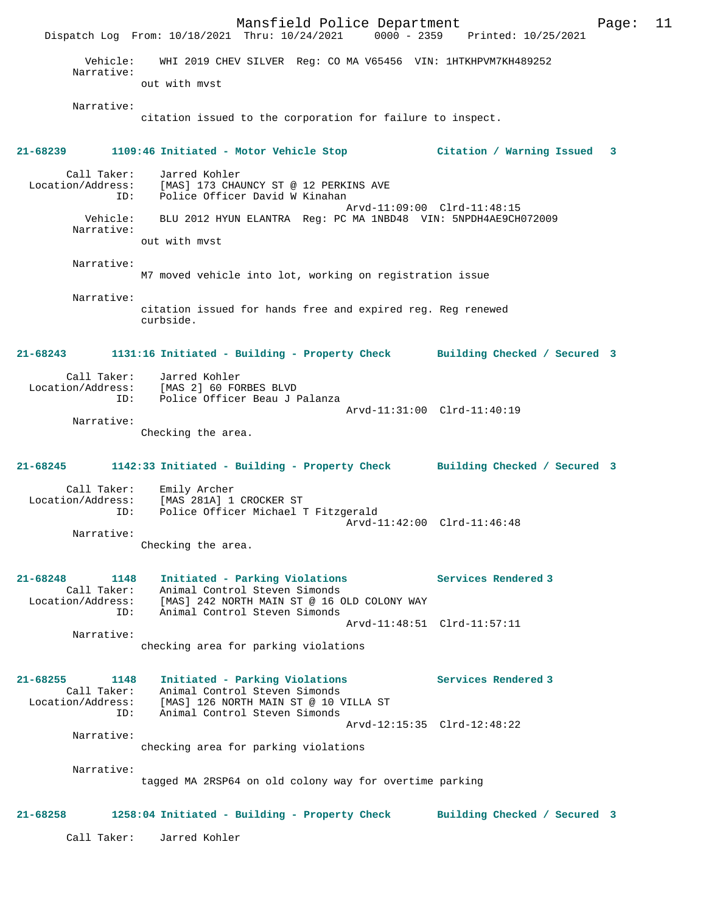Mansfield Police Department Page: 11 Dispatch Log From: 10/18/2021 Thru: 10/24/2021 0000 - 2359 Printed: 10/25/2021 Vehicle: WHI 2019 CHEV SILVER Reg: CO MA V65456 VIN: 1HTKHPVM7KH489252 Narrative: out with mvst Narrative: citation issued to the corporation for failure to inspect. **21-68239 1109:46 Initiated - Motor Vehicle Stop Citation / Warning Issued 3** Call Taker: Jarred Kohler Location/Address: [MAS] 173 CHAUNCY ST @ 12 PERKINS AVE ID: Police Officer David W Kinahan Arvd-11:09:00 Clrd-11:48:15<br>Vehicle: BLU 2012 HYUN ELANTRA Req: PC MA 1NBD48 VIN: 5NPDH4AE9CH BLU 2012 HYUN ELANTRA Reg: PC MA 1NBD48 VIN: 5NPDH4AE9CH072009 Narrative: out with mvst Narrative: M7 moved vehicle into lot, working on registration issue Narrative: citation issued for hands free and expired reg. Reg renewed curbside. **21-68243 1131:16 Initiated - Building - Property Check Building Checked / Secured 3** Call Taker: Jarred Kohler Location/Address: [MAS 2] 60 FORBES BLVD ID: Police Officer Beau J Palanza Arvd-11:31:00 Clrd-11:40:19 Narrative: Checking the area. **21-68245 1142:33 Initiated - Building - Property Check Building Checked / Secured 3** Call Taker: Emily Archer Location/Address: [MAS 281A] 1 CROCKER ST ID: Police Officer Michael T Fitzgerald Arvd-11:42:00 Clrd-11:46:48 Narrative: Checking the area. **21-68248 1148 Initiated - Parking Violations Services Rendered 3**  Call Taker: Animal Control Steven Simonds Location/Address: [MAS] 242 NORTH MAIN ST @ 16 OLD COLONY WAY ID: Animal Control Steven Simonds Arvd-11:48:51 Clrd-11:57:11 Narrative: checking area for parking violations **21-68255 1148 Initiated - Parking Violations Services Rendered 3**  Call Taker: Animal Control Steven Simonds Location/Address: [MAS] 126 NORTH MAIN ST @ 10 VILLA ST ID: Animal Control Steven Simonds Arvd-12:15:35 Clrd-12:48:22 Narrative: checking area for parking violations Narrative: tagged MA 2RSP64 on old colony way for overtime parking **21-68258 1258:04 Initiated - Building - Property Check Building Checked / Secured 3** Call Taker: Jarred Kohler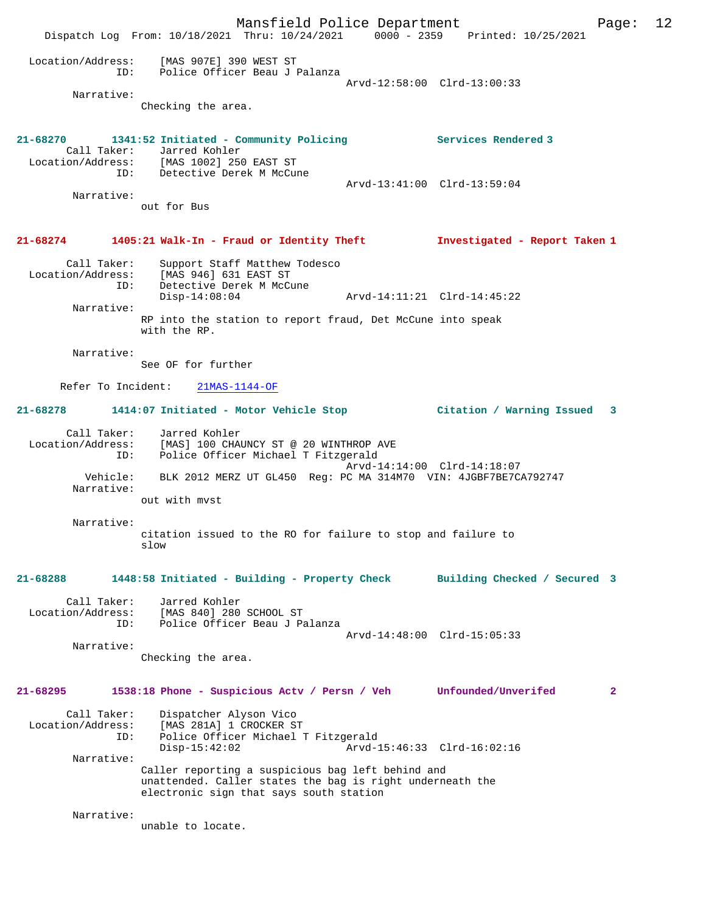Mansfield Police Department Page: 12 Dispatch Log From: 10/18/2021 Thru: 10/24/2021 0000 - 2359 Printed: 10/25/2021 Location/Address: [MAS 907E] 390 WEST ST ID: Police Officer Beau J Palanza Arvd-12:58:00 Clrd-13:00:33 Narrative: Checking the area. **21-68270 1341:52 Initiated - Community Policing Services Rendered 3**  Call Taker: Jarred Kohler Location/Address: [MAS 1002] 250 EAST ST ID: Detective Derek M McCune Arvd-13:41:00 Clrd-13:59:04 Narrative: out for Bus **21-68274 1405:21 Walk-In - Fraud or Identity Theft Investigated - Report Taken 1** Call Taker: Support Staff Matthew Todesco Location/Address: [MAS 946] 631 EAST ST<br>ID: Detective Derek M McCu Detective Derek M McCune<br>Disp-14:08:04 Disp-14:08:04 Arvd-14:11:21 Clrd-14:45:22 Narrative: RP into the station to report fraud, Det McCune into speak with the RP. Narrative: See OF for further Refer To Incident: 21MAS-1144-OF **21-68278 1414:07 Initiated - Motor Vehicle Stop Citation / Warning Issued 3** Call Taker: Jarred Kohler Location/Address: [MAS] 100 CHAUNCY ST @ 20 WINTHROP AVE ID: Police Officer Michael T Fitzgerald Arvd-14:14:00 Clrd-14:18:07 Vehicle: BLK 2012 MERZ UT GL450 Reg: PC MA 314M70 VIN: 4JGBF7BE7CA792747 Narrative: out with mvst Narrative: citation issued to the RO for failure to stop and failure to slow **21-68288 1448:58 Initiated - Building - Property Check Building Checked / Secured 3** Call Taker: Jarred Kohler Location/Address: [MAS 840] 280 SCHOOL ST ID: Police Officer Beau J Palanza Arvd-14:48:00 Clrd-15:05:33 Narrative: Checking the area. **21-68295 1538:18 Phone - Suspicious Actv / Persn / Veh Unfounded/Unverifed 2** Call Taker: Dispatcher Alyson Vico Location/Address: [MAS 281A] 1 CROCKER ST<br>ID: Police Officer Michael 1 ID: Police Officer Michael T Fitzgerald Disp-15:42:02 Arvd-15:46:33 Clrd-16:02:16 Narrative: Caller reporting a suspicious bag left behind and unattended. Caller states the bag is right underneath the electronic sign that says south station Narrative: unable to locate.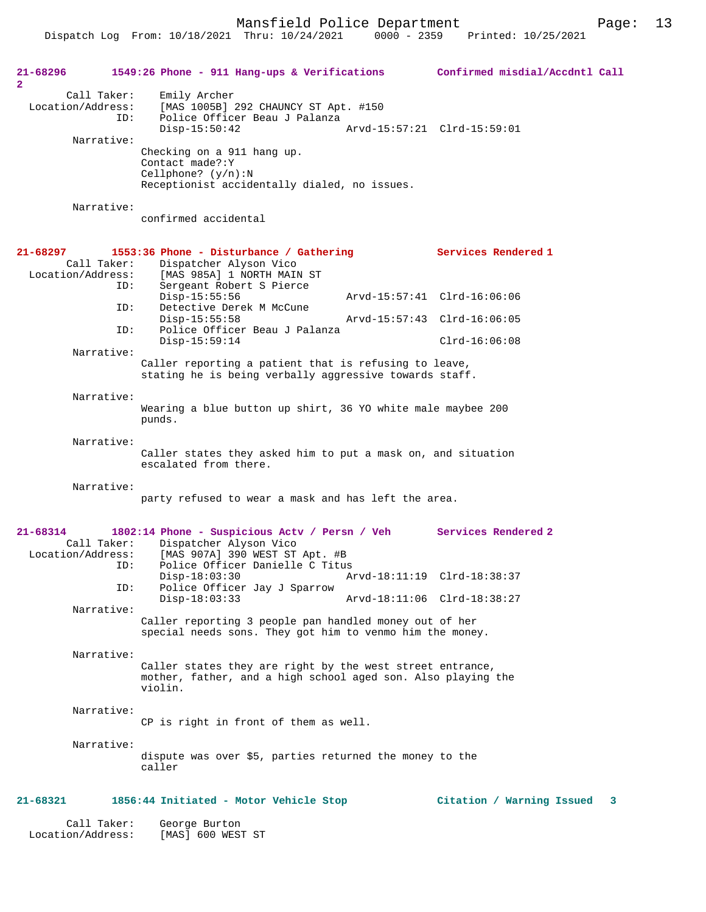Mansfield Police Department Fage: 13

| 21-68296<br>$\mathbf{2}$                                | 1549:26 Phone - 911 Hang-ups & Verifications Confirmed misdial/Accdntl Call                                                                                      |                             |   |
|---------------------------------------------------------|------------------------------------------------------------------------------------------------------------------------------------------------------------------|-----------------------------|---|
| Call Taker:<br>Location/Address:<br>ID:                 | Emily Archer<br>[MAS 1005B] 292 CHAUNCY ST Apt. #150<br>Police Officer Beau J Palanza<br>$Disp-15:50:42$                                                         |                             |   |
| Narrative:                                              | Checking on a 911 hang up.<br>Contact made?: Y<br>Cellphone? $(y/n):N$<br>Receptionist accidentally dialed, no issues.                                           |                             |   |
| Narrative:                                              | confirmed accidental                                                                                                                                             |                             |   |
| 21-68297<br>Call Taker:<br>Location/Address:            | 1553:36 Phone - Disturbance / Gathering<br>Dispatcher Alyson Vico<br>[MAS 985A] 1 NORTH MAIN ST                                                                  | Services Rendered 1         |   |
| ID:                                                     | Sergeant Robert S Pierce<br>$Disp-15:55:56$                                                                                                                      | Arvd-15:57:41 Clrd-16:06:06 |   |
| ID:<br>ID:                                              | Detective Derek M McCune<br>$Disp-15:55:58$<br>Police Officer Beau J Palanza                                                                                     | Arvd-15:57:43 Clrd-16:06:05 |   |
| Narrative:                                              | $Disp-15:59:14$                                                                                                                                                  | $Clrd-16:06:08$             |   |
|                                                         | Caller reporting a patient that is refusing to leave,<br>stating he is being verbally aggressive towards staff.                                                  |                             |   |
| Narrative:                                              | Wearing a blue button up shirt, 36 YO white male maybee 200<br>punds.                                                                                            |                             |   |
| Narrative:                                              | Caller states they asked him to put a mask on, and situation<br>escalated from there.                                                                            |                             |   |
| Narrative:                                              | party refused to wear a mask and has left the area.                                                                                                              |                             |   |
| $21 - 68314$<br>Call Taker:<br>Location/Address:<br>ID: | 1802:14 Phone - Suspicious Actv / Persn / Veh Services Rendered 2<br>Dispatcher Alyson Vico<br>[MAS 907A] 390 WEST ST Apt. #B<br>Police Officer Danielle C Titus |                             |   |
| ID:                                                     | Disp-18:03:30 Arvd-18:11:19 Clrd-18:38:37<br>Police Officer Jay J Sparrow                                                                                        |                             |   |
| Narrative:                                              | $Disp-18:03:33$<br>Caller reporting 3 people pan handled money out of her<br>special needs sons. They got him to venmo him the money.                            | Arvd-18:11:06 Clrd-18:38:27 |   |
| Narrative:                                              | Caller states they are right by the west street entrance,<br>mother, father, and a high school aged son. Also playing the<br>violin.                             |                             |   |
| Narrative:                                              | CP is right in front of them as well.                                                                                                                            |                             |   |
| Narrative:                                              | dispute was over \$5, parties returned the money to the<br>caller                                                                                                |                             |   |
| 21-68321                                                | 1856:44 Initiated - Motor Vehicle Stop                                                                                                                           | Citation / Warning Issued   | 3 |
| Call Taker:                                             | George Burton                                                                                                                                                    |                             |   |

Location/Address: [MAS] 600 WEST ST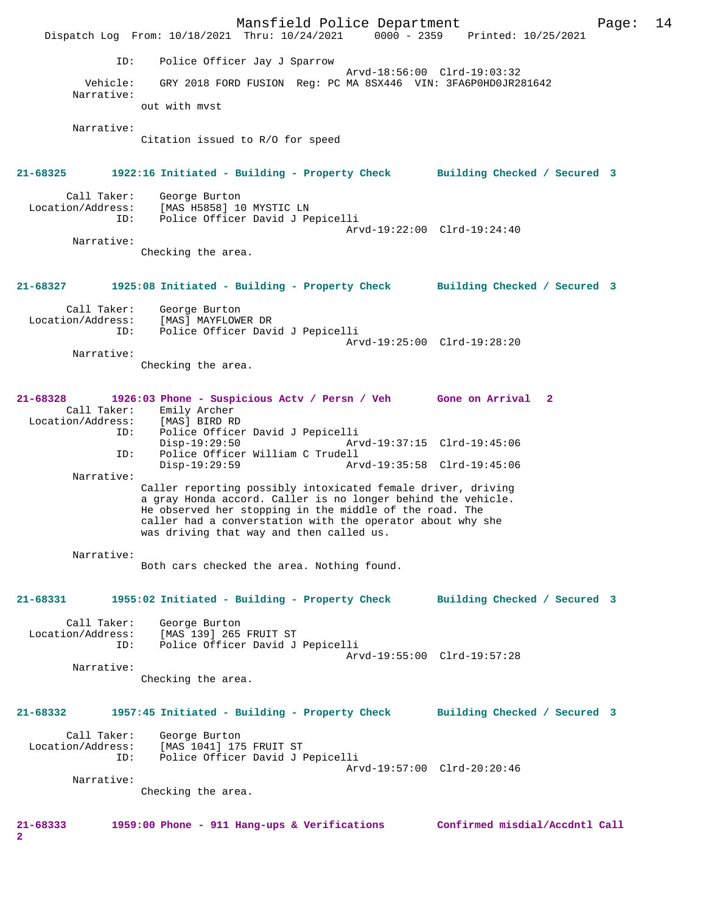Mansfield Police Department Form Page: 14 Dispatch Log From: 10/18/2021 Thru: 10/24/2021 0000 - 2359 Printed: 10/25/2021 ID: Police Officer Jay J Sparrow Arvd-18:56:00 Clrd-19:03:32<br>Vehicle: GRY 2018 FORD FUSION Reg: PC MA 8SX446 VIN: 3FA6P0HD0JR28 GRY 2018 FORD FUSION Reg: PC MA 8SX446 VIN: 3FA6P0HD0JR281642 Narrative: out with mvst Narrative: Citation issued to R/O for speed **21-68325 1922:16 Initiated - Building - Property Check Building Checked / Secured 3** Call Taker: George Burton<br>Location/Address: [MAS H5858] 10 ess: [MAS<sup>]</sup>H5858] 10 MYSTIC LN<br>ID: Police Officer David J Pe Police Officer David J Pepicelli Arvd-19:22:00 Clrd-19:24:40 Narrative: Checking the area. **21-68327 1925:08 Initiated - Building - Property Check Building Checked / Secured 3** Call Taker: George Burton Location/Address: [MAS] MAYFLOWER DR ID: Police Officer David J Pepicelli Arvd-19:25:00 Clrd-19:28:20 Narrative: Checking the area. **21-68328 1926:03 Phone - Suspicious Actv / Persn / Veh Gone on Arrival 2**  Call Taker: Emily Archer<br>ion/Address: [MAS] BIRD RD Location/Address:<br>ID: Police Officer David J Pepicelli<br>Disp-19:29:50 Arv Disp-19:29:50 Arvd-19:37:15 Clrd-19:45:06 ID: Police Officer William C Trudell Disp-19:29:59 Arvd-19:35:58 Clrd-19:45:06 Narrative: Caller reporting possibly intoxicated female driver, driving a gray Honda accord. Caller is no longer behind the vehicle. He observed her stopping in the middle of the road. The caller had a converstation with the operator about why she was driving that way and then called us. Narrative: Both cars checked the area. Nothing found. **21-68331 1955:02 Initiated - Building - Property Check Building Checked / Secured 3** Call Taker: George Burton Location/Address: [MAS 139] 265 FRUIT ST Police Officer David J Pepicelli Arvd-19:55:00 Clrd-19:57:28 Narrative: Checking the area. **21-68332 1957:45 Initiated - Building - Property Check Building Checked / Secured 3** Call Taker: George Burton Location/Address: [MAS 1041] 175 FRUIT ST ID: Police Officer David J Pepicelli Arvd-19:57:00 Clrd-20:20:46 Narrative: Checking the area. **21-68333 1959:00 Phone - 911 Hang-ups & Verifications Confirmed misdial/Accdntl Call 2**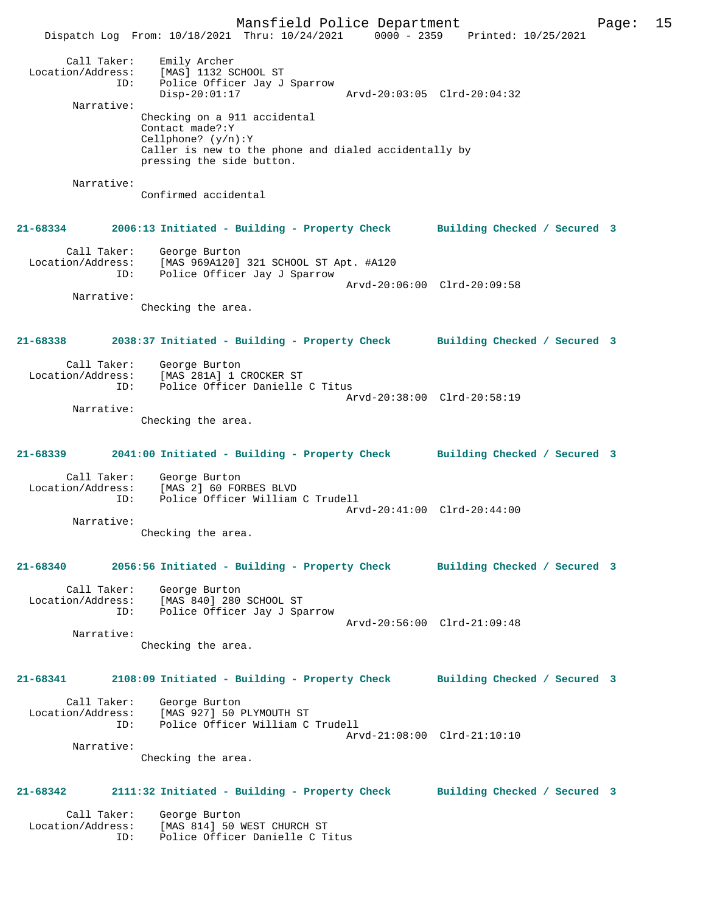Mansfield Police Department Page: 15 Dispatch Log From: 10/18/2021 Thru: 10/24/2021 0000 - 2359 Printed: 10/25/2021 Call Taker: Emily Archer<br>Location/Address: [MAS] 1132 S [MAS] 1132 SCHOOL ST ID: Police Officer Jay J Sparrow<br>Disp-20:01:17 Disp-20:01:17 Arvd-20:03:05 Clrd-20:04:32 Narrative: Checking on a 911 accidental Contact made?:Y Cellphone? (y/n):Y Caller is new to the phone and dialed accidentally by pressing the side button. Narrative: Confirmed accidental **21-68334 2006:13 Initiated - Building - Property Check Building Checked / Secured 3** Call Taker: George Burton Location/Address: [MAS 969A120] 321 SCHOOL ST Apt. #A120 ID: Police Officer Jay J Sparrow Arvd-20:06:00 Clrd-20:09:58 Narrative: Checking the area. **21-68338 2038:37 Initiated - Building - Property Check Building Checked / Secured 3** Call Taker: George Burton Location/Address: [MAS 281A] 1 CROCKER ST ID: Police Officer Danielle C Titus Arvd-20:38:00 Clrd-20:58:19 Narrative: Checking the area. **21-68339 2041:00 Initiated - Building - Property Check Building Checked / Secured 3** Call Taker: George Burton Location/Address: [MAS 2] 60 FORBES BLVD Police Officer William C Trudell Arvd-20:41:00 Clrd-20:44:00 Narrative: Checking the area. **21-68340 2056:56 Initiated - Building - Property Check Building Checked / Secured 3** Call Taker: George Burton<br>.on/Address: [MAS 840] 280 SCHOOL ST Location/Address: [MAS 840] 280 SCHOOL ST ID: Police Officer Jay J Sparrow Arvd-20:56:00 Clrd-21:09:48 Narrative: Checking the area. **21-68341 2108:09 Initiated - Building - Property Check Building Checked / Secured 3** Call Taker: George Burton Location/Address: [MAS 927] 50 PLYMOUTH ST Police Officer William C Trudell Arvd-21:08:00 Clrd-21:10:10 Narrative: Checking the area. **21-68342 2111:32 Initiated - Building - Property Check Building Checked / Secured 3** Call Taker: George Burton Location/Address: [MAS 814] 50 WEST CHURCH ST ID: Police Officer Danielle C Titus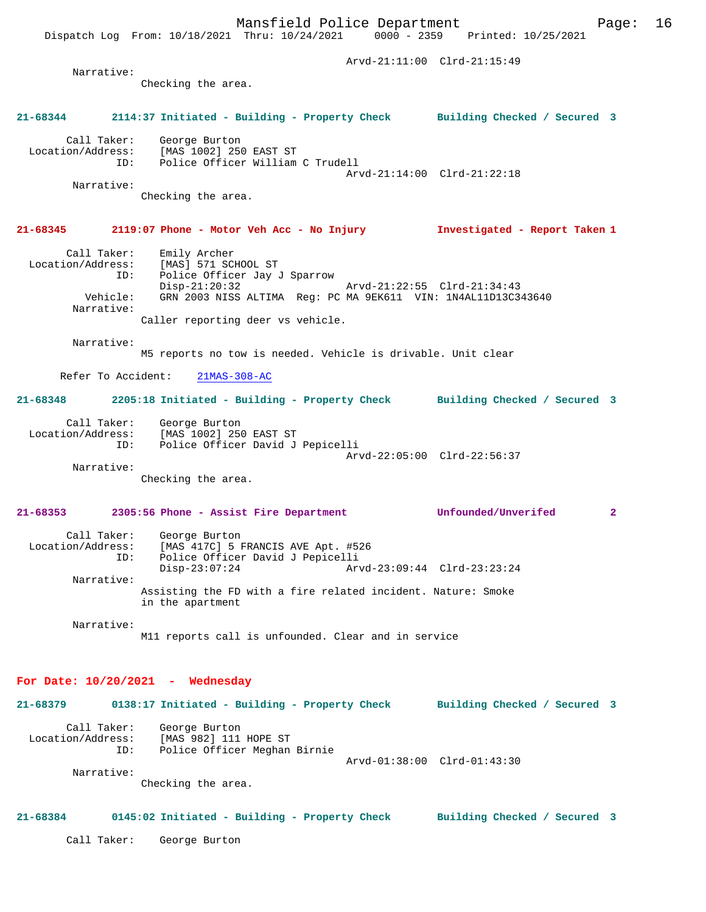Mansfield Police Department Page: 16 Dispatch Log From: 10/18/2021 Thru: 10/24/2021 Arvd-21:11:00 Clrd-21:15:49 Narrative: Checking the area. **21-68344 2114:37 Initiated - Building - Property Check Building Checked / Secured 3** Call Taker: George Burton Location/Address: [MAS 1002] 250 EAST ST<br>ID: Police Officer William Police Officer William C Trudell Arvd-21:14:00 Clrd-21:22:18 Narrative: Checking the area. **21-68345 2119:07 Phone - Motor Veh Acc - No Injury Investigated - Report Taken 1** Call Taker: Emily Archer<br>Location/Address: [MAS] 571 SC [MAS] 571 SCHOOL ST ID: Police Officer Jay J Sparrow Disp-21:20:32 Arvd-21:22:55 Clrd-21:34:43<br>Vehicle: GRN 2003 NISS ALTIMA Reg: PC MA 9EK611 VIN: 1N4AL11D13C3 GRN 2003 NISS ALTIMA Reg: PC MA 9EK611 VIN: 1N4AL11D13C343640 Narrative: Caller reporting deer vs vehicle. Narrative: M5 reports no tow is needed. Vehicle is drivable. Unit clear Refer To Accident: 21MAS-308-AC **21-68348 2205:18 Initiated - Building - Property Check Building Checked / Secured 3** Call Taker: George Burton Location/Address: [MAS 1002] 250 EAST ST Police Officer David J Pepicelli Arvd-22:05:00 Clrd-22:56:37 Narrative: Checking the area. **21-68353 2305:56 Phone - Assist Fire Department Unfounded/Unverifed 2** Call Taker: George Burton<br>Location/Address: [MAS 417C] 5 E [MAS 417C] 5 FRANCIS AVE Apt. #526 ID: Police Officer David J Pepicelli Disp-23:07:24 Arvd-23:09:44 Clrd-23:23:24 Narrative: Assisting the FD with a fire related incident. Nature: Smoke in the apartment Narrative: M11 reports call is unfounded. Clear and in service **For Date: 10/20/2021 - Wednesday 21-68379 0138:17 Initiated - Building - Property Check Building Checked / Secured 3** Call Taker: George Burton Location/Address: [MAS 982] 111 HOPE ST ID: Police Officer Meghan Birnie Arvd-01:38:00 Clrd-01:43:30 Narrative: Checking the area.

### **21-68384 0145:02 Initiated - Building - Property Check Building Checked / Secured 3**

Call Taker: George Burton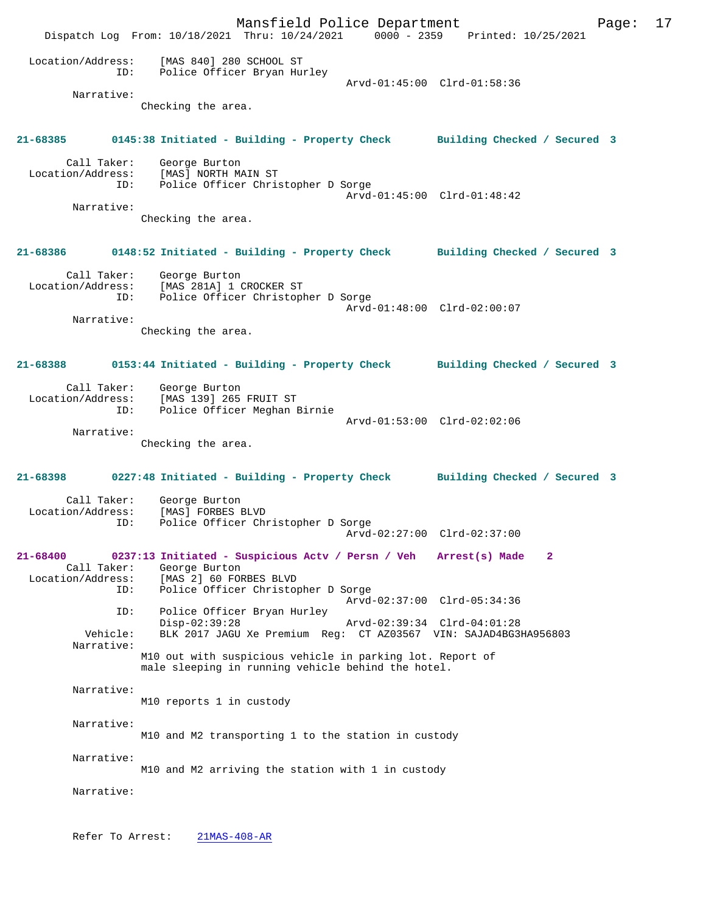Mansfield Police Department Page: 17 Dispatch Log From: 10/18/2021 Thru: 10/24/2021 Location/Address: [MAS 840] 280 SCHOOL ST ID: Police Officer Bryan Hurley Arvd-01:45:00 Clrd-01:58:36 Narrative: Checking the area. **21-68385 0145:38 Initiated - Building - Property Check Building Checked / Secured 3** Call Taker: George Burton<br>Location/Address: [MAS] NORTH MA ess: [MAS] NORTH MAIN ST<br>ID: Police Officer Chris Police Officer Christopher D Sorge Arvd-01:45:00 Clrd-01:48:42 Narrative: Checking the area. **21-68386 0148:52 Initiated - Building - Property Check Building Checked / Secured 3** Call Taker: George Burton Location/Address: [MAS 281A] 1 CROCKER ST Police Officer Christopher D Sorge Arvd-01:48:00 Clrd-02:00:07 Narrative: Checking the area. **21-68388 0153:44 Initiated - Building - Property Check Building Checked / Secured 3** Call Taker: George Burton<br>Location/Address: [MAS 139] 265 ess: [MAS 139] 265 FRUIT ST<br>ID: Police Officer Meghan B Police Officer Meghan Birnie Arvd-01:53:00 Clrd-02:02:06 Narrative: Checking the area. **21-68398 0227:48 Initiated - Building - Property Check Building Checked / Secured 3** Call Taker: George Burton<br>.on/Address: [MAS] FORBES BLVD Location/Address:<br>ID: Police Officer Christopher D Sorge Arvd-02:27:00 Clrd-02:37:00 **21-68400 0237:13 Initiated - Suspicious Actv / Persn / Veh Arrest(s) Made 2**  Call Taker: George Burton<br>Location/Address: [MAS 2] 60 FOI ess: [MAS 2] 60 FORBES BLVD<br>ID: Police Officer Christop Police Officer Christopher D Sorge Arvd-02:37:00 Clrd-05:34:36 ID: Police Officer Bryan Hurley Disp-02:39:28 Arvd-02:39:34 Clrd-04:01:28 BLK 2017 JAGU Xe Premium Reg: CT AZ03567 VIN: SAJAD4BG3HA956803 Narrative: M10 out with suspicious vehicle in parking lot. Report of male sleeping in running vehicle behind the hotel. Narrative: M10 reports 1 in custody Narrative: M10 and M2 transporting 1 to the station in custody Narrative: M10 and M2 arriving the station with 1 in custody Narrative: Refer To Arrest: 21MAS-408-AR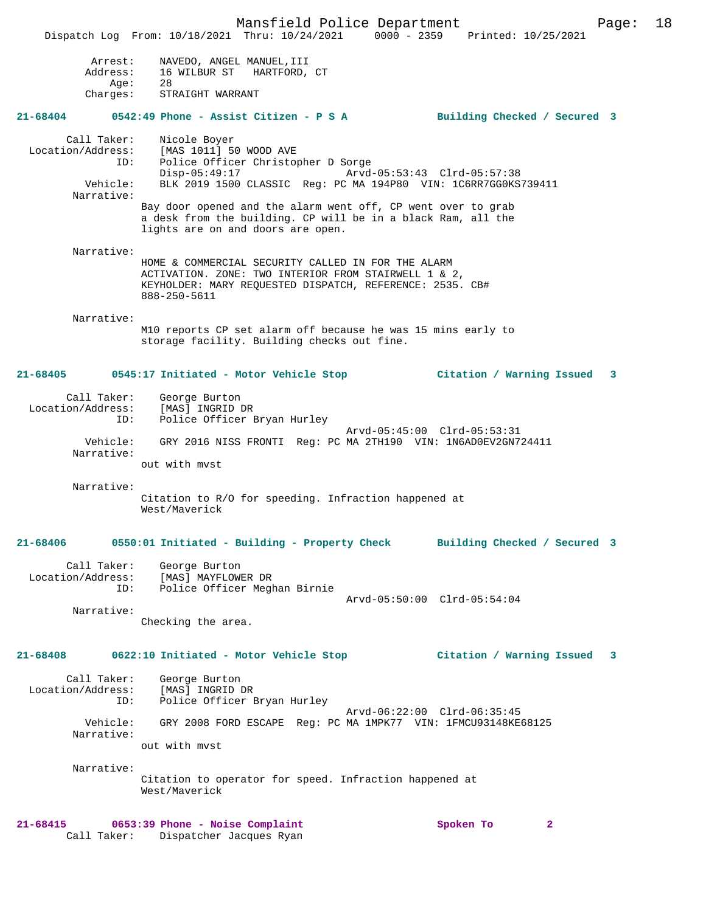Mansfield Police Department Page: 18 Dispatch Log From: 10/18/2021 Thru: 10/24/2021 0000 - 2359 Printed: 10/25/2021 Arrest: NAVEDO, ANGEL MANUEL,III Address: 16 WILBUR ST HARTFORD, CT Age: 28 Charges: STRAIGHT WARRANT **21-68404 0542:49 Phone - Assist Citizen - P S A Building Checked / Secured 3** Call Taker: Nicole Boyer Location/Address: [MAS 1011] 50 WOOD AVE ID: Police Officer Christopher D Sorge Disp-05:49:17 Arvd-05:53:43 Clrd-05:57:38<br>Vehicle: BLK 2019 1500 CLASSIC Req: PC MA 194P80 VIN: 1C6RR7GG0KS BLK 2019 1500 CLASSIC Reg: PC MA 194P80 VIN: 1C6RR7GG0KS739411 Narrative: Bay door opened and the alarm went off, CP went over to grab a desk from the building. CP will be in a black Ram, all the lights are on and doors are open. Narrative: HOME & COMMERCIAL SECURITY CALLED IN FOR THE ALARM ACTIVATION. ZONE: TWO INTERIOR FROM STAIRWELL 1 & 2, KEYHOLDER: MARY REQUESTED DISPATCH, REFERENCE: 2535. CB# 888-250-5611 Narrative: M10 reports CP set alarm off because he was 15 mins early to storage facility. Building checks out fine. **21-68405 0545:17 Initiated - Motor Vehicle Stop Citation / Warning Issued 3** Call Taker: George Burton Location/Address: [MAS] INGRID DR ID: Police Officer Bryan Hurley Arvd-05:45:00 Clrd-05:53:31 Vehicle: GRY 2016 NISS FRONTI Reg: PC MA 2TH190 VIN: 1N6AD0EV2GN724411 Narrative: out with mvst Narrative: Citation to R/O for speeding. Infraction happened at West/Maverick **21-68406 0550:01 Initiated - Building - Property Check Building Checked / Secured 3** Call Taker: George Burton Location/Address: [MAS] MAYFLOWER DR ID: Police Officer Meghan Birnie Arvd-05:50:00 Clrd-05:54:04 Narrative: Checking the area. **21-68408 0622:10 Initiated - Motor Vehicle Stop Citation / Warning Issued 3** Call Taker: George Burton Location/Address: [MAS] INGRID DR ID: Police Officer Bryan Hurley Arvd-06:22:00 Clrd-06:35:45 Vehicle: GRY 2008 FORD ESCAPE Reg: PC MA 1MPK77 VIN: 1FMCU93148KE68125 Narrative: out with mvst Narrative: Citation to operator for speed. Infraction happened at West/Maverick **21-68415 0653:39 Phone - Noise Complaint Spoken To 2**  Call Taker: Dispatcher Jacques Ryan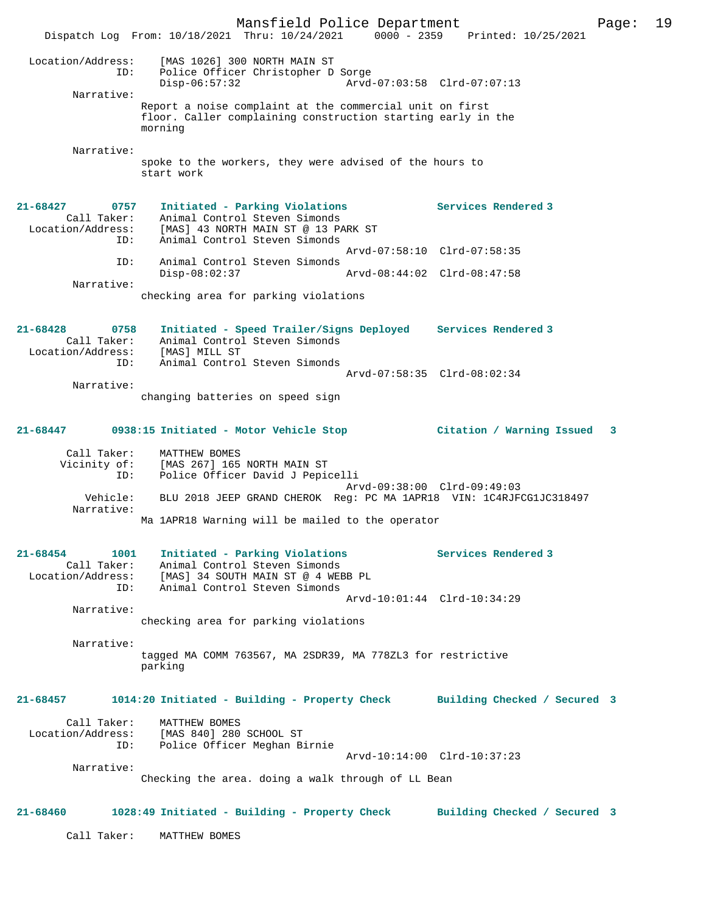Mansfield Police Department Page: 19 Dispatch Log From: 10/18/2021 Thru: 10/24/2021 Location/Address: [MAS 1026] 300 NORTH MAIN ST ID: Police Officer Christopher D Sorge Disp-06:57:32 Arvd-07:03:58 Clrd-07:07:13 Narrative: Report a noise complaint at the commercial unit on first floor. Caller complaining construction starting early in the morning Narrative: spoke to the workers, they were advised of the hours to start work **21-68427 0757 Initiated - Parking Violations Services Rendered 3**  Call Taker: Animal Control Steven Simonds Location/Address: [MAS] 43 NORTH MAIN ST @ 13 PARK ST ID: Animal Control Steven Simonds Arvd-07:58:10 Clrd-07:58:35 ID: Animal Control Steven Simonds<br>Disp-08:02:37 Disp-08:02:37 Arvd-08:44:02 Clrd-08:47:58 Narrative: checking area for parking violations **21-68428 0758 Initiated - Speed Trailer/Signs Deployed Services Rendered 3**  Call Taker: Animal Control Steven Simonds Location/Address: [MAS] MILL ST<br>D: Animal Control Inimal Control Steven Simonds Arvd-07:58:35 Clrd-08:02:34 Narrative: changing batteries on speed sign **21-68447 0938:15 Initiated - Motor Vehicle Stop Citation / Warning Issued 3** Call Taker: MATTHEW BOMES Vicinity of: [MAS 267] 165 NORTH MAIN ST<br>ID: Police Officer David J Pepi Police Officer David J Pepicelli Arvd-09:38:00 Clrd-09:49:03 Vehicle: BLU 2018 JEEP GRAND CHEROK Reg: PC MA 1APR18 VIN: 1C4RJFCG1JC318497 Narrative: Ma 1APR18 Warning will be mailed to the operator **21-68454 1001 Initiated - Parking Violations Services Rendered 3**  Call Taker: Animal Control Steven Simonds Location/Address: [MAS] 34 SOUTH MAIN ST @ 4 WEBB PL ID: Animal Control Steven Simonds Arvd-10:01:44 Clrd-10:34:29 Narrative: checking area for parking violations Narrative: tagged MA COMM 763567, MA 2SDR39, MA 778ZL3 for restrictive parking **21-68457 1014:20 Initiated - Building - Property Check Building Checked / Secured 3** Call Taker: MATTHEW BOMES Location/Address: [MAS 840] 280 SCHOOL ST ID: Police Officer Meghan Birnie Arvd-10:14:00 Clrd-10:37:23 Narrative: Checking the area. doing a walk through of LL Bean **21-68460 1028:49 Initiated - Building - Property Check Building Checked / Secured 3** Call Taker: MATTHEW BOMES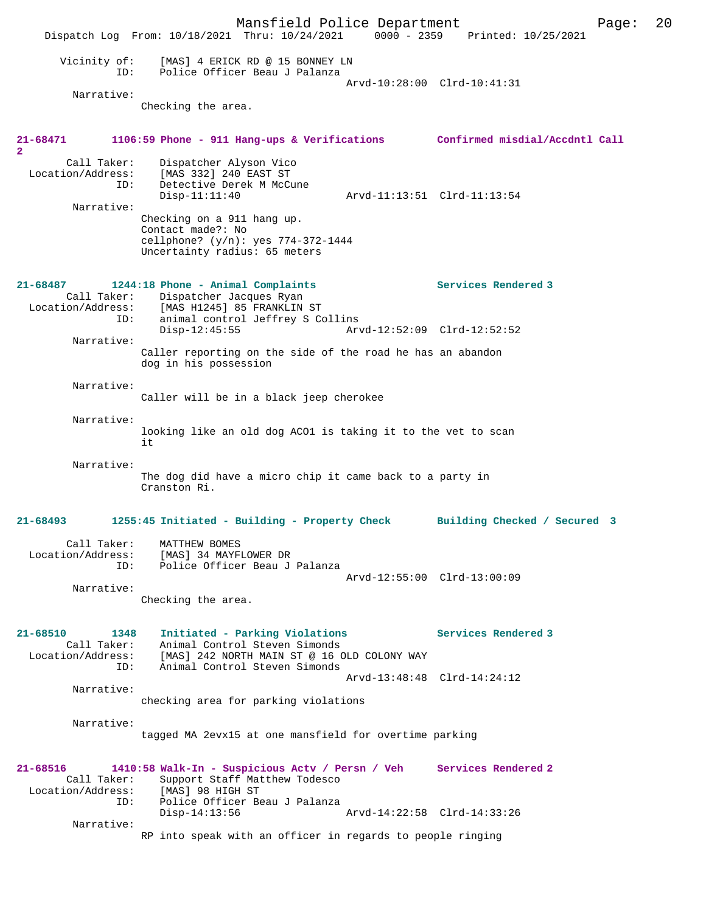Mansfield Police Department Page: 20 Dispatch Log From: 10/18/2021 Thru: 10/24/2021 0000 - 2359 Vicinity of: [MAS] 4 ERICK RD @ 15 BONNEY LN ID: Police Officer Beau J Palanza Arvd-10:28:00 Clrd-10:41:31 Narrative: Checking the area. **21-68471 1106:59 Phone - 911 Hang-ups & Verifications Confirmed misdial/Accdntl Call 2**  Call Taker: Dispatcher Alyson Vico Location/Address: [MAS 332] 240 EAST ST ID: Detective Derek M McCune Disp-11:11:40 Arvd-11:13:51 Clrd-11:13:54 Narrative: Checking on a 911 hang up. Contact made?: No cellphone? (y/n): yes 774-372-1444 Uncertainty radius: 65 meters **21-68487 1244:18 Phone - Animal Complaints Services Rendered 3**  Call Taker: Dispatcher Jacques Ryan Location/Address: [MAS H1245] 85 FRANKLIN ST ID: animal control Jeffrey S Collins<br>Disp-12:45:55 Ary Arvd-12:52:09 Clrd-12:52:52 Narrative: Caller reporting on the side of the road he has an abandon dog in his possession Narrative: Caller will be in a black jeep cherokee Narrative: looking like an old dog ACO1 is taking it to the vet to scan i<sub>t</sub> Narrative: The dog did have a micro chip it came back to a party in Cranston Ri. **21-68493 1255:45 Initiated - Building - Property Check Building Checked / Secured 3** Call Taker: MATTHEW BOMES Location/Address: [MAS] 34 MAYFLOWER DR ID: Police Officer Beau J Palanza Arvd-12:55:00 Clrd-13:00:09 Narrative: Checking the area. **21-68510 1348 Initiated - Parking Violations Services Rendered 3**  Call Taker: Animal Control Steven Simonds Location/Address: [MAS] 242 NORTH MAIN ST @ 16 OLD COLONY WAY Animal Control Steven Simonds Arvd-13:48:48 Clrd-14:24:12 Narrative: checking area for parking violations Narrative: tagged MA 2evx15 at one mansfield for overtime parking **21-68516 1410:58 Walk-In - Suspicious Actv / Persn / Veh Services Rendered 2**  Call Taker: Support Staff Matthew Todesco<br>.on/Address: [MAS] 98 HIGH ST Location/Address: ID: Police Officer Beau J Palanza Disp-14:13:56 Arvd-14:22:58 Clrd-14:33:26 Narrative: RP into speak with an officer in regards to people ringing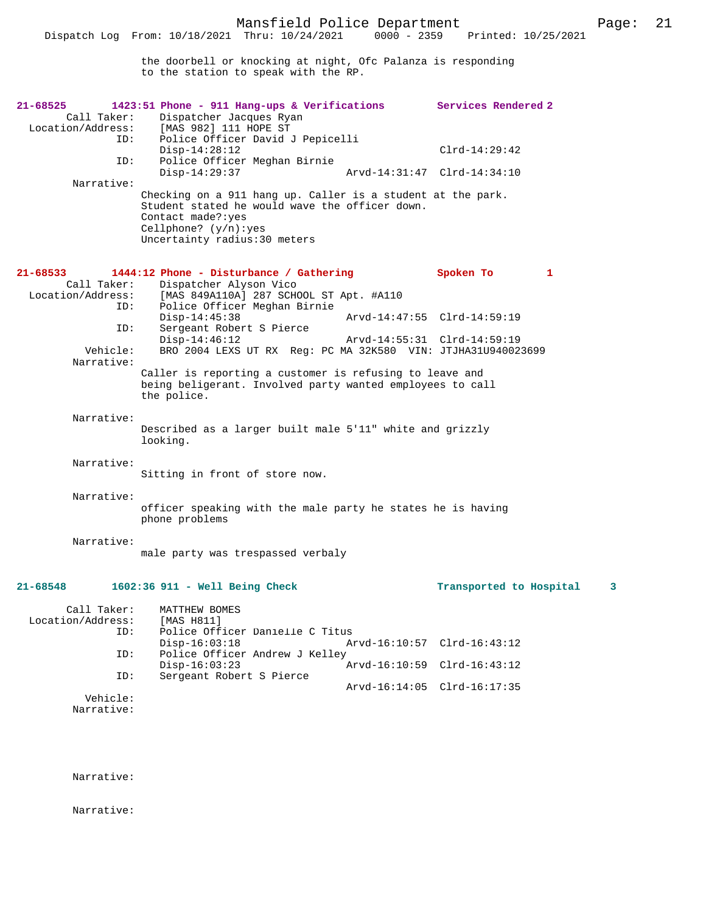the doorbell or knocking at night, Ofc Palanza is responding to the station to speak with the RP.

| 21-68525<br>Call Taker:<br>Location/Address:<br>ID: | 1423:51 Phone - 911 Hang-ups & Verifications<br>Dispatcher Jacques Ryan<br>[MAS 982] 111 HOPE ST<br>Police Officer David J Pepicelli                                                           |                             | Services Rendered 2     |   |
|-----------------------------------------------------|------------------------------------------------------------------------------------------------------------------------------------------------------------------------------------------------|-----------------------------|-------------------------|---|
| ID:                                                 | $Disp-14:28:12$<br>Police Officer Meghan Birnie                                                                                                                                                |                             | $Clrd-14:29:42$         |   |
| Narrative:                                          | $Disp-14:29:37$                                                                                                                                                                                | Arvd-14:31:47 Clrd-14:34:10 |                         |   |
|                                                     | Checking on a 911 hang up. Caller is a student at the park.<br>Student stated he would wave the officer down.<br>Contact made?: yes<br>Cellphone? $(y/n):yes$<br>Uncertainty radius: 30 meters |                             |                         |   |
| 21-68533<br>Call Taker:<br>Location/Address:<br>ID: | 1444:12 Phone - Disturbance / Gathering<br>Dispatcher Alyson Vico<br>[MAS 849A110A] 287 SCHOOL ST Apt. #A110<br>Police Officer Meghan Birnie                                                   |                             | Spoken To               | 1 |
| ID:                                                 | $Disp-14:45:38$<br>Sergeant Robert S Pierce                                                                                                                                                    | Arvd-14:47:55 Clrd-14:59:19 |                         |   |
| Vehicle:<br>Narrative:                              | $Disp-14:46:12$<br>BRO 2004 LEXS UT RX Req: PC MA 32K580 VIN: JTJHA31U940023699                                                                                                                | Arvd-14:55:31 Clrd-14:59:19 |                         |   |
|                                                     | Caller is reporting a customer is refusing to leave and<br>being beligerant. Involved party wanted employees to call<br>the police.                                                            |                             |                         |   |
| Narrative:                                          | Described as a larger built male 5'11" white and grizzly<br>looking.                                                                                                                           |                             |                         |   |
| Narrative:                                          | Sitting in front of store now.                                                                                                                                                                 |                             |                         |   |
| Narrative:                                          | officer speaking with the male party he states he is having<br>phone problems                                                                                                                  |                             |                         |   |
| Narrative:                                          | male party was trespassed verbaly                                                                                                                                                              |                             |                         |   |
| 21-68548                                            | 1602:36 911 - Well Being Check                                                                                                                                                                 |                             | Transported to Hospital | 3 |
| Call Taker:<br>Location/Address:<br>ID:             | MATTHEW BOMES<br>[MAS H811]<br>Police Officer Danielle C Titus                                                                                                                                 |                             |                         |   |
| ID:                                                 | $Disp-16:03:18$<br>Police Officer Andrew J Kelley                                                                                                                                              | Arvd-16:10:57               | $Clrd-16:43:12$         |   |
| ID:                                                 | $Disp-16:03:23$<br>Sergeant Robert S Pierce                                                                                                                                                    | Arvd-16:10:59               | $Clrd-16:43:12$         |   |
| Vehicle:<br>Narrative:                              |                                                                                                                                                                                                | Arvd-16:14:05               | $Clrd-16:17:35$         |   |

Narrative:

Narrative: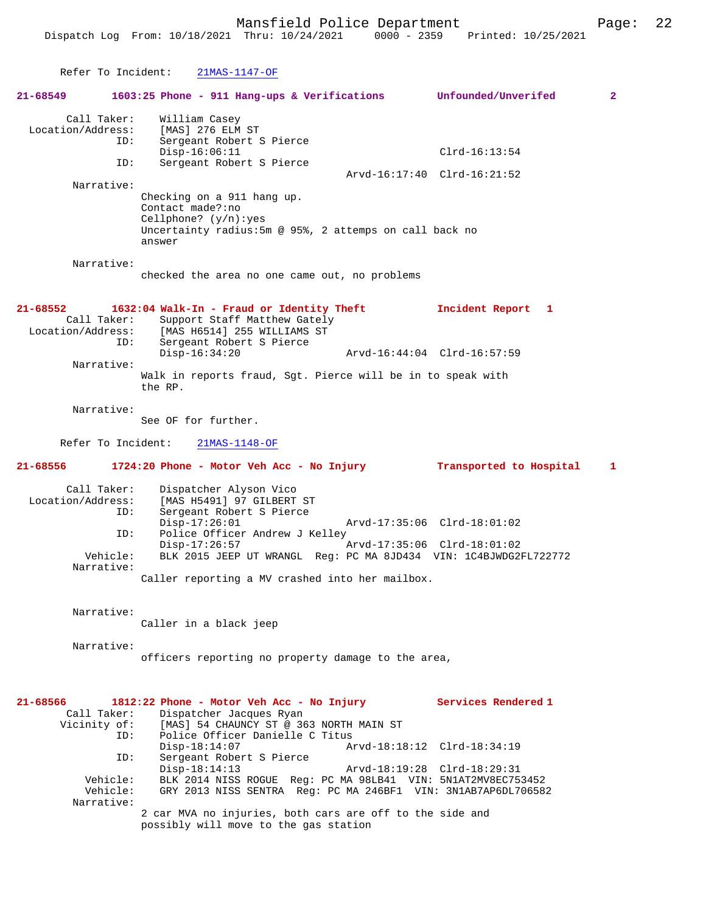```
 Refer To Incident: 21MAS-1147-OF
21-68549 1603:25 Phone - 911 Hang-ups & Verifications Unfounded/Unverifed 2
       Call Taker: William Casey
 Location/Address: [MAS] 276 ELM ST<br>ID: Sergeant Robert S
                    Sergeant Robert S Pierce
               Disp-16:06:11 Clrd-16:13:54<br>ID: Sergeant Robert S Pierce
                    Sergeant Robert S Pierce
                                                  Arvd-16:17:40 Clrd-16:21:52
                  Checking on a 911 hang up.
                  Contact made?:no
```
Narrative:

Narrative:

checked the area no one came out, no problems

Uncertainty radius:5m @ 95%, 2 attemps on call back no

**21-68552 1632:04 Walk-In - Fraud or Identity Theft Incident Report 1** 

Call Taker: Support Staff Matthew Gately<br>Location/Address: [MAS H6514] 255 WILLIAMS ST Location/Address: [MAS H6514] 255 WILLIAMS ST ID: Sergeant Robert S Pierce Disp-16:34:20 Arvd-16:44:04 Clrd-16:57:59 Narrative: Walk in reports fraud, Sgt. Pierce will be in to speak with the RP.

Narrative:

See OF for further.

Cellphone? (y/n):yes

answer

Refer To Incident: 21MAS-1148-OF

**21-68556 1724:20 Phone - Motor Veh Acc - No Injury Transported to Hospital 1**

Call Taker: Dispatcher Alyson Vico<br>Location/Address: [MAS H5491] 97 GILBERT ess: [MAS H5491] 97 GILBERT ST<br>ID: Sergeant Robert S Pierce Sergeant Robert S Pierce Disp-17:26:01 Arvd-17:35:06 Clrd-18:01:02 ID: Police Officer Andrew J Kelley Disp-17:26:57 Arvd-17:35:06 Clrd-18:01:02<br>Vehicle: BLK 2015 JEEP UT WRANGL Reg: PC MA 8JD434 VIN: 1C4BJWDG21 Vehicle: BLK 2015 JEEP UT WRANGL Reg: PC MA 8JD434 VIN: 1C4BJWDG2FL722772 Narrative:

Caller reporting a MV crashed into her mailbox.

Narrative:

Caller in a black jeep

Narrative:

officers reporting no property damage to the area,

| 21-68566    | 1812:22 Phone - Motor Veh Acc - No Injury                                                         |                                                               | Services Rendered 1 |
|-------------|---------------------------------------------------------------------------------------------------|---------------------------------------------------------------|---------------------|
| Call Taker: | Dispatcher Jacques Ryan                                                                           |                                                               |                     |
|             | Vicinity of: [MAS] 54 CHAUNCY ST @ 363 NORTH MAIN ST                                              |                                                               |                     |
| ID:         | Police Officer Danielle C Titus                                                                   |                                                               |                     |
|             | $Disp-18:14:07$                                                                                   | Arvd-18:18:12 Clrd-18:34:19                                   |                     |
| ID:         | Sergeant Robert S Pierce                                                                          |                                                               |                     |
|             | $Disp-18:14:13$                                                                                   | Arvd-18:19:28 Clrd-18:29:31                                   |                     |
| Vehicle:    |                                                                                                   | BLK 2014 NISS ROGUE Req: PC MA 98LB41 VIN: 5N1AT2MV8EC753452  |                     |
| Vehicle:    |                                                                                                   | GRY 2013 NISS SENTRA Req: PC MA 246BF1 VIN: 3N1AB7AP6DL706582 |                     |
| Narrative:  |                                                                                                   |                                                               |                     |
|             | 2 car MVA no injuries, both cars are off to the side and<br>possibly will move to the gas station |                                                               |                     |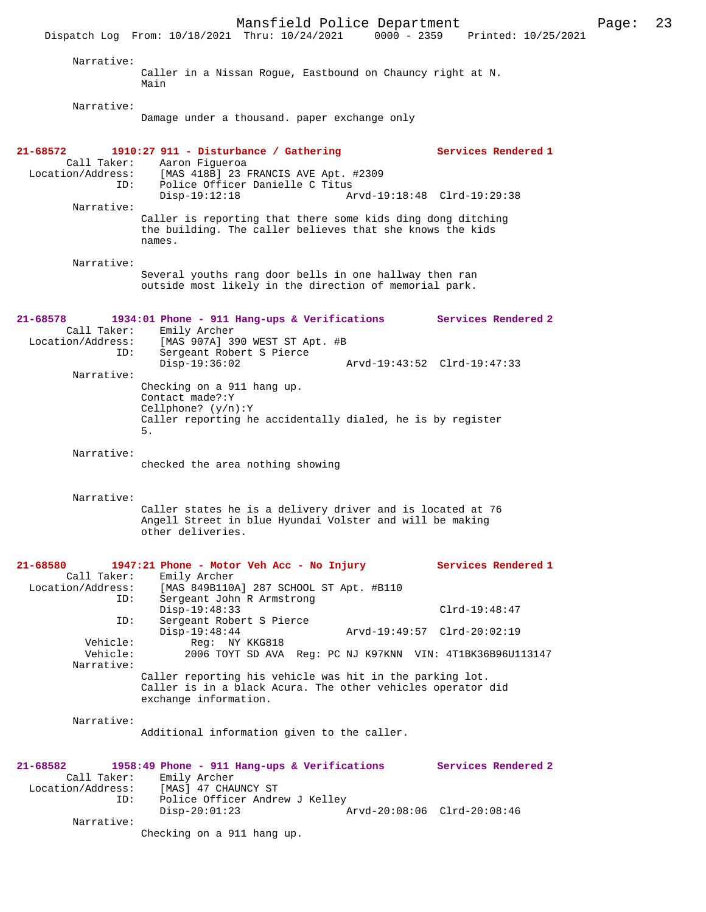Mansfield Police Department Page: 23 Dispatch Log From: 10/18/2021 Thru: 10/24/2021 Narrative: Caller in a Nissan Rogue, Eastbound on Chauncy right at N. Main Narrative: Damage under a thousand. paper exchange only **21-68572 1910:27 911 - Disturbance / Gathering Services Rendered 1**  Call Taker: Aaron Figueroa<br>Location/Address: [MAS 418B] 23 1 ess: [MAS 418B] 23 FRANCIS AVE Apt. #2309<br>ID: Police Officer Danielle C Titus Police Officer Danielle C Titus<br>Disp-19:12:18 A Arvd-19:18:48 Clrd-19:29:38 Narrative: Caller is reporting that there some kids ding dong ditching the building. The caller believes that she knows the kids names. Narrative: Several youths rang door bells in one hallway then ran outside most likely in the direction of memorial park. **21-68578 1934:01 Phone - 911 Hang-ups & Verifications Services Rendered 2**  Call Taker: Emily Archer Location/Address: [MAS 907A] 390 WEST ST Apt. #B Sergeant Robert S Pierce<br>Disp-19:36:02 Disp-19:36:02 Arvd-19:43:52 Clrd-19:47:33 Narrative: Checking on a 911 hang up. Contact made?:Y Cellphone? (y/n):Y Caller reporting he accidentally dialed, he is by register 5. Narrative: checked the area nothing showing Narrative: Caller states he is a delivery driver and is located at 76 Angell Street in blue Hyundai Volster and will be making other deliveries. **21-68580 1947:21 Phone - Motor Veh Acc - No Injury Services Rendered 1**  Call Taker: Emily Archer<br>Location/Address: [MAS 849B110 [MAS 849B110A] 287 SCHOOL ST Apt. #B110 ID: Sergeant John R Armstrong Disp-19:48:33 Clrd-19:48:47<br>ID: Sergeant Robert S Pierce Sergeant Robert S Pierce<br>Disp-19:48:44 Disp-19:48:44 Arvd-19:49:57 Clrd-20:02:19 Vehicle: Reg: NY KKG818<br>Vehicle: 2006 TOYT SD AVA Vehicle: 2006 TOYT SD AVA Reg: PC NJ K97KNN VIN: 4T1BK36B96U113147 Narrative: Caller reporting his vehicle was hit in the parking lot. Caller is in a black Acura. The other vehicles operator did exchange information. Narrative: Additional information given to the caller. **21-68582 1958:49 Phone - 911 Hang-ups & Verifications Services Rendered 2**  Call Taker: Emily Archer Location/Address: [MAS] 47 CHAUNCY ST ID: Police Officer Andrew J Kelley<br>Disp-20:01:23 Disp-20:01:23 Arvd-20:08:06 Clrd-20:08:46 Narrative: Checking on a 911 hang up.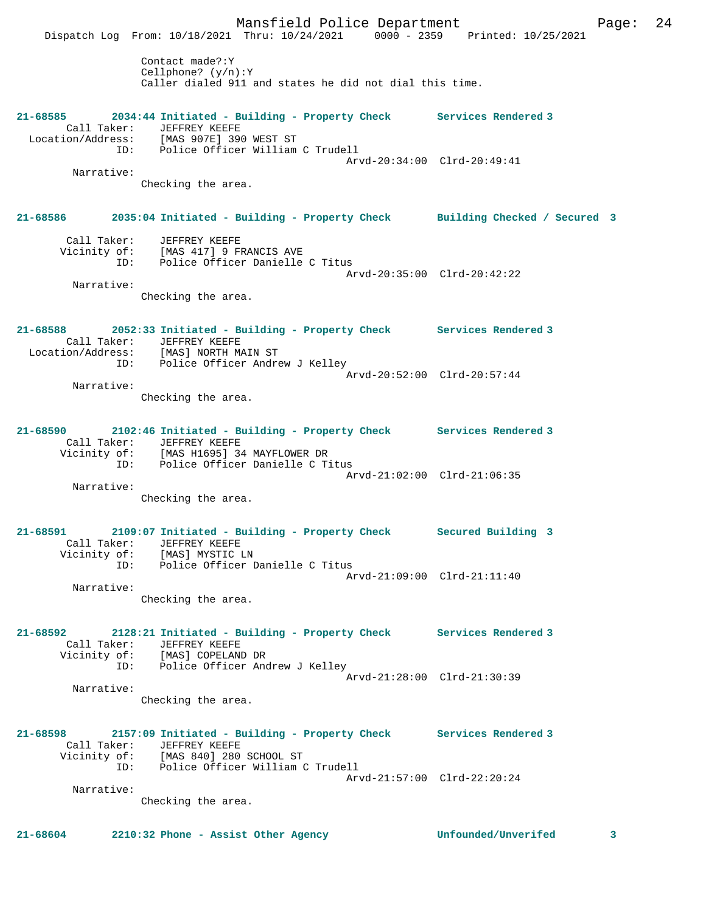Mansfield Police Department Form Page: 24 Dispatch Log From: 10/18/2021 Thru: 10/24/2021 0000 - 2359 Printed: 10/25/2021 Contact made?:Y Cellphone? (y/n):Y Caller dialed 911 and states he did not dial this time. **21-68585 2034:44 Initiated - Building - Property Check Services Rendered 3**  Call Taker: JEFFREY KEEFE Location/Address: [MAS 907E] 390 WEST ST ID: Police Officer William C Trudell Arvd-20:34:00 Clrd-20:49:41 Narrative: Checking the area. **21-68586 2035:04 Initiated - Building - Property Check Building Checked / Secured 3** Call Taker: JEFFREY KEEFE Vicinity of: [MAS 417] 9 FRANCIS AVE ID: Police Officer Danielle C Titus Arvd-20:35:00 Clrd-20:42:22 Narrative: Checking the area. **21-68588 2052:33 Initiated - Building - Property Check Services Rendered 3**  Call Taker: JEFFREY KEEFE<br>Location/Address: [MAS] NORTH MAIN ST Location/Address: [MAS] NORTH MAIN ST ID: Police Officer Andrew J Kelley Arvd-20:52:00 Clrd-20:57:44 Narrative: Checking the area. **21-68590 2102:46 Initiated - Building - Property Check Services Rendered 3**  Call Taker: JEFFREY KEEFE Vicinity of: [MAS H1695] 34 MAYFLOWER DR ID: Police Officer Danielle C Titus Arvd-21:02:00 Clrd-21:06:35 Narrative: Checking the area. **21-68591 2109:07 Initiated - Building - Property Check Secured Building 3**  Call Taker: JEFFREY KEEFE Vicinity of: [MAS] MYSTIC LN ID: Police Officer Danielle C Titus Arvd-21:09:00 Clrd-21:11:40 Narrative: Checking the area. **21-68592 2128:21 Initiated - Building - Property Check Services Rendered 3**  Call Taker: JEFFREY KEEFE Vicinity of: [MAS] COPELAND DR OI: IMASI COREDAND DA<br>ID: Police Officer Andrew J Kelley Arvd-21:28:00 Clrd-21:30:39 Narrative: Checking the area. **21-68598 2157:09 Initiated - Building - Property Check Services Rendered 3**  Call Taker: JEFFREY KEEFE<br>Vicinity of: [MAS 840] 280 [MAS 840] 280 SCHOOL ST ID: Police Officer William C Trudell Arvd-21:57:00 Clrd-22:20:24 Narrative: Checking the area. **21-68604 2210:32 Phone - Assist Other Agency Unfounded/Unverifed 3**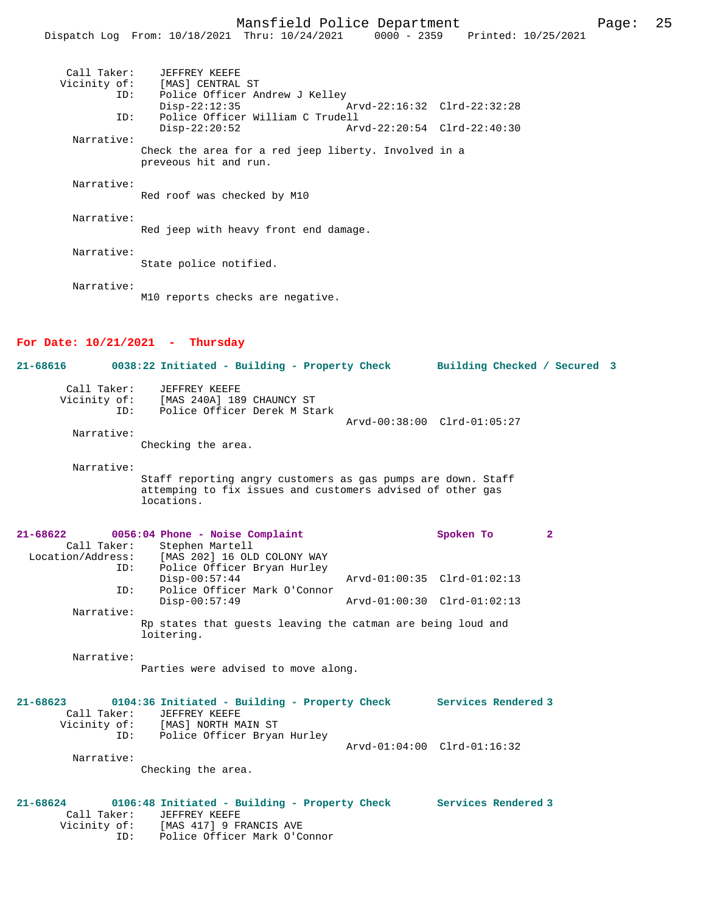|                                   | Dispatch Log From: 10/18/2021 Thru: 10/24/2021 0000 - 2359 Printed: 10/25/2021 |
|-----------------------------------|--------------------------------------------------------------------------------|
| Call Taker:                       | JEFFREY KEEFE                                                                  |
|                                   | Vicinity of: [MAS] CENTRAL ST                                                  |
| ID:                               | Police Officer Andrew J Kelley                                                 |
|                                   | $Disp-22:12:35$<br>Arvd-22:16:32 Clrd-22:32:28                                 |
| ID:                               | Police Officer William C Trudell                                               |
|                                   | Arvd-22:20:54 Clrd-22:40:30<br>$Disp-22:20:52$                                 |
| Narrative:                        |                                                                                |
|                                   | Check the area for a red jeep liberty. Involved in a<br>preveous hit and run.  |
| Narrative:                        |                                                                                |
|                                   | Red roof was checked by M10                                                    |
|                                   |                                                                                |
| Narrative:                        |                                                                                |
|                                   | Red jeep with heavy front end damage.                                          |
|                                   |                                                                                |
| Narrative:                        |                                                                                |
|                                   |                                                                                |
|                                   |                                                                                |
|                                   |                                                                                |
|                                   |                                                                                |
|                                   |                                                                                |
|                                   |                                                                                |
| For Date: $10/21/2021$ - Thursday |                                                                                |
| 21-68616                          | 0038:22 Initiated - Building - Property Check<br>Building Checked / Secured 3  |
| Narrative:                        | State police notified.<br>M10 reports checks are negative.                     |

| Call Taker:  | JEFFREY KEEFE                |                             |  |
|--------------|------------------------------|-----------------------------|--|
| Vicinity of: | [MAS 240A] 189 CHAUNCY ST    |                             |  |
| TD:          | Police Officer Derek M Stark |                             |  |
|              |                              | Arvd-00:38:00 Clrd-01:05:27 |  |
|              |                              |                             |  |

Narrative:

Checking the area.

Narrative:

Staff reporting angry customers as gas pumps are down. Staff attemping to fix issues and customers advised of other gas locations.

| 21-68622          |             | 0056:04 Phone - Noise Complaint                                           |                                 | Spoken To |  |
|-------------------|-------------|---------------------------------------------------------------------------|---------------------------------|-----------|--|
|                   | Call Taker: | Stephen Martell                                                           |                                 |           |  |
| Location/Address: |             | [MAS 202] 16 OLD COLONY WAY                                               |                                 |           |  |
|                   | ID:         | Police Officer Bryan Hurley                                               |                                 |           |  |
|                   |             | $Disp-00:57:44$                                                           | Arvd-01:00:35 Clrd-01:02:13     |           |  |
|                   | ID:         | Police Officer Mark O'Connor                                              |                                 |           |  |
|                   |             | $Disp-00:57:49$                                                           | $Arvd-01:00:30$ $Clrd-01:02:13$ |           |  |
|                   | Narrative:  |                                                                           |                                 |           |  |
|                   |             | Rp states that quests leaving the catman are being loud and<br>loitering. |                                 |           |  |

Narrative:

Parties were advised to move along.

| $21 - 68623$ |             | 0104:36 Initiated - Building - Property Check |                             | Services Rendered 3 |
|--------------|-------------|-----------------------------------------------|-----------------------------|---------------------|
|              | Call Taker: | JEFFREY KEEFE                                 |                             |                     |
| Vicinity of: |             | [MAS] NORTH MAIN ST                           |                             |                     |
|              | ID:         | Police Officer Bryan Hurley                   |                             |                     |
|              |             |                                               | Arvd-01:04:00 Clrd-01:16:32 |                     |
|              | Narrative:  |                                               |                             |                     |
|              |             | Checking the area.                            |                             |                     |

## **21-68624 0106:48 Initiated - Building - Property Check Services Rendered 3**  Call Taker: JEFFREY KEEFE Vicinity of: [MAS 417] 9 FRANCIS AVE ID: Police Officer Mark O'Connor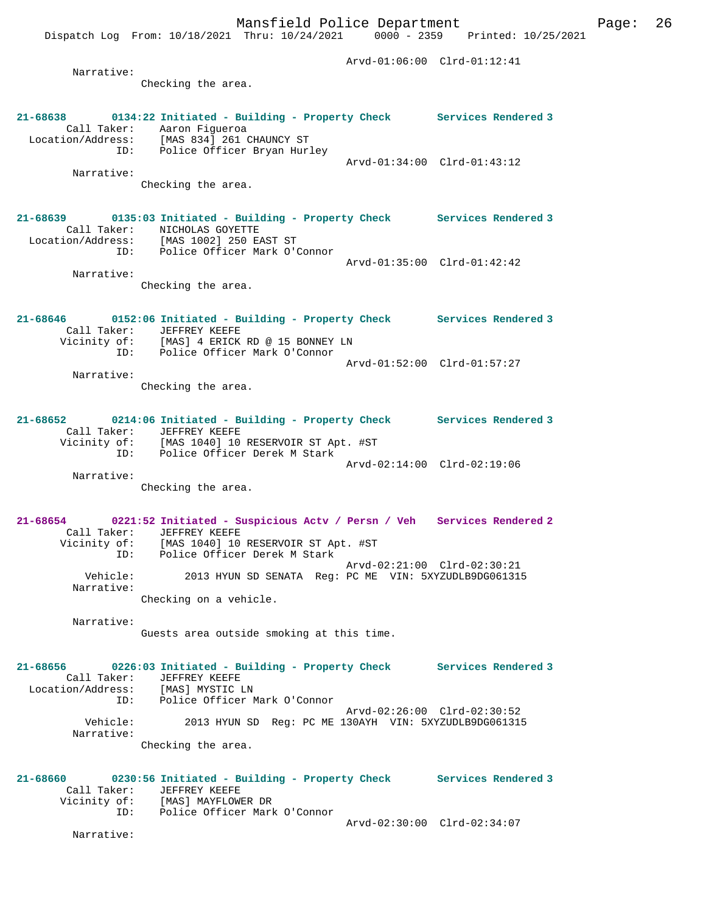Dispatch Log From: 10/18/2021 Thru: 10/24/2021 0000 - 2359 Printed: 10/25/2021

 Arvd-01:06:00 Clrd-01:12:41 Narrative: Checking the area. **21-68638 0134:22 Initiated - Building - Property Check Services Rendered 3**  Call Taker: Aaron Figueroa Location/Address: [MAS 834] 261 CHAUNCY ST ID: Police Officer Bryan Hurley Arvd-01:34:00 Clrd-01:43:12 Narrative: Checking the area. **21-68639 0135:03 Initiated - Building - Property Check Services Rendered 3**  Call Taker: NICHOLAS GOYETTE Location/Address: [MAS 1002] 250 EAST ST ID: Police Officer Mark O'Connor Arvd-01:35:00 Clrd-01:42:42 Narrative: Checking the area. **21-68646 0152:06 Initiated - Building - Property Check Services Rendered 3**  Call Taker: JEFFREY KEEFE Vicinity of: [MAS] 4 ERICK RD @ 15 BONNEY LN ID: Police Officer Mark O'Connor Arvd-01:52:00 Clrd-01:57:27 Narrative: Checking the area. **21-68652 0214:06 Initiated - Building - Property Check Services Rendered 3**  Call Taker: JEFFREY KEEFE Vicinity of: [MAS 1040] 10 RESERVOIR ST Apt. #ST ID: Police Officer Derek M Stark Arvd-02:14:00 Clrd-02:19:06 Narrative: Checking the area. **21-68654 0221:52 Initiated - Suspicious Actv / Persn / Veh Services Rendered 2**  Call Taker: JEFFREY KEEFE Vicinity of: [MAS 1040] 10 RESERVOIR ST Apt. #ST ID: Police Officer Derek M Stark Arvd-02:21:00 Clrd-02:30:21 Vehicle: 2013 HYUN SD SENATA Reg: PC ME VIN: 5XYZUDLB9DG061315 Narrative: Checking on a vehicle. Narrative: Guests area outside smoking at this time. **21-68656 0226:03 Initiated - Building - Property Check Services Rendered 3**  Call Taker: JEFFREY KEEFE Location/Address: [MAS] MYSTIC LN ID: Police Officer Mark O'Connor Arvd-02:26:00 Clrd-02:30:52<br>Vebicle: 2013 HVIN SD Reg: PC ME 130AVH VIN: 5XYZUDLB9DG061314 Vehicle: 2013 HYUN SD Reg: PC ME 130AYH VIN: 5XYZUDLB9DG061315 Narrative: Checking the area. **21-68660 0230:56 Initiated - Building - Property Check Services Rendered 3**  Call Taker: JEFFREY KEEFE Vicinity of: [MAS] MAYFLOWER DR ID: Police Officer Mark O'Connor Arvd-02:30:00 Clrd-02:34:07 Narrative: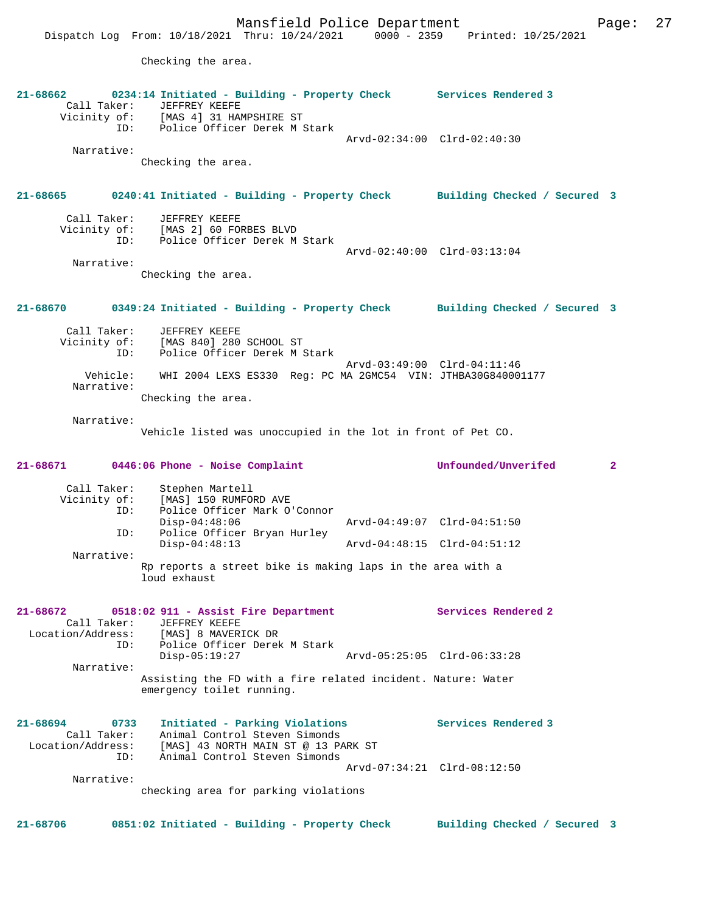Checking the area.

**21-68662 0234:14 Initiated - Building - Property Check Services Rendered 3**  Call Taker: JEFFREY KEEFE Vicinity of: [MAS 4] 31 HAMPSHIRE ST ID: Police Officer Derek M Stark Arvd-02:34:00 Clrd-02:40:30 Narrative: Checking the area. **21-68665 0240:41 Initiated - Building - Property Check Building Checked / Secured 3** Call Taker: JEFFREY KEEFE Vicinity of: [MAS 2] 60 FORBES BLVD ID: Police Officer Derek M Stark Arvd-02:40:00 Clrd-03:13:04 Narrative: Checking the area. **21-68670 0349:24 Initiated - Building - Property Check Building Checked / Secured 3** Call Taker: JEFFREY KEEFE Vicinity of: [MAS 840] 280 SCHOOL ST<br>ID: Police Officer Derek M 9 Police Officer Derek M Stark Arvd-03:49:00 Clrd-04:11:46<br>Vehicle: WHI 2004 LEXS ES330 Reg: PC MA 2GMC54 VIN: JTHBA30G84000 Vehicle: WHI 2004 LEXS ES330 Reg: PC MA 2GMC54 VIN: JTHBA30G840001177 Narrative: Checking the area. Narrative: Vehicle listed was unoccupied in the lot in front of Pet CO. **21-68671 0446:06 Phone - Noise Complaint Unfounded/Unverifed 2** Call Taker: Stephen Martell<br>Vicinity of: [MAS] 150 RUMFORD AVE Vicinity of: [MAS] 150 RUMFORD AVE ID: Police Officer Mark O'Connor Disp-04:48:06 Arvd-04:49:07 Clrd-04:51:50 ID: Police Officer Bryan Hurley Disp-04:48:13 Arvd-04:48:15 Clrd-04:51:12 Narrative: Rp reports a street bike is making laps in the area with a loud exhaust **21-68672 0518:02 911 - Assist Fire Department Services Rendered 2**  Call Taker: JEFFREY KEEFE Location/Address: [MAS] 8 MAVERICK DR ID: Police Officer Derek M Stark Disp-05:19:27 Arvd-05:25:05 Clrd-06:33:28 Narrative: Assisting the FD with a fire related incident. Nature: Water emergency toilet running. **21-68694 0733 Initiated - Parking Violations Services Rendered 3**  Call Taker: Animal Control Steven Simonds Location/Address: [MAS] 43 NORTH MAIN ST @ 13 PARK ST ID: Animal Control Steven Simonds Arvd-07:34:21 Clrd-08:12:50 Narrative: checking area for parking violations **21-68706 0851:02 Initiated - Building - Property Check Building Checked / Secured 3**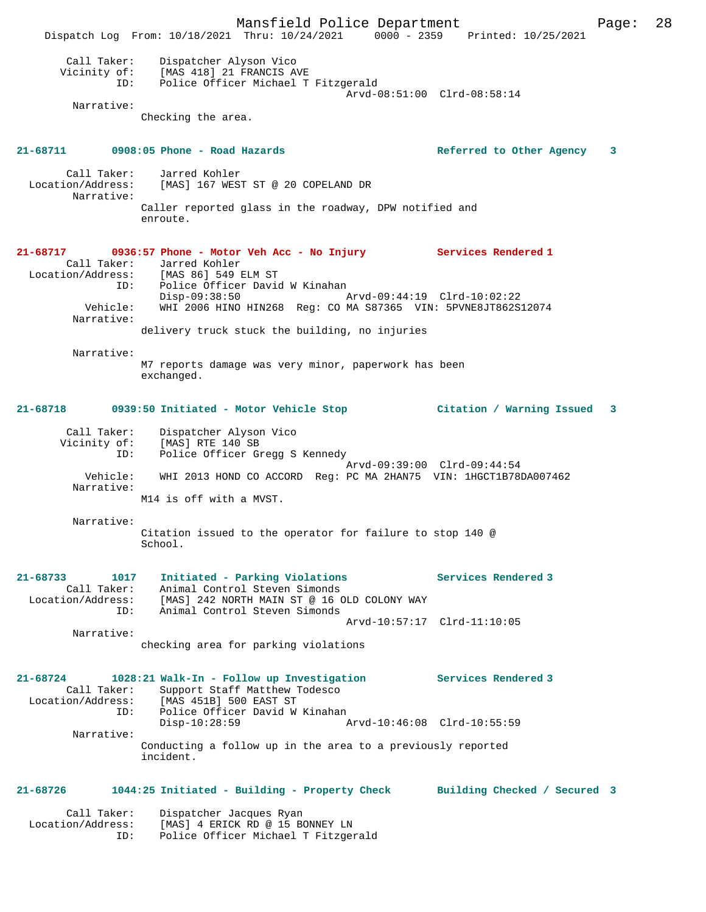Mansfield Police Department Page: 28 Dispatch Log From: 10/18/2021 Thru: 10/24/2021 0000 - 2359 Printed: 10/25/2021 Call Taker: Dispatcher Alyson Vico Vicinity of: [MAS 418] 21 FRANCIS AVE ID: Police Officer Michael T Fitzgerald Arvd-08:51:00 Clrd-08:58:14 Narrative: Checking the area. **21-68711 0908:05 Phone - Road Hazards Referred to Other Agency 3** Call Taker: Jarred Kohler Location/Address: [MAS] 167 WEST ST @ 20 COPELAND DR Narrative: Caller reported glass in the roadway, DPW notified and enroute. **21-68717 0936:57 Phone - Motor Veh Acc - No Injury Services Rendered 1**  Call Taker: Jarred Kohler<br>Location/Address: [MAS 86] 549 1 ess: [MAS 86] 549 ELM ST<br>ID: Police Officer Davio Police Officer David W Kinahan<br>Disp-09:38:50 Disp-09:38:50 Arvd-09:44:19 Clrd-10:02:22 Vehicle: WHI 2006 HINO HIN268 Reg: CO MA S87365 VIN: 5PVNE8JT862S12074 Narrative: delivery truck stuck the building, no injuries Narrative: M7 reports damage was very minor, paperwork has been exchanged. **21-68718 0939:50 Initiated - Motor Vehicle Stop Citation / Warning Issued 3** Call Taker: Dispatcher Alyson Vico Vicinity of: [MAS] RTE 140 SB ID: Police Officer Gregg S Kennedy Arvd-09:39:00 Clrd-09:44:54 Vehicle: WHI 2013 HOND CO ACCORD Reg: PC MA 2HAN75 VIN: 1HGCT1B78DA007462 Narrative: M14 is off with a MVST. Narrative: Citation issued to the operator for failure to stop 140 @ School. **21-68733 1017 Initiated - Parking Violations Services Rendered 3**  Call Taker: Animal Control Steven Simonds Location/Address: [MAS] 242 NORTH MAIN ST @ 16 OLD COLONY WAY ID: Animal Control Steven Simonds Arvd-10:57:17 Clrd-11:10:05 Narrative: checking area for parking violations **21-68724 1028:21 Walk-In - Follow up Investigation Services Rendered 3**  Call Taker: Support Staff Matthew Todesco Location/Address: [MAS 451B] 500 EAST ST Police Officer David W Kinahan<br>Disp-10:28:59 A Disp-10:28:59 Arvd-10:46:08 Clrd-10:55:59 Narrative: Conducting a follow up in the area to a previously reported incident. **21-68726 1044:25 Initiated - Building - Property Check Building Checked / Secured 3** Call Taker: Dispatcher Jacques Ryan Location/Address: [MAS] 4 ERICK RD @ 15 BONNEY LN ID: Police Officer Michael T Fitzgerald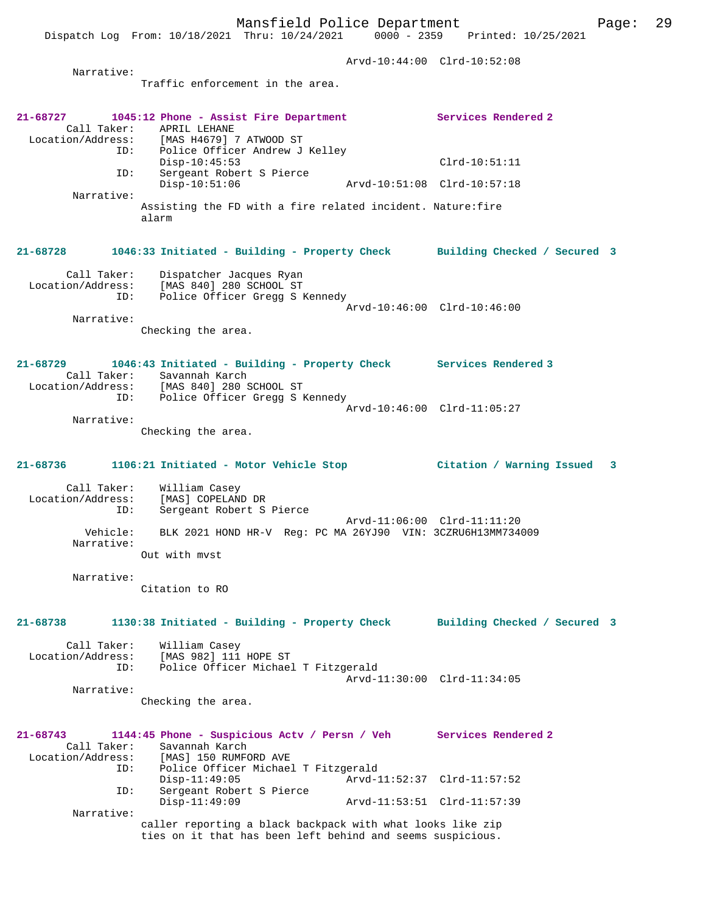Arvd-10:44:00 Clrd-10:52:08 Narrative: Traffic enforcement in the area. **21-68727 1045:12 Phone - Assist Fire Department Services Rendered 2**  Call Taker: APRIL LEHANE<br>Location/Address: [MAS H4679] Location/Address: [MAS H4679] 7 ATWOOD ST ID: Police Officer Andrew J Kelley Disp-10:45:53 Clrd-10:51:11 ID: Sergeant Robert S Pierce Disp-10:51:06 Arvd-10:51:08 Clrd-10:57:18 Narrative: Assisting the FD with a fire related incident. Nature:fire alarm **21-68728 1046:33 Initiated - Building - Property Check Building Checked / Secured 3** Call Taker: Dispatcher Jacques Ryan Location/Address: [MAS 840] 280 SCHOOL ST ID: Police Officer Gregg S Kennedy Arvd-10:46:00 Clrd-10:46:00 Narrative: Checking the area. **21-68729 1046:43 Initiated - Building - Property Check Services Rendered 3**  Call Taker: Savannah Karch Location/Address: [MAS 840] 280 SCHOOL ST ID: Police Officer Gregg S Kennedy Arvd-10:46:00 Clrd-11:05:27 Narrative: Checking the area. **21-68736 1106:21 Initiated - Motor Vehicle Stop Citation / Warning Issued 3** Call Taker: William Casey Location/Address: [MAS] COPELAND DR<br>ID: Sergeant Robert S Sergeant Robert S Pierce Arvd-11:06:00 Clrd-11:11:20 Vehicle: BLK 2021 HOND HR-V Reg: PC MA 26YJ90 VIN: 3CZRU6H13MM734009 Narrative: Out with mvst Narrative: Citation to RO **21-68738 1130:38 Initiated - Building - Property Check Building Checked / Secured 3** Call Taker: William Casey Location/Address: [MAS 982] 111 HOPE ST ID: Police Officer Michael T Fitzgerald Arvd-11:30:00 Clrd-11:34:05 Narrative: Checking the area.

| $21 - 68743$      |     | 1144:45 Phone - Suspicious Actv / Persn / Veh              |                             | Services Rendered 2 |
|-------------------|-----|------------------------------------------------------------|-----------------------------|---------------------|
| Call Taker:       |     | Savannah Karch                                             |                             |                     |
| Location/Address: |     | [MAS] 150 RUMFORD AVE                                      |                             |                     |
|                   | ID: | Police Officer Michael T Fitzgerald                        |                             |                     |
|                   |     | $Disp-11:49:05$                                            | Arvd-11:52:37 Clrd-11:57:52 |                     |
|                   | ID: | Sergeant Robert S Pierce                                   |                             |                     |
|                   |     | $Disp-11:49:09$                                            | Arvd-11:53:51 Clrd-11:57:39 |                     |
| Narrative:        |     |                                                            |                             |                     |
|                   |     | caller reporting a black backpack with what looks like zip |                             |                     |

caller reporting a black backpack with what looks like zip ties on it that has been left behind and seems suspicious.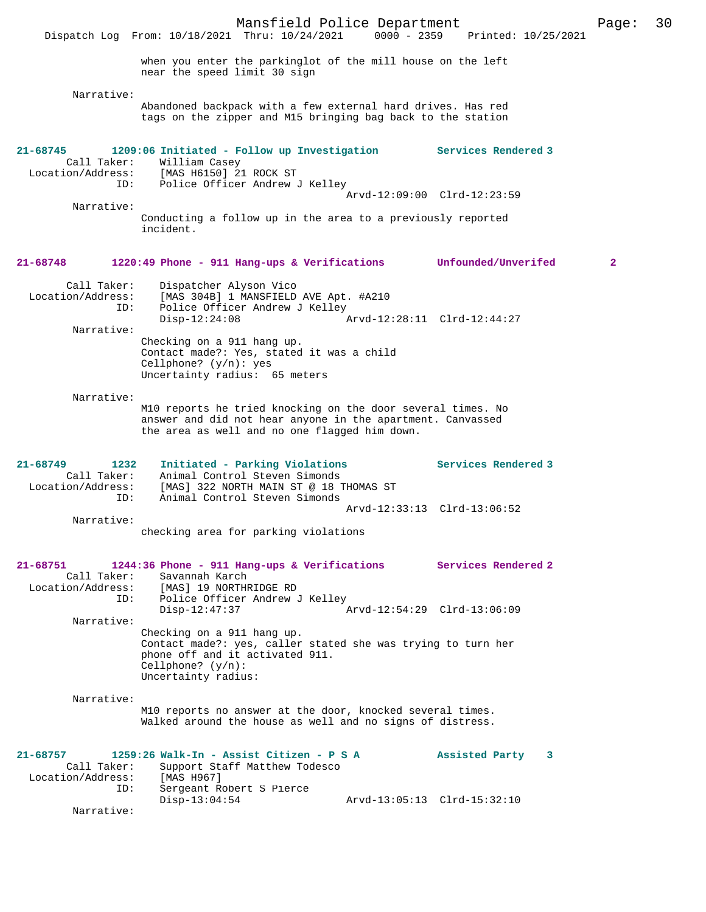Mansfield Police Department Page: 30 Dispatch Log From: 10/18/2021 Thru: 10/24/2021 when you enter the parkinglot of the mill house on the left near the speed limit 30 sign Narrative: Abandoned backpack with a few external hard drives. Has red tags on the zipper and M15 bringing bag back to the station **21-68745 1209:06 Initiated - Follow up Investigation Services Rendered 3**  Call Taker: William Casey<br>Location/Address: [MAS H6150] 2 ess: [MAS H6150] 21 ROCK ST<br>ID: Police Officer Andrew Police Officer Andrew J Kelley Arvd-12:09:00 Clrd-12:23:59 Narrative: Conducting a follow up in the area to a previously reported incident. **21-68748 1220:49 Phone - 911 Hang-ups & Verifications Unfounded/Unverifed 2** Call Taker: Dispatcher Alyson Vico Location/Address: [MAS 304B] 1 MANSFIELD AVE Apt. #A210<br>ID: Police Officer Andrew J Kellev Police Officer Andrew J Kelley<br>Disp-12:24:08 Disp-12:24:08 Arvd-12:28:11 Clrd-12:44:27 Narrative: Checking on a 911 hang up. Contact made?: Yes, stated it was a child Cellphone? (y/n): yes Uncertainty radius: 65 meters Narrative: M10 reports he tried knocking on the door several times. No answer and did not hear anyone in the apartment. Canvassed the area as well and no one flagged him down. **21-68749 1232 Initiated - Parking Violations Services Rendered 3**  Call Taker: Animal Control Steven Simonds Location/Address: [MAS] 322 NORTH MAIN ST @ 18 THOMAS ST ID: Animal Control Steven Simonds Arvd-12:33:13 Clrd-13:06:52 Narrative: checking area for parking violations **21-68751 1244:36 Phone - 911 Hang-ups & Verifications Services Rendered 2**  Call Taker: Savannah Karch<br>Location/Address: [MAS] 19 NORTHE [MAS] 19 NORTHRIDGE RD ID: Police Officer Andrew J Kelley<br>Disp-12:47:37 Disp-12:47:37 Arvd-12:54:29 Clrd-13:06:09 Narrative: Checking on a 911 hang up. Contact made?: yes, caller stated she was trying to turn her phone off and it activated 911. Cellphone? (y/n): Uncertainty radius: Narrative: M10 reports no answer at the door, knocked several times. Walked around the house as well and no signs of distress. **21-68757 1259:26 Walk-In - Assist Citizen - P S A Assisted Party 3**  Call Taker: Support Staff Matthew Todesco<br>ion/Address: [MAS H967] Location/Address: ID: Sergeant Robert S Pierce<br>Disp-13:04:54 Disp-13:04:54 Arvd-13:05:13 Clrd-15:32:10 Narrative: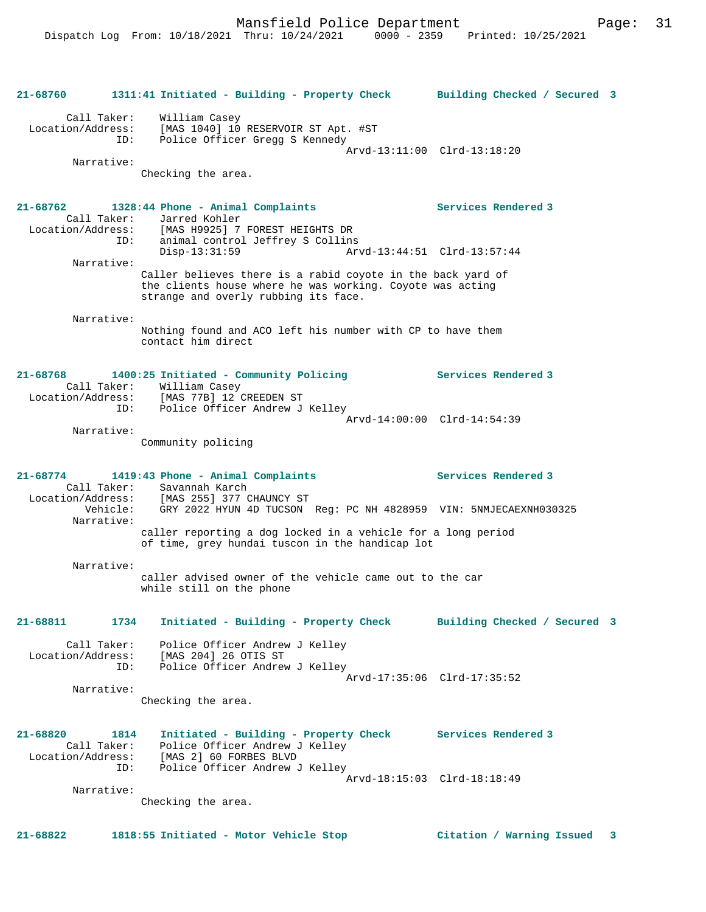```
21-68760 1311:41 Initiated - Building - Property Check Building Checked / Secured 3
       Call Taker: William Casey
 Location/Address: [MAS 1040] 10 RESERVOIR ST Apt. #ST
 ID: Police Officer Gregg S Kennedy
                                                 Arvd-13:11:00 Clrd-13:18:20
        Narrative: 
                 Checking the area.
21-68762 1328:44 Phone - Animal Complaints Services Rendered 3 
       Call Taker: Jarred Kohler
  Location/Address: [MAS H9925] 7 FOREST HEIGHTS DR
              ID: animal control Jeffrey S Collins
                                                 Disp-13:31:59 Arvd-13:44:51 Clrd-13:57:44
        Narrative: 
                  Caller believes there is a rabid coyote in the back yard of 
                  the clients house where he was working. Coyote was acting 
                  strange and overly rubbing its face.
        Narrative: 
                  Nothing found and ACO left his number with CP to have them 
                  contact him direct
21-68768 1400:25 Initiated - Community Policing Services Rendered 3 
       Call Taker: William Casey
 Location/Address: [MAS 77B] 12 CREEDEN ST
 ID: Police Officer Andrew J Kelley
                                                 Arvd-14:00:00 Clrd-14:54:39
        Narrative: 
                 Community policing
21-68774 1419:43 Phone - Animal Complaints Services Rendered 3 
 Call Taker: Savannah Karch<br>Location/Address: [MAS 255] 377 (
 Location/Address: [MAS 255] 377 CHAUNCY ST
 Vehicle: GRY 2022 HYUN 4D TUCSON Reg: PC NH 4828959 VIN: 5NMJECAEXNH030325
        Narrative: 
                  caller reporting a dog locked in a vehicle for a long period 
                  of time, grey hundai tuscon in the handicap lot
        Narrative: 
                  caller advised owner of the vehicle came out to the car 
                  while still on the phone
21-68811 1734 Initiated - Building - Property Check Building Checked / Secured 3
 Call Taker: Police Officer Andrew J Kelley
 Location/Address: [MAS 204] 26 OTIS ST
 ID: Police Officer Andrew J Kelley
                                                 Arvd-17:35:06 Clrd-17:35:52
        Narrative: 
                 Checking the area.
21-68820 1814 Initiated - Building - Property Check Services Rendered 3 
 Call Taker: Police Officer Andrew J Kelley
 Location/Address: [MAS 2] 60 FORBES BLVD
               ID: Police Officer Andrew J Kelley
                                                 Arvd-18:15:03 Clrd-18:18:49
        Narrative: 
                 Checking the area.
```
**21-68822 1818:55 Initiated - Motor Vehicle Stop Citation / Warning Issued 3**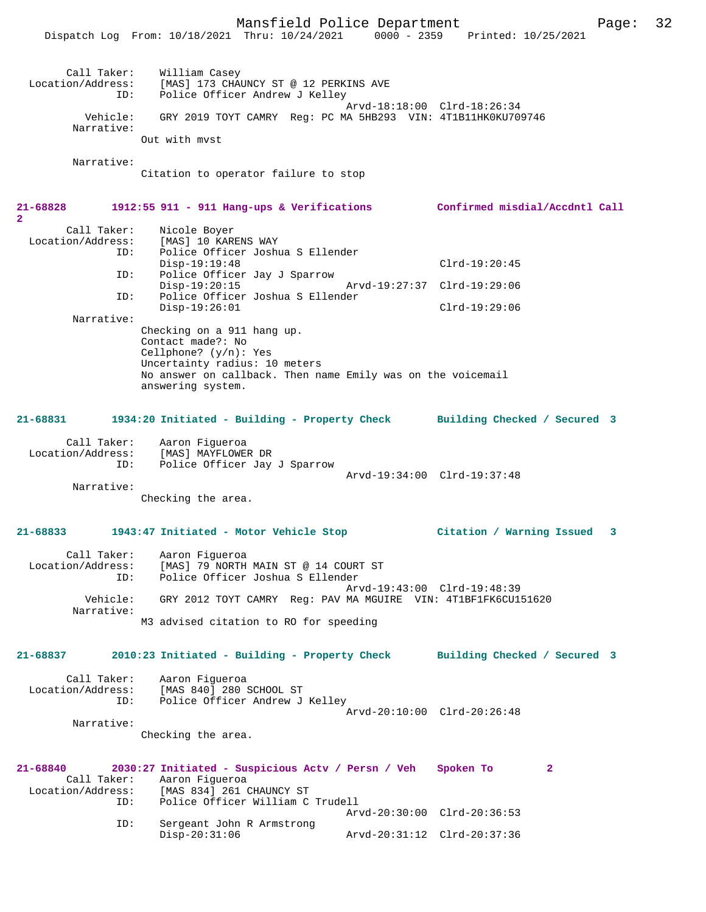Mansfield Police Department Page: 32 Dispatch Log From: 10/18/2021 Thru: 10/24/2021 0000 - 2359 Printed: 10/25/2021 Call Taker: William Casey<br>Location/Address: [MAS] 173 CHA [MAS] 173 CHAUNCY ST @ 12 PERKINS AVE ID: Police Officer Andrew J Kelley Arvd-18:18:00 Clrd-18:26:34 Vehicle: GRY 2019 TOYT CAMRY Reg: PC MA 5HB293 VIN: 4T1B11HK0KU709746 Narrative: Out with mvst Narrative: Citation to operator failure to stop **21-68828 1912:55 911 - 911 Hang-ups & Verifications Confirmed misdial/Accdntl Call** Call Taker: Nicole Boyer Location/Address: [MAS] 10 KARENS WAY ID: Police Officer Joshua S Ellender Disp-19:19:48 Clrd-19:20:45 ID: Police Officer Jay J Sparrow Disp-19:20:15 Arvd-19:27:37 Clrd-19:29:06 ID: Police Officer Joshua S Ellender Disp-19:26:01 Clrd-19:29:06 Narrative: Checking on a 911 hang up. Contact made?: No Cellphone? (y/n): Yes Uncertainty radius: 10 meters No answer on callback. Then name Emily was on the voicemail answering system. **21-68831 1934:20 Initiated - Building - Property Check Building Checked / Secured 3** Call Taker: Aaron Figueroa Location/Address: [MAS] MAYFLOWER DR ID: Police Officer Jay J Sparrow Arvd-19:34:00 Clrd-19:37:48 Narrative: Checking the area. **21-68833 1943:47 Initiated - Motor Vehicle Stop Citation / Warning Issued 3** Call Taker: Aaron Figueroa<br>Location/Address: [MAS] 79 NORTH Location/Address: [MAS] 79 NORTH MAIN ST @ 14 COURT ST ID: Police Officer Joshua S Ellender Arvd-19:43:00 Clrd-19:48:39 Vehicle: GRY 2012 TOYT CAMRY Reg: PAV MA MGUIRE VIN: 4T1BF1FK6CU151620 Narrative: M3 advised citation to RO for speeding **21-68837 2010:23 Initiated - Building - Property Check Building Checked / Secured 3** Call Taker: Aaron Figueroa Location/Address: [MAS 840] 280 SCHOOL ST ID: Police Officer Andrew J Kelley Arvd-20:10:00 Clrd-20:26:48 Narrative: Checking the area. **21-68840 2030:27 Initiated - Suspicious Actv / Persn / Veh Spoken To 2**  Call Taker: Aaron Figueroa<br>Location/Address: [MAS 834] 261 ( [MAS 834] 261 CHAUNCY ST ID: Police Officer William C Trudell

**2** 

Arvd-20:30:00 Clrd-20:36:53<br>TD: Sergeant John R Armstrong Sergeant John R Armstrong<br>Disp-20:31:06 Disp-20:31:06 Arvd-20:31:12 Clrd-20:37:36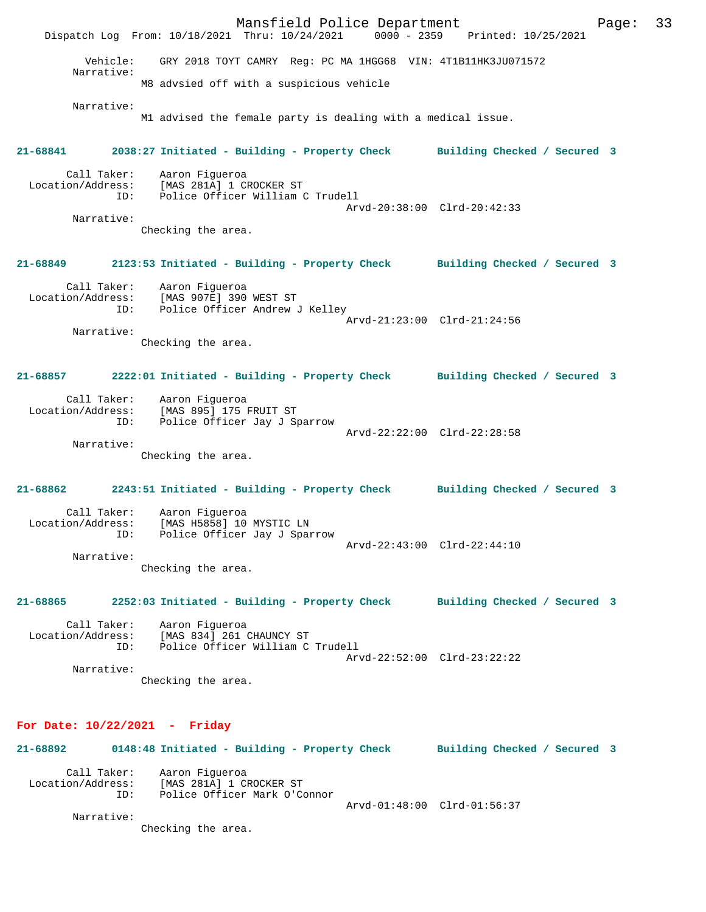Mansfield Police Department Page: 33 Dispatch Log From: 10/18/2021 Thru: 10/24/2021 Vehicle: GRY 2018 TOYT CAMRY Reg: PC MA 1HGG68 VIN: 4T1B11HK3JU071572 Narrative: M8 advsied off with a suspicious vehicle Narrative: M1 advised the female party is dealing with a medical issue. **21-68841 2038:27 Initiated - Building - Property Check Building Checked / Secured 3** Call Taker: Aaron Figueroa Location/Address: [MAS 281A] 1 CROCKER ST ID: Police Officer William C Trudell Arvd-20:38:00 Clrd-20:42:33 Narrative: Checking the area. **21-68849 2123:53 Initiated - Building - Property Check Building Checked / Secured 3** Call Taker: Aaron Figueroa Location/Address: [MAS 907E] 390 WEST ST ID: Police Officer Andrew J Kelley Arvd-21:23:00 Clrd-21:24:56 Narrative: Checking the area. **21-68857 2222:01 Initiated - Building - Property Check Building Checked / Secured 3** Call Taker: Aaron Figueroa Location/Address: [MAS 895] 175 FRUIT ST ID: Police Officer Jay J Sparrow Arvd-22:22:00 Clrd-22:28:58 Narrative: Checking the area. **21-68862 2243:51 Initiated - Building - Property Check Building Checked / Secured 3** Call Taker: Aaron Figueroa<br>Location/Address: [MAS H5858] 10 ess: [MAS H5858] 10 MYSTIC LN<br>ID: Police Officer Jay J Spar Police Officer Jay J Sparrow Arvd-22:43:00 Clrd-22:44:10 Narrative: Checking the area. **21-68865 2252:03 Initiated - Building - Property Check Building Checked / Secured 3** Call Taker: Aaron Figueroa Location/Address: [MAS 834] 261 CHAUNCY ST ID: Police Officer William C Trudell Arvd-22:52:00 Clrd-23:22:22 Narrative: Checking the area. **For Date: 10/22/2021 - Friday 21-68892 0148:48 Initiated - Building - Property Check Building Checked / Secured 3** Call Taker: Aaron Figueroa Location/Address: [MAS 281A] 1 CROCKER ST ID: Police Officer Mark O'Connor

Arvd-01:48:00 Clrd-01:56:37

Narrative:

Checking the area.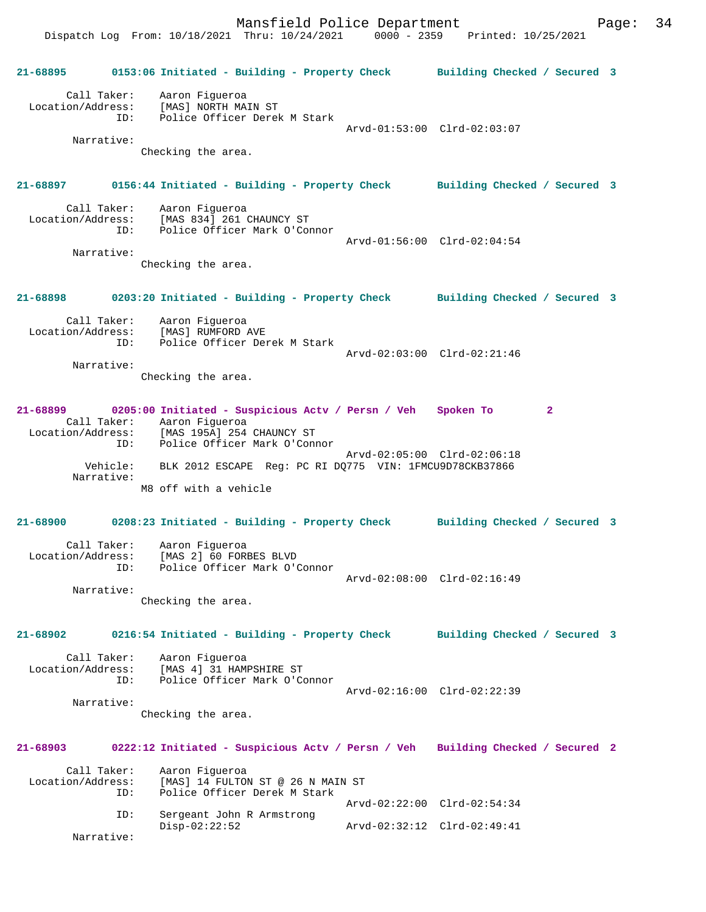**21-68895 0153:06 Initiated - Building - Property Check Building Checked / Secured 3** Call Taker: Aaron Figueroa Location/Address: [MAS] NORTH MAIN ST ID: Police Officer Derek M Stark Arvd-01:53:00 Clrd-02:03:07 Narrative: Checking the area. **21-68897 0156:44 Initiated - Building - Property Check Building Checked / Secured 3** Call Taker: Aaron Figueroa Location/Address: [MAS 834] 261 CHAUNCY ST ID: Police Officer Mark O'Connor Arvd-01:56:00 Clrd-02:04:54 Narrative: Checking the area. **21-68898 0203:20 Initiated - Building - Property Check Building Checked / Secured 3** Call Taker: Aaron Figueroa Location/Address: [MAS] RUMFORD AVE ID: Police Officer Derek M Stark Arvd-02:03:00 Clrd-02:21:46 Narrative: Checking the area. **21-68899 0205:00 Initiated - Suspicious Actv / Persn / Veh Spoken To 2**  Call Taker: Aaron Figueroa Location/Address: [MAS 195A] 254 CHAUNCY ST ID: Police Officer Mark O'Connor Arvd-02:05:00 Clrd-02:06:18 Vehicle: BLK 2012 ESCAPE Reg: PC RI DQ775 VIN: 1FMCU9D78CKB37866 Narrative: M8 off with a vehicle **21-68900 0208:23 Initiated - Building - Property Check Building Checked / Secured 3** Call Taker: Aaron Figueroa Location/Address: [MAS 2] 60 FORBES BLVD ID: Police Officer Mark O'Connor Arvd-02:08:00 Clrd-02:16:49 Narrative: Checking the area. **21-68902 0216:54 Initiated - Building - Property Check Building Checked / Secured 3** Call Taker: Aaron Figueroa<br>Location/Address: [MAS 4] 31 HAM Location<br>[MAS 4] 31 HAMPSHIRE ST ID: Police Officer Mark O'Connor Arvd-02:16:00 Clrd-02:22:39 Narrative: Checking the area. **21-68903 0222:12 Initiated - Suspicious Actv / Persn / Veh Building Checked / Secured 2** Call Taker: Aaron Figueroa<br>Location/Address: [MAS] 14 FULTOI  $[MAS]$  14 FULTON ST @ 26 N MAIN ST ID: Police Officer Derek M Stark Arvd-02:22:00 Clrd-02:54:34 ID: Sergeant John R Armstrong Disp-02:22:52 Arvd-02:32:12 Clrd-02:49:41

Narrative: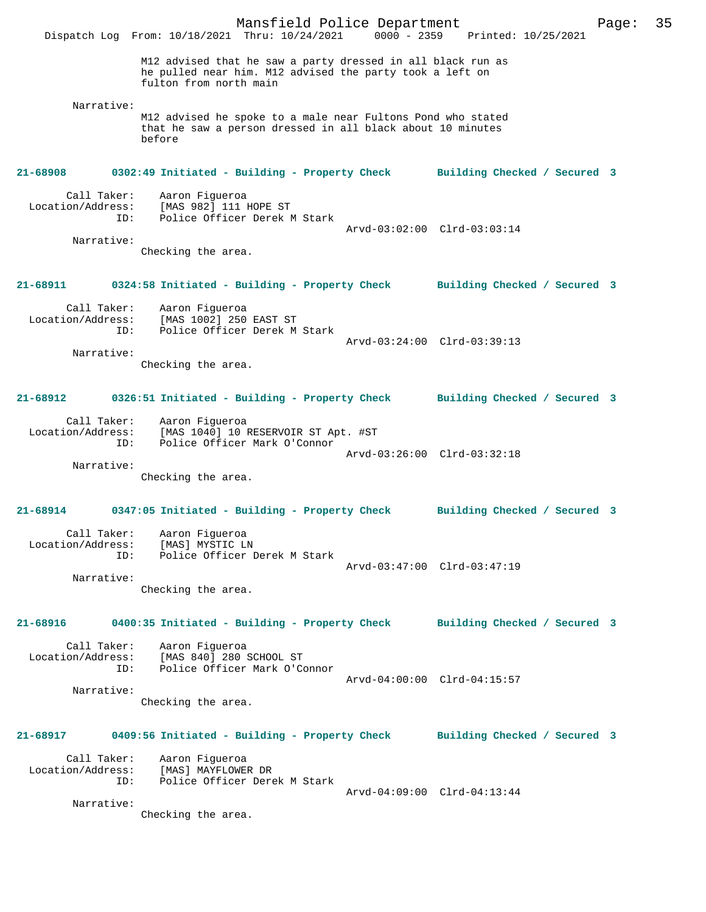|                                                                                     | Dispatch Log From: 10/18/2021 Thru: 10/24/2021                                                                                                    | Mansfield Police Department |  |                             | 0000 - 2359 Printed: 10/25/2021 | Page: | 35 |
|-------------------------------------------------------------------------------------|---------------------------------------------------------------------------------------------------------------------------------------------------|-----------------------------|--|-----------------------------|---------------------------------|-------|----|
|                                                                                     | M12 advised that he saw a party dressed in all black run as<br>he pulled near him. M12 advised the party took a left on<br>fulton from north main |                             |  |                             |                                 |       |    |
| Narrative:                                                                          | M12 advised he spoke to a male near Fultons Pond who stated<br>that he saw a person dressed in all black about 10 minutes<br>before               |                             |  |                             |                                 |       |    |
| 21-68908                                                                            | 0302:49 Initiated - Building - Property Check Building Checked / Secured 3                                                                        |                             |  |                             |                                 |       |    |
| Call Taker:<br>Location/Address:<br>ID:                                             | Aaron Figueroa<br>[MAS 982] 111 HOPE ST<br>Police Officer Derek M Stark                                                                           |                             |  |                             |                                 |       |    |
| Narrative:                                                                          | Checking the area.                                                                                                                                |                             |  | Arvd-03:02:00 Clrd-03:03:14 |                                 |       |    |
| 21-68911                                                                            | 0324:58 Initiated - Building - Property Check                                                                                                     |                             |  |                             | Building Checked / Secured 3    |       |    |
| Call Taker:<br>Location/Address:<br>ID:                                             | Aaron Figueroa<br>[MAS 1002] 250 EAST ST<br>Police Officer Derek M Stark                                                                          |                             |  | Arvd-03:24:00 Clrd-03:39:13 |                                 |       |    |
| Narrative:                                                                          | Checking the area.                                                                                                                                |                             |  |                             |                                 |       |    |
| 21-68912                                                                            | 0326:51 Initiated - Building - Property Check                                                                                                     |                             |  |                             | Building Checked / Secured 3    |       |    |
| Call Taker:<br>Location/Address:<br>ID:                                             | Aaron Figueroa<br>[MAS 1040] 10 RESERVOIR ST Apt. #ST<br>Police Officer Mark O'Connor                                                             |                             |  |                             |                                 |       |    |
| Narrative:                                                                          | Checking the area.                                                                                                                                |                             |  | Arvd-03:26:00 Clrd-03:32:18 |                                 |       |    |
| 21-68914                                                                            | 0347:05 Initiated - Building - Property Check                                                                                                     |                             |  |                             | Building Checked / Secured 3    |       |    |
| Location/Address:<br>ID:                                                            | Call Taker: Aaron Figueroa<br>[MAS] MYSTIC LN<br>Police Officer Derek M Stark                                                                     |                             |  | Arvd-03:47:00 Clrd-03:47:19 |                                 |       |    |
| Narrative:                                                                          | Checking the area.                                                                                                                                |                             |  |                             |                                 |       |    |
| 21-68916                                                                            | 0400:35 Initiated - Building - Property Check Building Checked / Secured 3                                                                        |                             |  |                             |                                 |       |    |
| Call Taker:<br>Location/Address:<br>ID:                                             | Aaron Figueroa<br>[MAS 840] 280 SCHOOL ST<br>Police Officer Mark O'Connor                                                                         |                             |  | Arvd-04:00:00 Clrd-04:15:57 |                                 |       |    |
| Narrative:                                                                          | Checking the area.                                                                                                                                |                             |  |                             |                                 |       |    |
| 21-68917 0409:56 Initiated - Building - Property Check Building Checked / Secured 3 |                                                                                                                                                   |                             |  |                             |                                 |       |    |
| Call Taker:<br>Location/Address:<br>ID:                                             | Aaron Figueroa<br>[MAS] MAYFLOWER DR<br>Police Officer Derek M Stark                                                                              |                             |  | Arvd-04:09:00 Clrd-04:13:44 |                                 |       |    |
| Narrative:                                                                          | Checking the area.                                                                                                                                |                             |  |                             |                                 |       |    |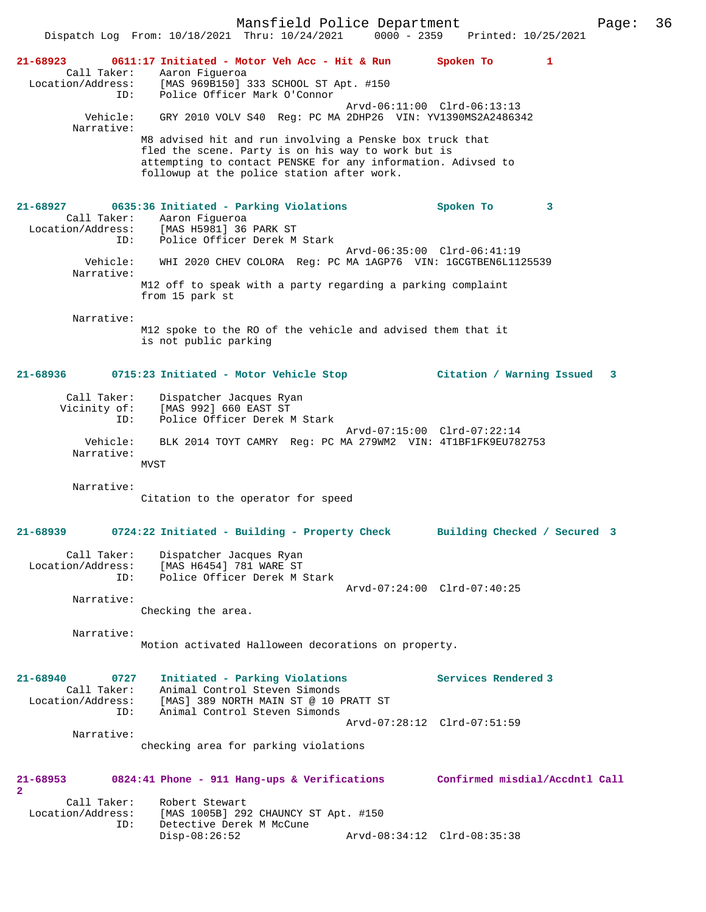Mansfield Police Department Page: 36 Dispatch Log From: 10/18/2021 Thru: 10/24/2021 **21-68923 0611:17 Initiated - Motor Veh Acc - Hit & Run Spoken To 1**  Call Taker: Aaron Figueroa Location/Address: [MAS 969B150] 333 SCHOOL ST Apt. #150 ID: Police Officer Mark O'Connor Arvd-06:11:00 Clrd-06:13:13 Vehicle: GRY 2010 VOLV S40 Reg: PC MA 2DHP26 VIN: YV1390MS2A2486342 Narrative: M8 advised hit and run involving a Penske box truck that fled the scene. Party is on his way to work but is attempting to contact PENSKE for any information. Adivsed to followup at the police station after work. **21-68927 0635:36 Initiated - Parking Violations Spoken To 3**  Call Taker: Aaron Figueroa<br>Location/Address: [MAS H5981] 36 [MAS H5981] 36 PARK ST ID: Police Officer Derek M Stark Arvd-06:35:00 Clrd-06:41:19 Vehicle: WHI 2020 CHEV COLORA Reg: PC MA 1AGP76 VIN: 1GCGTBEN6L1125539 Narrative: M12 off to speak with a party regarding a parking complaint from 15 park st Narrative: M12 spoke to the RO of the vehicle and advised them that it is not public parking **21-68936 0715:23 Initiated - Motor Vehicle Stop Citation / Warning Issued 3** Call Taker: Dispatcher Jacques Ryan Vicinity of: [MAS 992] 660 EAST ST<br>TD: [Dolice Officer Derek M Police Officer Derek M Stark Arvd-07:15:00 Clrd-07:22:14 Vehicle: BLK 2014 TOYT CAMRY Reg: PC MA 279WM2 VIN: 4T1BF1FK9EU782753 Narrative: MVST Narrative: Citation to the operator for speed **21-68939 0724:22 Initiated - Building - Property Check Building Checked / Secured 3** Call Taker: Dispatcher Jacques Ryan<br>Location/Address: [MAS H6454] 781 WARE ST Location (Address: [MAS H6454] 781 WARE ST<br>TD: Police Officer Derek M Police Officer Derek M Stark Arvd-07:24:00 Clrd-07:40:25 Narrative: Checking the area. Narrative: Motion activated Halloween decorations on property. **21-68940 0727 Initiated - Parking Violations Services Rendered 3**  Call Taker: Animal Control Steven Simonds Location/Address: [MAS] 389 NORTH MAIN ST @ 10 PRATT ST ID: Animal Control Steven Simonds Arvd-07:28:12 Clrd-07:51:59 Narrative: checking area for parking violations **21-68953 0824:41 Phone - 911 Hang-ups & Verifications Confirmed misdial/Accdntl Call 2**  Call Taker: Robert Stewart Location/Address: [MAS 1005B] 292 CHAUNCY ST Apt. #150 Detective Derek M McCune Disp-08:26:52 Arvd-08:34:12 Clrd-08:35:38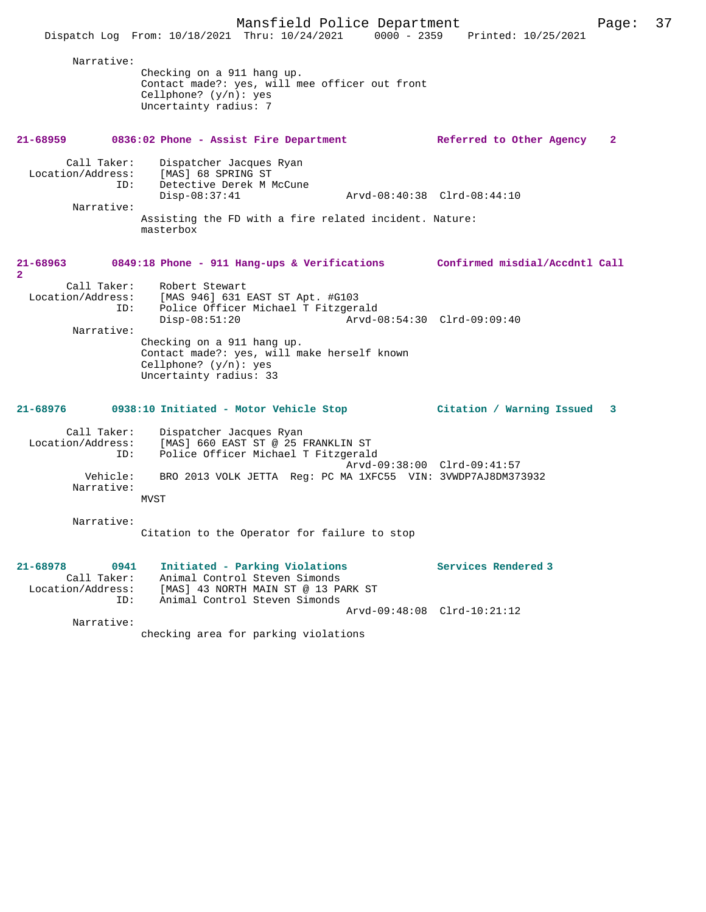|                                                                   | Mansfield Police Department<br>$0000 - 2359$<br>Dispatch Log From: 10/18/2021 Thru: 10/24/2021                                                                                                                                                  | Printed: 10/25/2021         | 37<br>Page:  |
|-------------------------------------------------------------------|-------------------------------------------------------------------------------------------------------------------------------------------------------------------------------------------------------------------------------------------------|-----------------------------|--------------|
| Narrative:                                                        | Checking on a 911 hang up.<br>Contact made?: yes, will mee officer out front<br>Cellphone? $(y/n)$ : yes<br>Uncertainty radius: 7                                                                                                               |                             |              |
| 21-68959                                                          | 0836:02 Phone - Assist Fire Department                                                                                                                                                                                                          | Referred to Other Agency    | $\mathbf{2}$ |
| Call Taker:<br>Location/Address:<br>ID:<br>Narrative:             | Dispatcher Jacques Ryan<br>[MAS] 68 SPRING ST<br>Detective Derek M McCune<br>$Disp-08:37:41$<br>Assisting the FD with a fire related incident. Nature:<br>masterbox                                                                             | Arvd-08:40:38 Clrd-08:44:10 |              |
| 21-68963<br>$\overline{a}$                                        | 0849:18 Phone - 911 Hang-ups & Verifications Confirmed misdial/Accdntl Call                                                                                                                                                                     |                             |              |
| Call Taker:<br>Location/Address:<br>ID:<br>Narrative:             | Robert Stewart<br>[MAS 946] 631 EAST ST Apt. #G103<br>Police Officer Michael T Fitzgerald<br>$Disp-08:51:20$<br>Checking on a 911 hang up.<br>Contact made?: yes, will make herself known<br>Cellphone? $(y/n)$ : yes<br>Uncertainty radius: 33 | Arvd-08:54:30 Clrd-09:09:40 |              |
| 21-68976                                                          | 0938:10 Initiated - Motor Vehicle Stop                                                                                                                                                                                                          | Citation / Warning Issued   | 3            |
| Call Taker:<br>Location/Address:<br>ID:<br>Vehicle:<br>Narrative: | Dispatcher Jacques Ryan<br>[MAS] 660 EAST ST @ 25 FRANKLIN ST<br>Police Officer Michael T Fitzgerald<br>BRO 2013 VOLK JETTA Req: PC MA 1XFC55 VIN: 3VWDP7AJ8DM373932<br><b>MVST</b>                                                             | Arvd-09:38:00 Clrd-09:41:57 |              |
| Narrative:                                                        | Citation to the Operator for failure to stop                                                                                                                                                                                                    |                             |              |
| 21-68978<br>0941<br>Call Taker:<br>Location/Address:<br>ID:       | Initiated - Parking Violations<br>Animal Control Steven Simonds<br>[MAS] 43 NORTH MAIN ST @ 13 PARK ST<br>Animal Control Steven Simonds                                                                                                         | Services Rendered 3         |              |
| Narrative:                                                        |                                                                                                                                                                                                                                                 | Arvd-09:48:08 Clrd-10:21:12 |              |

checking area for parking violations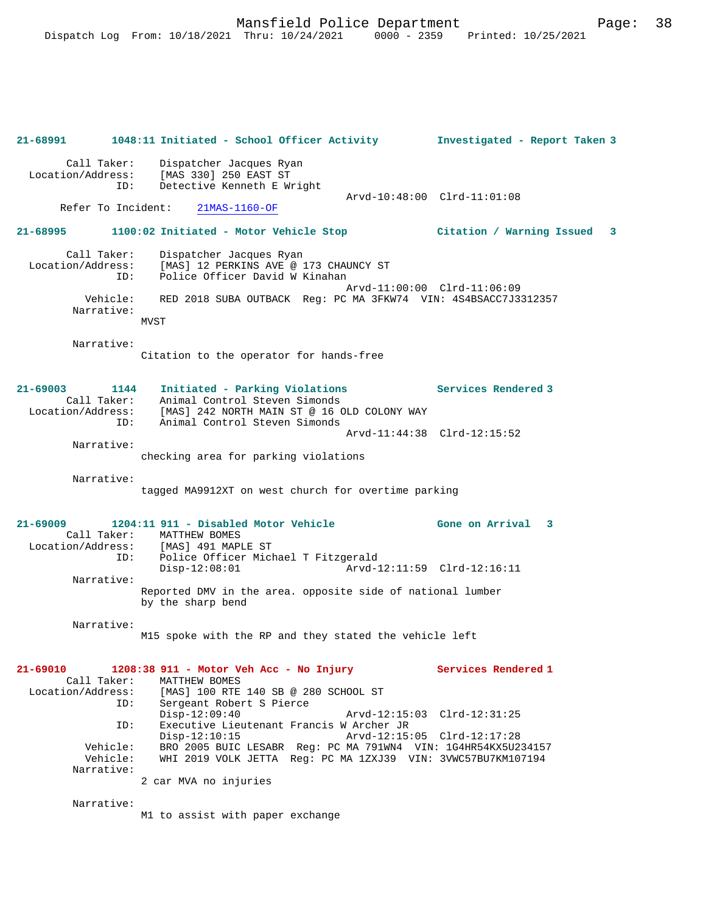|                                                          | 21-68991 1048:11 Initiated - School Officer Activity 1nvestigated - Report Taken 3                                                               |                             |
|----------------------------------------------------------|--------------------------------------------------------------------------------------------------------------------------------------------------|-----------------------------|
| Call Taker:<br>Location/Address:<br>ID:                  | Dispatcher Jacques Ryan<br>[MAS 330] 250 EAST ST<br>Detective Kenneth E Wright                                                                   |                             |
| Refer To Incident:                                       | $21$ MAS- $1160$ -OF                                                                                                                             | Arvd-10:48:00 Clrd-11:01:08 |
| 21-68995                                                 | 1100:02 Initiated - Motor Vehicle Stop (Citation / Warning Issued                                                                                | -3                          |
| Call Taker:<br>Location/Address:<br>ID:                  | Dispatcher Jacques Ryan<br>[MAS] 12 PERKINS AVE @ 173 CHAUNCY ST<br>Police Officer David W Kinahan                                               |                             |
| Vehicle:<br>Narrative:                                   | RED 2018 SUBA OUTBACK Reg: PC MA 3FKW74 VIN: 4S4BSACC7J3312357<br>MVST                                                                           | Arvd-11:00:00 Clrd-11:06:09 |
| Narrative:                                               | Citation to the operator for hands-free                                                                                                          |                             |
| $21 - 69003$<br>1144<br>Call Taker:<br>Location/Address: | Initiated - Parking Violations<br>Animal Control Steven Simonds<br>[MAS] 242 NORTH MAIN ST @ 16 OLD COLONY WAY                                   | Services Rendered 3         |
| ID:                                                      | Animal Control Steven Simonds                                                                                                                    | Arvd-11:44:38 Clrd-12:15:52 |
| Narrative:                                               | checking area for parking violations                                                                                                             |                             |
| Narrative:                                               | tagged MA9912XT on west church for overtime parking                                                                                              |                             |
| $21 - 69009$<br>ID:                                      | 1204:11 911 - Disabled Motor Vehicle<br>Call Taker: MATTHEW BOMES<br>Location/Address: [MAS] 491 MAPLE ST<br>Police Officer Michael T Fitzgerald | Gone on Arrival 3           |
| Narrative:                                               | $Disp-12:08:01$                                                                                                                                  |                             |
|                                                          | Reported DMV in the area. opposite side of national lumber<br>by the sharp bend                                                                  |                             |
| Narrative:                                               | M15 spoke with the RP and they stated the vehicle left                                                                                           |                             |
| 21-69010<br>Call Taker:<br>Location/Address:<br>ID:      | 1208:38 911 - Motor Veh Acc - No Injury<br>MATTHEW BOMES<br>[MAS] 100 RTE 140 SB @ 280 SCHOOL ST<br>Sergeant Robert S Pierce                     | Services Rendered 1         |
| ID:                                                      | $Disp-12:09:40$<br>Executive Lieutenant Francis W Archer JR<br>$Disp-12:10:15$                                                                   | Arvd-12:15:05 Clrd-12:17:28 |
| Vehicle:<br>Vehicle:<br>Narrative:                       | BRO 2005 BUIC LESABR Req: PC MA 791WN4 VIN: 1G4HR54KX5U234157<br>WHI 2019 VOLK JETTA Reg: PC MA 1ZXJ39 VIN: 3VWC57BU7KM107194                    |                             |
|                                                          | 2 car MVA no injuries                                                                                                                            |                             |
| Narrative:                                               | M1 to assist with paper exchange                                                                                                                 |                             |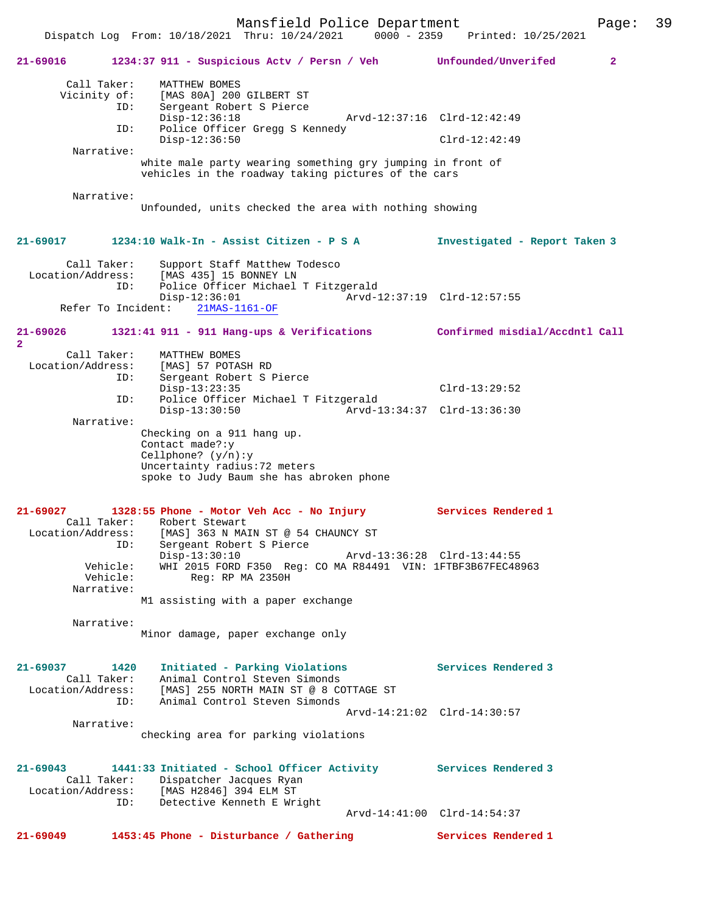Dispatch Log From: 10/18/2021 Thru: 10/24/2021 0000 - 2359 Printed: 10/25/2021 **21-69016 1234:37 911 - Suspicious Actv / Persn / Veh Unfounded/Unverifed 2** Call Taker: MATTHEW BOMES Vicinity of: [MAS 80A] 200 GILBERT ST ID: Sergeant Robert S Pierce<br>Disp-12:36:18 Disp-12:36:18 Arvd-12:37:16 Clrd-12:42:49 ID: Police Officer Gregg S Kennedy Disp-12:36:50 Clrd-12:42:49 Narrative: white male party wearing something gry jumping in front of vehicles in the roadway taking pictures of the cars Narrative: Unfounded, units checked the area with nothing showing **21-69017 1234:10 Walk-In - Assist Citizen - P S A Investigated - Report Taken 3** Call Taker: Support Staff Matthew Todesco Location/Address: [MAS 435] 15 BONNEY LN ID: Police Officer Michael T Fitzgerald -12:36:01<br>
21MAS-1161-OF<br>
22MAS-1161-OF Refer To Incident: **21-69026 1321:41 911 - 911 Hang-ups & Verifications Confirmed misdial/Accdntl Call 2**  Call Taker: MATTHEW BOMES Location/Address: [MAS] 57 POTASH RD<br>ID: Sergeant Robert S E Sergeant Robert S Pierce Disp-13:23:35 Clrd-13:29:52 ID: Police Officer Michael T Fitzgerald Disp-13:30:50 Arvd-13:34:37 Clrd-13:36:30 Narrative: Checking on a 911 hang up. Contact made?:y Cellphone? (y/n):y Uncertainty radius:72 meters spoke to Judy Baum she has abroken phone **21-69027 1328:55 Phone - Motor Veh Acc - No Injury Services Rendered 1**  Call Taker: Robert Stewart Location/Address: [MAS] 363 N MAIN ST @ 54 CHAUNCY ST ID: Sergeant Robert S Pierce Disp-13:30:10 Arvd-13:36:28 Clrd-13:44:55 Vehicle: WHI 2015 FORD F350 Reg: CO MA R84491 VIN: 1FTBF3B67FEC48963<br>Vehicle: Reg: RP MA 2350H Reg: RP MA 2350H Narrative: M1 assisting with a paper exchange Narrative: Minor damage, paper exchange only **21-69037 1420 Initiated - Parking Violations Services Rendered 3**  Call Taker: Animal Control Steven Simonds Location/Address: [MAS] 255 NORTH MAIN ST @ 8 COTTAGE ST ID: Animal Control Steven Simonds Arvd-14:21:02 Clrd-14:30:57 Narrative: checking area for parking violations **21-69043 1441:33 Initiated - School Officer Activity Services Rendered 3**  Call Taker: Dispatcher Jacques Ryan<br>Location/Address: [MAS H2846] 394 ELM ST ess: [MAS H2846] 394 ELM ST<br>ID: Detective Kenneth E Wri Detective Kenneth E Wright Arvd-14:41:00 Clrd-14:54:37 **21-69049 1453:45 Phone - Disturbance / Gathering Services Rendered 1** 

Mansfield Police Department Page: 39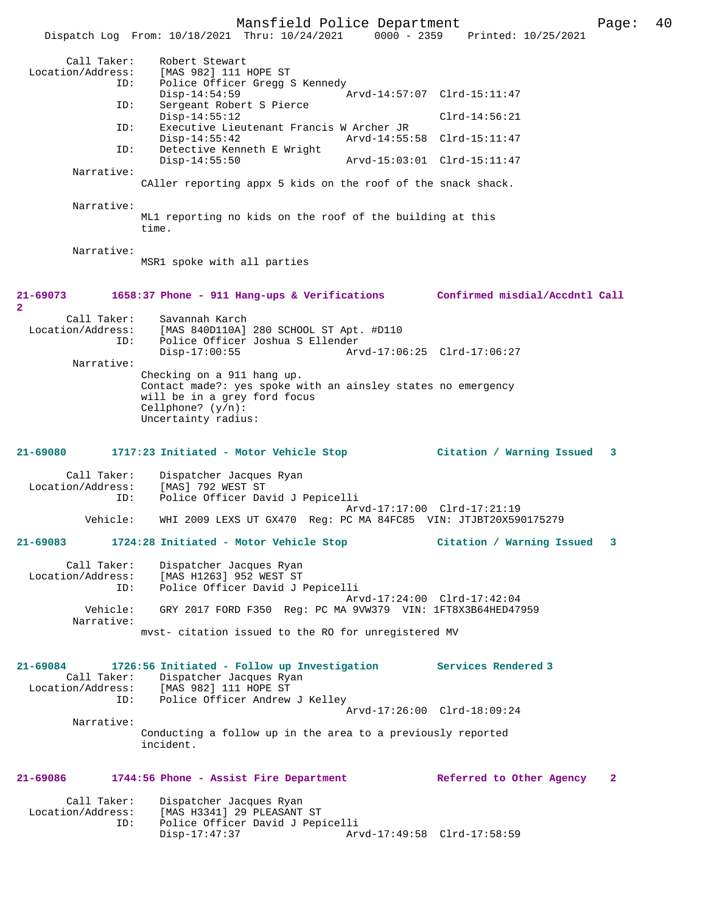Mansfield Police Department Form Page: 40 Dispatch Log From: 10/18/2021 Thru: 10/24/2021 0000 - 2359 Printed: 10/25/2021 Call Taker: Robert Stewart<br>Location/Address: [MAS 982] 111 B [MAS 982] 111 HOPE ST ID: Police Officer Gregg S Kennedy<br>Disp-14:54:59 Disp-14:54:59 <br>TD: Sergeant Robert S Pierce <br>Displacement Robert S Pierce Sergeant Robert S Pierce<br>Disp-14:55:12 Disp-14:55:12 Clrd-14:56:21 ID: Executive Lieutenant Francis W Archer JR Disp-14:55:42 Arvd-14:55:58 Clrd-15:11:47<br>TD: Detective Kenneth E Wright Detective Kenneth E Wright<br>Disp-14:55:50 Disp-14:55:50 Arvd-15:03:01 Clrd-15:11:47 Narrative: CAller reporting appx 5 kids on the roof of the snack shack. Narrative: ML1 reporting no kids on the roof of the building at this time. Narrative: MSR1 spoke with all parties **21-69073 1658:37 Phone - 911 Hang-ups & Verifications Confirmed misdial/Accdntl Call 2**  Call Taker: Savannah Karch Location/Address: [MAS 840D110A] 280 SCHOOL ST Apt. #D110<br>ID: Police Officer Joshua S Ellender Police Officer Joshua S Ellender Disp-17:00:55 Arvd-17:06:25 Clrd-17:06:27 Narrative: Checking on a 911 hang up. Contact made?: yes spoke with an ainsley states no emergency will be in a grey ford focus Cellphone? (y/n): Uncertainty radius: **21-69080 1717:23 Initiated - Motor Vehicle Stop Citation / Warning Issued 3** Call Taker: Dispatcher Jacques Ryan<br>.on/Address: [MAS] 792 WEST ST Location/Address: ID: Police Officer David J Pepicelli Arvd-17:17:00 Clrd-17:21:19<br>Vehicle: WHI 2009 LEXS UT GX470 Req: PC MA 84FC85 VIN: JTJBT20X590 Vehicle: WHI 2009 LEXS UT GX470 Reg: PC MA 84FC85 VIN: JTJBT20X590175279 **21-69083 1724:28 Initiated - Motor Vehicle Stop Citation / Warning Issued 3** Call Taker: Dispatcher Jacques Ryan Location/Address: [MAS H1263] 952 WEST ST ID: Police Officer David J Pepicelli Arvd-17:24:00 Clrd-17:42:04 Vehicle: GRY 2017 FORD F350 Reg: PC MA 9VW379 VIN: 1FT8X3B64HED47959 Narrative: mvst- citation issued to the RO for unregistered MV **21-69084 1726:56 Initiated - Follow up Investigation Services Rendered 3**  Call Taker: Dispatcher Jacques Ryan<br>Location/Address: [MAS 982] 111 HOPE ST ess: [MAS 982] 111 HOPE ST<br>ID: Police Officer Andrew Police Officer Andrew J Kelley Arvd-17:26:00 Clrd-18:09:24 Narrative: Conducting a follow up in the area to a previously reported incident. **21-69086 1744:56 Phone - Assist Fire Department Referred to Other Agency 2** Call Taker: Dispatcher Jacques Ryan Location/Address: [MAS H3341] 29 PLEASANT ST<br>Dice Officer David J Pep ID: Police Officer David J Pepicelli Arvd-17:49:58 Clrd-17:58:59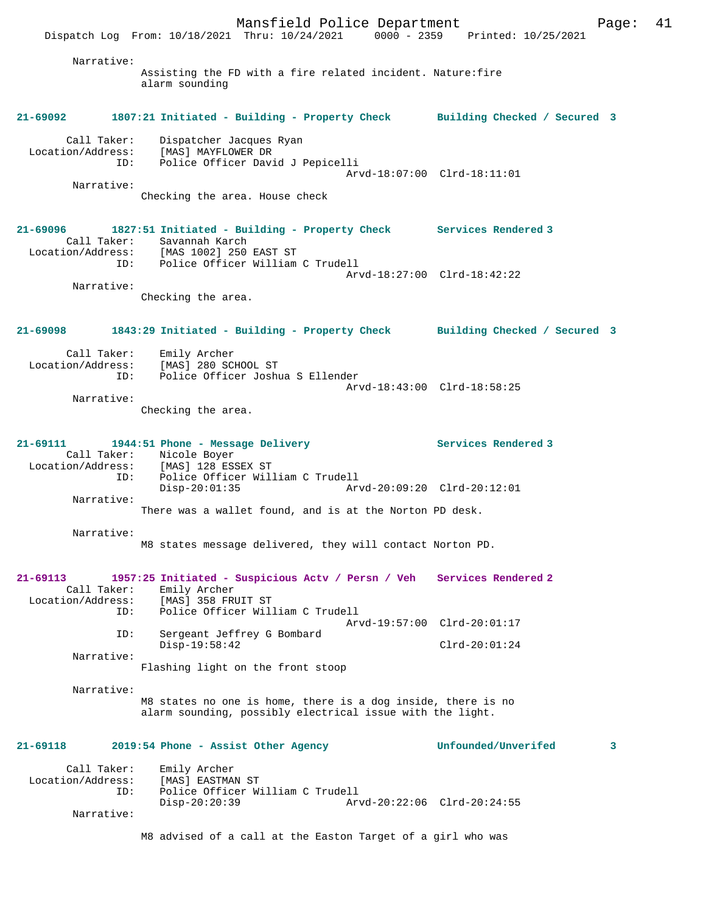Mansfield Police Department Page: 41 Dispatch Log From: 10/18/2021 Thru: 10/24/2021 0000 - 2359 Printed: 10/25/2021 Narrative: Assisting the FD with a fire related incident. Nature:fire alarm sounding **21-69092 1807:21 Initiated - Building - Property Check Building Checked / Secured 3** Call Taker: Dispatcher Jacques Ryan Location/Address: [MAS] MAYFLOWER DR ID: Police Officer David J Pepicelli Arvd-18:07:00 Clrd-18:11:01 Narrative: Checking the area. House check **21-69096 1827:51 Initiated - Building - Property Check Services Rendered 3**  Call Taker: Savannah Karch<br>Location/Address: [MAS 1002] 250 [MAS 1002] 250 EAST ST ID: Police Officer William C Trudell Arvd-18:27:00 Clrd-18:42:22 Narrative: Checking the area. **21-69098 1843:29 Initiated - Building - Property Check Building Checked / Secured 3** Call Taker: Emily Archer<br>Location/Address: [MAS] 280 SCI  $[MAS] 280$  SCHOOL ST ID: Police Officer Joshua S Ellender Arvd-18:43:00 Clrd-18:58:25 Narrative: Checking the area. **21-69111 1944:51 Phone - Message Delivery Services Rendered 3**  Call Taker: Nicole Boyer<br>Location/Address: [MAS] 128 ES [MAS] 128 ESSEX ST ID: Police Officer William C Trudell Disp-20:01:35 Arvd-20:09:20 Clrd-20:12:01 Narrative: There was a wallet found, and is at the Norton PD desk. Narrative: M8 states message delivered, they will contact Norton PD. **21-69113 1957:25 Initiated - Suspicious Actv / Persn / Veh Services Rendered 2**  Call Taker: Emily Archer Location/Address: [MAS] 358 FRUIT ST<br>TD: Police Officer Will Police Officer William C Trudell Arvd-19:57:00 Clrd-20:01:17 ID: Sergeant Jeffrey G Bombard Disp-19:58:42 Clrd-20:01:24 Narrative: Flashing light on the front stoop Narrative: M8 states no one is home, there is a dog inside, there is no alarm sounding, possibly electrical issue with the light. **21-69118 2019:54 Phone - Assist Other Agency Unfounded/Unverifed 3** Call Taker: Emily Archer Location/Address: [MAS] EASTMAN ST<br>ID: Police Officer W Police Officer William C Trudell<br>Disp-20:20:39 Ar Disp-20:20:39 Arvd-20:22:06 Clrd-20:24:55 Narrative: M8 advised of a call at the Easton Target of a girl who was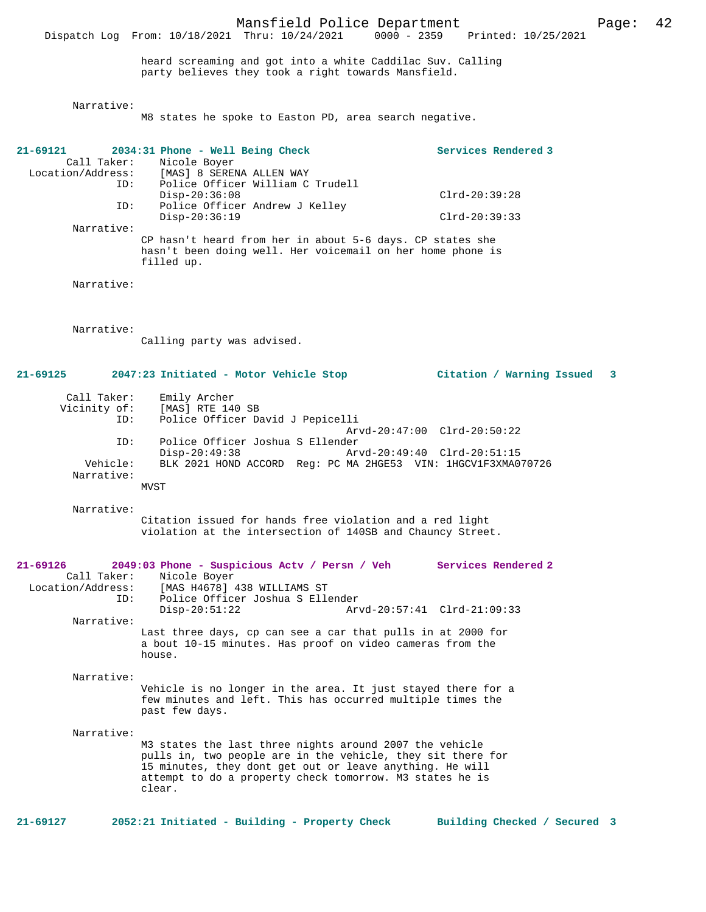Mansfield Police Department Page: 42 Dispatch Log From: 10/18/2021 Thru: 10/24/2021 heard screaming and got into a white Caddilac Suv. Calling party believes they took a right towards Mansfield. Narrative: M8 states he spoke to Easton PD, area search negative. **21-69121 2034:31 Phone - Well Being Check Services Rendered 3**  Call Taker: Nicole Boyer<br>Location/Address: [MAS] 8 SERED ess: [MAS] 8 SERENA ALLEN WAY<br>ID: Police Officer William C Police Officer William C Trudell Disp-20:36:08 Clrd-20:39:28<br>ID: Police Officer Andrew J Kelley Police Officer Andrew J Kelley Disp-20:36:19 Clrd-20:39:33 Narrative: CP hasn't heard from her in about 5-6 days. CP states she hasn't been doing well. Her voicemail on her home phone is filled up. Narrative: Narrative: Calling party was advised. **21-69125 2047:23 Initiated - Motor Vehicle Stop Citation / Warning Issued 3** Call Taker: Emily Archer<br>Vicinity of: [MAS] RTE 14 of: [MAS] RTE 140 SB<br>TD: Police Officer Da Police Officer David J Pepicelli Arvd-20:47:00 Clrd-20:50:22 ID: Police Officer Joshua S Ellender Disp-20:49:38 Arvd-20:49:40 Clrd-20:51:15 Vehicle: BLK 2021 HOND ACCORD Reg: PC MA 2HGE53 VIN: 1HGCV1F3XMA070726 Narrative: MVST Narrative: Citation issued for hands free violation and a red light violation at the intersection of 140SB and Chauncy Street. **21-69126 2049:03 Phone - Suspicious Actv / Persn / Veh Services Rendered 2**  Call Taker: Nicole Boyer<br>Location/Address: [MAS H4678]  $[MAS H4678] 438 WILLIAMS ST$  ID: Police Officer Joshua S Ellender Disp-20:51:22 Arvd-20:57:41 Clrd-21:09:33 Narrative: Last three days, cp can see a car that pulls in at 2000 for a bout 10-15 minutes. Has proof on video cameras from the house. Narrative: Vehicle is no longer in the area. It just stayed there for a few minutes and left. This has occurred multiple times the past few days. Narrative: M3 states the last three nights around 2007 the vehicle pulls in, two people are in the vehicle, they sit there for 15 minutes, they dont get out or leave anything. He will attempt to do a property check tomorrow. M3 states he is clear.

**21-69127 2052:21 Initiated - Building - Property Check Building Checked / Secured 3**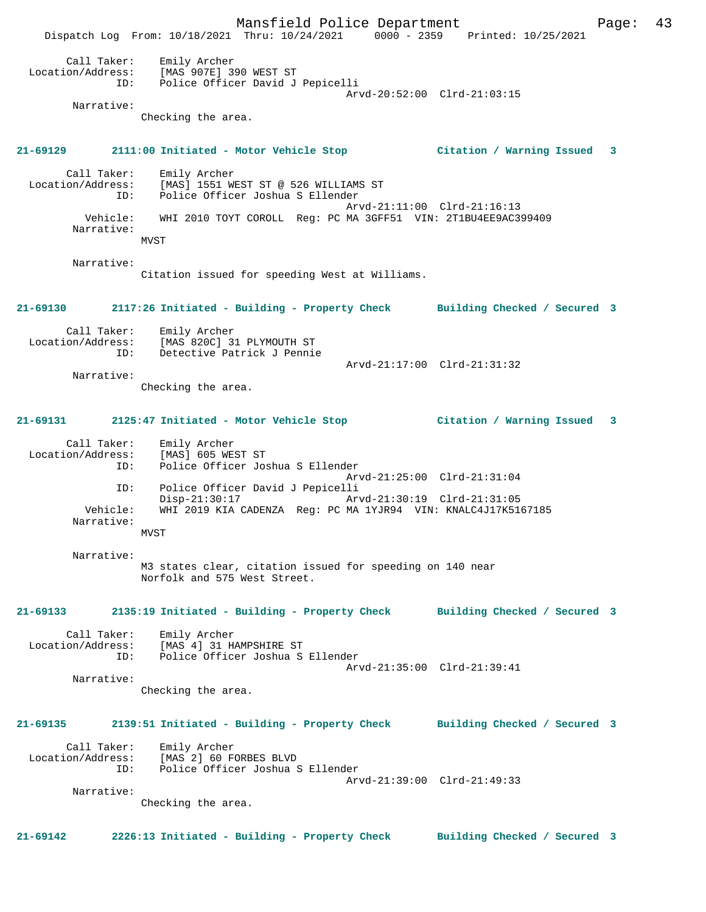Mansfield Police Department Form Page: 43 Dispatch Log From: 10/18/2021 Thru: 10/24/2021 0000 - 2359 Printed: 10/25/2021 Call Taker: Emily Archer Location/Address: [MAS 907E] 390 WEST ST ID: Police Officer David J Pepicelli Arvd-20:52:00 Clrd-21:03:15 Narrative: Checking the area. **21-69129 2111:00 Initiated - Motor Vehicle Stop Citation / Warning Issued 3** Call Taker: Emily Archer Location/Address: [MAS] 1551 WEST ST @ 526 WILLIAMS ST ID: Police Officer Joshua S Ellender Arvd-21:11:00 Clrd-21:16:13 Vehicle: WHI 2010 TOYT COROLL Reg: PC MA 3GFF51 VIN: 2T1BU4EE9AC399409 Narrative: MVST Narrative: Citation issued for speeding West at Williams. **21-69130 2117:26 Initiated - Building - Property Check Building Checked / Secured 3** Call Taker: Emily Archer Location/Address: [MAS 820C] 31 PLYMOUTH ST Detective Patrick J Pennie Arvd-21:17:00 Clrd-21:31:32 Narrative: Checking the area. **21-69131 2125:47 Initiated - Motor Vehicle Stop Citation / Warning Issued 3** Call Taker: Emily Archer Location/Address: [MAS] 605 WEST ST ID: Police Officer Joshua S Ellender Arvd-21:25:00 Clrd-21:31:04 ID: Police Officer David J Pepicelli Disp-21:30:17 Arvd-21:30:19 Clrd-21:31:05 Vehicle: WHI 2019 KIA CADENZA Reg: PC MA 1YJR94 VIN: KNALC4J17K5167185 Narrative: MVST Narrative: M3 states clear, citation issued for speeding on 140 near Norfolk and 575 West Street. **21-69133 2135:19 Initiated - Building - Property Check Building Checked / Secured 3** Call Taker: Emily Archer Location/Address: [MAS 4] 31 HAMPSHIRE ST ID: Police Officer Joshua S Ellender Arvd-21:35:00 Clrd-21:39:41 Narrative: Checking the area. **21-69135 2139:51 Initiated - Building - Property Check Building Checked / Secured 3** Call Taker: Emily Archer Location/Address: [MAS 2] 60 FORBES BLVD ID: Police Officer Joshua S Ellender Arvd-21:39:00 Clrd-21:49:33 Narrative: Checking the area. **21-69142 2226:13 Initiated - Building - Property Check Building Checked / Secured 3**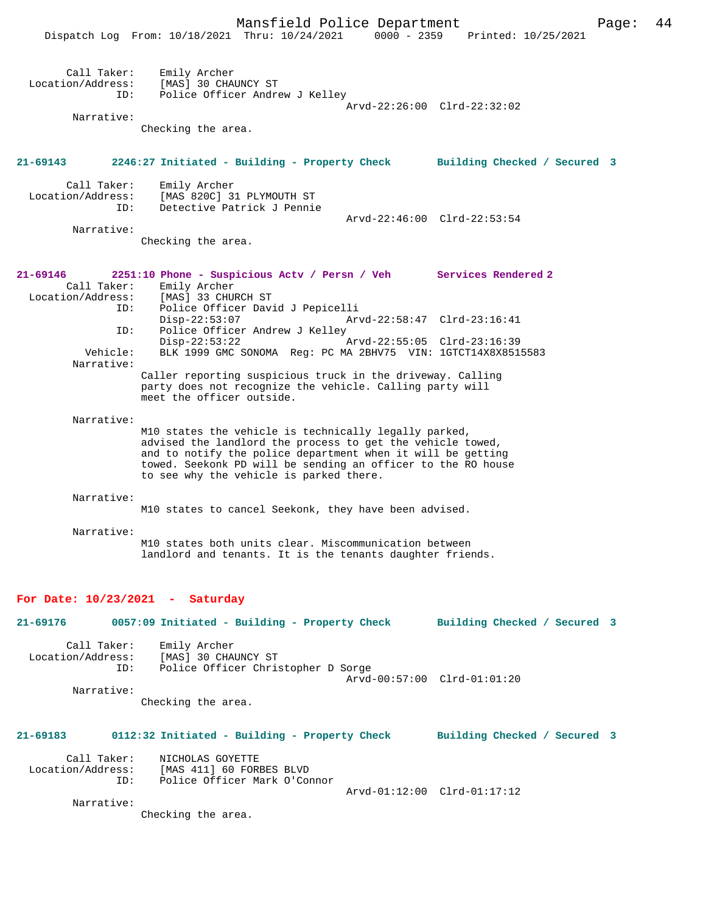|                                                       | Mansfield Police Department<br>Dispatch Log From: 10/18/2021 Thru: 10/24/2021                                                                                                                                                                                                                 |                                                            | 0000 - 2359 Printed: 10/25/2021 | Page: | 44 |
|-------------------------------------------------------|-----------------------------------------------------------------------------------------------------------------------------------------------------------------------------------------------------------------------------------------------------------------------------------------------|------------------------------------------------------------|---------------------------------|-------|----|
| Call Taker:<br>Location/Address:<br>ID:<br>Narrative: | Emily Archer<br>[MAS] 30 CHAUNCY ST<br>Police Officer Andrew J Kelley<br>Checking the area.                                                                                                                                                                                                   | Arvd-22:26:00 Clrd-22:32:02                                |                                 |       |    |
| 21-69143                                              | 2246:27 Initiated - Building - Property Check                                                                                                                                                                                                                                                 |                                                            | Building Checked / Secured 3    |       |    |
| Call Taker:<br>Location/Address:<br>ID:               | Emily Archer<br>[MAS 820C] 31 PLYMOUTH ST<br>Detective Patrick J Pennie                                                                                                                                                                                                                       |                                                            |                                 |       |    |
| Narrative:                                            | Checking the area.                                                                                                                                                                                                                                                                            | Arvd-22:46:00 Clrd-22:53:54                                |                                 |       |    |
| 21-69146<br>Call Taker:<br>Location/Address:          | 2251:10 Phone - Suspicious Actv / Persn / Veh Services Rendered 2<br>Emily Archer<br>[MAS] 33 CHURCH ST                                                                                                                                                                                       |                                                            |                                 |       |    |
| ID:<br>ID:<br>Vehicle:<br>Narrative:                  | Police Officer David J Pepicelli<br>$Disp-22:53:07$<br>Police Officer Andrew J Kelley<br>$Disp-22:53:22$<br>BLK 1999 GMC SONOMA Reg: PC MA 2BHV75 VIN: 1GTCT14X8X8515583<br>Caller reporting suspicious truck in the driveway. Calling                                                        | Arvd-22:58:47 Clrd-23:16:41<br>Arvd-22:55:05 Clrd-23:16:39 |                                 |       |    |
|                                                       | party does not recognize the vehicle. Calling party will<br>meet the officer outside.                                                                                                                                                                                                         |                                                            |                                 |       |    |
| Narrative:                                            | M10 states the vehicle is technically legally parked,<br>advised the landlord the process to get the vehicle towed,<br>and to notify the police department when it will be getting<br>towed. Seekonk PD will be sending an officer to the RO house<br>to see why the vehicle is parked there. |                                                            |                                 |       |    |
| Narrative:                                            | M10 states to cancel Seekonk, they have been advised.                                                                                                                                                                                                                                         |                                                            |                                 |       |    |
| Narrative:                                            | M10 states both units clear. Miscommunication between<br>landlord and tenants. It is the tenants daughter friends.                                                                                                                                                                            |                                                            |                                 |       |    |
| For Date: $10/23/2021$ - Saturday                     |                                                                                                                                                                                                                                                                                               |                                                            |                                 |       |    |
| 21-69176                                              | 0057:09 Initiated - Building - Property Check Building Checked / Secured 3                                                                                                                                                                                                                    |                                                            |                                 |       |    |
| Call Taker:<br>Location/Address:<br>ID:               | Emily Archer<br>[MAS] 30 CHAUNCY ST<br>Police Officer Christopher D Sorge                                                                                                                                                                                                                     | Arvd-00:57:00 Clrd-01:01:20                                |                                 |       |    |
| Narrative:                                            | Checking the area.                                                                                                                                                                                                                                                                            |                                                            |                                 |       |    |
| 21-69183                                              | 0112:32 Initiated - Building - Property Check                                                                                                                                                                                                                                                 |                                                            | Building Checked / Secured 3    |       |    |
| Call Taker:<br>ID:                                    | NICHOLAS GOYETTE<br>Location/Address: [MAS 411] 60 FORBES BLVD<br>Police Officer Mark O'Connor                                                                                                                                                                                                |                                                            |                                 |       |    |
| Narrative:                                            | Checking the area.                                                                                                                                                                                                                                                                            | Arvd-01:12:00 Clrd-01:17:12                                |                                 |       |    |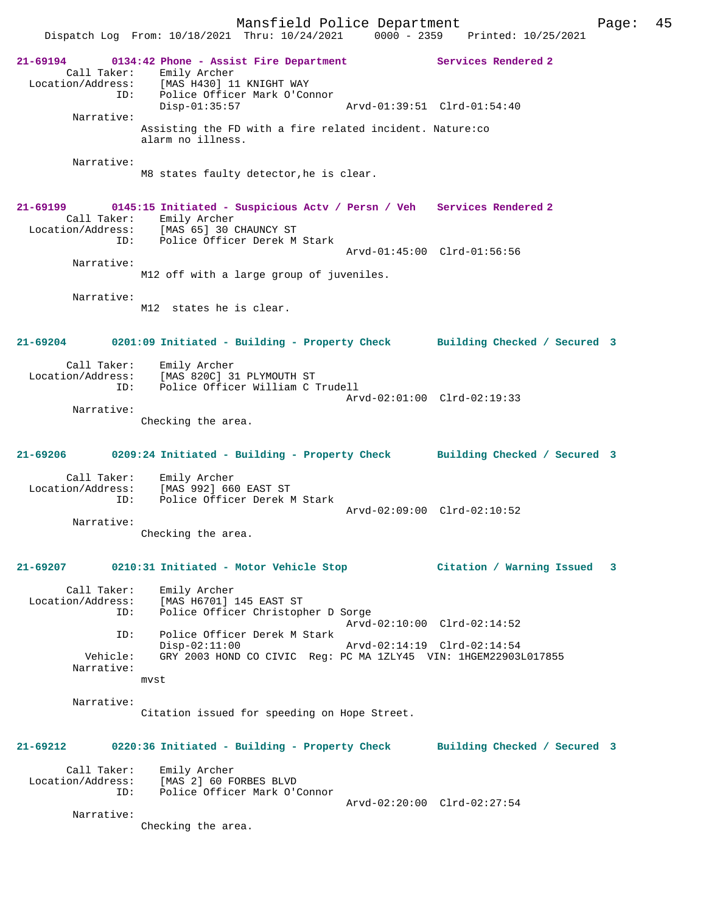Mansfield Police Department Fage: 45 Dispatch Log From: 10/18/2021 Thru: 10/24/2021 0000 - 2359 Printed: 10/25/2021 **21-69194 0134:42 Phone - Assist Fire Department Services Rendered 2**  Call Taker: Emily Archer Location/Address: [MAS H430] 11 KNIGHT WAY ID: Police Officer Mark O'Connor<br>Disp-01:35:57 Disp-01:35:57 Arvd-01:39:51 Clrd-01:54:40 Narrative: Assisting the FD with a fire related incident. Nature:co alarm no illness. Narrative: M8 states faulty detector,he is clear. **21-69199 0145:15 Initiated - Suspicious Actv / Persn / Veh Services Rendered 2**  Call Taker: Emily Archer Location/Address: [MAS 65] 30 CHAUNCY ST ID: Police Officer Derek M Stark Arvd-01:45:00 Clrd-01:56:56 Narrative: M12 off with a large group of juveniles. Narrative: M12 states he is clear. **21-69204 0201:09 Initiated - Building - Property Check Building Checked / Secured 3** Call Taker: Emily Archer<br>ion/Address: 1 Location/Address: [MAS 820C] 31 PLYMOUTH ST ID: Police Officer William C Trudell Arvd-02:01:00 Clrd-02:19:33 Narrative: Checking the area. **21-69206 0209:24 Initiated - Building - Property Check Building Checked / Secured 3** Call Taker: Emily Archer Location/Address: [MAS 992] 660 EAST ST ID: Police Officer Derek M Stark Arvd-02:09:00 Clrd-02:10:52 Narrative: Checking the area. **21-69207 0210:31 Initiated - Motor Vehicle Stop Citation / Warning Issued 3** Call Taker: Emily Archer Location/Address: [MAS H6701] 145 EAST ST ID: Police Officer Christopher D Sorge Arvd-02:10:00 Clrd-02:14:52 ID: Police Officer Derek M Stark Disp-02:11:00 Arvd-02:14:19 Clrd-02:14:54<br>Vehicle: GRY 2003 HOND CO CIVIC Req: PC MA 1ZLY45 VIN: 1HGEM229031 GRY 2003 HOND CO CIVIC Reg: PC MA 1ZLY45 VIN: 1HGEM22903L017855 Narrative: mvst Narrative: Citation issued for speeding on Hope Street. **21-69212 0220:36 Initiated - Building - Property Check Building Checked / Secured 3** Call Taker: Emily Archer Location/Address: [MAS 2] 60 FORBES BLVD ID: Police Officer Mark O'Connor Arvd-02:20:00 Clrd-02:27:54 Narrative: Checking the area.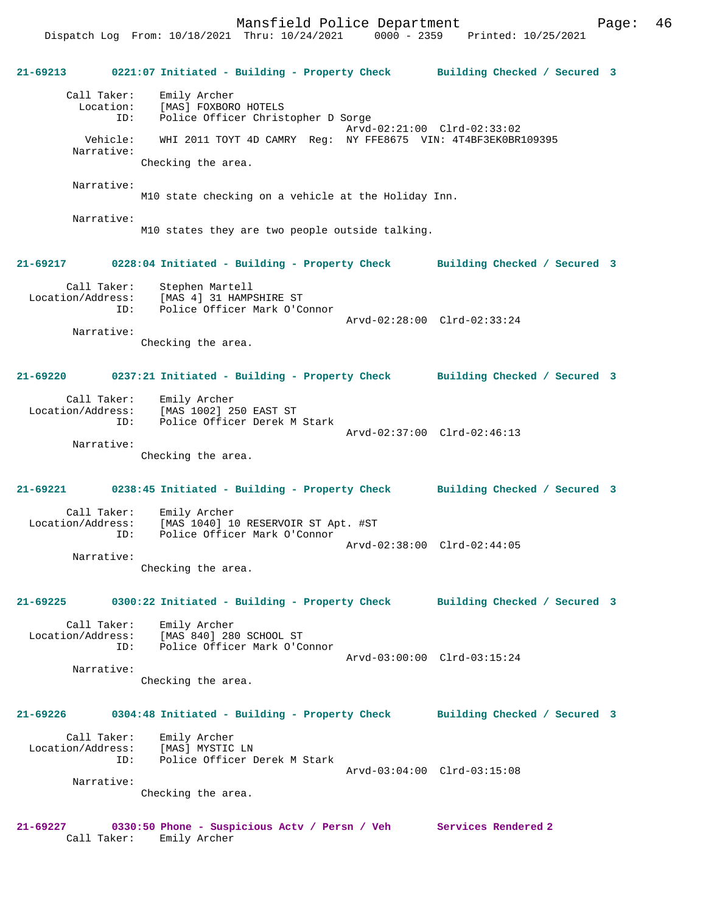Mansfield Police Department Page: 46

**21-69213 0221:07 Initiated - Building - Property Check Building Checked / Secured 3** Call Taker: Emily Archer Location: [MAS] FOXBORO HOTELS ID: Police Officer Christopher D Sorge Arvd-02:21:00 Clrd-02:33:02 Vehicle: WHI 2011 TOYT 4D CAMRY Reg: NY FFE8675 VIN: 4T4BF3EK0BR109395 Narrative: Checking the area. Narrative: M10 state checking on a vehicle at the Holiday Inn. Narrative: M10 states they are two people outside talking. **21-69217 0228:04 Initiated - Building - Property Check Building Checked / Secured 3** Call Taker: Stephen Martell Location/Address: [MAS 4] 31 HAMPSHIRE ST ID: Police Officer Mark O'Connor Arvd-02:28:00 Clrd-02:33:24 Narrative: Checking the area. **21-69220 0237:21 Initiated - Building - Property Check Building Checked / Secured 3** Call Taker: Emily Archer Location/Address: [MAS 1002] 250 EAST ST ID: Police Officer Derek M Stark Arvd-02:37:00 Clrd-02:46:13 Narrative: Checking the area. **21-69221 0238:45 Initiated - Building - Property Check Building Checked / Secured 3** Call Taker: Emily Archer<br>Location/Address: [MAS 1040] 10 Location (Address: [MAS 1040] 10 RESERVOIR ST Apt. #ST<br>ID: Police Officer Mark O'Connor Police Officer Mark O'Connor Arvd-02:38:00 Clrd-02:44:05 Narrative: Checking the area. **21-69225 0300:22 Initiated - Building - Property Check Building Checked / Secured 3** Call Taker: Emily Archer Location/Address: [MAS 840] 280 SCHOOL ST ID: Police Officer Mark O'Connor Arvd-03:00:00 Clrd-03:15:24 Narrative: Checking the area. **21-69226 0304:48 Initiated - Building - Property Check Building Checked / Secured 3** Call Taker: Emily Archer Location/Address: [MAS] MYSTIC LN ID: Police Officer Derek M Stark Arvd-03:04:00 Clrd-03:15:08 Narrative: Checking the area. **21-69227 0330:50 Phone - Suspicious Actv / Persn / Veh Services Rendered 2** 

Call Taker: Emily Archer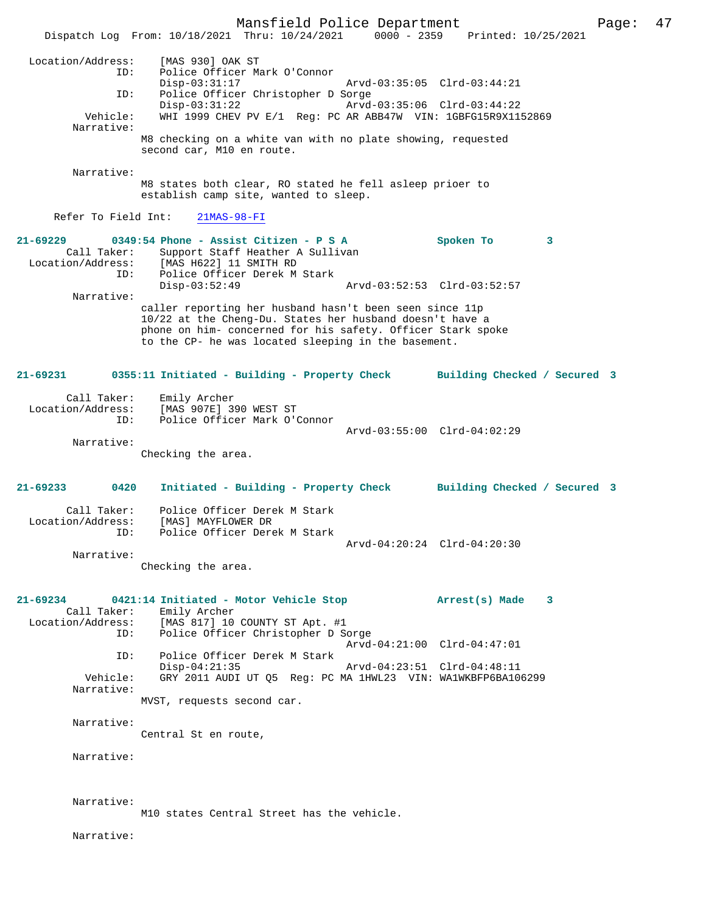Mansfield Police Department Page: 47 Dispatch Log From: 10/18/2021 Thru: 10/24/2021 0000 - 2359 Printed: 10/25/2021 Location/Address: [MAS 930] OAK ST ID: Police Officer Mark O'Connor Disp-03:31:17 Arvd-03:35:05 Clrd-03:44:21 ID: Police Officer Christopher D Sorge<br>Disp-03:31:22 Arvd- Disp-03:31:22 Arvd-03:35:06 Clrd-03:44:22 Vehicle: WHI 1999 CHEV PV E/1 Reg: PC AR ABB47W VIN: 1GBFG15R9X1152869 Narrative: M8 checking on a white van with no plate showing, requested second car, M10 en route. Narrative: M8 states both clear, RO stated he fell asleep prioer to establish camp site, wanted to sleep. Refer To Field Int: 21MAS-98-FI **21-69229 0349:54 Phone - Assist Citizen - P S A Spoken To 3**  Call Taker: Support Staff Heather A Sullivan<br>Location/Address: [MAS H622] 11 SMITH RD ess: [MAS H622] 11 SMITH RD<br>ID: Police Officer Derek M Police Officer Derek M Stark<br>Disp-03:52:49 Disp-03:52:49 Arvd-03:52:53 Clrd-03:52:57 Narrative: caller reporting her husband hasn't been seen since 11p 10/22 at the Cheng-Du. States her husband doesn't have a phone on him- concerned for his safety. Officer Stark spoke to the CP- he was located sleeping in the basement. **21-69231 0355:11 Initiated - Building - Property Check Building Checked / Secured 3** Call Taker: Emily Archer Location/Address: [MAS 907E] 390 WEST ST Police Officer Mark O'Connor Arvd-03:55:00 Clrd-04:02:29 Narrative: Checking the area. **21-69233 0420 Initiated - Building - Property Check Building Checked / Secured 3** Call Taker: Police Officer Derek M Stark Location/Address: [MAS] MAYFLOWER DR ID: Police Officer Derek M Stark Arvd-04:20:24 Clrd-04:20:30 Narrative: Checking the area. **21-69234 0421:14 Initiated - Motor Vehicle Stop Arrest(s) Made 3**  Call Taker: Emily Archer<br>Location/Address: [MAS 817] 10 [MAS 817] 10 COUNTY ST Apt. #1 ID: Police Officer Christopher D Sorge Arvd-04:21:00 Clrd-04:47:01 ID: Police Officer Derek M Stark Disp-04:21:35 Arvd-04:23:51 Clrd-04:48:11 Vehicle: GRY 2011 AUDI UT Q5 Reg: PC MA 1HWL23 VIN: WA1WKBFP6BA106299 Narrative: MVST, requests second car. Narrative: Central St en route, Narrative: Narrative: M10 states Central Street has the vehicle. Narrative: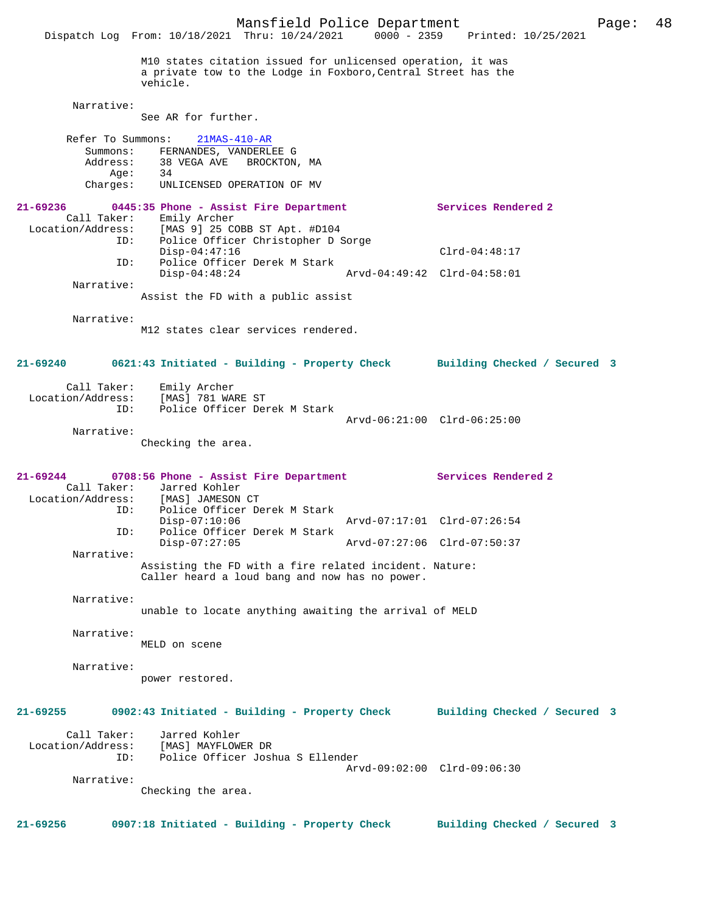Mansfield Police Department Page: 48 Dispatch Log From: 10/18/2021 Thru: 10/24/2021 M10 states citation issued for unlicensed operation, it was a private tow to the Lodge in Foxboro,Central Street has the vehicle. Narrative: See AR for further. Refer To Summons: 21MAS-410-AR Summons: FERNANDES, VANDERLEE G<br>Address: 38 VEGA AVE BROCKTON 38 VEGA AVE BROCKTON, MA<br>34 Age: Charges: UNLICENSED OPERATION OF MV **21-69236 0445:35 Phone - Assist Fire Department Services Rendered 2**  Call Taker: Emily Archer Location/Address: [MAS 9] 25 COBB ST Apt. #D104 ID: Police Officer Christopher D Sorge Disp-04:47:16 Clrd-04:48:17<br>ID: Police Officer Derek M Stark Police Officer Derek M Stark<br>Disp-04:48:24 Disp-04:48:24 Arvd-04:49:42 Clrd-04:58:01 Narrative: Assist the FD with a public assist Narrative: M12 states clear services rendered. **21-69240 0621:43 Initiated - Building - Property Check Building Checked / Secured 3** Call Taker: Emily Archer Location/Address: [MAS] 781 WARE ST ID: Police Officer Derek M Stark Arvd-06:21:00 Clrd-06:25:00 Narrative: Checking the area. **21-69244 0708:56 Phone - Assist Fire Department Services Rendered 2**  Call Taker: Jarred Kohler<br>Location/Address: [MAS] JAMESON Location/Address: [MAS] JAMESON CT ID: Police Officer Derek M Stark Disp-07:10:06 Arvd-07:17:01 Clrd-07:26:54 ID: Police Officer Derek M Stark Disp-07:27:05 Arvd-07:27:06 Clrd-07:50:37 Narrative: Assisting the FD with a fire related incident. Nature: Caller heard a loud bang and now has no power. Narrative: unable to locate anything awaiting the arrival of MELD Narrative: MELD on scene Narrative: power restored. **21-69255 0902:43 Initiated - Building - Property Check Building Checked / Secured 3** Call Taker: Jarred Kohler<br>Location/Address: [MAS] MAYFLOW [MAS] MAYFLOWER DR ID: Police Officer Joshua S Ellender Arvd-09:02:00 Clrd-09:06:30 Narrative: Checking the area. **21-69256 0907:18 Initiated - Building - Property Check Building Checked / Secured 3**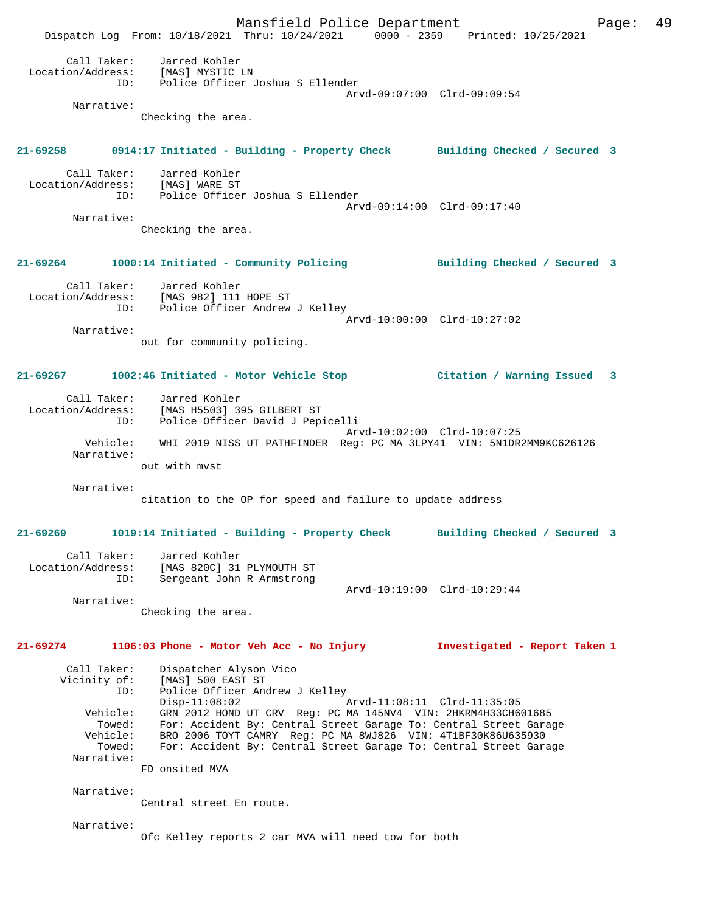Mansfield Police Department Fage: 49 Dispatch Log From: 10/18/2021 Thru: 10/24/2021 0000 - 2359 Printed: 10/25/2021 Call Taker: Jarred Kohler Location/Address: [MAS] MYSTIC LN ID: Police Officer Joshua S Ellender Arvd-09:07:00 Clrd-09:09:54 Narrative: Checking the area. **21-69258 0914:17 Initiated - Building - Property Check Building Checked / Secured 3** Call Taker: Jarred Kohler Location/Address: [MAS] WARE ST ID: Police Officer Joshua S Ellender Arvd-09:14:00 Clrd-09:17:40 Narrative: Checking the area. **21-69264 1000:14 Initiated - Community Policing Building Checked / Secured 3** Call Taker: Jarred Kohler Location/Address: [MAS 982] 111 HOPE ST ID: Police Officer Andrew J Kelley Arvd-10:00:00 Clrd-10:27:02 Narrative: out for community policing. **21-69267 1002:46 Initiated - Motor Vehicle Stop Citation / Warning Issued 3** Call Taker: Jarred Kohler Location/Address: [MAS H5503] 395 GILBERT ST ID: Police Officer David J Pepicelli Arvd-10:02:00 Clrd-10:07:25 Vehicle: WHI 2019 NISS UT PATHFINDER Reg: PC MA 3LPY41 VIN: 5N1DR2MM9KC626126 Narrative: out with mvst Narrative: citation to the OP for speed and failure to update address **21-69269 1019:14 Initiated - Building - Property Check Building Checked / Secured 3** Call Taker: Jarred Kohler Location/Address: [MAS 820C] 31 PLYMOUTH ST ID: Sergeant John R Armstrong Arvd-10:19:00 Clrd-10:29:44 Narrative: Checking the area. **21-69274 1106:03 Phone - Motor Veh Acc - No Injury Investigated - Report Taken 1** Call Taker: Dispatcher Alyson Vico<br>Vicinity of: [MAS] 500 EAST ST Vicinity of: [MAS] 500 EAST ST ID: Police Officer Andrew J Kelley Disp-11:08:02 Arvd-11:08:11 Clrd-11:35:05 Vehicle: GRN 2012 HOND UT CRV Reg: PC MA 145NV4 VIN: 2HKRM4H33CH601685 Towed: For: Accident By: Central Street Garage To: Central Street Garage<br>Vehicle: BRO 2006 TOYT CAMRY Reg: PC MA 8WJ826 VIN: 4T1BF30K86U635930<br>Towed: For: Accident By: Central Street Garage To: Central Street Garage Vehicle: BRO 2006 TOYT CAMRY Reg: PC MA 8WJ826 VIN: 4T1BF30K86U635930 Towed: For: Accident By: Central Street Garage To: Central Street Garage Narrative: FD onsited MVA Narrative: Central street En route. Narrative: Ofc Kelley reports 2 car MVA will need tow for both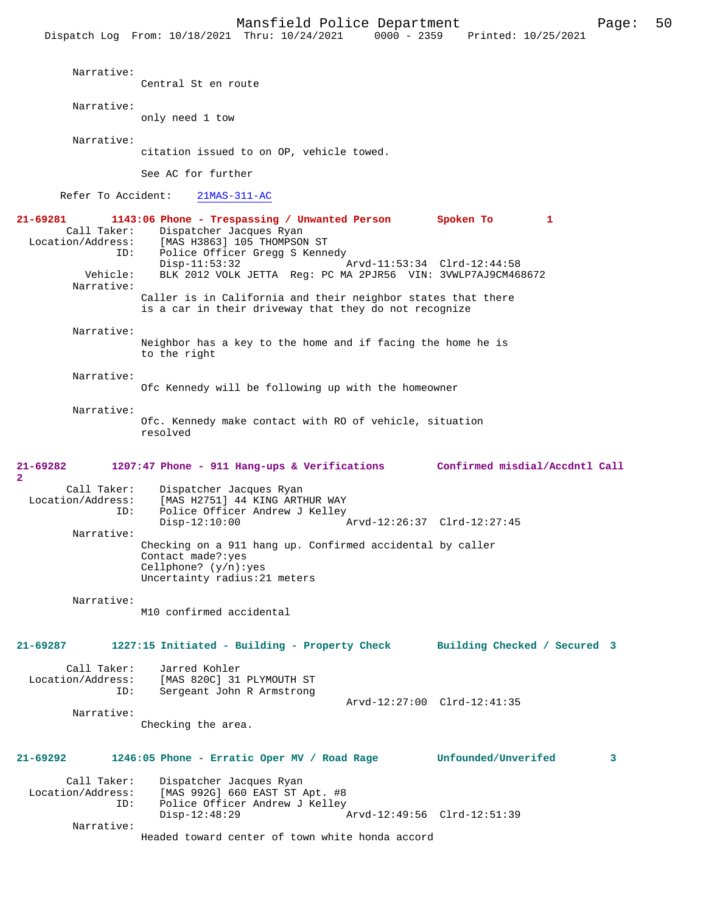Narrative: Central St en route Narrative: only need 1 tow Narrative: citation issued to on OP, vehicle towed. See AC for further Refer To Accident: 21MAS-311-AC **21-69281 1143:06 Phone - Trespassing / Unwanted Person Spoken To 1**  Call Taker: Dispatcher Jacques Ryan Location/Address: [MAS H3863] 105 THOMPSON ST<br>TD: Police Officer Gregg S Kenn Police Officer Gregg S Kennedy<br>Disp-11:53:32 Disp-11:53:32 Arvd-11:53:34 Clrd-12:44:58<br>Vehicle: BLK 2012 VOLK JETTA Req: PC MA 2PJR56 VIN: 3VWLP7AJ9CM46 BLK 2012 VOLK JETTA Reg: PC MA 2PJR56 VIN: 3VWLP7AJ9CM468672 Narrative: Caller is in California and their neighbor states that there is a car in their driveway that they do not recognize Narrative: Neighbor has a key to the home and if facing the home he is to the right Narrative: Ofc Kennedy will be following up with the homeowner Narrative: Ofc. Kennedy make contact with RO of vehicle, situation resolved **21-69282 1207:47 Phone - 911 Hang-ups & Verifications Confirmed misdial/Accdntl Call 2**  Call Taker: Dispatcher Jacques Ryan<br>Location/Address: [MAS H2751] 44 KING ARTI ess: [MAS H2751] 44 KING ARTHUR WAY<br>ID: Police Officer Andrew J Kellev Police Officer Andrew J Kelley<br>Disp-12:10:00 Arvd-12:26:37 Clrd-12:27:45 Narrative: Checking on a 911 hang up. Confirmed accidental by caller Contact made?:yes Cellphone? (y/n):yes Uncertainty radius:21 meters Narrative: M10 confirmed accidental **21-69287 1227:15 Initiated - Building - Property Check Building Checked / Secured 3** Call Taker: Jarred Kohler Location/Address: [MAS 820C] 31 PLYMOUTH ST Sergeant John R Armstrong Arvd-12:27:00 Clrd-12:41:35 Narrative: Checking the area. **21-69292 1246:05 Phone - Erratic Oper MV / Road Rage Unfounded/Unverifed 3** Call Taker: Dispatcher Jacques Ryan Location/Address: [MAS 992G] 660 EAST ST Apt. #8 Police Officer Andrew J Kelley<br>Disp-12:48:29 Disp-12:48:29 Arvd-12:49:56 Clrd-12:51:39 Narrative:

Headed toward center of town white honda accord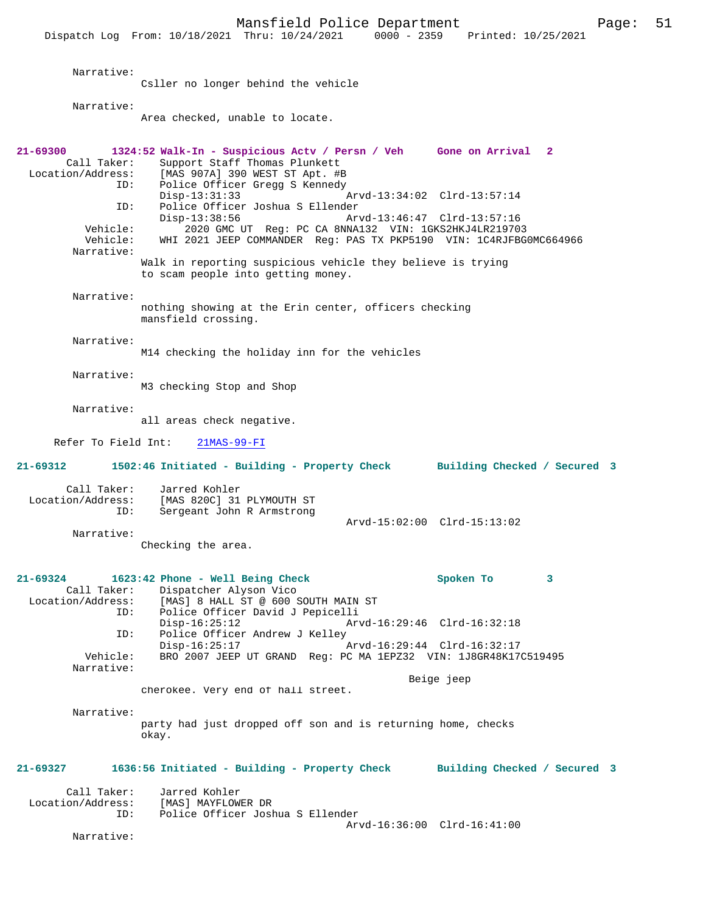Narrative: Csller no longer behind the vehicle Narrative: Area checked, unable to locate. **21-69300 1324:52 Walk-In - Suspicious Actv / Persn / Veh Gone on Arrival 2**  Call Taker: Support Staff Thomas Plunkett<br>Location/Address: [MAS 907A] 390 WEST ST Apt. #E ess: [MAS 907A] 390 WEST ST Apt. #B<br>ID: Police Officer Gregg S Kennedy Police Officer Gregg S Kennedy<br>Disp-13:31:33 Disp-13:31:33 Arvd-13:34:02 Clrd-13:57:14<br>ID: Police Officer Joshua S Ellender ID: Police Officer Joshua S Ellender Disp-13:38:56 Arvd-13:46:47 Clrd-13:57:16<br>Vehicle: 2020 GMC UT Reg: PC CA 8NNA132 VIN: 1GKS2HKJ4LR21970  $2020$  GMC UT Reg: PC CA 8NNA132 VIN: 1GKS2HKJ4LR219703 Vehicle: WHI 2021 JEEP COMMANDER Reg: PAS TX PKP5190 VIN: 1C4RJFBG0MC664966 Narrative: Walk in reporting suspicious vehicle they believe is trying to scam people into getting money. Narrative: nothing showing at the Erin center, officers checking mansfield crossing. Narrative: M14 checking the holiday inn for the vehicles Narrative: M3 checking Stop and Shop Narrative: all areas check negative. Refer To Field Int: 21MAS-99-FI **21-69312 1502:46 Initiated - Building - Property Check Building Checked / Secured 3** Call Taker: Jarred Kohler<br>Location/Address: [MAS 820C] 31 ess: [MAS 820C] 31 PLYMOUTH ST<br>ID: Sergeant John R Armstrong Sergeant John R Armstrong Arvd-15:02:00 Clrd-15:13:02 Narrative: Checking the area. **21-69324 1623:42 Phone - Well Being Check Spoken To 3**  Call Taker: Dispatcher Alyson Vico<br>Location/Address: [MAS] 8 HALL ST @ 600 : ess: [MAS] 8 HALL ST @ 600 SOUTH MAIN ST<br>ID: Police Officer David J Pepicelli .<br>Police Officer David J Pepicelli Disp-16:25:12 Arvd-16:29:46 Clrd-16:32:18<br>TD: Police Officer Andrew J Kellev Police Officer Andrew J Kelley<br>Disp-16:25:17 Disp-16:25:17 <br>Vehicle: RRO 2007 JEEP UT GRAND Reg: PC MA 1EPZ32 VIN: 1J8GR48K170 BRO 2007 JEEP UT GRAND Reg: PC MA 1EPZ32 VIN: 1J8GR48K17C519495 Narrative: Beige jeep cherokee. Very end of hall street. Narrative: party had just dropped off son and is returning home, checks okay. **21-69327 1636:56 Initiated - Building - Property Check Building Checked / Secured 3** Call Taker: Jarred Kohler<br>.on/Address: [MAS] MAYFLOWER DR Location/Address: ID: Police Officer Joshua S Ellender Arvd-16:36:00 Clrd-16:41:00 Narrative: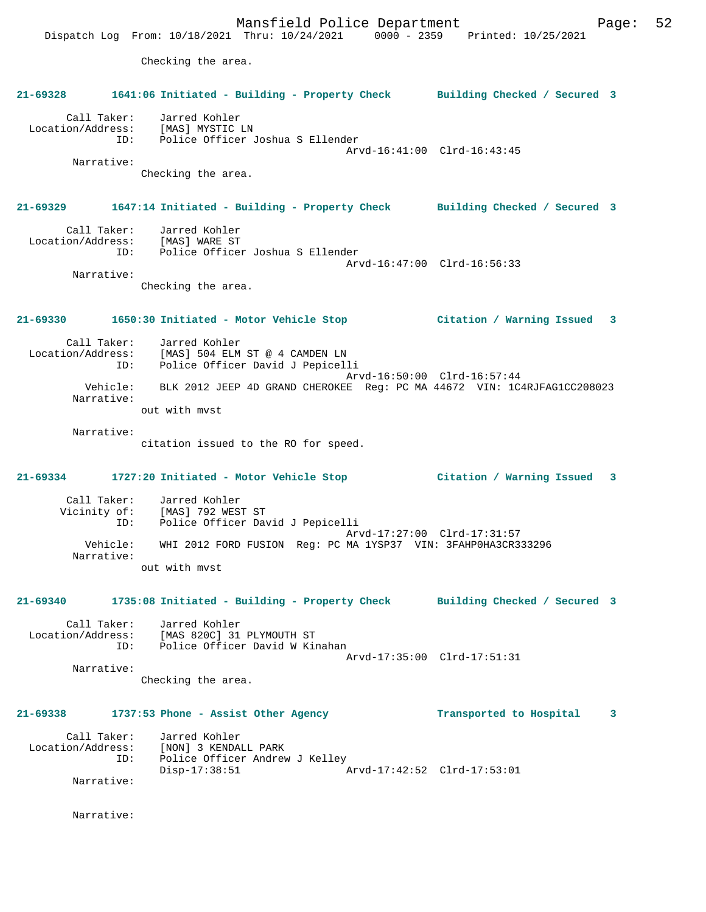Mansfield Police Department Fage: 52 Dispatch Log From: 10/18/2021 Thru: 10/24/2021 0000 - 2359 Printed: 10/25/2021 Checking the area. **21-69328 1641:06 Initiated - Building - Property Check Building Checked / Secured 3** Call Taker: Jarred Kohler Location/Address: [MAS] MYSTIC LN ID: Police Officer Joshua S Ellender Arvd-16:41:00 Clrd-16:43:45 Narrative: Checking the area. **21-69329 1647:14 Initiated - Building - Property Check Building Checked / Secured 3** Call Taker: Jarred Kohler Location/Address: [MAS] WARE ST ID: Police Officer Joshua S Ellender Arvd-16:47:00 Clrd-16:56:33 Narrative: Checking the area. **21-69330 1650:30 Initiated - Motor Vehicle Stop Citation / Warning Issued 3** Call Taker: Jarred Kohler Location/Address: [MAS] 504 ELM ST @ 4 CAMDEN LN Police Officer David J Pepicelli Arvd-16:50:00 Clrd-16:57:44 Vehicle: BLK 2012 JEEP 4D GRAND CHEROKEE Reg: PC MA 44672 VIN: 1C4RJFAG1CC208023 Narrative: out with mvst Narrative: citation issued to the RO for speed. **21-69334 1727:20 Initiated - Motor Vehicle Stop Citation / Warning Issued 3** Call Taker: Jarred Kohler Vicinity of: [MAS] 792 WEST ST ID: Police Officer David J Pepicelli Arvd-17:27:00 Clrd-17:31:57 Vehicle: WHI 2012 FORD FUSION Reg: PC MA 1YSP37 VIN: 3FAHP0HA3CR333296 Narrative: out with mvst **21-69340 1735:08 Initiated - Building - Property Check Building Checked / Secured 3** Call Taker: Jarred Kohler Location/Address: [MAS 820C] 31 PLYMOUTH ST ID: Police Officer David W Kinahan Arvd-17:35:00 Clrd-17:51:31 Narrative: Checking the area. **21-69338 1737:53 Phone - Assist Other Agency Transported to Hospital 3** Call Taker: Jarred Kohler<br>Location/Address: [NON] 3 KENDAI Location/Address: [NON] 3 KENDALL PARK ID: Police Officer Andrew J Kelley Disp-17:38:51 Arvd-17:42:52 Clrd-17:53:01 Narrative:

Narrative: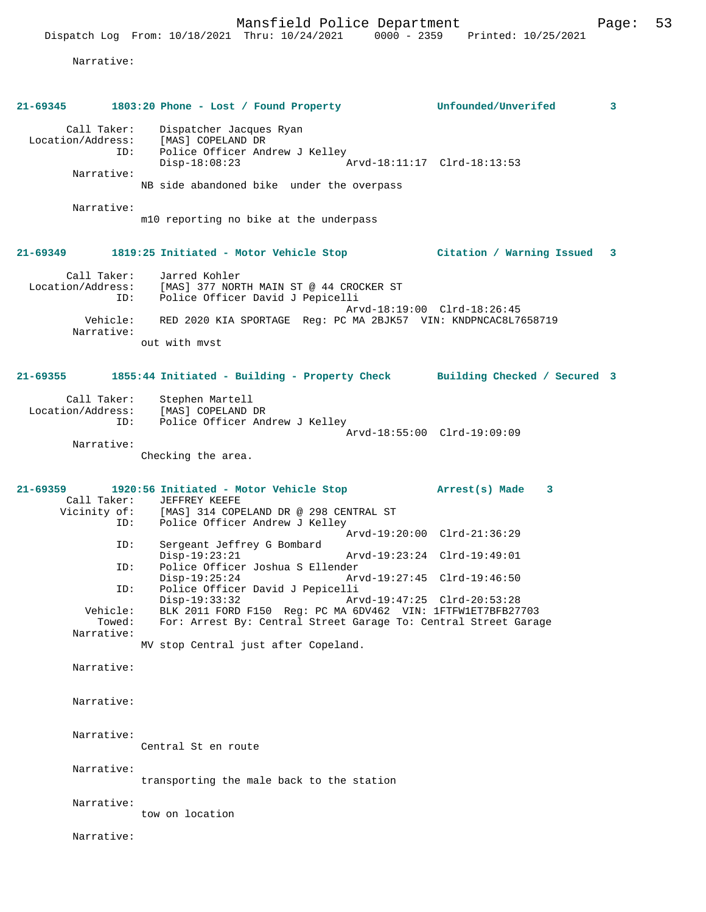Narrative:

| 21-69345                                                            | 1803:20 Phone - Lost / Found Property                                                                                                                                              | Unfounded/Unverifed                                        | 3 |
|---------------------------------------------------------------------|------------------------------------------------------------------------------------------------------------------------------------------------------------------------------------|------------------------------------------------------------|---|
| Call Taker:<br>Location/Address:<br>ID:<br>Narrative:<br>Narrative: | Dispatcher Jacques Ryan<br>[MAS] COPELAND DR<br>Police Officer Andrew J Kelley<br>$Disp-18:08:23$<br>NB side abandoned bike under the overpass                                     | Arvd-18:11:17 Clrd-18:13:53                                |   |
|                                                                     | m10 reporting no bike at the underpass                                                                                                                                             |                                                            |   |
| $21 - 69349$                                                        | 1819:25 Initiated - Motor Vehicle Stop                                                                                                                                             | Citation / Warning Issued                                  | 3 |
| Call Taker:<br>Location/Address:                                    | Jarred Kohler<br>[MAS] 377 NORTH MAIN ST @ 44 CROCKER ST<br>ID:<br>Police Officer David J Pepicelli                                                                                | Arvd-18:19:00 Clrd-18:26:45                                |   |
| Narrative:                                                          | Vehicle: RED 2020 KIA SPORTAGE Reg: PC MA 2BJK57 VIN: KNDPNCAC8L7658719<br>out with myst                                                                                           |                                                            |   |
|                                                                     |                                                                                                                                                                                    |                                                            |   |
| $21 - 69355$<br>ID:                                                 | 1855:44 Initiated - Building - Property Check Building Checked / Secured 3<br>Call Taker: Stephen Martell<br>Location/Address: [MAS] COPELAND DR<br>Police Officer Andrew J Kelley | Arvd-18:55:00 Clrd-19:09:09                                |   |
| Narrative:                                                          | Checking the area.                                                                                                                                                                 |                                                            |   |
| 21-69359<br>ID:                                                     | 1920:56 Initiated - Motor Vehicle Stop Marrest(s) Made<br>Call Taker: JEFFREY KEEFE<br>Vicinity of: [MAS] 314 COPELAND DR @ 298 CENTRAL ST<br>Police Officer Andrew J Kelley       | $\overline{\mathbf{3}}$                                    |   |
| ID:                                                                 | Sergeant Jeffrey G Bombard<br>$Disp-19:23:21$                                                                                                                                      | Arvd-19:20:00 Clrd-21:36:29<br>Arvd-19:23:24 Clrd-19:49:01 |   |
| ID:                                                                 | Police Officer Joshua S Ellender<br>$Disp-19:25:24$                                                                                                                                | Arvd-19:27:45 Clrd-19:46:50                                |   |
| ID:                                                                 | Police Officer David J Pepicelli<br>$Disp-19:33:32$                                                                                                                                | Arvd-19:47:25 Clrd-20:53:28                                |   |
| Vehicle:<br>Towed:<br>Narrative:                                    | BLK 2011 FORD F150 Reg: PC MA 6DV462 VIN: 1FTFW1ET7BFB27703<br>For: Arrest By: Central Street Garage To: Central Street Garage                                                     |                                                            |   |
|                                                                     | MV stop Central just after Copeland.                                                                                                                                               |                                                            |   |
| Narrative:                                                          |                                                                                                                                                                                    |                                                            |   |
| Narrative:                                                          |                                                                                                                                                                                    |                                                            |   |
| Narrative:                                                          | Central St en route                                                                                                                                                                |                                                            |   |
| Narrative:                                                          | transporting the male back to the station                                                                                                                                          |                                                            |   |
| Narrative:                                                          | tow on location                                                                                                                                                                    |                                                            |   |
| Narrative:                                                          |                                                                                                                                                                                    |                                                            |   |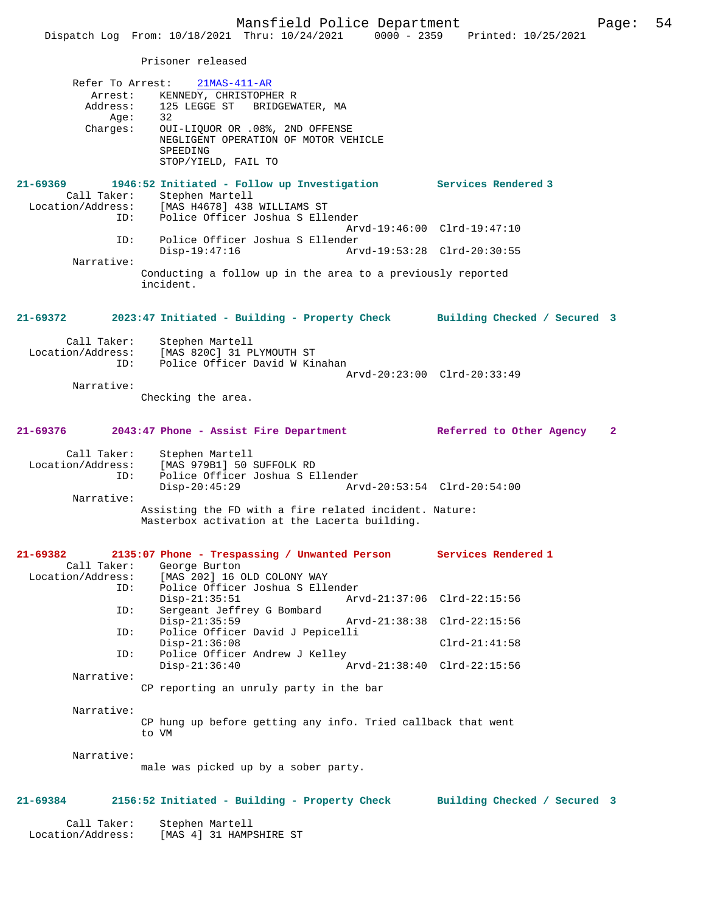Prisoner released

Location/Address: [MAS 4] 31 HAMPSHIRE ST

| Refer To Arrest:                 | $21MAS-411-AR$                                                               |                              |  |
|----------------------------------|------------------------------------------------------------------------------|------------------------------|--|
|                                  | Arrest: KENNEDY, CHRISTOPHER R                                               |                              |  |
|                                  | Address: 125 LEGGE ST BRIDGEWATER, MA                                        |                              |  |
| Aqe:                             | 32<br>OUI-LIQUOR OR .08%, 2ND OFFENSE                                        |                              |  |
| Charges:                         | NEGLIGENT OPERATION OF MOTOR VEHICLE                                         |                              |  |
|                                  | SPEEDING                                                                     |                              |  |
|                                  | STOP/YIELD, FAIL TO                                                          |                              |  |
|                                  |                                                                              |                              |  |
| 21-69369                         | 1946:52 Initiated - Follow up Investigation Services Rendered 3              |                              |  |
|                                  | Call Taker: Stephen Martell<br>Location/Address: [MAS H4678] 438 WILLIAMS ST |                              |  |
| ID:                              | Police Officer Joshua S Ellender                                             |                              |  |
|                                  |                                                                              | Arvd-19:46:00 Clrd-19:47:10  |  |
| ID:                              | Police Officer Joshua S Ellender                                             |                              |  |
|                                  | $Disp-19:47:16$                                                              | Arvd-19:53:28 Clrd-20:30:55  |  |
| Narrative:                       |                                                                              |                              |  |
|                                  | Conducting a follow up in the area to a previously reported<br>incident.     |                              |  |
|                                  |                                                                              |                              |  |
|                                  |                                                                              |                              |  |
| 21-69372                         | 2023:47 Initiated - Building - Property Check Building Checked / Secured 3   |                              |  |
|                                  |                                                                              |                              |  |
| Call Taker:                      | Stephen Martell                                                              |                              |  |
| Location/Address:<br>ID:         | [MAS 820C] 31 PLYMOUTH ST<br>Police Officer David W Kinahan                  |                              |  |
|                                  |                                                                              | Arvd-20:23:00 Clrd-20:33:49  |  |
| Narrative:                       |                                                                              |                              |  |
|                                  | Checking the area.                                                           |                              |  |
|                                  |                                                                              |                              |  |
|                                  |                                                                              |                              |  |
| 21-69376                         | 2043:47 Phone - Assist Fire Department                                       | Referred to Other Agency 2   |  |
|                                  |                                                                              |                              |  |
|                                  |                                                                              |                              |  |
| Call Taker:<br>Location/Address: | Stephen Martell<br>[MAS 979B1] 50 SUFFOLK RD                                 |                              |  |
| ID:                              | Police Officer Joshua S Ellender                                             |                              |  |
|                                  | $Disp-20:45:29$                                                              | Arvd-20:53:54 Clrd-20:54:00  |  |
| Narrative:                       |                                                                              |                              |  |
|                                  | Assisting the FD with a fire related incident. Nature:                       |                              |  |
|                                  | Masterbox activation at the Lacerta building.                                |                              |  |
|                                  |                                                                              |                              |  |
| 21-69382                         | 2135:07 Phone - Trespassing / Unwanted Person Services Rendered 1            |                              |  |
|                                  | Call Taker: George Burton                                                    |                              |  |
|                                  | Location/Address: [MAS 202] 16 OLD COLONY WAY                                |                              |  |
| ID:                              | Police Officer Joshua S Ellender                                             |                              |  |
| ID:                              | $Disp-21:35:51$<br>Sergeant Jeffrey G Bombard                                | Arvd-21:37:06 Clrd-22:15:56  |  |
|                                  | $Disp-21:35:59$                                                              | Arvd-21:38:38 Clrd-22:15:56  |  |
| ID:                              | Police Officer David J Pepicelli                                             |                              |  |
|                                  | $Disp-21:36:08$                                                              | $Clrd-21:41:58$              |  |
| ID:                              | Police Officer Andrew J Kelley                                               |                              |  |
| Narrative:                       | $Disp-21:36:40$                                                              | Arvd-21:38:40 Clrd-22:15:56  |  |
|                                  | CP reporting an unruly party in the bar                                      |                              |  |
|                                  |                                                                              |                              |  |
| Narrative:                       |                                                                              |                              |  |
|                                  | CP hung up before getting any info. Tried callback that went                 |                              |  |
|                                  | to VM                                                                        |                              |  |
| Narrative:                       |                                                                              |                              |  |
|                                  | male was picked up by a sober party.                                         |                              |  |
|                                  |                                                                              |                              |  |
|                                  |                                                                              |                              |  |
| 21-69384                         | 2156:52 Initiated - Building - Property Check                                | Building Checked / Secured 3 |  |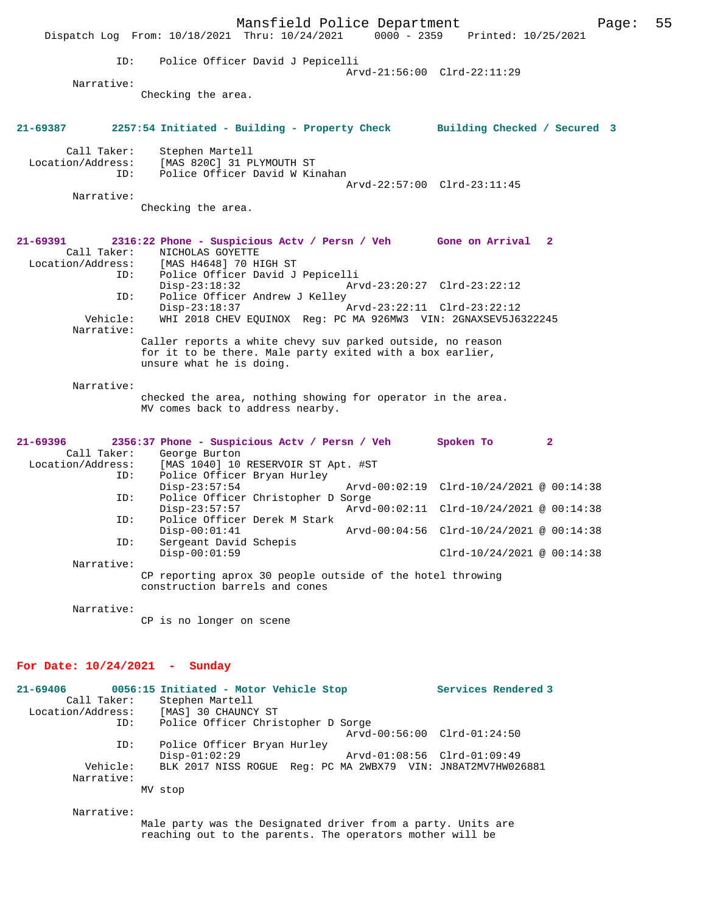|                                         | Mansfield Police Department<br>Dispatch Log From: 10/18/2021 Thru: 10/24/2021                                             | $0000 - 2359$               | Printed: 10/25/2021                      | 55<br>Page: |
|-----------------------------------------|---------------------------------------------------------------------------------------------------------------------------|-----------------------------|------------------------------------------|-------------|
| ID:                                     | Police Officer David J Pepicelli                                                                                          |                             |                                          |             |
| Narrative:                              |                                                                                                                           |                             | Arvd-21:56:00 Clrd-22:11:29              |             |
|                                         | Checking the area.                                                                                                        |                             |                                          |             |
| $21 - 69387$                            | 2257:54 Initiated - Building - Property Check Building Checked / Secured 3                                                |                             |                                          |             |
| Call Taker:<br>Location/Address:<br>ID: | Stephen Martell<br>[MAS 820C] 31 PLYMOUTH ST<br>Police Officer David W Kinahan                                            |                             |                                          |             |
|                                         |                                                                                                                           |                             | Arvd-22:57:00 Clrd-23:11:45              |             |
| Narrative:                              |                                                                                                                           |                             |                                          |             |
|                                         | Checking the area.                                                                                                        |                             |                                          |             |
| 21-69391                                | 2316:22 Phone - Suspicious Actv / Persn / Veh Gone on Arrival 2                                                           |                             |                                          |             |
| Call Taker:                             | NICHOLAS GOYETTE<br>Location/Address: [MAS H4648] 70 HIGH ST                                                              |                             |                                          |             |
| ID:<br>ID:                              | Police Officer David J Pepicelli<br>$Disp-23:18:32$<br>Police Officer Andrew J Kelley                                     |                             | Arvd-23:20:27 Clrd-23:22:12              |             |
| Vehicle:                                | $Disp-23:18:37$<br>WHI 2018 CHEV EQUINOX Req: PC MA 926MW3 VIN: 2GNAXSEV5J6322245                                         | Arvd-23:22:11 Clrd-23:22:12 |                                          |             |
| Narrative:                              | Caller reports a white chevy suv parked outside, no reason                                                                |                             |                                          |             |
|                                         | for it to be there. Male party exited with a box earlier,<br>unsure what he is doing.                                     |                             |                                          |             |
| Narrative:                              |                                                                                                                           |                             |                                          |             |
|                                         | checked the area, nothing showing for operator in the area.<br>MV comes back to address nearby.                           |                             |                                          |             |
| $21 - 69396$<br>Call Taker:             | 2356:37 Phone - Suspicious Actv / Persn / Veh Spoken To<br>George Burton                                                  |                             | $\mathbf{2}$                             |             |
| Location/Address:<br>ID:                | [MAS 1040] 10 RESERVOIR ST Apt. #ST<br>Police Officer Bryan Hurley                                                        |                             |                                          |             |
| ID:                                     | $Disp-23:57:54$<br>Police Officer Christopher D Sorge                                                                     |                             | Arvd-00:02:19 Clrd-10/24/2021 @ 00:14:38 |             |
| ID:                                     | $Disp-23:57:57$<br>Police Officer Derek M Stark                                                                           |                             | Arvd-00:02:11 Clrd-10/24/2021 @ 00:14:38 |             |
|                                         | $Disp-00:01:41$                                                                                                           |                             | Arvd-00:04:56 Clrd-10/24/2021 @ 00:14:38 |             |
| ID:                                     | Sergeant David Schepis<br>$Disp-00:01:59$                                                                                 |                             | $Clrd-10/24/2021 \ @ 00:14:38$           |             |
| Narrative:                              | CP reporting aprox 30 people outside of the hotel throwing<br>construction barrels and cones                              |                             |                                          |             |
| Narrative:                              |                                                                                                                           |                             |                                          |             |
|                                         | CP is no longer on scene                                                                                                  |                             |                                          |             |
| For Date: $10/24/2021$ - Sunday         |                                                                                                                           |                             |                                          |             |
| $21 - 69406$<br>Call Taker:             | 0056:15 Initiated - Motor Vehicle Stop<br>Stephen Martell                                                                 |                             | Services Rendered 3                      |             |
| Location/Address:<br>ID:                | [MAS] 30 CHAUNCY ST<br>Police Officer Christopher D Sorge                                                                 |                             | Arvd-00:56:00 Clrd-01:24:50              |             |
| ID:                                     | Police Officer Bryan Hurley<br>$Disp-01:02:29$                                                                            |                             | Arvd-01:08:56 Clrd-01:09:49              |             |
| Vehicle:<br>Narrative:                  | BLK 2017 NISS ROGUE Reg: PC MA 2WBX79 VIN: JN8AT2MV7HW026881                                                              |                             |                                          |             |
|                                         | MV stop                                                                                                                   |                             |                                          |             |
| Narrative:                              |                                                                                                                           |                             |                                          |             |
|                                         | Male party was the Designated driver from a party. Units are<br>reaching out to the parents. The operators mother will be |                             |                                          |             |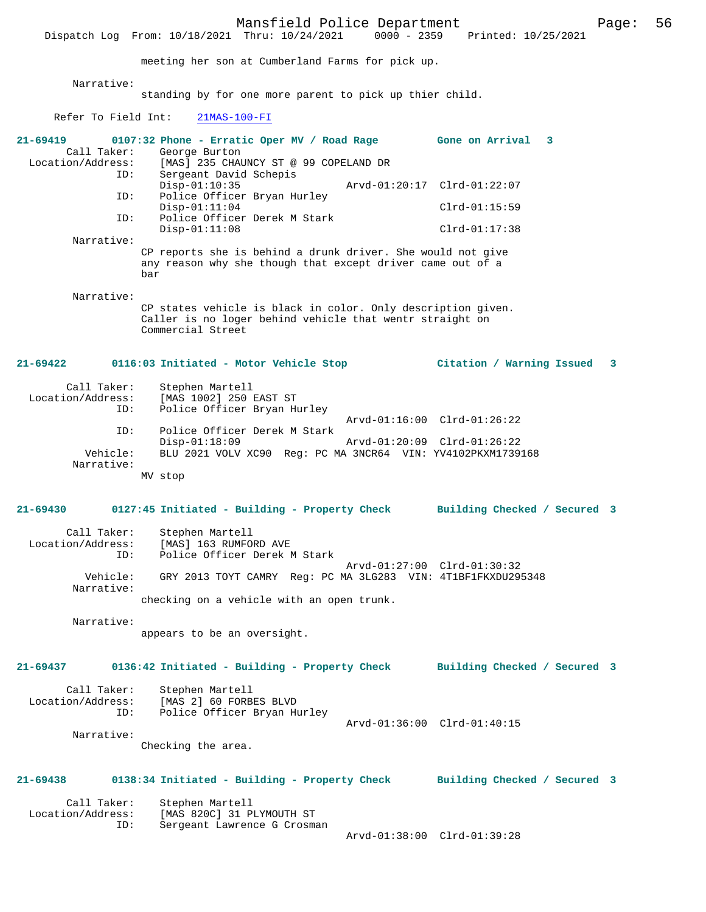Mansfield Police Department Page: 56 Dispatch Log From: 10/18/2021 Thru: 10/24/2021 meeting her son at Cumberland Farms for pick up. Narrative: standing by for one more parent to pick up thier child. Refer To Field Int: 21MAS-100-FI **21-69419 0107:32 Phone - Erratic Oper MV / Road Rage Gone on Arrival 3**  Call Taker: George Burton<br>Location/Address: [MAS] 235 CHA [MAS] 235 CHAUNCY ST @ 99 COPELAND DR ID: Sergeant David Schepis Disp-01:10:35 Arvd-01:20:17 Clrd-01:22:07<br>TD: Police Officer Bryan Hurley Police Officer Bryan Hurley Disp-01:11:04 Clrd-01:15:59<br>ID: Police Officer Derek M Stark Police Officer Derek M Stark Disp-01:11:08 Clrd-01:17:38 Narrative: CP reports she is behind a drunk driver. She would not give any reason why she though that except driver came out of a bar Narrative: CP states vehicle is black in color. Only description given. Caller is no loger behind vehicle that wentr straight on Commercial Street **21-69422 0116:03 Initiated - Motor Vehicle Stop Citation / Warning Issued 3** Call Taker: Stephen Martell<br>Location/Address: [MAS 1002] 250 1 [MAS 1002] 250 EAST ST ID: Police Officer Bryan Hurley Arvd-01:16:00 Clrd-01:26:22<br>TD: Police Officer Derek M Stark Police Officer Derek M Stark<br>Disp-01:18:09 Disp-01:18:09 Arvd-01:20:09 Clrd-01:26:22<br>Vehicle: BLU 2021 VOLV XC90 Reg: PC MA 3NCR64 VIN: YV4102PKXM1739 BLU 2021 VOLV XC90 Reg: PC MA 3NCR64 VIN: YV4102PKXM1739168 Narrative: MV stop **21-69430 0127:45 Initiated - Building - Property Check Building Checked / Secured 3** Call Taker: Stephen Martell Location/Address: [MAS] 163 RUMFORD AVE ID: Police Officer Derek M Stark Arvd-01:27:00 Clrd-01:30:32<br>Vehicle: GRY 2013 TOYT CAMRY Req: PC MA 3LG283 VIN: 4T1BF1FKXDU29 GRY 2013 TOYT CAMRY Reg: PC MA 3LG283 VIN: 4T1BF1FKXDU295348 Narrative: checking on a vehicle with an open trunk. Narrative: appears to be an oversight. **21-69437 0136:42 Initiated - Building - Property Check Building Checked / Secured 3** Call Taker: Stephen Martell Location/Address: [MAS 2] 60 FORBES BLVD Police Officer Bryan Hurley Arvd-01:36:00 Clrd-01:40:15 Narrative: Checking the area. **21-69438 0138:34 Initiated - Building - Property Check Building Checked / Secured 3** Call Taker: Stephen Martell Location/Address: [MAS 820C] 31 PLYMOUTH ST Sergeant Lawrence G Crosman Arvd-01:38:00 Clrd-01:39:28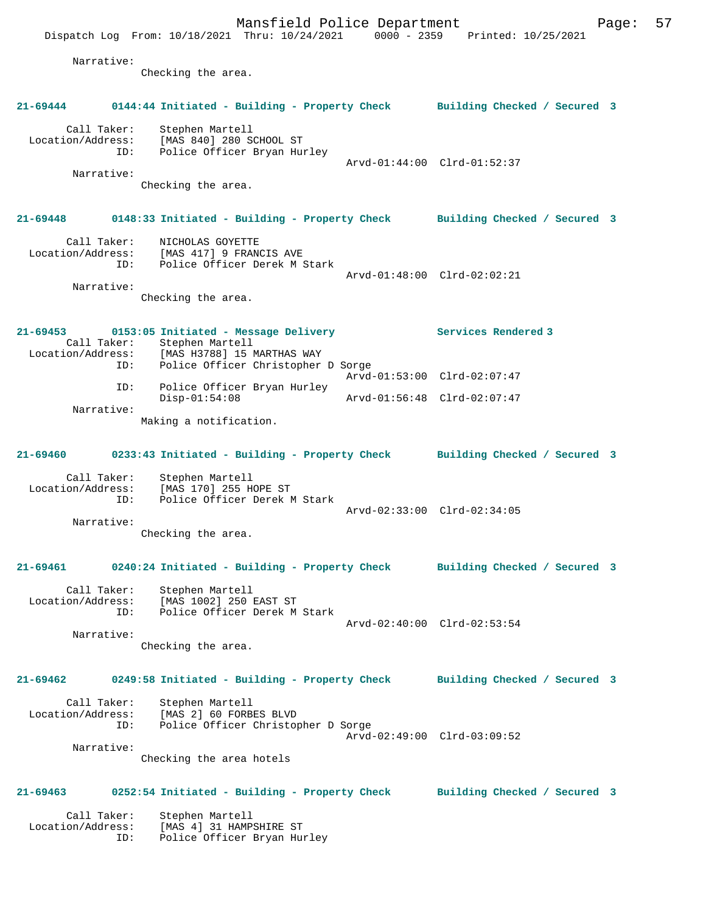Mansfield Police Department Page: 57 Dispatch Log From: 10/18/2021 Thru: 10/24/2021 0000 - 2359 Printed: 10/25/2021 Narrative: Checking the area. **21-69444 0144:44 Initiated - Building - Property Check Building Checked / Secured 3** Call Taker: Stephen Martell Location/Address: [MAS 840] 280 SCHOOL ST ID: Police Officer Bryan Hurley Arvd-01:44:00 Clrd-01:52:37 Narrative: Checking the area. **21-69448 0148:33 Initiated - Building - Property Check Building Checked / Secured 3** Call Taker: NICHOLAS GOYETTE Location/Address: [MAS 417] 9 FRANCIS AVE ID: Police Officer Derek M Stark Arvd-01:48:00 Clrd-02:02:21 Narrative: Checking the area. **21-69453 0153:05 Initiated - Message Delivery Services Rendered 3**  Call Taker: Stephen Martell<br>Location/Address: [MAS H3788] 15 I ess: [MAS H3788] 15 MARTHAS WAY<br>ID: Police Officer Christopher Police Officer Christopher D Sorge Arvd-01:53:00 Clrd-02:07:47 ID: Police Officer Bryan Hurley Disp-01:54:08 Arvd-01:56:48 Clrd-02:07:47 Narrative: Making a notification. **21-69460 0233:43 Initiated - Building - Property Check Building Checked / Secured 3** Call Taker: Stephen Martell Location/Address: [MAS 170] 255 HOPE ST ID: Police Officer Derek M Stark Arvd-02:33:00 Clrd-02:34:05 Narrative: Checking the area. **21-69461 0240:24 Initiated - Building - Property Check Building Checked / Secured 3** Call Taker: Stephen Martell Location/Address: [MAS 1002] 250 EAST ST ID: Police Officer Derek M Stark Arvd-02:40:00 Clrd-02:53:54 Narrative: Checking the area. **21-69462 0249:58 Initiated - Building - Property Check Building Checked / Secured 3** Call Taker: Stephen Martell Location/Address: [MAS 2] 60 FORBES BLVD ID: Police Officer Christopher D Sorge Arvd-02:49:00 Clrd-03:09:52 Narrative: Checking the area hotels **21-69463 0252:54 Initiated - Building - Property Check Building Checked / Secured 3** Call Taker: Stephen Martell Location/Address: [MAS 4] 31 HAMPSHIRE ST ID: Police Officer Bryan Hurley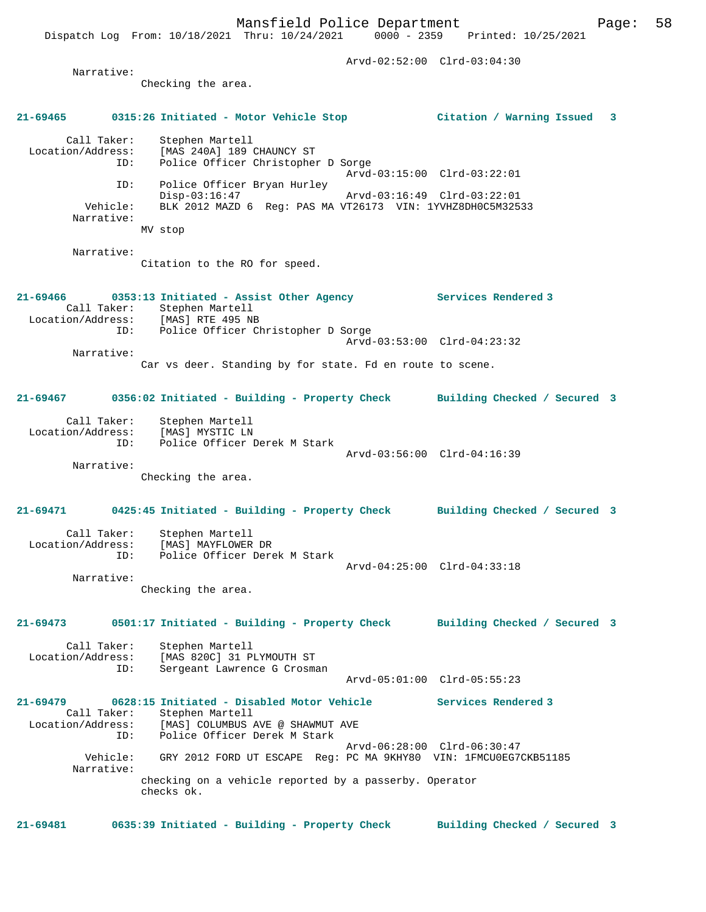Dispatch Log From: 10/18/2021 Thru: 10/24/2021 0000 - 2359 Printed: 10/25/2021

|                                         |                                                                                                                                                     | Arvd-02:52:00 Clrd-03:04:30                                |                              |  |
|-----------------------------------------|-----------------------------------------------------------------------------------------------------------------------------------------------------|------------------------------------------------------------|------------------------------|--|
| Narrative:                              | Checking the area.                                                                                                                                  |                                                            |                              |  |
|                                         | 21-69465          0315:26    Initiated - Motor Vehicle Stop                                                                                         |                                                            | Citation / Warning Issued 3  |  |
| Call Taker:                             | Stephen Martell<br>Location/Address: [MAS 240A] 189 CHAUNCY ST<br>ID: Police Officer Christophe<br>Police Officer Christopher D Sorge               |                                                            |                              |  |
| ID:<br>Vehicle:<br>Narrative:           | Police Officer Bryan Hurley<br>$Disp-03:16:47$<br>BLK 2012 MAZD 6 Reg: PAS MA VT26173 VIN: 1YVHZ8DH0C5M32533<br>MV stop                             | Arvd-03:15:00 Clrd-03:22:01<br>Arvd-03:16:49 Clrd-03:22:01 |                              |  |
| Narrative:                              | Citation to the RO for speed.                                                                                                                       |                                                            |                              |  |
|                                         | 21-69466 0353:13 Initiated - Assist Other Agency<br>Call Taker: Stephen Martell<br>Location/Address: [MAS] RTE 495 NB                               |                                                            | Services Rendered 3          |  |
| ID:                                     | Police Officer Christopher D Sorge                                                                                                                  | Arvd-03:53:00 Clrd-04:23:32                                |                              |  |
| Narrative:                              | Car vs deer. Standing by for state. Fd en route to scene.                                                                                           |                                                            |                              |  |
| 21-69467                                | 0356:02 Initiated - Building - Property Check Building Checked / Secured 3                                                                          |                                                            |                              |  |
| Call Taker:<br>Location/Address:<br>ID: | Stephen Martell<br>[MAS] MYSTIC LN<br>Police Officer Derek M Stark                                                                                  |                                                            |                              |  |
| Narrative:                              | Checking the area.                                                                                                                                  | Arvd-03:56:00 Clrd-04:16:39                                |                              |  |
|                                         | 21-69471 0425:45 Initiated - Building - Property Check Building Checked / Secured 3                                                                 |                                                            |                              |  |
| Call Taker:<br>ID:                      | Stephen Martell<br>Location/Address: [MAS] MAYFLOWER DR<br>Police Officer Derek M Stark                                                             |                                                            |                              |  |
| Narrative:                              | Checking the area.                                                                                                                                  | Arvd-04:25:00 Clrd-04:33:18                                |                              |  |
| 21-69473                                | 0501:17 Initiated - Building - Property Check                                                                                                       |                                                            | Building Checked / Secured 3 |  |
| Call Taker:<br>Location/Address:<br>ID: | Stephen Martell<br>[MAS 820C] 31 PLYMOUTH ST<br>Sergeant Lawrence G Crosman                                                                         |                                                            |                              |  |
|                                         |                                                                                                                                                     | Arvd-05:01:00 Clrd-05:55:23                                |                              |  |
| 21-69479<br>Call Taker:<br>ID:          | 0628:15 Initiated - Disabled Motor Vehicle<br>Stephen Martell<br>Location/Address: [MAS] COLUMBUS AVE @ SHAWMUT AVE<br>Police Officer Derek M Stark |                                                            | Services Rendered 3          |  |
| Vehicle:<br>Narrative:                  | GRY 2012 FORD UT ESCAPE Reg: PC MA 9KHY80 VIN: 1FMCU0EG7CKB51185                                                                                    | Arvd-06:28:00 Clrd-06:30:47                                |                              |  |
|                                         | checking on a vehicle reported by a passerby. Operator<br>checks ok.                                                                                |                                                            |                              |  |

**21-69481 0635:39 Initiated - Building - Property Check Building Checked / Secured 3**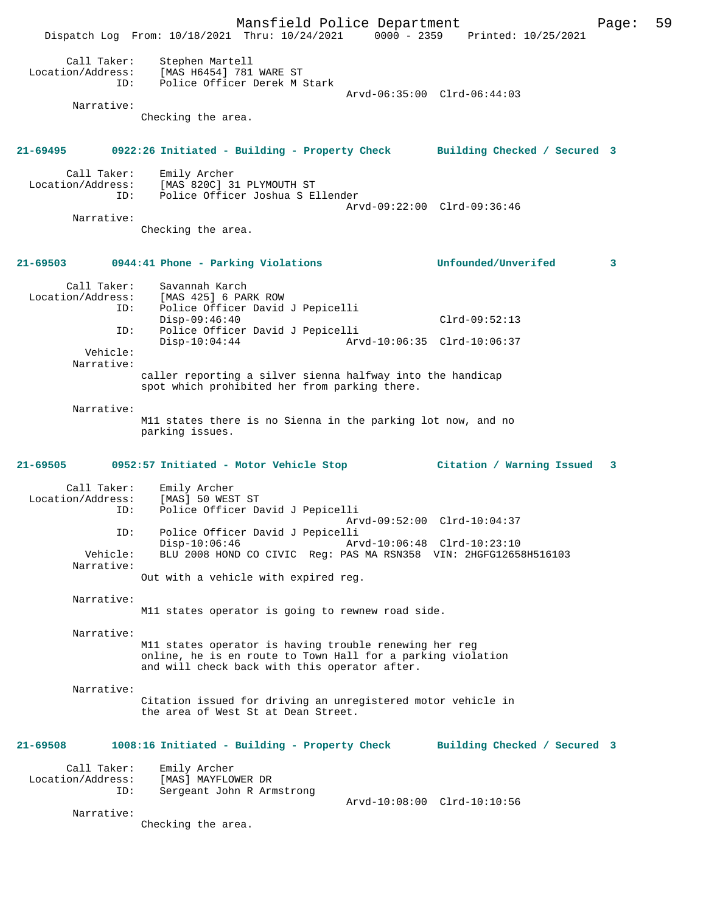Mansfield Police Department Page: 59 Dispatch Log From: 10/18/2021 Thru: 10/24/2021 0000 - 2359 Printed: 10/25/2021 Call Taker: Stephen Martell Location/Address: [MAS H6454] 781 WARE ST ID: Police Officer Derek M Stark Arvd-06:35:00 Clrd-06:44:03 Narrative: Checking the area. **21-69495 0922:26 Initiated - Building - Property Check Building Checked / Secured 3** Call Taker: Emily Archer<br>Location/Address: [MAS 820C] 3 ess: [MAS 820C] 31 PLYMOUTH ST<br>ID: Police Officer Joshua S E Police Officer Joshua S Ellender Arvd-09:22:00 Clrd-09:36:46 Narrative: Checking the area. **21-69503 0944:41 Phone - Parking Violations Unfounded/Unverifed 3** Call Taker: Savannah Karch<br>Location/Address: [MAS 425] 6 PAR Ress: [MAS 425] 6 PARK ROW:<br>ID: Police Officer David Police Officer David J Pepicelli Disp-09:46:40 Clrd-09:52:13<br>ID: Police Officer David J Pepicelli Police Officer David J Pepicelli Disp-10:04:44 Arvd-10:06:35 Clrd-10:06:37 Vehicle: Narrative: caller reporting a silver sienna halfway into the handicap spot which prohibited her from parking there. Narrative: M11 states there is no Sienna in the parking lot now, and no parking issues. **21-69505 0952:57 Initiated - Motor Vehicle Stop Citation / Warning Issued 3** Call Taker: Emily Archer<br>Location/Address: [MAS] 50 WEST ess: [MAS] 50 WEST ST<br>ID: Police Officer Da Police Officer David J Pepicelli Arvd-09:52:00 Clrd-10:04:37<br>TD: Police Officer David J Pepicelli ID: Police Officer David J Pepicelli Disp-10:06:46 Arvd-10:06:48 Clrd-10:23:10 Vehicle: BLU 2008 HOND CO CIVIC Reg: PAS MA RSN358 VIN: 2HGFG12658H516103 Narrative: Out with a vehicle with expired reg. Narrative: M11 states operator is going to rewnew road side. Narrative: M11 states operator is having trouble renewing her reg online, he is en route to Town Hall for a parking violation and will check back with this operator after. Narrative: Citation issued for driving an unregistered motor vehicle in the area of West St at Dean Street. **21-69508 1008:16 Initiated - Building - Property Check Building Checked / Secured 3** Call Taker: Emily Archer Location/Address: [MAS] MAYFLOWER DR<br>ID: Sergeant John R Arm Sergeant John R Armstrong Arvd-10:08:00 Clrd-10:10:56 Narrative: Checking the area.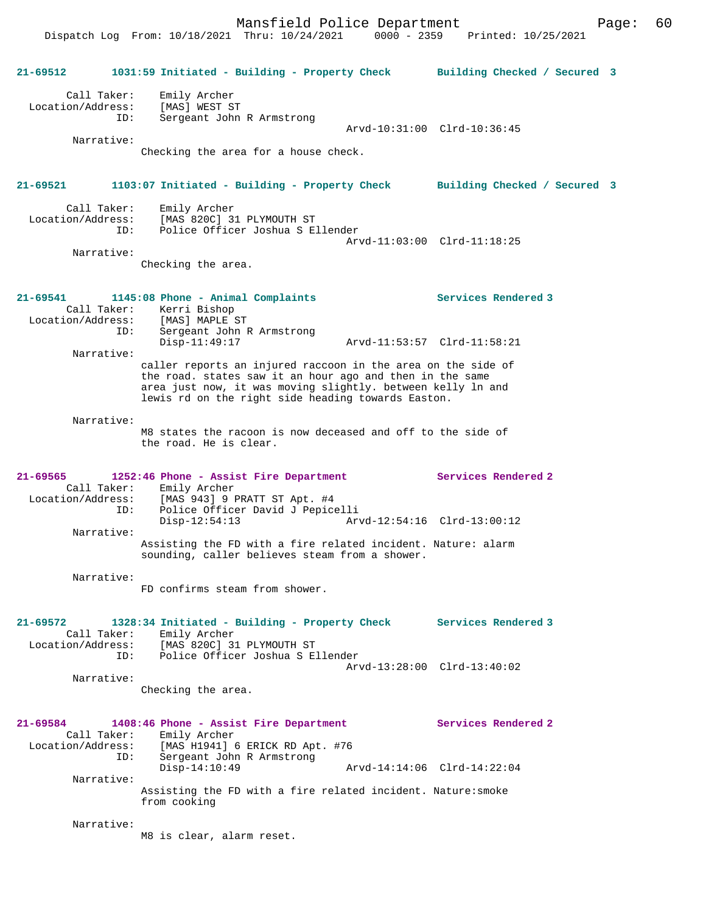Mansfield Police Department Page: 60

Dispatch Log From: 10/18/2021 Thru: 10/24/2021 0000 - 2359 Printed: 10/25/2021

**21-69512 1031:59 Initiated - Building - Property Check Building Checked / Secured 3** Call Taker: Emily Archer Location/Address: [MAS] WEST ST ID: Sergeant John R Armstrong Arvd-10:31:00 Clrd-10:36:45 Narrative: Checking the area for a house check. **21-69521 1103:07 Initiated - Building - Property Check Building Checked / Secured 3** Call Taker: Emily Archer Location/Address: [MAS 820C] 31 PLYMOUTH ST ID: Police Officer Joshua S Ellender Arvd-11:03:00 Clrd-11:18:25 Narrative: Checking the area. **21-69541 1145:08 Phone - Animal Complaints Services Rendered 3**  Call Taker: Kerri Bishop Location/Address: [MAS] MAPLE ST ID: Sergeant John R Armstrong Disp-11:49:17 Arvd-11:53:57 Clrd-11:58:21 Narrative: caller reports an injured raccoon in the area on the side of the road. states saw it an hour ago and then in the same area just now, it was moving slightly. between kelly ln and lewis rd on the right side heading towards Easton. Narrative: M8 states the racoon is now deceased and off to the side of the road. He is clear. **21-69565 1252:46 Phone - Assist Fire Department Services Rendered 2**  Call Taker: Emily Archer<br>Location/Address: [MAS 943] 9 I Location/Address: [MAS 943] 9 PRATT ST Apt. #4 ID: Police Officer David J Pepicelli Disp-12:54:13 Arvd-12:54:16 Clrd-13:00:12 Narrative: Assisting the FD with a fire related incident. Nature: alarm sounding, caller believes steam from a shower. Narrative: FD confirms steam from shower. **21-69572 1328:34 Initiated - Building - Property Check Services Rendered 3**  Call Taker: Emily Archer Location/Address: [MAS 820C] 31 PLYMOUTH ST ID: Police Officer Joshua S Ellender Arvd-13:28:00 Clrd-13:40:02 Narrative: Checking the area. **21-69584 1408:46 Phone - Assist Fire Department Services Rendered 2**  Call Taker: Emily Archer Location/Address: [MAS H1941] 6 ERICK RD Apt. #76 ID: Sergeant John R Armstrong Arvd-14:14:06 Clrd-14:22:04 Narrative: Assisting the FD with a fire related incident. Nature:smoke from cooking Narrative: M8 is clear, alarm reset.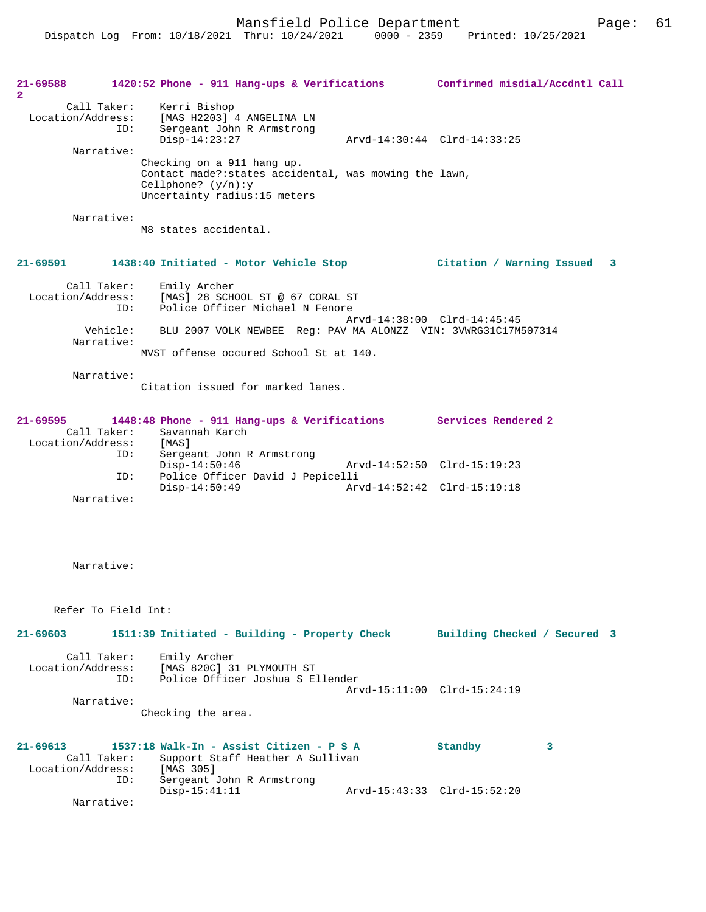Mansfield Police Department Page: 61

| 21-69588<br>$\mathbf{2}^{\circ}$ |                                         | 1420:52 Phone - 911 Hang-ups & Verifications Confirmed misdial/Accdntl Call                                                                  |                              |  |
|----------------------------------|-----------------------------------------|----------------------------------------------------------------------------------------------------------------------------------------------|------------------------------|--|
|                                  | Call Taker:<br>Location/Address:<br>ID: | Kerri Bishop<br>[MAS H2203] 4 ANGELINA LN<br>Sergeant John R Armstrong<br>$Disp-14:23:27$                                                    | Arvd-14:30:44 Clrd-14:33:25  |  |
|                                  | Narrative:                              |                                                                                                                                              |                              |  |
|                                  |                                         | Checking on a 911 hang up.<br>Contact made?: states accidental, was mowing the lawn,<br>Cellphone? $(y/n):y$<br>Uncertainty radius:15 meters |                              |  |
|                                  | Narrative:                              | M8 states accidental.                                                                                                                        |                              |  |
| 21-69591                         |                                         | 1438:40 Initiated - Motor Vehicle Stop                                                                                                       | Citation / Warning Issued 3  |  |
|                                  |                                         |                                                                                                                                              |                              |  |
|                                  | Call Taker:<br>Location/Address:<br>ID: | Emily Archer<br>[MAS] 28 SCHOOL ST @ 67 CORAL ST<br>Police Officer Michael N Fenore                                                          |                              |  |
|                                  | Vehicle:<br>Narrative:                  | BLU 2007 VOLK NEWBEE Req: PAV MA ALONZZ VIN: 3VWRG31C17M507314                                                                               | Arvd-14:38:00 Clrd-14:45:45  |  |
|                                  |                                         | MVST offense occured School St at 140.                                                                                                       |                              |  |
|                                  | Narrative:                              |                                                                                                                                              |                              |  |
|                                  |                                         | Citation issued for marked lanes.                                                                                                            |                              |  |
|                                  |                                         |                                                                                                                                              |                              |  |
| 21-69595                         |                                         | 1448:48 Phone - 911 Hang-ups & Verifications Services Rendered 2                                                                             |                              |  |
|                                  | Call Taker:<br>Location/Address:        | Savannah Karch<br>[MAS]                                                                                                                      |                              |  |
|                                  | ID:                                     | Sergeant John R Armstrong                                                                                                                    |                              |  |
|                                  | ID:                                     | $Disp-14:50:46$<br>Police Officer David J Pepicelli                                                                                          | Arvd-14:52:50 Clrd-15:19:23  |  |
|                                  |                                         | $Disp-14:50:49$                                                                                                                              | Arvd-14:52:42 Clrd-15:19:18  |  |
|                                  | Narrative:                              |                                                                                                                                              |                              |  |
|                                  |                                         |                                                                                                                                              |                              |  |
|                                  |                                         |                                                                                                                                              |                              |  |
|                                  |                                         |                                                                                                                                              |                              |  |
|                                  | Narrative:                              |                                                                                                                                              |                              |  |
|                                  |                                         |                                                                                                                                              |                              |  |
|                                  | Refer To Field Int:                     |                                                                                                                                              |                              |  |
| $21 - 69603$                     |                                         | 1511:39 Initiated - Building - Property Check                                                                                                | Building Checked / Secured 3 |  |
|                                  | Call Taker:                             | Emily Archer                                                                                                                                 |                              |  |
|                                  | ID:                                     | Location/Address: [MAS 820C] 31 PLYMOUTH ST<br>Police Officer Joshua S Ellender                                                              |                              |  |
|                                  |                                         |                                                                                                                                              | Arvd-15:11:00 Clrd-15:24:19  |  |
|                                  | Narrative:                              |                                                                                                                                              |                              |  |
|                                  |                                         | Checking the area.                                                                                                                           |                              |  |
|                                  |                                         |                                                                                                                                              |                              |  |
| $21 - 69613$                     | Call Taker:                             | 1537:18 Walk-In - Assist Citizen - P S A<br>Support Staff Heather A Sullivan                                                                 | Standby<br>3                 |  |
|                                  | Location/Address:                       | [MAS 305]                                                                                                                                    |                              |  |
|                                  | ID:                                     | Sergeant John R Armstrong<br>$Disp-15:41:11$                                                                                                 | Arvd-15:43:33 Clrd-15:52:20  |  |
|                                  | Narrative:                              |                                                                                                                                              |                              |  |
|                                  |                                         |                                                                                                                                              |                              |  |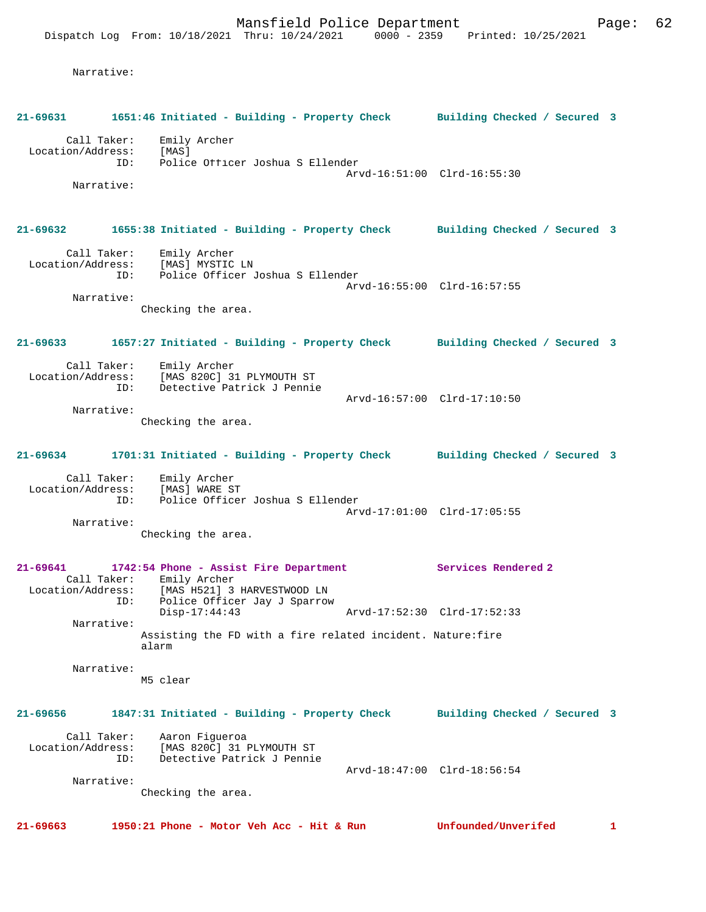Narrative:

| 21-69631          |                    | 1651:46 Initiated - Building - Property Check Building Checked / Secured 3                                          |                              |    |
|-------------------|--------------------|---------------------------------------------------------------------------------------------------------------------|------------------------------|----|
| Location/Address: | Call Taker:<br>ID: | Emily Archer<br>[MAS]<br>Police Officer Joshua S Ellender                                                           | Arvd-16:51:00 Clrd-16:55:30  |    |
|                   | Narrative:         |                                                                                                                     |                              |    |
| 21-69632          |                    | 1655:38 Initiated - Building - Property Check Building Checked / Secured 3                                          |                              |    |
|                   | Call Taker:        | Emily Archer<br>Location/Address: [MAS] MYSTIC LN<br>ID: Police Officer Joshua S Ellender                           |                              |    |
|                   | Narrative:         |                                                                                                                     | Arvd-16:55:00 Clrd-16:57:55  |    |
|                   |                    | Checking the area.                                                                                                  |                              |    |
| 21-69633          |                    | 1657:27 Initiated - Building - Property Check Building Checked / Secured 3                                          |                              |    |
|                   | Call Taker:        | Emily Archer<br>Location/Address: [MAS 820C] 31 PLYMOUTH ST                                                         |                              |    |
|                   | ID:                | Detective Patrick J Pennie                                                                                          | Arvd-16:57:00 Clrd-17:10:50  |    |
|                   | Narrative:         | Checking the area.                                                                                                  |                              |    |
| 21-69634          |                    | 1701:31 Initiated - Building - Property Check Building Checked / Secured 3                                          |                              |    |
|                   | Call Taker:<br>ID: | Emily Archer<br>Location/Address: [MAS] WARE ST<br>Police Officer Joshua S Ellender                                 |                              |    |
|                   | Narrative:         |                                                                                                                     | Arvd-17:01:00 Clrd-17:05:55  |    |
|                   |                    | Checking the area.                                                                                                  |                              |    |
| $21 - 69641$      |                    | 1742:54 Phone - Assist Fire Department<br>Call Taker: Emily Archer<br>Location/Address: [MAS H521] 3 HARVESTWOOD LN | Services Rendered 2          |    |
|                   | ID:                | Police Officer Jay J Sparrow<br>$Disp-17:44:43$                                                                     | Arvd-17:52:30 Clrd-17:52:33  |    |
|                   | Narrative:         | Assisting the FD with a fire related incident. Nature: fire<br>alarm                                                |                              |    |
|                   | Narrative:         |                                                                                                                     |                              |    |
|                   |                    | M5 clear                                                                                                            |                              |    |
| $21 - 69656$      |                    | 1847:31 Initiated - Building - Property Check                                                                       | Building Checked / Secured 3 |    |
| Location/Address: | Call Taker:<br>ID: | Aaron Fiqueroa<br>[MAS 820C] 31 PLYMOUTH ST<br>Detective Patrick J Pennie                                           |                              |    |
|                   |                    |                                                                                                                     | Arvd-18:47:00 Clrd-18:56:54  |    |
|                   | Narrative:         | Checking the area.                                                                                                  |                              |    |
| 21-69663          |                    | 1950:21 Phone - Motor Veh Acc - Hit & Run                                                                           | Unfounded/Unverifed          | 1. |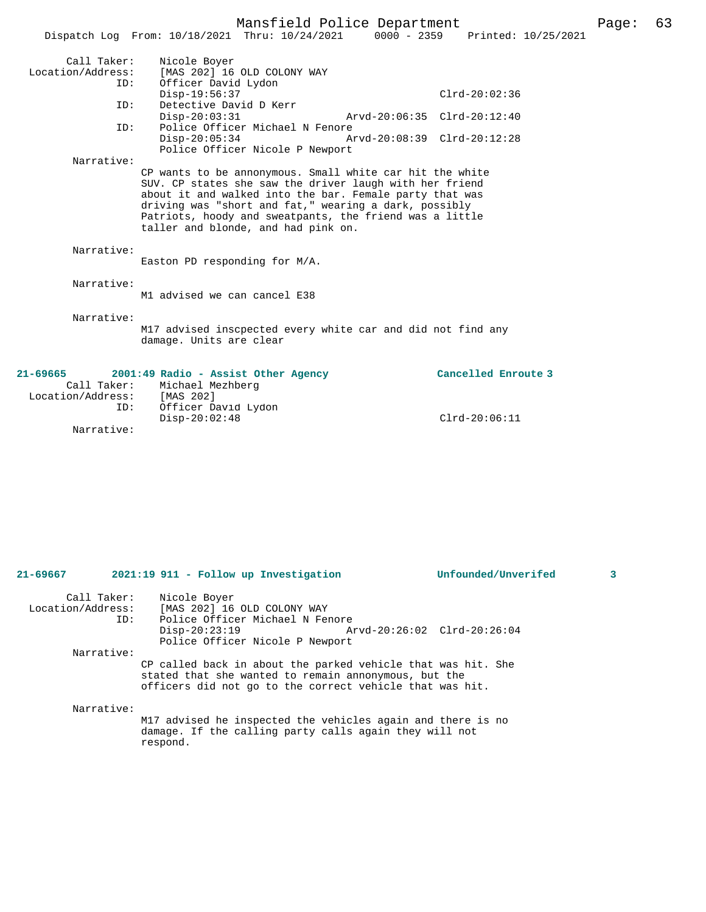| Page: | 63 |
|-------|----|
|-------|----|

|                   | Dispatch Log From: 10/18/2021 Thru: 10/24/2021 0000 - 2359                                                       | Mansfield Police Department     |                             | Printed: 10/25/2021 |
|-------------------|------------------------------------------------------------------------------------------------------------------|---------------------------------|-----------------------------|---------------------|
|                   |                                                                                                                  |                                 |                             |                     |
| Call Taker:       | Nicole Boyer                                                                                                     |                                 |                             |                     |
| Location/Address: | [MAS 202] 16 OLD COLONY WAY                                                                                      |                                 |                             |                     |
| ID:               | Officer David Lydon                                                                                              |                                 |                             |                     |
|                   | $Disp-19:56:37$                                                                                                  |                                 | $Clrd-20:02:36$             |                     |
| ID:               | Detective David D Kerr                                                                                           |                                 |                             |                     |
|                   | $Disp-20:03:31$                                                                                                  |                                 | Arvd-20:06:35 Clrd-20:12:40 |                     |
| ID:               |                                                                                                                  | Police Officer Michael N Fenore |                             |                     |
|                   | $Disp-20:05:34$                                                                                                  |                                 | Arvd-20:08:39 Clrd-20:12:28 |                     |
|                   |                                                                                                                  | Police Officer Nicole P Newport |                             |                     |
| Narrative:        |                                                                                                                  |                                 |                             |                     |
|                   | CP wants to be annonymous. Small white car hit the white                                                         |                                 |                             |                     |
|                   | SUV. CP states she saw the driver laugh with her friend                                                          |                                 |                             |                     |
|                   | about it and walked into the bar. Female party that was                                                          |                                 |                             |                     |
|                   | driving was "short and fat," wearing a dark, possibly<br>Patriots, hoody and sweatpants, the friend was a little |                                 |                             |                     |
|                   | taller and blonde, and had pink on.                                                                              |                                 |                             |                     |
|                   |                                                                                                                  |                                 |                             |                     |
| Narrative:        |                                                                                                                  |                                 |                             |                     |
|                   | Easton PD responding for M/A.                                                                                    |                                 |                             |                     |
|                   |                                                                                                                  |                                 |                             |                     |
| Narrative:        |                                                                                                                  |                                 |                             |                     |
|                   | M1 advised we can cancel E38                                                                                     |                                 |                             |                     |
|                   |                                                                                                                  |                                 |                             |                     |
| Narrative:        |                                                                                                                  |                                 |                             |                     |
|                   | M17 advised inscpected every white car and did not find any                                                      |                                 |                             |                     |
|                   | damage. Units are clear                                                                                          |                                 |                             |                     |
|                   |                                                                                                                  |                                 |                             |                     |
|                   |                                                                                                                  |                                 |                             |                     |
| $21 - 69665$      | 2001:49 Radio - Assist Other Agency                                                                              |                                 | Cancelled Enroute 3         |                     |
|                   | Call Taker: Michael Mezhberg                                                                                     |                                 |                             |                     |
| Location/Address: | [MAS 202]                                                                                                        |                                 |                             |                     |
| ID:               | Officer David Lydon                                                                                              |                                 |                             |                     |
|                   | $Disp-20:02:48$                                                                                                  |                                 | $Clrd-20:06:11$             |                     |

Narrative:

| $21 - 69667$                     | 2021:19 911 - Follow up Investigation              |                                                                                                                                                                                  | Unfounded/Unverifed | 3 |
|----------------------------------|----------------------------------------------------|----------------------------------------------------------------------------------------------------------------------------------------------------------------------------------|---------------------|---|
| Call Taker:<br>Location/Address: | Nicole Boyer<br>[MAS 202] 16 OLD COLONY WAY<br>ID: | Police Officer Michael N Fenore                                                                                                                                                  |                     |   |
|                                  | $Disp-20:23:19$                                    | Arvd-20:26:02 Clrd-20:26:04<br>Police Officer Nicole P Newport                                                                                                                   |                     |   |
| Narrative:                       |                                                    |                                                                                                                                                                                  |                     |   |
|                                  |                                                    | CP called back in about the parked vehicle that was hit. She<br>stated that she wanted to remain annonymous, but the<br>officers did not go to the correct vehicle that was hit. |                     |   |
| Narrative:                       |                                                    |                                                                                                                                                                                  |                     |   |
|                                  | respond.                                           | M17 advised he inspected the vehicles again and there is no<br>damage. If the calling party calls again they will not                                                            |                     |   |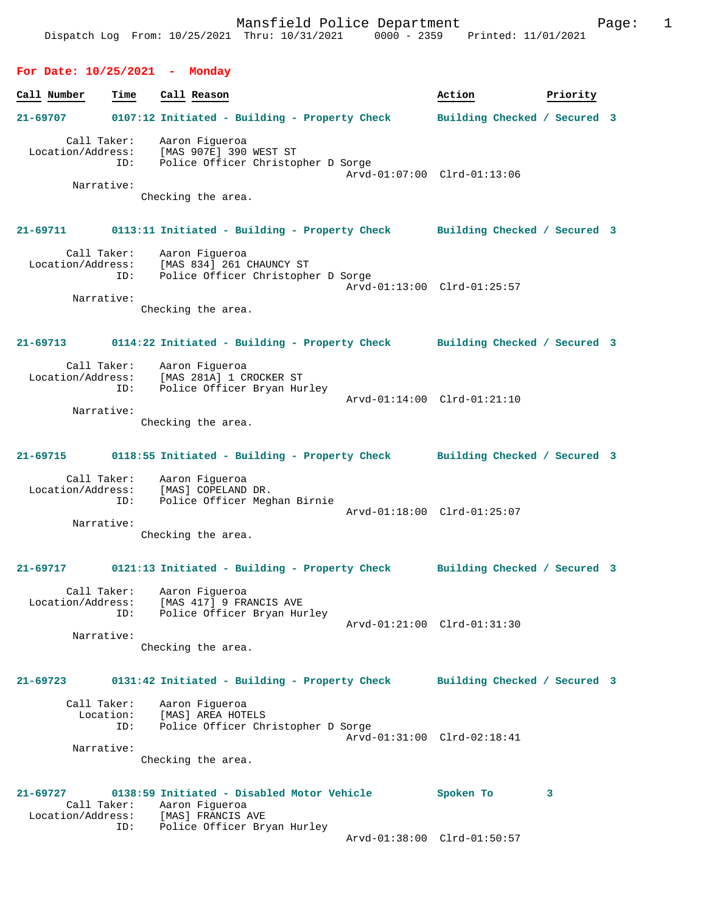## **For Date: 10/25/2021 - Monday**

| Call Number       | Time        | Call Reason                                                                | Action                       | Priority |  |
|-------------------|-------------|----------------------------------------------------------------------------|------------------------------|----------|--|
| 21-69707          |             |                                                                            | Building Checked / Secured 3 |          |  |
|                   |             | 0107:12 Initiated - Building - Property Check                              |                              |          |  |
|                   | Call Taker: | Aaron Figueroa                                                             |                              |          |  |
| Location/Address: |             | [MAS 907E] 390 WEST ST                                                     |                              |          |  |
|                   | ID:         | Police Officer Christopher D Sorge                                         |                              |          |  |
|                   | Narrative:  |                                                                            | Arvd-01:07:00 Clrd-01:13:06  |          |  |
|                   |             | Checking the area.                                                         |                              |          |  |
|                   |             |                                                                            |                              |          |  |
| $21 - 69711$      |             | 0113:11 Initiated - Building - Property Check Building Checked / Secured 3 |                              |          |  |
|                   |             |                                                                            |                              |          |  |
|                   | Call Taker: | Aaron Figueroa                                                             |                              |          |  |
| Location/Address: |             | $[MAS 834] 261 CHAUNCY ST\nPolina Offi-1 7$                                |                              |          |  |
|                   | ID:         | Police Officer Christopher D Sorge                                         | Arvd-01:13:00 Clrd-01:25:57  |          |  |
|                   | Narrative:  |                                                                            |                              |          |  |
|                   |             | Checking the area.                                                         |                              |          |  |
|                   |             |                                                                            |                              |          |  |
| $21 - 69713$      |             | 0114:22 Initiated - Building - Property Check Building Checked / Secured 3 |                              |          |  |
|                   |             |                                                                            |                              |          |  |
|                   |             | Call Taker: Aaron Figueroa                                                 |                              |          |  |
|                   | ID:         | Location/Address: [MAS 281A] 1 CROCKER ST<br>Police Officer Bryan Hurley   |                              |          |  |
|                   |             |                                                                            | Arvd-01:14:00 Clrd-01:21:10  |          |  |
|                   | Narrative:  |                                                                            |                              |          |  |
|                   |             | Checking the area.                                                         |                              |          |  |
|                   |             |                                                                            |                              |          |  |
| 21-69715          |             | 0118:55 Initiated - Building - Property Check Building Checked / Secured 3 |                              |          |  |
|                   |             | Call Taker: Aaron Figueroa                                                 |                              |          |  |
|                   |             | Location/Address: [MAS] COPELAND DR.                                       |                              |          |  |
|                   | ID:         | Police Officer Meghan Birnie                                               |                              |          |  |
|                   | Narrative:  |                                                                            | Arvd-01:18:00 Clrd-01:25:07  |          |  |
|                   |             | Checking the area.                                                         |                              |          |  |
|                   |             |                                                                            |                              |          |  |
| 21-69717          |             | 0121:13 Initiated - Building - Property Check                              | Building Checked / Secured 3 |          |  |
|                   |             |                                                                            |                              |          |  |
|                   | Call Taker: | Aaron Figueroa                                                             |                              |          |  |
| Location/Address: |             | [MAS 417] 9 FRANCIS AVE                                                    |                              |          |  |
|                   | ID:         | Police Officer Bryan Hurley                                                | Arvd-01:21:00 Clrd-01:31:30  |          |  |
|                   | Narrative:  |                                                                            |                              |          |  |
|                   |             | Checking the area.                                                         |                              |          |  |
|                   |             |                                                                            |                              |          |  |
| 21-69723          |             | 0131:42 Initiated - Building - Property Check                              | Building Checked / Secured 3 |          |  |
|                   | Call Taker: | Aaron Fiqueroa                                                             |                              |          |  |
|                   | Location:   | [MAS] AREA HOTELS                                                          |                              |          |  |
|                   | ID:         | Police Officer Christopher D Sorge                                         |                              |          |  |

 Arvd-01:31:00 Clrd-02:18:41 Narrative:

Checking the area.

## **21-69727 0138:59 Initiated - Disabled Motor Vehicle Spoken To 3**  Call Taker: Aaron Figueroa Location/Address: [MAS] FRANCIS AVE ID: Police Officer Bryan Hurley Arvd-01:38:00 Clrd-01:50:57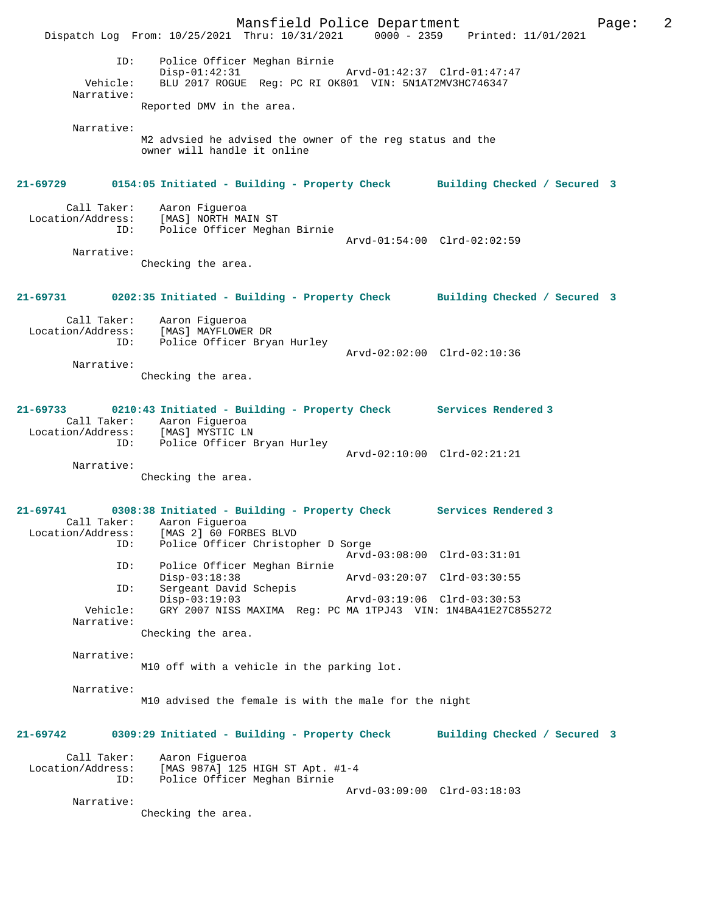Mansfield Police Department Page: 2 Dispatch Log From: 10/25/2021 Thru: 10/31/2021 0000 - 2359 Printed: 11/01/2021 ID: Police Officer Meghan Birnie Disp-01:42:31 Arvd-01:42:37 Clrd-01:47:47<br>Vehicle: BLU 2017 ROGUE Reg: PC RI OK801 VIN: 5N1AT2MV3HC746347 BLU 2017 ROGUE Reg: PC RI OK801 VIN: 5N1AT2MV3HC746347 Narrative: Reported DMV in the area. Narrative: M2 advsied he advised the owner of the reg status and the owner will handle it online **21-69729 0154:05 Initiated - Building - Property Check Building Checked / Secured 3** Call Taker: Aaron Figueroa Location/Address: [MAS] NORTH MAIN ST ID: Police Officer Meghan Birnie Arvd-01:54:00 Clrd-02:02:59 Narrative: Checking the area. **21-69731 0202:35 Initiated - Building - Property Check Building Checked / Secured 3** Call Taker: Aaron Figueroa Location/Address: [MAS] MAYFLOWER DR ID: Police Officer Bryan Hurley Arvd-02:02:00 Clrd-02:10:36 Narrative: Checking the area. **21-69733 0210:43 Initiated - Building - Property Check Services Rendered 3**  Call Taker: Aaron Figueroa Location/Address: [MAS] MYSTIC LN ID: Police Officer Bryan Hurley Arvd-02:10:00 Clrd-02:21:21 Narrative: Checking the area. **21-69741 0308:38 Initiated - Building - Property Check Services Rendered 3**  Call Taker: Aaron Figueroa Location/Address: [MAS 2] 60 FORBES BLVD ID: Police Officer Christopher D Sorge Arvd-03:08:00 Clrd-03:31:01 ID: Police Officer Meghan Birnie Disp-03:18:38 Arvd-03:20:07 Clrd-03:30:55 ID: Sergeant David Schepis<br>Disp-03:19:03 Disp-03:19:03 Arvd-03:19:06 Clrd-03:30:53 Vehicle: GRY 2007 NISS MAXIMA Reg: PC MA 1TPJ43 VIN: 1N4BA41E27C855272 Narrative: Checking the area. Narrative: M10 off with a vehicle in the parking lot. Narrative: M10 advised the female is with the male for the night **21-69742 0309:29 Initiated - Building - Property Check Building Checked / Secured 3** Call Taker: Aaron Figueroa Location/Address: [MAS 987A] 125 HIGH ST Apt. #1-4 ID: Police Officer Meghan Birnie Arvd-03:09:00 Clrd-03:18:03 Narrative: Checking the area.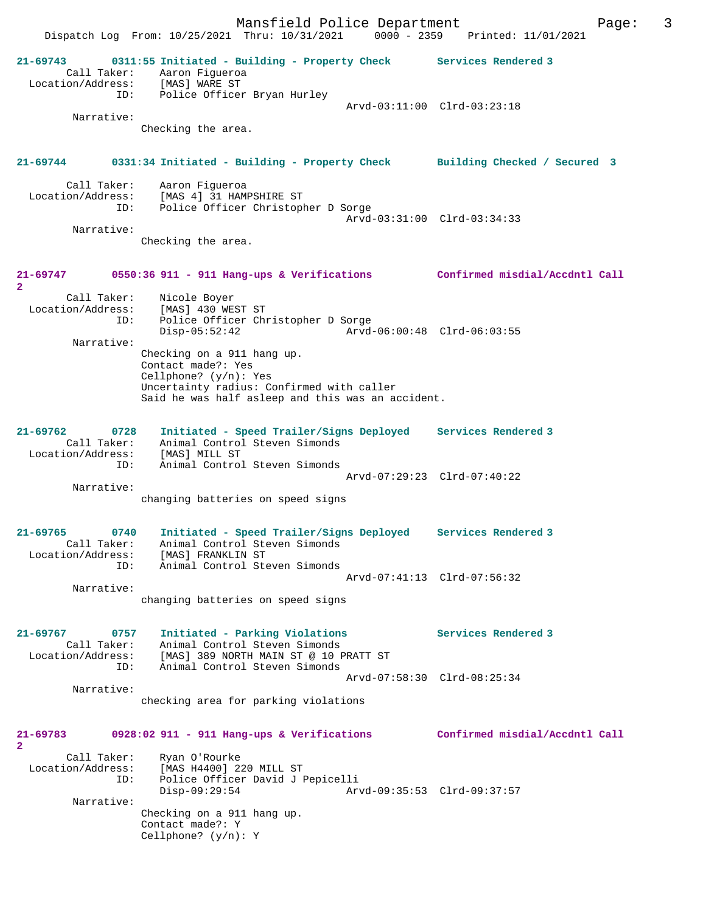Dispatch Log From: 10/25/2021 Thru: 10/31/2021 0000 - 2359 Printed: 11/01/2021 **21-69743 0311:55 Initiated - Building - Property Check Services Rendered 3**  Call Taker: Aaron Figueroa Location/Address: [MAS] WARE ST ID: Police Officer Bryan Hurley Arvd-03:11:00 Clrd-03:23:18 Narrative: Checking the area. **21-69744 0331:34 Initiated - Building - Property Check Building Checked / Secured 3** Call Taker: Aaron Figueroa Location/Address: [MAS 4] 31 HAMPSHIRE ST ID: Police Officer Christopher D Sorge Arvd-03:31:00 Clrd-03:34:33 Narrative: Checking the area. **21-69747 0550:36 911 - 911 Hang-ups & Verifications Confirmed misdial/Accdntl Call 2**  Call Taker: Nicole Boyer Location/Address: [MAS] 430 WEST ST ID: Police Officer Christopher D Sorge Disp-05:52:42 Arvd-06:00:48 Clrd-06:03:55 Narrative: Checking on a 911 hang up. Contact made?: Yes Cellphone? (y/n): Yes Uncertainty radius: Confirmed with caller Said he was half asleep and this was an accident. **21-69762 0728 Initiated - Speed Trailer/Signs Deployed Services Rendered 3**  Call Taker: Animal Control Steven Simonds Location/Address: [MAS] MILL ST ID: Animal Control Steven Simonds Arvd-07:29:23 Clrd-07:40:22 Narrative: changing batteries on speed signs **21-69765 0740 Initiated - Speed Trailer/Signs Deployed Services Rendered 3**  Call Taker: Animal Control Steven Simonds Location/Address: [MAS] FRANKLIN ST ID: Animal Control Steven Simonds Arvd-07:41:13 Clrd-07:56:32 Narrative: changing batteries on speed signs **21-69767 0757 Initiated - Parking Violations Services Rendered 3**  Call Taker: Animal Control Steven Simonds Location/Address: [MAS] 389 NORTH MAIN ST @ 10 PRATT ST ID: Animal Control Steven Simonds Arvd-07:58:30 Clrd-08:25:34 Narrative: checking area for parking violations **21-69783 0928:02 911 - 911 Hang-ups & Verifications Confirmed misdial/Accdntl Call 2**  Call Taker: Ryan O'Rourke Location/Address: [MAS H4400] 220 MILL ST ID: Police Officer David J Pepicelli Disp-09:29:54 Arvd-09:35:53 Clrd-09:37:57 Narrative: Checking on a 911 hang up. Contact made?: Y Cellphone? (y/n): Y

Mansfield Police Department Form Page: 3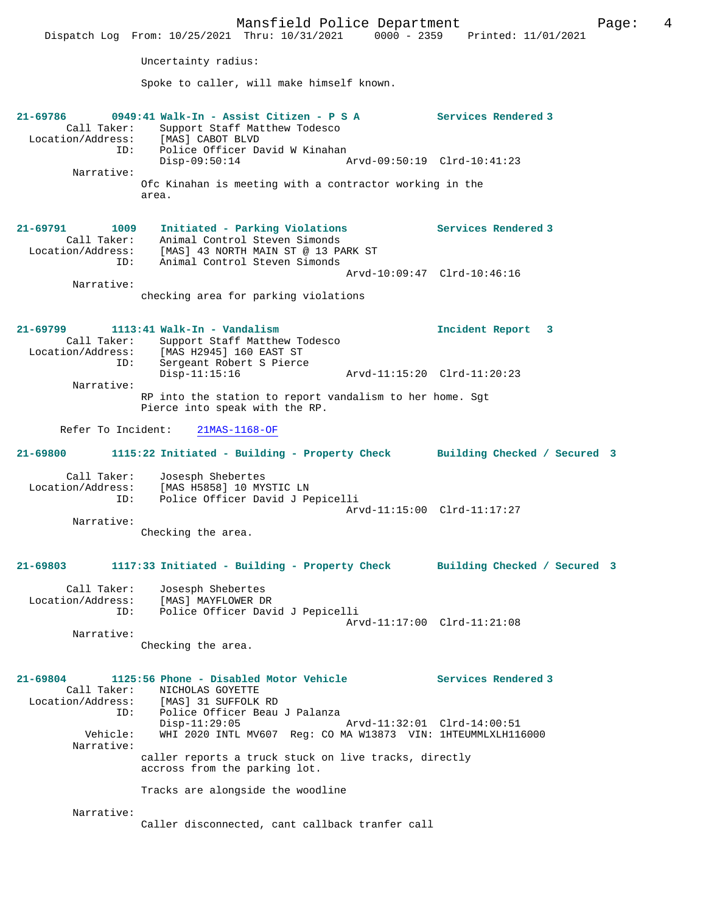Mansfield Police Department Page: 4 Dispatch Log From: 10/25/2021 Thru: 10/31/2021 0000 - 2359 Printed: 11/01/2021 Uncertainty radius: Spoke to caller, will make himself known. **21-69786 0949:41 Walk-In - Assist Citizen - P S A Services Rendered 3**  Call Taker: Support Staff Matthew Todesco Location/Address: [MAS] CABOT BLVD ID: Police Officer David W Kinahan<br>Disp-09:50:14 A Disp-09:50:14 Arvd-09:50:19 Clrd-10:41:23 Narrative: Ofc Kinahan is meeting with a contractor working in the area. **21-69791 1009 Initiated - Parking Violations Services Rendered 3**  Call Taker: Animal Control Steven Simonds Location/Address: [MAS] 43 NORTH MAIN ST @ 13 PARK ST ID: Animal Control Steven Simonds Arvd-10:09:47 Clrd-10:46:16 Narrative: checking area for parking violations **21-69799 1113:41 Walk-In - Vandalism Incident Report 3**  Call Taker: Support Staff Matthew Todesco Location/Address: [MAS H2945] 160 EAST ST ID: Sergeant Robert S Pierce Disp-11:15:16 Arvd-11:15:20 Clrd-11:20:23 Narrative: RP into the station to report vandalism to her home. Sgt Pierce into speak with the RP. Refer To Incident: 21MAS-1168-OF **21-69800 1115:22 Initiated - Building - Property Check Building Checked / Secured 3** Call Taker: Josesph Shebertes Location/Address: [MAS H5858] 10 MYSTIC LN<br>ID: Police Officer David J Pe Police Officer David J Pepicelli Arvd-11:15:00 Clrd-11:17:27 Narrative: Checking the area. **21-69803 1117:33 Initiated - Building - Property Check Building Checked / Secured 3** Call Taker: Josesph Shebertes Location/Address: [MAS] MAYFLOWER DR ID: Police Officer David J Pepicelli Arvd-11:17:00 Clrd-11:21:08 Narrative: Checking the area. **21-69804 1125:56 Phone - Disabled Motor Vehicle Services Rendered 3**  Call Taker: <br>
MICHOLAS GOYETTE<br>
Location/Address: [MAS] 31 SUFFOLK [MAS] 31 SUFFOLK RD ID: Police Officer Beau J Palanza Disp-11:29:05 Arvd-11:32:01 Clrd-14:00:51 Vehicle: WHI 2020 INTL MV607 Reg: CO MA W13873 VIN: 1HTEUMMLXLH116000 Narrative: caller reports a truck stuck on live tracks, directly accross from the parking lot. Tracks are alongside the woodline Narrative: Caller disconnected, cant callback tranfer call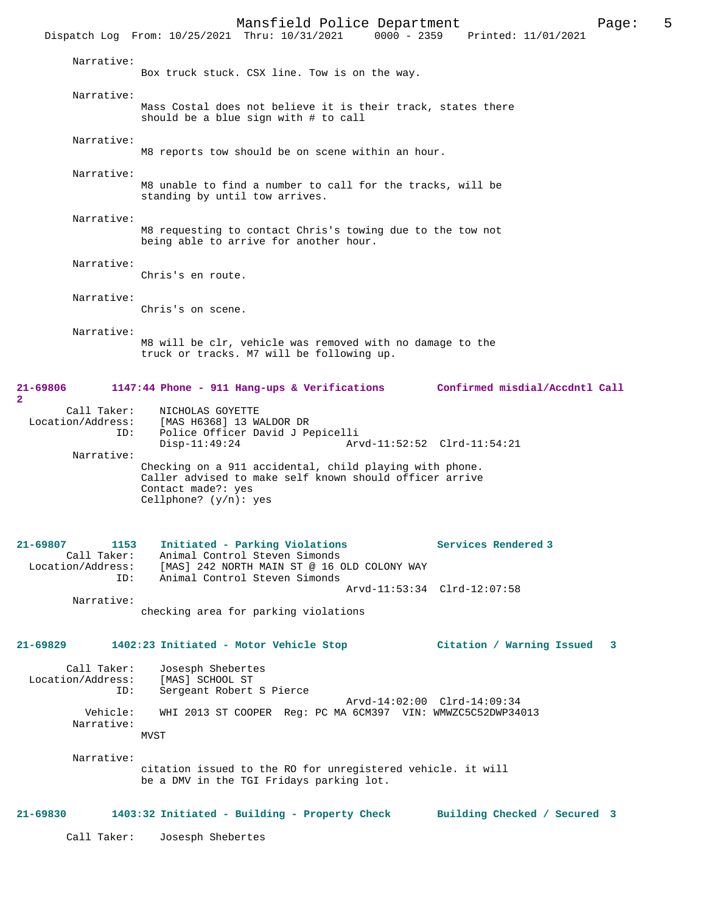|                                                       | Dispatch Log From: 10/25/2021 Thru: 10/31/2021                                                                                                                       | Mansfield Police Department |                             | 0000 - 2359 Printed: 11/01/2021 | 5<br>Page: |
|-------------------------------------------------------|----------------------------------------------------------------------------------------------------------------------------------------------------------------------|-----------------------------|-----------------------------|---------------------------------|------------|
| Narrative:                                            | Box truck stuck. CSX line. Tow is on the way.                                                                                                                        |                             |                             |                                 |            |
| Narrative:                                            | Mass Costal does not believe it is their track, states there<br>should be a blue sign with # to call                                                                 |                             |                             |                                 |            |
| Narrative:                                            | M8 reports tow should be on scene within an hour.                                                                                                                    |                             |                             |                                 |            |
| Narrative:                                            | M8 unable to find a number to call for the tracks, will be<br>standing by until tow arrives.                                                                         |                             |                             |                                 |            |
| Narrative:                                            | M8 requesting to contact Chris's towing due to the tow not<br>being able to arrive for another hour.                                                                 |                             |                             |                                 |            |
| Narrative:                                            | Chris's en route.                                                                                                                                                    |                             |                             |                                 |            |
| Narrative:                                            | Chris's on scene.                                                                                                                                                    |                             |                             |                                 |            |
| Narrative:                                            | M8 will be clr, vehicle was removed with no damage to the<br>truck or tracks. M7 will be following up.                                                               |                             |                             |                                 |            |
| 21-69806<br>$\overline{2}$                            | 1147:44 Phone - 911 Hang-ups & Verifications                                                                                                                         |                             |                             | Confirmed misdial/Accdntl Call  |            |
| Call Taker:<br>Location/Address:<br>ID:<br>Narrative: | NICHOLAS GOYETTE<br>[MAS H6368] 13 WALDOR DR<br>Police Officer David J Pepicelli<br>$Disp-11:49:24$                                                                  |                             | Arvd-11:52:52 Clrd-11:54:21 |                                 |            |
|                                                       | Checking on a 911 accidental, child playing with phone.<br>Caller advised to make self known should officer arrive<br>Contact made?: yes<br>Cellphone? $(y/n)$ : yes |                             |                             |                                 |            |
| $21 - 69807$<br>1153<br>Call Taker:<br>ID:            | Initiated - Parking Violations<br>Animal Control Steven Simonds<br>Location/Address: [MAS] 242 NORTH MAIN ST @ 16 OLD COLONY WAY<br>Animal Control Steven Simonds    |                             |                             | Services Rendered 3             |            |
| Narrative:                                            | checking area for parking violations                                                                                                                                 |                             | Arvd-11:53:34 Clrd-12:07:58 |                                 |            |
| 21-69829                                              | 1402:23 Initiated - Motor Vehicle Stop                                                                                                                               |                             |                             | Citation / Warning Issued       | 3          |
| Call Taker:<br>Location/Address:<br>ID:               | Josesph Shebertes<br>[MAS] SCHOOL ST<br>Sergeant Robert S Pierce                                                                                                     |                             |                             |                                 |            |
| Vehicle:<br>Narrative:                                | WHI 2013 ST COOPER Reg: PC MA 6CM397 VIN: WMWZC5C52DWP34013<br><b>MVST</b>                                                                                           |                             | Arvd-14:02:00 Clrd-14:09:34 |                                 |            |
| Narrative:                                            | citation issued to the RO for unregistered vehicle. it will<br>be a DMV in the TGI Fridays parking lot.                                                              |                             |                             |                                 |            |
| $21 - 69830$                                          | 1403:32 Initiated - Building - Property Check                                                                                                                        |                             |                             | Building Checked / Secured 3    |            |
| Call Taker:                                           | Josesph Shebertes                                                                                                                                                    |                             |                             |                                 |            |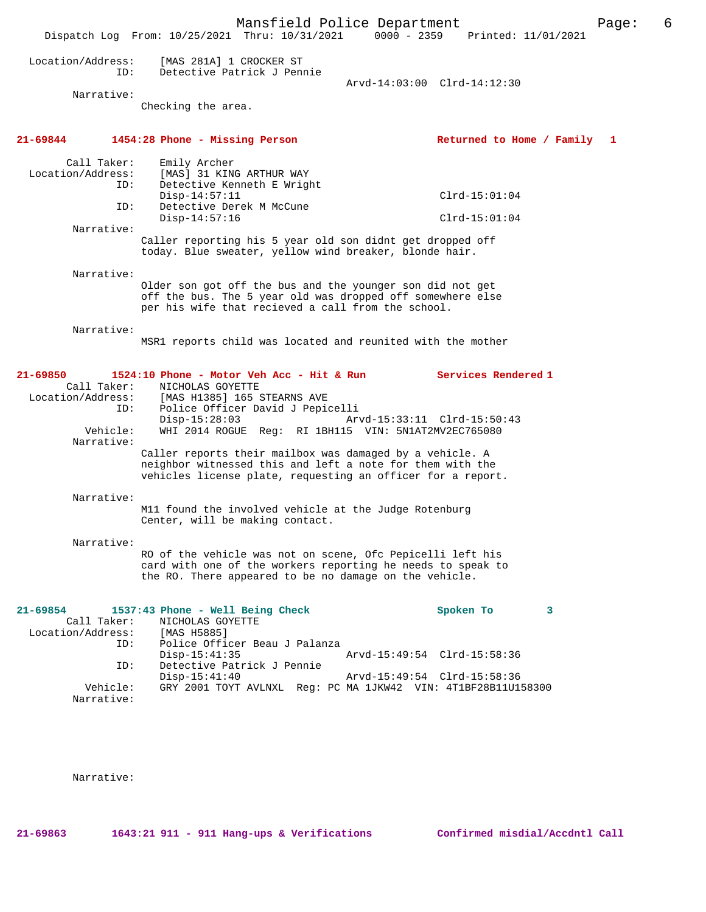Mansfield Police Department Page: 6 Dispatch Log From: 10/25/2021 Thru: 10/31/2021 0000 - 2359 Printed: 11/01/2021 Location/Address: [MAS 281A] 1 CROCKER ST ID: Detective Patrick J Pennie Arvd-14:03:00 Clrd-14:12:30 Narrative: Checking the area. **21-69844 1454:28 Phone - Missing Person Returned to Home / Family 1** Call Taker: Emily Archer Location/Address: [MAS] 31 KING ARTHUR WAY ID: Detective Kenneth E Wright Disp-14:57:11 Clrd-15:01:04 Detective Derek M McCune ID: Detective Derek M McCune<br>Disp-14:57:16 Clrd-15:01:04 Narrative: Caller reporting his 5 year old son didnt get dropped off today. Blue sweater, yellow wind breaker, blonde hair. Narrative: Older son got off the bus and the younger son did not get off the bus. The 5 year old was dropped off somewhere else per his wife that recieved a call from the school. Narrative: MSR1 reports child was located and reunited with the mother **21-69850 1524:10 Phone - Motor Veh Acc - Hit & Run Services Rendered 1**  Call Taker: NICHOLAS GOYETTE<br>Location/Address: [MAS H1385] 165 S [MAS H1385] 165 STEARNS AVE ID: Police Officer David J Pepicelli Disp-15:28:03 Arvd-15:33:11 Clrd-15:50:43<br>Vehicle: WHI 2014 ROGUE Reg: RI 1BH115 VIN: 5N1AT2MV2EC765080 WHI 2014 ROGUE Reg: RI 1BH115 VIN: 5N1AT2MV2EC765080 Narrative: Caller reports their mailbox was damaged by a vehicle. A neighbor witnessed this and left a note for them with the vehicles license plate, requesting an officer for a report. Narrative: M11 found the involved vehicle at the Judge Rotenburg Center, will be making contact. Narrative: RO of the vehicle was not on scene, Ofc Pepicelli left his card with one of the workers reporting he needs to speak to the RO. There appeared to be no damage on the vehicle. **21-69854 1537:43 Phone - Well Being Check Spoken To 3**  Call Taker: NICHOLAS GOYETTE Location/Address:<br>ID: [MAS H5885]<br>Police Officer Beau J Palanza<br>Disp-15:41:35 Disp-15:41:35 Arvd-15:49:54 Clrd-15:58:36 Detective Patrick J Pennie Disp-15:41:40 Arvd-15:49:54 Clrd-15:58:36<br>!Vehicle: GRY 2001 TOYT AVLNXL Reg: PC MA 1JKW42 VIN: 4T1BF28B11U1 GRY 2001 TOYT AVLNXL Reg: PC MA 1JKW42 VIN: 4T1BF28B11U158300 Narrative:

Narrative:

**21-69863 1643:21 911 - 911 Hang-ups & Verifications Confirmed misdial/Accdntl Call**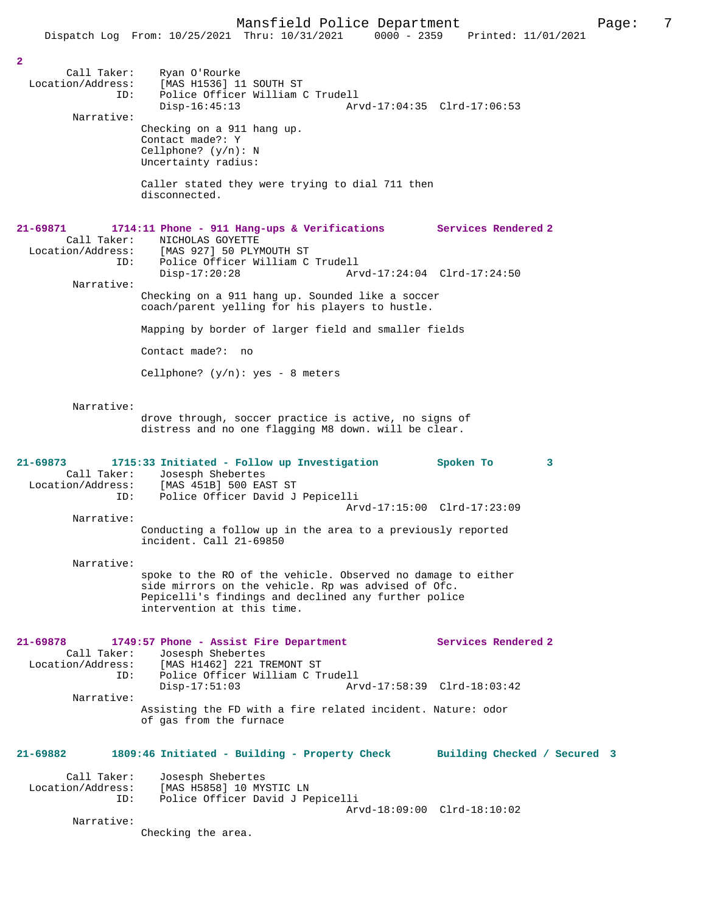|                                                                   | Dispatch Log From: 10/25/2021 Thru: 10/31/2021<br>$0000 - 2359$                                                                                                                                           | Printed: 11/01/2021                                |
|-------------------------------------------------------------------|-----------------------------------------------------------------------------------------------------------------------------------------------------------------------------------------------------------|----------------------------------------------------|
|                                                                   |                                                                                                                                                                                                           |                                                    |
| $\overline{a}$<br>Call Taker:<br>Location/Address:<br>ID:         | Ryan O'Rourke<br>[MAS H1536] 11 SOUTH ST<br>Police Officer William C Trudell<br>$Disp-16:45:13$                                                                                                           | Arvd-17:04:35 Clrd-17:06:53                        |
| Narrative:                                                        | Checking on a 911 hang up.<br>Contact made?: Y<br>Cellphone? $(y/n): N$<br>Uncertainty radius:                                                                                                            |                                                    |
|                                                                   | Caller stated they were trying to dial 711 then<br>disconnected.                                                                                                                                          |                                                    |
| 21-69871<br>Call Taker:<br>Location/Address:<br>ID:<br>Narrative: | 1714:11 Phone - 911 Hang-ups & Verifications<br>NICHOLAS GOYETTE<br>[MAS 927] 50 PLYMOUTH ST<br>Police Officer William C Trudell<br>$Disp-17:20:28$                                                       | Services Rendered 2<br>Arvd-17:24:04 Clrd-17:24:50 |
|                                                                   | Checking on a 911 hang up. Sounded like a soccer<br>coach/parent yelling for his players to hustle.                                                                                                       |                                                    |
|                                                                   | Mapping by border of larger field and smaller fields                                                                                                                                                      |                                                    |
|                                                                   | Contact made?: no                                                                                                                                                                                         |                                                    |
|                                                                   | Cellphone? $(y/n):$ yes - 8 meters                                                                                                                                                                        |                                                    |
| Narrative:                                                        | drove through, soccer practice is active, no signs of<br>distress and no one flagging M8 down. will be clear.                                                                                             |                                                    |
| $21 - 69873$<br>Call Taker:<br>Location/Address:<br>ID:           | 1715:33 Initiated - Follow up Investigation<br>Josesph Shebertes<br>[MAS 451B] 500 EAST ST<br>Police Officer David J Pepicelli                                                                            | Spoken To<br>3                                     |
| Narrative:                                                        |                                                                                                                                                                                                           | Arvd-17:15:00 Clrd-17:23:09                        |
|                                                                   | Conducting a follow up in the area to a previously reported<br>incident. Call 21-69850                                                                                                                    |                                                    |
| Narrative:                                                        |                                                                                                                                                                                                           |                                                    |
|                                                                   | spoke to the RO of the vehicle. Observed no damage to either<br>side mirrors on the vehicle. Rp was advised of Ofc.<br>Pepicelli's findings and declined any further police<br>intervention at this time. |                                                    |
| $21 - 69878$<br>Call Taker:<br>ID:                                | 1749:57 Phone - Assist Fire Department<br>Josesph Shebertes<br>Location/Address: [MAS H1462] 221 TREMONT ST<br>Police Officer William C Trudell<br>$Disp-17:51:03$                                        | Services Rendered 2<br>Arvd-17:58:39 Clrd-18:03:42 |
| Narrative:                                                        | Assisting the FD with a fire related incident. Nature: odor                                                                                                                                               |                                                    |
|                                                                   | of gas from the furnace                                                                                                                                                                                   |                                                    |
| 21-69882                                                          | 1809:46 Initiated - Building - Property Check                                                                                                                                                             | Building Checked / Secured 3                       |
| Call Taker:<br>ID:                                                | Josesph Shebertes<br>Location/Address: [MAS H5858] 10 MYSTIC LN<br>Police Officer David J Pepicelli                                                                                                       | Arvd-18:09:00 Clrd-18:10:02                        |
| Narrative:                                                        |                                                                                                                                                                                                           |                                                    |
|                                                                   | Checking the area.                                                                                                                                                                                        |                                                    |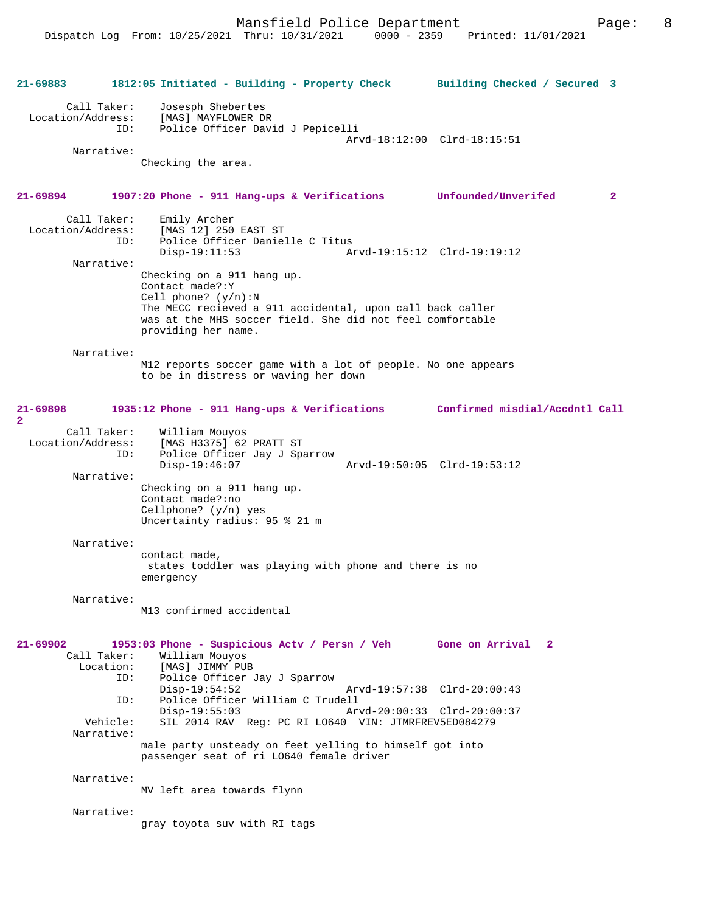**21-69883 1812:05 Initiated - Building - Property Check Building Checked / Secured 3** Call Taker: Josesph Shebertes Location/Address: [MAS] MAYFLOWER DR Police Officer David J Pepicelli Arvd-18:12:00 Clrd-18:15:51 Narrative: Checking the area. **21-69894 1907:20 Phone - 911 Hang-ups & Verifications Unfounded/Unverifed 2** Call Taker: Emily Archer<br>Location/Address: [MAS 12] 250 [MAS 12] 250 EAST ST ID: Police Officer Danielle C Titus Disp-19:11:53 Arvd-19:15:12 Clrd-19:19:12 Narrative: Checking on a 911 hang up. Contact made?:Y Cell phone? (y/n):N The MECC recieved a 911 accidental, upon call back caller was at the MHS soccer field. She did not feel comfortable providing her name. Narrative: M12 reports soccer game with a lot of people. No one appears to be in distress or waving her down **21-69898 1935:12 Phone - 911 Hang-ups & Verifications Confirmed misdial/Accdntl Call 2**  Call Taker: William Mouyos<br>Location/Address: [MAS H3375] 62 ess: [MAS H3375] 62 PRATT ST<br>ID: Police Officer Jav J Sp Police Officer Jay J Sparrow<br>Disp-19:46:07 Disp-19:46:07 Arvd-19:50:05 Clrd-19:53:12 Narrative: Checking on a 911 hang up. Contact made?:no Cellphone? (y/n) yes Uncertainty radius: 95 % 21 m Narrative: contact made, states toddler was playing with phone and there is no emergency Narrative: M13 confirmed accidental **21-69902 1953:03 Phone - Suspicious Actv / Persn / Veh Gone on Arrival 2**  Call Taker: William Mouyos Location: [MAS] JIMMY PUB<br>TD: Police Officer Police Officer Jay J Sparrow<br>Disp-19:54:52 Disp-19:54:52 Arvd-19:57:38 Clrd-20:00:43<br>ID: Police Officer William C Trudell Police Officer William C Trudell Disp-19:55:03 Arvd-20:00:33 Clrd-20:00:37 Vehicle: SIL 2014 RAV Reg: PC RI LO640 VIN: JTMRFREV5ED084279 Narrative: male party unsteady on feet yelling to himself got into passenger seat of ri LO640 female driver Narrative: MV left area towards flynn Narrative: gray toyota suv with RI tags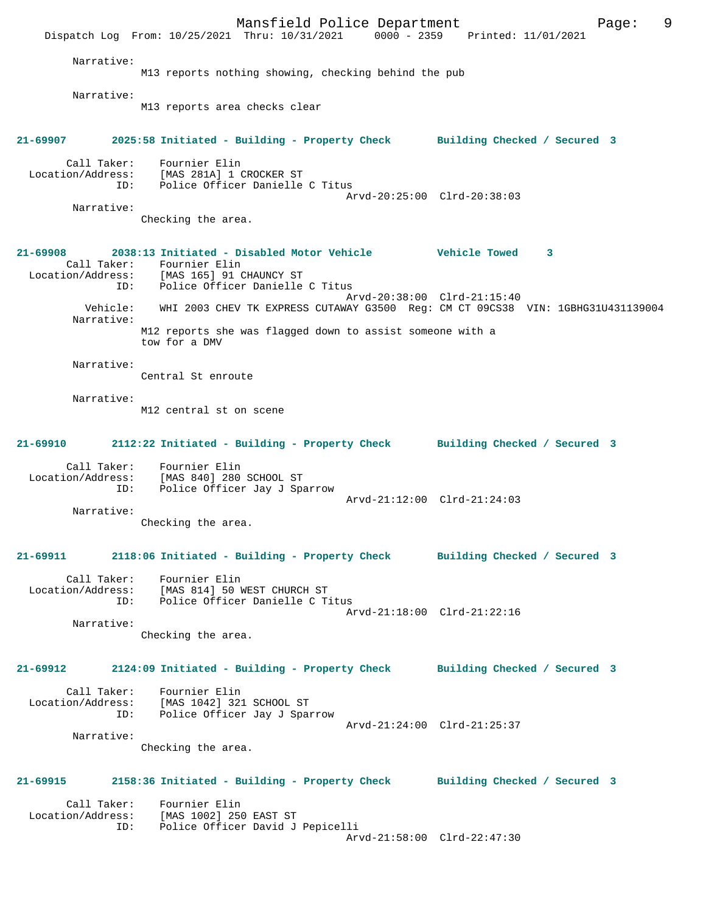Mansfield Police Department Fage: 9 Dispatch Log From: 10/25/2021 Thru: 10/31/2021 0000 - 2359 Printed: 11/01/2021 Narrative: M13 reports nothing showing, checking behind the pub Narrative: M13 reports area checks clear **21-69907 2025:58 Initiated - Building - Property Check Building Checked / Secured 3** Call Taker: Fournier Elin Location/Address: [MAS 281A] 1 CROCKER ST ID: Police Officer Danielle C Titus Arvd-20:25:00 Clrd-20:38:03 Narrative: Checking the area. **21-69908 2038:13 Initiated - Disabled Motor Vehicle Vehicle Towed 3**  Call Taker: Fournier Elin<br>Location/Address: [MAS 165] 91 C [MAS 165] 91 CHAUNCY ST ID: Police Officer Danielle C Titus Arvd-20:38:00 Clrd-21:15:40 Vehicle: WHI 2003 CHEV TK EXPRESS CUTAWAY G3500 Reg: CM CT 09CS38 VIN: 1GBHG31U431139004 Narrative: M12 reports she was flagged down to assist someone with a tow for a DMV Narrative: Central St enroute Narrative: M12 central st on scene **21-69910 2112:22 Initiated - Building - Property Check Building Checked / Secured 3** Call Taker: Fournier Elin Location/Address: [MAS 840] 280 SCHOOL ST ID: Police Officer Jay J Sparrow Arvd-21:12:00 Clrd-21:24:03 Narrative: Checking the area. **21-69911 2118:06 Initiated - Building - Property Check Building Checked / Secured 3** Call Taker: Fournier Elin Location/Address: [MAS 814] 50 WEST CHURCH ST ID: Police Officer Danielle C Titus Arvd-21:18:00 Clrd-21:22:16 Narrative: Checking the area. **21-69912 2124:09 Initiated - Building - Property Check Building Checked / Secured 3** Call Taker: Fournier Elin Location/Address: [MAS 1042] 321 SCHOOL ST ID: Police Officer Jay J Sparrow Arvd-21:24:00 Clrd-21:25:37 Narrative: Checking the area. **21-69915 2158:36 Initiated - Building - Property Check Building Checked / Secured 3** Call Taker: Fournier Elin<br>Location/Address: [MAS 1002] 250 ess: [MAS 1002] 250 EAST ST<br>ID: Police Officer David J Police Officer David J Pepicelli Arvd-21:58:00 Clrd-22:47:30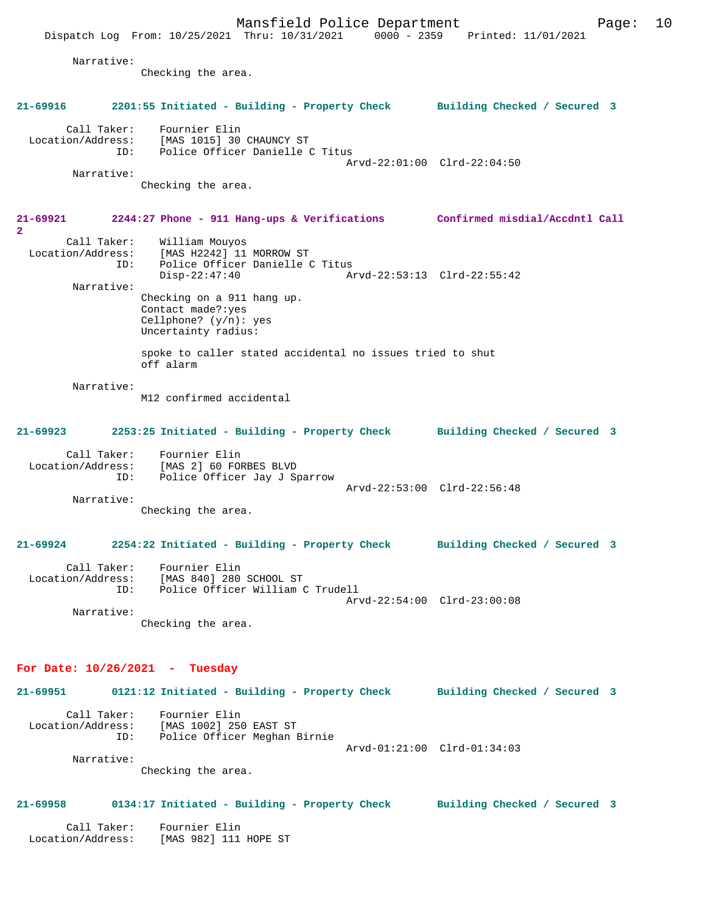Dispatch Log From: 10/25/2021 Thru: 10/31/2021 0000 - 2359 Printed: 11/01/2021 Narrative: Checking the area. **21-69916 2201:55 Initiated - Building - Property Check Building Checked / Secured 3** Call Taker: Fournier Elin Location/Address: [MAS 1015] 30 CHAUNCY ST ID: Police Officer Danielle C Titus Arvd-22:01:00 Clrd-22:04:50 Narrative: Checking the area. **21-69921 2244:27 Phone - 911 Hang-ups & Verifications Confirmed misdial/Accdntl Call 2**  Call Taker: William Mouyos<br>Location/Address: [MAS H2242] 11 [MAS H2242] 11 MORROW ST ID: Police Officer Danielle C Titus Disp-22:47:40 Arvd-22:53:13 Clrd-22:55:42 Narrative: Checking on a 911 hang up. Contact made?:yes Cellphone? (y/n): yes Uncertainty radius: spoke to caller stated accidental no issues tried to shut off alarm Narrative: M12 confirmed accidental **21-69923 2253:25 Initiated - Building - Property Check Building Checked / Secured 3** Call Taker: Fournier Elin Location/Address: [MAS 2] 60 FORBES BLVD ID: Police Officer Jay J Sparrow Arvd-22:53:00 Clrd-22:56:48 Narrative: Checking the area. **21-69924 2254:22 Initiated - Building - Property Check Building Checked / Secured 3** Call Taker: Fournier Elin Location/Address: [MAS 840] 280 SCHOOL ST<br>ID: Police Officer William C Police Officer William C Trudell Arvd-22:54:00 Clrd-23:00:08 Narrative: Checking the area. **For Date: 10/26/2021 - Tuesday 21-69951 0121:12 Initiated - Building - Property Check Building Checked / Secured 3** Call Taker: Fournier Elin Location/Address: [MAS 1002] 250 EAST ST Police Officer Meghan Birnie Arvd-01:21:00 Clrd-01:34:03 Narrative: Checking the area.

#### **21-69958 0134:17 Initiated - Building - Property Check Building Checked / Secured 3**

 Call Taker: Fournier Elin Location/Address: [MAS 982] 111 HOPE ST

Mansfield Police Department Fage: 10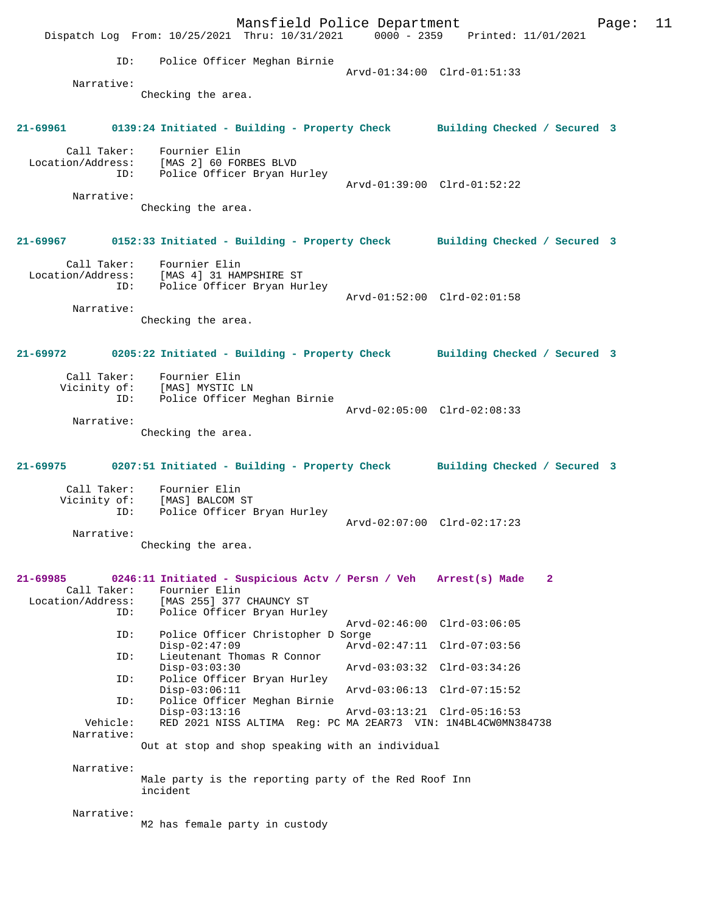Mansfield Police Department Page: 11 Dispatch Log From: 10/25/2021 Thru: 10/31/2021 ID: Police Officer Meghan Birnie Arvd-01:34:00 Clrd-01:51:33 Narrative: Checking the area. **21-69961 0139:24 Initiated - Building - Property Check Building Checked / Secured 3** Call Taker: Fournier Elin Location/Address: [MAS 2] 60 FORBES BLVD ID: Police Officer Bryan Hurley Arvd-01:39:00 Clrd-01:52:22 Narrative: Checking the area. **21-69967 0152:33 Initiated - Building - Property Check Building Checked / Secured 3** Call Taker: Fournier Elin Location/Address: [MAS 4] 31 HAMPSHIRE ST ID: Police Officer Bryan Hurley Arvd-01:52:00 Clrd-02:01:58 Narrative: Checking the area. **21-69972 0205:22 Initiated - Building - Property Check Building Checked / Secured 3** Call Taker: Fournier Elin Vicinity of: [MAS] MYSTIC LN ID: Police Officer Meghan Birnie Arvd-02:05:00 Clrd-02:08:33 Narrative: Checking the area. **21-69975 0207:51 Initiated - Building - Property Check Building Checked / Secured 3** Call Taker: Fournier Elin Vicinity of: [MAS] BALCOM ST<br>ID: Police Officer 1 Police Officer Bryan Hurley Arvd-02:07:00 Clrd-02:17:23 Narrative: Checking the area. **21-69985 0246:11 Initiated - Suspicious Actv / Persn / Veh Arrest(s) Made 2**  Call Taker: Fournier Elin<br>Location/Address: [MAS 255] 377 ess: [MAS 255] 377 CHAUNCY ST<br>ID: Police Officer Brvan Hurl Police Officer Bryan Hurley Arvd-02:46:00 Clrd-03:06:05<br>ID: Police Officer Christopher D Sorge Police Officer Christopher D Sorge<br>Disp-02:47:09 Arvd Disp-02:47:09 Arvd-02:47:11 Clrd-07:03:56<br>Th: Lieutenant Thomas R Connor Lieutenant Thomas R Connor Disp-03:03:30 Arvd-03:03:32 Clrd-03:34:26 Police Officer Bryan Hurley<br>Disp-03:06:11 Disp-03:06:11 Arvd-03:06:13 Clrd-07:15:52 ID: Police Officer Meghan Birnie Disp-03:13:16 Arvd-03:13:21 Clrd-05:16:53<br>Vehicle: RED 2021 NISS ALTIMA Req: PC MA 2EAR73 VIN: 1N4BL4CW0MN3 RED 2021 NISS ALTIMA Reg: PC MA 2EAR73 VIN: 1N4BL4CW0MN384738 Narrative: Out at stop and shop speaking with an individual Narrative: Male party is the reporting party of the Red Roof Inn incident Narrative: M2 has female party in custody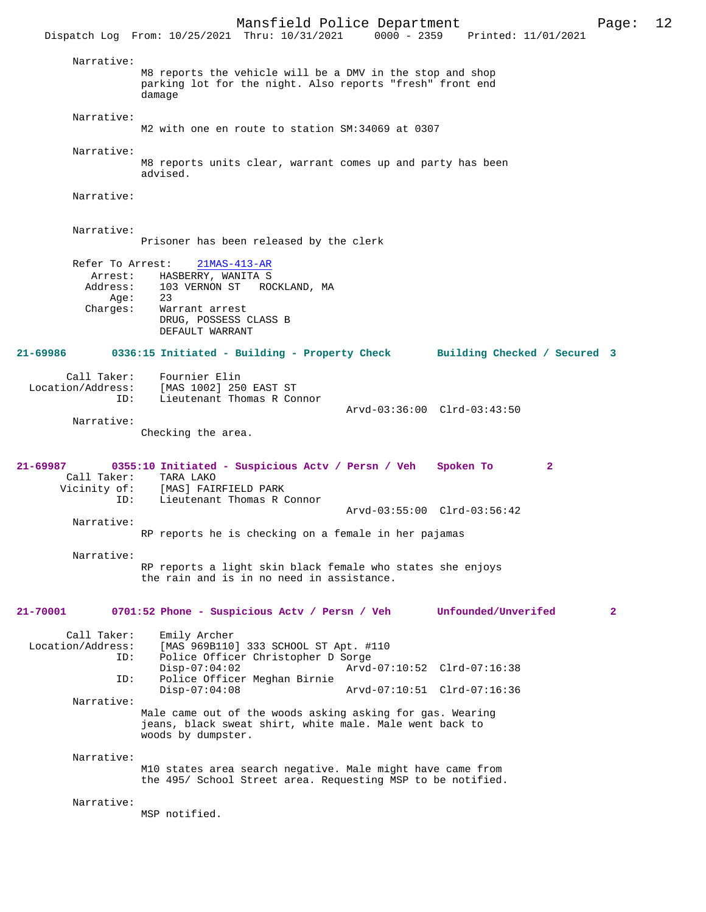Mansfield Police Department Page: 12 Dispatch Log From: 10/25/2021 Thru: 10/31/2021 Narrative: M8 reports the vehicle will be a DMV in the stop and shop parking lot for the night. Also reports "fresh" front end damage Narrative: M2 with one en route to station SM:34069 at 0307 Narrative: M8 reports units clear, warrant comes up and party has been advised. Narrative: Narrative: Prisoner has been released by the clerk Refer To Arrest: 21MAS-413-AR Arrest: HASBERRY, WANITA S<br>Address: 103 VERNON ST RO 103 VERNON ST ROCKLAND, MA<br>23  $Age:$  Charges: Warrant arrest DRUG, POSSESS CLASS B DEFAULT WARRANT **21-69986 0336:15 Initiated - Building - Property Check Building Checked / Secured 3** Call Taker: Fournier Elin<br>Location/Address: [MAS 1002] 250 ess: [MAS 1002] 250 EAST ST<br>ID: Lieutenant Thomas R Cor Lieutenant Thomas R Connor Arvd-03:36:00 Clrd-03:43:50 Narrative: Checking the area. **21-69987 0355:10 Initiated - Suspicious Actv / Persn / Veh Spoken To 2**  Call Taker: TARA LAKO<br>Vicinity of: [MAS] FAI of: [MAS] FAIRFIELD PARK<br>ID: Lieutenant Thomas R ( Lieutenant Thomas R Connor Arvd-03:55:00 Clrd-03:56:42 Narrative: RP reports he is checking on a female in her pajamas Narrative: RP reports a light skin black female who states she enjoys the rain and is in no need in assistance. **21-70001 0701:52 Phone - Suspicious Actv / Persn / Veh Unfounded/Unverifed 2** Call Taker: Emily Archer Location/Address: [MAS 969B110] 333 SCHOOL ST Apt. #110<br>ID: Police Officer Christopher D Sorge Police Officer Christopher D Sorge<br>Disp-07:04:02 Arvd Disp-07:04:02 Arvd-07:10:52 Clrd-07:16:38<br>TD: Police Officer Meghan Birnie Police Officer Meghan Birnie<br>Disp-07:04:08 Disp-07:04:08 Arvd-07:10:51 Clrd-07:16:36 Narrative: Male came out of the woods asking asking for gas. Wearing jeans, black sweat shirt, white male. Male went back to woods by dumpster. Narrative: M10 states area search negative. Male might have came from the 495/ School Street area. Requesting MSP to be notified. Narrative: MSP notified.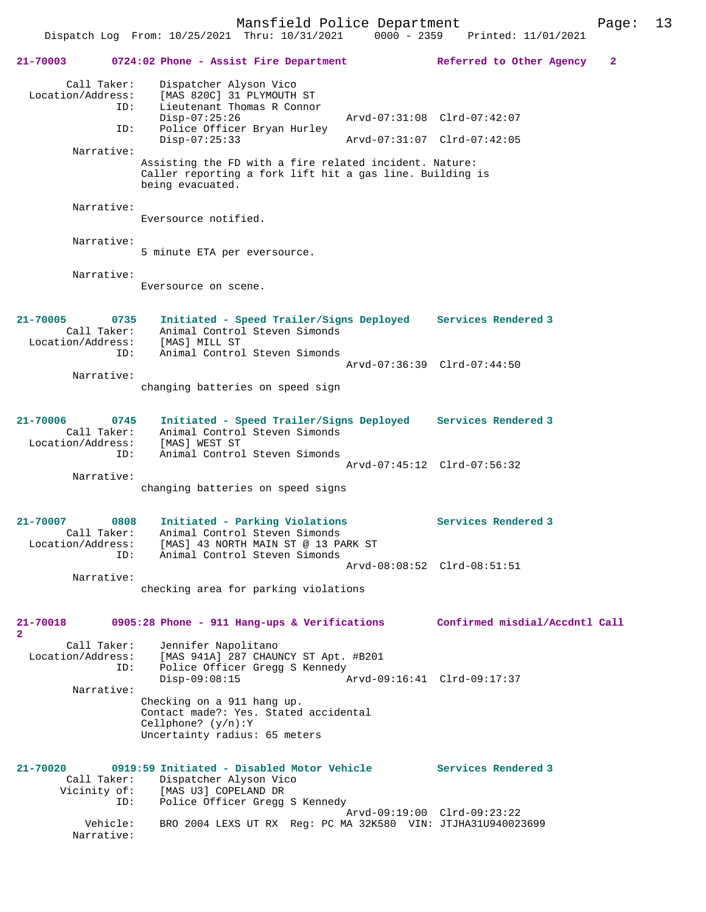Dispatch Log From: 10/25/2021 Thru: 10/31/2021 0000 - 2359

**21-70003 0724:02 Phone - Assist Fire Department Referred to Other Agency 2** Call Taker: Dispatcher Alyson Vico Location/Address: [MAS 820C] 31 PLYMOUTH ST ID: Lieutenant Thomas R Connor Disp-07:25:26 Arvd-07:31:08 Clrd-07:42:07<br>ID: Police Officer Bryan Hurley Police Officer Bryan Hurley<br>Disp-07:25:33 Disp-07:25:33 Arvd-07:31:07 Clrd-07:42:05 Narrative: Assisting the FD with a fire related incident. Nature: Caller reporting a fork lift hit a gas line. Building is being evacuated. Narrative: Eversource notified. Narrative: 5 minute ETA per eversource. Narrative: Eversource on scene. **21-70005 0735 Initiated - Speed Trailer/Signs Deployed Services Rendered 3**  Call Taker: Animal Control Steven Simonds Location/Address: [MAS] MILL ST ID: Animal Control Steven Simonds Arvd-07:36:39 Clrd-07:44:50 Narrative: changing batteries on speed sign **21-70006 0745 Initiated - Speed Trailer/Signs Deployed Services Rendered 3**  Call Taker: Animal Control Steven Simonds Location/Address: [MAS] WEST ST ID: Animal Control Steven Simonds Arvd-07:45:12 Clrd-07:56:32 Narrative: changing batteries on speed signs **21-70007 0808 Initiated - Parking Violations Services Rendered 3**  Call Taker: Animal Control Steven Simonds Location/Address: [MAS] 43 NORTH MAIN ST @ 13 PARK ST ID: Animal Control Steven Simonds Arvd-08:08:52 Clrd-08:51:51 Narrative: checking area for parking violations **21-70018 0905:28 Phone - 911 Hang-ups & Verifications Confirmed misdial/Accdntl Call 2**  Call Taker: Jennifer Napolitano<br>Location/Address: [MAS 941A] 287 CHAUD [MAS 941A] 287 CHAUNCY ST Apt. #B201 ID: Police Officer Gregg S Kennedy<br>Disp-09:08:15 Disp-09:08:15 Arvd-09:16:41 Clrd-09:17:37 Narrative: Checking on a 911 hang up. Contact made?: Yes. Stated accidental Cellphone? (y/n):Y Uncertainty radius: 65 meters **21-70020 0919:59 Initiated - Disabled Motor Vehicle Services Rendered 3**  Call Taker: Dispatcher Alyson Vico<br>Vicinity of: [MAS U3] COPELAND DR of: [MAS U3] COPELAND DR<br>ID: Police Officer Gread Police Officer Gregg S Kennedy Arvd-09:19:00 Clrd-09:23:22 BRO 2004 LEXS UT RX Reg: PC MA 32K580 VIN: JTJHA31U940023699 Narrative: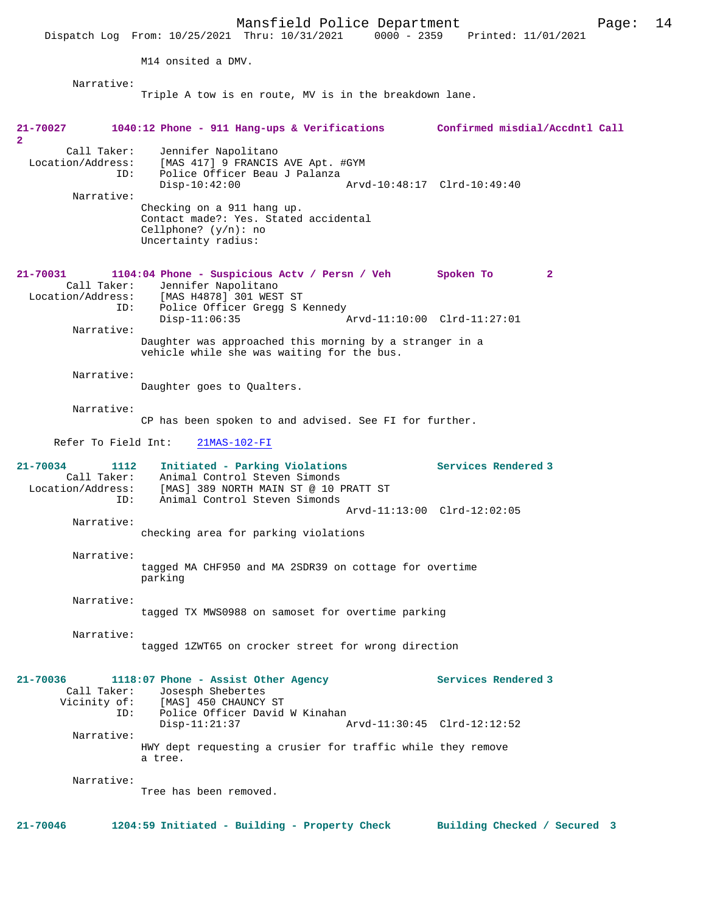Mansfield Police Department Page: 14 Dispatch Log From: 10/25/2021 Thru: 10/31/2021 0000 - 2359 M14 onsited a DMV. Narrative: Triple A tow is en route, MV is in the breakdown lane. **21-70027 1040:12 Phone - 911 Hang-ups & Verifications Confirmed misdial/Accdntl Call 2**  Call Taker: Jennifer Napolitano<br>Location/Address: [MAS 417] 9 FRANCIS ---<br>ess: [MAS 417] 9 FRANCIS AVE Apt. #GYM<br> ID: Police Officer Beau J Palanza Police Officer Beau J Palanza<br>Disp-10:42:00 Disp-10:42:00 Arvd-10:48:17 Clrd-10:49:40 Narrative: Checking on a 911 hang up. Contact made?: Yes. Stated accidental Cellphone? (y/n): no Uncertainty radius: **21-70031 1104:04 Phone - Suspicious Actv / Persn / Veh Spoken To 2**  Call Taker: Jennifer Napolitano Location/Address: [MAS H4878] 301 WEST ST Police Officer Gregg S Kennedy<br>Disp-11:06:35 Arvd-11:10:00 Clrd-11:27:01 Narrative: Daughter was approached this morning by a stranger in a vehicle while she was waiting for the bus. Narrative: Daughter goes to Qualters. Narrative: CP has been spoken to and advised. See FI for further. Refer To Field Int: 21MAS-102-FI **21-70034 1112 Initiated - Parking Violations Services Rendered 3**  Animal Control Steven Simonds Location/Address: [MAS] 389 NORTH MAIN ST @ 10 PRATT ST Animal Control Steven Simonds Arvd-11:13:00 Clrd-12:02:05 Narrative: checking area for parking violations Narrative: tagged MA CHF950 and MA 2SDR39 on cottage for overtime parking Narrative: tagged TX MWS0988 on samoset for overtime parking Narrative: tagged 1ZWT65 on crocker street for wrong direction **21-70036 1118:07 Phone - Assist Other Agency Services Rendered 3**  Call Taker: Josesph Shebertes<br>Vicinity of: [MAS] 450 CHAUNCY [MAS] 450 CHAUNCY ST ID: Police Officer David W Kinahan<br>Disp-11:21:37 Disp-11:21:37 Arvd-11:30:45 Clrd-12:12:52 Narrative: HWY dept requesting a crusier for traffic while they remove a tree. Narrative: Tree has been removed. **21-70046 1204:59 Initiated - Building - Property Check Building Checked / Secured 3**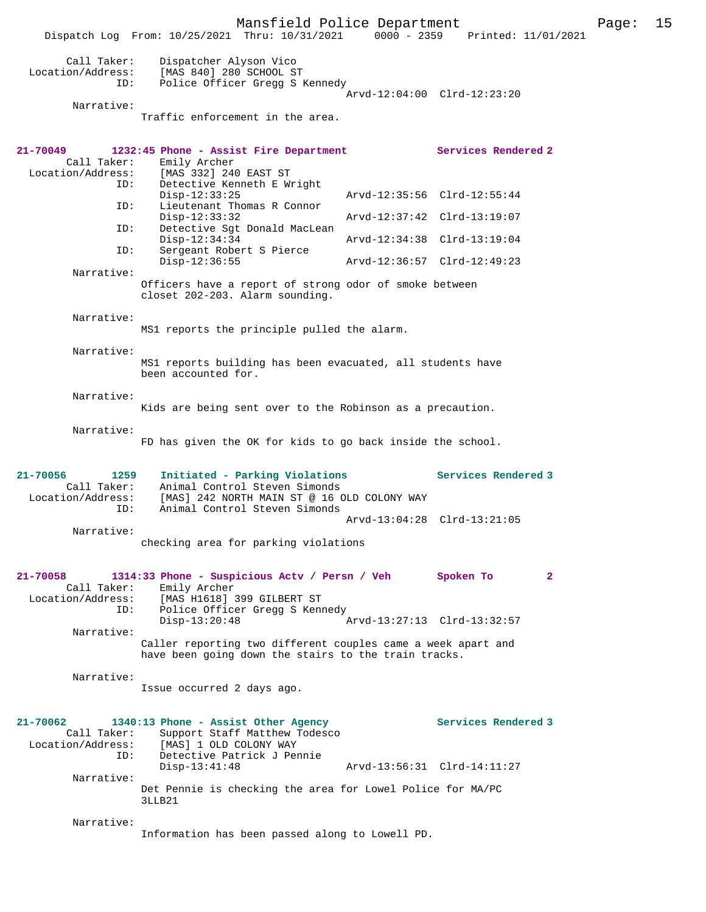Mansfield Police Department Page: 15 Dispatch Log From: 10/25/2021 Thru: 10/31/2021 0000 - 2359 Printed: 11/01/2021 Call Taker: Dispatcher Alyson Vico Location/Address: [MAS 840] 280 SCHOOL ST ID: Police Officer Gregg S Kennedy Arvd-12:04:00 Clrd-12:23:20 Narrative: Traffic enforcement in the area. **21-70049 1232:45 Phone - Assist Fire Department Services Rendered 2**  Call Taker: Emily Archer<br>Location/Address: [MAS 332] 240 ess: [MAS 332] 240 EAST ST<br>ID: Detective Kenneth E Wr Detective Kenneth E Wright<br>Disp-12:33:25 Disp-12:33:25 Arvd-12:35:56 Clrd-12:55:44<br>ID: Lieutenant Thomas R Connor Lieutenant Thomas R Connor Disp-12:33:32 Arvd-12:37:42 Clrd-13:19:07 ID: Detective Sgt Donald MacLean Disp-12:34:34 Arvd-12:34:38 Clrd-13:19:04<br>ID: Sergeant Robert S Pierce Sergeant Robert S Pierce<br>Disp-12:36:55 Disp-12:36:55 Arvd-12:36:57 Clrd-12:49:23 Narrative: Officers have a report of strong odor of smoke between closet 202-203. Alarm sounding. Narrative: MS1 reports the principle pulled the alarm. Narrative: MS1 reports building has been evacuated, all students have been accounted for. Narrative: Kids are being sent over to the Robinson as a precaution. Narrative: FD has given the OK for kids to go back inside the school. **21-70056 1259 Initiated - Parking Violations Services Rendered 3**  Call Taker: Animal Control Steven Simonds<br>ion (idducts) [Micl 242 NORWI MILL OF 2.16.6 Location/Address: [MAS] 242 NORTH MAIN ST @ 16 OLD COLONY WAY ID: Animal Control Steven Simonds Arvd-13:04:28 Clrd-13:21:05 Narrative: checking area for parking violations **21-70058 1314:33 Phone - Suspicious Actv / Persn / Veh Spoken To 2**  Call Taker: Emily Archer Location/Address: [MAS H1618] 399 GILBERT ST ID: Police Officer Gregg S Kennedy Disp-13:20:48 Arvd-13:27:13 Clrd-13:32:57 Narrative: Caller reporting two different couples came a week apart and have been going down the stairs to the train tracks. Narrative: Issue occurred 2 days ago. **21-70062 1340:13 Phone - Assist Other Agency Services Rendered 3**  Call Taker: Support Staff Matthew Todesco Location/Address: [MAS] 1 OLD COLONY WAY ID: Detective Patrick J Pennie Disp-13:41:48 Arvd-13:56:31 Clrd-14:11:27 Narrative: Det Pennie is checking the area for Lowel Police for MA/PC 3LLB21 Narrative: Information has been passed along to Lowell PD.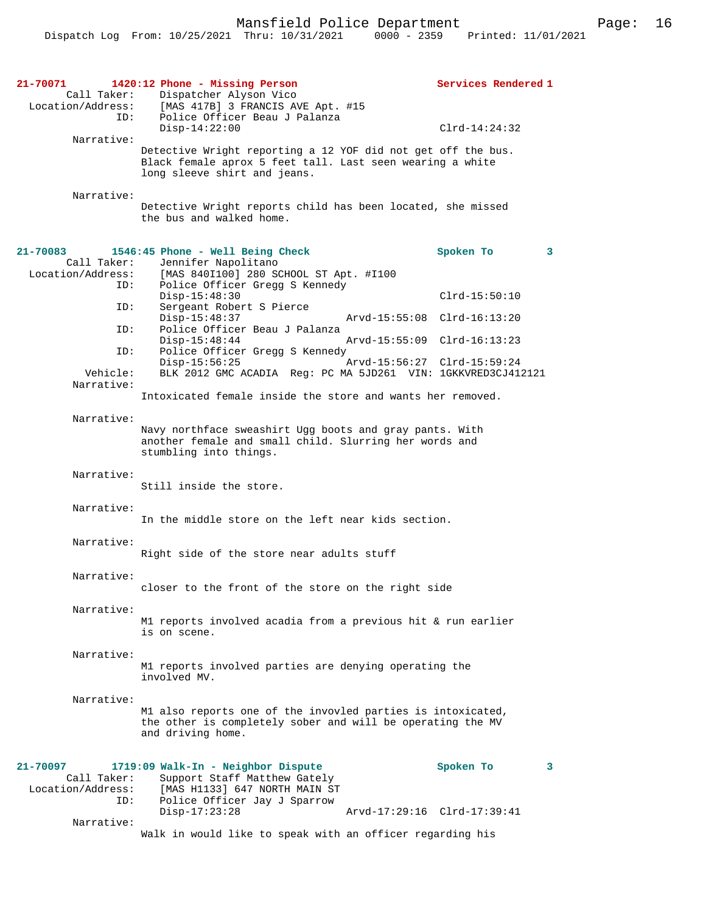| 21-70071<br>Call Taker:<br>Location/Address:<br>ID: | 1420:12 Phone - Missing Person<br>Dispatcher Alyson Vico<br>[MAS 417B] 3 FRANCIS AVE Apt. #15<br>Police Officer Beau J Palanza                            | Services Rendered 1                            |
|-----------------------------------------------------|-----------------------------------------------------------------------------------------------------------------------------------------------------------|------------------------------------------------|
| Narrative:                                          | $Disp-14:22:00$                                                                                                                                           | $Clrd-14:24:32$                                |
|                                                     | Detective Wright reporting a 12 YOF did not get off the bus.<br>Black female aprox 5 feet tall. Last seen wearing a white<br>long sleeve shirt and jeans. |                                                |
| Narrative:                                          | Detective Wright reports child has been located, she missed<br>the bus and walked home.                                                                   |                                                |
| 21-70083                                            | 1546:45 Phone - Well Being Check                                                                                                                          | Spoken To<br>3                                 |
| Call Taker:<br>Location/Address:<br>ID:             | Jennifer Napolitano<br>[MAS 840I100] 280 SCHOOL ST Apt. #I100<br>Police Officer Gregg S Kennedy                                                           |                                                |
| ID:                                                 | $Disp-15:48:30$<br>Sergeant Robert S Pierce<br>$Disp-15:48:37$                                                                                            | $Clrd-15:50:10$<br>Arvd-15:55:08 Clrd-16:13:20 |
| ID:                                                 | Police Officer Beau J Palanza<br>$Disp-15:48:44$                                                                                                          | Arvd-15:55:09 Clrd-16:13:23                    |
| ID:                                                 | Police Officer Gregg S Kennedy<br>$Disp-15:56:25$                                                                                                         | Arvd-15:56:27 Clrd-15:59:24                    |
| Vehicle:<br>Narrative:                              | BLK 2012 GMC ACADIA Reg: PC MA 5JD261 VIN: 1GKKVRED3CJ412121                                                                                              |                                                |
|                                                     | Intoxicated female inside the store and wants her removed.                                                                                                |                                                |
| Narrative:                                          | Navy northface sweashirt Ugg boots and gray pants. With<br>another female and small child. Slurring her words and<br>stumbling into things.               |                                                |
| Narrative:                                          | Still inside the store.                                                                                                                                   |                                                |
| Narrative:                                          | In the middle store on the left near kids section.                                                                                                        |                                                |
| Narrative:                                          | Right side of the store near adults stuff                                                                                                                 |                                                |
| Narrative:                                          | closer to the front of the store on the right side                                                                                                        |                                                |
| Narrative:                                          | M1 reports involved acadia from a previous hit & run earlier<br>is on scene.                                                                              |                                                |
| Narrative:                                          | M1 reports involved parties are denying operating the<br>involved MV.                                                                                     |                                                |
| Narrative:                                          | M1 also reports one of the invovled parties is intoxicated,<br>the other is completely sober and will be operating the MV<br>and driving home.            |                                                |
| 21-70097<br>Call Taker:<br>Location/Address:<br>ID: | 1719:09 Walk-In - Neighbor Dispute<br>Support Staff Matthew Gately<br>[MAS H1133] 647 NORTH MAIN ST<br>Police Officer Jay J Sparrow<br>$Disp-17:23:28$    | Spoken To<br>3<br>Arvd-17:29:16 Clrd-17:39:41  |
| Narrative:                                          | Walk in would like to speak with an officer regarding his                                                                                                 |                                                |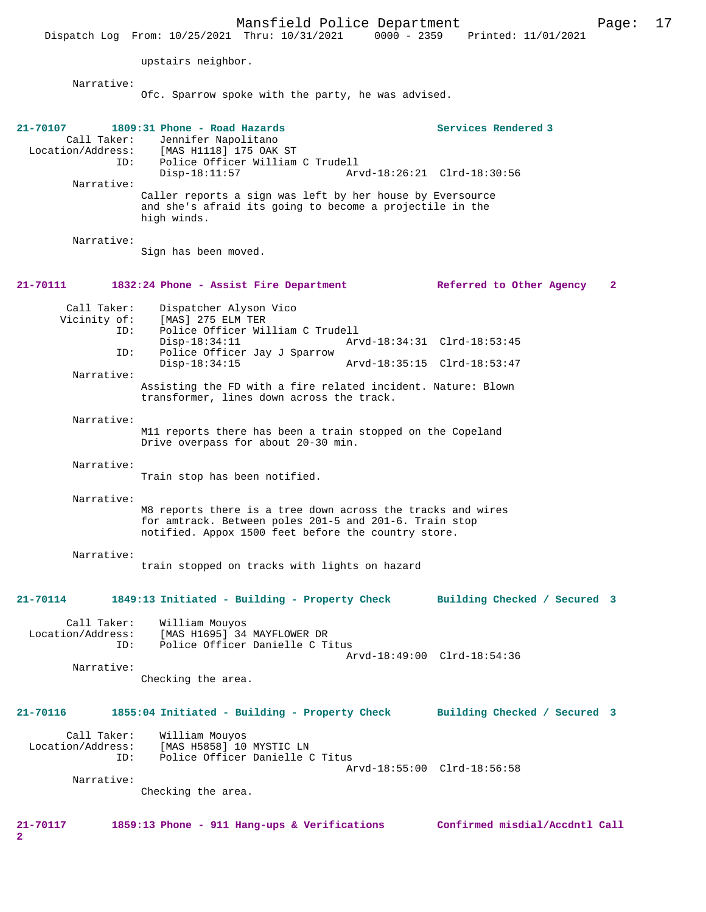Mansfield Police Department Page: 17 Dispatch Log From: 10/25/2021 Thru: 10/31/2021 upstairs neighbor. Narrative: Ofc. Sparrow spoke with the party, he was advised. **21-70107 1809:31 Phone - Road Hazards Services Rendered 3**  Call Taker: Jennifer Napolitano<br>Location/Address: [MAS H1118] 175 OAK [MAS H1118] 175 OAK ST ID: Police Officer William C Trudell Arvd-18:26:21 Clrd-18:30:56 Narrative: Caller reports a sign was left by her house by Eversource and she's afraid its going to become a projectile in the high winds. Narrative: Sign has been moved. **21-70111 1832:24 Phone - Assist Fire Department Referred to Other Agency 2** Call Taker: Dispatcher Alyson Vico<br>Vicinity of: [MAS] 275 ELM TER of: [MAS] 275 ELM TER<br>ID: Police Officer Wil Police Officer William C Trudell Disp-18:34:11 Arvd-18:34:31 Clrd-18:53:45<br>TD: Police Officer Jav J Sparrow Police Officer Jay J Sparrow Disp-18:34:15 Arvd-18:35:15 Clrd-18:53:47 Narrative: Assisting the FD with a fire related incident. Nature: Blown transformer, lines down across the track. Narrative: M11 reports there has been a train stopped on the Copeland Drive overpass for about 20-30 min. Narrative: Train stop has been notified. Narrative: M8 reports there is a tree down across the tracks and wires for amtrack. Between poles 201-5 and 201-6. Train stop notified. Appox 1500 feet before the country store. Narrative: train stopped on tracks with lights on hazard **21-70114 1849:13 Initiated - Building - Property Check Building Checked / Secured 3** Call Taker: William Mouyos<br>Location/Address: [MAS H1695] 34 ess: [MAS H1695] 34 MAYFLOWER DR<br>ID: Police Officer Danielle C T Police Officer Danielle C Titus Arvd-18:49:00 Clrd-18:54:36 Narrative: Checking the area. **21-70116 1855:04 Initiated - Building - Property Check Building Checked / Secured 3** Call Taker: William Mouyos<br>Location/Address: [MAS H5858] 10 ess: [MAS H5858] 10 MYSTIC LN<br>ID: Police Officer Danielle ( Police Officer Danielle C Titus Arvd-18:55:00 Clrd-18:56:58 Narrative: Checking the area.

**21-70117 1859:13 Phone - 911 Hang-ups & Verifications Confirmed misdial/Accdntl Call**

**2**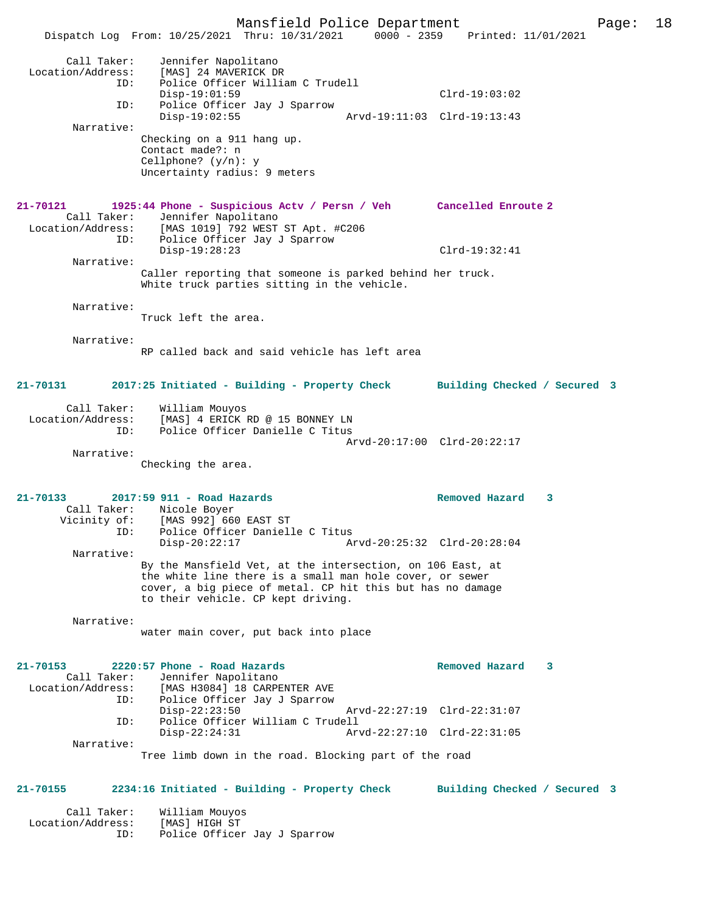Mansfield Police Department Page: 18 Dispatch Log From: 10/25/2021 Thru: 10/31/2021 Call Taker: Jennifer Napolitano Location/Address: [MAS] 24 MAVERICK DR<br>ID: Police Officer Willi .<br>Police Officer William C Trudell Disp-19:01:59 Clrd-19:03:02 ID: Police Officer Jay J Sparrow Disp-19:02:55 Arvd-19:11:03 Clrd-19:13:43 Narrative: Checking on a 911 hang up. Contact made?: n Cellphone? (y/n): y Uncertainty radius: 9 meters **21-70121 1925:44 Phone - Suspicious Actv / Persn / Veh Cancelled Enroute 2**  Call Taker: Jennifer Napolitano<br>Location/Address: [MAS 1019] 792 WEST ess: [MAS 1019] 792 WEST ST Apt. #C206<br>ID: Police Officer Jay J Sparrow Police Officer Jay J Sparrow Disp-19:28:23 Clrd-19:32:41 Narrative: Caller reporting that someone is parked behind her truck. White truck parties sitting in the vehicle. Narrative: Truck left the area. Narrative: RP called back and said vehicle has left area **21-70131 2017:25 Initiated - Building - Property Check Building Checked / Secured 3** Call Taker: William Mouyos<br>Location/Address: [MAS] 4 ERICK I لاحد المستحدة المستحدة<br>Exs: [MAS] 4 ERICK RD @ 15 BONNEY LN<br>LD: Police Officer Danielle C Titus Police Officer Danielle C Titus Arvd-20:17:00 Clrd-20:22:17 Narrative: Checking the area. **21-70133 2017:59 911 - Road Hazards Removed Hazard 3**  Call Taker: Nicole Boyer<br>Vicinity of: [MAS 992] 660 [MAS 992] 660 EAST ST ID: Police Officer Danielle C Titus Disp-20:22:17 Arvd-20:25:32 Clrd-20:28:04 Narrative: By the Mansfield Vet, at the intersection, on 106 East, at the white line there is a small man hole cover, or sewer cover, a big piece of metal. CP hit this but has no damage to their vehicle. CP kept driving. Narrative: water main cover, put back into place **21-70153 2220:57 Phone - Road Hazards Removed Hazard 3**  Call Taker: Jennifer Napolitano<br>Location/Address: [MAS H3084] 18 CARPE ess: [MAS H3084] 18 CARPENTER AVE<br>ID: Police Officer Jay J Sparrow Police Officer Jay J Sparrow<br>Disp-22:23:50 Disp-22:23:50 Arvd-22:27:19 Clrd-22:31:07 ID: Police Officer William C Trudell Disp-22:24:31 Arvd-22:27:10 Clrd-22:31:05 Narrative: Tree limb down in the road. Blocking part of the road **21-70155 2234:16 Initiated - Building - Property Check Building Checked / Secured 3** Call Taker: William Mouyos Location/Address: [MAS] HIGH ST

Police Officer Jay J Sparrow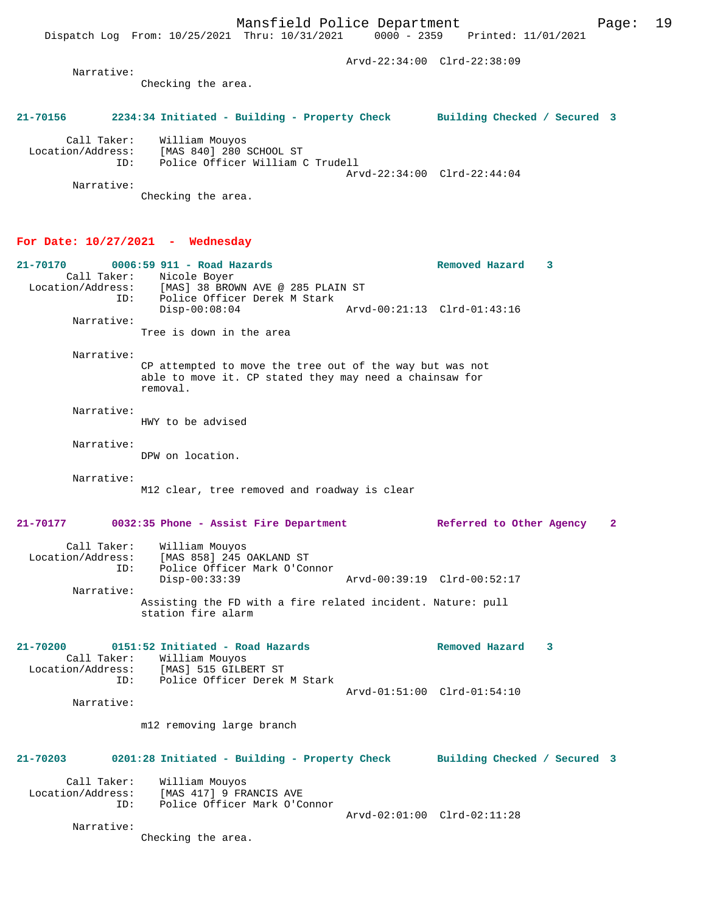Arvd-22:34:00 Clrd-22:38:09 Narrative: Checking the area. **21-70156 2234:34 Initiated - Building - Property Check Building Checked / Secured 3** Call Taker: William Mouyos Location/Address: [MAS 840] 280 SCHOOL ST ID: Police Officer William C Trudell Arvd-22:34:00 Clrd-22:44:04 Narrative: Checking the area. **For Date: 10/27/2021 - Wednesday 21-70170 0006:59 911 - Road Hazards Removed Hazard 3**  Call Taker: Nicole Boyer Location/Address: [MAS] 38 BROWN AVE @ 285 PLAIN ST<br>ID: Police Officer Derek M Stark Police Officer Derek M Stark<br>Disp-00:08:04 Disp-00:08:04 Arvd-00:21:13 Clrd-01:43:16 Narrative: Tree is down in the area Narrative: CP attempted to move the tree out of the way but was not able to move it. CP stated they may need a chainsaw for removal. Narrative: HWY to be advised Narrative: DPW on location. Narrative: M12 clear, tree removed and roadway is clear **21-70177 0032:35 Phone - Assist Fire Department Referred to Other Agency 2** Call Taker: William Mouyos Location/Address: [MAS 858] 245 OAKLAND ST ID: Police Officer Mark O'Connor<br>Disp-00:33:39 Disp-00:33:39 Arvd-00:39:19 Clrd-00:52:17 Narrative: Assisting the FD with a fire related incident. Nature: pull station fire alarm **21-70200 0151:52 Initiated - Road Hazards Removed Hazard 3**  Call Taker: William Mouyos<br>Location/Address: [MAS] 515 GILB Location/Address: [MAS] 515 GILBERT ST ID: Police Officer Derek M Stark Arvd-01:51:00 Clrd-01:54:10 Narrative: m12 removing large branch **21-70203 0201:28 Initiated - Building - Property Check Building Checked / Secured 3** Call Taker: William Mouyos<br>Location/Address: [MAS 417] 9 FR ess: [MAS 417] 9 FRANCIS AVE<br>ID: Police Officer Mark O'C Police Officer Mark O'Connor Arvd-02:01:00 Clrd-02:11:28 Narrative: Checking the area.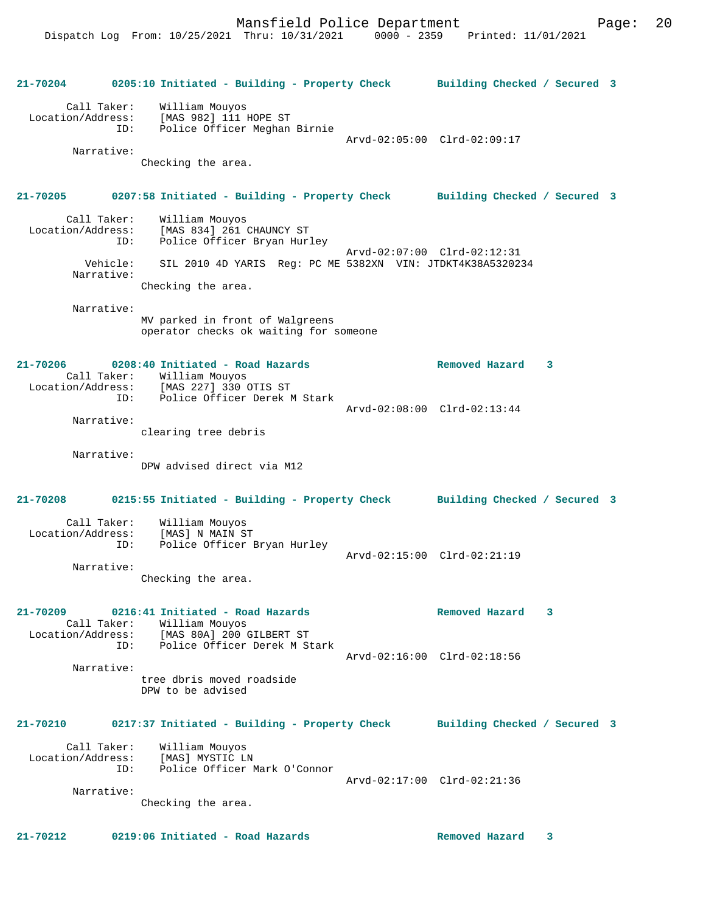Mansfield Police Department Form Page: 20

 Location/Address: [MAS 982] 111 HOPE ST ID: Police Officer Meghan Birnie Arvd-02:05:00 Clrd-02:09:17 Narrative:

Checking the area.

### **21-70205 0207:58 Initiated - Building - Property Check Building Checked / Secured 3**

| Call Taker:       | William Mouyos                                             |
|-------------------|------------------------------------------------------------|
| Location/Address: | [MAS 834] 261 CHAUNCY ST                                   |
| ID:               | Police Officer Bryan Hurley                                |
| Vehicle:          | Arvd-02:07:00 Clrd-02:12:31                                |
| Narrative:        | SIL 2010 4D YARIS Reg: PC ME 5382XN VIN: JTDKT4K38A5320234 |
|                   | Checking the area.                                         |

Narrative:

MV parked in front of Walgreens operator checks ok waiting for someone

#### **21-70206 0208:40 Initiated - Road Hazards Removed Hazard 3**  Call Taker: William Mouyos Location/Address: [MAS 227] 330 OTIS ST ID: Police Officer Derek M Stark Arvd-02:08:00 Clrd-02:13:44 Narrative:

clearing tree debris

Narrative:

DPW advised direct via M12

## **21-70208 0215:55 Initiated - Building - Property Check Building Checked / Secured 3**

| Call Taker:<br>Location/Address:<br>ID: | William Mouyos<br>[MAS] N MAIN ST<br>Police Officer Bryan Hurley | Arvd-02:15:00 Clrd-02:21:19 |  |
|-----------------------------------------|------------------------------------------------------------------|-----------------------------|--|
| Narrative:                              |                                                                  |                             |  |

Checking the area.

#### **21-70209 0216:41 Initiated - Road Hazards Removed Hazard 3**  Call Taker: William Mouyos Location/Address: [MAS 80A] 200 GILBERT ST

 ID: Police Officer Derek M Stark Arvd-02:16:00 Clrd-02:18:56 Narrative: tree dbris moved roadside DPW to be advised

## **21-70210 0217:37 Initiated - Building - Property Check Building Checked / Secured 3**

 Call Taker: William Mouyos Location/Address: [MAS] MYSTIC LN ID: Police Officer Mark O'Connor Arvd-02:17:00 Clrd-02:21:36 Narrative:

Checking the area.

**21-70212 0219:06 Initiated - Road Hazards Removed Hazard 3**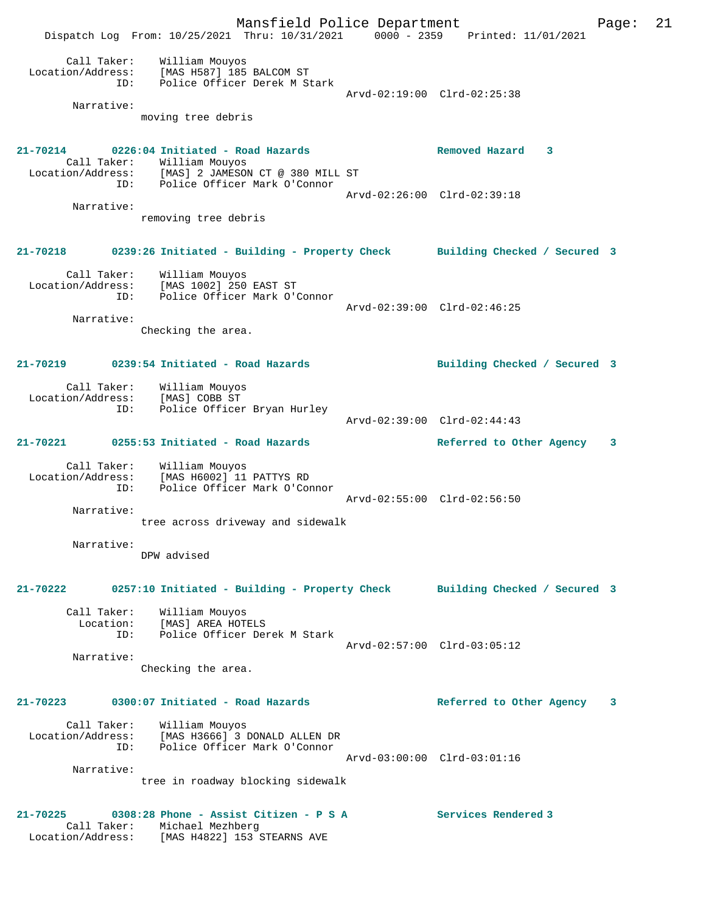Mansfield Police Department Page: 21 Dispatch Log From: 10/25/2021 Thru: 10/31/2021 0000 - 2359 Printed: 11/01/2021 Call Taker: William Mouyos Location/Address: [MAS H587] 185 BALCOM ST ID: Police Officer Derek M Stark Arvd-02:19:00 Clrd-02:25:38 Narrative: moving tree debris **21-70214 0226:04 Initiated - Road Hazards Removed Hazard 3**  Call Taker: William Mouyos Location/Address: [MAS] 2 JAMESON CT @ 380 MILL ST ID: Police Officer Mark O'Connor Arvd-02:26:00 Clrd-02:39:18 Narrative: removing tree debris **21-70218 0239:26 Initiated - Building - Property Check Building Checked / Secured 3** Call Taker: William Mouyos Location/Address: [MAS 1002] 250 EAST ST ID: Police Officer Mark O'Connor Arvd-02:39:00 Clrd-02:46:25 Narrative: Checking the area. **21-70219 0239:54 Initiated - Road Hazards Building Checked / Secured 3** Call Taker: William Mouyos Location/Address: [MAS] COBB ST ID: Police Officer Bryan Hurley Arvd-02:39:00 Clrd-02:44:43 **21-70221 0255:53 Initiated - Road Hazards Referred to Other Agency 3** Call Taker: William Mouyos Location/Address: [MAS H6002] 11 PATTYS RD ID: Police Officer Mark O'Connor Arvd-02:55:00 Clrd-02:56:50 Narrative: tree across driveway and sidewalk Narrative: DPW advised **21-70222 0257:10 Initiated - Building - Property Check Building Checked / Secured 3** Call Taker: William Mouyos Location: [MAS] AREA HOTELS ID: Police Officer Derek M Stark Arvd-02:57:00 Clrd-03:05:12 Narrative: Checking the area. **21-70223 0300:07 Initiated - Road Hazards Referred to Other Agency 3** Call Taker: William Mouyos Location/Address: [MAS H3666] 3 DONALD ALLEN DR ID: Police Officer Mark O'Connor Arvd-03:00:00 Clrd-03:01:16 Narrative: tree in roadway blocking sidewalk **21-70225 0308:28 Phone - Assist Citizen - P S A Services Rendered 3**  Call Taker: Michael Mezhberg Location/Address: [MAS H4822] 153 STEARNS AVE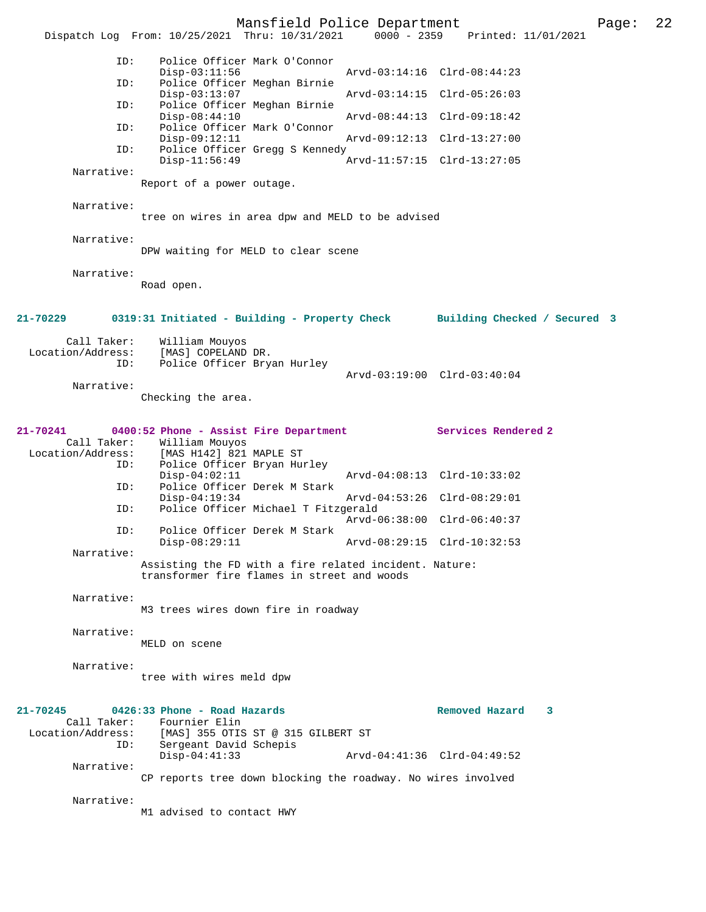Mansfield Police Department Page: 22 Dispatch Log From: 10/25/2021 Thru: 10/31/2021 ID: Police Officer Mark O'Connor Disp-03:11:56 Arvd-03:14:16 Clrd-08:44:23<br>TD: Police Officer Meghan Birnie Police Officer Meghan Birnie<br>Disp-03:13:07 Disp-03:13:07 Arvd-03:14:15 Clrd-05:26:03<br>TD: Police Officer Meghan Birnie Police Officer Meghan Birnie<br>Disp-08:44:10 Disp-08:44:10 Arvd-08:44:13 Clrd-09:18:42 ID: Police Officer Mark O'Connor Disp-09:12:11 Arvd-09:12:13 Clrd-13:27:00<br>ID: Police Officer Gregg S Kennedy Police Officer Gregg S Kennedy Disp-11:56:49 Arvd-11:57:15 Clrd-13:27:05 Narrative: Report of a power outage. Narrative: tree on wires in area dpw and MELD to be advised Narrative: DPW waiting for MELD to clear scene Narrative: Road open. **21-70229 0319:31 Initiated - Building - Property Check Building Checked / Secured 3** Call Taker: William Mouyos<br>Location/Address: [MAS] COPELAND [MAS] COPELAND DR. ID: Police Officer Bryan Hurley Arvd-03:19:00 Clrd-03:40:04 Narrative: Checking the area. **21-70241 0400:52 Phone - Assist Fire Department Services Rendered 2**  Call Taker: William Mouyos<br>Location/Address: [MAS H142] 821 [MAS H142] 821 MAPLE ST ID: Police Officer Bryan Hurley Disp-04:02:11 Arvd-04:08:13 Clrd-10:33:02 ID: Police Officer Derek M Stark Disp-04:19:34 Arvd-04:53:26 Clrd-08:29:01 ID: Police Officer Michael T Fitzgerald Arvd-06:38:00 Clrd-06:40:37<br>ID: Police Officer Derek M Stark Police Officer Derek M Stark Disp-08:29:11 Arvd-08:29:15 Clrd-10:32:53 Narrative: Assisting the FD with a fire related incident. Nature: transformer fire flames in street and woods Narrative: M3 trees wires down fire in roadway Narrative: MELD on scene Narrative: tree with wires meld dpw **21-70245 0426:33 Phone - Road Hazards Removed Hazard 3**  Call Taker: Fournier Elin<br>Location/Address: [MAS] 355 OTIS [MAS] 355 OTIS ST @ 315 GILBERT ST ID: Sergeant David Schepis Arvd-04:41:36 Clrd-04:49:52 Narrative: CP reports tree down blocking the roadway. No wires involved Narrative: M1 advised to contact HWY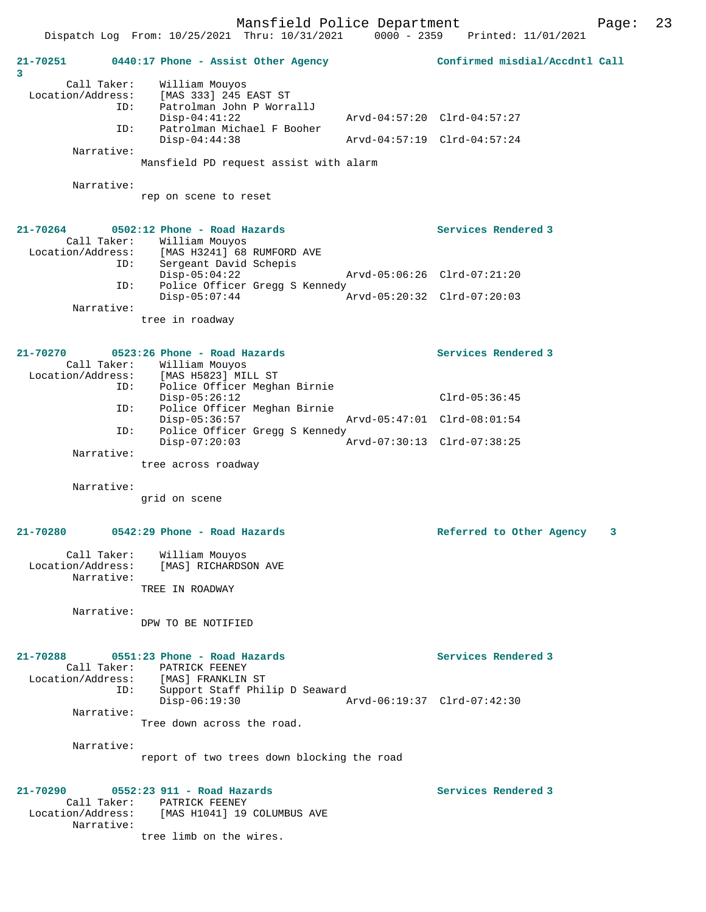|                   | Dispatch Log From: 10/25/2021 Thru: 10/31/2021 | $0000 - 2359$ | Printed: 11/01/2021            |   |
|-------------------|------------------------------------------------|---------------|--------------------------------|---|
| 21-70251<br>3     | 0440:17 Phone - Assist Other Agency            |               | Confirmed misdial/Accdntl Call |   |
| Call Taker:       | William Mouyos                                 |               |                                |   |
| Location/Address: | [MAS 333] 245 EAST ST                          |               |                                |   |
| ID:               | Patrolman John P WorrallJ                      |               |                                |   |
|                   | $Disp-04:41:22$                                |               | Arvd-04:57:20 Clrd-04:57:27    |   |
| ID:               | Patrolman Michael F Booher                     |               |                                |   |
| Narrative:        | $Disp-04:44:38$                                |               | Arvd-04:57:19 Clrd-04:57:24    |   |
|                   | Mansfield PD request assist with alarm         |               |                                |   |
|                   |                                                |               |                                |   |
| Narrative:        |                                                |               |                                |   |
|                   | rep on scene to reset                          |               |                                |   |
|                   |                                                |               |                                |   |
| $21 - 70264$      | 0502:12 Phone - Road Hazards                   |               | Services Rendered 3            |   |
| Call Taker:       | William Mouyos                                 |               |                                |   |
| Location/Address: | [MAS H3241] 68 RUMFORD AVE                     |               |                                |   |
| ID:               | Sergeant David Schepis                         |               |                                |   |
|                   | $Disp-05:04:22$                                |               | Arvd-05:06:26 Clrd-07:21:20    |   |
| ID:               | Police Officer Gregg S Kennedy                 |               |                                |   |
| Narrative:        | $Disp-05:07:44$                                |               | Arvd-05:20:32 Clrd-07:20:03    |   |
|                   |                                                |               |                                |   |
|                   | tree in roadway                                |               |                                |   |
| $21 - 70270$      | 0523:26 Phone - Road Hazards                   |               | Services Rendered 3            |   |
| Call Taker:       | William Mouyos                                 |               |                                |   |
| Location/Address: | [MAS H5823] MILL ST                            |               |                                |   |
| ID:               | Police Officer Meghan Birnie                   |               |                                |   |
|                   | $Disp-05:26:12$                                |               | $Clrd-05:36:45$                |   |
| ID:               | Police Officer Meghan Birnie                   |               |                                |   |
|                   | $Disp-05:36:57$                                |               | Arvd-05:47:01 Clrd-08:01:54    |   |
| ID:               | Police Officer Gregg S Kennedy                 |               |                                |   |
|                   | $Disp-07:20:03$                                |               | Arvd-07:30:13 Clrd-07:38:25    |   |
| Narrative:        | tree across roadway                            |               |                                |   |
|                   |                                                |               |                                |   |
| Narrative:        |                                                |               |                                |   |
|                   | grid on scene                                  |               |                                |   |
| $21 - 70280$      | 0542:29 Phone - Road Hazards                   |               |                                |   |
|                   |                                                |               | Referred to Other Agency       | 3 |
| Call Taker:       | William Mouyos                                 |               |                                |   |
| Location/Address: | [MAS] RICHARDSON AVE                           |               |                                |   |
| Narrative:        |                                                |               |                                |   |
|                   | TREE IN ROADWAY                                |               |                                |   |
| Narrative:        |                                                |               |                                |   |
|                   | DPW TO BE NOTIFIED                             |               |                                |   |
|                   |                                                |               |                                |   |
| 21-70288          | 0551:23 Phone - Road Hazards                   |               | Services Rendered 3            |   |
| Call Taker:       | PATRICK FEENEY                                 |               |                                |   |
|                   | Location/Address: [MAS] FRANKLIN ST            |               |                                |   |
| ID:               | Support Staff Philip D Seaward                 |               |                                |   |
|                   | $Disp-06:19:30$                                |               | Arvd-06:19:37 Clrd-07:42:30    |   |
| Narrative:        |                                                |               |                                |   |
|                   | Tree down across the road.                     |               |                                |   |
| Narrative:        |                                                |               |                                |   |
|                   | report of two trees down blocking the road     |               |                                |   |
|                   |                                                |               |                                |   |
| $21 - 70290$      | 0552:23 911 - Road Hazards                     |               | Services Rendered 3            |   |
|                   | Call Taker: PATRICK FEENEY                     |               |                                |   |
| Narrative:        | Location/Address: [MAS H1041] 19 COLUMBUS AVE  |               |                                |   |

tree limb on the wires.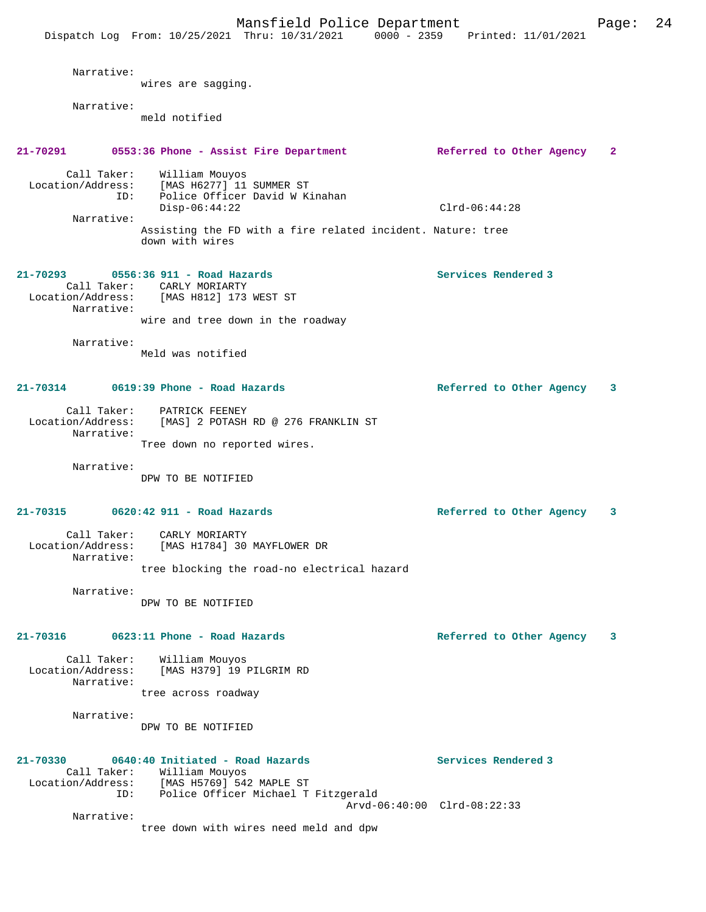Dispatch Log From: 10/25/2021 Thru: 10/31/2021 0000 - 2359 Printed: 11/01/2021 Narrative: wires are sagging. Narrative: meld notified **21-70291 0553:36 Phone - Assist Fire Department Referred to Other Agency 2** Call Taker: William Mouyos Location/Address: [MAS H6277] 11 SUMMER ST ID: Police Officer David W Kinahan Disp-06:44:22 Clrd-06:44:28 Narrative: Assisting the FD with a fire related incident. Nature: tree down with wires **21-70293 0556:36 911 - Road Hazards Services Rendered 3**  Call Taker: CARLY MORIARTY Location/Address: [MAS H812] 173 WEST ST Narrative: wire and tree down in the roadway Narrative: Meld was notified **21-70314 0619:39 Phone - Road Hazards Referred to Other Agency 3** Call Taker: PATRICK FEENEY Location/Address: [MAS] 2 POTASH RD @ 276 FRANKLIN ST Narrative: Tree down no reported wires. Narrative: DPW TO BE NOTIFIED **21-70315 0620:42 911 - Road Hazards Referred to Other Agency 3** Call Taker: CARLY MORIARTY Location/Address: [MAS H1784] 30 MAYFLOWER DR Narrative: tree blocking the road-no electrical hazard Narrative: DPW TO BE NOTIFIED **21-70316 0623:11 Phone - Road Hazards Referred to Other Agency 3** Call Taker: William Mouyos Location/Address: [MAS H379] 19 PILGRIM RD Narrative: tree across roadway Narrative: DPW TO BE NOTIFIED **21-70330 0640:40 Initiated - Road Hazards Services Rendered 3**  Call Taker: William Mouyos Location/Address: [MAS H5769] 542 MAPLE ST ID: Police Officer Michael T Fitzgerald Arvd-06:40:00 Clrd-08:22:33 Narrative: tree down with wires need meld and dpw

Mansfield Police Department Form Page: 24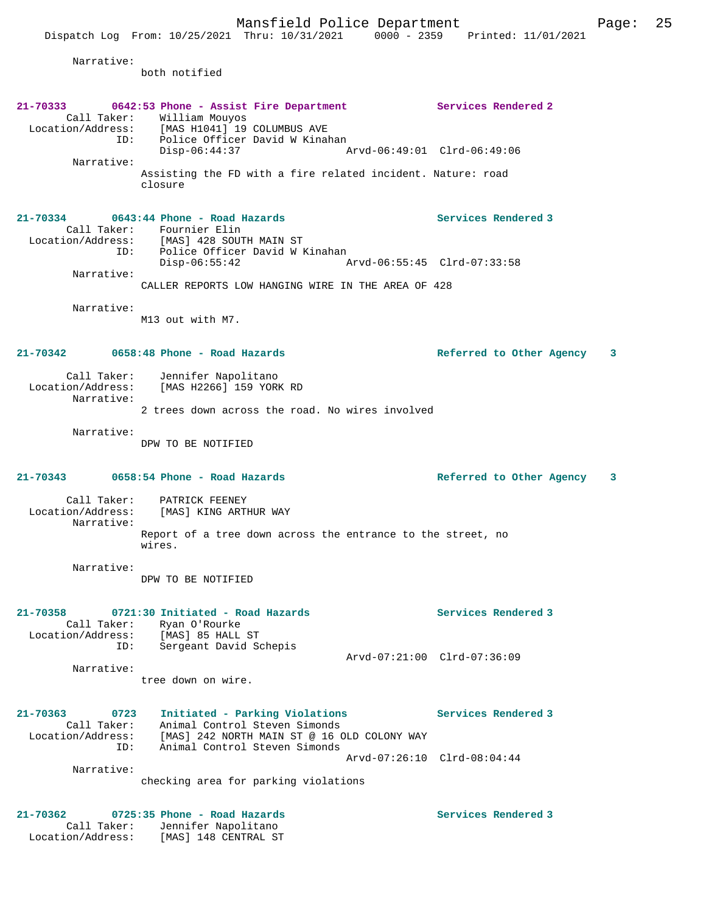Narrative:

both notified

# **21-70333 0642:53 Phone - Assist Fire Department Services Rendered 2**<br>Call Taker: William Mouyos<br>Location/Address: [MAS H1041] 19 COLUMBUS AVE Call Taker: William Mouyos Location/Address: [MAS H1041] 19 COLUMBUS AVE ID: Police Officer David W Kinahan Disp-06:44:37 Arvd-06:49:01 Clrd-06:49:06 Narrative: Assisting the FD with a fire related incident. Nature: road closure **21-70334 0643:44 Phone - Road Hazards Services Rendered 3**  Call Taker: Fournier Elin Location/Address: [MAS] 428 SOUTH MAIN ST ID: Police Officer David W Kinahan<br>Disp-06:55:42 A Disp-06:55:42 Arvd-06:55:45 Clrd-07:33:58 Narrative: CALLER REPORTS LOW HANGING WIRE IN THE AREA OF 428 Narrative: M13 out with M7. **21-70342 0658:48 Phone - Road Hazards Referred to Other Agency 3** Call Taker: Jennifer Napolitano Location/Address: [MAS H2266] 159 YORK RD Narrative: 2 trees down across the road. No wires involved Narrative: DPW TO BE NOTIFIED **21-70343 0658:54 Phone - Road Hazards Referred to Other Agency 3** Call Taker: PATRICK FEENEY Location/Address: [MAS] KING ARTHUR WAY Narrative: Report of a tree down across the entrance to the street, no wires. Narrative: DPW TO BE NOTIFIED **21-70358 0721:30 Initiated - Road Hazards Services Rendered 3**  Call Taker: Ryan O'Rourke Location/Address: [MAS] 85 HALL ST ID: Sergeant David Schepis Arvd-07:21:00 Clrd-07:36:09 Narrative: tree down on wire. **21-70363 0723 Initiated - Parking Violations Services Rendered 3**  Call Taker: Animal Control Steven Simonds Location/Address: [MAS] 242 NORTH MAIN ST @ 16 OLD COLONY WAY ID: Animal Control Steven Simonds Arvd-07:26:10 Clrd-08:04:44 Narrative: checking area for parking violations **21-70362 0725:35 Phone - Road Hazards Services Rendered 3**

 Call Taker: Jennifer Napolitano Location/Address: [MAS] 148 CENTRAL ST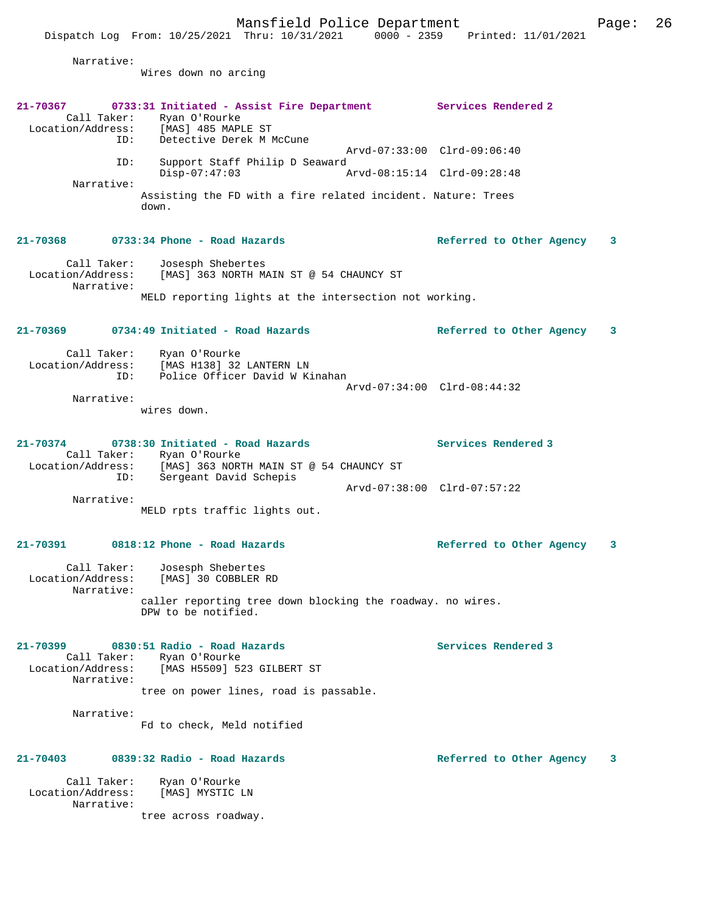Dispatch Log From: 10/25/2021 Thru: 10/31/2021 0000 - 2359 Printed: 11/01/2021

Narrative:

Wires down no arcing

| 21-70367<br>Call Taker:<br>ID:                             | 0733:31 Initiated - Assist Fire Department Services Rendered 2<br>Ryan O'Rourke<br>Location/Address: [MAS] 485 MAPLE ST<br>Detective Derek M McCune      | Arvd-07:33:00 Clrd-09:06:40 |
|------------------------------------------------------------|----------------------------------------------------------------------------------------------------------------------------------------------------------|-----------------------------|
| ID:                                                        | Support Staff Philip D Seaward<br>$Disp-07:47:03$<br>Arvd-08:15:14 Clrd-09:28:48                                                                         |                             |
| Narrative:                                                 | Assisting the FD with a fire related incident. Nature: Trees<br>down.                                                                                    |                             |
|                                                            | $21 - 70368$ 0733:34 Phone - Road Hazards                                                                                                                | Referred to Other Agency 3  |
| Call Taker:<br>Location/Address:<br>Narrative:             | Josesph Shebertes<br>[MAS] 363 NORTH MAIN ST @ 54 CHAUNCY ST                                                                                             |                             |
|                                                            | MELD reporting lights at the intersection not working.                                                                                                   |                             |
|                                                            | $21-70369$ 0734:49 Initiated - Road Hazards                                                                                                              | Referred to Other Agency 3  |
| ID:<br>Narrative:                                          | Call Taker: Ryan O'Rourke<br>Location/Address: [MAS H138] 32 LANTERN LN<br>Police Officer David W Kinahan                                                | Arvd-07:34:00 Clrd-08:44:32 |
|                                                            | wires down.                                                                                                                                              |                             |
| 21-70374                                                   | 0738:30 Initiated - Road Hazards<br>Call Taker: Ryan O'Rourke<br>Location/Address: [MAS] 363 NORTH MAIN ST @ 54 CHAUNCY ST<br>ID: Sergeant David Schepis | Services Rendered 3         |
| Narrative:                                                 |                                                                                                                                                          | Arvd-07:38:00 Clrd-07:57:22 |
|                                                            | MELD rpts traffic lights out.                                                                                                                            |                             |
|                                                            | 21-70391 0818:12 Phone - Road Hazards                                                                                                                    | Referred to Other Agency 3  |
| Call Taker:<br>Location/Address:<br>Narrative:             | Josesph Shebertes<br>[MAS] 30 COBBLER RD                                                                                                                 |                             |
|                                                            | caller reporting tree down blocking the roadway. no wires.<br>DPW to be notified.                                                                        |                             |
| 21-70399<br>Call Taker:<br>Location/Address:<br>Narrative: | 0830:51 Radio - Road Hazards<br>Ryan O'Rourke<br>[MAS H5509] 523 GILBERT ST<br>tree on power lines, road is passable.                                    | Services Rendered 3         |
| Narrative:                                                 | Fd to check, Meld notified                                                                                                                               |                             |
| 21-70403                                                   | 0839:32 Radio - Road Hazards                                                                                                                             | Referred to Other Agency 3  |
| Call Taker:<br>Location/Address:<br>Narrative:             | Ryan O'Rourke<br>[MAS] MYSTIC LN                                                                                                                         |                             |
|                                                            | tree across roadway.                                                                                                                                     |                             |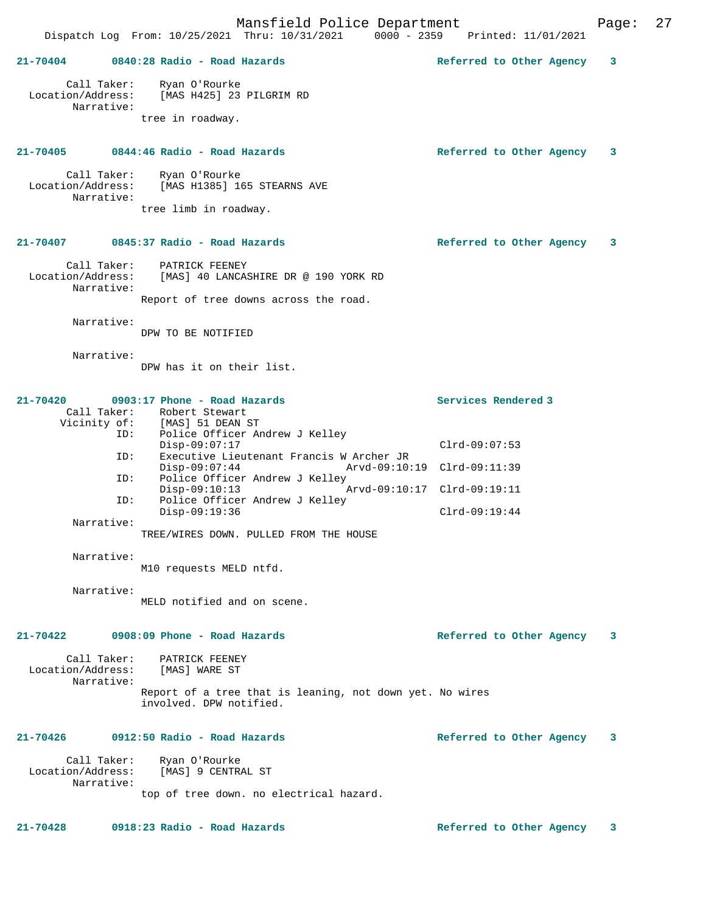Mansfield Police Department Page: 27 Dispatch Log From: 10/25/2021 Thru: 10/31/2021 **21-70404 0840:28 Radio - Road Hazards Referred to Other Agency 3** Call Taker: Ryan O'Rourke Location/Address: [MAS H425] 23 PILGRIM RD Narrative: tree in roadway. **21-70405 0844:46 Radio - Road Hazards Referred to Other Agency 3** Call Taker: Ryan O'Rourke Location/Address: [MAS H1385] 165 STEARNS AVE Narrative: tree limb in roadway. **21-70407 0845:37 Radio - Road Hazards Referred to Other Agency 3** Call Taker: PATRICK FEENEY Location/Address: [MAS] 40 LANCASHIRE DR @ 190 YORK RD Narrative: Report of tree downs across the road. Narrative: DPW TO BE NOTIFIED Narrative: DPW has it on their list. **21-70420 0903:17 Phone - Road Hazards Services Rendered 3**  Call Taker: Robert Stewart Vicinity of: [MAS] 51 DEAN ST ID: Police Officer Andrew J Kelley Disp-09:07:17 Clrd-09:07:53 ID: Executive Lieutenant Francis W Archer JR Disp-09:07:44 Arvd-09:10:19 Clrd-09:11:39 ID: Police Officer Andrew J Kelley Disp-09:10:13 Arvd-09:10:17 Clrd-09:19:11 ID: Police Officer Andrew J Kelley Disp-09:19:36 Clrd-09:19:44 Narrative: TREE/WIRES DOWN. PULLED FROM THE HOUSE Narrative: M10 requests MELD ntfd. Narrative: MELD notified and on scene. **21-70422 0908:09 Phone - Road Hazards Referred to Other Agency 3** Call Taker: PATRICK FEENEY Location/Address: [MAS] WARE ST Narrative: Report of a tree that is leaning, not down yet. No wires involved. DPW notified. **21-70426 0912:50 Radio - Road Hazards Referred to Other Agency 3** Call Taker: Ryan O'Rourke Location/Address: [MAS] 9 CENTRAL ST Narrative: top of tree down. no electrical hazard.

**21-70428 0918:23 Radio - Road Hazards Referred to Other Agency 3**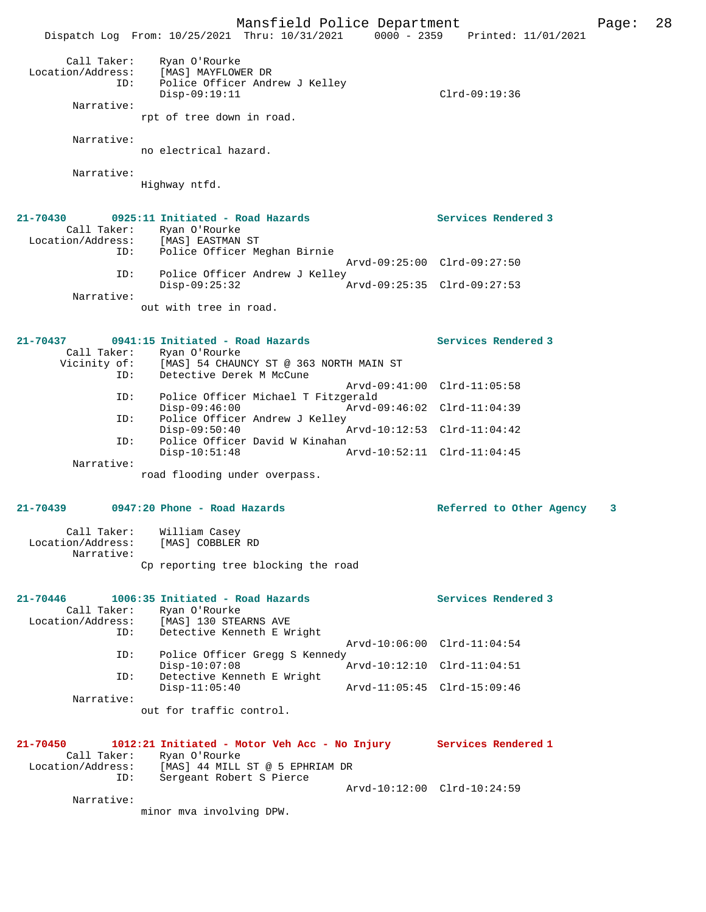Mansfield Police Department Page: 28 Dispatch Log From: 10/25/2021 Thru: 10/31/2021 0000 - 2359 Printed: 11/01/2021 Call Taker: Ryan O'Rourke Location/Address: [MAS] MAYFLOWER DR ID: Police Officer Andrew J Kelley Disp-09:19:11 Clrd-09:19:36 Narrative: rpt of tree down in road. Narrative: no electrical hazard. Narrative: Highway ntfd. **21-70430 0925:11 Initiated - Road Hazards Services Rendered 3**  Call Taker: Ryan O'Rourke Location/Address: [MAS] EASTMAN ST ID: Police Officer Meghan Birnie Arvd-09:25:00 Clrd-09:27:50 ID: Police Officer Andrew J Kelley Disp-09:25:32 Arvd-09:25:35 Clrd-09:27:53 Narrative: out with tree in road. **21-70437 0941:15 Initiated - Road Hazards Services Rendered 3**  Call Taker: Ryan O'Rourke<br>Vicinity of: [MAS] 54 CHAUI [MAS] 54 CHAUNCY ST @ 363 NORTH MAIN ST ID: Detective Derek M McCune Arvd-09:41:00 Clrd-11:05:58 ID: Police Officer Michael T Fitzgerald Disp-09:46:00 Arvd-09:46:02 Clrd-11:04:39<br>ID: Police Officer Andrew J Kelley Police Officer Andrew J Kelley<br>Disp-09:50:40 Disp-09:50:40 Arvd-10:12:53 Clrd-11:04:42 ID: Police Officer David W Kinahan Disp-10:51:48 Arvd-10:52:11 Clrd-11:04:45 Narrative: road flooding under overpass. **21-70439 0947:20 Phone - Road Hazards Referred to Other Agency 3** Call Taker: William Casey Location/Address: [MAS] COBBLER RD Narrative: Cp reporting tree blocking the road **21-70446 1006:35 Initiated - Road Hazards Services Rendered 3**  Call Taker: Ryan O'Rourke Location/Address: [MAS] 130 STEARNS AVE<br>TD: Detective Kenneth E. Wr Detective Kenneth E Wright Arvd-10:06:00 Clrd-11:04:54<br>TD: Police Officer Gregg S Kennedy Police Officer Gregg S Kennedy<br>Disp-10:07:08 Arvd-10:12:10 Clrd-11:04:51 ID: Detective Kenneth E Wright Disp-11:05:40 Arvd-11:05:45 Clrd-15:09:46 Narrative: out for traffic control. **21-70450 1012:21 Initiated - Motor Veh Acc - No Injury Services Rendered 1**  Call Taker: Ryan O'Rourke<br>Location/Address: [MAS] 44 MILL Location/Address: [MAS] 44 MILL ST @ 5 EPHRIAM DR ID: Sergeant Robert S Pierce Arvd-10:12:00 Clrd-10:24:59 Narrative:

minor mva involving DPW.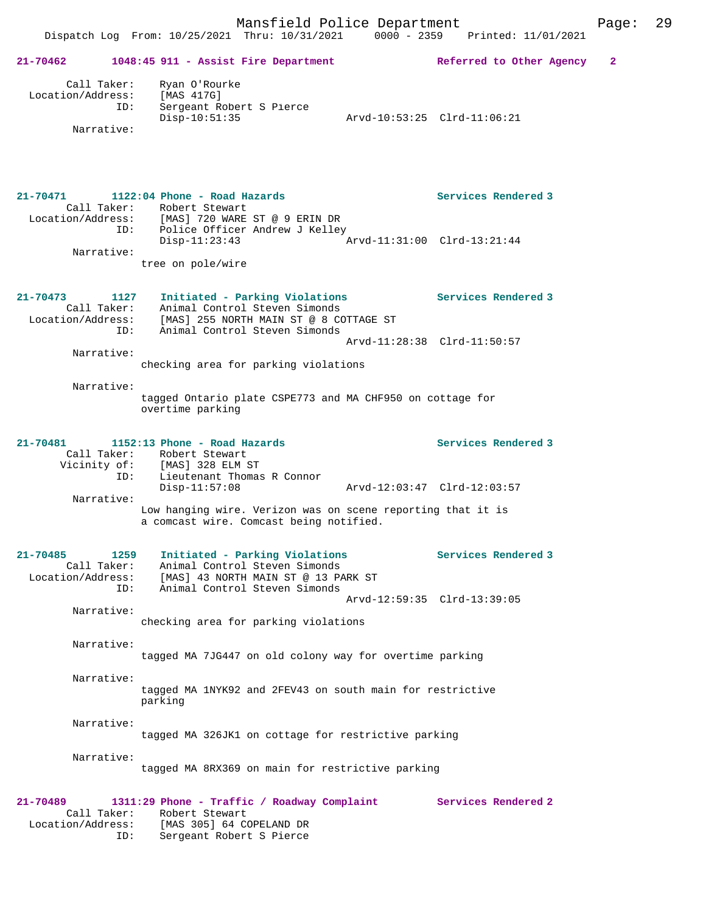| 21-70462                      |                                  | 1048:45 911 - Assist Fire Department                                                                                                                      | Referred to Other Agency                           | 2 |
|-------------------------------|----------------------------------|-----------------------------------------------------------------------------------------------------------------------------------------------------------|----------------------------------------------------|---|
| Location/Address:             | Call Taker:<br>ID:<br>Narrative: | Ryan O'Rourke<br>[MAS 417G]<br>Sergeant Robert S Pierce<br>$Disp-10:51:35$                                                                                | Arvd-10:53:25 Clrd-11:06:21                        |   |
| 21-70471                      |                                  | 1122:04 Phone - Road Hazards<br>Call Taker: Robert Stewart<br>Location/Address: [MAS] 720 WARE ST @ 9 ERIN DR<br>ID: Police Officer Andrew J Kelley       | Services Rendered 3<br>Arvd-11:31:00 Clrd-13:21:44 |   |
|                               | Narrative:                       | Disp-11:23:43<br>tree on pole/wire                                                                                                                        |                                                    |   |
| 21-70473<br>Location/Address: | 1127<br>Call Taker:<br>ID:       | Initiated - Parking Violations<br>Animal Control Steven Simonds<br>[MAS] 255 NORTH MAIN ST @ 8 COTTAGE ST<br>Animal Control Steven Simonds                | Services Rendered 3                                |   |
|                               | Narrative:                       |                                                                                                                                                           | Arvd-11:28:38 Clrd-11:50:57                        |   |
|                               | Narrative:                       | checking area for parking violations<br>tagged Ontario plate CSPE773 and MA CHF950 on cottage for<br>overtime parking                                     |                                                    |   |
| 21-70481                      | ID:                              | 1152:13 Phone - Road Hazards<br>Call Taker: Robert Stewart<br>Vicinity of: [MAS] 328 ELM ST<br>Lieutenant Thomas R Connor<br>$Disp-11:57:08$              | Services Rendered 3<br>Arvd-12:03:47 Clrd-12:03:57 |   |
|                               | Narrative:                       | Low hanging wire. Verizon was on scene reporting that it is<br>a comcast wire. Comcast being notified.                                                    |                                                    |   |
| 21-70485                      | 1259<br>Call Taker:<br>ID:       | Initiated - Parking Violations<br>Animal Control Steven Simonds<br>Location/Address: [MAS] 43 NORTH MAIN ST @ 13 PARK ST<br>Animal Control Steven Simonds | <b>Services Rendered 3</b>                         |   |
|                               | Narrative:                       | checking area for parking violations                                                                                                                      | Arvd-12:59:35 Clrd-13:39:05                        |   |
|                               | Narrative:                       | tagged MA 7JG447 on old colony way for overtime parking                                                                                                   |                                                    |   |
|                               | Narrative:                       | tagged MA 1NYK92 and 2FEV43 on south main for restrictive<br>parking                                                                                      |                                                    |   |
|                               | Narrative:                       | tagged MA 326JK1 on cottage for restrictive parking                                                                                                       |                                                    |   |
|                               | Narrative:                       | tagged MA 8RX369 on main for restrictive parking                                                                                                          |                                                    |   |
| 21-70489<br>Location/Address: | Call Taker:                      | 1311:29 Phone - Traffic / Roadway Complaint<br>Robert Stewart<br>[MAS 305] 64 COPELAND DR                                                                 | Services Rendered 2                                |   |

ID: Sergeant Robert S Pierce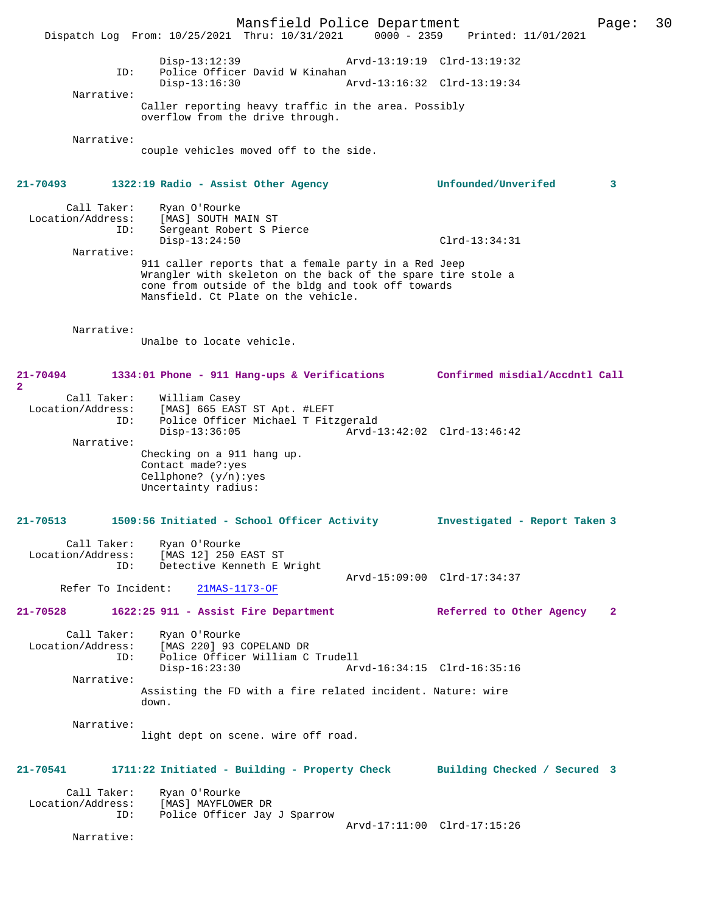Mansfield Police Department Page: 30 Dispatch Log From: 10/25/2021 Thru: 10/31/2021 Disp-13:12:39 Arvd-13:19:19 Clrd-13:19:32 ID: Police Officer David W Kinahan<br>Disp-13:16:30 Disp-13:16:30 Arvd-13:16:32 Clrd-13:19:34 Narrative: Caller reporting heavy traffic in the area. Possibly overflow from the drive through. Narrative: couple vehicles moved off to the side. **21-70493 1322:19 Radio - Assist Other Agency Unfounded/Unverifed 3** Call Taker: Ryan O'Rourke<br>Location/Address: [MAS] SOUTH MA Location/Address: [MAS] SOUTH MAIN ST ID: Sergeant Robert S Pierce Disp-13:24:50 Clrd-13:34:31 Narrative: 911 caller reports that a female party in a Red Jeep Wrangler with skeleton on the back of the spare tire stole a cone from outside of the bldg and took off towards Mansfield. Ct Plate on the vehicle. Narrative: Unalbe to locate vehicle. **21-70494 1334:01 Phone - 911 Hang-ups & Verifications Confirmed misdial/Accdntl Call 2**  Call Taker: William Casey Location/Address: [MAS] 665 EAST ST Apt. #LEFT<br>ID: Police Officer Michael T Fitz Police Officer Michael T Fitzgerald<br>Disp-13:36:05 Arvd- Disp-13:36:05 Arvd-13:42:02 Clrd-13:46:42 Narrative: Checking on a 911 hang up. Contact made?:yes Cellphone? (y/n):yes Uncertainty radius: **21-70513 1509:56 Initiated - School Officer Activity Investigated - Report Taken 3** Call Taker: Ryan O'Rourke Location/Address: [MAS 12] 250 EAST ST<br>ID: Detective Kenneth E I Detective Kenneth E Wright Arvd-15:09:00 Clrd-17:34:37<br>21MAS-1173-OF Refer To Incident: **21-70528 1622:25 911 - Assist Fire Department Referred to Other Agency 2** Call Taker: Ryan O'Rourke<br>Location/Address: [MAS 220] 93 ess: [MAS 220] 93 COPELAND DR<br>ID: Police Officer William C Police Officer William C Trudell Disp-16:23:30 Arvd-16:34:15 Clrd-16:35:16 Narrative: Assisting the FD with a fire related incident. Nature: wire down. Narrative: light dept on scene. wire off road. **21-70541 1711:22 Initiated - Building - Property Check Building Checked / Secured 3** Call Taker: Ryan O'Rourke<br>.on/Address: [MAS] MAYFLOWER DR Location/Address:<br>ID: Police Officer Jay J Sparrow Arvd-17:11:00 Clrd-17:15:26 Narrative: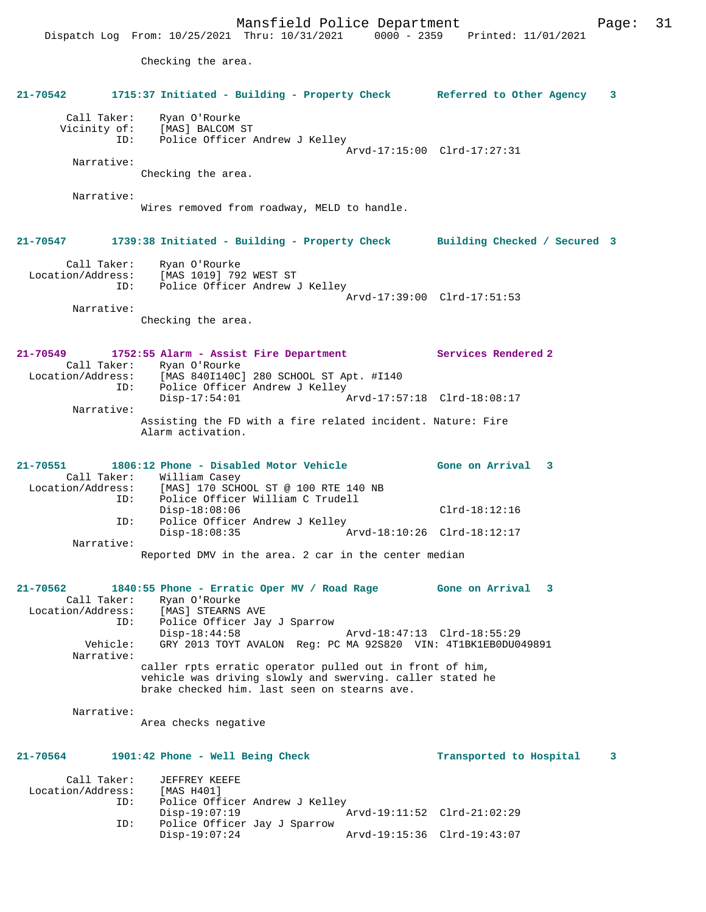Checking the area.

| 21-70542                                         | 1715:37 Initiated - Building - Property Check Referred to Other Agency                                                                                                                                                                  | 3                                                          |
|--------------------------------------------------|-----------------------------------------------------------------------------------------------------------------------------------------------------------------------------------------------------------------------------------------|------------------------------------------------------------|
|                                                  | Call Taker: Ryan O'Rourke<br>Vicinity of: [MAS] BALCOM ST<br>ID: Police Officer Andrew J Kelley                                                                                                                                         | Arvd-17:15:00 Clrd-17:27:31                                |
| Narrative:                                       | Checking the area.                                                                                                                                                                                                                      |                                                            |
| Narrative:                                       | Wires removed from roadway, MELD to handle.                                                                                                                                                                                             |                                                            |
| $21 - 70547$                                     | 1739:38 Initiated - Building - Property Check Building Checked / Secured 3                                                                                                                                                              |                                                            |
| Call Taker:<br>Location/Address:<br>ID:          | Ryan O'Rourke<br>[MAS 1019] 792 WEST ST<br>Police Officer Andrew J Kelley                                                                                                                                                               | Arvd-17:39:00 Clrd-17:51:53                                |
| Narrative:                                       | Checking the area.                                                                                                                                                                                                                      |                                                            |
| 21-70549                                         | 1752:55 Alarm - Assist Fire Department<br>Call Taker: Ryan O'Rourke<br>Location/Address: [MAS 840I140C] 280 SCHOOL ST Apt. #I140<br>ID: Police Officer Andrew J Kelley                                                                  | Services Rendered 2                                        |
| Narrative:                                       | $Disp-17:54:01$                                                                                                                                                                                                                         | Arvd-17:57:18 Clrd-18:08:17                                |
|                                                  | Assisting the FD with a fire related incident. Nature: Fire<br>Alarm activation.                                                                                                                                                        |                                                            |
| 21-70551                                         | 1806:12 Phone - Disabled Motor Vehicle<br>Call Taker: William Casey<br>Location/Address: [MAS] 170 SCHOOL ST @ 100 RTE 140 NB                                                                                                           | Gone on Arrival 3                                          |
| ID:<br>ID:                                       | Police Officer William C Trudell<br>$Disp-18:08:06$<br>Police Officer Andrew J Kelley                                                                                                                                                   | $Clrd-18:12:16$                                            |
| Narrative:                                       | $Disp-18:08:35$                                                                                                                                                                                                                         | Arvd-18:10:26 Clrd-18:12:17                                |
|                                                  | Reported DMV in the area. 2 car in the center median                                                                                                                                                                                    |                                                            |
| 21-70562<br>Location/Address:<br>ID:<br>Vehicle: | 1840:55 Phone - Erratic Oper MV / Road Rage Gone on Arrival 3<br>Call Taker:     Ryan O'Rourke<br>[MAS] STEARNS AVE<br>Police Officer Jay J Sparrow<br>$Disp-18:44:58$<br>GRY 2013 TOYT AVALON Req: PC MA 92S820 VIN: 4T1BK1EB0DU049891 | Arvd-18:47:13 Clrd-18:55:29                                |
| Narrative:                                       | caller rpts erratic operator pulled out in front of him,<br>vehicle was driving slowly and swerving. caller stated he<br>brake checked him. last seen on stearns ave.                                                                   |                                                            |
| Narrative:                                       | Area checks negative                                                                                                                                                                                                                    |                                                            |
| 21-70564                                         | 1901:42 Phone - Well Being Check                                                                                                                                                                                                        | Transported to Hospital<br>3                               |
| Call Taker:<br>Location/Address:<br>ID:<br>ID:   | JEFFREY KEEFE<br>[MAS H401]<br>Police Officer Andrew J Kelley<br>$Disp-19:07:19$<br>Police Officer Jay J Sparrow<br>$Disp-19:07:24$                                                                                                     | Arvd-19:11:52 Clrd-21:02:29<br>Arvd-19:15:36 Clrd-19:43:07 |
|                                                  |                                                                                                                                                                                                                                         |                                                            |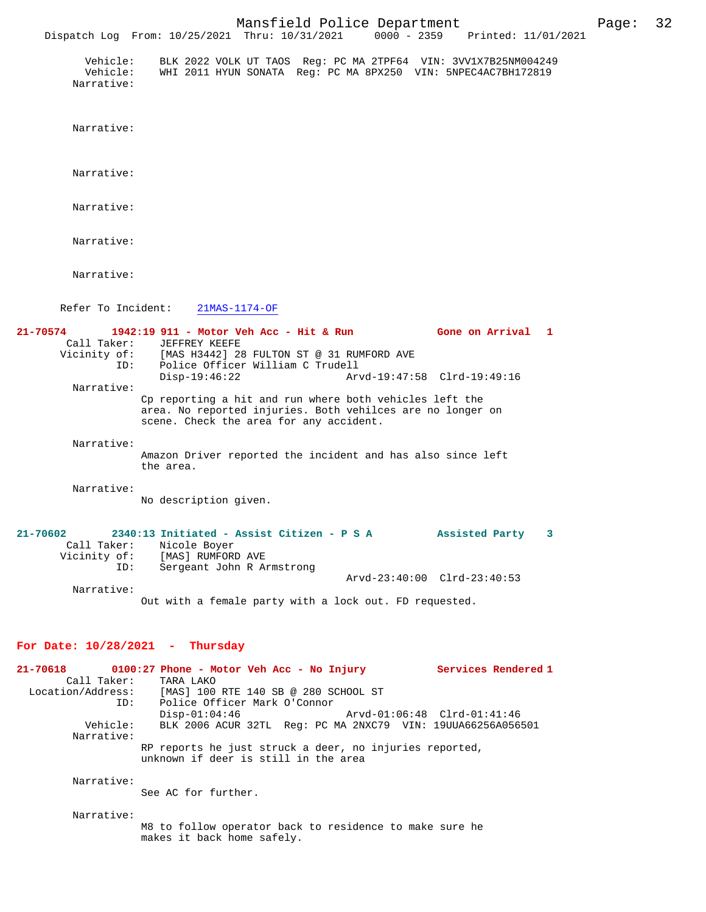Mansfield Police Department Page: 32 Dispatch Log From: 10/25/2021 Thru: 10/31/2021 Vehicle: BLK 2022 VOLK UT TAOS Reg: PC MA 2TPF64 VIN: 3VV1X7B25NM004249 Vehicle: WHI 2011 HYUN SONATA Reg: PC MA 8PX250 VIN: 5NPEC4AC7BH172819 Narrative: Narrative: Narrative: Narrative: Narrative: Narrative: Refer To Incident: 21MAS-1174-OF **21-70574 1942:19 911 - Motor Veh Acc - Hit & Run Gone on Arrival 1**  Call Taker: JEFFREY KEEFE Vicinity of: [MAS H3442] 28 FULTON ST @ 31 RUMFORD AVE ID: Police Officer William C Trudell Police Officer William C Trudell<br>Disp-19:46:22 Ary Disp-19:46:22 Arvd-19:47:58 Clrd-19:49:16 Narrative: Cp reporting a hit and run where both vehicles left the area. No reported injuries. Both vehilces are no longer on scene. Check the area for any accident. Narrative:

> Amazon Driver reported the incident and has also since left the area.

Narrative:

No description given.

| $21 - 70602$ |            | 2340:13 Initiated - Assist Citizen - P S A             |  |  | Assisted Party              |  |
|--------------|------------|--------------------------------------------------------|--|--|-----------------------------|--|
| Call Taker:  |            | Nicole Boyer                                           |  |  |                             |  |
| Vicinity of: |            | [MAS] RUMFORD AVE                                      |  |  |                             |  |
|              | ID:        | Sergeant John R Armstrong                              |  |  |                             |  |
|              |            |                                                        |  |  | Arvd-23:40:00 Clrd-23:40:53 |  |
|              | Narrative: |                                                        |  |  |                             |  |
|              |            | Out with a female party with a lock out. FD requested. |  |  |                             |  |

#### **For Date: 10/28/2021 - Thursday**

**21-70618 0100:27 Phone - Motor Veh Acc - No Injury Services Rendered 1**  Call Taker: TARA LAKO Location/Address: [MAS] 100 RTE 140 SB @ 280 SCHOOL ST<br>ID: Police Officer Mark O'Connor Police Officer Mark O'Connor<br>Disp-01:04:46 Disp-01:04:46 Arvd-01:06:48 Clrd-01:41:46 Vehicle: BLK 2006 ACUR 32TL Reg: PC MA 2NXC79 VIN: 19UUA66256A056501 Narrative: RP reports he just struck a deer, no injuries reported, unknown if deer is still in the area Narrative: See AC for further. Narrative:

M8 to follow operator back to residence to make sure he makes it back home safely.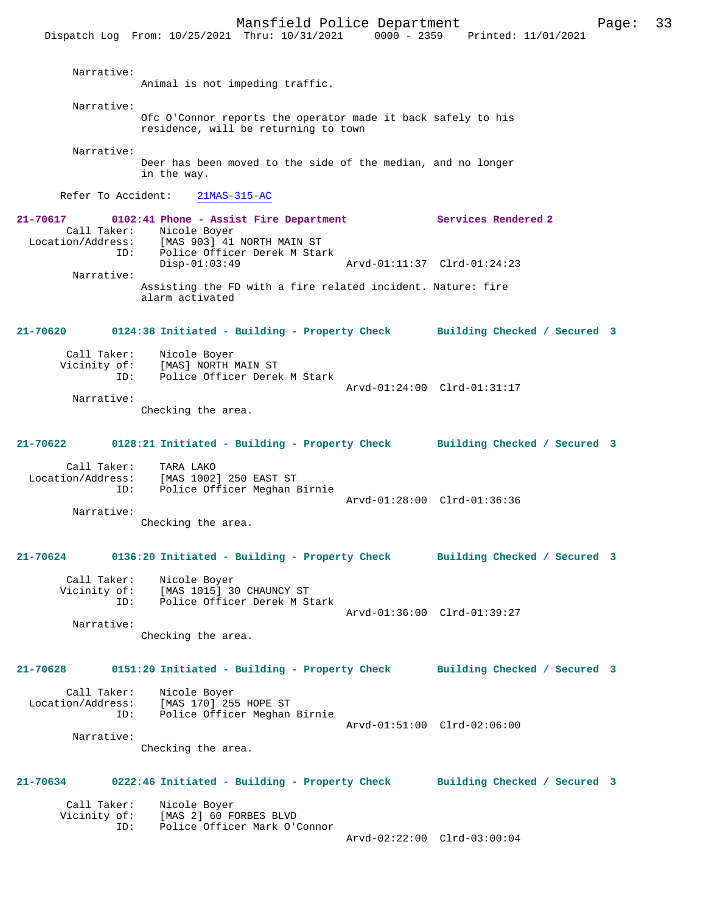Dispatch Log From: 10/25/2021 Thru: 10/31/2021 0000 - 2359 Printed: 11/01/2021 Narrative: Animal is not impeding traffic. Narrative: Ofc O'Connor reports the operator made it back safely to his residence, will be returning to town Narrative: Deer has been moved to the side of the median, and no longer in the way. Refer To Accident: 21MAS-315-AC **21-70617 0102:41 Phone - Assist Fire Department Services Rendered 2**  Call Taker: Nicole Boyer Location/Address: [MAS 903] 41 NORTH MAIN ST ID: Police Officer Derek M Stark<br>Disp-01:03:49 Arvd-01:11:37 Clrd-01:24:23 Narrative: Assisting the FD with a fire related incident. Nature: fire alarm activated **21-70620 0124:38 Initiated - Building - Property Check Building Checked / Secured 3** Call Taker: Nicole Boyer Vicinity of: [MAS] NORTH MAIN ST<br>ID: Police Officer Derek Police Officer Derek M Stark Arvd-01:24:00 Clrd-01:31:17 Narrative: Checking the area. **21-70622 0128:21 Initiated - Building - Property Check Building Checked / Secured 3** Call Taker: TARA LAKO Location/Address: [MAS 1002] 250 EAST ST ID: Police Officer Meghan Birnie Arvd-01:28:00 Clrd-01:36:36 Narrative: Checking the area. **21-70624 0136:20 Initiated - Building - Property Check Building Checked / Secured 3** Call Taker: Nicole Boyer Vicinity of: [MAS 1015] 30 CHAUNCY ST ID: Police Officer Derek M Stark Arvd-01:36:00 Clrd-01:39:27 Narrative: Checking the area. **21-70628 0151:20 Initiated - Building - Property Check Building Checked / Secured 3** Call Taker: Nicole Boyer Location/Address: [MAS 170] 255 HOPE ST ID: Police Officer Meghan Birnie Arvd-01:51:00 Clrd-02:06:00 Narrative: Checking the area. **21-70634 0222:46 Initiated - Building - Property Check Building Checked / Secured 3** Call Taker: Nicole Boyer<br>Vicinity of: [MAS 2] 60 F [MAS 2] 60 FORBES BLVD ID: Police Officer Mark O'Connor Arvd-02:22:00 Clrd-03:00:04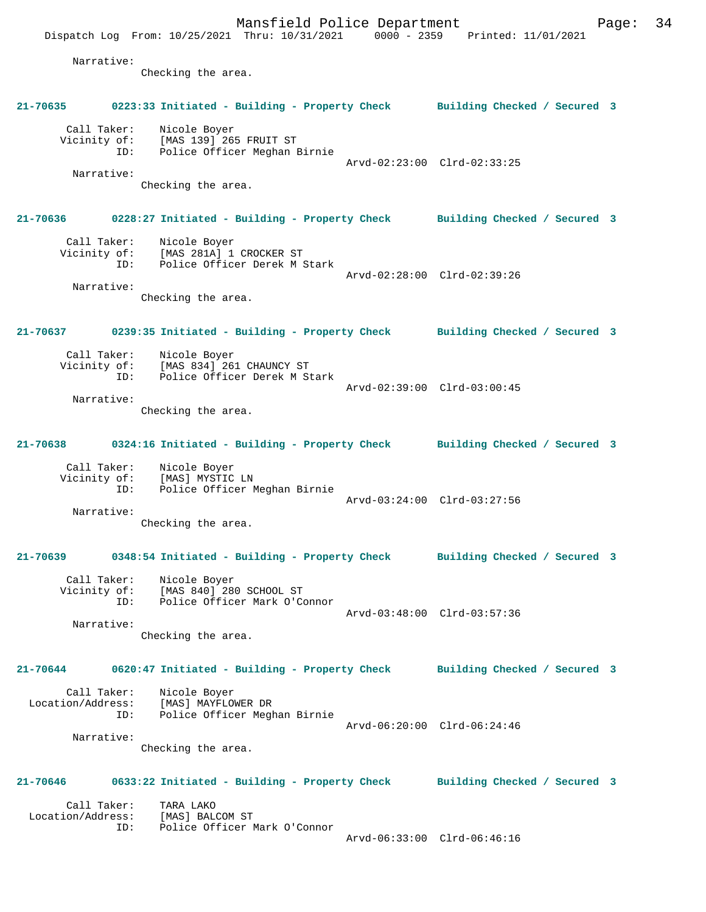Mansfield Police Department Fage: 34 Dispatch Log From: 10/25/2021 Thru: 10/31/2021 0000 - 2359 Printed: 11/01/2021 Narrative: Checking the area. **21-70635 0223:33 Initiated - Building - Property Check Building Checked / Secured 3** Call Taker: Nicole Boyer Vicinity of: [MAS 139] 265 FRUIT ST ID: Police Officer Meghan Birnie Arvd-02:23:00 Clrd-02:33:25 Narrative: Checking the area. **21-70636 0228:27 Initiated - Building - Property Check Building Checked / Secured 3** Call Taker: Nicole Boyer Vicinity of: [MAS 281A] 1 CROCKER ST ID: Police Officer Derek M Stark Arvd-02:28:00 Clrd-02:39:26 Narrative: Checking the area. **21-70637 0239:35 Initiated - Building - Property Check Building Checked / Secured 3** Call Taker: Nicole Boyer<br>Vicinity of: [MAS 834] 26 of: [MAS 834] 261 CHAUNCY ST<br>ID: Police Officer Derek M St Police Officer Derek M Stark Arvd-02:39:00 Clrd-03:00:45 Narrative: Checking the area. **21-70638 0324:16 Initiated - Building - Property Check Building Checked / Secured 3** Call Taker: Nicole Boyer Vicinity of: [MAS] MYSTIC LN ID: Police Officer Meghan Birnie Arvd-03:24:00 Clrd-03:27:56 Narrative: Checking the area. **21-70639 0348:54 Initiated - Building - Property Check Building Checked / Secured 3** Call Taker: Nicole Boyer Vicinity of: [MAS 840] 280 SCHOOL ST ID: Police Officer Mark O'Connor Arvd-03:48:00 Clrd-03:57:36 Narrative: Checking the area. **21-70644 0620:47 Initiated - Building - Property Check Building Checked / Secured 3** Call Taker: Nicole Boyer Location/Address: [MAS] MAYFLOWER DR ID: Police Officer Meghan Birnie Arvd-06:20:00 Clrd-06:24:46 Narrative: Checking the area. **21-70646 0633:22 Initiated - Building - Property Check Building Checked / Secured 3** Call Taker: TARA LAKO<br>.on/Address: [MAS] BALCOM ST Location/Address:<br>ID: Police Officer Mark O'Connor Arvd-06:33:00 Clrd-06:46:16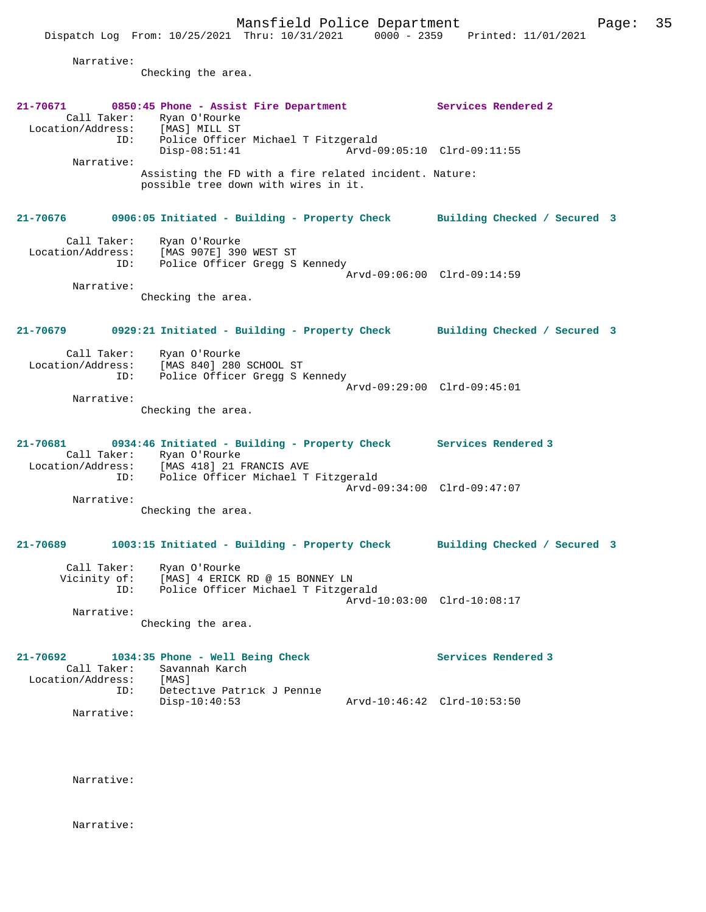|                                              | Dispatch Log From: 10/25/2021 Thru: 10/31/2021 0000 - 2359 Printed: 11/01/2021                                                                           |                             |                              |  |
|----------------------------------------------|----------------------------------------------------------------------------------------------------------------------------------------------------------|-----------------------------|------------------------------|--|
| Narrative:                                   | Checking the area.                                                                                                                                       |                             |                              |  |
| Location/Address:<br>ID:                     | 21-70671 0850:45 Phone - Assist Fire Department 5ervices Rendered 2<br>Call Taker: Ryan O'Rourke<br>[MAS] MILL ST<br>Police Officer Michael T Fitzgerald |                             |                              |  |
|                                              | $Disp-08:51:41$                                                                                                                                          |                             | Arvd-09:05:10 Clrd-09:11:55  |  |
| Narrative:                                   | Assisting the FD with a fire related incident. Nature:<br>possible tree down with wires in it.                                                           |                             |                              |  |
|                                              | 21-70676 0906:05 Initiated - Building - Property Check Building Checked / Secured 3                                                                      |                             |                              |  |
| ID:                                          | Call Taker: Ryan O'Rourke<br>Location/Address: [MAS 907E] 390 WEST ST<br>Police Officer Gregg S Kennedy                                                  |                             | Arvd-09:06:00 Clrd-09:14:59  |  |
| Narrative:                                   | Checking the area.                                                                                                                                       |                             |                              |  |
|                                              | 21-70679 0929:21 Initiated - Building - Property Check Building Checked / Secured 3                                                                      |                             |                              |  |
|                                              | Call Taker: Ryan O'Rourke<br>Location/Address: [MAS 840] 280 SCHOOL ST<br>ID: Police Officer Gregg S Kennedy                                             |                             | Arvd-09:29:00 Clrd-09:45:01  |  |
| Narrative:                                   | Checking the area.                                                                                                                                       |                             |                              |  |
| 21-70681                                     | 0934:46 Initiated - Building - Property Check Services Rendered 3<br>Call Taker: Ryan O'Rourke<br>Location/Address: [MAS 418] 21 FRANCIS AVE             |                             |                              |  |
| Narrative:                                   | ID: Police Officer Michael T Fitzgerald                                                                                                                  |                             | Arvd-09:34:00 Clrd-09:47:07  |  |
|                                              | Checking the area.                                                                                                                                       |                             |                              |  |
| 21-70689                                     | 1003:15 Initiated - Building - Property Check                                                                                                            |                             | Building Checked / Secured 3 |  |
| Call Taker:                                  | Ryan O'Rourke<br>Vicinity of: [MAS] 4 ERICK RD @ 15 BONNEY LN<br>ID: Police Officer Michael T Fitzger<br>Police Officer Michael T Fitzgerald             |                             | Arvd-10:03:00 Clrd-10:08:17  |  |
| Narrative:                                   | Checking the area.                                                                                                                                       |                             |                              |  |
| 21-70692<br>Call Taker:<br>Location/Address: | 1034:35 Phone - Well Being Check<br>Savannah Karch<br>[MAS]                                                                                              |                             | Services Rendered 3          |  |
| ID:<br>Narrative:                            | Detective Patrick J Pennie<br>$Disp-10:40:53$                                                                                                            | Arvd-10:46:42 Clrd-10:53:50 |                              |  |

Narrative:

Narrative: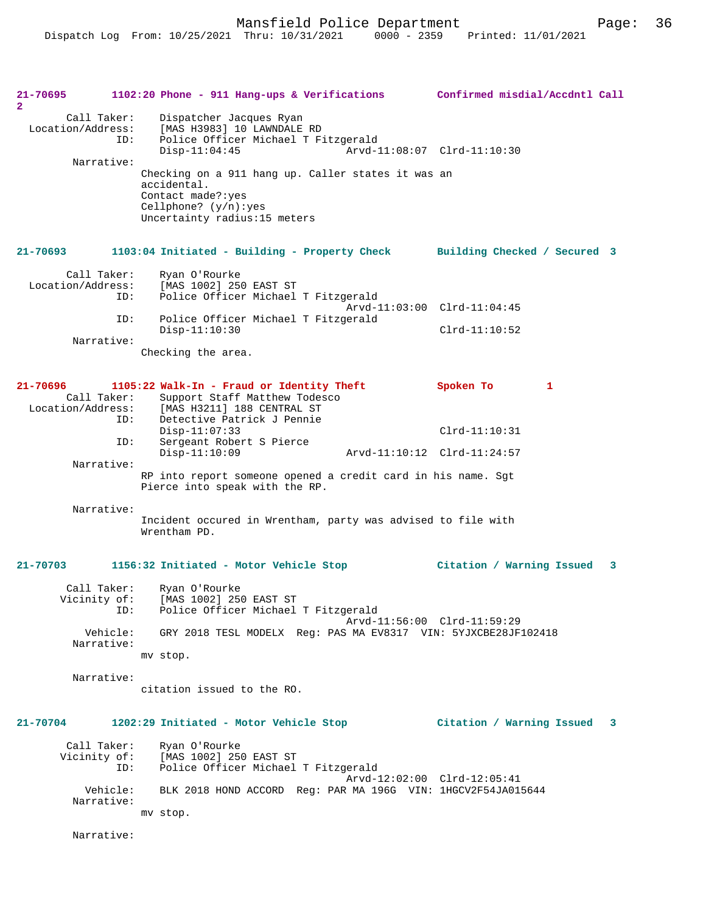| 21-70695<br>$\mathbf{2}$                     |          | 1102:20 Phone - 911 Hang-ups & Verifications                                                                                                      |                             | Confirmed misdial/Accdntl Call |   |   |
|----------------------------------------------|----------|---------------------------------------------------------------------------------------------------------------------------------------------------|-----------------------------|--------------------------------|---|---|
| Call Taker:<br>Location/Address:             | ID:      | Dispatcher Jacques Ryan<br>[MAS H3983] 10 LAWNDALE RD<br>Police Officer Michael T Fitzgerald<br>$Disp-11:04:45$                                   |                             | Arvd-11:08:07 Clrd-11:10:30    |   |   |
| Narrative:                                   |          | Checking on a 911 hang up. Caller states it was an<br>accidental.<br>Contact made?: yes<br>Cellphone? $(y/n):yes$<br>Uncertainty radius:15 meters |                             |                                |   |   |
| $21 - 70693$                                 |          | 1103:04 Initiated - Building - Property Check Building Checked / Secured 3                                                                        |                             |                                |   |   |
| Call Taker:<br>Location/Address:             | ID:      | Ryan O'Rourke<br>[MAS 1002] 250 EAST ST<br>Police Officer Michael T Fitzgerald                                                                    | Arvd-11:03:00 Clrd-11:04:45 |                                |   |   |
|                                              | ID:      | Police Officer Michael T Fitzgerald<br>$Disp-11:10:30$                                                                                            |                             | $Clrd-11:10:52$                |   |   |
| Narrative:                                   |          | Checking the area.                                                                                                                                |                             |                                |   |   |
| 21-70696<br>Call Taker:<br>Location/Address: |          | 1105:22 Walk-In - Fraud or Identity Theft<br>Support Staff Matthew Todesco<br>[MAS H3211] 188 CENTRAL ST                                          |                             | Spoken To                      | 1 |   |
|                                              | ID:      | Detective Patrick J Pennie<br>$Disp-11:07:33$                                                                                                     |                             | $Clrd-11:10:31$                |   |   |
| Narrative:                                   | ID:      | Sergeant Robert S Pierce<br>$Disp-11:10:09$                                                                                                       | Arvd-11:10:12 Clrd-11:24:57 |                                |   |   |
|                                              |          | RP into report someone opened a credit card in his name. Sgt<br>Pierce into speak with the RP.                                                    |                             |                                |   |   |
| Narrative:                                   |          | Incident occured in Wrentham, party was advised to file with<br>Wrentham PD.                                                                      |                             |                                |   |   |
| $21 - 70703$                                 |          | 1156:32 Initiated - Motor Vehicle Stop                                                                                                            |                             | Citation / Warning Issued      |   | 3 |
| Call Taker:                                  | ID:      | Ryan O'Rourke<br>Vicinity of: [MAS 1002] 250 EAST ST<br>Police Officer Michael T Fitzgerald                                                       | Arvd-11:56:00 Clrd-11:59:29 |                                |   |   |
| Narrative:                                   | Vehicle: | GRY 2018 TESL MODELX Req: PAS MA EV8317 VIN: 5YJXCBE28JF102418<br>mv stop.                                                                        |                             |                                |   |   |
| Narrative:                                   |          | citation issued to the RO.                                                                                                                        |                             |                                |   |   |
| $21 - 70704$                                 |          | 1202:29 Initiated - Motor Vehicle Stop                                                                                                            |                             | Citation / Warning Issued 3    |   |   |
| Call Taker:                                  | ID:      | Ryan O'Rourke<br>Vicinity of: [MAS 1002] 250 EAST ST<br>Police Officer Michael T Fitzgerald                                                       |                             |                                |   |   |
| Narrative:                                   | Vehicle: | BLK 2018 HOND ACCORD Req: PAR MA 196G VIN: 1HGCV2F54JA015644<br>mv stop.                                                                          | Arvd-12:02:00 Clrd-12:05:41 |                                |   |   |
| Narrative:                                   |          |                                                                                                                                                   |                             |                                |   |   |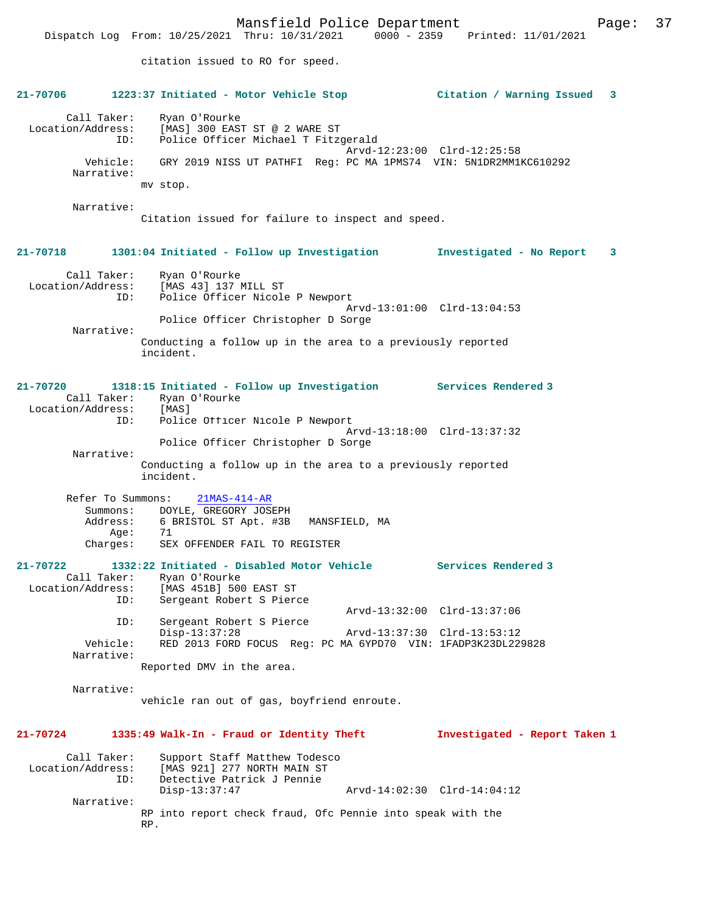Dispatch Log From: 10/25/2021 Thru: 10/31/2021 0000 - 2359 Printed: 11/01/2021

citation issued to RO for speed. **21-70706 1223:37 Initiated - Motor Vehicle Stop Citation / Warning Issued 3** Call Taker: Ryan O'Rourke Location/Address: [MAS] 300 EAST ST @ 2 WARE ST<br>TD: Police Officer Michael T Fitzo Police Officer Michael T Fitzgerald Arvd-12:23:00 Clrd-12:25:58 Vehicle: GRY 2019 NISS UT PATHFI Reg: PC MA 1PMS74 VIN: 5N1DR2MM1KC610292 Narrative: mv stop. Narrative: Citation issued for failure to inspect and speed. **21-70718 1301:04 Initiated - Follow up Investigation Investigated - No Report 3** Call Taker: Ryan O'Rourke Location/Address: [MAS 43] 137 MILL ST ID: Police Officer Nicole P Newport Arvd-13:01:00 Clrd-13:04:53 Police Officer Christopher D Sorge Narrative: Conducting a follow up in the area to a previously reported incident. **21-70720 1318:15 Initiated - Follow up Investigation Services Rendered 3**  Call Taker: Ryan O'Rourke<br>ion/Address: [MAS] Location/Address: ID: Police Officer Nicole P Newport Arvd-13:18:00 Clrd-13:37:32 Police Officer Christopher D Sorge Narrative: Conducting a follow up in the area to a previously reported incident. Refer To Summons: 21MAS-414-AR Summons: DOYLE, GREGORY JOSEPH Address: 6 BRISTOL ST Apt. #3B MANSFIELD, MA Age: 71 Charges: SEX OFFENDER FAIL TO REGISTER **21-70722 1332:22 Initiated - Disabled Motor Vehicle Services Rendered 3**  Call Taker: Ryan O'Rourke Location/Address: [MAS 451B] 500 EAST ST Sergeant Robert S Pierce Arvd-13:32:00 Clrd-13:37:06 ID: Sergeant Robert S Pierce Disp-13:37:28 Arvd-13:37:30 Clrd-13:53:12<br>Vehicle: RED 2013 FORD FOCUS Reg: PC MA 6YPD70 VIN: 1FADP3K23DL229 RED 2013 FORD FOCUS Reg: PC MA 6YPD70 VIN: 1FADP3K23DL229828 Narrative: Reported DMV in the area. Narrative: vehicle ran out of gas, boyfriend enroute. **21-70724 1335:49 Walk-In - Fraud or Identity Theft Investigated - Report Taken 1** Call Taker: Support Staff Matthew Todesco<br>Location/Address: [MAS 921] 277 NORTH MAIN ST ess: [MAS 921] 277 NORTH MAIN ST<br>ID: Detective Patrick J Pennie Detective Patrick J Pennie<br>Disp-13:37:47 Disp-13:37:47 Arvd-14:02:30 Clrd-14:04:12 Narrative: RP into report check fraud, Ofc Pennie into speak with the RP.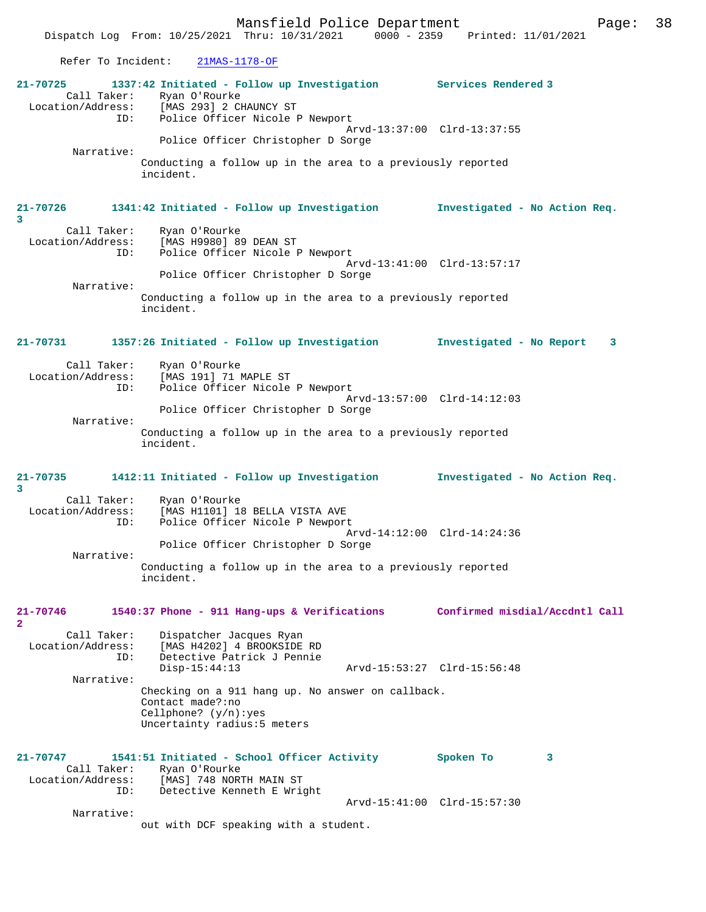Mansfield Police Department Fage: 38

Refer To Incident: 21MAS-1178-OF

| 21-70725                                     | 1337:42 Initiated - Follow up Investigation Services Rendered 3<br>Call Taker: Ryan O'Rourke<br>Location/Address: [MAS 293] 2 CHAUNCY ST<br>ID: Police Officer Nicole I |                                |
|----------------------------------------------|-------------------------------------------------------------------------------------------------------------------------------------------------------------------------|--------------------------------|
| ID:                                          | Police Officer Nicole P Newport<br>Police Officer Christopher D Sorge                                                                                                   | Arvd-13:37:00 Clrd-13:37:55    |
| Narrative:                                   | Conducting a follow up in the area to a previously reported<br>incident.                                                                                                |                                |
| 21-70726<br>3                                | 1341:42 Initiated - Follow up Investigation                                                                                                                             | Investigated - No Action Req.  |
| ID:                                          | Call Taker: Ryan O'Rourke<br>Location/Address: [MAS H9980] 89 DEAN ST<br>Police Officer Nicole P Newport                                                                |                                |
| Narrative:                                   | Police Officer Christopher D Sorge                                                                                                                                      | Arvd-13:41:00 Clrd-13:57:17    |
|                                              | Conducting a follow up in the area to a previously reported<br>incident.                                                                                                |                                |
| 21-70731                                     | 1357:26 Initiated - Follow up Investigation                                                                                                                             | Investigated - No Report<br>3  |
| Call Taker:<br>Location/Address:<br>ID:      | Ryan O'Rourke<br>[MAS 191] 71 MAPLE ST<br>Police Officer Nicole P Newport                                                                                               |                                |
| Narrative:                                   | Police Officer Christopher D Sorge                                                                                                                                      | Arvd-13:57:00 Clrd-14:12:03    |
|                                              | Conducting a follow up in the area to a previously reported<br>incident.                                                                                                |                                |
|                                              |                                                                                                                                                                         |                                |
| 21-70735<br>3                                | 1412:11 Initiated - Follow up Investigation                                                                                                                             | Investigated - No Action Req.  |
| Call Taker:<br>Location/Address:<br>ID:      | Ryan O'Rourke<br>[MAS H1101] 18 BELLA VISTA AVE<br>Police Officer Nicole P Newport                                                                                      |                                |
| Narrative:                                   | Police Officer Christopher D Sorge                                                                                                                                      | Arvd-14:12:00 Clrd-14:24:36    |
|                                              | Conducting a follow up in the area to a previously reported<br>incident.                                                                                                |                                |
| 21-70746<br>$\mathbf{2}$                     | 1540:37 Phone - 911 Hang-ups & Verifications                                                                                                                            | Confirmed misdial/Accdntl Call |
| Call Taker:<br>Location/Address:<br>ID:      | Dispatcher Jacques Ryan<br>[MAS H4202] 4 BROOKSIDE RD<br>Detective Patrick J Pennie<br>$Disp-15:44:13$                                                                  | Arvd-15:53:27 Clrd-15:56:48    |
| Narrative:                                   | Checking on a 911 hang up. No answer on callback.<br>Contact made?:no<br>Cellphone? $(y/n):yes$<br>Uncertainty radius:5 meters                                          |                                |
| 21-70747<br>Call Taker:<br>Location/Address: | 1541:51 Initiated - School Officer Activity<br>Ryan O'Rourke<br>[MAS] 748 NORTH MAIN ST                                                                                 | Spoken To<br>3                 |
| ID:<br>Narrative:                            | Detective Kenneth E Wright                                                                                                                                              | Arvd-15:41:00 Clrd-15:57:30    |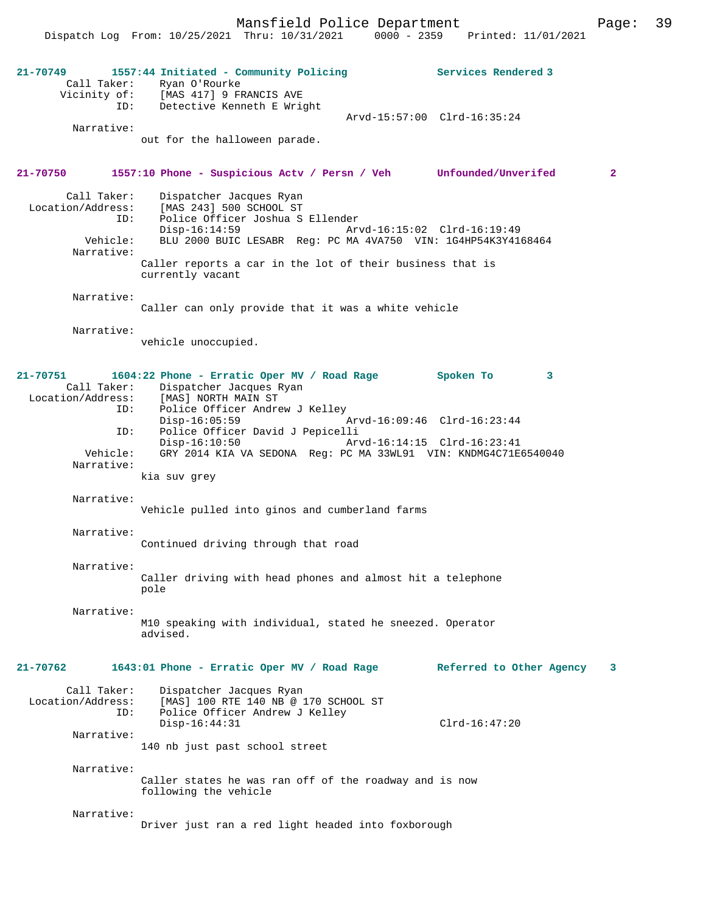Mansfield Police Department Fage: 39

Dispatch Log From: 10/25/2021 Thru: 10/31/2021 0000 - 2359 Printed: 11/01/2021

| 21-70749<br>ID:<br>Narrative:                                          | 1557:44 Initiated - Community Policing<br>Call Taker: Ryan O'Rourke<br>Vicinity of: [MAS 417] 9 FRANCIS AVE<br>Detective Kenneth E Wright<br>out for the halloween parade.                                                                                                                                  | Services Rendered 3<br>Arvd-15:57:00 Clrd-16:35:24 |                |
|------------------------------------------------------------------------|-------------------------------------------------------------------------------------------------------------------------------------------------------------------------------------------------------------------------------------------------------------------------------------------------------------|----------------------------------------------------|----------------|
| 21-70750                                                               | 1557:10 Phone - Suspicious Actv / Persn / Veh Unfounded/Unverifed                                                                                                                                                                                                                                           |                                                    | $\overline{2}$ |
| Call Taker:<br>Location/Address:<br>ID:<br>Vehicle:<br>Narrative:      | Dispatcher Jacques Ryan<br>[MAS 243] 500 SCHOOL ST<br>Police Officer Joshua S Ellender<br>$Disp-16:14:59$<br>Arvd-16:15:02 Clrd-16:19:49<br>BLU 2000 BUIC LESABR Req: PC MA 4VA750 VIN: 1G4HP54K3Y4168464                                                                                                   |                                                    |                |
|                                                                        | Caller reports a car in the lot of their business that is<br>currently vacant                                                                                                                                                                                                                               |                                                    |                |
| Narrative:                                                             | Caller can only provide that it was a white vehicle                                                                                                                                                                                                                                                         |                                                    |                |
| Narrative:                                                             | vehicle unoccupied.                                                                                                                                                                                                                                                                                         |                                                    |                |
| 21-70751<br>Call Taker:<br>Location/Address:<br>ID:<br>ID:<br>Vehicle: | 1604:22 Phone - Erratic Oper MV / Road Rage<br>Dispatcher Jacques Ryan<br>[MAS] NORTH MAIN ST<br>Police Officer Andrew J Kelley<br>$Disp-16:05:59$<br>Police Officer David J Pepicelli<br>$Disp-16:10:50$<br>Arvd-16:14:15 Clrd-16:23:41<br>GRY 2014 KIA VA SEDONA Reg: PC MA 33WL91 VIN: KNDMG4C71E6540040 | Spoken To<br>3<br>Arvd-16:09:46 Clrd-16:23:44      |                |
| Narrative:                                                             | kia suv grey                                                                                                                                                                                                                                                                                                |                                                    |                |
| Narrative:                                                             | Vehicle pulled into ginos and cumberland farms                                                                                                                                                                                                                                                              |                                                    |                |
| Narrative:                                                             | Continued driving through that road                                                                                                                                                                                                                                                                         |                                                    |                |
| Narrative:                                                             | Caller driving with head phones and almost hit a telephone<br>pole                                                                                                                                                                                                                                          |                                                    |                |
| Narrative:                                                             | M10 speaking with individual, stated he sneezed. Operator<br>advised.                                                                                                                                                                                                                                       |                                                    |                |
| 21-70762                                                               | 1643:01 Phone - Erratic Oper MV / Road Rage                                                                                                                                                                                                                                                                 | Referred to Other Agency                           | 3              |
| Call Taker:<br>Location/Address:<br>ID:<br>Narrative:                  | Dispatcher Jacques Ryan<br>[MAS] 100 RTE 140 NB @ 170 SCHOOL ST<br>Police Officer Andrew J Kelley<br>$Disp-16:44:31$                                                                                                                                                                                        | $Clrd-16:47:20$                                    |                |
| Narrative:                                                             | 140 nb just past school street                                                                                                                                                                                                                                                                              |                                                    |                |
|                                                                        | Caller states he was ran off of the roadway and is now<br>following the vehicle                                                                                                                                                                                                                             |                                                    |                |
| Narrative:                                                             | Driver just ran a red light headed into foxborough                                                                                                                                                                                                                                                          |                                                    |                |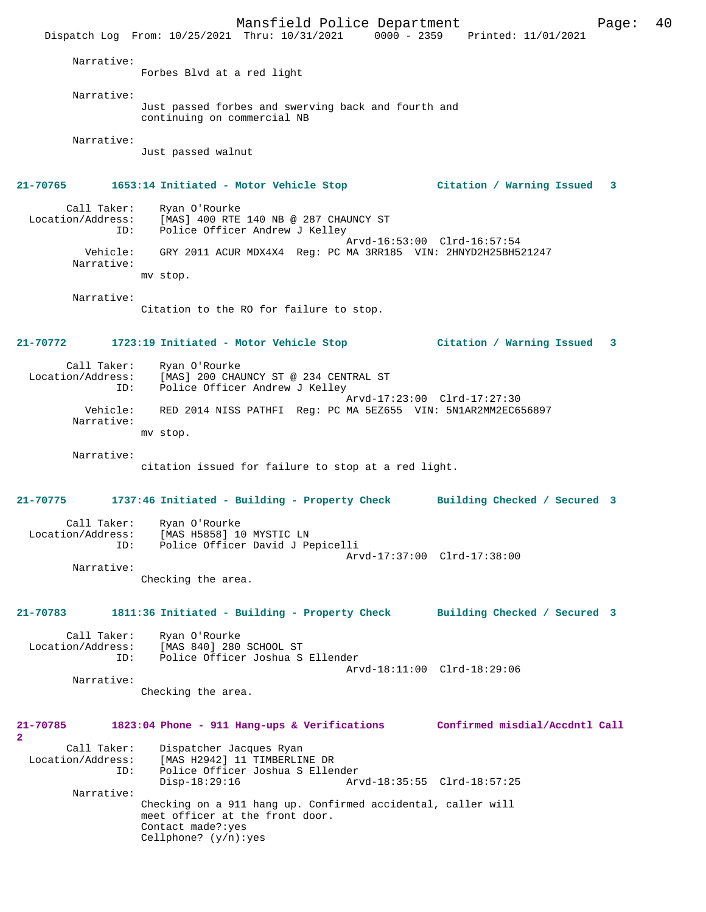Mansfield Police Department Form Page: 40 Dispatch Log From: 10/25/2021 Thru: 10/31/2021 0000 - 2359 Printed: 11/01/2021 Narrative: Forbes Blvd at a red light Narrative: Just passed forbes and swerving back and fourth and continuing on commercial NB Narrative: Just passed walnut **21-70765 1653:14 Initiated - Motor Vehicle Stop Citation / Warning Issued 3** Call Taker: Ryan O'Rourke<br>Location/Address: [MAS] 400 RTE Example 28 Address: [MAS] 400 RTE 140 NB @ 287 CHAUNCY ST<br>Lip: Police Officer Andrew J Kelley Police Officer Andrew J Kelley Arvd-16:53:00 Clrd-16:57:54 Vehicle: GRY 2011 ACUR MDX4X4 Reg: PC MA 3RR185 VIN: 2HNYD2H25BH521247 Narrative: mv stop. Narrative: Citation to the RO for failure to stop. **21-70772 1723:19 Initiated - Motor Vehicle Stop Citation / Warning Issued 3** Call Taker: Ryan O'Rourke<br>Location/Address: [MAS] 200 CHA [MAS] 200 CHAUNCY ST @ 234 CENTRAL ST ID: Police Officer Andrew J Kelley Arvd-17:23:00 Clrd-17:27:30 Vehicle: RED 2014 NISS PATHFI Reg: PC MA 5EZ655 VIN: 5N1AR2MM2EC656897 Narrative: mv stop. Narrative: citation issued for failure to stop at a red light. **21-70775 1737:46 Initiated - Building - Property Check Building Checked / Secured 3** Call Taker: Ryan O'Rourke<br>Location/Address: [MAS H5858] 10 [MAS H5858] 10 MYSTIC LN ID: Police Officer David J Pepicelli Arvd-17:37:00 Clrd-17:38:00 Narrative: Checking the area. **21-70783 1811:36 Initiated - Building - Property Check Building Checked / Secured 3** Call Taker: Ryan O'Rourke<br>Location/Address: [MAS 840] 280 Location/Address: [MAS 840] 280 SCHOOL ST ID: Police Officer Joshua S Ellender Arvd-18:11:00 Clrd-18:29:06 Narrative: Checking the area. **21-70785 1823:04 Phone - 911 Hang-ups & Verifications Confirmed misdial/Accdntl Call 2**  Call Taker: Dispatcher Jacques Ryan Location/Address: [MAS H2942] 11 TIMBERLINE DR ID: Police Officer Joshua S Ellender Disp-18:29:16 Arvd-18:35:55 Clrd-18:57:25 Narrative: Checking on a 911 hang up. Confirmed accidental, caller will meet officer at the front door. Contact made?:yes Cellphone? (y/n):yes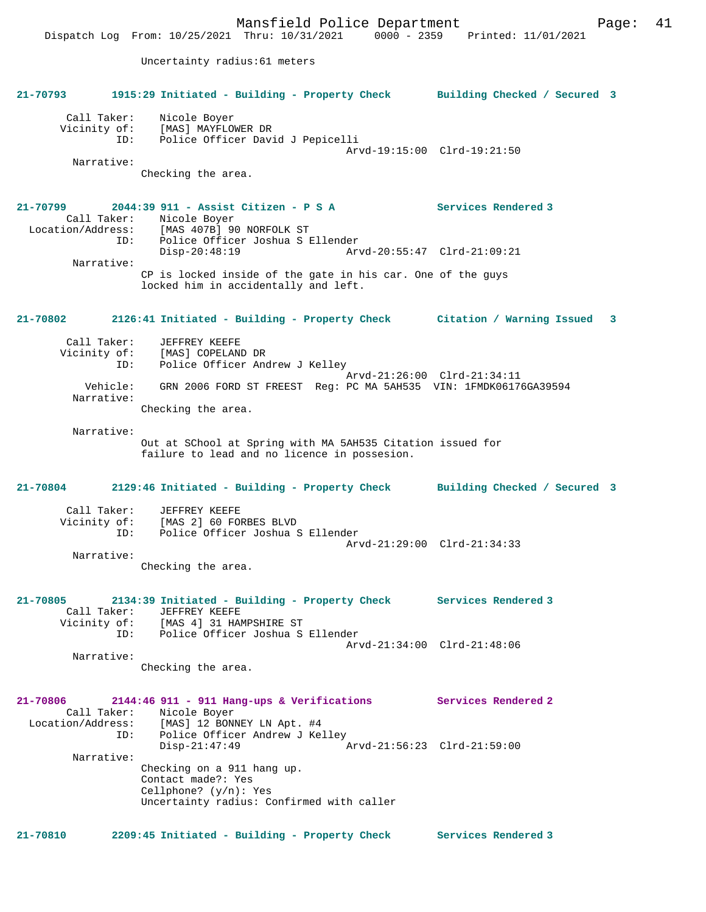**21-70793 1915:29 Initiated - Building - Property Check Building Checked / Secured 3** Call Taker: Nicole Boyer Vicinity of: [MAS] MAYFLOWER DR ID: Police Officer David J Pepicelli Arvd-19:15:00 Clrd-19:21:50 Narrative: Checking the area. **21-70799 2044:39 911 - Assist Citizen - P S A Services Rendered 3**  Call Taker: Nicole Boyer<br>ion/Address: [MAS 407P] 00 Location/Address: [MAS 407B] 90 NORFOLK ST ID: Police Officer Joshua S Ellender<br>Disp-20:48:19 Arv Disp-20:48:19 Arvd-20:55:47 Clrd-21:09:21 Narrative: CP is locked inside of the gate in his car. One of the guys locked him in accidentally and left. **21-70802 2126:41 Initiated - Building - Property Check Citation / Warning Issued 3** Call Taker: JEFFREY KEEFE Vicinity of: [MAS] COPELAND DR<br>ID: Police Officer And Police Officer Andrew J Kelley Arvd-21:26:00 Clrd-21:34:11<br>Vehicle: GRN 2006 FORD ST FREEST Reg: PC MA 5AH535 VIN: 1FMDK06176 GRN 2006 FORD ST FREEST Reg: PC MA 5AH535 VIN: 1FMDK06176GA39594 Narrative: Checking the area. Narrative: Out at SChool at Spring with MA 5AH535 Citation issued for failure to lead and no licence in possesion. **21-70804 2129:46 Initiated - Building - Property Check Building Checked / Secured 3** Call Taker: JEFFREY KEEFE Vicinity of: [MAS 2] 60 FORBES BLVD ID: Police Officer Joshua S Ellender

Uncertainty radius:61 meters

 Arvd-21:29:00 Clrd-21:34:33 Narrative: Checking the area.

**21-70805 2134:39 Initiated - Building - Property Check Services Rendered 3**  Call Taker: JEFFREY KEEFE<br>Vicinity of: [MAS 4] 31 HA of: [MAS 4] 31 HAMPSHIRE ST<br>ID: Police Officer Joshua S Police Officer Joshua S Ellender Arvd-21:34:00 Clrd-21:48:06 Narrative:

Checking the area.

**21-70806 2144:46 911 - 911 Hang-ups & Verifications Services Rendered 2**  Call Taker: Nicole Boyer<br>Location/Address: [MAS] 12 BONI Location/Address: [MAS] 12 BONNEY LN Apt. #4 ID: Police Officer Andrew J Kelley Disp-21:47:49 Arvd-21:56:23 Clrd-21:59:00 Narrative: Checking on a 911 hang up. Contact made?: Yes Cellphone? (y/n): Yes Uncertainty radius: Confirmed with caller

**21-70810 2209:45 Initiated - Building - Property Check Services Rendered 3**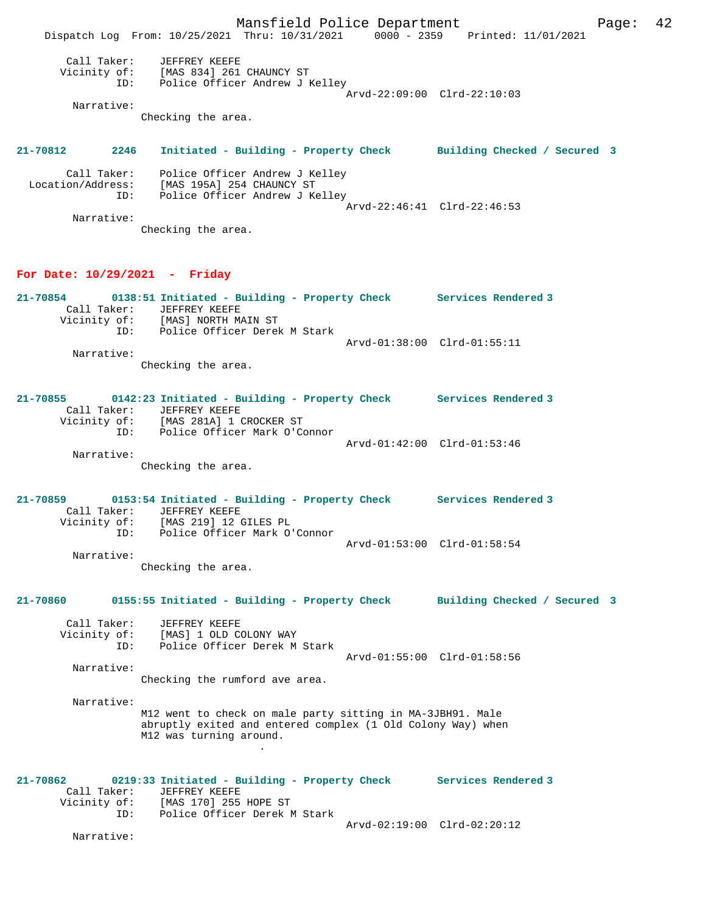Mansfield Police Department Page: 42 Dispatch Log From: 10/25/2021 Thru: 10/31/2021 0000 - 2359 Printed: 11/01/2021 Call Taker: JEFFREY KEEFE Vicinity of: [MAS 834] 261 CHAUNCY ST ID: Police Officer Andrew J Kelley Arvd-22:09:00 Clrd-22:10:03 Narrative: Checking the area. **21-70812 2246 Initiated - Building - Property Check Building Checked / Secured 3** Call Taker: Police Officer Andrew J Kelley Location/Address: [MAS 195A] 254 CHAUNCY ST ID: Police Officer Andrew J Kelley Arvd-22:46:41 Clrd-22:46:53 Narrative: Checking the area.

#### **For Date: 10/29/2021 - Friday**

| 21-70854 |              | 0138:51 Initiated - Building - Property Check |  |                             | Services Rendered 3 |
|----------|--------------|-----------------------------------------------|--|-----------------------------|---------------------|
|          | Call Taker:  | JEFFREY KEEFE                                 |  |                             |                     |
|          | Vicinity of: | [MAS] NORTH MAIN ST                           |  |                             |                     |
|          | TD:          | Police Officer Derek M Stark                  |  |                             |                     |
|          |              |                                               |  | Arvd-01:38:00 Clrd-01:55:11 |                     |
|          | Narrative:   |                                               |  |                             |                     |
|          |              | Checking the area.                            |  |                             |                     |

#### **21-70855 0142:23 Initiated - Building - Property Check Services Rendered 3**  Call Taker: JEFFREY KEEFE Vicinity of: [MAS 281A] 1 CROCKER ST ID: Police Officer Mark O'Connor Arvd-01:42:00 Clrd-01:53:46 Narrative:

Checking the area.

**21-70859 0153:54 Initiated - Building - Property Check Services Rendered 3**  Call Taker: JEFFREY KEEFE<br>Vicinity of: [MAS 219] 12 0 [MAS 219] 12 GILES PL ID: Police Officer Mark O'Connor Arvd-01:53:00 Clrd-01:58:54 Narrative:

Checking the area.

## **21-70860 0155:55 Initiated - Building - Property Check Building Checked / Secured 3**

 Call Taker: JEFFREY KEEFE Vicinity of: [MAS] 1 OLD COLONY WAY<br>ID: Police Officer Derek M Police Officer Derek M Stark Arvd-01:55:00 Clrd-01:58:56

Narrative:

Checking the rumford ave area.

Narrative:

M12 went to check on male party sitting in MA-3JBH91. Male abruptly exited and entered complex (1 Old Colony Way) when M12 was turning around. .

**21-70862 0219:33 Initiated - Building - Property Check Services Rendered 3**  Call Taker: JEFFREY KEEFE<br>Vicinity of: [MAS 170] 255 HOPE ST Vicinity of: [MAS 170] 255 HOPE ST ID: Police Officer Derek M Stark Arvd-02:19:00 Clrd-02:20:12

Narrative: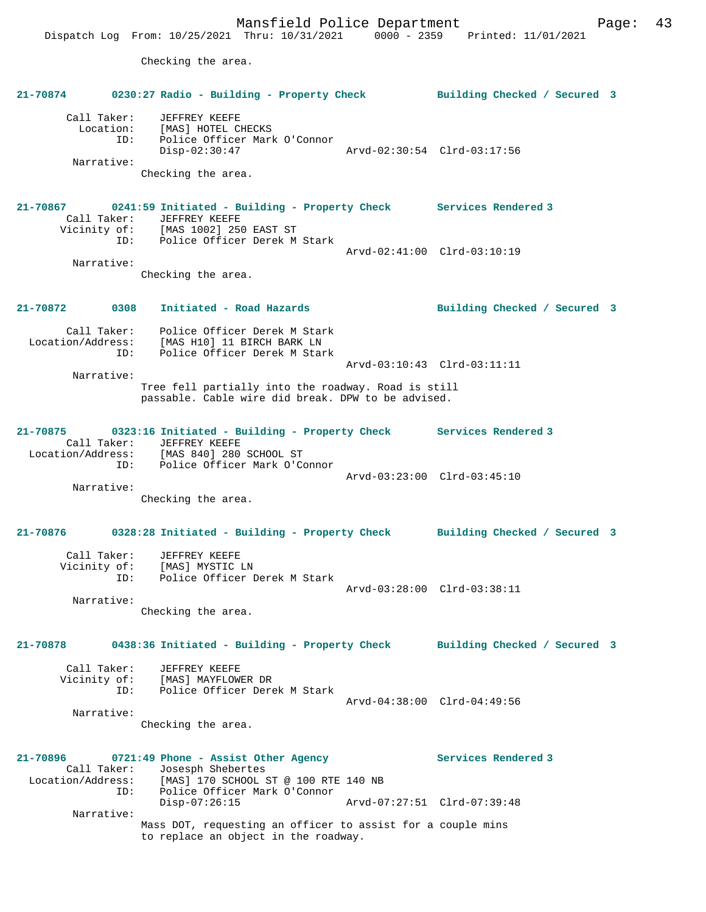Checking the area.

# **21-70874 0230:27 Radio - Building - Property Check Building Checked / Secured 3** Call Taker: JEFFREY KEEFE Location: [MAS] HOTEL CHECKS ID: Police Officer Mark O'Connor Disp-02:30:47 Arvd-02:30:54 Clrd-03:17:56 Narrative: Checking the area. **21-70867 0241:59 Initiated - Building - Property Check Services Rendered 3**  Call Taker: JEFFREY KEEFE Vicinity of: [MAS 1002] 250 EAST ST ID: Police Officer Derek M Stark Arvd-02:41:00 Clrd-03:10:19 Narrative: Checking the area. **21-70872 0308 Initiated - Road Hazards Building Checked / Secured 3** Call Taker: Police Officer Derek M Stark Location/Address: [MAS H10] 11 BIRCH BARK LN ID: Police Officer Derek M Stark Arvd-03:10:43 Clrd-03:11:11 Narrative: Tree fell partially into the roadway. Road is still passable. Cable wire did break. DPW to be advised. **21-70875 0323:16 Initiated - Building - Property Check Services Rendered 3**  Call Taker: JEFFREY KEEFE Location/Address: [MAS 840] 280 SCHOOL ST ID: Police Officer Mark O'Connor Arvd-03:23:00 Clrd-03:45:10 Narrative: Checking the area. **21-70876 0328:28 Initiated - Building - Property Check Building Checked / Secured 3** Call Taker: JEFFREY KEEFE Vicinity of: [MAS] MYSTIC LN ID: Police Officer Derek M Stark Arvd-03:28:00 Clrd-03:38:11 Narrative: Checking the area. **21-70878 0438:36 Initiated - Building - Property Check Building Checked / Secured 3** Call Taker: JEFFREY KEEFE Vicinity of: [MAS] MAYFLOWER DR ID: Police Officer Derek M Stark Arvd-04:38:00 Clrd-04:49:56 Narrative: Checking the area. **21-70896 0721:49 Phone - Assist Other Agency Services Rendered 3**  Call Taker: Josesph Shebertes<br>: Location/Address: [MAS] 170 SCHOOL : [MAS] 170 SCHOOL ST @ 100 RTE 140 NB ID: Police Officer Mark O'Connor Disp-07:26:15 Arvd-07:27:51 Clrd-07:39:48 Narrative: Mass DOT, requesting an officer to assist for a couple mins to replace an object in the roadway.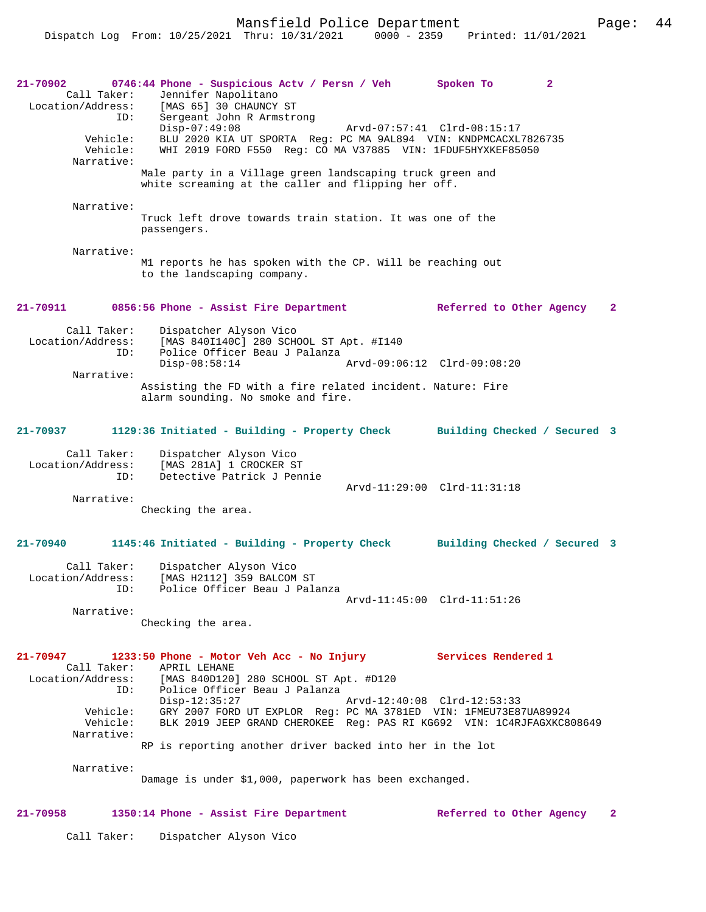Mansfield Police Department Page: 44

**21-70902 0746:44 Phone - Suspicious Actv / Persn / Veh Spoken To 2**  Call Taker: Jennifer Napolitano<br>Location/Address: [MAS 65] 30 CHAUNCY [MAS 65] 30 CHAUNCY ST ID: Sergeant John R Armstrong Disp-07:49:08 Arvd-07:57:41 Clrd-08:15:17 Vehicle: BLU 2020 KIA UT SPORTA Reg: PC MA 9AL894 VIN: KNDPMCACXL7826735 Vehicle: WHI 2019 FORD F550 Reg: CO MA V37885 VIN: 1FDUF5HYXKEF85050 Narrative: Male party in a Village green landscaping truck green and white screaming at the caller and flipping her off. Narrative: Truck left drove towards train station. It was one of the passengers. Narrative: M1 reports he has spoken with the CP. Will be reaching out to the landscaping company. **21-70911 0856:56 Phone - Assist Fire Department Referred to Other Agency 2** Call Taker: Dispatcher Alyson Vico Location/Address: [MAS 840I140C] 280 SCHOOL ST Apt. #I140<br>ID: Police Officer Beau J Palanza Police Officer Beau J Palanza<br>Disp-08:58:14 Disp-08:58:14 Arvd-09:06:12 Clrd-09:08:20 Narrative: Assisting the FD with a fire related incident. Nature: Fire alarm sounding. No smoke and fire. **21-70937 1129:36 Initiated - Building - Property Check Building Checked / Secured 3** Call Taker: Dispatcher Alyson Vico Location/Address: [MAS 281A] 1 CROCKER ST ID: Detective Patrick J Pennie Arvd-11:29:00 Clrd-11:31:18 Narrative: Checking the area. **21-70940 1145:46 Initiated - Building - Property Check Building Checked / Secured 3** Call Taker: Dispatcher Alyson Vico Location/Address: [MAS H2112] 359 BALCOM ST ID: Police Officer Beau J Palanza Arvd-11:45:00 Clrd-11:51:26 Narrative: Checking the area. **21-70947 1233:50 Phone - Motor Veh Acc - No Injury Services Rendered 1**  Call Taker: APRIL LEHANE<br>Location/Address: [MAS 840D120] [MAS 840D120] 280 SCHOOL ST Apt. #D120 ID: Police Officer Beau J Palanza Disp-12:35:27 Arvd-12:40:08 Clrd-12:53:33<br>Vehicle: GRY 2007 FORD UT EXPLOR Reg: PC MA 3781ED VIN: 1FMEU73E8 Vehicle: GRY 2007 FORD UT EXPLOR Reg: PC MA 3781ED VIN: 1FMEU73E87UA89924 BLK 2019 JEEP GRAND CHEROKEE Reg: PAS RI KG692 VIN: 1C4RJFAGXKC808649 Narrative: RP is reporting another driver backed into her in the lot Narrative: Damage is under \$1,000, paperwork has been exchanged. **21-70958 1350:14 Phone - Assist Fire Department Referred to Other Agency 2**

Call Taker: Dispatcher Alyson Vico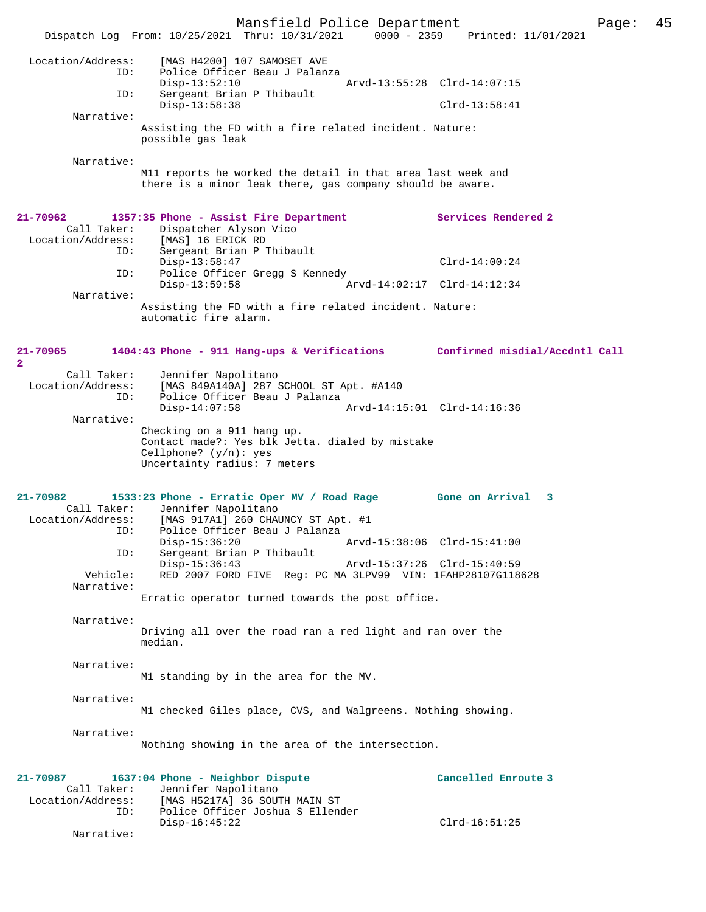Mansfield Police Department Page: 45 Dispatch Log From: 10/25/2021 Thru: 10/31/2021 0000 - 2359 Location/Address: [MAS H4200] 107 SAMOSET AVE ID: Police Officer Beau J Palanza Disp-13:52:10 Arvd-13:55:28 Clrd-14:07:15<br>ID: Sergeant Brian P Thibault Sergeant Brian P Thibault Disp-13:58:38 Clrd-13:58:41 Narrative: Assisting the FD with a fire related incident. Nature: possible gas leak Narrative: M11 reports he worked the detail in that area last week and there is a minor leak there, gas company should be aware. **21-70962 1357:35 Phone - Assist Fire Department Services Rendered 2**  Call Taker: Dispatcher Alyson Vico<br>ion/Address: [MAS] 16 ERICK RD Location/Address:<br>ID: Sergeant Brian P Thibault Disp-13:58:47 Clrd-14:00:24<br>ID: Police Officer Gregg S Kennedy Police Officer Gregg S Kennedy<br>Disp-13:59:58 A Arvd-14:02:17 Clrd-14:12:34 Narrative: Assisting the FD with a fire related incident. Nature: automatic fire alarm. **21-70965 1404:43 Phone - 911 Hang-ups & Verifications Confirmed misdial/Accdntl Call 2**  Call Taker: Jennifer Napolitano<br>Location/Address: [MAS 849A140A] 287 9 [MAS 849A140A] 287 SCHOOL ST Apt. #A140 ID: Police Officer Beau J Palanza Disp-14:07:58 Arvd-14:15:01 Clrd-14:16:36 Narrative: Checking on a 911 hang up. Contact made?: Yes blk Jetta. dialed by mistake Cellphone? (y/n): yes Uncertainty radius: 7 meters **21-70982 1533:23 Phone - Erratic Oper MV / Road Rage Gone on Arrival 3**  Call Taker: Jennifer Napolitano<br>Location/Address: [MAS 917A1] 260 CHAD [MAS 917A1] 260 CHAUNCY ST Apt. #1 ID: Police Officer Beau J Palanza Disp-15:36:20 Arvd-15:38:06 Clrd-15:41:00<br>ID: Sergeant Brian P Thibault Sergeant Brian P Thibault<br>Disp-15:36:43 Disp-15:36:43 Arvd-15:37:26 Clrd-15:40:59<br>Vehicle: RED 2007 FORD FIVE Reg: PC MA 3LPV99 VIN: 1FAHP28107G118 RED 2007 FORD FIVE Reg: PC MA 3LPV99 VIN: 1FAHP28107G118628 Narrative: Erratic operator turned towards the post office. Narrative: Driving all over the road ran a red light and ran over the median. Narrative: M1 standing by in the area for the MV. Narrative: M1 checked Giles place, CVS, and Walgreens. Nothing showing. Narrative: Nothing showing in the area of the intersection. **21-70987 1637:04 Phone - Neighbor Dispute Cancelled Enroute 3**  Call Taker: Jennifer Napolitano<br>Location/Address: [MAS H5217A] 36 SOU [MAS H5217A] 36 SOUTH MAIN ST ID: Police Officer Joshua S Ellender Disp-16:45:22 Clrd-16:51:25 Narrative: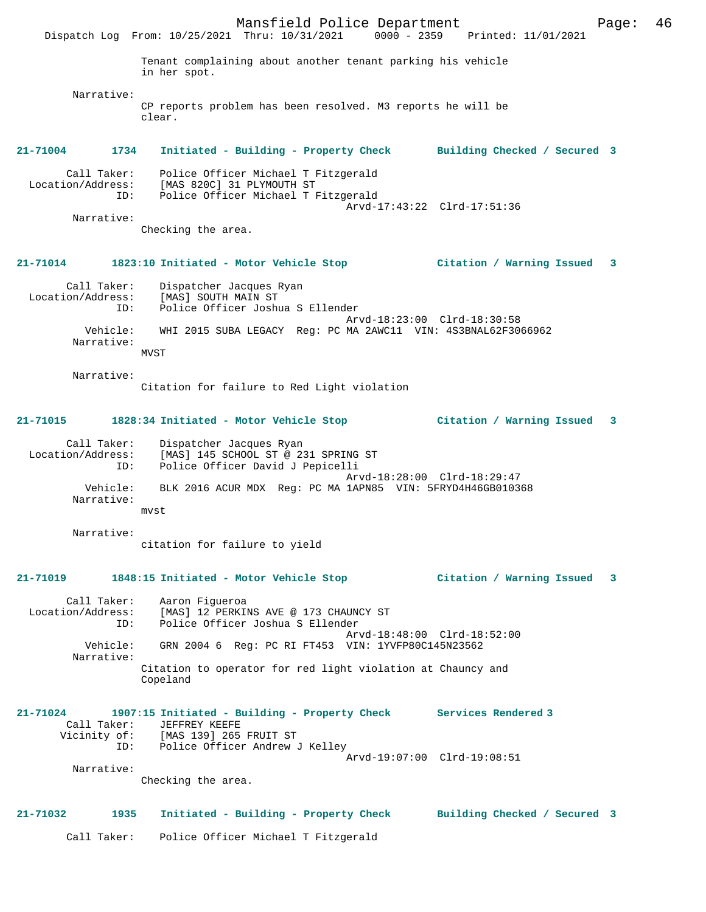Mansfield Police Department Page: 46 Dispatch Log From: 10/25/2021 Thru: 10/31/2021 0000 - 2359 Printed: 11/01/2021 Tenant complaining about another tenant parking his vehicle in her spot. Narrative: CP reports problem has been resolved. M3 reports he will be clear. **21-71004 1734 Initiated - Building - Property Check Building Checked / Secured 3** Call Taker: Police Officer Michael T Fitzgerald Location/Address: [MAS 820C] 31 PLYMOUTH ST ID: Police Officer Michael T Fitzgerald Arvd-17:43:22 Clrd-17:51:36 Narrative: Checking the area. **21-71014 1823:10 Initiated - Motor Vehicle Stop Citation / Warning Issued 3** Call Taker: Dispatcher Jacques Ryan Location/Address: [MAS] SOUTH MAIN ST ID: Police Officer Joshua S Ellender Arvd-18:23:00 Clrd-18:30:58 Vehicle: WHI 2015 SUBA LEGACY Reg: PC MA 2AWC11 VIN: 4S3BNAL62F3066962 Narrative: MVST Narrative: Citation for failure to Red Light violation **21-71015 1828:34 Initiated - Motor Vehicle Stop Citation / Warning Issued 3** Call Taker: Dispatcher Jacques Ryan Location/Address: [MAS] 145 SCHOOL ST @ 231 SPRING ST ID: Police Officer David J Pepicelli Arvd-18:28:00 Clrd-18:29:47 Vehicle: BLK 2016 ACUR MDX Reg: PC MA 1APN85 VIN: 5FRYD4H46GB010368 Narrative: mvst Narrative: citation for failure to yield **21-71019 1848:15 Initiated - Motor Vehicle Stop Citation / Warning Issued 3** Call Taker: Aaron Figueroa Location/Address: [MAS] 12 PERKINS AVE @ 173 CHAUNCY ST ID: Police Officer Joshua S Ellender Arvd-18:48:00 Clrd-18:52:00 Vehicle: GRN 2004 6 Reg: PC RI FT453 VIN: 1YVFP80C145N23562 Narrative: Citation to operator for red light violation at Chauncy and Copeland **21-71024 1907:15 Initiated - Building - Property Check Services Rendered 3**  Call Taker: JEFFREY KEEFE Vicinity of: [MAS 139] 265 FRUIT ST ID: Police Officer Andrew J Kelley Arvd-19:07:00 Clrd-19:08:51 Narrative: Checking the area. **21-71032 1935 Initiated - Building - Property Check Building Checked / Secured 3** Call Taker: Police Officer Michael T Fitzgerald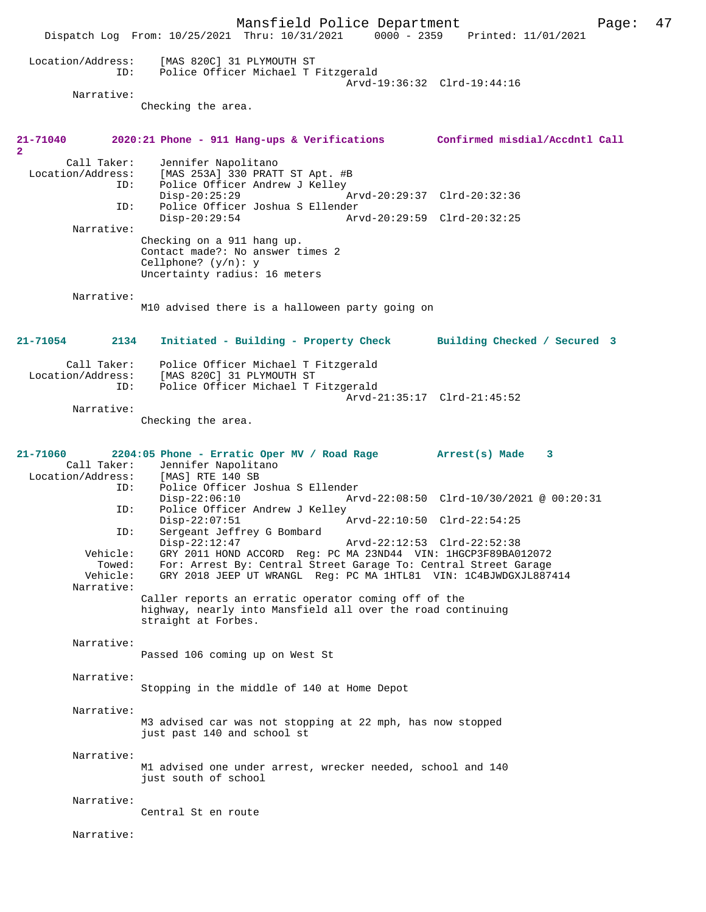Mansfield Police Department Page: 47 Dispatch Log From: 10/25/2021 Thru: 10/31/2021 Location/Address: [MAS 820C] 31 PLYMOUTH ST ID: Police Officer Michael T Fitzgerald Arvd-19:36:32 Clrd-19:44:16 Narrative: Checking the area. **21-71040 2020:21 Phone - 911 Hang-ups & Verifications Confirmed misdial/Accdntl Call 2**  Call Taker: Jennifer Napolitano<br>Location/Address: [MAS 253A] 330 PRAT ess: [MAS 253A] 330 PRATT ST Apt. #B<br>ID: Police Officer Andrew J Kelley Police Officer Andrew J Kelley<br>Disp-20:25:29 Disp-20:25:29 Arvd-20:29:37 Clrd-20:32:36<br>ID: Police Officer Joshua S Ellender Police Officer Joshua S Ellender Disp-20:29:54 Arvd-20:29:59 Clrd-20:32:25 Narrative: Checking on a 911 hang up. Contact made?: No answer times 2 Cellphone? (y/n): y Uncertainty radius: 16 meters Narrative: M10 advised there is a halloween party going on **21-71054 2134 Initiated - Building - Property Check Building Checked / Secured 3** Call Taker: Police Officer Michael T Fitzgerald Location/Address: [MAS 820C] 31 PLYMOUTH ST Police Officer Michael T Fitzgerald Arvd-21:35:17 Clrd-21:45:52 Narrative: Checking the area. **21-71060 2204:05 Phone - Erratic Oper MV / Road Rage Arrest(s) Made 3**  Call Taker: Jennifer Napolitano Location/Address: [MAS] RTE 140 SB<br>ID: Police Officer Jo Police Officer Joshua S Ellender<br>Disp-22:06:10 Arv Disp-22:06:10 <br>D: Police Officer Andrew J Kelley<br>D: Police Officer Andrew J Kelley ID: Police Officer Andrew J Kelley Arvd-22:10:50 Clrd-22:54:25 ID: Sergeant Jeffrey G Bombard<br>Disp-22:12:47 Disp-22:12:47 Arvd-22:12:53 Clrd-22:52:38 Vehicle: GRY 2011 HOND ACCORD Reg: PC MA 23ND44 VIN: 1HGCP3F89BA012072 Towed: For: Arrest By: Central Street Garage To: Central Street Garage GRY 2018 JEEP UT WRANGL Reg: PC MA 1HTL81 VIN: 1C4BJWDGXJL887414 Narrative: Caller reports an erratic operator coming off of the highway, nearly into Mansfield all over the road continuing straight at Forbes. Narrative: Passed 106 coming up on West St Narrative: Stopping in the middle of 140 at Home Depot Narrative: M3 advised car was not stopping at 22 mph, has now stopped just past 140 and school st Narrative: M1 advised one under arrest, wrecker needed, school and 140 just south of school Narrative: Central St en route Narrative: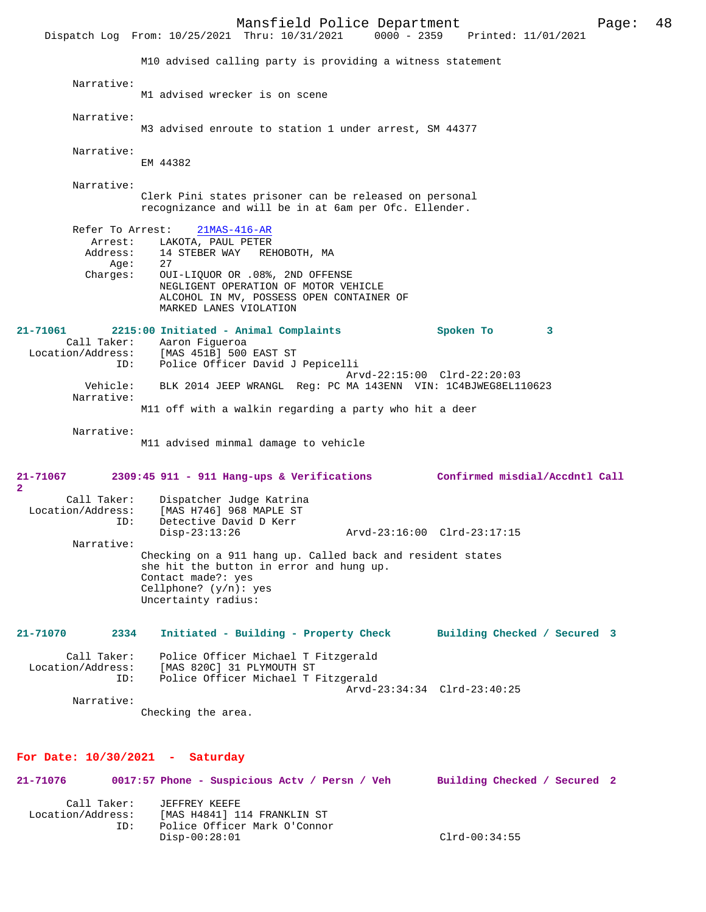Mansfield Police Department Page: 48 Dispatch Log From: 10/25/2021 Thru: 10/31/2021 M10 advised calling party is providing a witness statement Narrative: M1 advised wrecker is on scene Narrative: M3 advised enroute to station 1 under arrest, SM 44377 Narrative: EM 44382 Narrative: Clerk Pini states prisoner can be released on personal recognizance and will be in at 6am per Ofc. Ellender. Refer To Arrest: 21MAS-416-AR Arrest: LAKOTA, PAUL PETER<br>Address: 14 STEBER WAY REL 14 STEBER WAY REHOBOTH, MA Age: 27<br>Charges: 0U OUI-LIQUOR OR .08%, 2ND OFFENSE NEGLIGENT OPERATION OF MOTOR VEHICLE ALCOHOL IN MV, POSSESS OPEN CONTAINER OF MARKED LANES VIOLATION **21-71061 2215:00 Initiated - Animal Complaints Spoken To 3**  Call Taker: Aaron Figueroa<br>Location/Address: [MAS 451B] 500 [MAS 451B] 500 EAST ST ID: Police Officer David J Pepicelli Arvd-22:15:00 Clrd-22:20:03<br>Vehicle: BLK 2014 JEEP WRANGL Reg: PC MA 143ENN VIN: 1C4BJWEG8EL1 BLK 2014 JEEP WRANGL Reg: PC MA 143ENN VIN: 1C4BJWEG8EL110623 Narrative: M11 off with a walkin regarding a party who hit a deer Narrative: M11 advised minmal damage to vehicle **21-71067 2309:45 911 - 911 Hang-ups & Verifications Confirmed misdial/Accdntl Call 2**  Call Taker: Dispatcher Judge Katrina<br>Location/Address: [MAS H746] 968 MAPLE ST ess: [MAS H746] 968 MAPLE ST<br>ID: Detective David D Kerr Detective David D Kerr<br>Disp-23:13:26 Disp-23:13:26 Arvd-23:16:00 Clrd-23:17:15 Narrative: Checking on a 911 hang up. Called back and resident states she hit the button in error and hung up. Contact made?: yes Cellphone? (y/n): yes Uncertainty radius: **21-71070 2334 Initiated - Building - Property Check Building Checked / Secured 3** Call Taker: Police Officer Michael T Fitzgerald Location/Address: [MAS 820C] 31 PLYMOUTH ST<br>ID: Police Officer Michael T I Police Officer Michael T Fitzgerald Arvd-23:34:34 Clrd-23:40:25 Narrative: Checking the area. **For Date: 10/30/2021 - Saturday 21-71076 0017:57 Phone - Suspicious Actv / Persn / Veh Building Checked / Secured 2** Call Taker: JEFFREY KEEFE<br>Location/Address: [MAS H4841] 1

Disp-00:28:01 Clrd-00:34:55

[MAS H4841] 114 FRANKLIN ST ID: Police Officer Mark O'Connor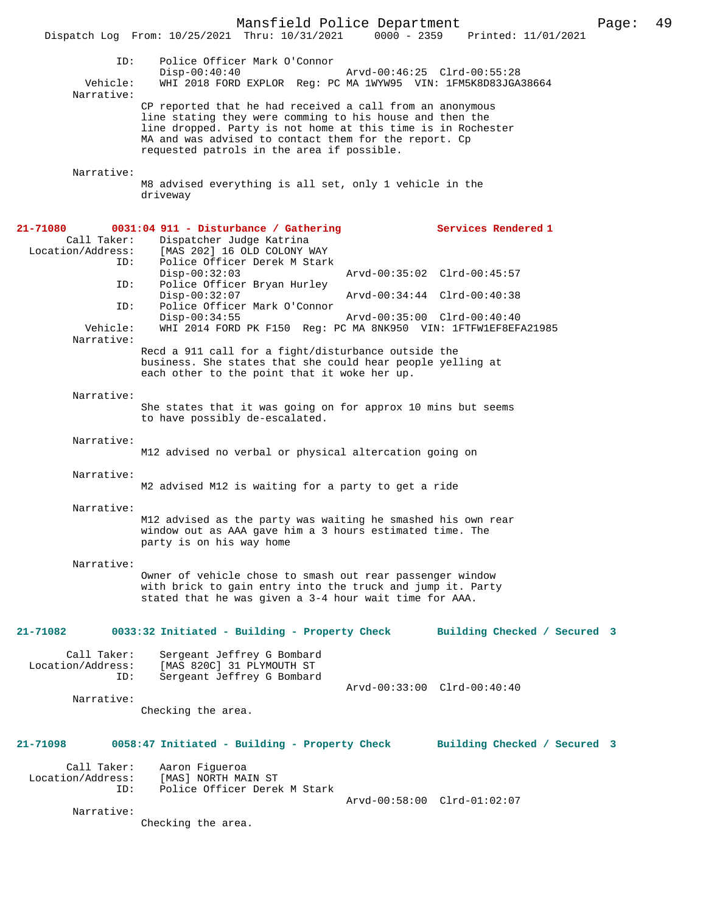|                                              | Mansfield Police Department<br>Dispatch Log From: 10/25/2021 Thru: 10/31/2021 0000 - 2359 Printed: 11/01/2021                                                                                                                                                                                |                              | Page: | 49 |
|----------------------------------------------|----------------------------------------------------------------------------------------------------------------------------------------------------------------------------------------------------------------------------------------------------------------------------------------------|------------------------------|-------|----|
| ID:<br>Vehicle:<br>Narrative:                | Police Officer Mark O'Connor<br>$Disp-00:40:40$<br>WHI 2018 FORD EXPLOR Req: PC MA 1WYW95 VIN: 1FM5K8D83JGA38664                                                                                                                                                                             | Arvd-00:46:25 Clrd-00:55:28  |       |    |
|                                              | CP reported that he had received a call from an anonymous<br>line stating they were comming to his house and then the<br>line dropped. Party is not home at this time is in Rochester<br>MA and was advised to contact them for the report. Cp<br>requested patrols in the area if possible. |                              |       |    |
| Narrative:                                   | M8 advised everything is all set, only 1 vehicle in the<br>driveway                                                                                                                                                                                                                          |                              |       |    |
| 21-71080<br>Call Taker:<br>Location/Address: | 0031:04 911 - Disturbance / Gathering<br>Dispatcher Judge Katrina<br>[MAS 202] 16 OLD COLONY WAY                                                                                                                                                                                             | Services Rendered 1          |       |    |
| ID:                                          | Police Officer Derek M Stark<br>$Disp-00:32:03$                                                                                                                                                                                                                                              | Arvd-00:35:02 Clrd-00:45:57  |       |    |
| ID:                                          | Police Officer Bryan Hurley<br>$Disp-00:32:07$                                                                                                                                                                                                                                               | Arvd-00:34:44 Clrd-00:40:38  |       |    |
| ID:                                          | Police Officer Mark O'Connor                                                                                                                                                                                                                                                                 |                              |       |    |
| Vehicle:                                     | $Disp-00:34:55$<br>WHI 2014 FORD PK F150 Req: PC MA 8NK950 VIN: 1FTFW1EF8EFA21985                                                                                                                                                                                                            | Arvd-00:35:00 Clrd-00:40:40  |       |    |
| Narrative:                                   | Recd a 911 call for a fight/disturbance outside the                                                                                                                                                                                                                                          |                              |       |    |
|                                              | business. She states that she could hear people yelling at<br>each other to the point that it woke her up.                                                                                                                                                                                   |                              |       |    |
| Narrative:                                   | She states that it was going on for approx 10 mins but seems<br>to have possibly de-escalated.                                                                                                                                                                                               |                              |       |    |
| Narrative:                                   | M12 advised no verbal or physical altercation going on                                                                                                                                                                                                                                       |                              |       |    |
| Narrative:                                   | M2 advised M12 is waiting for a party to get a ride                                                                                                                                                                                                                                          |                              |       |    |
| Narrative:                                   | M12 advised as the party was waiting he smashed his own rear<br>window out as AAA gave him a 3 hours estimated time. The<br>party is on his way home                                                                                                                                         |                              |       |    |
| Narrative:                                   | Owner of vehicle chose to smash out rear passenger window<br>with brick to gain entry into the truck and jump it. Party<br>stated that he was given a 3-4 hour wait time for AAA.                                                                                                            |                              |       |    |
| 21-71082                                     | 0033:32 Initiated - Building - Property Check                                                                                                                                                                                                                                                | Building Checked / Secured 3 |       |    |
| Call Taker:<br>Location/Address:<br>ID:      | Sergeant Jeffrey G Bombard<br>[MAS 820C] 31 PLYMOUTH ST<br>Sergeant Jeffrey G Bombard                                                                                                                                                                                                        |                              |       |    |
| Narrative:                                   | Checking the area.                                                                                                                                                                                                                                                                           | Arvd-00:33:00 Clrd-00:40:40  |       |    |
| 21-71098                                     | 0058:47 Initiated - Building - Property Check                                                                                                                                                                                                                                                | Building Checked / Secured 3 |       |    |
| Call Taker:<br>Location/Address:<br>ID:      | Aaron Figueroa<br>[MAS] NORTH MAIN ST<br>Police Officer Derek M Stark                                                                                                                                                                                                                        |                              |       |    |
| Narrative:                                   |                                                                                                                                                                                                                                                                                              | Arvd-00:58:00 Clrd-01:02:07  |       |    |
|                                              | Checking the area.                                                                                                                                                                                                                                                                           |                              |       |    |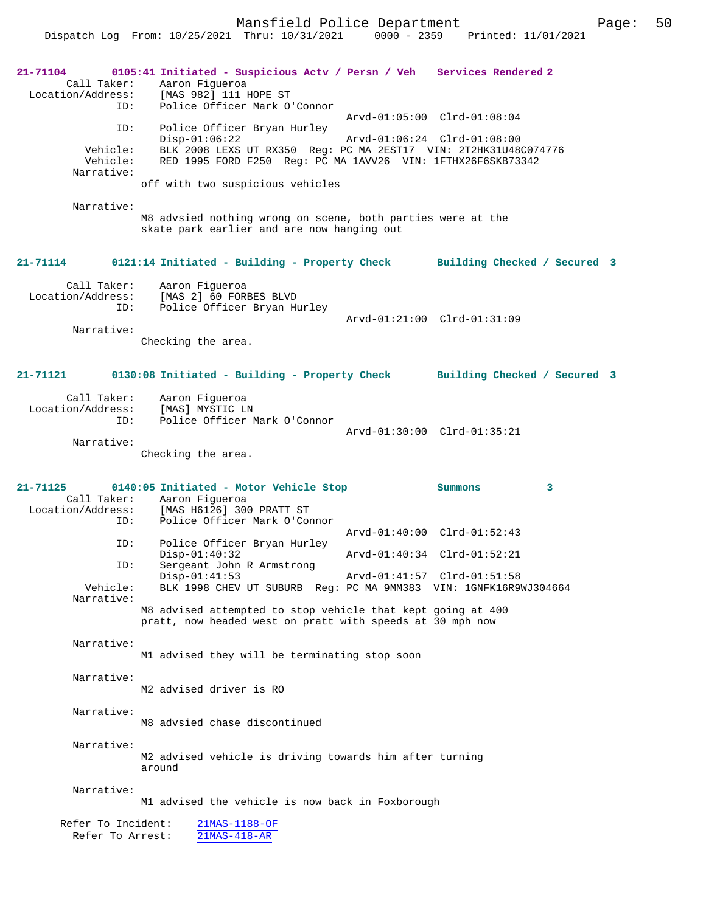Mansfield Police Department Fage: 50

Dispatch Log From: 10/25/2021 Thru: 10/31/2021 0000 - 2359 Printed: 11/01/2021

| $21 - 71104$<br>ID:<br>ID:<br>Vehicle:<br>Vehicle:<br>Narrative:<br>Narrative: | 0105:41 Initiated - Suspicious Actv / Persn / Veh Services Rendered 2<br>Call Taker: Aaron Fiqueroa<br>Location/Address: [MAS 982] 111 HOPE ST<br>Police Officer Mark O'Connor<br>Police Officer Bryan Hurley<br>$Disp-01:06:22$<br>BLK 2008 LEXS UT RX350 Reg: PC MA 2EST17 VIN: 2T2HK31U48C074776<br>RED 1995 FORD F250 Req: PC MA 1AVV26 VIN: 1FTHX26F6SKB73342<br>off with two suspicious vehicles<br>M8 advsied nothing wrong on scene, both parties were at the<br>skate park earlier and are now hanging out | Arvd-01:05:00 Clrd-01:08:04<br>Arvd-01:06:24 Clrd-01:08:00 |  |
|--------------------------------------------------------------------------------|---------------------------------------------------------------------------------------------------------------------------------------------------------------------------------------------------------------------------------------------------------------------------------------------------------------------------------------------------------------------------------------------------------------------------------------------------------------------------------------------------------------------|------------------------------------------------------------|--|
| 21-71114                                                                       | 0121:14 Initiated - Building - Property Check                                                                                                                                                                                                                                                                                                                                                                                                                                                                       | Building Checked / Secured 3                               |  |
| Call Taker:<br>Location/Address:<br>ID:<br>Narrative:                          | Aaron Fiqueroa<br>[MAS 2] 60 FORBES BLVD<br>Police Officer Bryan Hurley<br>Checking the area.                                                                                                                                                                                                                                                                                                                                                                                                                       | Arvd-01:21:00 Clrd-01:31:09                                |  |
|                                                                                |                                                                                                                                                                                                                                                                                                                                                                                                                                                                                                                     |                                                            |  |
| 21-71121                                                                       | 0130:08 Initiated - Building - Property Check                                                                                                                                                                                                                                                                                                                                                                                                                                                                       | Building Checked / Secured 3                               |  |
| Call Taker:<br>Location/Address:<br>ID:<br>Narrative:                          | Aaron Figueroa<br>[MAS] MYSTIC LN<br>Police Officer Mark O'Connor<br>Checking the area.                                                                                                                                                                                                                                                                                                                                                                                                                             | Arvd-01:30:00 Clrd-01:35:21                                |  |
| 21-71125                                                                       | 0140:05 Initiated - Motor Vehicle Stop                                                                                                                                                                                                                                                                                                                                                                                                                                                                              | 3<br>Summons                                               |  |
| ID:                                                                            | Call Taker: Aaron Figueroa<br>Location/Address: [MAS H6126] 300 PRATT ST<br>Police Officer Mark O'Connor                                                                                                                                                                                                                                                                                                                                                                                                            | Arvd-01:40:00 Clrd-01:52:43                                |  |
| ID:                                                                            | Police Officer Bryan Hurley<br>$Disp-01:40:32$                                                                                                                                                                                                                                                                                                                                                                                                                                                                      | Arvd-01:40:34 Clrd-01:52:21                                |  |
| ID:<br>Vehicle:                                                                | Sergeant John R Armstrong<br>$Disp-01:41:53$<br>BLK 1998 CHEV UT SUBURB Reg: PC MA 9MM383 VIN: 1GNFK16R9WJ304664                                                                                                                                                                                                                                                                                                                                                                                                    | Arvd-01:41:57 Clrd-01:51:58                                |  |
| Narrative:                                                                     | M8 advised attempted to stop vehicle that kept going at 400<br>pratt, now headed west on pratt with speeds at 30 mph now                                                                                                                                                                                                                                                                                                                                                                                            |                                                            |  |
| Narrative:                                                                     | M1 advised they will be terminating stop soon                                                                                                                                                                                                                                                                                                                                                                                                                                                                       |                                                            |  |
| Narrative:                                                                     | M2 advised driver is RO                                                                                                                                                                                                                                                                                                                                                                                                                                                                                             |                                                            |  |
| Narrative:                                                                     | M8 advsied chase discontinued                                                                                                                                                                                                                                                                                                                                                                                                                                                                                       |                                                            |  |
| Narrative:                                                                     | M2 advised vehicle is driving towards him after turning<br>around                                                                                                                                                                                                                                                                                                                                                                                                                                                   |                                                            |  |
| Narrative:                                                                     | M1 advised the vehicle is now back in Foxborough                                                                                                                                                                                                                                                                                                                                                                                                                                                                    |                                                            |  |
| Refer To Incident:<br>Refer To Arrest:                                         | $21MAS-1188-OF$<br>21MAS-418-AR                                                                                                                                                                                                                                                                                                                                                                                                                                                                                     |                                                            |  |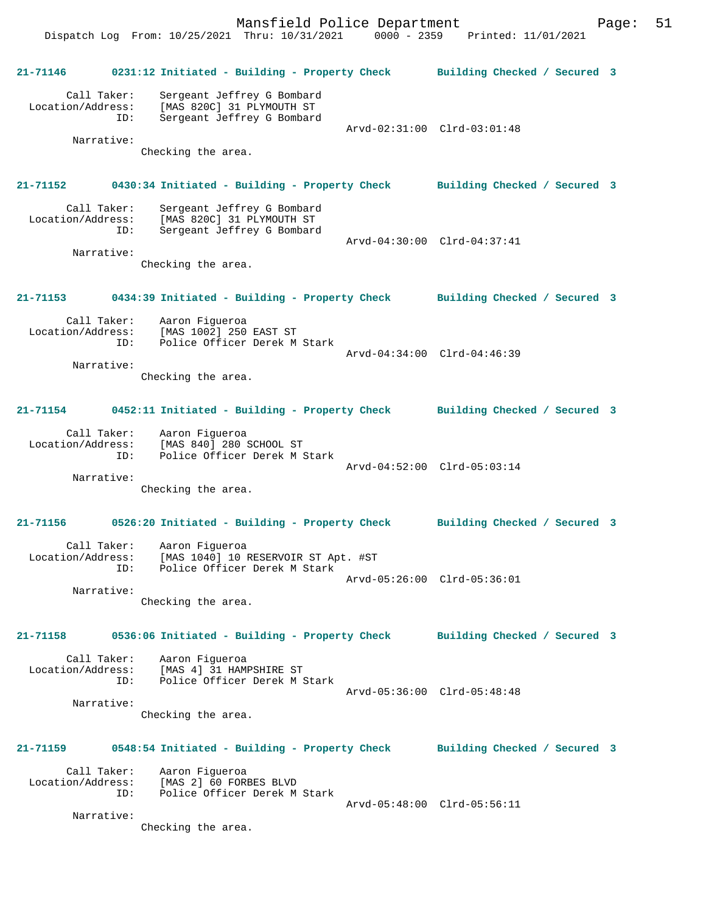Mansfield Police Department Form Page: 51 Dispatch Log From: 10/25/2021 Thru: 10/31/2021 0000 - 2359 Printed: 11/01/2021

**21-71146 0231:12 Initiated - Building - Property Check Building Checked / Secured 3**

 Call Taker: Sergeant Jeffrey G Bombard Location/Address: [MAS 820C] 31 PLYMOUTH ST ID: Sergeant Jeffrey G Bombard

Narrative:

Arvd-02:31:00 Clrd-03:01:48

Checking the area.

#### **21-71152 0430:34 Initiated - Building - Property Check Building Checked / Secured 3**

| Call Taker:<br>Location/Address:<br>ID: | Sergeant Jeffrey G Bombard<br>[MAS 820C] 31 PLYMOUTH ST<br>Sergeant Jeffrey G Bombard |                             |  |
|-----------------------------------------|---------------------------------------------------------------------------------------|-----------------------------|--|
| Narrative:                              |                                                                                       | Arvd-04:30:00 Clrd-04:37:41 |  |
|                                         | Checking the area.                                                                    |                             |  |

**21-71153 0434:39 Initiated - Building - Property Check Building Checked / Secured 3**

| Call Taker:<br>Location/Address:<br>TD: | Aaron Fiqueroa<br>[MAS 1002] 250 EAST ST<br>Police Officer Derek M Stark |                             |  |
|-----------------------------------------|--------------------------------------------------------------------------|-----------------------------|--|
| Narrative:                              |                                                                          | Arvd-04:34:00 Clrd-04:46:39 |  |
|                                         | Checking the area.                                                       |                             |  |

#### **21-71154 0452:11 Initiated - Building - Property Check Building Checked / Secured 3**

| Call Taker:       | Aaron Fiqueroa               |                             |  |
|-------------------|------------------------------|-----------------------------|--|
| Location/Address: | [MAS 840] 280 SCHOOL ST      |                             |  |
| TD:               | Police Officer Derek M Stark |                             |  |
|                   |                              | Arvd-04:52:00 Clrd-05:03:14 |  |
| Narrative:        |                              |                             |  |

Checking the area.

# **21-71156 0526:20 Initiated - Building - Property Check Building Checked / Secured 3** Call Taker: Aaron Figueroa

| Call Taker:       | Aaron Fiqueroa                      |  |
|-------------------|-------------------------------------|--|
| Location/Address: | [MAS 1040] 10 RESERVOIR ST Apt. #ST |  |
| TD:               | Police Officer Derek M Stark        |  |
|                   | Arvd-05:26:00 Clrd-05:36:01         |  |
|                   |                                     |  |

Narrative:

Checking the area.

#### **21-71158 0536:06 Initiated - Building - Property Check Building Checked / Secured 3**

 Call Taker: Aaron Figueroa Location/Address: [MAS 4] 31 HAMPSHIRE ST<br>ID: Police Officer Derek M S Police Officer Derek M Stark Arvd-05:36:00 Clrd-05:48:48

Narrative:

Checking the area.

### **21-71159 0548:54 Initiated - Building - Property Check Building Checked / Secured 3**

| Call Taker:       | Aaron Fiqueroa               |                             |  |
|-------------------|------------------------------|-----------------------------|--|
| Location/Address: | [MAS 2] 60 FORBES BLVD       |                             |  |
| TD:               | Police Officer Derek M Stark |                             |  |
|                   |                              | Arvd-05:48:00 Clrd-05:56:11 |  |

Narrative:

Checking the area.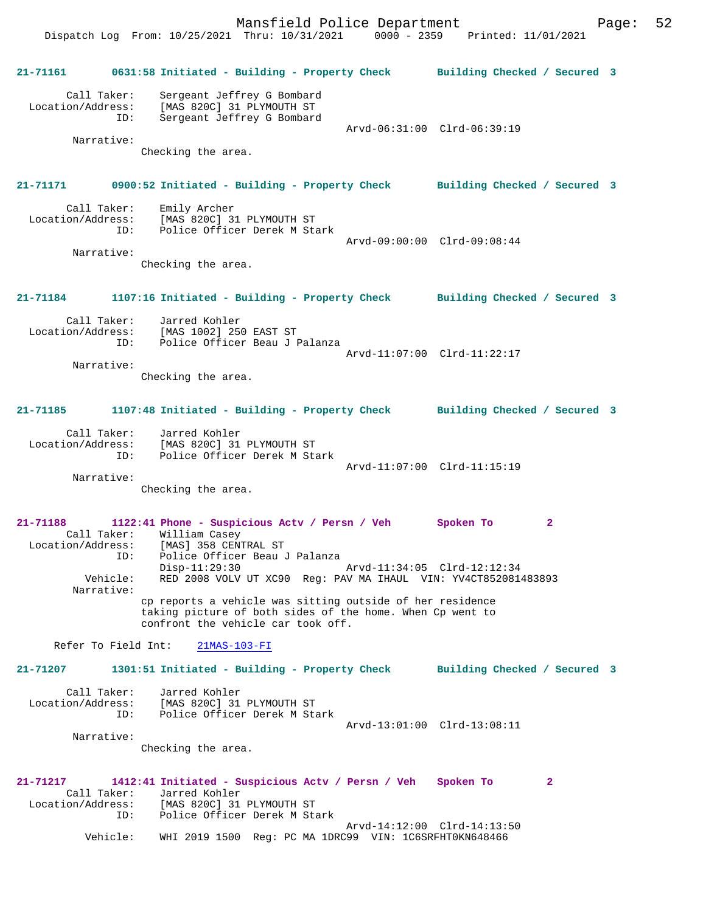Arvd-14:12:00 Clrd-14:13:50

**21-71161 0631:58 Initiated - Building - Property Check Building Checked / Secured 3** Call Taker: Sergeant Jeffrey G Bombard Location/Address: [MAS 820C] 31 PLYMOUTH ST ID: Sergeant Jeffrey G Bombard Arvd-06:31:00 Clrd-06:39:19 Narrative: Checking the area. **21-71171 0900:52 Initiated - Building - Property Check Building Checked / Secured 3** Call Taker: Emily Archer Location/Address: [MAS 820C] 31 PLYMOUTH ST<br>ID: Police Officer Derek M Sta Police Officer Derek M Stark Arvd-09:00:00 Clrd-09:08:44 Narrative: Checking the area. **21-71184 1107:16 Initiated - Building - Property Check Building Checked / Secured 3** Call Taker: Jarred Kohler Location/Address: [MAS 1002] 250 EAST ST ID: Police Officer Beau J Palanza Arvd-11:07:00 Clrd-11:22:17 Narrative: Checking the area. **21-71185 1107:48 Initiated - Building - Property Check Building Checked / Secured 3** Call Taker: Jarred Kohler Location/Address: [MAS 820C] 31 PLYMOUTH ST ID: Police Officer Derek M Stark Arvd-11:07:00 Clrd-11:15:19 Narrative: Checking the area. **21-71188 1122:41 Phone - Suspicious Actv / Persn / Veh Spoken To 2**  Call Taker: William Casey Location/Address: [MAS] 358 CENTRAL ST ID: Police Officer Beau J Palanza Disp-11:29:30 Arvd-11:34:05 Clrd-12:12:34<br>Vehicle: RED 2008 VOLV UT XC90 Req: PAV MA THAUL, VIN: YV4CT8520814 RED 2008 VOLV UT XC90 Reg: PAV MA IHAUL VIN: YV4CT852081483893 Narrative: cp reports a vehicle was sitting outside of her residence taking picture of both sides of the home. When Cp went to confront the vehicle car took off. Refer To Field Int: 21MAS-103-FI **21-71207 1301:51 Initiated - Building - Property Check Building Checked / Secured 3** Call Taker: Jarred Kohler Location/Address: [MAS 820C] 31 PLYMOUTH ST ID: Police Officer Derek M Stark Arvd-13:01:00 Clrd-13:08:11 Narrative: Checking the area. **21-71217 1412:41 Initiated - Suspicious Actv / Persn / Veh Spoken To 2**  Call Taker: Jarred Kohler<br>Location/Address: [MAS 820C] 31 ess: [MAS 820C] 31 PLYMOUTH ST<br>ID: Police Officer Derek M St Police Officer Derek M Stark

Vehicle: WHI 2019 1500 Reg: PC MA 1DRC99 VIN: 1C6SRFHT0KN648466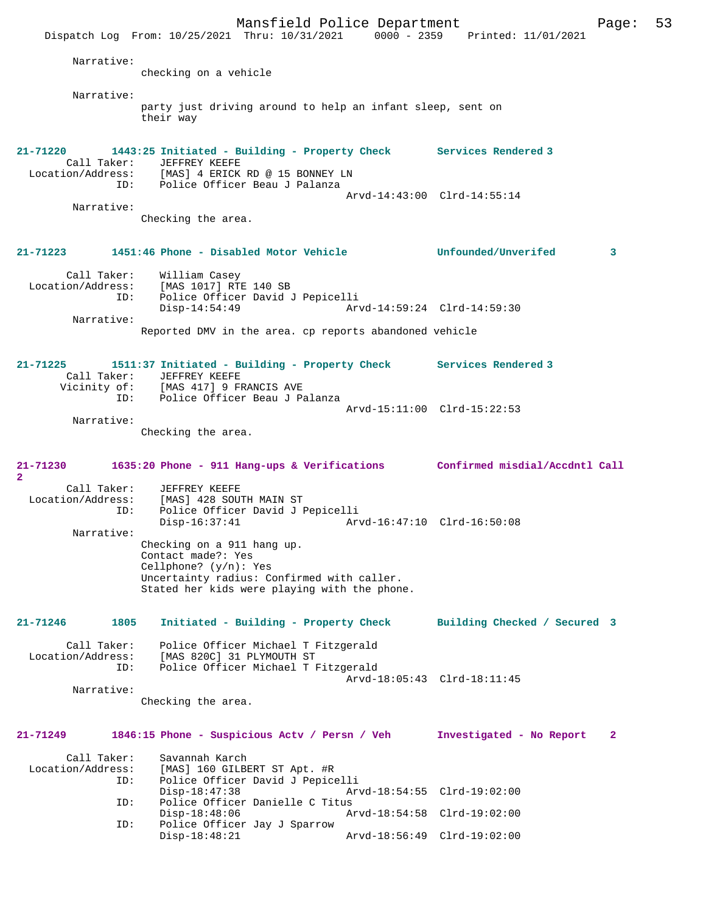Mansfield Police Department Fage: 53 Dispatch Log From: 10/25/2021 Thru: 10/31/2021 0000 - 2359 Printed: 11/01/2021 Narrative: checking on a vehicle Narrative: party just driving around to help an infant sleep, sent on their way **21-71220 1443:25 Initiated - Building - Property Check Services Rendered 3**  Call Taker: JEFFREY KEEFE Location/Address: [MAS] 4 ERICK RD @ 15 BONNEY LN ID: Police Officer Beau J Palanza Arvd-14:43:00 Clrd-14:55:14 Narrative: Checking the area. **21-71223 1451:46 Phone - Disabled Motor Vehicle Unfounded/Unverifed 3** Call Taker: William Casey<br>Location/Address: [MAS 1017] RT Location (Address: [MAS 1017] RTE 140 SB<br>Lin: Police Officer David Police Officer David J Pepicelli<br>Disp-14:54:49 Ar Arvd-14:59:24 Clrd-14:59:30 Narrative: Reported DMV in the area. cp reports abandoned vehicle **21-71225 1511:37 Initiated - Building - Property Check Services Rendered 3**  Call Taker: JEFFREY KEEFE<br>Vicinity of: [MAS 417] 9 FI [MAS 417] 9 FRANCIS AVE ID: Police Officer Beau J Palanza Arvd-15:11:00 Clrd-15:22:53 Narrative: Checking the area. **21-71230 1635:20 Phone - 911 Hang-ups & Verifications Confirmed misdial/Accdntl Call 2**  Call Taker: JEFFREY KEEFE<br>Location/Address: [MAS] 428 SOU ess: [MAS] 428 SOUTH MAIN ST<br>ID: Police Officer David J F Police Officer David J Pepicelli<br>Disp-16:37:41 Arv Disp-16:37:41 Arvd-16:47:10 Clrd-16:50:08 Narrative: Checking on a 911 hang up. Contact made?: Yes Cellphone? (y/n): Yes Uncertainty radius: Confirmed with caller. Stated her kids were playing with the phone. **21-71246 1805 Initiated - Building - Property Check Building Checked / Secured 3** Call Taker: Police Officer Michael T Fitzgerald Location/Address: [MAS 820C] 31 PLYMOUTH ST ID: Police Officer Michael T Fitzgerald Arvd-18:05:43 Clrd-18:11:45 Narrative: Checking the area. **21-71249 1846:15 Phone - Suspicious Actv / Persn / Veh Investigated - No Report 2** Call Taker: Savannah Karch<br>Location/Address: [MAS] 160 GILBI [MAS] 160 GILBERT ST Apt. #R ID: Police Officer David J Pepicelli Disp-18:47:38 Arvd-18:54:55 Clrd-19:02:00<br>TD: Police Officer Danielle C Titus Police Officer Danielle C Titus Disp-18:48:06 Arvd-18:54:58 Clrd-19:02:00<br>ID: Police Officer Jav J Sparrow Police Officer Jay J Sparrow Disp-18:48:21 Arvd-18:56:49 Clrd-19:02:00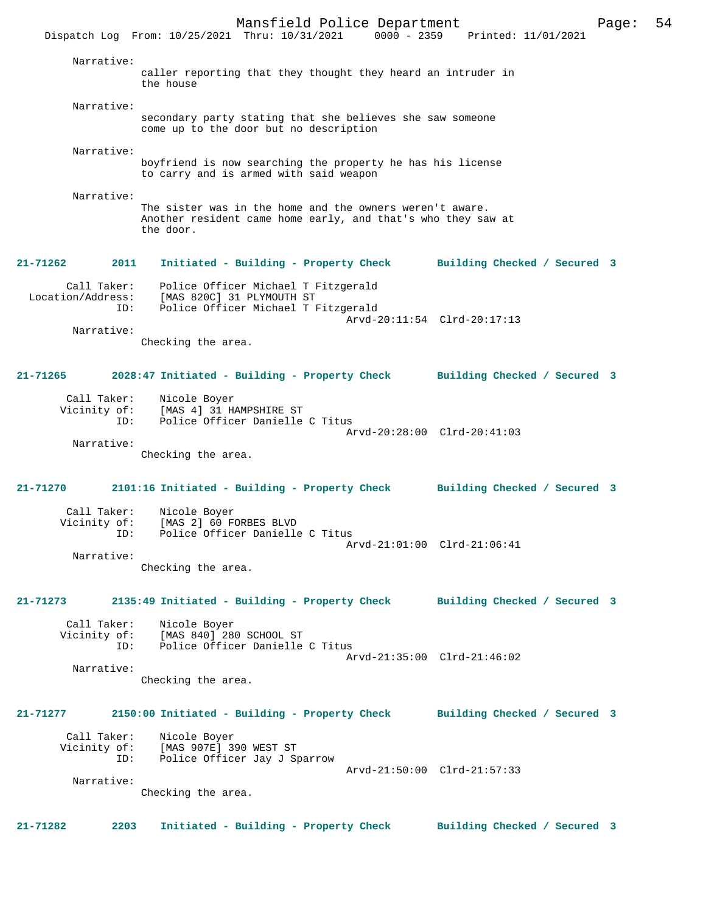Mansfield Police Department Page: 54 Dispatch Log From: 10/25/2021 Thru: 10/31/2021 0000 - 2359 Printed: 11/01/2021 Narrative: caller reporting that they thought they heard an intruder in the house Narrative: secondary party stating that she believes she saw someone come up to the door but no description Narrative: boyfriend is now searching the property he has his license to carry and is armed with said weapon Narrative: The sister was in the home and the owners weren't aware. Another resident came home early, and that's who they saw at the door. **21-71262 2011 Initiated - Building - Property Check Building Checked / Secured 3** Call Taker: Police Officer Michael T Fitzgerald Location/Address: [MAS 820C] 31 PLYMOUTH ST ID: Police Officer Michael T Fitzgerald Arvd-20:11:54 Clrd-20:17:13 Narrative: Checking the area. **21-71265 2028:47 Initiated - Building - Property Check Building Checked / Secured 3** Call Taker: Nicole Boyer Vicinity of: [MAS 4] 31 HAMPSHIRE ST ID: Police Officer Danielle C Titus Arvd-20:28:00 Clrd-20:41:03 Narrative: Checking the area. **21-71270 2101:16 Initiated - Building - Property Check Building Checked / Secured 3** Call Taker: Nicole Boyer<br>Vicinity of: [MAS 2] 60 F [MAS 2] 60 FORBES BLVD ID: Police Officer Danielle C Titus Arvd-21:01:00 Clrd-21:06:41 Narrative: Checking the area. **21-71273 2135:49 Initiated - Building - Property Check Building Checked / Secured 3** Call Taker: Nicole Boyer Vicinity of: [MAS 840] 280 SCHOOL ST ID: Police Officer Danielle C Titus Arvd-21:35:00 Clrd-21:46:02 Narrative: Checking the area. **21-71277 2150:00 Initiated - Building - Property Check Building Checked / Secured 3** Call Taker: Nicole Boyer<br>Vicinity of: [MAS 907E] 3 of: [MAS 907E] 390 WEST ST<br>ID: Police Officer Jav J St Police Officer Jay J Sparrow Arvd-21:50:00 Clrd-21:57:33 Narrative: Checking the area. **21-71282 2203 Initiated - Building - Property Check Building Checked / Secured 3**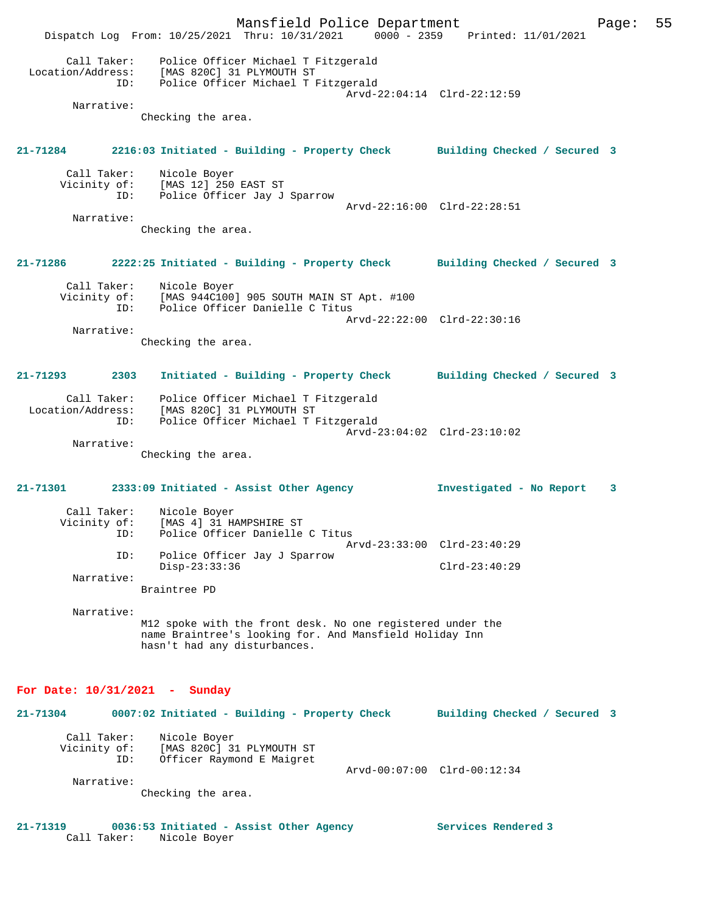Mansfield Police Department Page: 55 Dispatch Log From: 10/25/2021 Thru: 10/31/2021 0000 - 2359 Printed: 11/01/2021 Call Taker: Police Officer Michael T Fitzgerald Location/Address: [MAS 820C] 31 PLYMOUTH ST ID: Police Officer Michael T Fitzgerald Arvd-22:04:14 Clrd-22:12:59 Narrative: Checking the area. **21-71284 2216:03 Initiated - Building - Property Check Building Checked / Secured 3** Call Taker: Nicole Boyer<br>Vicinity of: [MAS 12] 250 of: [MAS 12] 250 EAST ST<br>ID: Police Officer Jav J Police Officer Jay J Sparrow Arvd-22:16:00 Clrd-22:28:51 Narrative: Checking the area. **21-71286 2222:25 Initiated - Building - Property Check Building Checked / Secured 3** Call Taker: Nicole Boyer<br>Vicinity of: [MAS 944C100  $[MAS 944C100] 905 SOUTH MAIN ST Apt. #100$ OI: IMAS STILLOUS SOUTH MARK SERVICE OF THE REAL PROPERTY OF THE REAL PROPERTY OF THE REAL PROPERTY OF THE REAL PROPERTY OF THE REAL PROPERTY OF THE REAL PROPERTY OF THE REAL PROPERTY OF THE REAL PROPERTY OF THE REAL PROPE Arvd-22:22:00 Clrd-22:30:16 Narrative: Checking the area. **21-71293 2303 Initiated - Building - Property Check Building Checked / Secured 3** Call Taker: Police Officer Michael T Fitzgerald Location/Address: [MAS 820C] 31 PLYMOUTH ST ID: Police Officer Michael T Fitzgerald Arvd-23:04:02 Clrd-23:10:02 Narrative: Checking the area. **21-71301 2333:09 Initiated - Assist Other Agency Investigated - No Report 3** Call Taker: Nicole Boyer<br>Vicinity of: [MAS 4] 31 H [MAS 4] 31 HAMPSHIRE ST ID: Police Officer Danielle C Titus Arvd-23:33:00 Clrd-23:40:29 ID: Police Officer Jay J Sparrow Disp-23:33:36 Clrd-23:40:29 Narrative: Braintree PD Narrative: M12 spoke with the front desk. No one registered under the name Braintree's looking for. And Mansfield Holiday Inn hasn't had any disturbances. **For Date: 10/31/2021 - Sunday 21-71304 0007:02 Initiated - Building - Property Check Building Checked / Secured 3** Call Taker: Nicole Boyer<br>Vicinity of: [MAS 820C] 3 Vicinity of: [MAS 820C] 31 PLYMOUTH ST ID: Officer Raymond E Maigret Arvd-00:07:00 Clrd-00:12:34 Narrative: Checking the area.

**21-71319 0036:53 Initiated - Assist Other Agency Services Rendered 3**  Call Taker: Nicole Boyer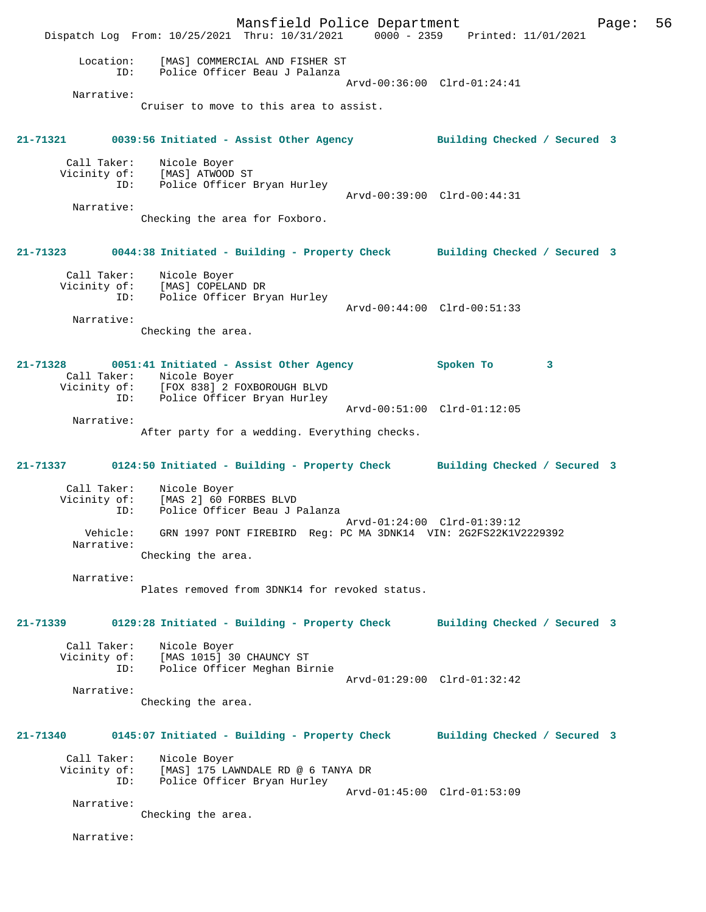Mansfield Police Department Page: 56 Dispatch Log From: 10/25/2021 Thru: 10/31/2021 0000 - 2359 Printed: 11/01/2021 Location: [MAS] COMMERCIAL AND FISHER ST ID: Police Officer Beau J Palanza Arvd-00:36:00 Clrd-01:24:41 Narrative: Cruiser to move to this area to assist. **21-71321 0039:56 Initiated - Assist Other Agency Building Checked / Secured 3** Call Taker: Nicole Boyer Vicinity of: [MAS] ATWOOD ST ID: Police Officer Bryan Hurley Arvd-00:39:00 Clrd-00:44:31 Narrative: Checking the area for Foxboro. **21-71323 0044:38 Initiated - Building - Property Check Building Checked / Secured 3** Call Taker: Nicole Boyer Vicinity of: [MAS] COPELAND DR ID: Police Officer Bryan Hurley Arvd-00:44:00 Clrd-00:51:33 Narrative: Checking the area. **21-71328 0051:41 Initiated - Assist Other Agency Spoken To 3**  Call Taker: Nicole Boyer Vicinity of: [FOX 838] 2 FOXBOROUGH BLVD ID: Police Officer Bryan Hurley Arvd-00:51:00 Clrd-01:12:05 Narrative: After party for a wedding. Everything checks. **21-71337 0124:50 Initiated - Building - Property Check Building Checked / Secured 3** Call Taker: Nicole Boyer Vicinity of: [MAS 2] 60 FORBES BLVD<br>ID: Police Officer Beau J I Police Officer Beau J Palanza Arvd-01:24:00 Clrd-01:39:12<br>Vehicle: GRN 1997 PONT FIREBIRD Req: PC MA 3DNK14 VIN: 2G2FS22K1V. GRN 1997 PONT FIREBIRD Reg: PC MA 3DNK14 VIN: 2G2FS22K1V2229392 Narrative: Checking the area. Narrative: Plates removed from 3DNK14 for revoked status. **21-71339 0129:28 Initiated - Building - Property Check Building Checked / Secured 3** Call Taker: Nicole Boyer Vicinity of: [MAS 1015] 30 CHAUNCY ST ID: Police Officer Meghan Birnie Arvd-01:29:00 Clrd-01:32:42 Narrative: Checking the area. **21-71340 0145:07 Initiated - Building - Property Check Building Checked / Secured 3** Call Taker: Nicole Boyer Vicinity of: [MAS] 175 LAWNDALE RD @ 6 TANYA DR ID: Police Officer Bryan Hurley Arvd-01:45:00 Clrd-01:53:09 Narrative: Checking the area. Narrative: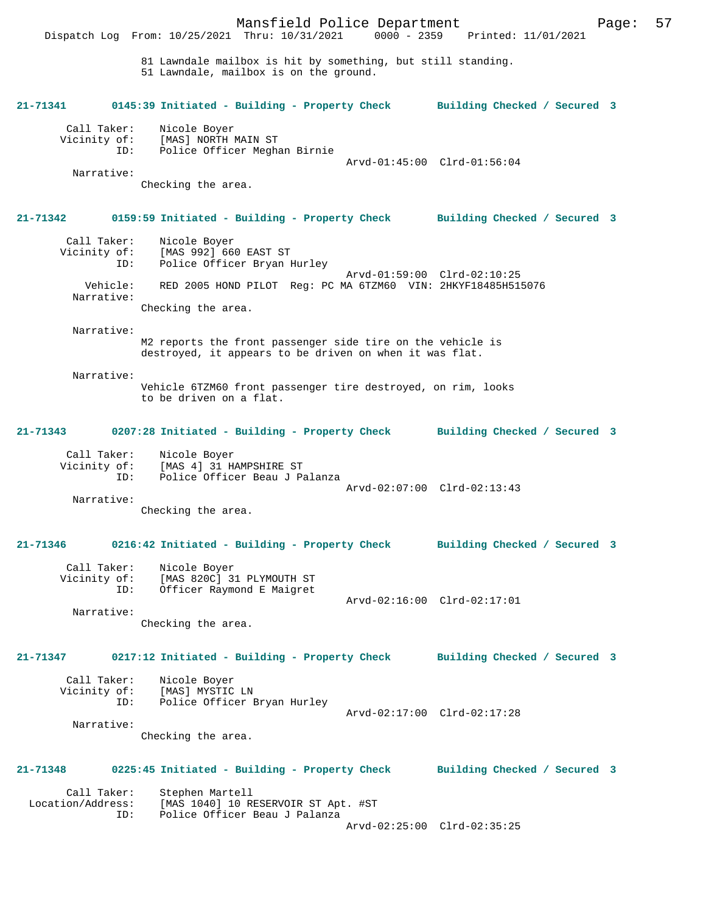81 Lawndale mailbox is hit by something, but still standing. 51 Lawndale, mailbox is on the ground. **21-71341 0145:39 Initiated - Building - Property Check Building Checked / Secured 3**

Call Taker: Nicole Boyer<br>Vicinity of: [MAS] NORTH I Vicinity of: [MAS] NORTH MAIN ST ID: Police Officer Meghan Birnie Arvd-01:45:00 Clrd-01:56:04 Narrative:

Checking the area.

Dispatch Log From: 10/25/2021 Thru: 10/31/2021

#### **21-71342 0159:59 Initiated - Building - Property Check Building Checked / Secured 3**

| Call Taker:  | Nicole Boyer                                                 |
|--------------|--------------------------------------------------------------|
| Vicinity of: | [MAS 992] 660 EAST ST                                        |
| ID:          | Police Officer Bryan Hurley                                  |
|              | Arvd-01:59:00 Clrd-02:10:25                                  |
| Vehicle:     | RED 2005 HOND PILOT Req: PC MA 6TZM60 VIN: 2HKYF18485H515076 |
| Narrative:   |                                                              |
|              | Checking the area.                                           |
|              |                                                              |

Narrative:

M2 reports the front passenger side tire on the vehicle is destroyed, it appears to be driven on when it was flat.

Narrative:

Vehicle 6TZM60 front passenger tire destroyed, on rim, looks to be driven on a flat.

#### **21-71343 0207:28 Initiated - Building - Property Check Building Checked / Secured 3**

| Call Taker:  | Nicole Boyer                  |  |
|--------------|-------------------------------|--|
| Vicinity of: | [MAS 4] 31 HAMPSHIRE ST       |  |
| TD:          | Police Officer Beau J Palanza |  |
|              | Arvd-02:07:00 Clrd-02:13:43   |  |
| Narrative:   |                               |  |

Checking the area.

# **21-71346 0216:42 Initiated - Building - Property Check Building Checked / Secured 3**

Arvd-02:16:00 Clrd-02:17:01

| Call Taker:  | Nicole Boyer              |
|--------------|---------------------------|
| Vicinity of: | [MAS 820C] 31 PLYMOUTH ST |
| TD:          | Officer Raymond E Maigret |

Narrative:

Checking the area.

# **21-71347 0217:12 Initiated - Building - Property Check Building Checked / Secured 3**

| Call Taker:<br>Vicinity of: | Nicole Boyer<br>[MAS] MYSTIC LN |                             |
|-----------------------------|---------------------------------|-----------------------------|
| ID:                         | Police Officer Bryan Hurley     |                             |
|                             |                                 | Arvd-02:17:00 Clrd-02:17:28 |
| Narrative:                  |                                 |                             |

Checking the area.

# **21-71348 0225:45 Initiated - Building - Property Check Building Checked / Secured 3**

Call Taker: Stephen Martell<br>Location/Address: [MAS 1040] 10 R ess: [MAS 1040] 10 RESERVOIR ST Apt. #ST<br>ID: Police Officer Beau J Palanza Police Officer Beau J Palanza Arvd-02:25:00 Clrd-02:35:25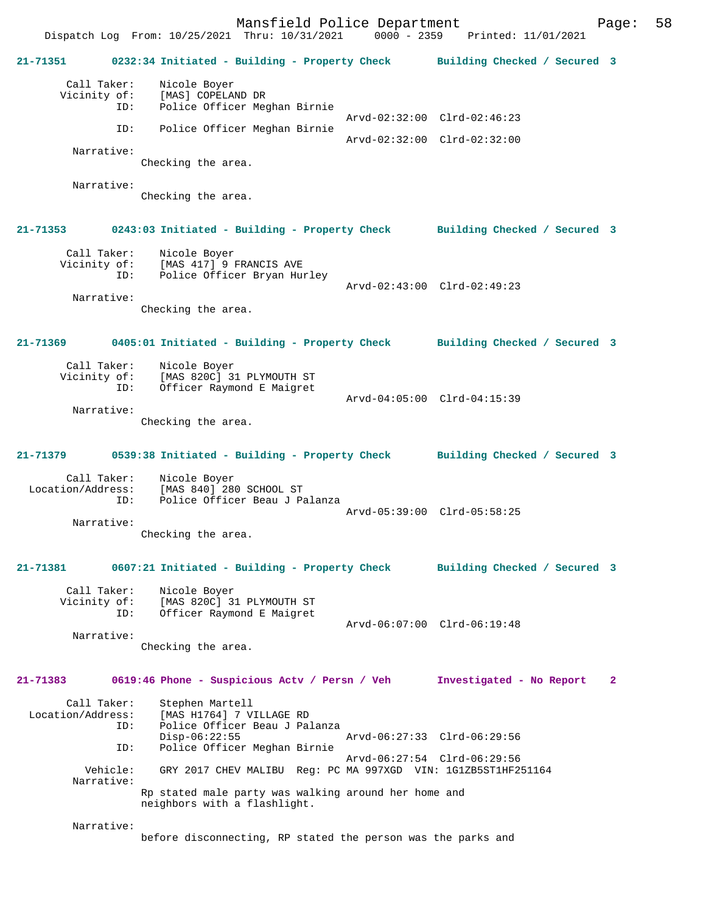Mansfield Police Department Page: 58 Dispatch Log From: 10/25/2021 Thru: 10/31/2021 **21-71351 0232:34 Initiated - Building - Property Check Building Checked / Secured 3** Call Taker: Nicole Boyer<br>Vicinity of: [MAS] COPELA of: [MAS] COPELAND DR<br>ID: Police Officer Meo Police Officer Meghan Birnie Arvd-02:32:00 Clrd-02:46:23 ID: Police Officer Meghan Birnie Arvd-02:32:00 Clrd-02:32:00 Narrative: Checking the area. Narrative: Checking the area. **21-71353 0243:03 Initiated - Building - Property Check Building Checked / Secured 3** Call Taker: Nicole Boyer Vicinity of: [MAS 417] 9 FRANCIS AVE ID: Police Officer Bryan Hurley Arvd-02:43:00 Clrd-02:49:23 Narrative: Checking the area. **21-71369 0405:01 Initiated - Building - Property Check Building Checked / Secured 3** Call Taker: Nicole Boyer<br>Vicinity of: [MAS 820C] 31 [MAS 820C] 31 PLYMOUTH ST ID: Officer Raymond E Maigret Arvd-04:05:00 Clrd-04:15:39 Narrative: Checking the area. **21-71379 0539:38 Initiated - Building - Property Check Building Checked / Secured 3** Call Taker: Nicole Boyer Location/Address: [MAS 840] 280 SCHOOL ST ID: Police Officer Beau J Palanza Arvd-05:39:00 Clrd-05:58:25 Narrative: Checking the area. **21-71381 0607:21 Initiated - Building - Property Check Building Checked / Secured 3** Call Taker: Nicole Boyer<br>Vicinity of: [MAS 820C] 3 of: [MAS 820C] 31 PLYMOUTH ST<br>ID: Officer Raymond E Maigret Officer Raymond E Maigret Arvd-06:07:00 Clrd-06:19:48 Narrative: Checking the area. **21-71383 0619:46 Phone - Suspicious Actv / Persn / Veh Investigated - No Report 2** Call Taker: Stephen Martell<br>Location/Address: [MAS H1764] 7 V [MAS H1764] 7 VILLAGE RD ID: Police Officer Beau J Palanza Disp-06:22:55 Arvd-06:27:33 Clrd-06:29:56<br>TD: Police Officer Meghan Birnie Police Officer Meghan Birnie Arvd-06:27:54 Clrd-06:29:56 Vehicle: GRY 2017 CHEV MALIBU Reg: PC MA 997XGD VIN: 1G1ZB5ST1HF251164 Narrative: Rp stated male party was walking around her home and neighbors with a flashlight.

Narrative:

before disconnecting, RP stated the person was the parks and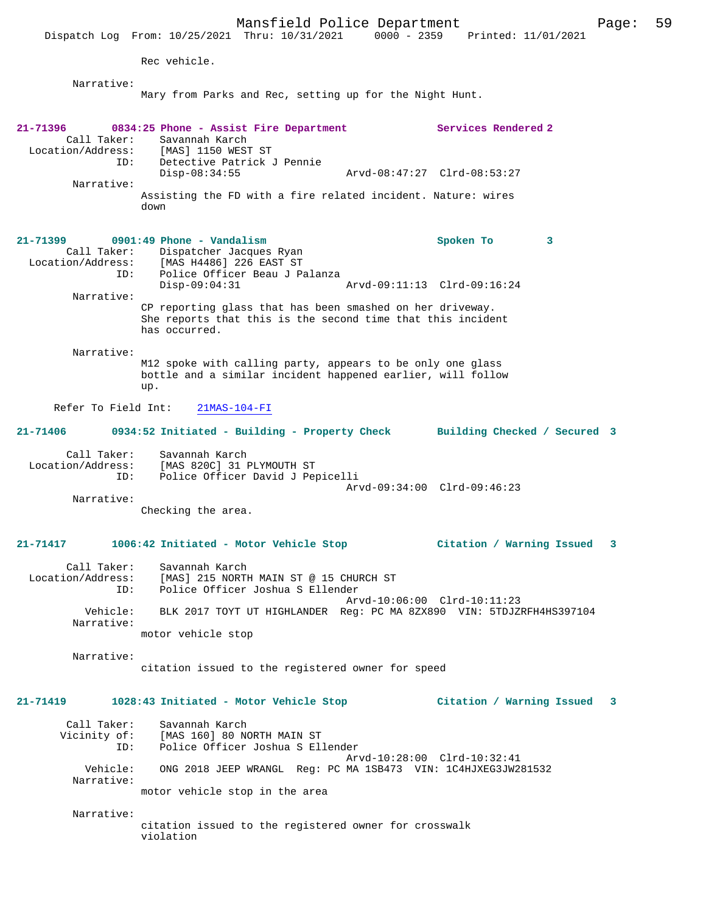Mansfield Police Department Page: 59 Dispatch Log From: 10/25/2021 Thru: 10/31/2021 Rec vehicle. Narrative: Mary from Parks and Rec, setting up for the Night Hunt. **21-71396 0834:25 Phone - Assist Fire Department Services Rendered 2**  Call Taker: Savannah Karch Location/Address: [MAS] 1150 WEST ST ID: Detective Patrick J Pennie Disp-08:34:55 Arvd-08:47:27 Clrd-08:53:27 Narrative: Assisting the FD with a fire related incident. Nature: wires down **21-71399 0901:49 Phone - Vandalism Spoken To 3**  Call Taker: Dispatcher Jacques Ryan Location/Address: [MAS H4486] 226 EAST ST Police Officer Beau J Palanza<br>Disp-09:04:31 Arvd-09:11:13 Clrd-09:16:24 Narrative: CP reporting glass that has been smashed on her driveway. She reports that this is the second time that this incident has occurred. Narrative: M12 spoke with calling party, appears to be only one glass bottle and a similar incident happened earlier, will follow up. Refer To Field Int: 21MAS-104-FI **21-71406 0934:52 Initiated - Building - Property Check Building Checked / Secured 3** Call Taker: Savannah Karch Location/Address: [MAS 820C] 31 PLYMOUTH ST Police Officer David J Pepicelli Arvd-09:34:00 Clrd-09:46:23 Narrative: Checking the area. **21-71417 1006:42 Initiated - Motor Vehicle Stop Citation / Warning Issued 3** Call Taker: Savannah Karch<br>Location/Address: [MAS] 215 NORTH Location/Address: [MAS] 215 NORTH MAIN ST @ 15 CHURCH ST ID: Police Officer Joshua S Ellender Arvd-10:06:00 Clrd-10:11:23 Vehicle: BLK 2017 TOYT UT HIGHLANDER Reg: PC MA 8ZX890 VIN: 5TDJZRFH4HS397104 Narrative: motor vehicle stop Narrative: citation issued to the registered owner for speed **21-71419 1028:43 Initiated - Motor Vehicle Stop Citation / Warning Issued 3** Call Taker: Savannah Karch<br>Vicinity of: [MAS 160] 80 NO of: [MAS 160] 80 NORTH MAIN ST<br>ID: Police Officer Joshua S El Police Officer Joshua S Ellender

Arvd-10:28:00 Clrd-10:32:41<br>Vehicle: ONG 2018 JEEP WRANGL Reg: PC MA 1SB473 VIN: 1C4HJXEG3JW2 ONG 2018 JEEP WRANGL Reg: PC MA 1SB473 VIN: 1C4HJXEG3JW281532 Narrative: motor vehicle stop in the area

 Narrative: citation issued to the registered owner for crosswalk violation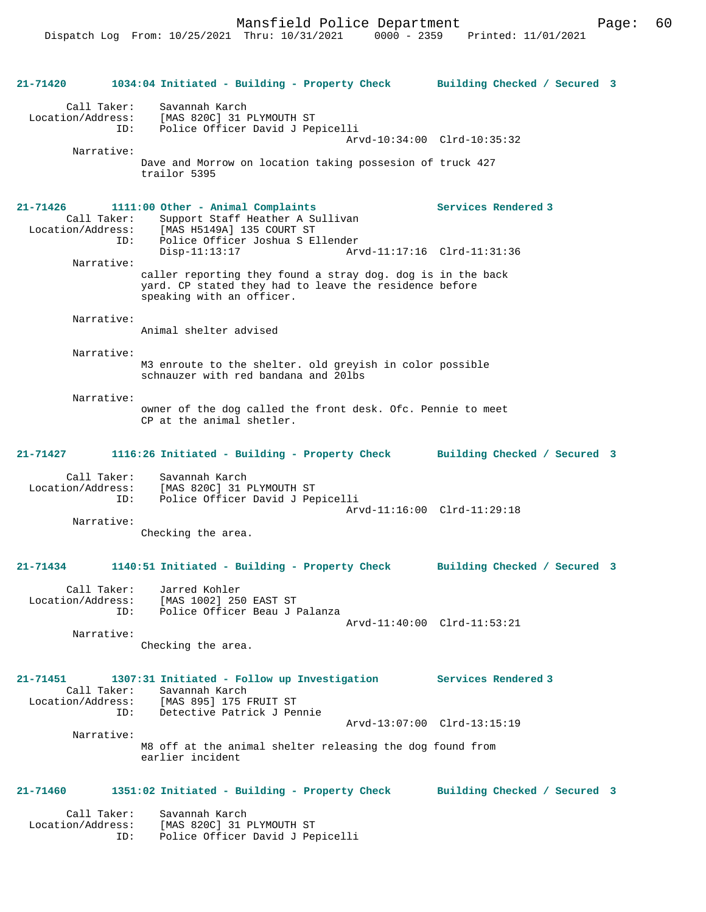Mansfield Police Department Form Page: 60

**21-71420 1034:04 Initiated - Building - Property Check Building Checked / Secured 3** Call Taker: Savannah Karch Location/Address: [MAS 820C] 31 PLYMOUTH ST Police Officer David J Pepicelli Arvd-10:34:00 Clrd-10:35:32 Narrative: Dave and Morrow on location taking possesion of truck 427 trailor 5395 **21-71426 1111:00 Other - Animal Complaints Services Rendered 3**  Call Taker: Support Staff Heather A Sullivan Location/Address: [MAS H5149A] 135 COURT ST ID: Police Officer Joshua S Ellender Arvd-11:17:16 Clrd-11:31:36 Narrative: caller reporting they found a stray dog. dog is in the back yard. CP stated they had to leave the residence before speaking with an officer. Narrative: Animal shelter advised Narrative: M3 enroute to the shelter. old greyish in color possible schnauzer with red bandana and 20lbs Narrative: owner of the dog called the front desk. Ofc. Pennie to meet CP at the animal shetler. **21-71427 1116:26 Initiated - Building - Property Check Building Checked / Secured 3** Call Taker: Savannah Karch Location/Address: [MAS 820C] 31 PLYMOUTH ST Police Officer David J Pepicelli Arvd-11:16:00 Clrd-11:29:18 Narrative: Checking the area. **21-71434 1140:51 Initiated - Building - Property Check Building Checked / Secured 3** Call Taker: Jarred Kohler Location/Address: [MAS 1002] 250 EAST ST ID: Police Officer Beau J Palanza Arvd-11:40:00 Clrd-11:53:21 Narrative: Checking the area. **21-71451 1307:31 Initiated - Follow up Investigation Services Rendered 3**  Call Taker: Savannah Karch<br>Location/Address: [MAS 895] 175 I ess: [MAS 895] 175 FRUIT ST<br>TD: Detective Patrick J Per Detective Patrick J Pennie Arvd-13:07:00 Clrd-13:15:19 Narrative: M8 off at the animal shelter releasing the dog found from earlier incident **21-71460 1351:02 Initiated - Building - Property Check Building Checked / Secured 3** Call Taker: Savannah Karch Location/Address: [MAS 820C] 31 PLYMOUTH ST ID: Police Officer David J Pepicelli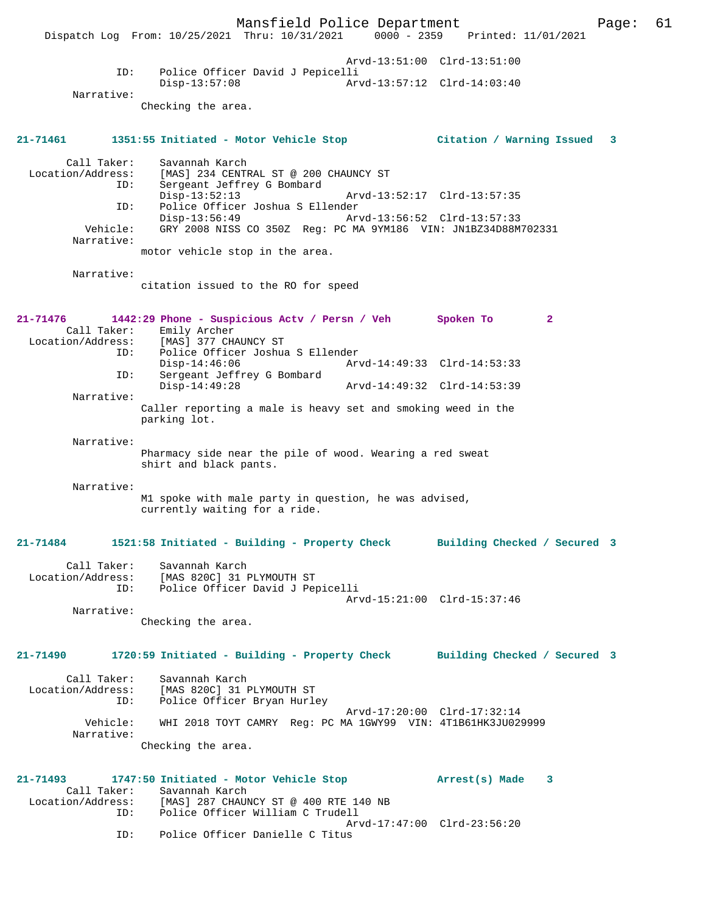Mansfield Police Department Page: 61 Dispatch Log From: 10/25/2021 Thru: 10/31/2021 Arvd-13:51:00 Clrd-13:51:00 ID: Police Officer David J Pepicelli Disp-13:57:08 Arvd-13:57:12 Clrd-14:03:40 Narrative: Checking the area. **21-71461 1351:55 Initiated - Motor Vehicle Stop Citation / Warning Issued 3** Call Taker: Savannah Karch<br>Location/Address: [MAS] 234 CENTE Location/Address: [MAS] 234 CENTRAL ST @ 200 CHAUNCY ST ID: Sergeant Jeffrey G Bombard Disp-13:52:13 Arvd-13:52:17 Clrd-13:57:35<br>ID: Police Officer Joshua S Ellender Police Officer Joshua S Ellender Disp-13:56:49 Arvd-13:56:52 Clrd-13:57:33<br>Vehicle: GRY 2008 NISS CO 350Z Reg: PC MA 9YM186 VIN: JN1BZ34D88M Vehicle: GRY 2008 NISS CO 350Z Reg: PC MA 9YM186 VIN: JN1BZ34D88M702331 Narrative: motor vehicle stop in the area. Narrative: citation issued to the RO for speed **21-71476 1442:29 Phone - Suspicious Actv / Persn / Veh Spoken To 2**  Call Taker: Emily Archer Location/Address: [MAS] 377 CHAUNCY ST<br>TD: Police Officer Joshua Police Officer Joshua S Ellender Disp-14:46:06 Arvd-14:49:33 Clrd-14:53:33<br>ID: Sergeant Jeffrey G Bombard Sergeant Jeffrey G Bombard<br>Disp-14:49:28 Arvd-14:49:32 Clrd-14:53:39 Narrative: Caller reporting a male is heavy set and smoking weed in the parking lot. Narrative: Pharmacy side near the pile of wood. Wearing a red sweat shirt and black pants. Narrative: M1 spoke with male party in question, he was advised, currently waiting for a ride. **21-71484 1521:58 Initiated - Building - Property Check Building Checked / Secured 3** Call Taker: Savannah Karch Location/Address: [MAS 820C] 31 PLYMOUTH ST ID: Police Officer David J Pepicelli Arvd-15:21:00 Clrd-15:37:46 Narrative: Checking the area. **21-71490 1720:59 Initiated - Building - Property Check Building Checked / Secured 3** Call Taker: Savannah Karch Location/Address: [MAS 820C] 31 PLYMOUTH ST ID: Police Officer Bryan Hurley Arvd-17:20:00 Clrd-17:32:14<br>Vehicle: WHI 2018 TOYT CAMRY Req: PC MA 1GWY99 VIN: 4T1B61HK3JU02 WHI 2018 TOYT CAMRY Reg: PC MA 1GWY99 VIN: 4T1B61HK3JU029999 Narrative: Checking the area. **21-71493 1747:50 Initiated - Motor Vehicle Stop Arrest(s) Made 3**  Call Taker: Savannah Karch Location/Address: [MAS] 287 CHAUNCY ST @ 400 RTE 140 NB Police Officer William C Trudell Arvd-17:47:00 Clrd-23:56:20<br>ID: Police Officer Danielle C Titus Police Officer Danielle C Titus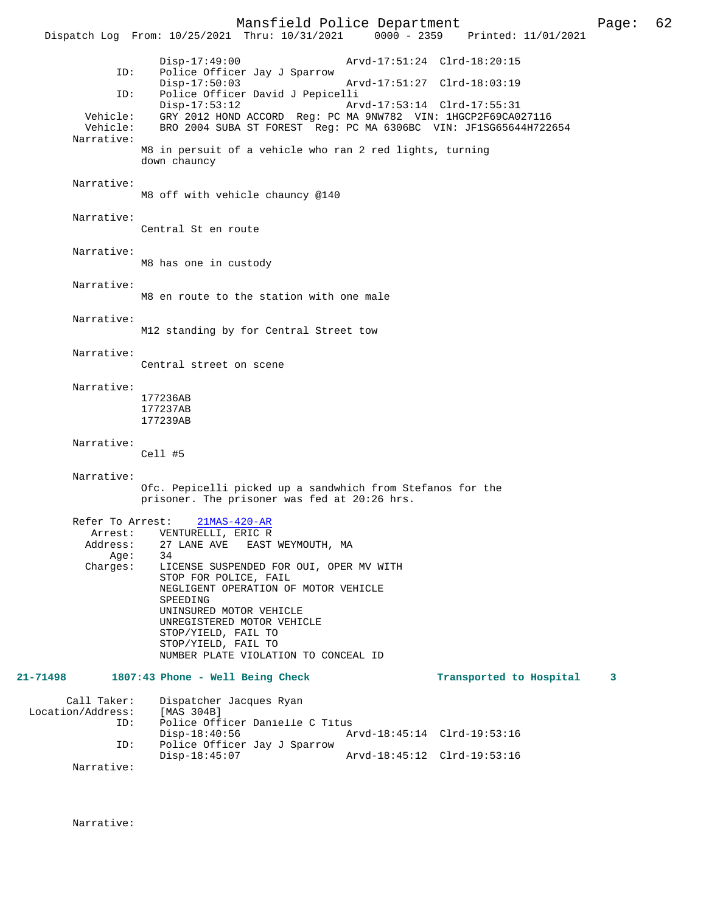Mansfield Police Department Page: 62 Dispatch Log From: 10/25/2021 Thru: 10/31/2021 Disp-17:49:00 Arvd-17:51:24 Clrd-18:20:15 ID: Police Officer Jay J Sparrow Disp-17:50:03 Arvd-17:51:27 Clrd-18:03:19<br>TD: Police Officer David J Pepicelli ID: Police Officer David J Pepicelli Disp-17:53:12 Arvd-17:53:14 Clrd-17:55:31 Vehicle: GRY 2012 HOND ACCORD Reg: PC MA 9NW782 VIN: 1HGCP2F69CA027116 Vehicle: BRO 2004 SUBA ST FOREST Reg: PC MA 6306BC VIN: JF1SG65644H722654 Narrative: M8 in persuit of a vehicle who ran 2 red lights, turning down chauncy Narrative: M8 off with vehicle chauncy @140 Narrative: Central St en route Narrative: M8 has one in custody Narrative: M8 en route to the station with one male Narrative: M12 standing by for Central Street tow Narrative: Central street on scene Narrative: 177236AB 177237AB 177239AB Narrative: Cell #5 Narrative: Ofc. Pepicelli picked up a sandwhich from Stefanos for the prisoner. The prisoner was fed at 20:26 hrs. Refer To Arrest: 21MAS-420-AR Arrest: VENTURELLI, ERIC R<br>Address: 27 LANE AVE EAST 27 LANE AVE EAST WEYMOUTH, MA<br>34 Age:<br>:Charges LICENSE SUSPENDED FOR OUI, OPER MV WITH STOP FOR POLICE, FAIL NEGLIGENT OPERATION OF MOTOR VEHICLE SPEEDING UNINSURED MOTOR VEHICLE UNREGISTERED MOTOR VEHICLE STOP/YIELD, FAIL TO STOP/YIELD, FAIL TO NUMBER PLATE VIOLATION TO CONCEAL ID **21-71498 1807:43 Phone - Well Being Check Transported to Hospital 3** Call Taker: Dispatcher Jacques Ryan<br>.on/Address: [MAS 304B] Location/Address:<br>ID: Police Officer Danielle C Titus<br>Disp-18:40:56 A Disp-18:40:56 Arvd-18:45:14 Clrd-19:53:16<br>ID: Police Officer Jav J Sparrow Police Officer Jay J Sparrow Disp-18:45:07 Arvd-18:45:12 Clrd-19:53:16 Narrative:

Narrative: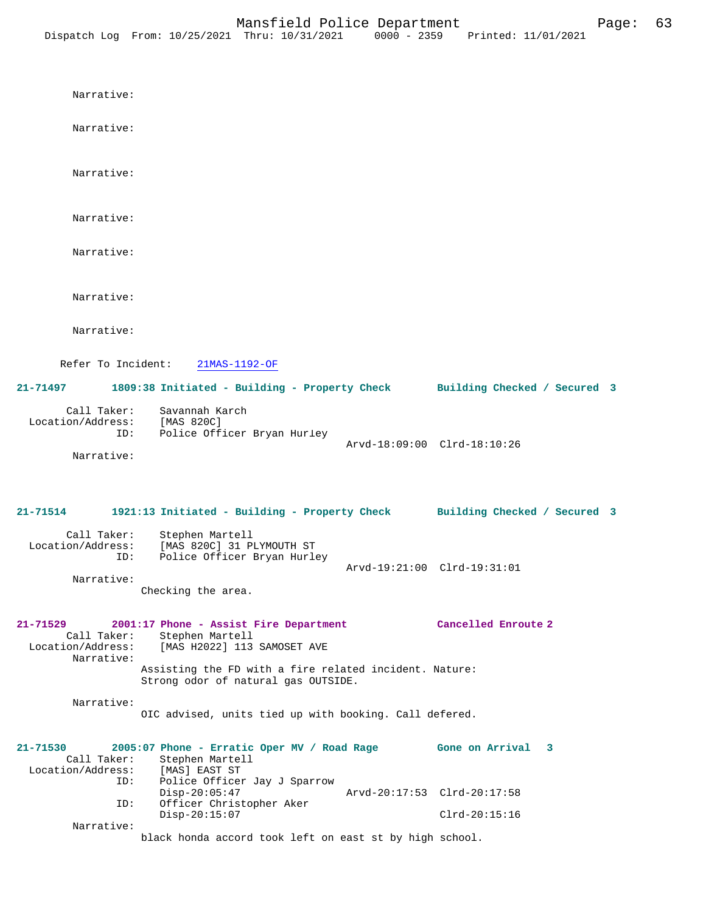Narrative: Narrative: Narrative: Narrative: Narrative: Narrative: Narrative: Refer To Incident: 21MAS-1192-OF **21-71497 1809:38 Initiated - Building - Property Check Building Checked / Secured 3** Call Taker: Savannah Karch Location/Address: [MAS 820C] ID: Police Officer Bryan Hurley Arvd-18:09:00 Clrd-18:10:26 Narrative: **21-71514 1921:13 Initiated - Building - Property Check Building Checked / Secured 3** Call Taker: Stephen Martell Location/Address: [MAS 820C] 31 PLYMOUTH ST ID: Police Officer Bryan Hurley Arvd-19:21:00 Clrd-19:31:01 Narrative: Checking the area. **21-71529 2001:17 Phone - Assist Fire Department Cancelled Enroute 2**  Call Taker: Stephen Martell<br>Location/Address: [MAS H2022] 113 [MAS H2022] 113 SAMOSET AVE Narrative: Assisting the FD with a fire related incident. Nature: Strong odor of natural gas OUTSIDE. Narrative: OIC advised, units tied up with booking. Call defered. **21-71530 2005:07 Phone - Erratic Oper MV / Road Rage Gone on Arrival 3**  Call Taker: Stephen Martell Location/Address: [MAS] EAST ST ID: Police Officer Jay J Sparrow Disp-20:05:47 Arvd-20:17:53 Clrd-20:17:58 ID: Officer Christopher Aker Disp-20:15:07 Clrd-20:15:16

black honda accord took left on east st by high school.

Narrative: